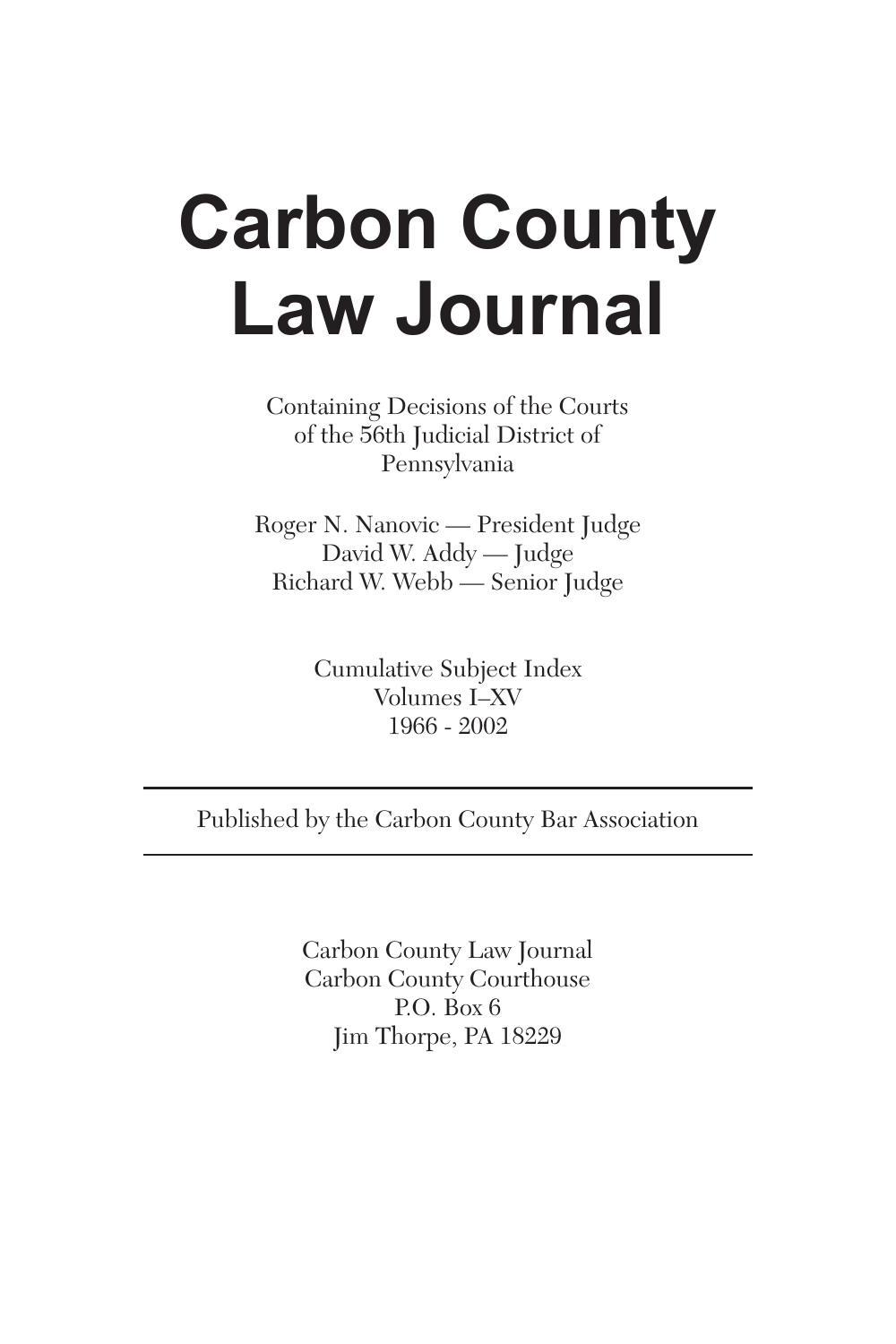# **Carbon County Law Journal**

Containing Decisions of the Courts of the 56th Judicial District of Pennsylvania

Roger N. Nanovic — President Judge David W. Addy — Judge Richard W. Webb — Senior Judge

> Cumulative Subject Index Volumes I–XV 1966 - 2002

Published by the Carbon County Bar Association

Carbon County Law Journal Carbon County Courthouse P.O. Box 6 Jim Thorpe, PA 18229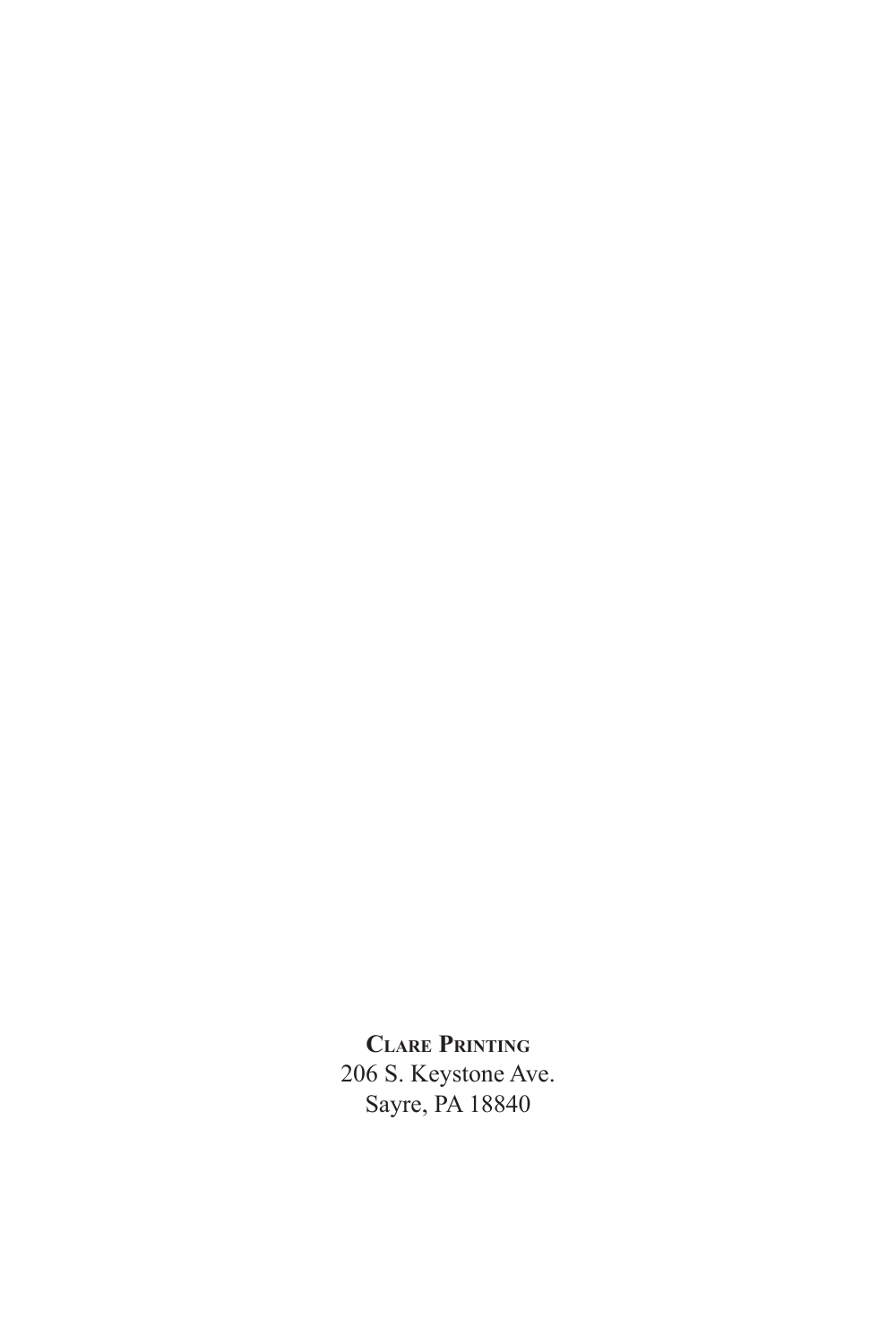**Clare Printing** 206 S. Keystone Ave. Sayre, PA 18840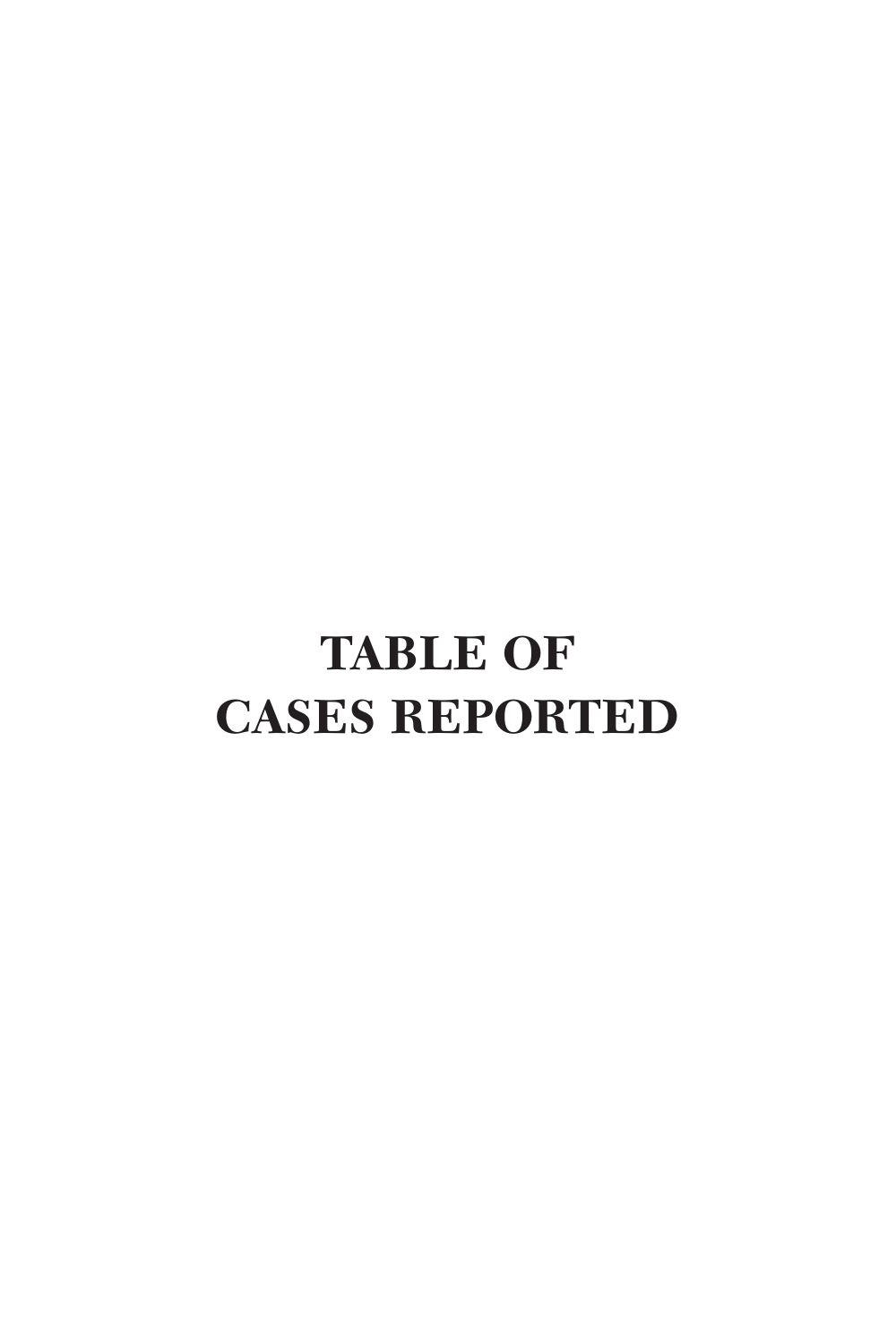## **TABLE OF CASES REPORTED**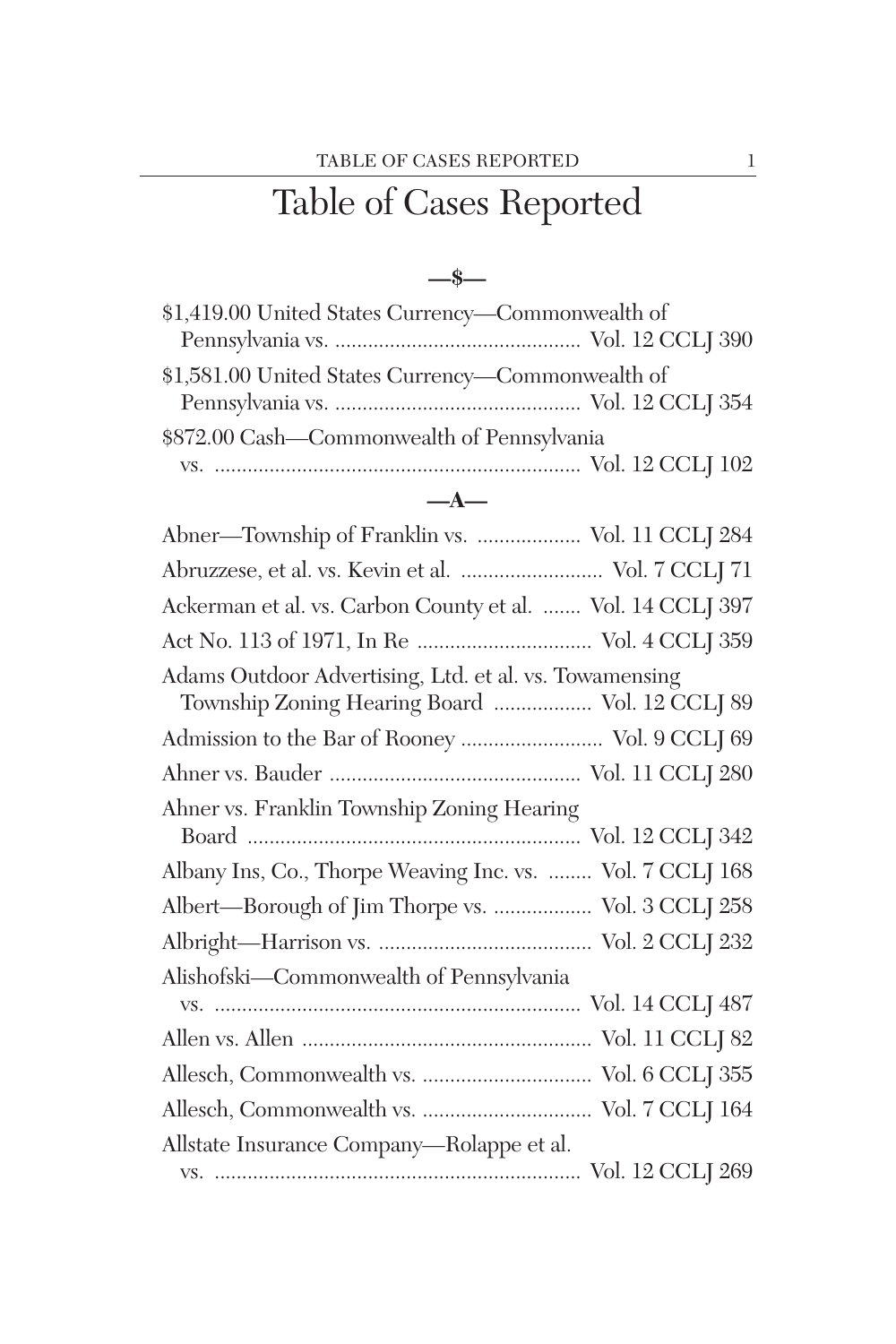### Table of Cases Reported

#### **—\$—**

| \$1,419.00 United States Currency—Commonwealth of |  |
|---------------------------------------------------|--|
|                                                   |  |
| \$1,581.00 United States Currency—Commonwealth of |  |
|                                                   |  |
| \$872.00 Cash—Commonwealth of Pennsylvania        |  |
|                                                   |  |
|                                                   |  |

### **—A—**

| Abner-Township of Franklin vs.  Vol. 11 CCLJ 284                                                         |  |
|----------------------------------------------------------------------------------------------------------|--|
| Abruzzese, et al. vs. Kevin et al.  Vol. 7 CCLJ 71                                                       |  |
| Ackerman et al. vs. Carbon County et al.  Vol. 14 CCLJ 397                                               |  |
|                                                                                                          |  |
| Adams Outdoor Advertising, Ltd. et al. vs. Towamensing<br>Township Zoning Hearing Board  Vol. 12 CCLJ 89 |  |
| Admission to the Bar of Rooney  Vol. 9 CCLJ 69                                                           |  |
|                                                                                                          |  |
| Ahner vs. Franklin Township Zoning Hearing                                                               |  |
| Albany Ins, Co., Thorpe Weaving Inc. vs.  Vol. 7 CCLJ 168                                                |  |
| Albert—Borough of Jim Thorpe vs.  Vol. 3 CCLJ 258                                                        |  |
|                                                                                                          |  |
| Alishofski-Commonwealth of Pennsylvania                                                                  |  |
|                                                                                                          |  |
|                                                                                                          |  |
|                                                                                                          |  |
|                                                                                                          |  |
| Allstate Insurance Company-Rolappe et al.                                                                |  |
|                                                                                                          |  |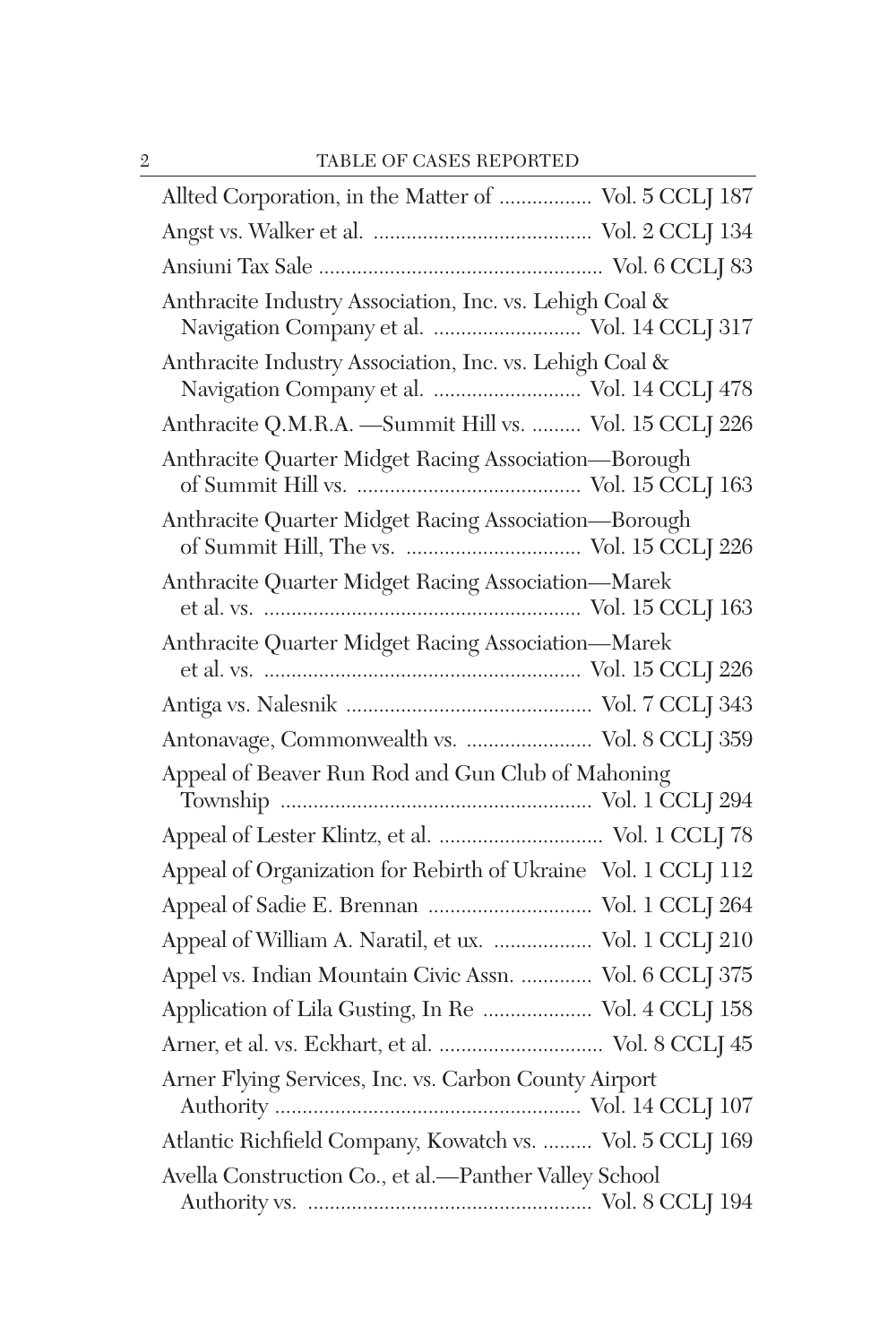| Allted Corporation, in the Matter of  Vol. 5 CCLJ 187                                                  |  |
|--------------------------------------------------------------------------------------------------------|--|
|                                                                                                        |  |
|                                                                                                        |  |
| Anthracite Industry Association, Inc. vs. Lehigh Coal &<br>Navigation Company et al.  Vol. 14 CCLJ 317 |  |
| Anthracite Industry Association, Inc. vs. Lehigh Coal &<br>Navigation Company et al.  Vol. 14 CCLJ 478 |  |
| Anthracite Q.M.R.A. - Summit Hill vs.  Vol. 15 CCLJ 226                                                |  |
| Anthracite Quarter Midget Racing Association-Borough                                                   |  |
| Anthracite Quarter Midget Racing Association—Borough                                                   |  |
| Anthracite Quarter Midget Racing Association-Marek                                                     |  |
| Anthracite Quarter Midget Racing Association-Marek                                                     |  |
|                                                                                                        |  |
| Antonavage, Commonwealth vs.  Vol. 8 CCLJ 359                                                          |  |
| Appeal of Beaver Run Rod and Gun Club of Mahoning                                                      |  |
| Appeal of Lester Klintz, et al.  Vol. 1 CCLJ 78                                                        |  |
| Appeal of Organization for Rebirth of Ukraine Vol. 1 CCLJ 112                                          |  |
|                                                                                                        |  |
| Appeal of William A. Naratil, et ux.  Vol. 1 CCLJ 210                                                  |  |
| Appel vs. Indian Mountain Civic Assn.  Vol. 6 CCLJ 375                                                 |  |
| Application of Lila Gusting, In Re  Vol. 4 CCLJ 158                                                    |  |
| Arner, et al. vs. Eckhart, et al.  Vol. 8 CCLJ 45                                                      |  |
| Arner Flying Services, Inc. vs. Carbon County Airport                                                  |  |
| Atlantic Richfield Company, Kowatch vs.  Vol. 5 CCLJ 169                                               |  |
| Avella Construction Co., et al.-Panther Valley School                                                  |  |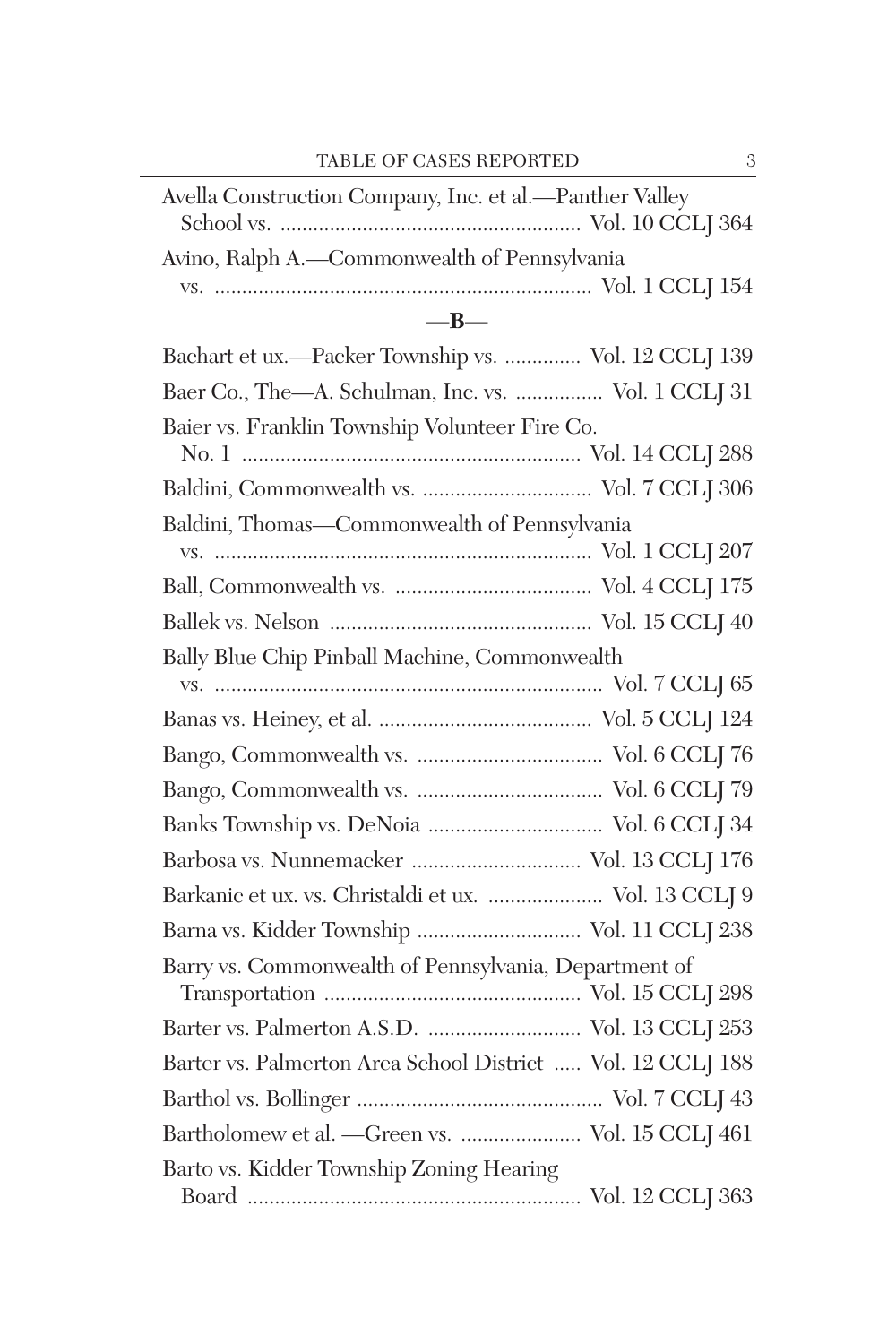| Avella Construction Company, Inc. et al.-Panther Valley     |
|-------------------------------------------------------------|
| Avino, Ralph A.-Commonwealth of Pennsylvania                |
| $-B-$                                                       |
| Bachart et ux.-Packer Township vs.  Vol. 12 CCLJ 139        |
| Baer Co., The-A. Schulman, Inc. vs.  Vol. 1 CCLJ 31         |
| Baier vs. Franklin Township Volunteer Fire Co.              |
|                                                             |
| Baldini, Thomas-Commonwealth of Pennsylvania                |
|                                                             |
|                                                             |
|                                                             |
| Bally Blue Chip Pinball Machine, Commonwealth               |
|                                                             |
|                                                             |
|                                                             |
|                                                             |
|                                                             |
|                                                             |
| Barkanic et ux. vs. Christaldi et ux.  Vol. 13 CCLJ 9       |
| Barna vs. Kidder Township  Vol. 11 CCLJ 238                 |
| Barry vs. Commonwealth of Pennsylvania, Department of       |
|                                                             |
| Barter vs. Palmerton Area School District  Vol. 12 CCLJ 188 |
|                                                             |
| Bartholomew et al. - Green vs.  Vol. 15 CCLJ 461            |
| Barto vs. Kidder Township Zoning Hearing                    |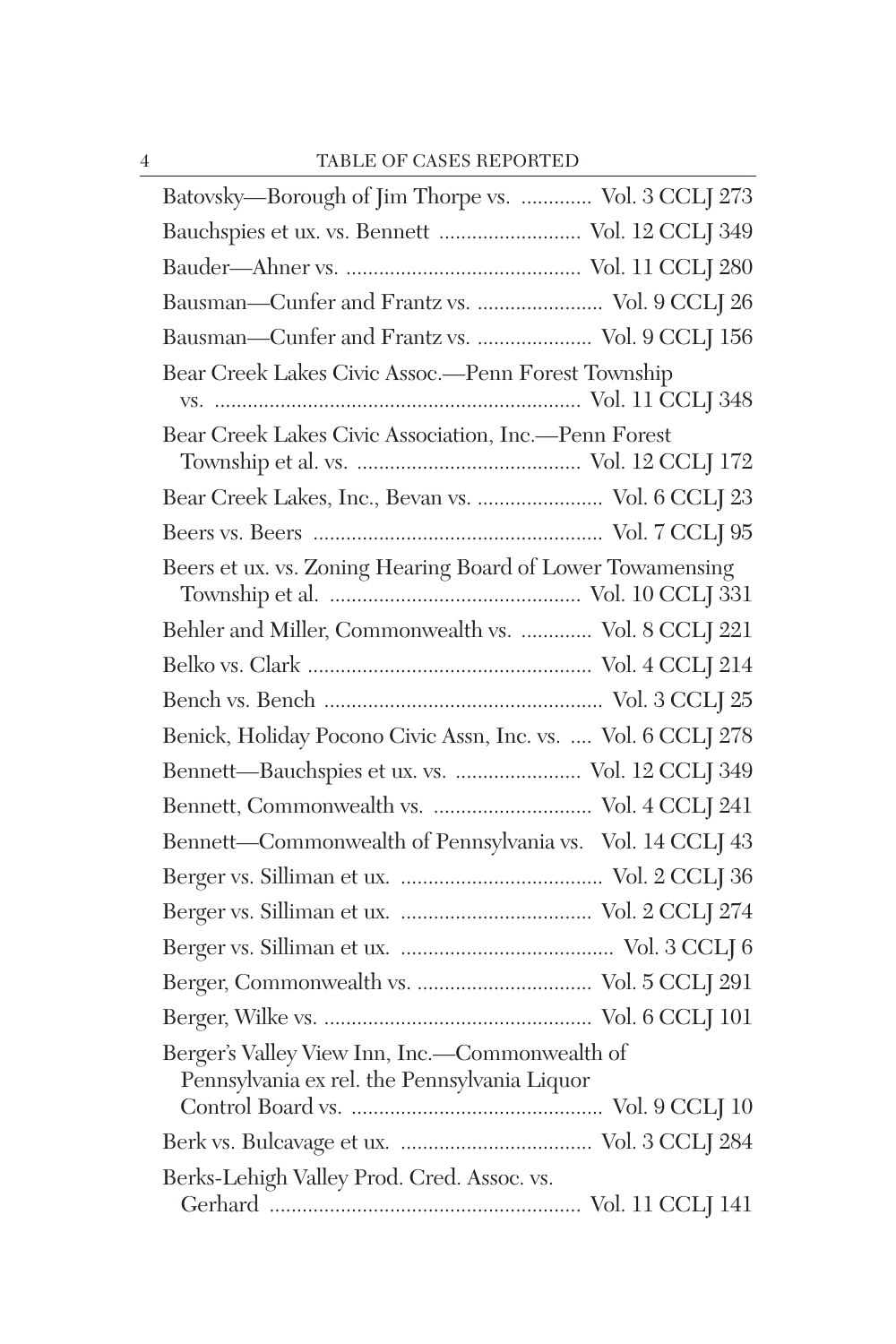| Batovsky-Borough of Jim Thorpe vs.  Vol. 3 CCLJ 273                                            |
|------------------------------------------------------------------------------------------------|
| Bauchspies et ux. vs. Bennett  Vol. 12 CCLJ 349                                                |
|                                                                                                |
| Bausman-Cunfer and Frantz vs.  Vol. 9 CCLJ 26                                                  |
| Bausman-Cunfer and Frantz vs.  Vol. 9 CCLJ 156                                                 |
| Bear Creek Lakes Civic Assoc.-Penn Forest Township                                             |
| Bear Creek Lakes Civic Association, Inc.--Penn Forest                                          |
| Bear Creek Lakes, Inc., Bevan vs.  Vol. 6 CCLJ 23                                              |
|                                                                                                |
| Beers et ux. vs. Zoning Hearing Board of Lower Towamensing                                     |
| Behler and Miller, Commonwealth vs.  Vol. 8 CCLJ 221                                           |
|                                                                                                |
|                                                                                                |
| Benick, Holiday Pocono Civic Assn, Inc. vs.  Vol. 6 CCLJ 278                                   |
| Bennett-Bauchspies et ux. vs.  Vol. 12 CCLJ 349                                                |
|                                                                                                |
| Bennett-Commonwealth of Pennsylvania vs. Vol. 14 CCLJ 43                                       |
|                                                                                                |
|                                                                                                |
|                                                                                                |
|                                                                                                |
|                                                                                                |
| Berger's Valley View Inn, Inc.-Commonwealth of<br>Pennsylvania ex rel. the Pennsylvania Liquor |
|                                                                                                |
| Berks-Lehigh Valley Prod. Cred. Assoc. vs.                                                     |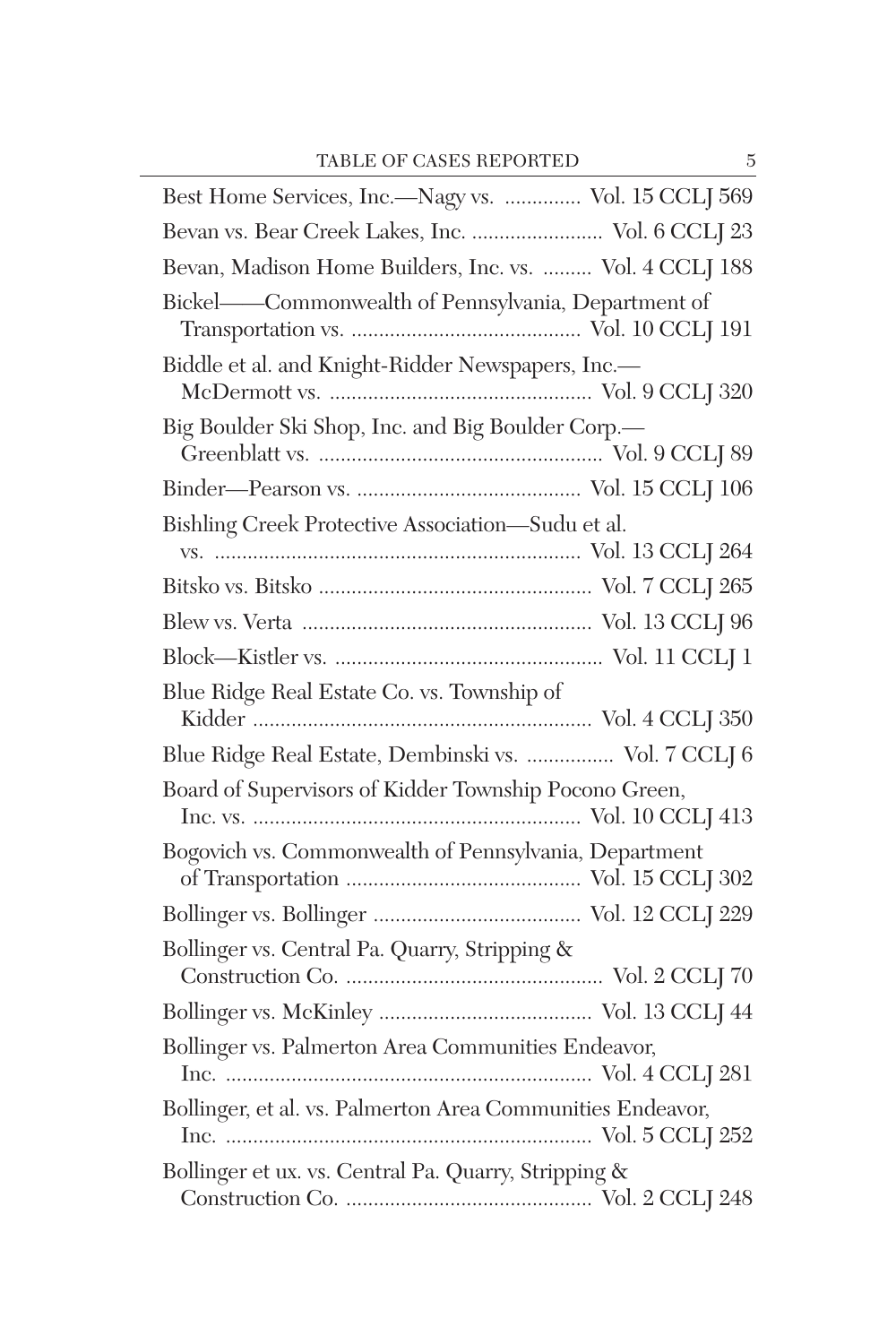| Best Home Services, Inc.—Nagy vs.  Vol. 15 CCLJ 569        |  |
|------------------------------------------------------------|--|
| Bevan vs. Bear Creek Lakes, Inc.  Vol. 6 CCLJ 23           |  |
| Bevan, Madison Home Builders, Inc. vs.  Vol. 4 CCLJ 188    |  |
| Bickel-Commonwealth of Pennsylvania, Department of         |  |
| Biddle et al. and Knight-Ridder Newspapers, Inc.-          |  |
| Big Boulder Ski Shop, Inc. and Big Boulder Corp.-          |  |
|                                                            |  |
| Bishling Creek Protective Association-Sudu et al.          |  |
|                                                            |  |
|                                                            |  |
|                                                            |  |
|                                                            |  |
| Blue Ridge Real Estate Co. vs. Township of                 |  |
| Blue Ridge Real Estate, Dembinski vs.  Vol. 7 CCLJ 6       |  |
| Board of Supervisors of Kidder Township Pocono Green,      |  |
| Bogovich vs. Commonwealth of Pennsylvania, Department      |  |
|                                                            |  |
| Bollinger vs. Central Pa. Quarry, Stripping &              |  |
|                                                            |  |
| Bollinger vs. Palmerton Area Communities Endeavor,         |  |
| Bollinger, et al. vs. Palmerton Area Communities Endeavor, |  |
| Bollinger et ux. vs. Central Pa. Quarry, Stripping &       |  |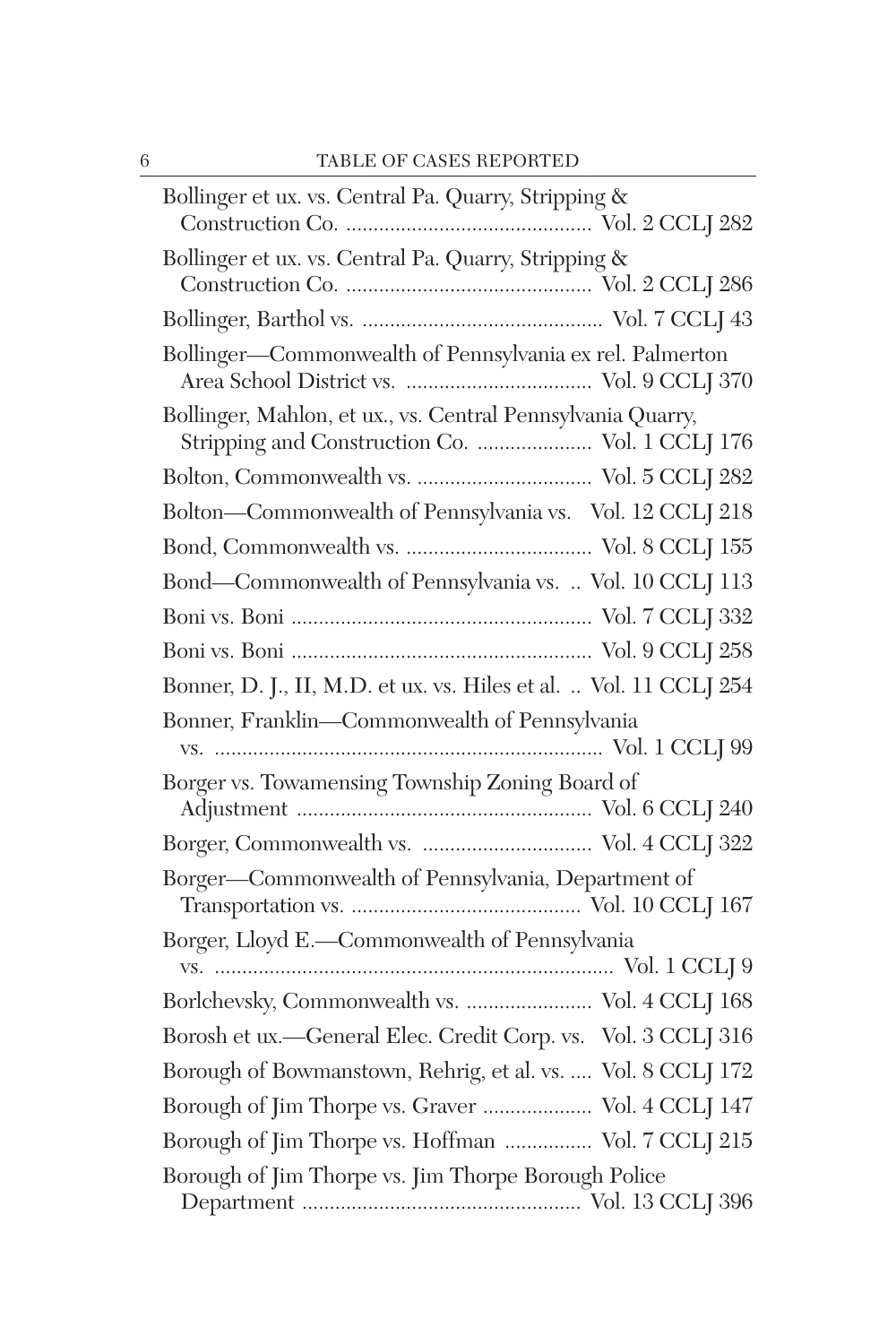| Bollinger et ux. vs. Central Pa. Quarry, Stripping &                                                           |
|----------------------------------------------------------------------------------------------------------------|
| Bollinger et ux. vs. Central Pa. Quarry, Stripping &                                                           |
|                                                                                                                |
| Bollinger-Commonwealth of Pennsylvania ex rel. Palmerton                                                       |
| Bollinger, Mahlon, et ux., vs. Central Pennsylvania Quarry,<br>Stripping and Construction Co.  Vol. 1 CCLJ 176 |
|                                                                                                                |
| Bolton-Commonwealth of Pennsylvania vs. Vol. 12 CCLJ 218                                                       |
|                                                                                                                |
| Bond-Commonwealth of Pennsylvania vs.  Vol. 10 CCLJ 113                                                        |
|                                                                                                                |
|                                                                                                                |
| Bonner, D. J., II, M.D. et ux. vs. Hiles et al.  Vol. 11 CCLJ 254                                              |
|                                                                                                                |
| Bonner, Franklin-Commonwealth of Pennsylvania                                                                  |
| Borger vs. Towamensing Township Zoning Board of                                                                |
|                                                                                                                |
| Borger-Commonwealth of Pennsylvania, Department of                                                             |
| Borger, Lloyd E.-Commonwealth of Pennsylvania                                                                  |
| Borlchevsky, Commonwealth vs.  Vol. 4 CCLJ 168                                                                 |
| Borosh et ux.-General Elec. Credit Corp. vs. Vol. 3 CCLJ 316                                                   |
| Borough of Bowmanstown, Rehrig, et al. vs.  Vol. 8 CCLJ 172                                                    |
| Borough of Jim Thorpe vs. Graver  Vol. 4 CCLJ 147                                                              |
| Borough of Jim Thorpe vs. Hoffman  Vol. 7 CCLJ 215                                                             |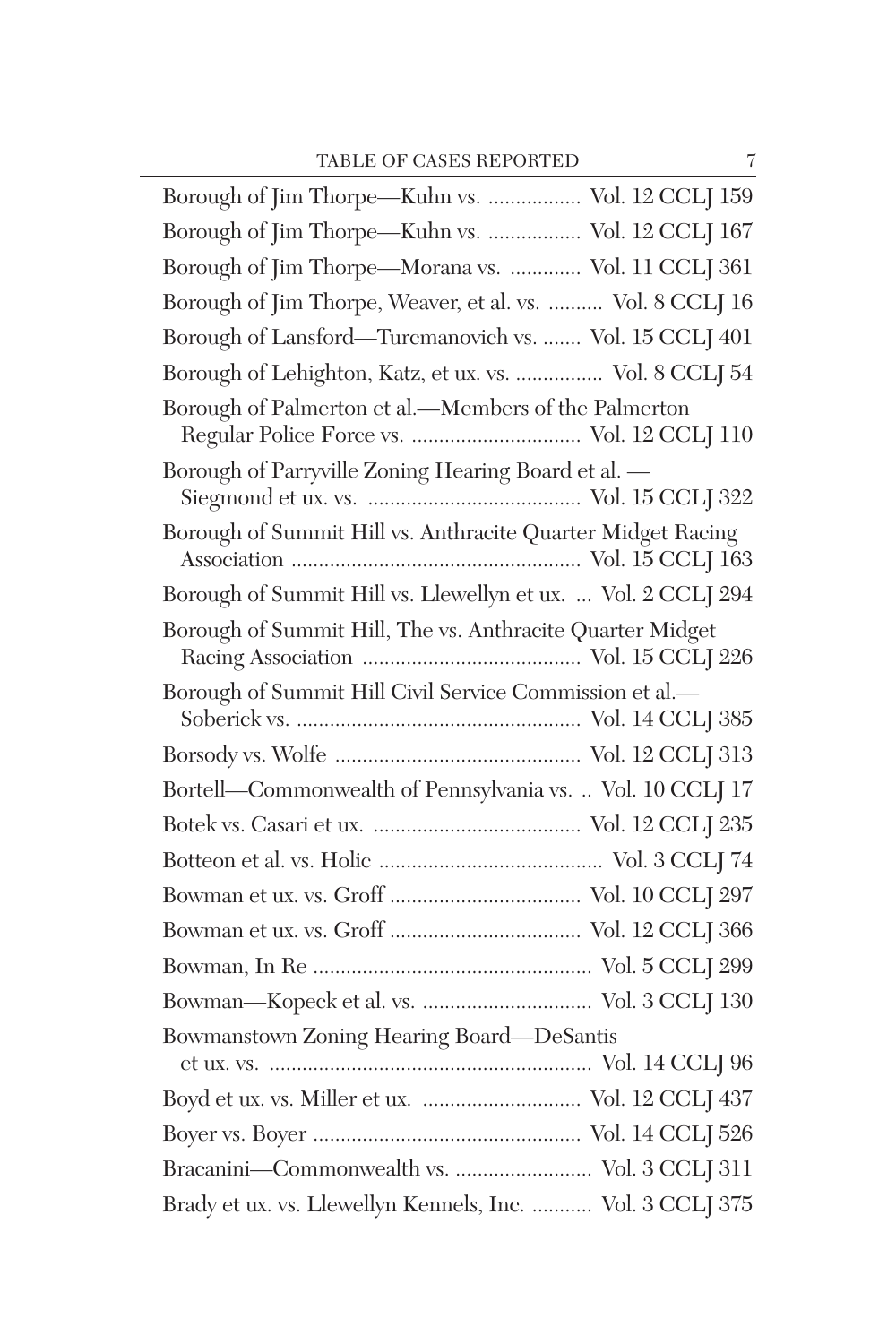| Borough of Jim Thorpe—Kuhn vs.  Vol. 12 CCLJ 159             |
|--------------------------------------------------------------|
| Borough of Jim Thorpe-Kuhn vs.  Vol. 12 CCLJ 167             |
| Borough of Jim Thorpe-Morana vs.  Vol. 11 CCLJ 361           |
| Borough of Jim Thorpe, Weaver, et al. vs.  Vol. 8 CCLJ 16    |
| Borough of Lansford—Turcmanovich vs.  Vol. 15 CCLJ 401       |
| Borough of Lehighton, Katz, et ux. vs.  Vol. 8 CCLJ 54       |
| Borough of Palmerton et al.—Members of the Palmerton         |
| Borough of Parryville Zoning Hearing Board et al. -          |
| Borough of Summit Hill vs. Anthracite Quarter Midget Racing  |
| Borough of Summit Hill vs. Llewellyn et ux.  Vol. 2 CCLJ 294 |
| Borough of Summit Hill, The vs. Anthracite Quarter Midget    |
| Borough of Summit Hill Civil Service Commission et al.-      |
|                                                              |
| Bortell-Commonwealth of Pennsylvania vs.  Vol. 10 CCLJ 17    |
|                                                              |
|                                                              |
|                                                              |
|                                                              |
|                                                              |
|                                                              |
| Bowmanstown Zoning Hearing Board-DeSantis                    |
| Boyd et ux. vs. Miller et ux.  Vol. 12 CCLJ 437              |
|                                                              |
| Bracanini-Commonwealth vs.  Vol. 3 CCLJ 311                  |
| Brady et ux. vs. Llewellyn Kennels, Inc.  Vol. 3 CCLJ 375    |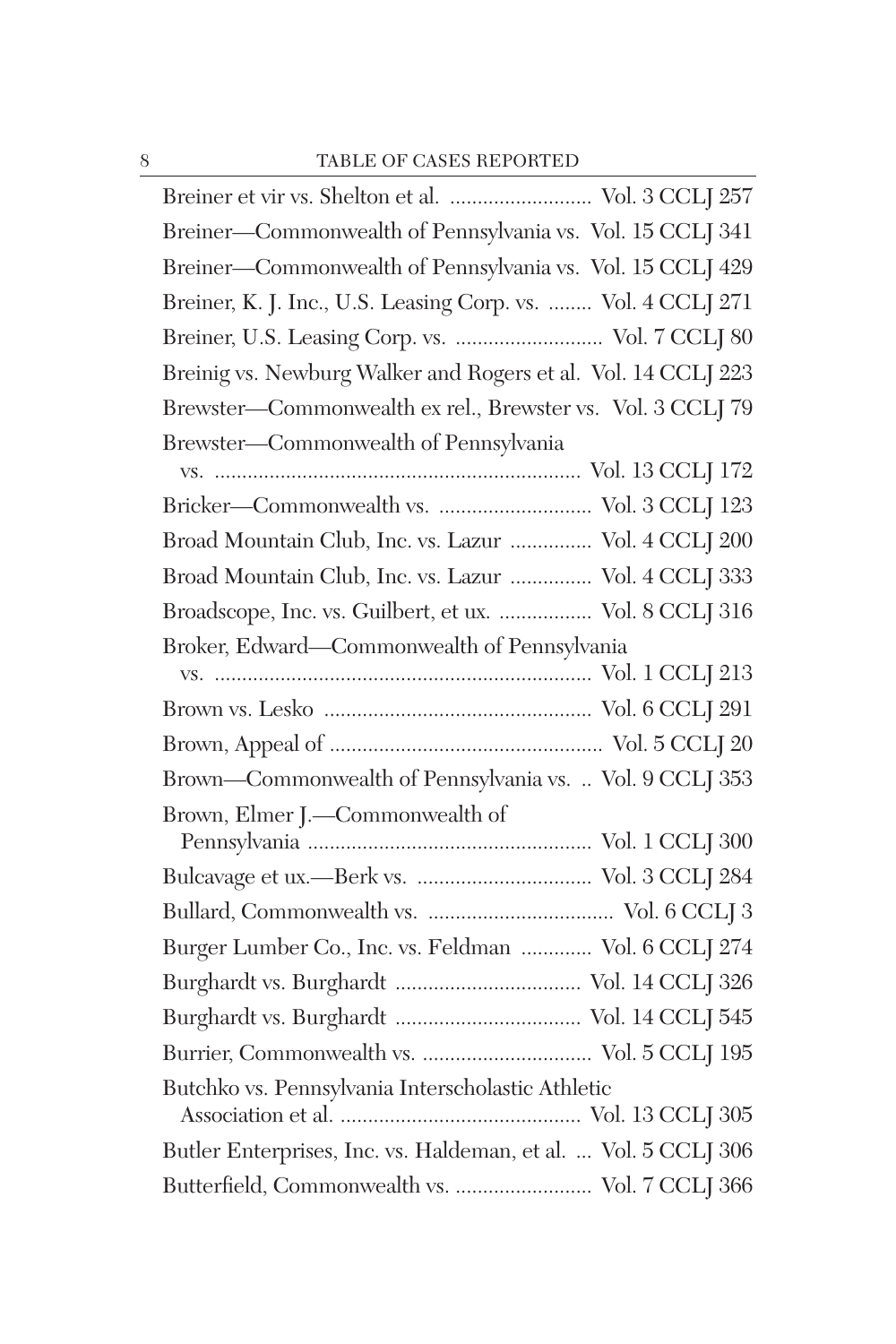| Breiner et vir vs. Shelton et al.  Vol. 3 CCLJ 257             |
|----------------------------------------------------------------|
| Breiner-Commonwealth of Pennsylvania vs. Vol. 15 CCLJ 341      |
| Breiner-Commonwealth of Pennsylvania vs. Vol. 15 CCLJ 429      |
| Breiner, K. J. Inc., U.S. Leasing Corp. vs.  Vol. 4 CCLJ 271   |
| Breiner, U.S. Leasing Corp. vs.  Vol. 7 CCLJ 80                |
| Breinig vs. Newburg Walker and Rogers et al. Vol. 14 CCLJ 223  |
| Brewster-Commonwealth ex rel., Brewster vs. Vol. 3 CCLJ 79     |
| Brewster-Commonwealth of Pennsylvania                          |
|                                                                |
|                                                                |
| Broad Mountain Club, Inc. vs. Lazur  Vol. 4 CCLJ 200           |
| Broad Mountain Club, Inc. vs. Lazur  Vol. 4 CCLJ 333           |
| Broadscope, Inc. vs. Guilbert, et ux.  Vol. 8 CCLJ 316         |
| Broker, Edward-Commonwealth of Pennsylvania                    |
|                                                                |
|                                                                |
|                                                                |
|                                                                |
| Brown-Commonwealth of Pennsylvania vs.  Vol. 9 CCLJ 353        |
| Brown, Elmer J.-Commonwealth of                                |
|                                                                |
|                                                                |
|                                                                |
| Burger Lumber Co., Inc. vs. Feldman  Vol. 6 CCLJ 274           |
|                                                                |
|                                                                |
|                                                                |
| Butchko vs. Pennsylvania Interscholastic Athletic              |
| Butler Enterprises, Inc. vs. Haldeman, et al.  Vol. 5 CCLJ 306 |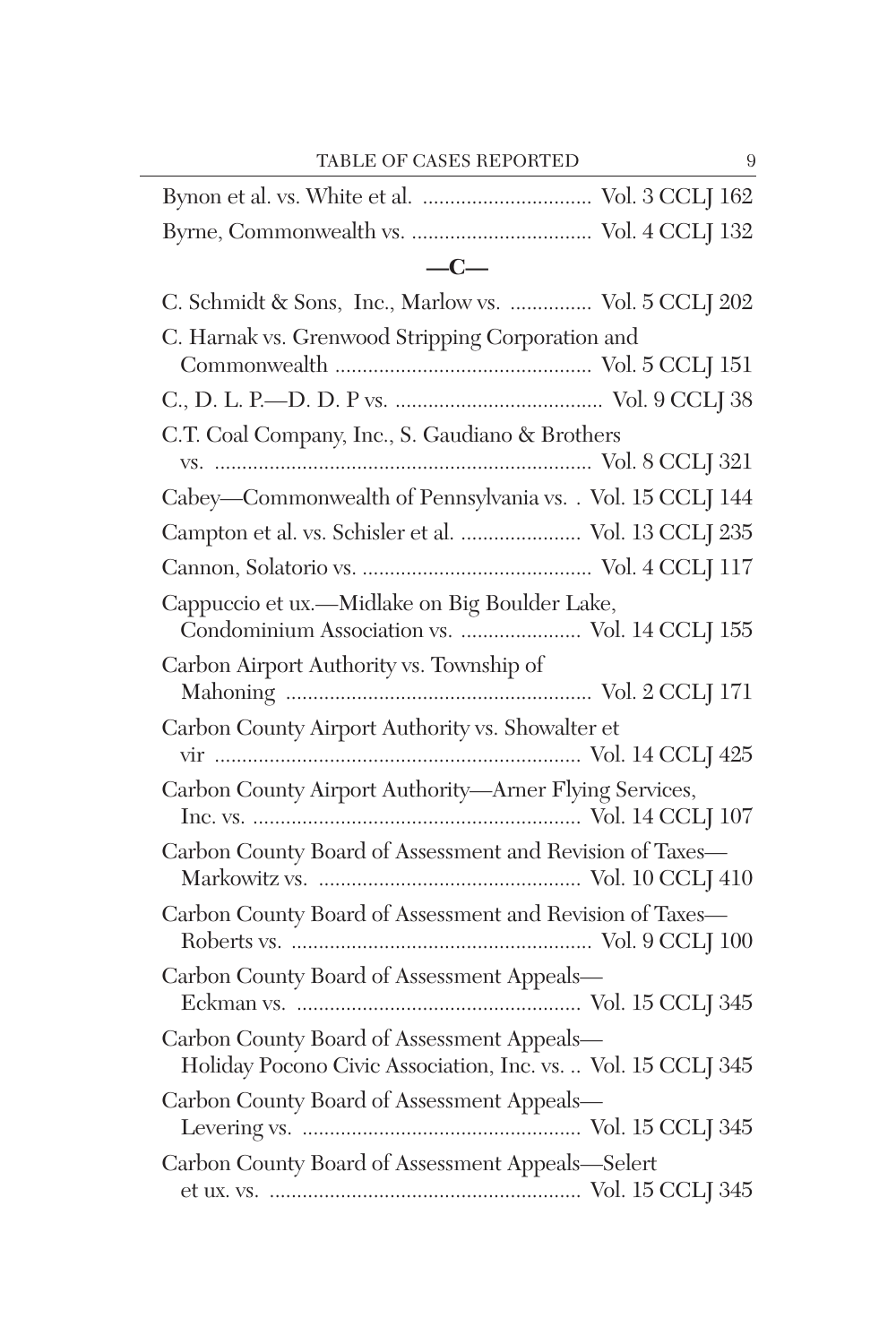TABLE OF CASES REPORTED 9

| $-C-$                                                                                                      |
|------------------------------------------------------------------------------------------------------------|
| C. Schmidt & Sons, Inc., Marlow vs.  Vol. 5 CCLJ 202                                                       |
| C. Harnak vs. Grenwood Stripping Corporation and                                                           |
|                                                                                                            |
| C.T. Coal Company, Inc., S. Gaudiano & Brothers                                                            |
| Cabey-Commonwealth of Pennsylvania vs. . Vol. 15 CCLJ 144                                                  |
| Campton et al. vs. Schisler et al.  Vol. 13 CCLJ 235                                                       |
|                                                                                                            |
| Cappuccio et ux.—Midlake on Big Boulder Lake,<br>Condominium Association vs.  Vol. 14 CCLJ 155             |
| Carbon Airport Authority vs. Township of                                                                   |
| Carbon County Airport Authority vs. Showalter et                                                           |
| Carbon County Airport Authority-Arner Flying Services,                                                     |
| Carbon County Board of Assessment and Revision of Taxes-                                                   |
| Carbon County Board of Assessment and Revision of Taxes-                                                   |
| Carbon County Board of Assessment Appeals-                                                                 |
| Carbon County Board of Assessment Appeals-<br>Holiday Pocono Civic Association, Inc. vs.  Vol. 15 CCLJ 345 |
| Carbon County Board of Assessment Appeals-                                                                 |
| Carbon County Board of Assessment Appeals-Selert                                                           |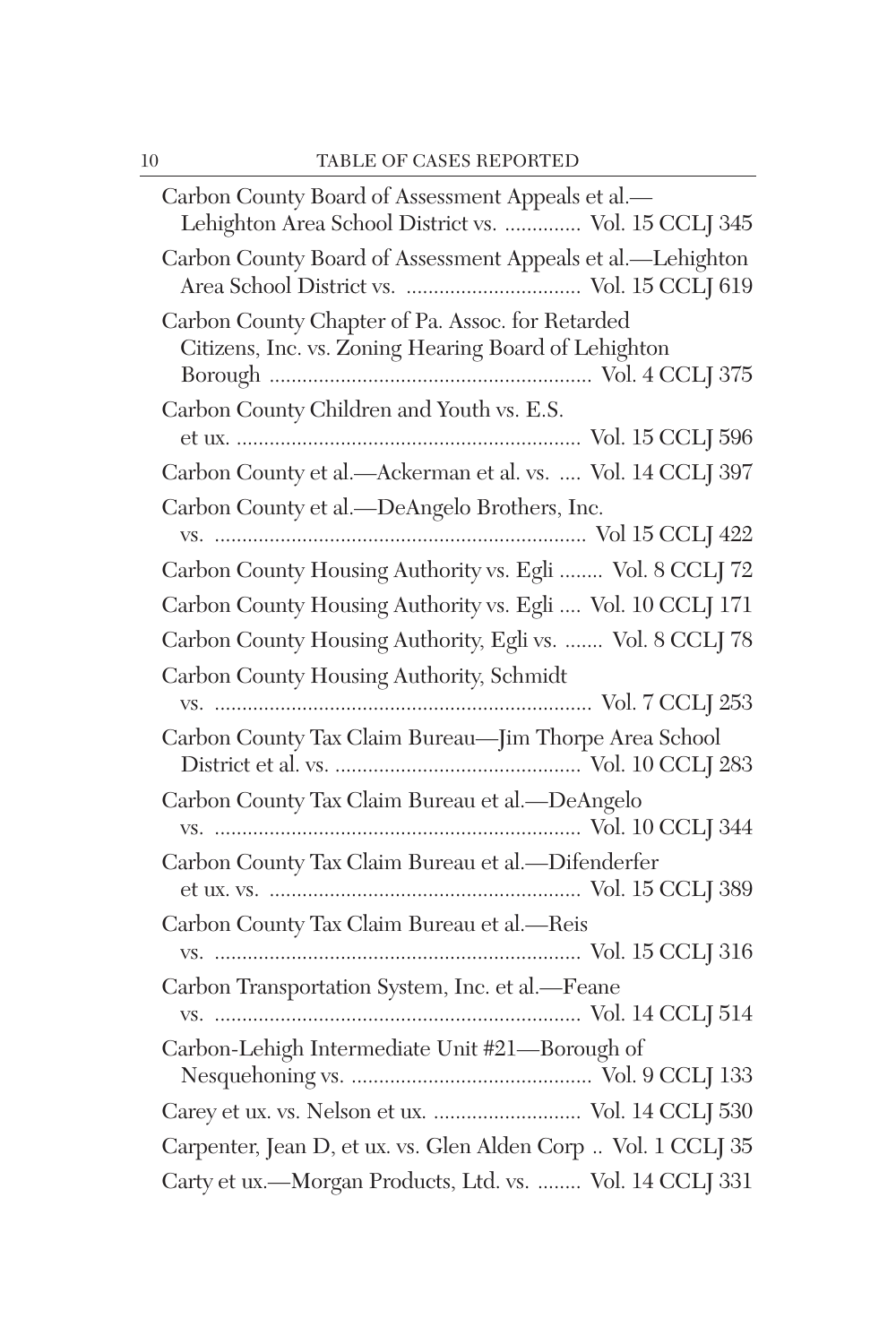| Carbon County Board of Assessment Appeals et al.-<br>Lehighton Area School District vs.  Vol. 15 CCLJ 345 |  |
|-----------------------------------------------------------------------------------------------------------|--|
| Carbon County Board of Assessment Appeals et al.-Lehighton                                                |  |
| Carbon County Chapter of Pa. Assoc. for Retarded<br>Citizens, Inc. vs. Zoning Hearing Board of Lehighton  |  |
| Carbon County Children and Youth vs. E.S.                                                                 |  |
| Carbon County et al.-Ackerman et al. vs.  Vol. 14 CCLJ 397                                                |  |
| Carbon County et al.-DeAngelo Brothers, Inc.                                                              |  |
| Carbon County Housing Authority vs. Egli  Vol. 8 CCLJ 72                                                  |  |
| Carbon County Housing Authority vs. Egli  Vol. 10 CCLJ 171                                                |  |
| Carbon County Housing Authority, Egli vs.  Vol. 8 CCLJ 78                                                 |  |
| Carbon County Housing Authority, Schmidt                                                                  |  |
| Carbon County Tax Claim Bureau-Jim Thorpe Area School                                                     |  |
| Carbon County Tax Claim Bureau et al.-DeAngelo                                                            |  |
| Carbon County Tax Claim Bureau et al.-Difenderfer                                                         |  |
| Carbon County Tax Claim Bureau et al.-Reis                                                                |  |
| Carbon Transportation System, Inc. et al.-Feane                                                           |  |
| Carbon-Lehigh Intermediate Unit #21-Borough of                                                            |  |
| Carey et ux. vs. Nelson et ux.  Vol. 14 CCLJ 530                                                          |  |
| Carpenter, Jean D, et ux. vs. Glen Alden Corp  Vol. 1 CCLJ 35                                             |  |
| Carty et ux.-Morgan Products, Ltd. vs.  Vol. 14 CCLJ 331                                                  |  |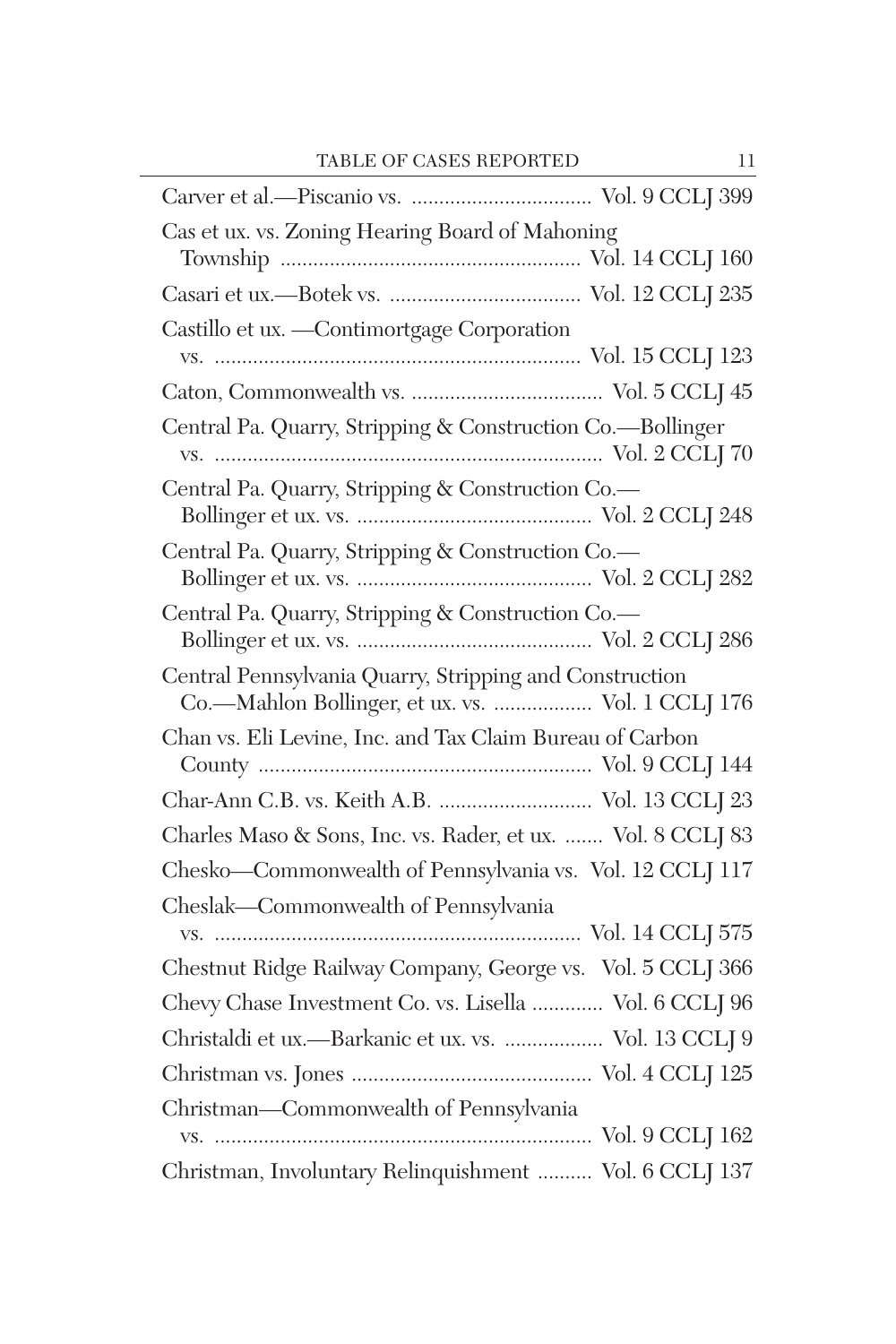| Cas et ux. vs. Zoning Hearing Board of Mahoning             |
|-------------------------------------------------------------|
|                                                             |
|                                                             |
| Castillo et ux. - Contimortgage Corporation                 |
|                                                             |
|                                                             |
| Central Pa. Quarry, Stripping & Construction Co.-Bollinger  |
|                                                             |
| Central Pa. Quarry, Stripping & Construction Co.-           |
|                                                             |
| Central Pa. Quarry, Stripping & Construction Co.-           |
|                                                             |
| Central Pa. Quarry, Stripping & Construction Co.-           |
|                                                             |
| Central Pennsylvania Quarry, Stripping and Construction     |
| Co.-Mahlon Bollinger, et ux. vs.  Vol. 1 CCLJ 176           |
| Chan vs. Eli Levine, Inc. and Tax Claim Bureau of Carbon    |
|                                                             |
| Char-Ann C.B. vs. Keith A.B.  Vol. 13 CCLJ 23               |
| Charles Maso & Sons, Inc. vs. Rader, et ux.  Vol. 8 CCLJ 83 |
| Chesko-Commonwealth of Pennsylvania vs. Vol. 12 CCLJ 117    |
| Cheslak-Commonwealth of Pennsylvania                        |
|                                                             |
| Chestnut Ridge Railway Company, George vs. Vol. 5 CCLJ 366  |
| Chevy Chase Investment Co. vs. Lisella  Vol. 6 CCLJ 96      |
| Christaldi et ux.---Barkanic et ux. vs.  Vol. 13 CCLJ 9     |
|                                                             |
| Christman-Commonwealth of Pennsylvania                      |
|                                                             |
| Christman, Involuntary Relinquishment  Vol. 6 CCLJ 137      |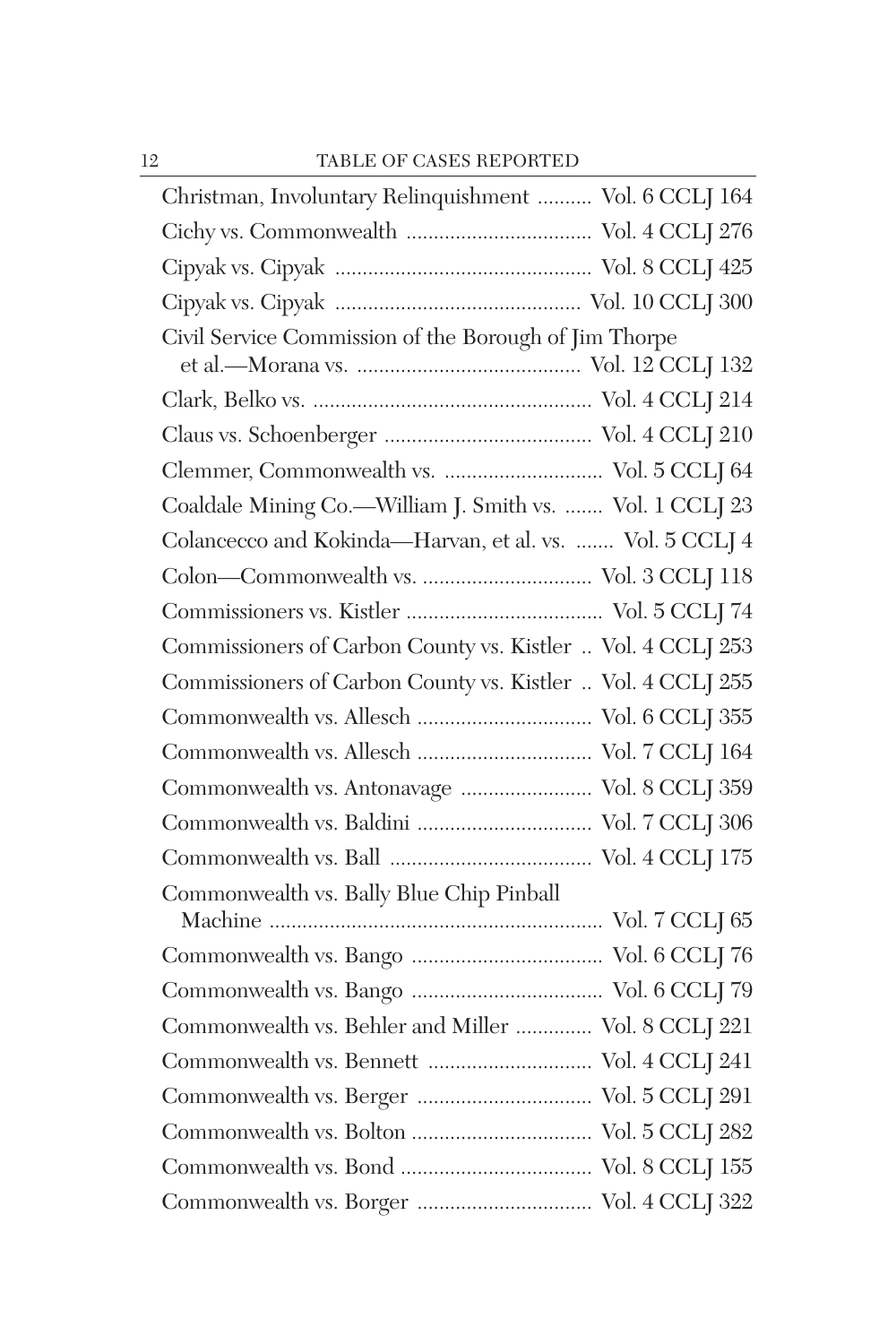| Christman, Involuntary Relinquishment  Vol. 6 CCLJ 164      |
|-------------------------------------------------------------|
|                                                             |
|                                                             |
|                                                             |
| Civil Service Commission of the Borough of Jim Thorpe       |
|                                                             |
|                                                             |
|                                                             |
| Clemmer, Commonwealth vs.  Vol. 5 CCLJ 64                   |
| Coaldale Mining Co.-William J. Smith vs.  Vol. 1 CCLJ 23    |
| Colancecco and Kokinda-Harvan, et al. vs.  Vol. 5 CCLJ 4    |
|                                                             |
|                                                             |
| Commissioners of Carbon County vs. Kistler  Vol. 4 CCLJ 253 |
| Commissioners of Carbon County vs. Kistler  Vol. 4 CCLJ 255 |
|                                                             |
|                                                             |
| Commonwealth vs. Antonavage  Vol. 8 CCLJ 359                |
|                                                             |
|                                                             |
| Commonwealth vs. Bally Blue Chip Pinball                    |
|                                                             |
|                                                             |
|                                                             |
| Commonwealth vs. Behler and Miller  Vol. 8 CCLJ 221         |
| Commonwealth vs. Bennett  Vol. 4 CCLJ 241                   |
|                                                             |
|                                                             |
|                                                             |
|                                                             |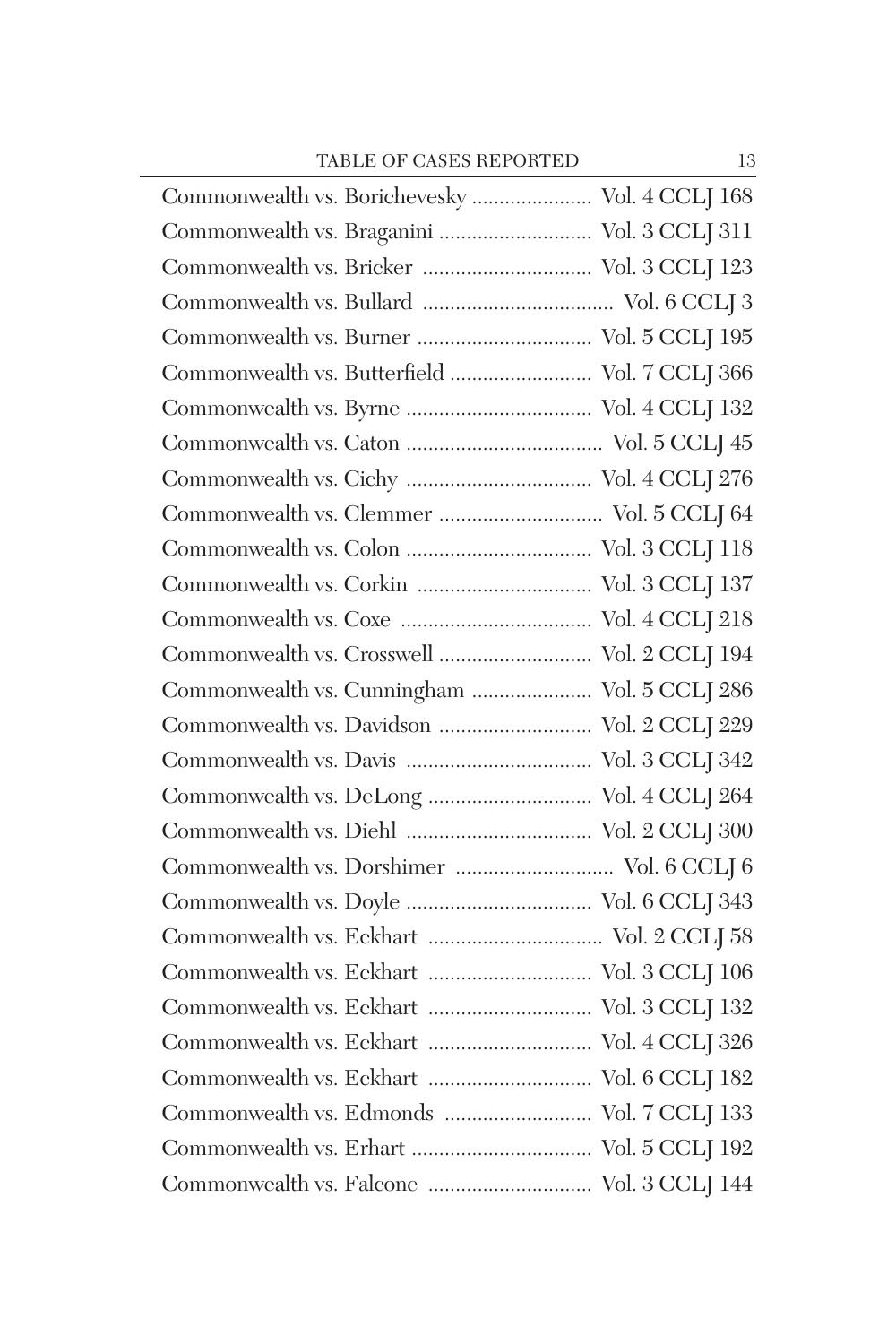| Commonwealth vs. Borichevesky  Vol. 4 CCLJ 168 |
|------------------------------------------------|
| Commonwealth vs. Braganini  Vol. 3 CCLJ 311    |
| Commonwealth vs. Bricker  Vol. 3 CCLJ 123      |
|                                                |
|                                                |
| Commonwealth vs. Butterfield  Vol. 7 CCLJ 366  |
|                                                |
|                                                |
|                                                |
|                                                |
|                                                |
| Commonwealth vs. Corkin  Vol. 3 CCLJ 137       |
|                                                |
| Commonwealth vs. Crosswell  Vol. 2 CCLJ 194    |
| Commonwealth vs. Cunningham  Vol. 5 CCLJ 286   |
| Commonwealth vs. Davidson  Vol. 2 CCLJ 229     |
|                                                |
|                                                |
|                                                |
| Commonwealth vs. Dorshimer  Vol. 6 CCLJ 6      |
|                                                |
|                                                |
| Commonwealth vs. Eckhart  Vol. 3 CCLJ 106      |
| Commonwealth vs. Eckhart  Vol. 3 CCLJ 132      |
| Commonwealth vs. Eckhart  Vol. 4 CCLJ 326      |
| Commonwealth vs. Eckhart  Vol. 6 CCLJ 182      |
| Commonwealth vs. Edmonds  Vol. 7 CCLJ 133      |
|                                                |
|                                                |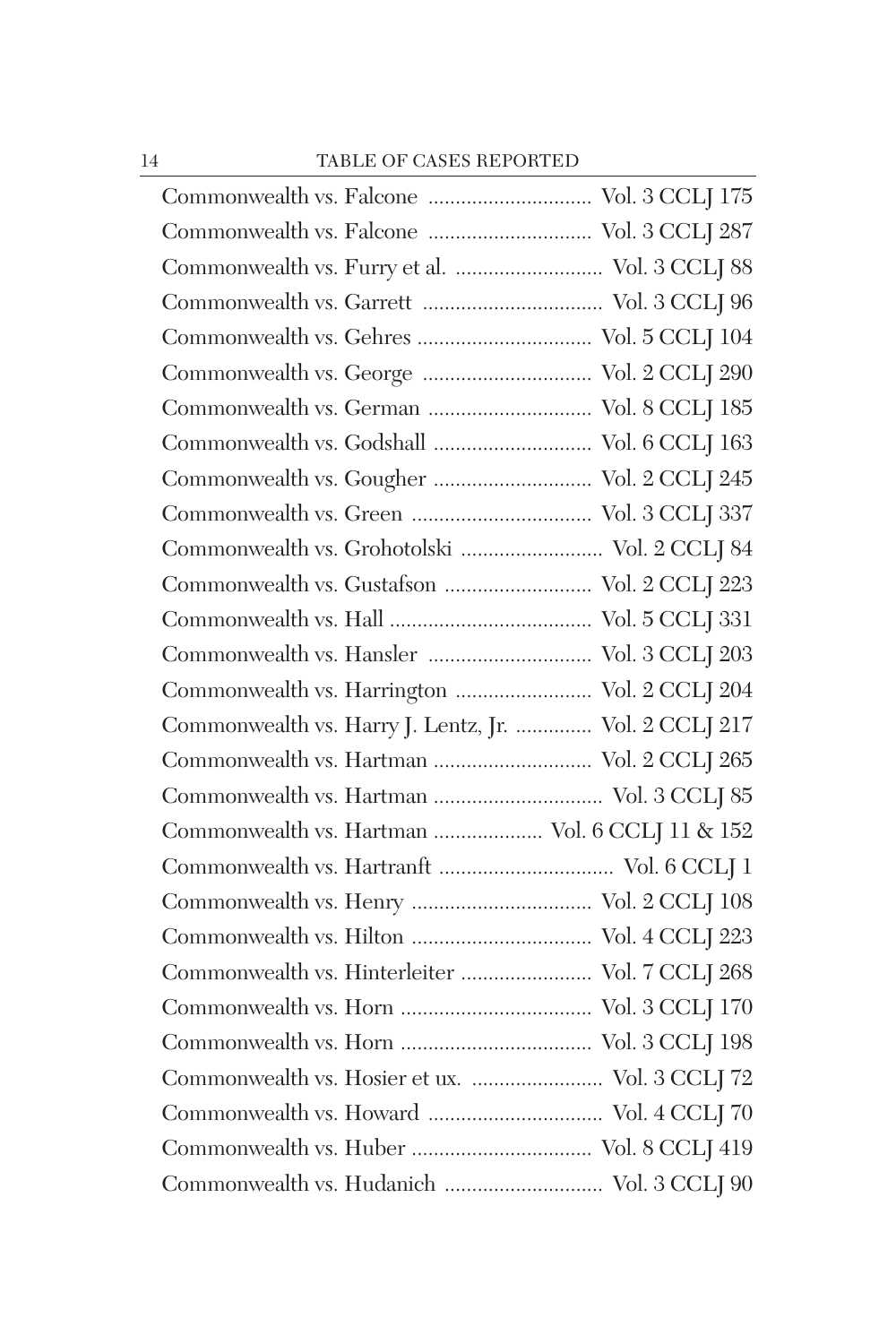| Commonwealth vs. Falcone  Vol. 3 CCLJ 287             |  |
|-------------------------------------------------------|--|
| Commonwealth vs. Furry et al.  Vol. 3 CCLJ 88         |  |
|                                                       |  |
|                                                       |  |
| Commonwealth vs. George  Vol. 2 CCLJ 290              |  |
| Commonwealth vs. German  Vol. 8 CCLJ 185              |  |
| Commonwealth vs. Godshall  Vol. 6 CCLJ 163            |  |
| Commonwealth vs. Gougher  Vol. 2 CCLJ 245             |  |
|                                                       |  |
| Commonwealth vs. Grohotolski  Vol. 2 CCLJ 84          |  |
| Commonwealth vs. Gustafson  Vol. 2 CCLJ 223           |  |
|                                                       |  |
| Commonwealth vs. Hansler  Vol. 3 CCLJ 203             |  |
| Commonwealth vs. Harrington  Vol. 2 CCLJ 204          |  |
| Commonwealth vs. Harry J. Lentz, Jr.  Vol. 2 CCLJ 217 |  |
| Commonwealth vs. Hartman  Vol. 2 CCLJ 265             |  |
| Commonwealth vs. Hartman  Vol. 3 CCLJ 85              |  |
| Commonwealth vs. Hartman  Vol. 6 CCLJ 11 $\&$ 152     |  |
| Commonwealth vs. Hartranft  Vol. 6 CCLJ 1             |  |
|                                                       |  |
|                                                       |  |
| Commonwealth vs. Hinterleiter  Vol. 7 CCLJ 268        |  |
|                                                       |  |
|                                                       |  |
| Commonwealth vs. Hosier et ux.  Vol. 3 CCLJ 72        |  |
|                                                       |  |
|                                                       |  |
| Commonwealth vs. Hudanich  Vol. 3 CCLJ 90             |  |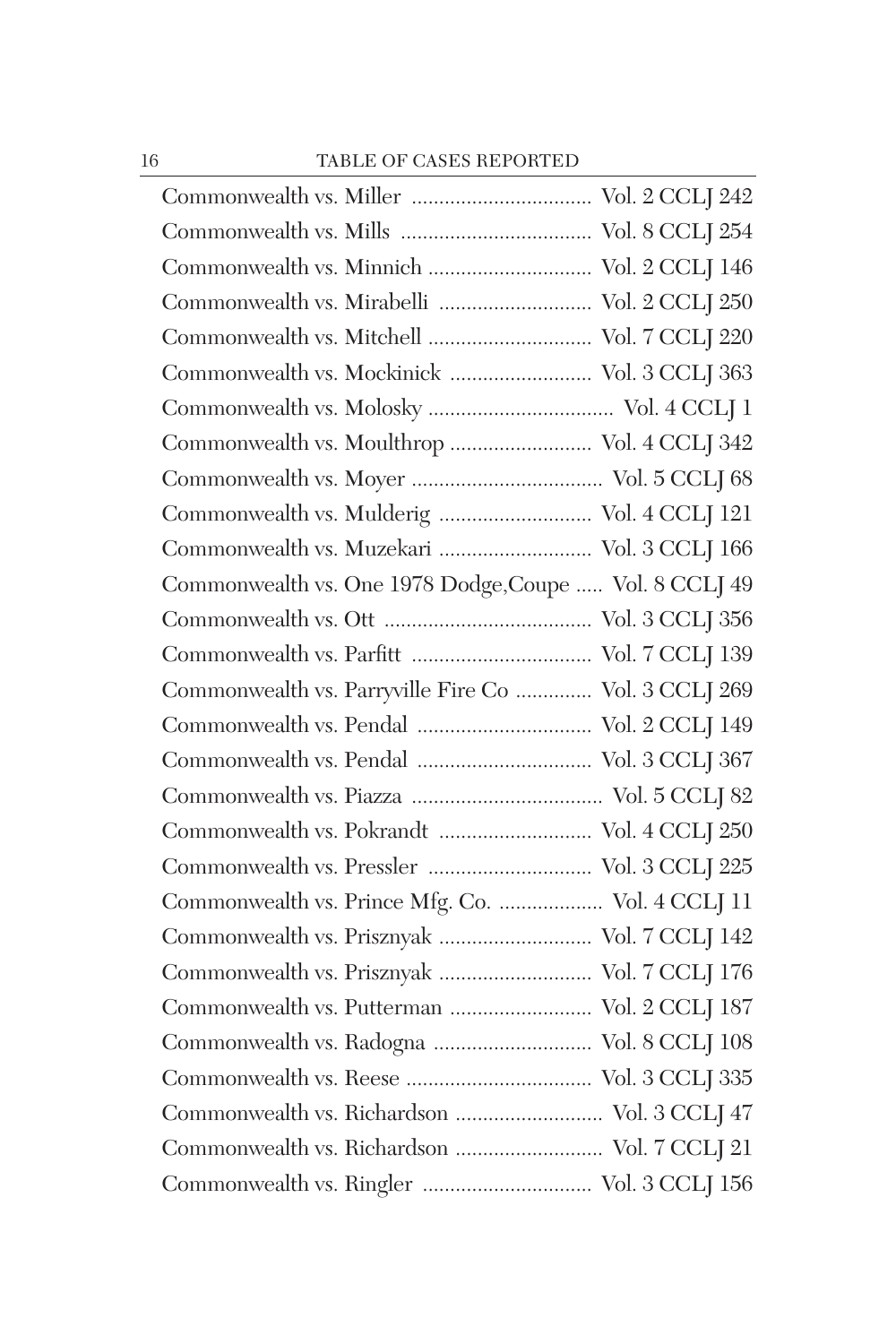| Commonwealth vs. Minnich  Vol. 2 CCLJ 146              |  |
|--------------------------------------------------------|--|
| Commonwealth vs. Mirabelli  Vol. 2 CCLJ 250            |  |
| Commonwealth vs. Mitchell  Vol. 7 CCLJ 220             |  |
| Commonwealth vs. Mockinick  Vol. 3 CCLJ 363            |  |
|                                                        |  |
| Commonwealth vs. Moulthrop  Vol. 4 CCLJ 342            |  |
|                                                        |  |
| Commonwealth vs. Mulderig  Vol. 4 CCLJ 121             |  |
| Commonwealth vs. Muzekari  Vol. 3 CCLJ 166             |  |
| Commonwealth vs. One 1978 Dodge, Coupe  Vol. 8 CCLJ 49 |  |
|                                                        |  |
|                                                        |  |
| Commonwealth vs. Parryville Fire Co  Vol. 3 CCLJ 269   |  |
|                                                        |  |
| Commonwealth vs. Pendal  Vol. 3 CCLJ 367               |  |
|                                                        |  |
| Commonwealth vs. Pokrandt  Vol. 4 CCLJ 250             |  |
| Commonwealth vs. Pressler  Vol. 3 CCLJ 225             |  |
| Commonwealth vs. Prince Mfg. Co.  Vol. 4 CCLJ 11       |  |
| Commonwealth vs. Prisznyak  Vol. 7 CCLJ 142            |  |
| Commonwealth vs. Prisznyak  Vol. 7 CCLJ 176            |  |
| Commonwealth vs. Putterman  Vol. 2 CCLJ 187            |  |
| Commonwealth vs. Radogna  Vol. 8 CCLJ 108              |  |
|                                                        |  |
| Commonwealth vs. Richardson  Vol. 3 CCLJ 47            |  |
| Commonwealth vs. Richardson  Vol. 7 CCLJ 21            |  |
|                                                        |  |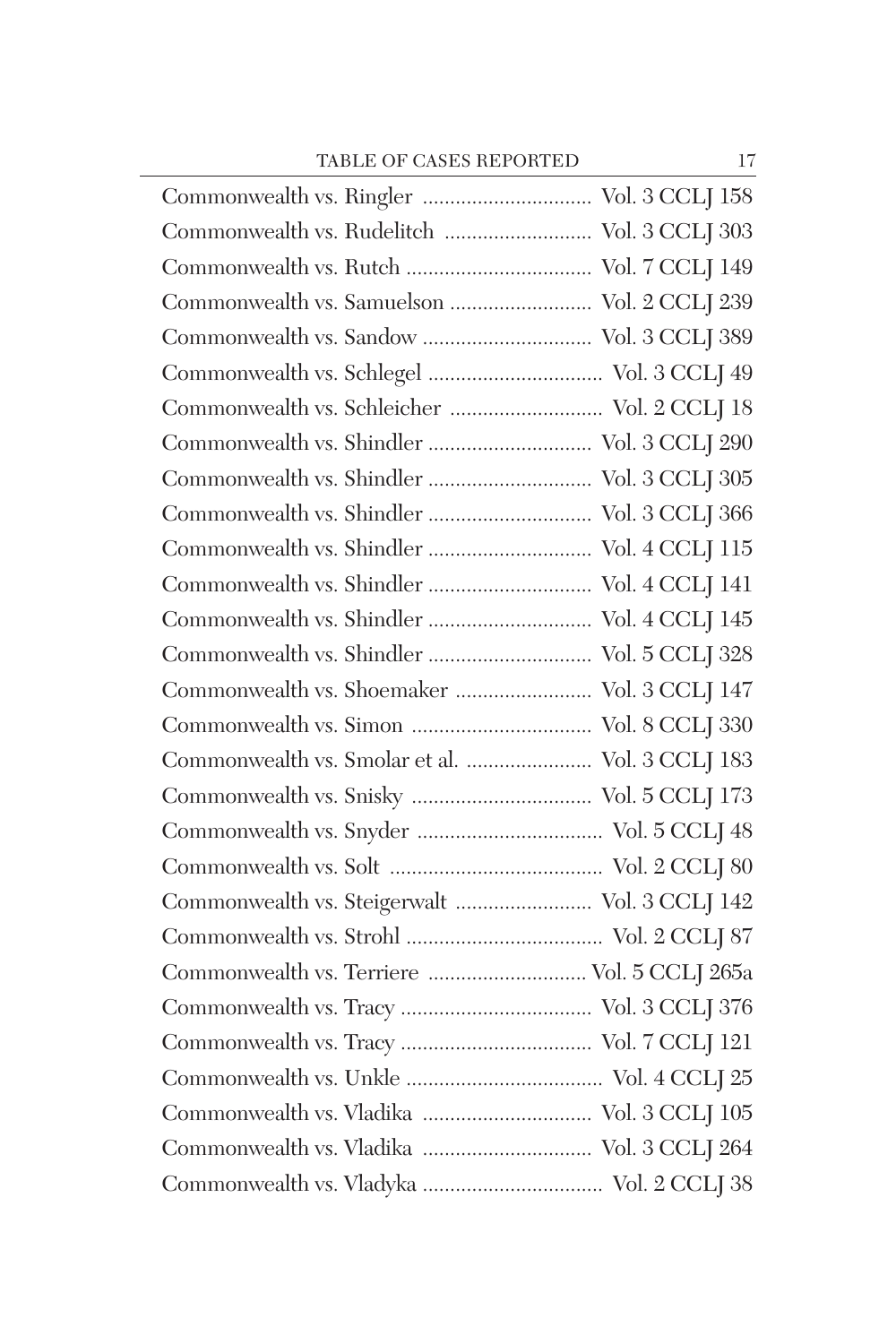| Commonwealth vs. Ringler  Vol. 3 CCLJ 158       |  |
|-------------------------------------------------|--|
| Commonwealth vs. Rudelitch  Vol. 3 CCLJ 303     |  |
|                                                 |  |
| Commonwealth vs. Samuelson  Vol. 2 CCLJ 239     |  |
| Commonwealth vs. Sandow  Vol. 3 CCLJ 389        |  |
|                                                 |  |
| Commonwealth vs. Schleicher  Vol. 2 CCLJ 18     |  |
| Commonwealth vs. Shindler  Vol. 3 CCLJ 290      |  |
| Commonwealth vs. Shindler  Vol. 3 CCLJ 305      |  |
| Commonwealth vs. Shindler  Vol. 3 CCLJ 366      |  |
| Commonwealth vs. Shindler  Vol. 4 CCLJ 115      |  |
| Commonwealth vs. Shindler  Vol. 4 CCLJ 141      |  |
| Commonwealth vs. Shindler  Vol. 4 CCLJ 145      |  |
| Commonwealth vs. Shindler  Vol. 5 CCLJ 328      |  |
| Commonwealth vs. Shoemaker  Vol. 3 CCLJ 147     |  |
|                                                 |  |
| Commonwealth vs. Smolar et al.  Vol. 3 CCLJ 183 |  |
|                                                 |  |
|                                                 |  |
|                                                 |  |
| Commonwealth vs. Steigerwalt  Vol. 3 CCLJ 142   |  |
|                                                 |  |
|                                                 |  |
|                                                 |  |
|                                                 |  |
|                                                 |  |
| Commonwealth vs. Vladika  Vol. 3 CCLJ 105       |  |
| Commonwealth vs. Vladika  Vol. 3 CCLJ 264       |  |
|                                                 |  |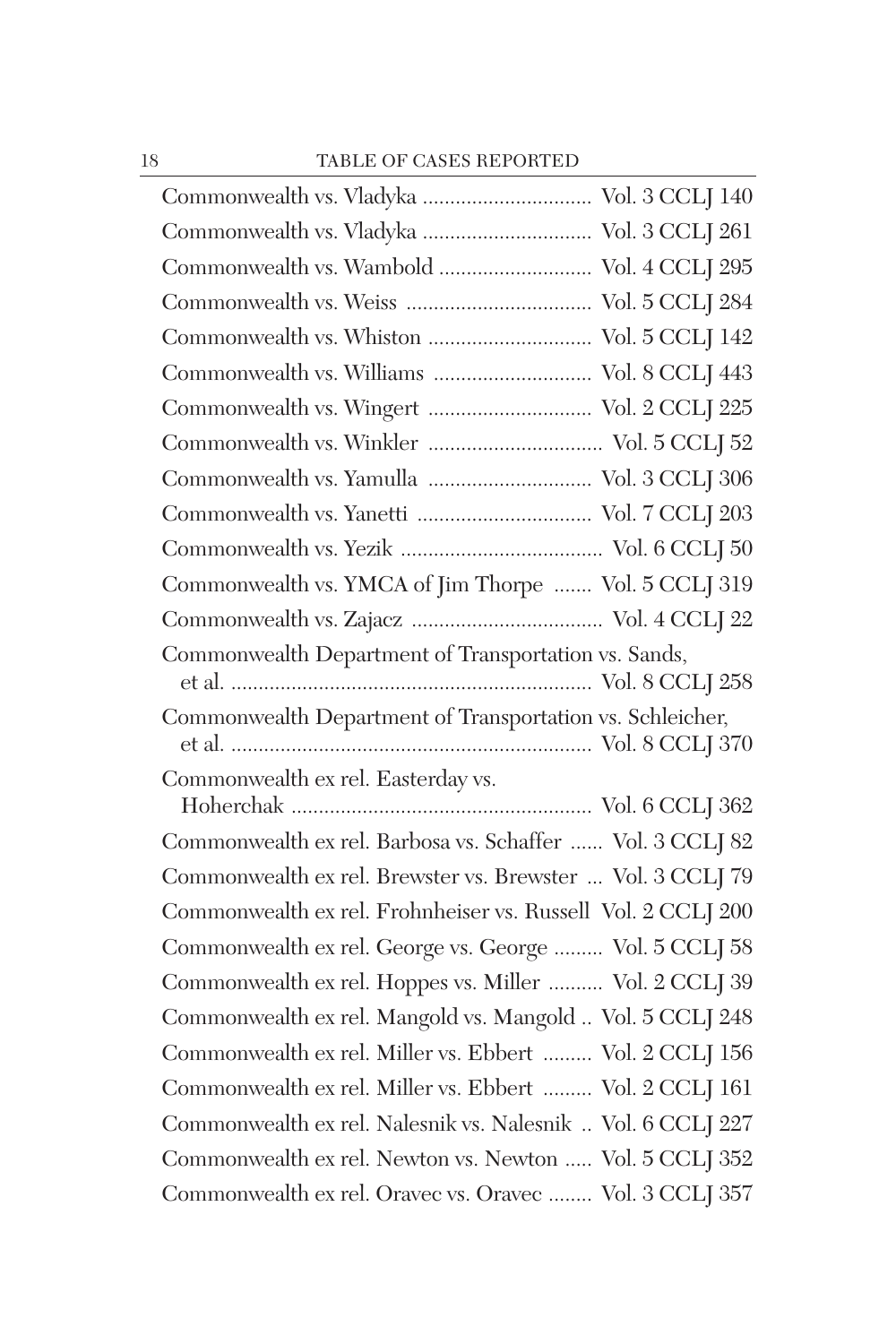| Commonwealth vs. Vladyka  Vol. 3 CCLJ 140                    |
|--------------------------------------------------------------|
| Commonwealth vs. Vladyka  Vol. 3 CCLJ 261                    |
| Commonwealth vs. Wambold  Vol. 4 CCLJ 295                    |
|                                                              |
|                                                              |
| Commonwealth vs. Williams  Vol. 8 CCLJ 443                   |
| Commonwealth vs. Wingert  Vol. 2 CCLJ 225                    |
|                                                              |
| Commonwealth vs. Yamulla  Vol. 3 CCLJ 306                    |
|                                                              |
|                                                              |
| Commonwealth vs. YMCA of Jim Thorpe  Vol. 5 CCLJ 319         |
|                                                              |
| Commonwealth Department of Transportation vs. Sands,         |
| Commonwealth Department of Transportation vs. Schleicher,    |
|                                                              |
| Commonwealth ex rel. Easterday vs.                           |
| Commonwealth ex rel. Barbosa vs. Schaffer  Vol. 3 CCLJ 82    |
| Commonwealth ex rel. Brewster vs. Brewster  Vol. 3 CCLJ 79   |
| Commonwealth ex rel. Frohnheiser vs. Russell Vol. 2 CCLJ 200 |
| Commonwealth ex rel. George vs. George  Vol. 5 CCLJ 58       |
| Commonwealth ex rel. Hoppes vs. Miller  Vol. 2 CCLJ 39       |
| Commonwealth ex rel. Mangold vs. Mangold  Vol. 5 CCLJ 248    |
| Commonwealth ex rel. Miller vs. Ebbert  Vol. 2 CCLJ 156      |
| Commonwealth ex rel. Miller vs. Ebbert  Vol. 2 CCLJ 161      |
| Commonwealth ex rel. Nalesnik vs. Nalesnik  Vol. 6 CCLJ 227  |
| Commonwealth ex rel. Newton vs. Newton  Vol. 5 CCLJ 352      |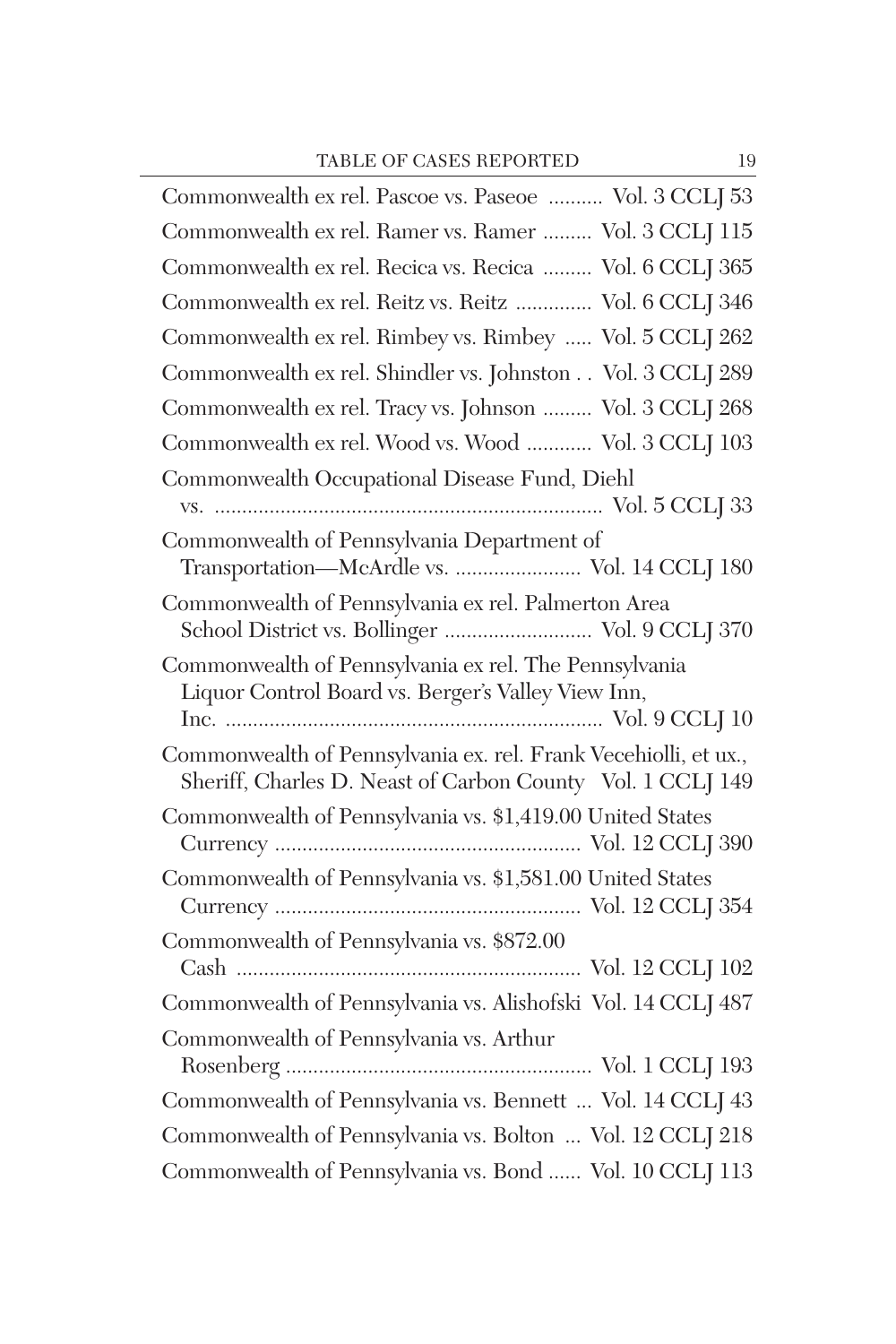| Commonwealth ex rel. Pascoe vs. Paseoe  Vol. 3 CCLJ 53                                                                        |
|-------------------------------------------------------------------------------------------------------------------------------|
| Commonwealth ex rel. Ramer vs. Ramer  Vol. 3 CCLJ 115                                                                         |
| Commonwealth ex rel. Recica vs. Recica  Vol. 6 CCLJ 365                                                                       |
| Commonwealth ex rel. Reitz vs. Reitz  Vol. 6 CCLJ 346                                                                         |
| Commonwealth ex rel. Rimbey vs. Rimbey  Vol. 5 CCLJ 262                                                                       |
| Commonwealth ex rel. Shindler vs. Johnston Vol. 3 CCLJ 289                                                                    |
| Commonwealth ex rel. Tracy vs. Johnson  Vol. 3 CCLJ 268                                                                       |
| Commonwealth ex rel. Wood vs. Wood  Vol. 3 CCLJ 103                                                                           |
| Commonwealth Occupational Disease Fund, Diehl                                                                                 |
|                                                                                                                               |
| Commonwealth of Pennsylvania Department of<br>Transportation—McArdle vs.  Vol. 14 CCLJ 180                                    |
| Commonwealth of Pennsylvania ex rel. Palmerton Area<br>School District vs. Bollinger  Vol. 9 CCLJ 370                         |
| Commonwealth of Pennsylvania ex rel. The Pennsylvania                                                                         |
| Liquor Control Board vs. Berger's Valley View Inn,                                                                            |
| Commonwealth of Pennsylvania ex. rel. Frank Vecehiolli, et ux.,<br>Sheriff, Charles D. Neast of Carbon County Vol. 1 CCLJ 149 |
| Commonwealth of Pennsylvania vs. \$1,419.00 United States                                                                     |
| Commonwealth of Pennsylvania vs. \$1,581.00 United States                                                                     |
| Commonwealth of Pennsylvania vs. \$872.00                                                                                     |
| Commonwealth of Pennsylvania vs. Alishofski Vol. 14 CCLJ 487                                                                  |
| Commonwealth of Pennsylvania vs. Arthur                                                                                       |
|                                                                                                                               |
| Commonwealth of Pennsylvania vs. Bennett  Vol. 14 CCLJ 43                                                                     |
| Commonwealth of Pennsylvania vs. Bolton  Vol. 12 CCLJ 218                                                                     |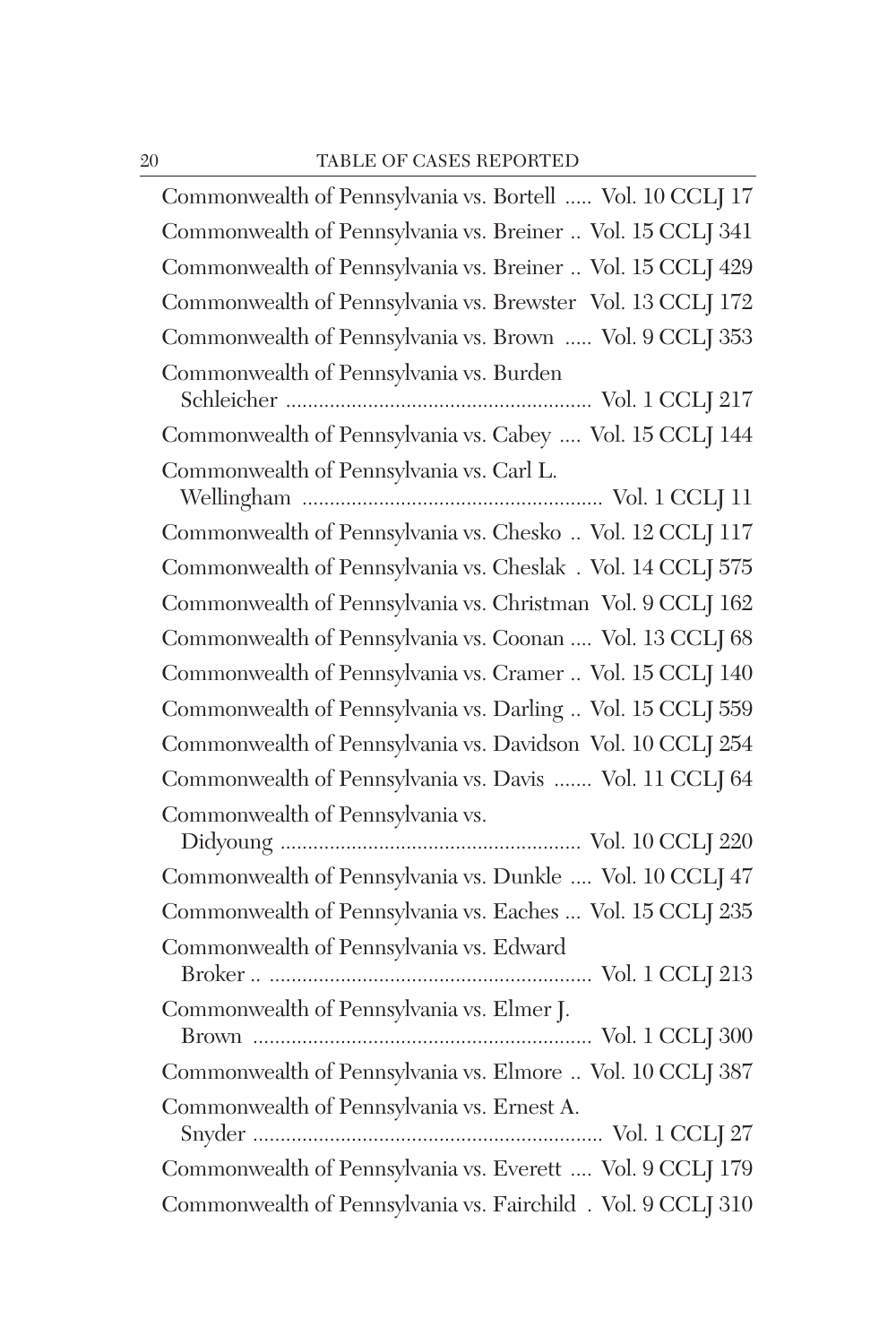| Commonwealth of Pennsylvania vs. Bortell  Vol. 10 CCLJ 17    |
|--------------------------------------------------------------|
| Commonwealth of Pennsylvania vs. Breiner  Vol. 15 CCLJ 341   |
| Commonwealth of Pennsylvania vs. Breiner  Vol. 15 CCLJ 429   |
| Commonwealth of Pennsylvania vs. Brewster Vol. 13 CCLJ 172   |
| Commonwealth of Pennsylvania vs. Brown  Vol. 9 CCLJ 353      |
| Commonwealth of Pennsylvania vs. Burden                      |
| Commonwealth of Pennsylvania vs. Cabey  Vol. 15 CCLJ 144     |
| Commonwealth of Pennsylvania vs. Carl L.                     |
| Commonwealth of Pennsylvania vs. Chesko  Vol. 12 CCLJ 117    |
| Commonwealth of Pennsylvania vs. Cheslak . Vol. 14 CCLJ 575  |
| Commonwealth of Pennsylvania vs. Christman Vol. 9 CCLJ 162   |
| Commonwealth of Pennsylvania vs. Coonan  Vol. 13 CCLJ 68     |
| Commonwealth of Pennsylvania vs. Cramer  Vol. 15 CCLJ 140    |
| Commonwealth of Pennsylvania vs. Darling  Vol. 15 CCLJ 559   |
| Commonwealth of Pennsylvania vs. Davidson Vol. 10 CCLJ 254   |
| Commonwealth of Pennsylvania vs. Davis  Vol. 11 CCLJ 64      |
| Commonwealth of Pennsylvania vs.                             |
| Commonwealth of Pennsylvania vs. Dunkle  Vol. 10 CCLJ 47     |
| Commonwealth of Pennsylvania vs. Eaches  Vol. 15 CCLJ 235    |
| Commonwealth of Pennsylvania vs. Edward                      |
| Commonwealth of Pennsylvania vs. Elmer J.                    |
| Commonwealth of Pennsylvania vs. Elmore  Vol. 10 CCLJ 387    |
| Commonwealth of Pennsylvania vs. Ernest A.                   |
| Commonwealth of Pennsylvania vs. Everett  Vol. 9 CCLJ 179    |
| Commonwealth of Pennsylvania vs. Fairchild . Vol. 9 CCLJ 310 |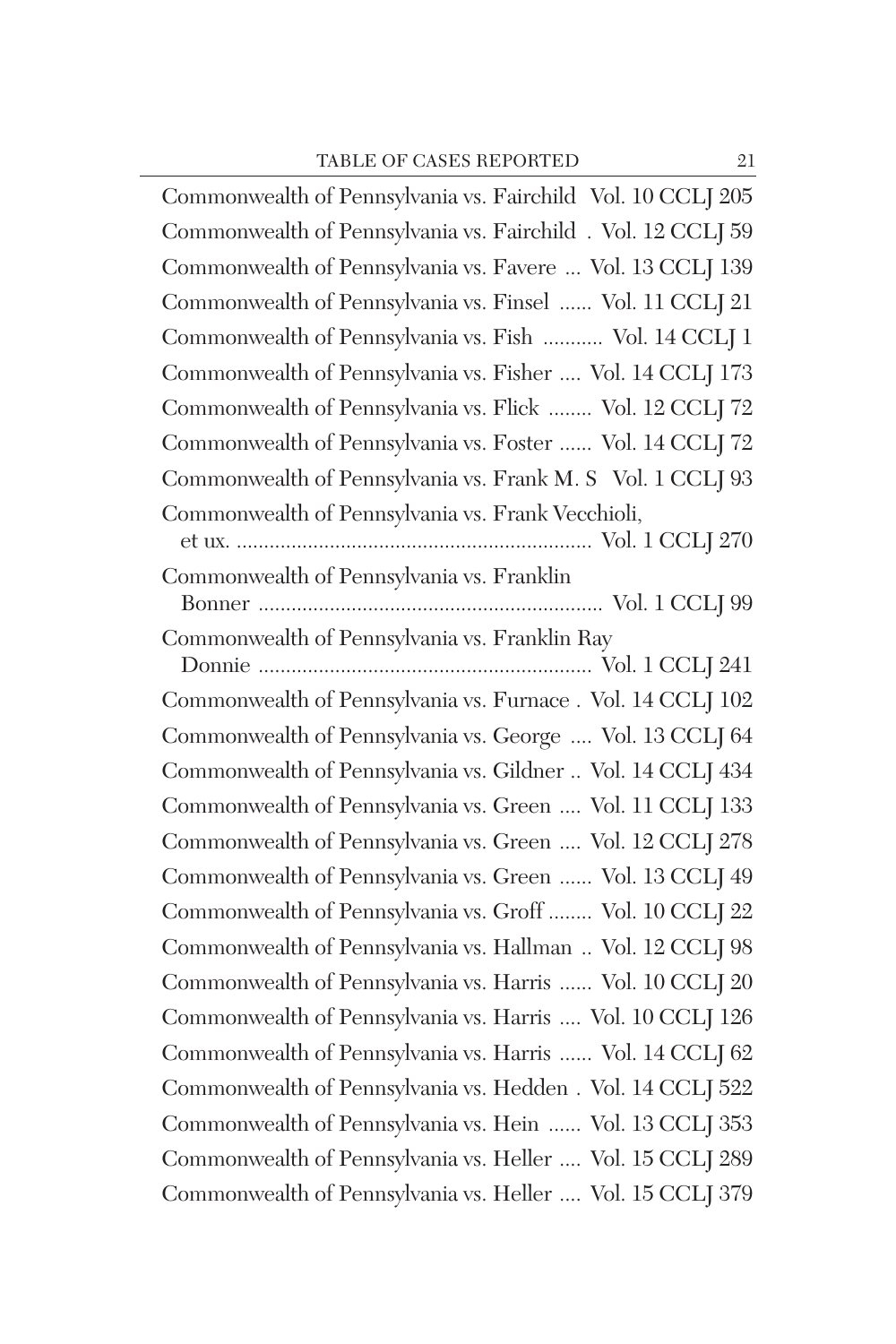Commonwealth of Pennsylvania vs. Fairchild Vol. 10 CCLJ 205 Commonwealth of Pennsylvania vs. Fairchild . Vol. 12 CCLJ 59 Commonwealth of Pennsylvania vs. Favere ... Vol. 13 CCLJ 139 Commonwealth of Pennsylvania vs. Finsel ...... Vol. 11 CCLJ 21 Commonwealth of Pennsylvania vs. Fish ........... Vol. 14 CCLJ 1 Commonwealth of Pennsylvania vs. Fisher .... Vol. 14 CCLJ 173 Commonwealth of Pennsylvania vs. Flick ........ Vol. 12 CCLJ 72 Commonwealth of Pennsylvania vs. Foster ...... Vol. 14 CCLJ 72 Commonwealth of Pennsylvania vs. Frank M. S Vol. 1 CCLJ 93 Commonwealth of Pennsylvania vs. Frank Vecchioli, et ux. ................................................................. Vol. 1 CCLJ 270 Commonwealth of Pennsylvania vs. Franklin Bonner ............................................................... Vol. 1 CCLJ 99 Commonwealth of Pennsylvania vs. Franklin Ray Donnie ............................................................. Vol. 1 CCLJ 241 Commonwealth of Pennsylvania vs. Furnace . Vol. 14 CCLJ 102 Commonwealth of Pennsylvania vs. George .... Vol. 13 CCLJ 64 Commonwealth of Pennsylvania vs. Gildner .. Vol. 14 CCLJ 434 Commonwealth of Pennsylvania vs. Green .... Vol. 11 CCLJ 133 Commonwealth of Pennsylvania vs. Green .... Vol. 12 CCLJ 278 Commonwealth of Pennsylvania vs. Green ...... Vol. 13 CCLJ 49 Commonwealth of Pennsylvania vs. Groff ........ Vol. 10 CCLJ 22 Commonwealth of Pennsylvania vs. Hallman .. Vol. 12 CCLJ 98 Commonwealth of Pennsylvania vs. Harris ...... Vol. 10 CCLJ 20 Commonwealth of Pennsylvania vs. Harris .... Vol. 10 CCLJ 126 Commonwealth of Pennsylvania vs. Harris ...... Vol. 14 CCLJ 62 Commonwealth of Pennsylvania vs. Hedden . Vol. 14 CCLJ 522 Commonwealth of Pennsylvania vs. Hein ...... Vol. 13 CCLJ 353 Commonwealth of Pennsylvania vs. Heller .... Vol. 15 CCLJ 289 Commonwealth of Pennsylvania vs. Heller .... Vol. 15 CCLJ 379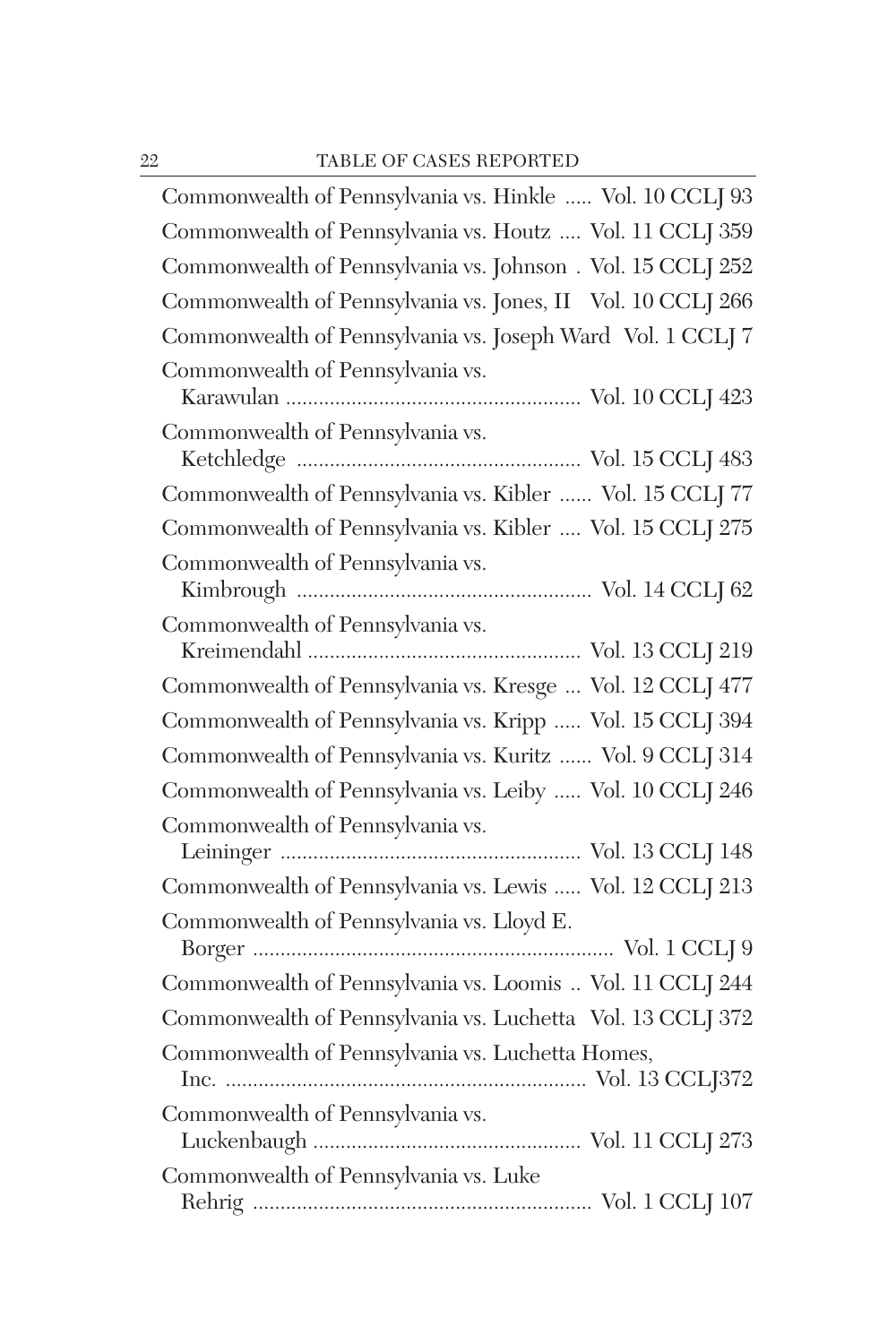| Commonwealth of Pennsylvania vs. Hinkle  Vol. 10 CCLJ 93    |
|-------------------------------------------------------------|
| Commonwealth of Pennsylvania vs. Houtz  Vol. 11 CCLJ 359    |
| Commonwealth of Pennsylvania vs. Johnson . Vol. 15 CCLJ 252 |
| Commonwealth of Pennsylvania vs. Jones, II Vol. 10 CCLJ 266 |
| Commonwealth of Pennsylvania vs. Joseph Ward Vol. 1 CCLJ 7  |
| Commonwealth of Pennsylvania vs.                            |
| Commonwealth of Pennsylvania vs.                            |
| Commonwealth of Pennsylvania vs. Kibler  Vol. 15 CCLJ 77    |
| Commonwealth of Pennsylvania vs. Kibler  Vol. 15 CCLJ 275   |
| Commonwealth of Pennsylvania vs.                            |
| Commonwealth of Pennsylvania vs.                            |
| Commonwealth of Pennsylvania vs. Kresge  Vol. 12 CCLJ 477   |
| Commonwealth of Pennsylvania vs. Kripp  Vol. 15 CCLJ 394    |
| Commonwealth of Pennsylvania vs. Kuritz  Vol. 9 CCLJ 314    |
| Commonwealth of Pennsylvania vs. Leiby  Vol. 10 CCLJ 246    |
| Commonwealth of Pennsylvania vs.                            |
| Commonwealth of Pennsylvania vs. Lewis  Vol. 12 CCLJ 213    |
| Commonwealth of Pennsylvania vs. Lloyd E.                   |
| Commonwealth of Pennsylvania vs. Loomis  Vol. 11 CCLJ 244   |
| Commonwealth of Pennsylvania vs. Luchetta Vol. 13 CCLJ 372  |
| Commonwealth of Pennsylvania vs. Luchetta Homes,            |
| Commonwealth of Pennsylvania vs.                            |
| Commonwealth of Pennsylvania vs. Luke                       |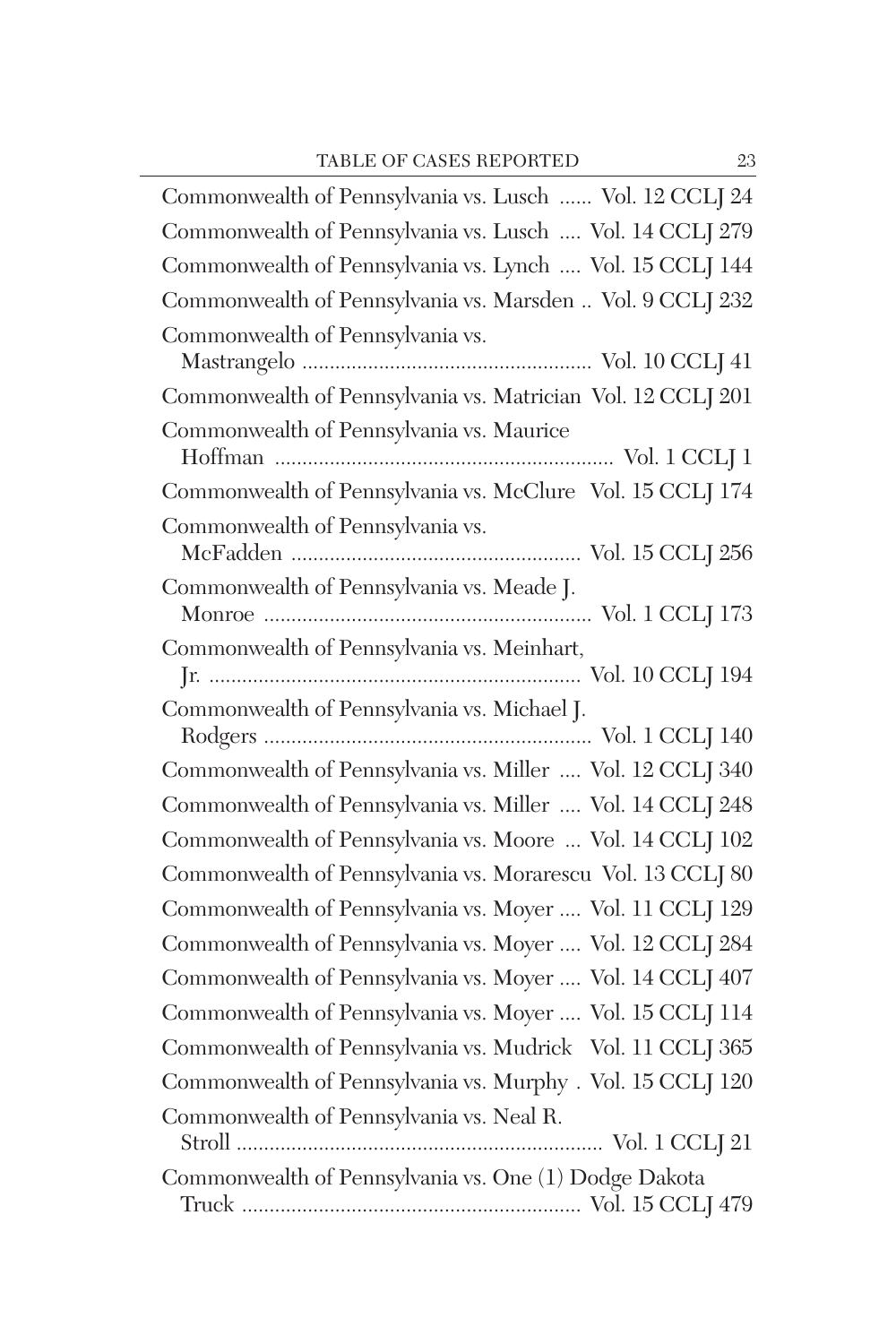| Commonwealth of Pennsylvania vs. Lusch  Vol. 12 CCLJ 24                                                                           |
|-----------------------------------------------------------------------------------------------------------------------------------|
| Commonwealth of Pennsylvania vs. Lusch  Vol. 14 CCLJ 279                                                                          |
| Commonwealth of Pennsylvania vs. Lynch  Vol. 15 CCLJ 144                                                                          |
| Commonwealth of Pennsylvania vs. Marsden  Vol. 9 CCLJ 232                                                                         |
| Commonwealth of Pennsylvania vs.                                                                                                  |
| Commonwealth of Pennsylvania vs. Matrician Vol. 12 CCLJ 201                                                                       |
| Commonwealth of Pennsylvania vs. Maurice<br>${\hbox{Hoffman}\,\,}\dots\,\,}\dots\,\,}\dots\,\,}\dots\,\,} \mbox{Vol.\,1~CCLJ\,1}$ |
| Commonwealth of Pennsylvania vs. McClure Vol. 15 CCLJ 174                                                                         |
| Commonwealth of Pennsylvania vs.                                                                                                  |
| Commonwealth of Pennsylvania vs. Meade J.                                                                                         |
| Commonwealth of Pennsylvania vs. Meinhart,                                                                                        |
| Commonwealth of Pennsylvania vs. Michael J.                                                                                       |
| Commonwealth of Pennsylvania vs. Miller  Vol. 12 CCLJ 340                                                                         |
| Commonwealth of Pennsylvania vs. Miller  Vol. 14 CCLJ 248                                                                         |
| Commonwealth of Pennsylvania vs. Moore  Vol. 14 CCLJ 102                                                                          |
| Commonwealth of Pennsylvania vs. Morarescu Vol. 13 CCLJ 80                                                                        |
| Commonwealth of Pennsylvania vs. Moyer  Vol. 11 CCLJ 129                                                                          |
| Commonwealth of Pennsylvania vs. Moyer  Vol. 12 CCLJ 284                                                                          |
| Commonwealth of Pennsylvania vs. Moyer  Vol. 14 CCLJ 407                                                                          |
| Commonwealth of Pennsylvania vs. Moyer  Vol. 15 CCLJ 114                                                                          |
| Commonwealth of Pennsylvania vs. Mudrick Vol. 11 CCLJ 365                                                                         |
| Commonwealth of Pennsylvania vs. Murphy . Vol. 15 CCLJ 120                                                                        |
| Commonwealth of Pennsylvania vs. Neal R.                                                                                          |
| Commonwealth of Pennsylvania vs. One (1) Dodge Dakota                                                                             |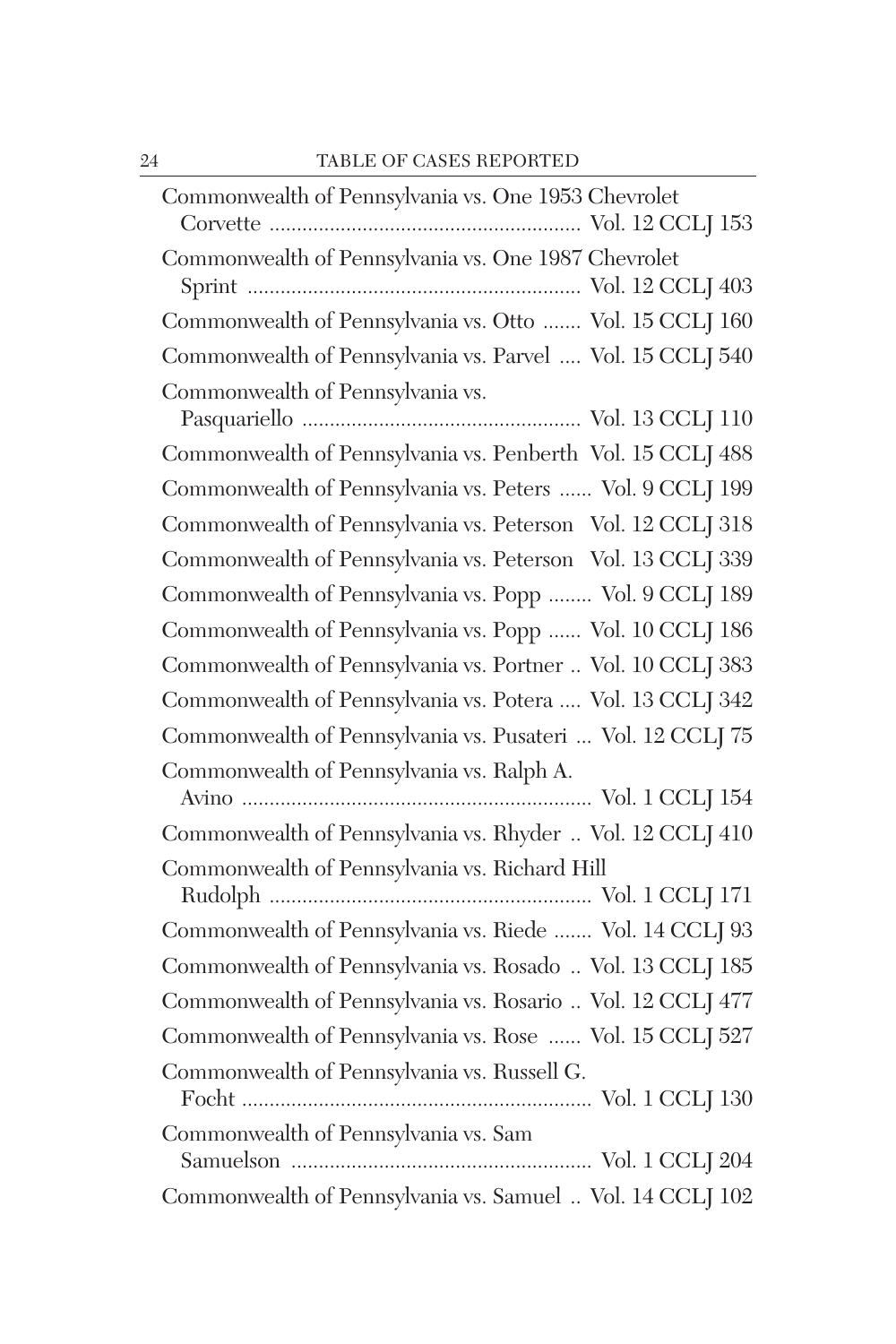| Commonwealth of Pennsylvania vs. One 1953 Chevrolet        |
|------------------------------------------------------------|
| Commonwealth of Pennsylvania vs. One 1987 Chevrolet        |
| Commonwealth of Pennsylvania vs. Otto  Vol. 15 CCLJ 160    |
| Commonwealth of Pennsylvania vs. Parvel  Vol. 15 CCLJ 540  |
| Commonwealth of Pennsylvania vs.                           |
| Commonwealth of Pennsylvania vs. Penberth Vol. 15 CCLJ 488 |
| Commonwealth of Pennsylvania vs. Peters  Vol. 9 CCLJ 199   |
| Commonwealth of Pennsylvania vs. Peterson Vol. 12 CCLJ 318 |
| Commonwealth of Pennsylvania vs. Peterson Vol. 13 CCLJ 339 |
| Commonwealth of Pennsylvania vs. Popp  Vol. 9 CCLJ 189     |
| Commonwealth of Pennsylvania vs. Popp  Vol. 10 CCLJ 186    |
| Commonwealth of Pennsylvania vs. Portner  Vol. 10 CCLJ 383 |
| Commonwealth of Pennsylvania vs. Potera  Vol. 13 CCLJ 342  |
| Commonwealth of Pennsylvania vs. Pusateri  Vol. 12 CCLJ 75 |
| Commonwealth of Pennsylvania vs. Ralph A.                  |
| Commonwealth of Pennsylvania vs. Rhyder  Vol. 12 CCLJ 410  |
| Commonwealth of Pennsylvania vs. Richard Hill              |
| Commonwealth of Pennsylvania vs. Riede  Vol. 14 CCLJ 93    |
| Commonwealth of Pennsylvania vs. Rosado  Vol. 13 CCLJ 185  |
| Commonwealth of Pennsylvania vs. Rosario  Vol. 12 CCLJ 477 |
| Commonwealth of Pennsylvania vs. Rose  Vol. 15 CCLJ 527    |
| Commonwealth of Pennsylvania vs. Russell G.                |
| Commonwealth of Pennsylvania vs. Sam                       |
| Commonwealth of Pennsylvania vs. Samuel  Vol. 14 CCLJ 102  |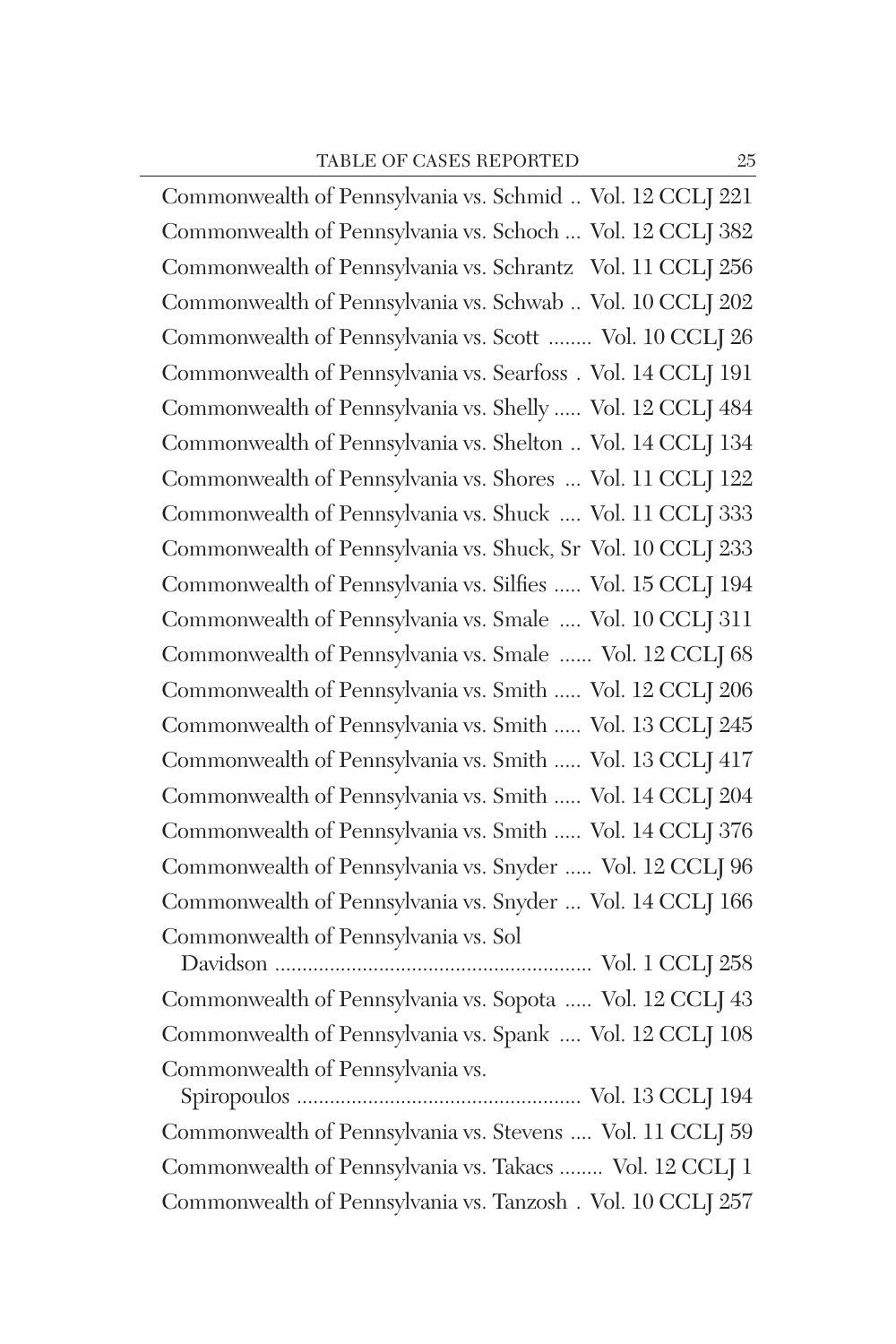Commonwealth of Pennsylvania vs. Schmid .. Vol. 12 CCLJ 221 Commonwealth of Pennsylvania vs. Schoch ... Vol. 12 CCLJ 382 Commonwealth of Pennsylvania vs. Schrantz Vol. 11 CCLJ 256 Commonwealth of Pennsylvania vs. Schwab .. Vol. 10 CCLJ 202 Commonwealth of Pennsylvania vs. Scott ........ Vol. 10 CCLJ 26 Commonwealth of Pennsylvania vs. Searfoss . Vol. 14 CCLJ 191 Commonwealth of Pennsylvania vs. Shelly ..... Vol. 12 CCLJ 484 Commonwealth of Pennsylvania vs. Shelton .. Vol. 14 CCLJ 134 Commonwealth of Pennsylvania vs. Shores ... Vol. 11 CCLJ 122 Commonwealth of Pennsylvania vs. Shuck .... Vol. 11 CCLJ 333 Commonwealth of Pennsylvania vs. Shuck, Sr Vol. 10 CCLJ 233 Commonwealth of Pennsylvania vs. Silfies ..... Vol. 15 CCLJ 194 Commonwealth of Pennsylvania vs. Smale .... Vol. 10 CCLJ 311 Commonwealth of Pennsylvania vs. Smale ...... Vol. 12 CCLJ 68 Commonwealth of Pennsylvania vs. Smith ..... Vol. 12 CCLJ 206 Commonwealth of Pennsylvania vs. Smith ..... Vol. 13 CCLJ 245 Commonwealth of Pennsylvania vs. Smith ..... Vol. 13 CCLJ 417 Commonwealth of Pennsylvania vs. Smith ..... Vol. 14 CCLJ 204 Commonwealth of Pennsylvania vs. Smith ..... Vol. 14 CCLJ 376 Commonwealth of Pennsylvania vs. Snyder ..... Vol. 12 CCLJ 96 Commonwealth of Pennsylvania vs. Snyder ... Vol. 14 CCLJ 166 Commonwealth of Pennsylvania vs. Sol

Davidson .......................................................... Vol. 1 CCLJ 258 Commonwealth of Pennsylvania vs. Sopota ..... Vol. 12 CCLJ 43 Commonwealth of Pennsylvania vs. Spank .... Vol. 12 CCLJ 108 Commonwealth of Pennsylvania vs.

Spiropoulos .................................................... Vol. 13 CCLJ 194 Commonwealth of Pennsylvania vs. Stevens .... Vol. 11 CCLJ 59 Commonwealth of Pennsylvania vs. Takacs ........ Vol. 12 CCLJ 1 Commonwealth of Pennsylvania vs. Tanzosh . Vol. 10 CCLJ 257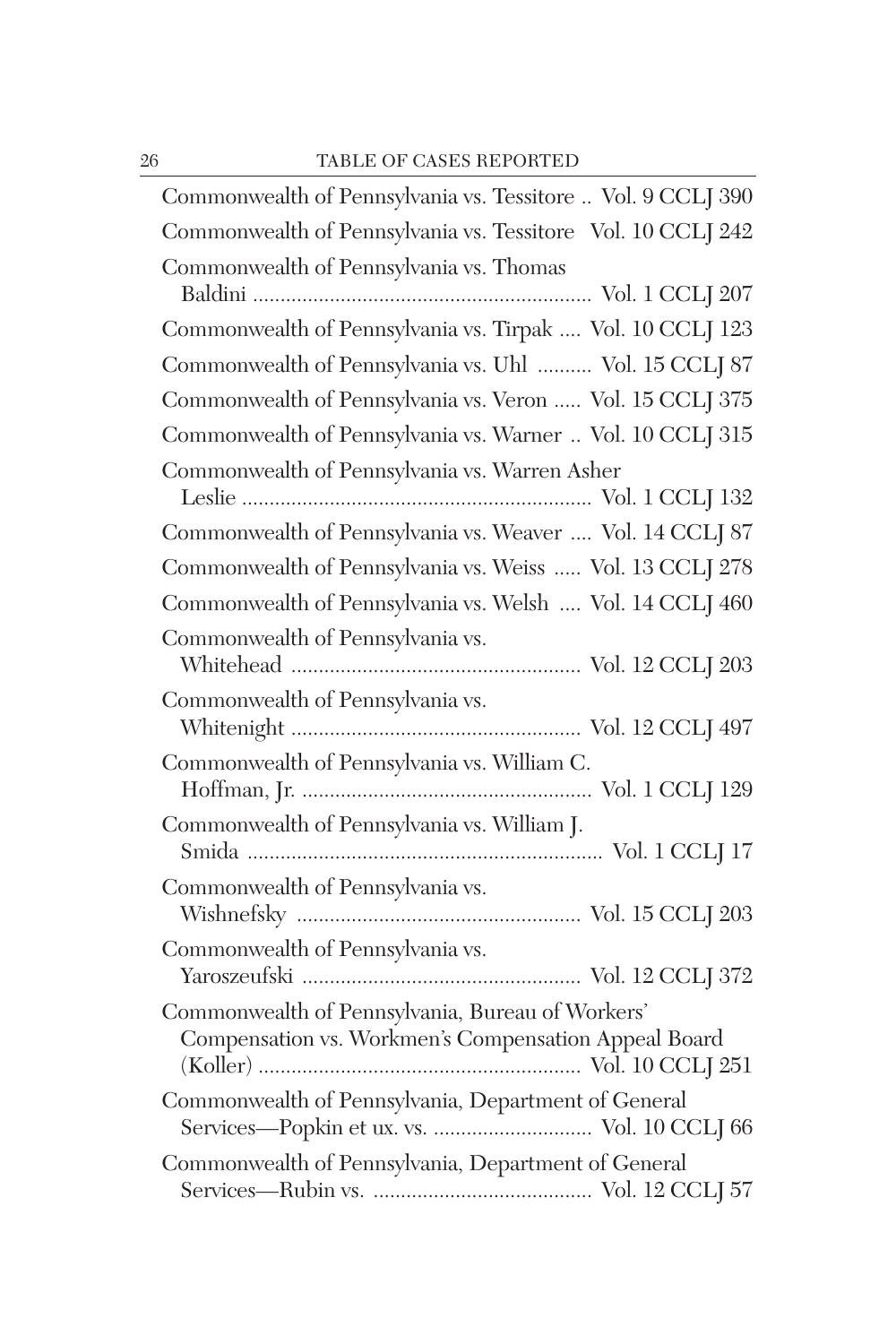| Commonwealth of Pennsylvania vs. Tessitore  Vol. 9 CCLJ 390                                              |
|----------------------------------------------------------------------------------------------------------|
| Commonwealth of Pennsylvania vs. Tessitore Vol. 10 CCLJ 242                                              |
| Commonwealth of Pennsylvania vs. Thomas                                                                  |
| Commonwealth of Pennsylvania vs. Tirpak  Vol. 10 CCLJ 123                                                |
| Commonwealth of Pennsylvania vs. Uhl  Vol. 15 CCLJ 87                                                    |
| Commonwealth of Pennsylvania vs. Veron  Vol. 15 CCLJ 375                                                 |
| Commonwealth of Pennsylvania vs. Warner  Vol. 10 CCLJ 315                                                |
| Commonwealth of Pennsylvania vs. Warren Asher                                                            |
| Commonwealth of Pennsylvania vs. Weaver  Vol. 14 CCLJ 87                                                 |
| Commonwealth of Pennsylvania vs. Weiss  Vol. 13 CCLJ 278                                                 |
| Commonwealth of Pennsylvania vs. Welsh  Vol. 14 CCLJ 460                                                 |
| Commonwealth of Pennsylvania vs.                                                                         |
| Commonwealth of Pennsylvania vs.                                                                         |
| Commonwealth of Pennsylvania vs. William C.                                                              |
| Commonwealth of Pennsylvania vs. William J.                                                              |
| Commonwealth of Pennsylvania vs.                                                                         |
| Commonwealth of Pennsylvania vs.                                                                         |
| Commonwealth of Pennsylvania, Bureau of Workers'<br>Compensation vs. Workmen's Compensation Appeal Board |
| Commonwealth of Pennsylvania, Department of General<br>Services-Popkin et ux. vs.  Vol. 10 CCLJ 66       |
| Commonwealth of Pennsylvania, Department of General                                                      |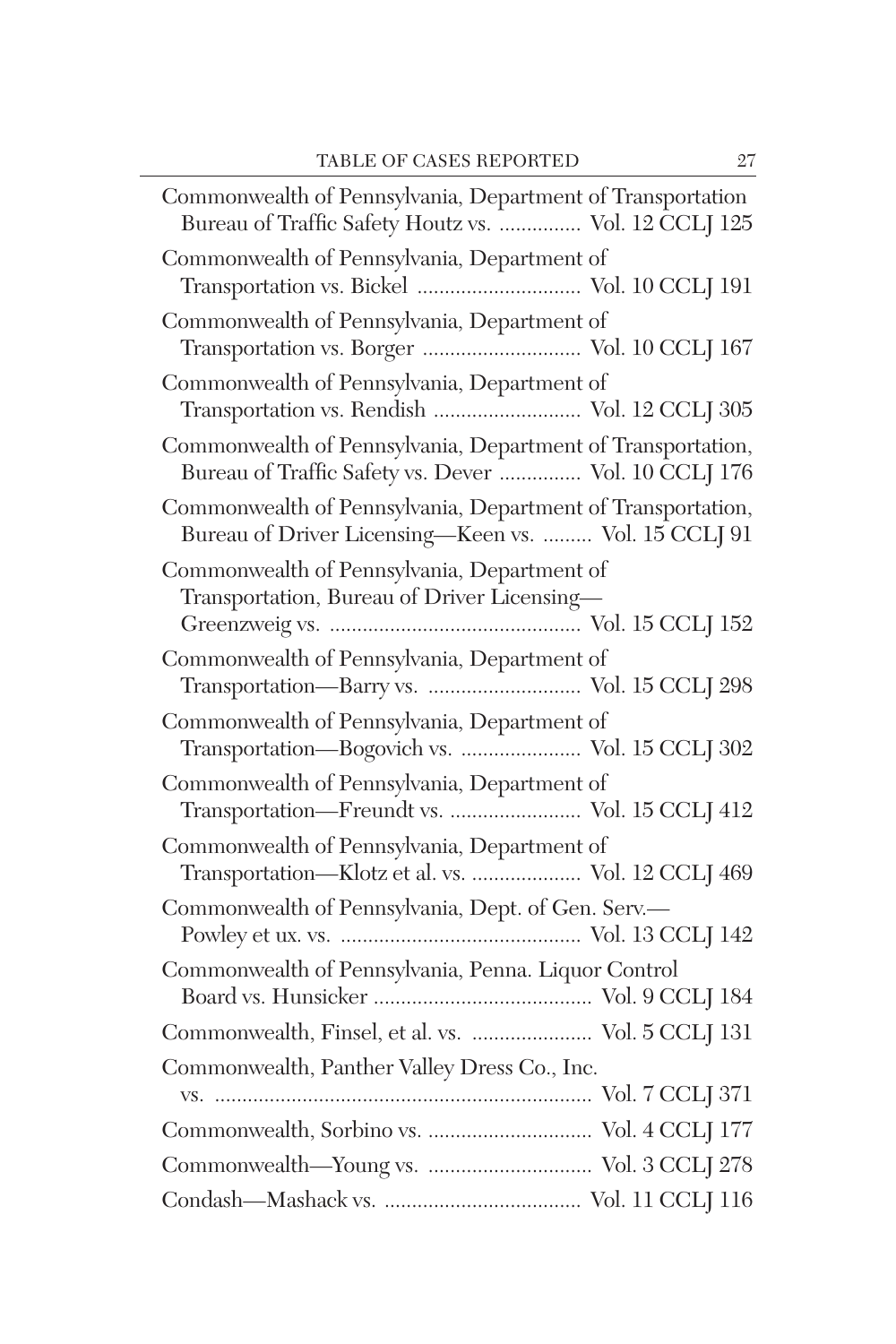| Commonwealth of Pennsylvania, Department of Transportation<br>Bureau of Traffic Safety Houtz vs.  Vol. 12 CCLJ 125  |
|---------------------------------------------------------------------------------------------------------------------|
| Commonwealth of Pennsylvania, Department of<br>Transportation vs. Bickel  Vol. 10 CCLJ 191                          |
| Commonwealth of Pennsylvania, Department of<br>Transportation vs. Borger  Vol. 10 CCLJ 167                          |
| Commonwealth of Pennsylvania, Department of<br>Transportation vs. Rendish  Vol. 12 CCLJ 305                         |
| Commonwealth of Pennsylvania, Department of Transportation,<br>Bureau of Traffic Safety vs. Dever  Vol. 10 CCLJ 176 |
| Commonwealth of Pennsylvania, Department of Transportation,<br>Bureau of Driver Licensing-Keen vs.  Vol. 15 CCLJ 91 |
| Commonwealth of Pennsylvania, Department of<br>Transportation, Bureau of Driver Licensing-                          |
| Commonwealth of Pennsylvania, Department of                                                                         |
| Commonwealth of Pennsylvania, Department of<br>Transportation-Bogovich vs.  Vol. 15 CCLJ 302                        |
| Commonwealth of Pennsylvania, Department of<br>Transportation-Freundt vs.  Vol. 15 CCLJ 412                         |
| Commonwealth of Pennsylvania, Department of<br>Transportation-Klotz et al. vs.  Vol. 12 CCLJ 469                    |
| Commonwealth of Pennsylvania, Dept. of Gen. Serv.-                                                                  |
| Commonwealth of Pennsylvania, Penna. Liquor Control                                                                 |
| Commonwealth, Finsel, et al. vs.  Vol. 5 CCLJ 131                                                                   |
| Commonwealth, Panther Valley Dress Co., Inc.                                                                        |
|                                                                                                                     |
|                                                                                                                     |
|                                                                                                                     |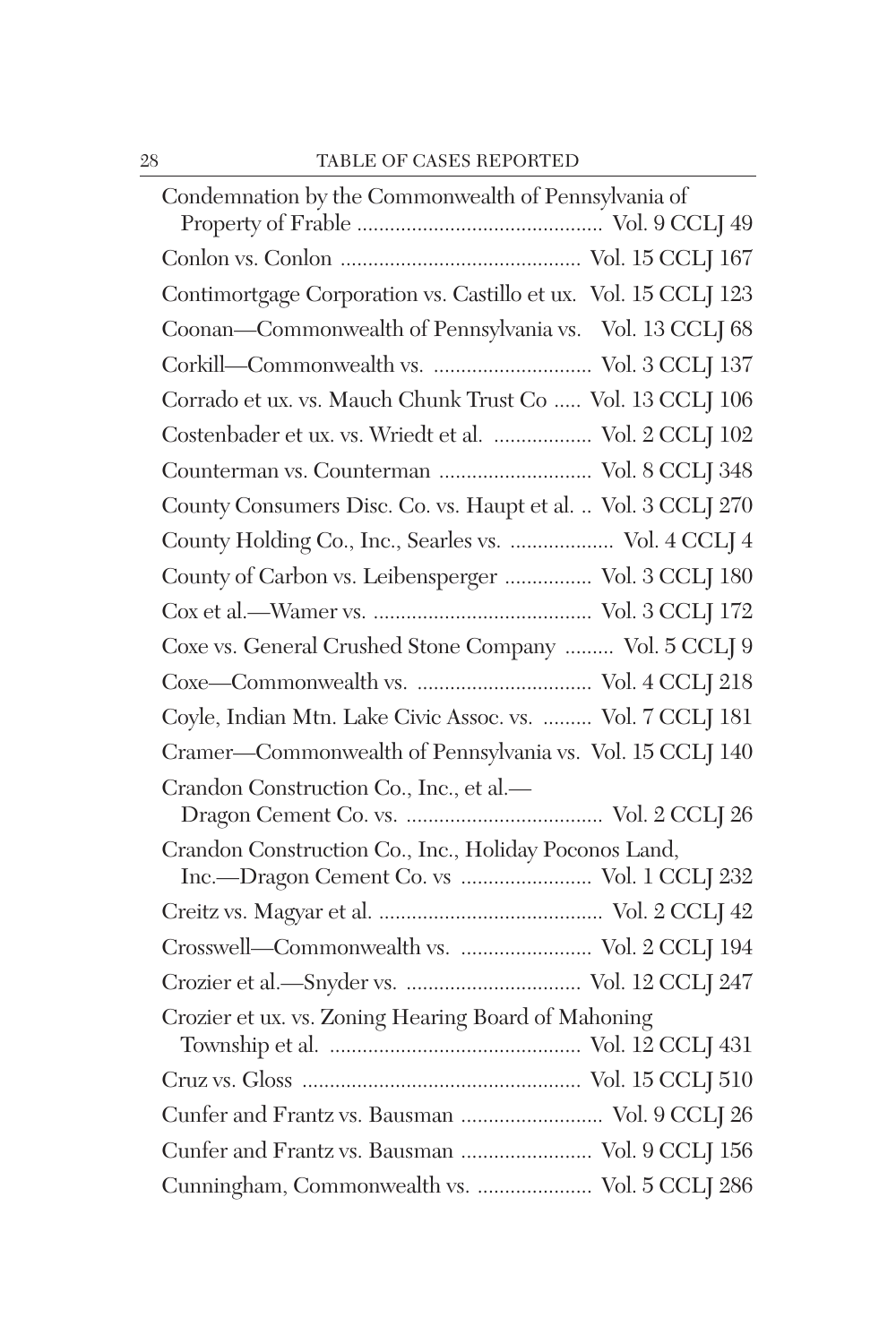| Condemnation by the Commonwealth of Pennsylvania of            |
|----------------------------------------------------------------|
|                                                                |
| Contimortgage Corporation vs. Castillo et ux. Vol. 15 CCLJ 123 |
| Coonan-Commonwealth of Pennsylvania vs. Vol. 13 CCLJ 68        |
|                                                                |
| Corrado et ux. vs. Mauch Chunk Trust Co  Vol. 13 CCLJ 106      |
| Costenbader et ux. vs. Wriedt et al.  Vol. 2 CCLJ 102          |
| Counterman vs. Counterman  Vol. 8 CCLJ 348                     |
| County Consumers Disc. Co. vs. Haupt et al.  Vol. 3 CCLJ 270   |
| County Holding Co., Inc., Searles vs.  Vol. 4 CCLJ 4           |
| County of Carbon vs. Leibensperger  Vol. 3 CCLJ 180            |
|                                                                |
| Coxe vs. General Crushed Stone Company  Vol. 5 CCLJ 9          |
|                                                                |
| Coyle, Indian Mtn. Lake Civic Assoc. vs.  Vol. 7 CCLJ 181      |
| Cramer-Commonwealth of Pennsylvania vs. Vol. 15 CCLJ 140       |
| Crandon Construction Co., Inc., et al.-                        |
|                                                                |
| Crandon Construction Co., Inc., Holiday Poconos Land,          |
| Inc.-Dragon Cement Co. vs  Vol. 1 CCLJ 232                     |
|                                                                |
| Crosswell-Commonwealth vs.  Vol. 2 CCLJ 194                    |
|                                                                |
| Crozier et ux. vs. Zoning Hearing Board of Mahoning            |
|                                                                |
| Cunfer and Frantz vs. Bausman  Vol. 9 CCLJ 26                  |
| Cunfer and Frantz vs. Bausman  Vol. 9 CCLJ 156                 |
| Cunningham, Commonwealth vs.  Vol. 5 CCLJ 286                  |
|                                                                |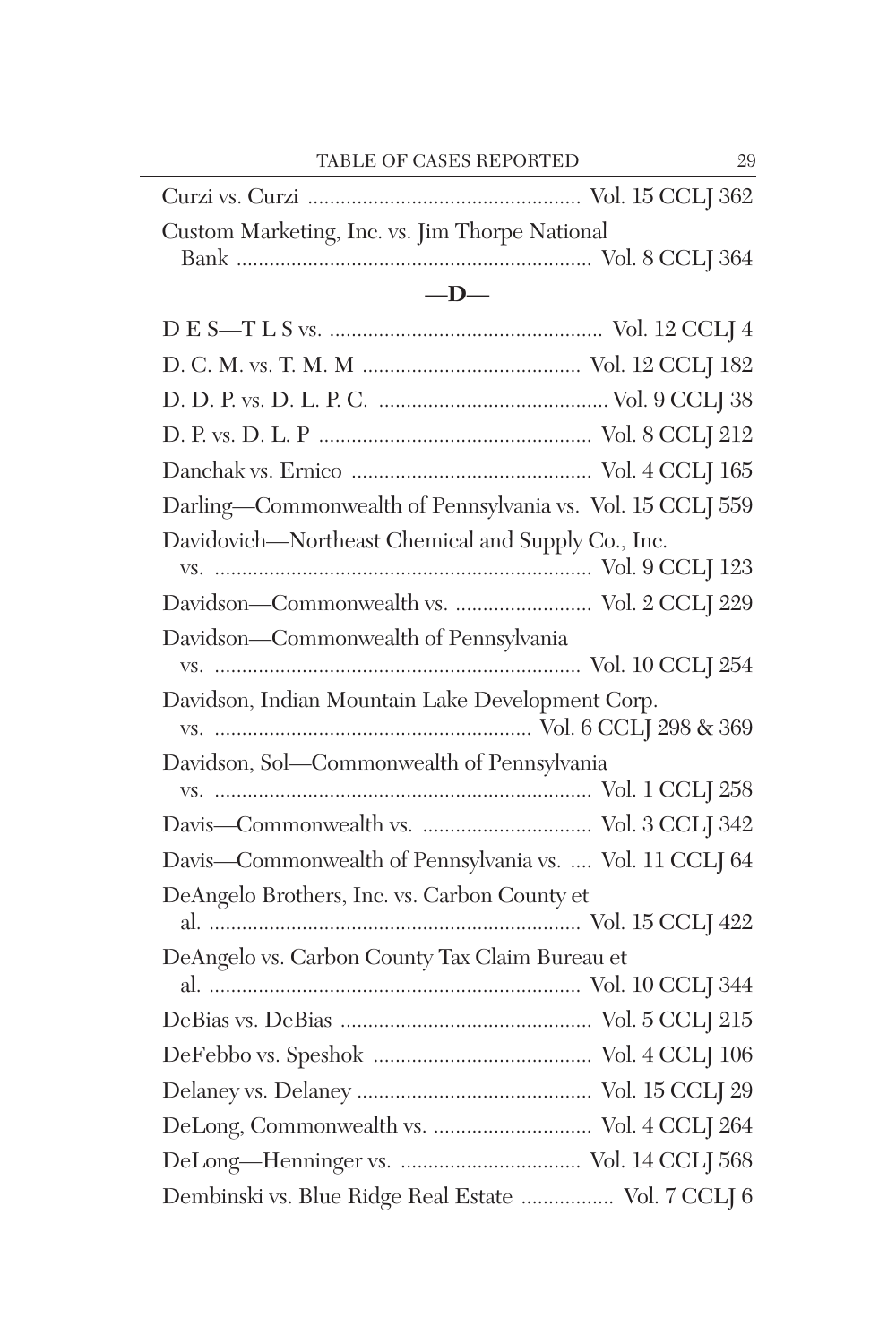| Custom Marketing, Inc. vs. Jim Thorpe National |  |
|------------------------------------------------|--|
|                                                |  |

#### **—D—**

| Darling-Commonwealth of Pennsylvania vs. Vol. 15 CCLJ 559 |  |
|-----------------------------------------------------------|--|
| Davidovich-Northeast Chemical and Supply Co., Inc.        |  |
| Davidson-Commonwealth vs.  Vol. 2 CCLJ 229                |  |
| Davidson-Commonwealth of Pennsylvania                     |  |
| Davidson, Indian Mountain Lake Development Corp.          |  |
| Davidson, Sol-Commonwealth of Pennsylvania                |  |
|                                                           |  |
|                                                           |  |
| Davis-Commonwealth of Pennsylvania vs.  Vol. 11 CCLJ 64   |  |
| DeAngelo Brothers, Inc. vs. Carbon County et              |  |
| DeAngelo vs. Carbon County Tax Claim Bureau et            |  |
|                                                           |  |
|                                                           |  |
|                                                           |  |
| DeLong, Commonwealth vs.  Vol. 4 CCLJ 264                 |  |
|                                                           |  |
| Dembinski vs. Blue Ridge Real Estate  Vol. 7 CCLJ 6       |  |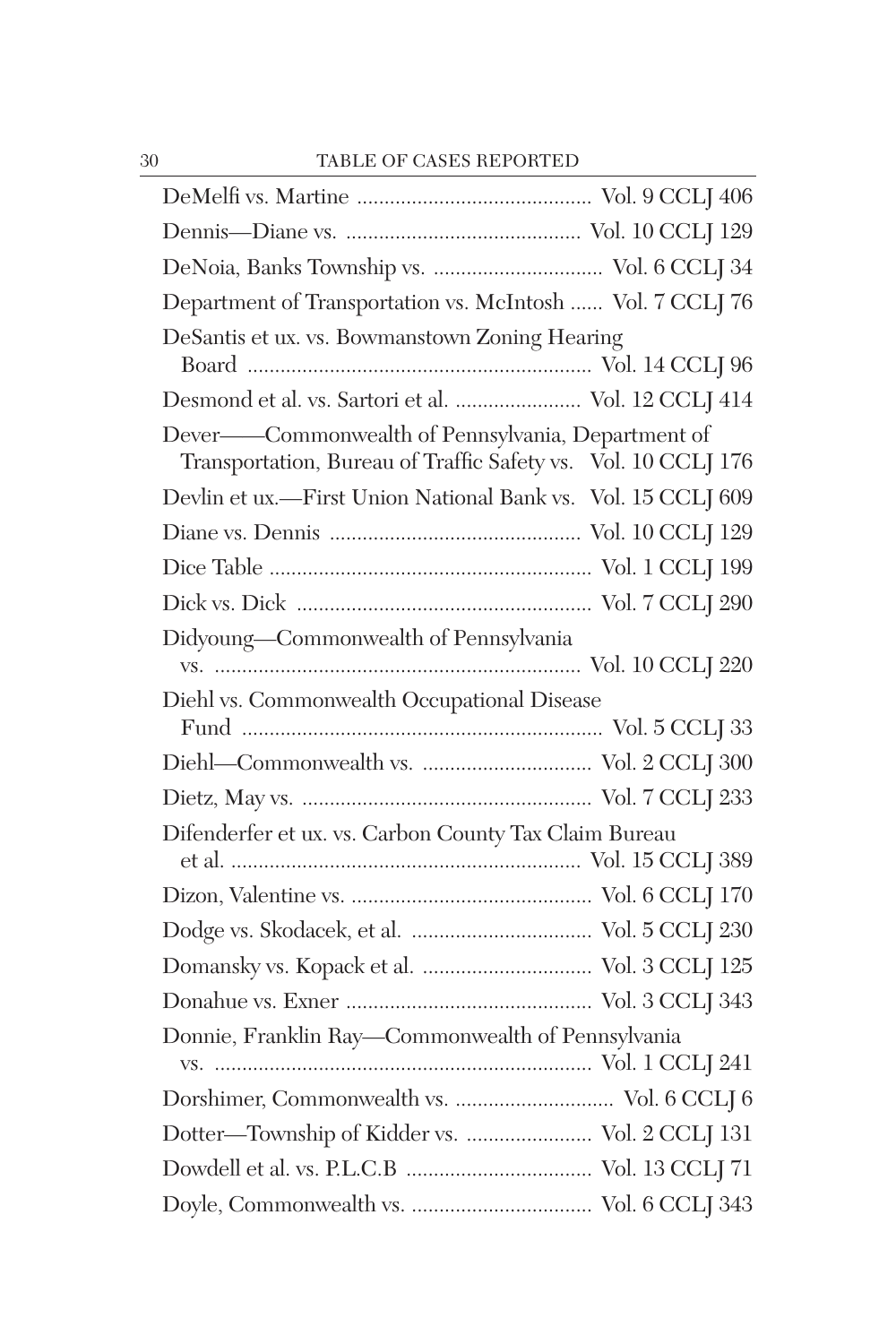| Department of Transportation vs. McIntosh  Vol. 7 CCLJ 76                                                          |  |
|--------------------------------------------------------------------------------------------------------------------|--|
| DeSantis et ux. vs. Bowmanstown Zoning Hearing                                                                     |  |
| Desmond et al. vs. Sartori et al.  Vol. 12 CCLJ 414                                                                |  |
| Dever-Commonwealth of Pennsylvania, Department of<br>Transportation, Bureau of Traffic Safety vs. Vol. 10 CCLJ 176 |  |
| Devlin et ux.-First Union National Bank vs. Vol. 15 CCLJ 609                                                       |  |
|                                                                                                                    |  |
|                                                                                                                    |  |
|                                                                                                                    |  |
| Didyoung-Commonwealth of Pennsylvania                                                                              |  |
| Diehl vs. Commonwealth Occupational Disease                                                                        |  |
| Diehl-Commonwealth vs.  Vol. 2 CCLJ 300                                                                            |  |
|                                                                                                                    |  |
| Difenderfer et ux. vs. Carbon County Tax Claim Bureau                                                              |  |
|                                                                                                                    |  |
|                                                                                                                    |  |
|                                                                                                                    |  |
|                                                                                                                    |  |
| Donnie, Franklin Ray-Commonwealth of Pennsylvania                                                                  |  |
| Dorshimer, Commonwealth vs.  Vol. 6 CCLJ 6                                                                         |  |
| Dotter—Township of Kidder vs.  Vol. 2 CCLJ 131                                                                     |  |
|                                                                                                                    |  |
|                                                                                                                    |  |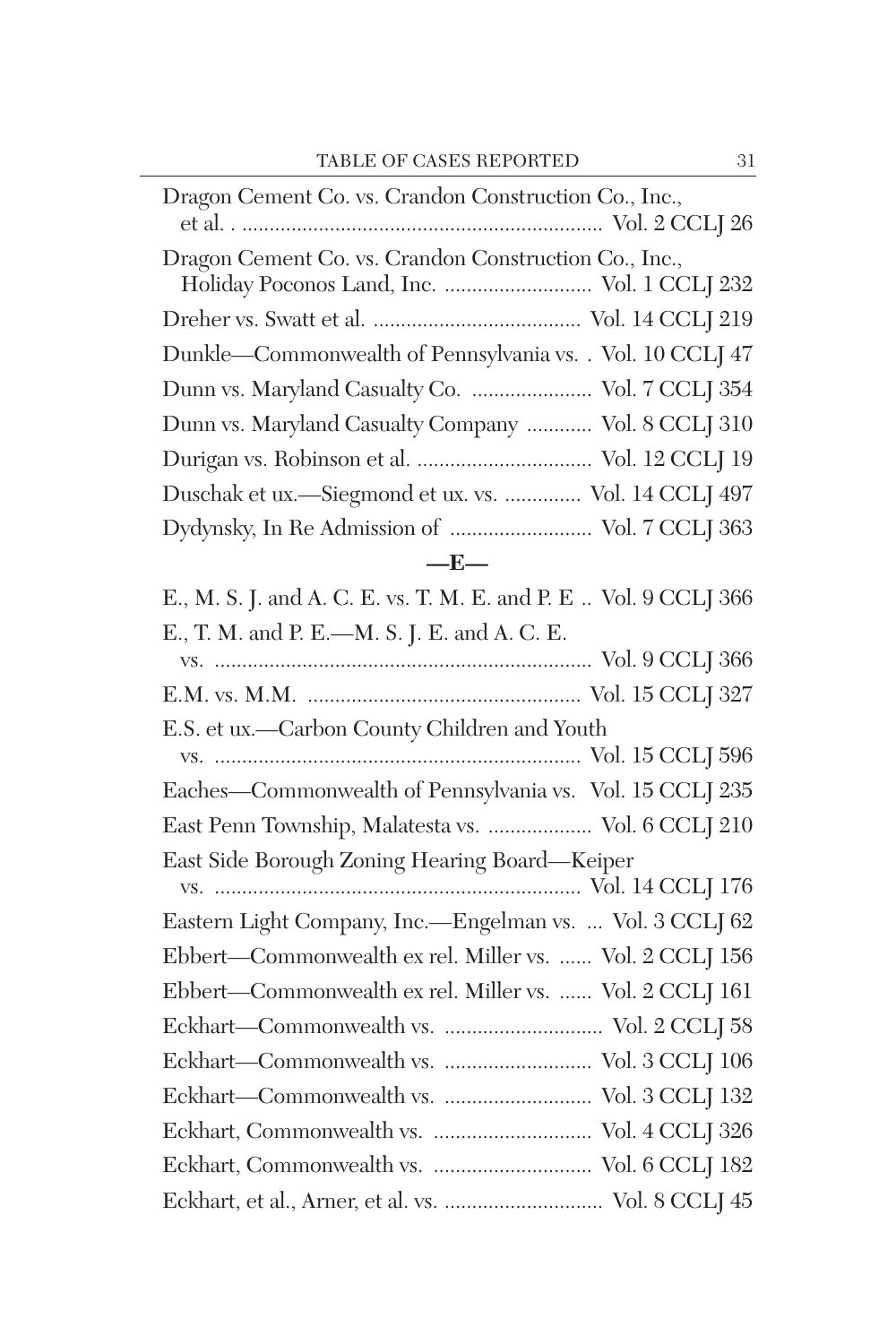| Dragon Cement Co. vs. Crandon Construction Co., Inc.,                                                |
|------------------------------------------------------------------------------------------------------|
| Dragon Cement Co. vs. Crandon Construction Co., Inc.,<br>Holiday Poconos Land, Inc.  Vol. 1 CCLJ 232 |
|                                                                                                      |
| Dunkle-Commonwealth of Pennsylvania vs. . Vol. 10 CCLJ 47                                            |
| Dunn vs. Maryland Casualty Co.  Vol. 7 CCLJ 354                                                      |
| Dunn vs. Maryland Casualty Company  Vol. 8 CCLJ 310                                                  |
|                                                                                                      |
| Duschak et ux.-Siegmond et ux. vs.  Vol. 14 CCLJ 497                                                 |
|                                                                                                      |
| $-E-$                                                                                                |
| E., M. S. J. and A. C. E. vs. T. M. E. and P. E  Vol. 9 CCLJ 366                                     |
| E., T. M. and P. E.-M. S. J. E. and A. C. E.                                                         |
|                                                                                                      |
|                                                                                                      |
| E.S. et ux.-Carbon County Children and Youth                                                         |
|                                                                                                      |
| Eaches-Commonwealth of Pennsylvania vs. Vol. 15 CCLJ 235                                             |
| East Penn Township, Malatesta vs.  Vol. 6 CCLJ 210                                                   |
| East Side Borough Zoning Hearing Board-Keiper                                                        |
|                                                                                                      |
| Eastern Light Company, Inc.-Engelman vs.  Vol. 3 CCLJ 62                                             |
| Ebbert-Commonwealth ex rel. Miller vs.  Vol. 2 CCLJ 156                                              |
| Ebbert-Commonwealth ex rel. Miller vs.  Vol. 2 CCLJ 161                                              |
|                                                                                                      |
|                                                                                                      |
|                                                                                                      |
|                                                                                                      |
|                                                                                                      |
|                                                                                                      |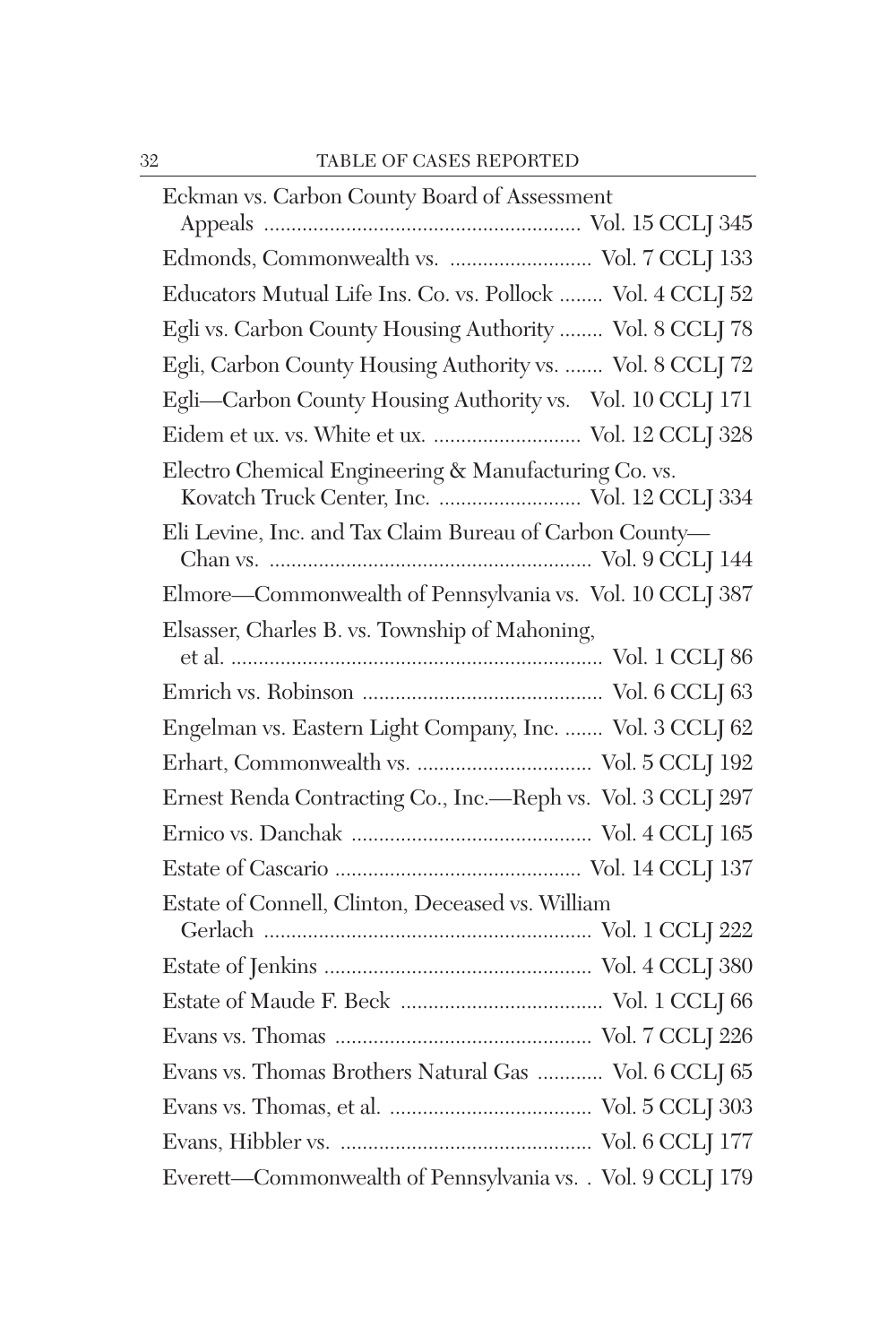| Eckman vs. Carbon County Board of Assessment                                                         |
|------------------------------------------------------------------------------------------------------|
|                                                                                                      |
| Edmonds, Commonwealth vs.  Vol. 7 CCLJ 133                                                           |
| Educators Mutual Life Ins. Co. vs. Pollock  Vol. 4 CCLJ 52                                           |
| Egli vs. Carbon County Housing Authority  Vol. 8 CCLJ 78                                             |
| Egli, Carbon County Housing Authority vs.  Vol. 8 CCLJ 72                                            |
| Egli-Carbon County Housing Authority vs. Vol. 10 CCLJ 171                                            |
| Eidem et ux. vs. White et ux.  Vol. 12 CCLJ 328                                                      |
| Electro Chemical Engineering & Manufacturing Co. vs.<br>Kovatch Truck Center, Inc.  Vol. 12 CCLJ 334 |
| Eli Levine, Inc. and Tax Claim Bureau of Carbon County-                                              |
| Elmore-Commonwealth of Pennsylvania vs. Vol. 10 CCLJ 387                                             |
| Elsasser, Charles B. vs. Township of Mahoning,                                                       |
|                                                                                                      |
| Engelman vs. Eastern Light Company, Inc.  Vol. 3 CCLJ 62                                             |
|                                                                                                      |
| Ernest Renda Contracting Co., Inc.-Reph vs. Vol. 3 CCLJ 297                                          |
|                                                                                                      |
|                                                                                                      |
| Estate of Connell, Clinton, Deceased vs. William                                                     |
|                                                                                                      |
|                                                                                                      |
|                                                                                                      |
|                                                                                                      |
| Evans vs. Thomas Brothers Natural Gas  Vol. 6 CCLJ 65                                                |
|                                                                                                      |
|                                                                                                      |
| Everett-Commonwealth of Pennsylvania vs. . Vol. 9 CCLJ 179                                           |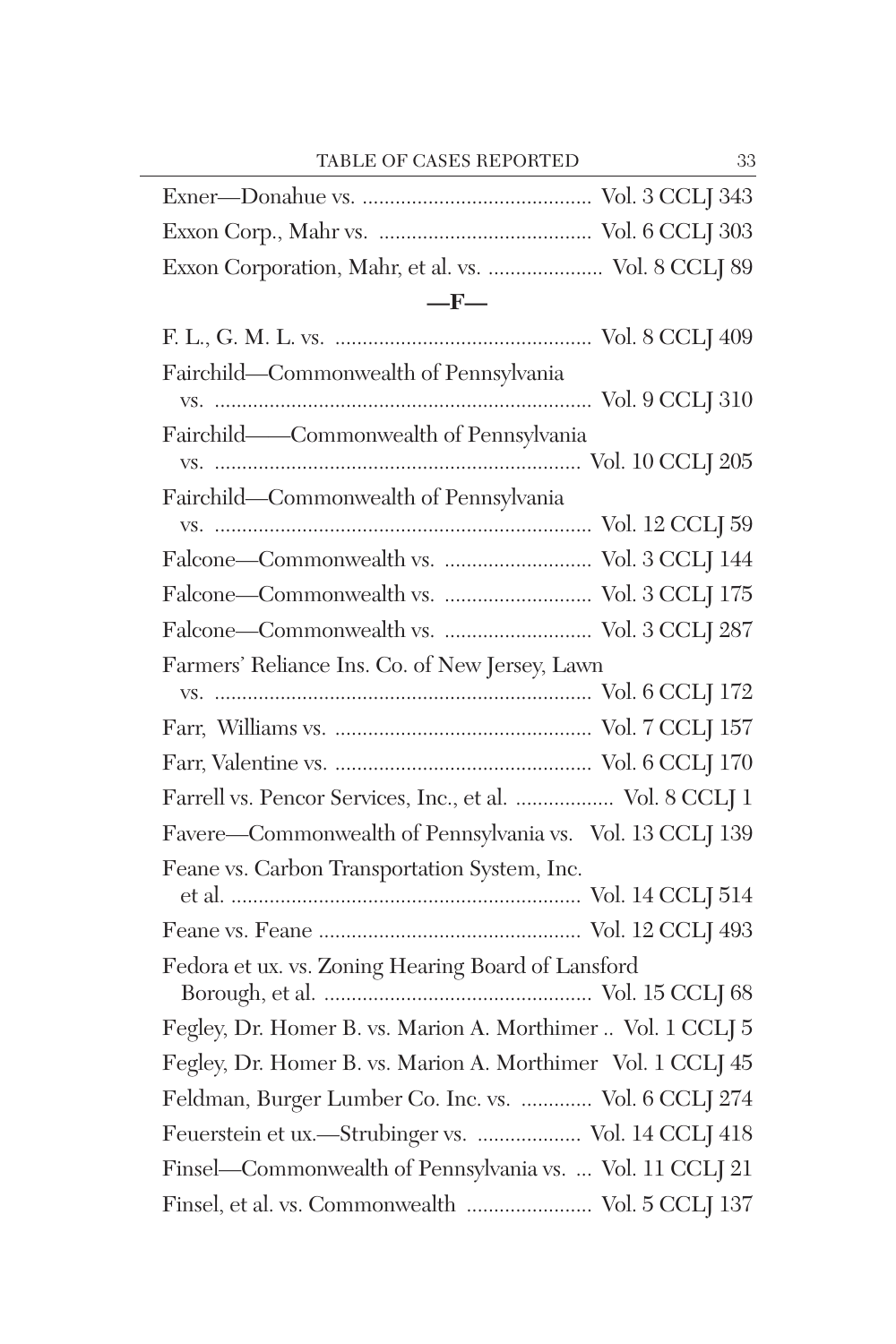| Exxon Corporation, Mahr, et al. vs.  Vol. 8 CCLJ 89         |
|-------------------------------------------------------------|
| $-F-$                                                       |
|                                                             |
| Fairchild-Commonwealth of Pennsylvania                      |
| Fairchild-Commonwealth of Pennsylvania                      |
|                                                             |
| Fairchild-Commonwealth of Pennsylvania                      |
|                                                             |
|                                                             |
| Falcone-Commonwealth vs.  Vol. 3 CCLJ 175                   |
|                                                             |
| Farmers' Reliance Ins. Co. of New Jersey, Lawn              |
|                                                             |
|                                                             |
|                                                             |
| Farrell vs. Pencor Services, Inc., et al.  Vol. 8 CCLJ 1    |
| Favere-Commonwealth of Pennsylvania vs. Vol. 13 CCLJ 139    |
| Feane vs. Carbon Transportation System, Inc.                |
|                                                             |
|                                                             |
| Fedora et ux. vs. Zoning Hearing Board of Lansford          |
| Fegley, Dr. Homer B. vs. Marion A. Morthimer  Vol. 1 CCLJ 5 |
| Fegley, Dr. Homer B. vs. Marion A. Morthimer Vol. 1 CCLJ 45 |
| Feldman, Burger Lumber Co. Inc. vs.  Vol. 6 CCLJ 274        |
| Feuerstein et ux.-Strubinger vs.  Vol. 14 CCLJ 418          |
| Finsel-Commonwealth of Pennsylvania vs.  Vol. 11 CCLJ 21    |
| Finsel, et al. vs. Commonwealth  Vol. 5 CCLJ 137            |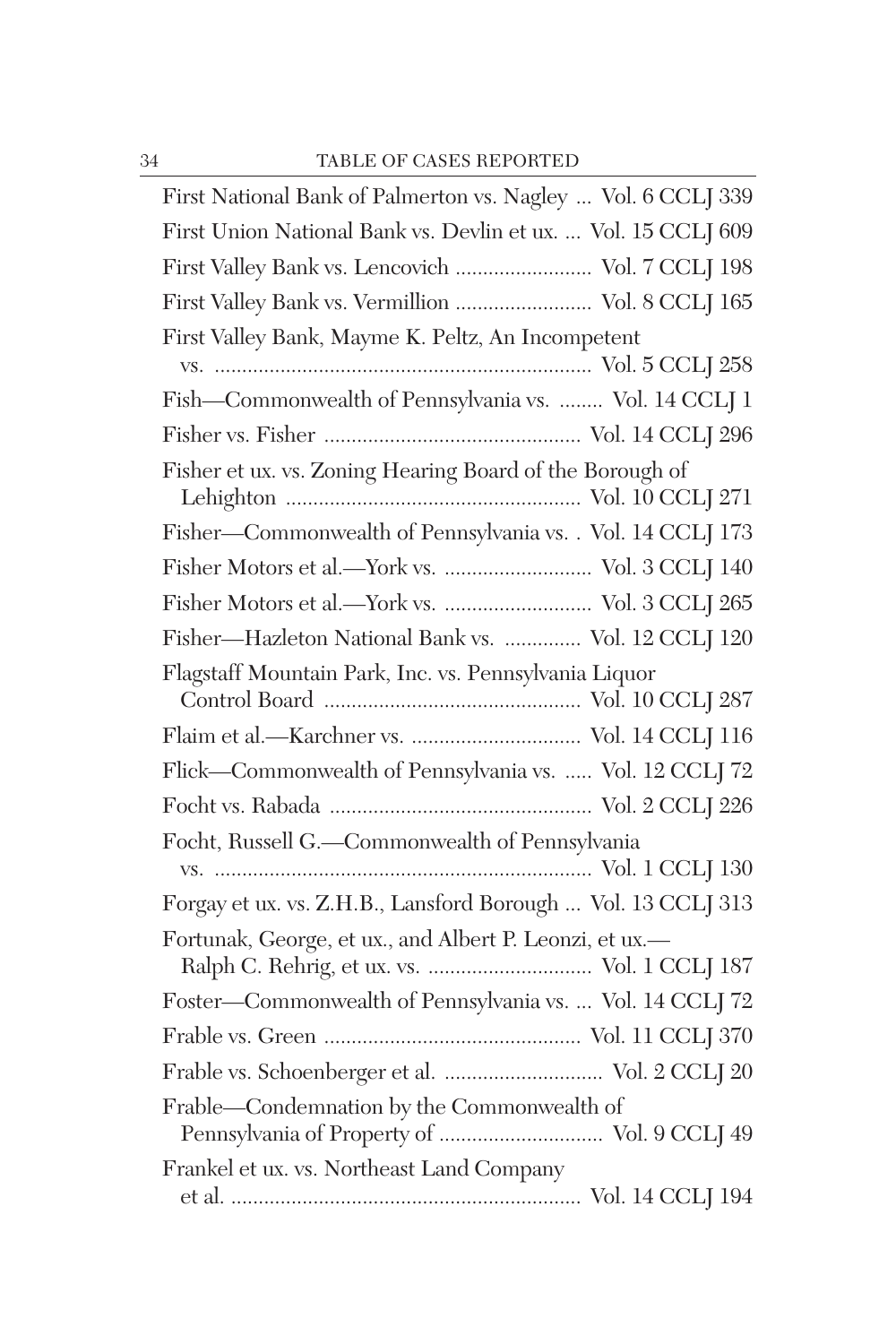| First National Bank of Palmerton vs. Nagley  Vol. 6 CCLJ 339  |
|---------------------------------------------------------------|
| First Union National Bank vs. Devlin et ux.  Vol. 15 CCLJ 609 |
| First Valley Bank vs. Lencovich  Vol. 7 CCLJ 198              |
| First Valley Bank vs. Vermillion  Vol. 8 CCLJ 165             |
| First Valley Bank, Mayme K. Peltz, An Incompetent             |
|                                                               |
| Fish-Commonwealth of Pennsylvania vs.  Vol. 14 CCLJ 1         |
|                                                               |
| Fisher et ux. vs. Zoning Hearing Board of the Borough of      |
| Fisher-Commonwealth of Pennsylvania vs. . Vol. 14 CCLJ 173    |
| Fisher Motors et al.-York vs.  Vol. 3 CCLJ 140                |
| Fisher Motors et al.-York vs.  Vol. 3 CCLJ 265                |
| Fisher-Hazleton National Bank vs.  Vol. 12 CCLJ 120           |
| Flagstaff Mountain Park, Inc. vs. Pennsylvania Liquor         |
| Flaim et al.-Karchner vs.  Vol. 14 CCLJ 116                   |
| Flick-Commonwealth of Pennsylvania vs.  Vol. 12 CCLJ 72       |
|                                                               |
| Focht, Russell G.-Commonwealth of Pennsylvania                |
|                                                               |
| Forgay et ux. vs. Z.H.B., Lansford Borough  Vol. 13 CCLJ 313  |
| Fortunak, George, et ux., and Albert P. Leonzi, et ux.-       |
| Foster-Commonwealth of Pennsylvania vs.  Vol. 14 CCLJ 72      |
|                                                               |
| Frable vs. Schoenberger et al.  Vol. 2 CCLJ 20                |
| Frable-Condemnation by the Commonwealth of                    |
| Frankel et ux. vs. Northeast Land Company                     |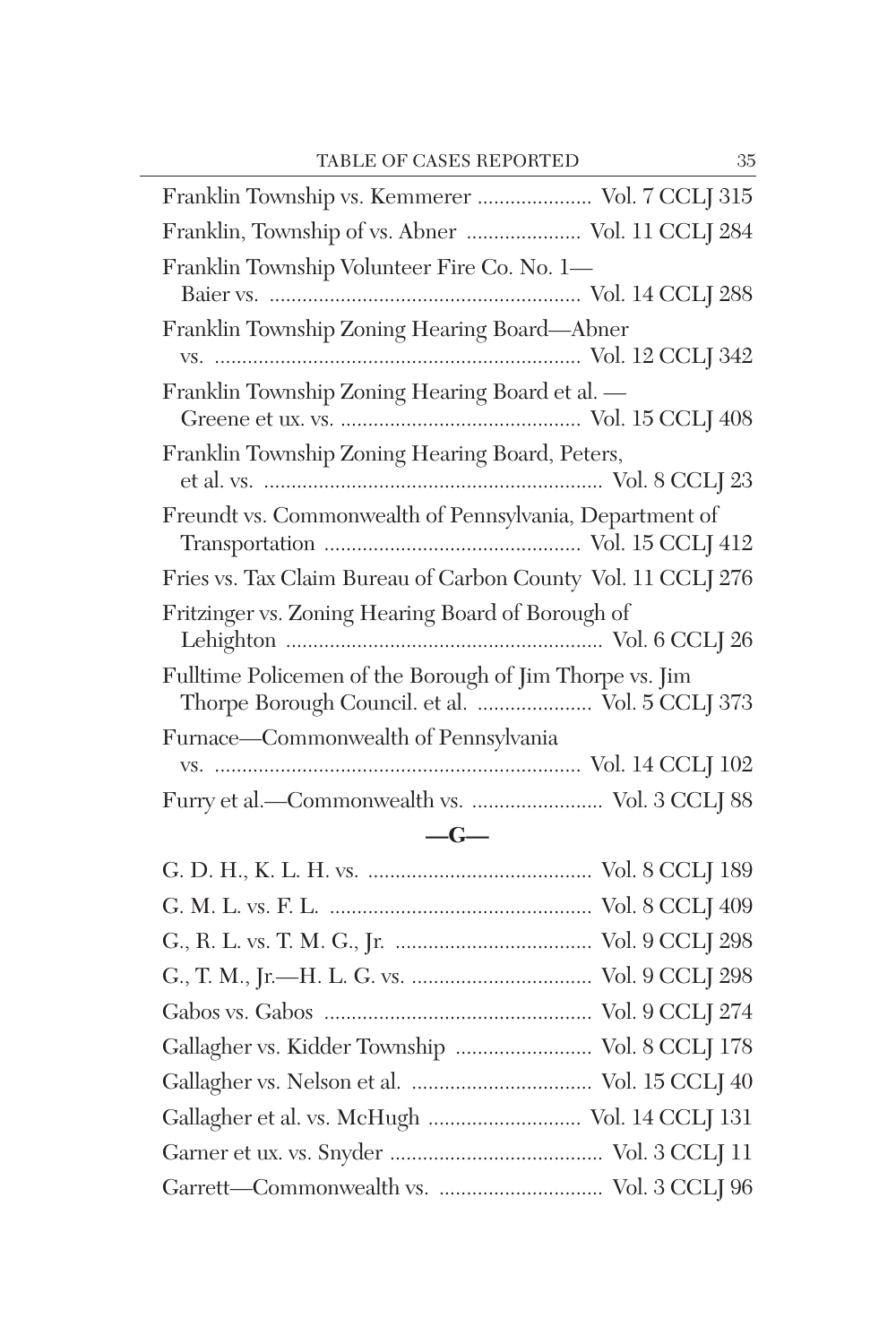| Franklin Township vs. Kemmerer  Vol. 7 CCLJ 315                                                            |
|------------------------------------------------------------------------------------------------------------|
| Franklin, Township of vs. Abner  Vol. 11 CCLJ 284                                                          |
| Franklin Township Volunteer Fire Co. No. 1—                                                                |
| Franklin Township Zoning Hearing Board—Abner                                                               |
| Franklin Township Zoning Hearing Board et al. —                                                            |
| Franklin Township Zoning Hearing Board, Peters,                                                            |
|                                                                                                            |
| Freundt vs. Commonwealth of Pennsylvania, Department of                                                    |
| Fries vs. Tax Claim Bureau of Carbon County Vol. 11 CCLJ 276                                               |
| Fritzinger vs. Zoning Hearing Board of Borough of                                                          |
| Fulltime Policemen of the Borough of Jim Thorpe vs. Jim<br>Thorpe Borough Council. et al.  Vol. 5 CCLJ 373 |
| Furnace-Commonwealth of Pennsylvania                                                                       |
|                                                                                                            |

## **—G—**

| Gallagher vs. Kidder Township  Vol. 8 CCLJ 178 |
|------------------------------------------------|
|                                                |
| Gallagher et al. vs. McHugh  Vol. 14 CCLJ 131  |
|                                                |
|                                                |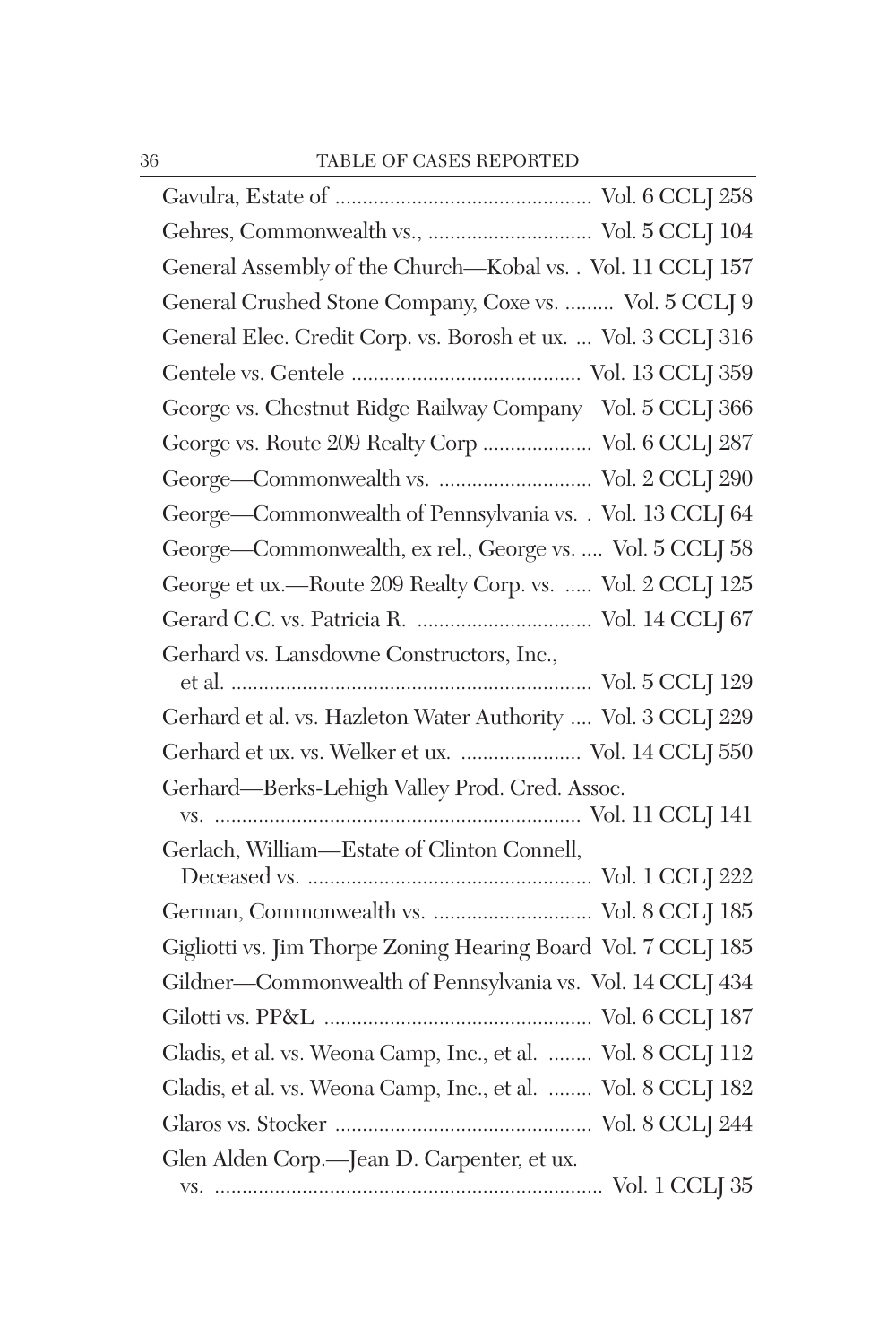| Gehres, Commonwealth vs.,  Vol. 5 CCLJ 104                    |
|---------------------------------------------------------------|
| General Assembly of the Church-Kobal vs. . Vol. 11 CCLJ 157   |
| General Crushed Stone Company, Coxe vs.  Vol. 5 CCLJ 9        |
| General Elec. Credit Corp. vs. Borosh et ux.  Vol. 3 CCLJ 316 |
|                                                               |
| George vs. Chestnut Ridge Railway Company Vol. 5 CCLJ 366     |
| George vs. Route 209 Realty Corp  Vol. 6 CCLJ 287             |
| George-Commonwealth vs.  Vol. 2 CCLJ 290                      |
| George-Commonwealth of Pennsylvania vs. . Vol. 13 CCLJ 64     |
| George-Commonwealth, ex rel., George vs.  Vol. 5 CCLJ 58      |
| George et ux.-Route 209 Realty Corp. vs.  Vol. 2 CCLJ 125     |
|                                                               |
| Gerhard vs. Lansdowne Constructors, Inc.,                     |
| Gerhard et al. vs. Hazleton Water Authority  Vol. 3 CCLJ 229  |
| Gerhard et ux. vs. Welker et ux.  Vol. 14 CCLJ 550            |
| Gerhard-Berks-Lehigh Valley Prod. Cred. Assoc.                |
| Gerlach, William-Estate of Clinton Connell,                   |
|                                                               |
|                                                               |
| Gigliotti vs. Jim Thorpe Zoning Hearing Board Vol. 7 CCLJ 185 |
| Gildner-Commonwealth of Pennsylvania vs. Vol. 14 CCLJ 434     |
|                                                               |
| Gladis, et al. vs. Weona Camp, Inc., et al.  Vol. 8 CCLJ 112  |
| Gladis, et al. vs. Weona Camp, Inc., et al.  Vol. 8 CCLJ 182  |
|                                                               |
| Glen Alden Corp.-Jean D. Carpenter, et ux.                    |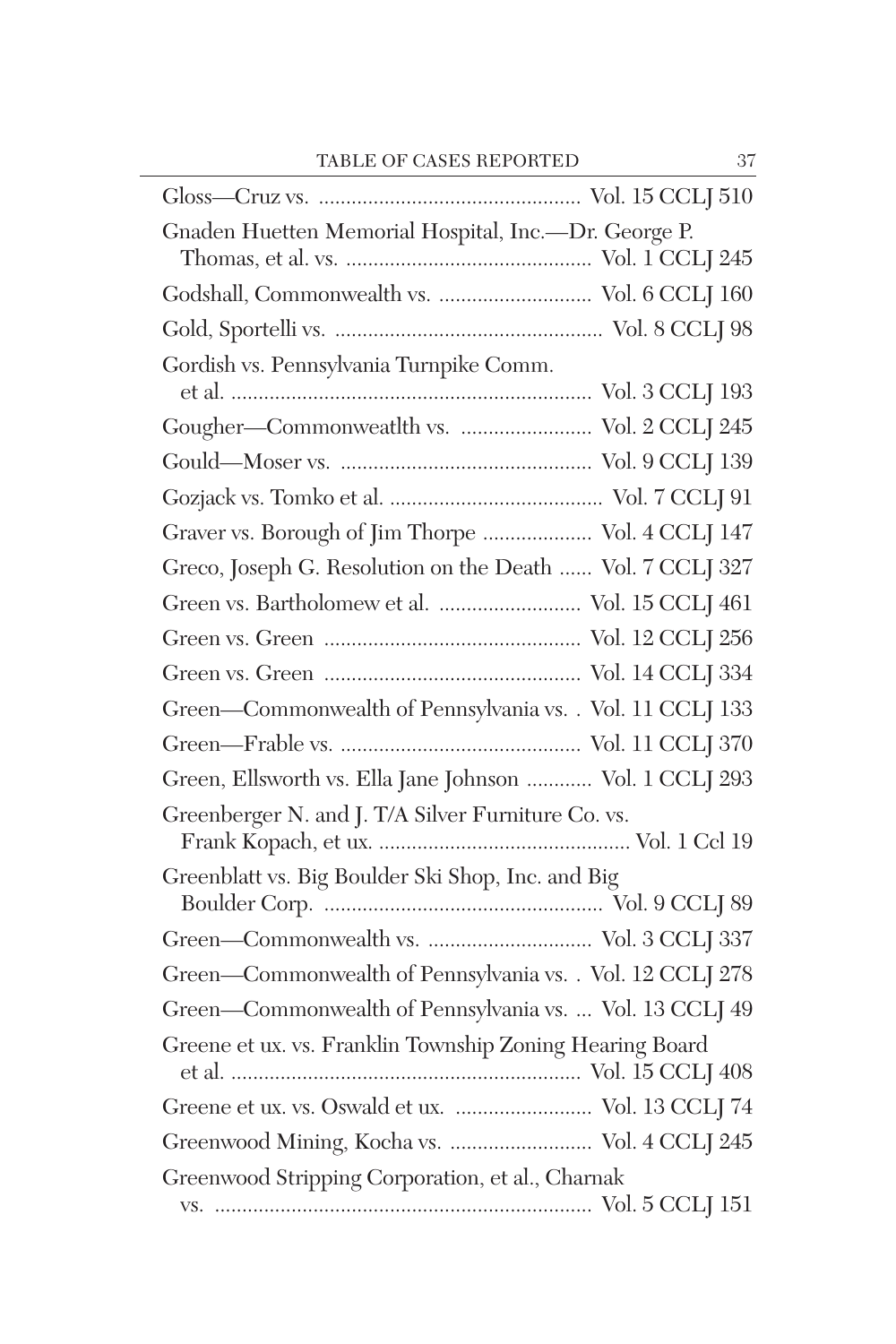| Gnaden Huetten Memorial Hospital, Inc.--Dr. George P.     |  |
|-----------------------------------------------------------|--|
|                                                           |  |
| Godshall, Commonwealth vs.  Vol. 6 CCLJ 160               |  |
|                                                           |  |
| Gordish vs. Pennsylvania Turnpike Comm.                   |  |
|                                                           |  |
| Gougher-Commonweatlth vs.  Vol. 2 CCLJ 245                |  |
|                                                           |  |
|                                                           |  |
| Graver vs. Borough of Jim Thorpe  Vol. 4 CCLJ 147         |  |
| Greco, Joseph G. Resolution on the Death  Vol. 7 CCLJ 327 |  |
| Green vs. Bartholomew et al.  Vol. 15 CCLJ 461            |  |
|                                                           |  |
|                                                           |  |
| Green-Commonwealth of Pennsylvania vs. . Vol. 11 CCLJ 133 |  |
|                                                           |  |
| Green, Ellsworth vs. Ella Jane Johnson  Vol. 1 CCLJ 293   |  |
| Greenberger N. and J. T/A Silver Furniture Co. vs.        |  |
| Greenblatt vs. Big Boulder Ski Shop, Inc. and Big         |  |
|                                                           |  |
|                                                           |  |
| Green-Commonwealth of Pennsylvania vs. . Vol. 12 CCLJ 278 |  |
| Green-Commonwealth of Pennsylvania vs.  Vol. 13 CCLJ 49   |  |
| Greene et ux. vs. Franklin Township Zoning Hearing Board  |  |
| Greene et ux. vs. Oswald et ux.  Vol. 13 CCLJ 74          |  |
| Greenwood Mining, Kocha vs.  Vol. 4 CCLJ 245              |  |
| Greenwood Stripping Corporation, et al., Charnak          |  |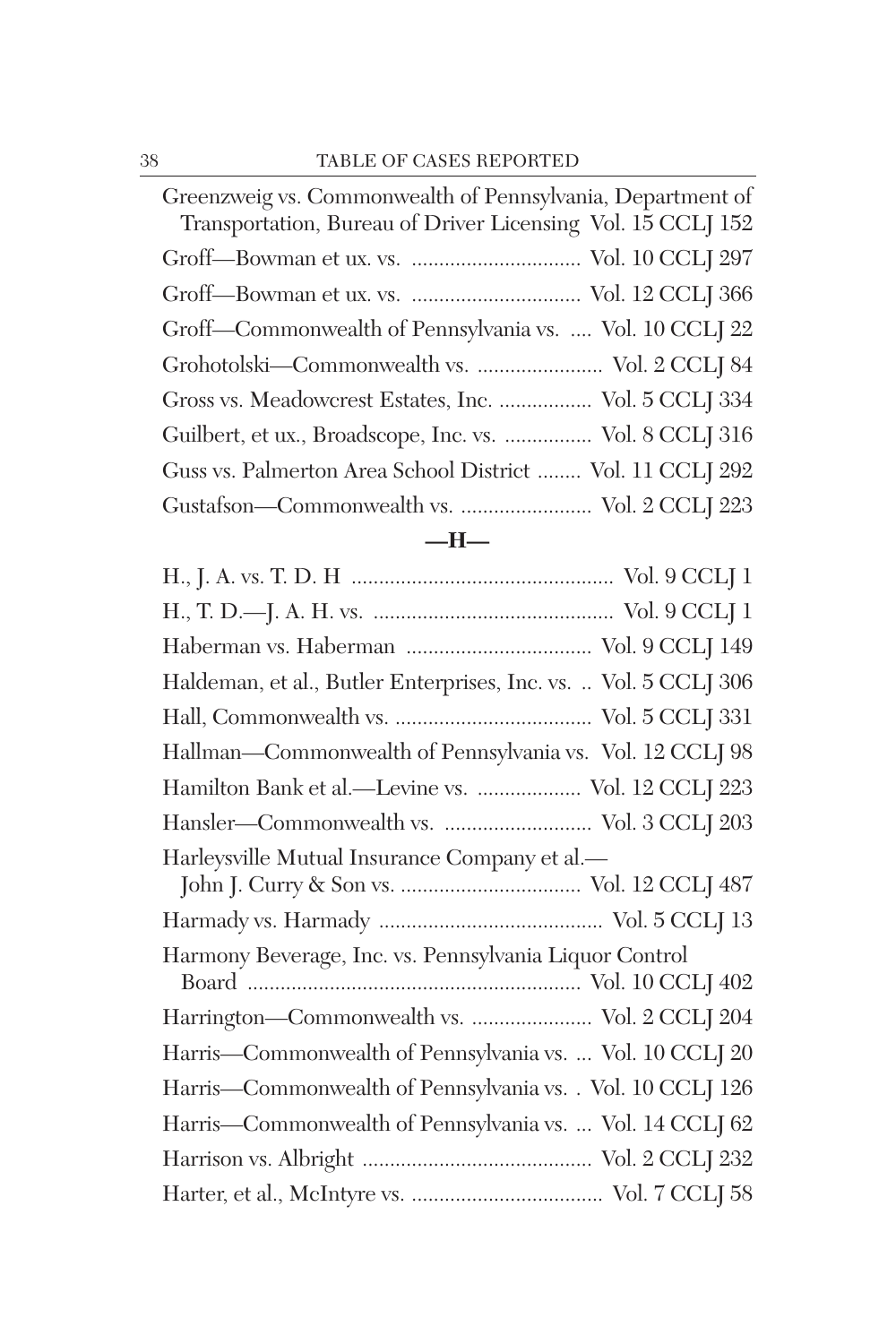| Greenzweig vs. Commonwealth of Pennsylvania, Department of  |
|-------------------------------------------------------------|
| Transportation, Bureau of Driver Licensing Vol. 15 CCLJ 152 |
|                                                             |
|                                                             |
| Groff-Commonwealth of Pennsylvania vs.  Vol. 10 CCLJ 22     |
| Grohotolski—Commonwealth vs.  Vol. 2 CCLJ 84                |
| Gross vs. Meadowcrest Estates, Inc.  Vol. 5 CCLJ 334        |
| Guilbert, et ux., Broadscope, Inc. vs.  Vol. 8 CCLJ 316     |
| Guss vs. Palmerton Area School District  Vol. 11 CCLJ 292   |
| Gustafson—Commonwealth vs.  Vol. 2 CCLJ 223                 |
|                                                             |

## **—H—**

| Haldeman, et al., Butler Enterprises, Inc. vs.  Vol. 5 CCLJ 306 |
|-----------------------------------------------------------------|
|                                                                 |
| Hallman—Commonwealth of Pennsylvania vs. Vol. 12 CCLJ 98        |
| Hamilton Bank et al.-Levine vs.  Vol. 12 CCLJ 223               |
| Hansler—Commonwealth vs.  Vol. 3 CCLJ 203                       |
| Harleysville Mutual Insurance Company et al.-                   |
|                                                                 |
| Harmony Beverage, Inc. vs. Pennsylvania Liquor Control          |
| Harrington-Commonwealth vs.  Vol. 2 CCLJ 204                    |
| Harris-Commonwealth of Pennsylvania vs.  Vol. 10 CCLJ 20        |
| Harris-Commonwealth of Pennsylvania vs. . Vol. 10 CCLJ 126      |
| Harris-Commonwealth of Pennsylvania vs.  Vol. 14 CCLJ 62        |
|                                                                 |
|                                                                 |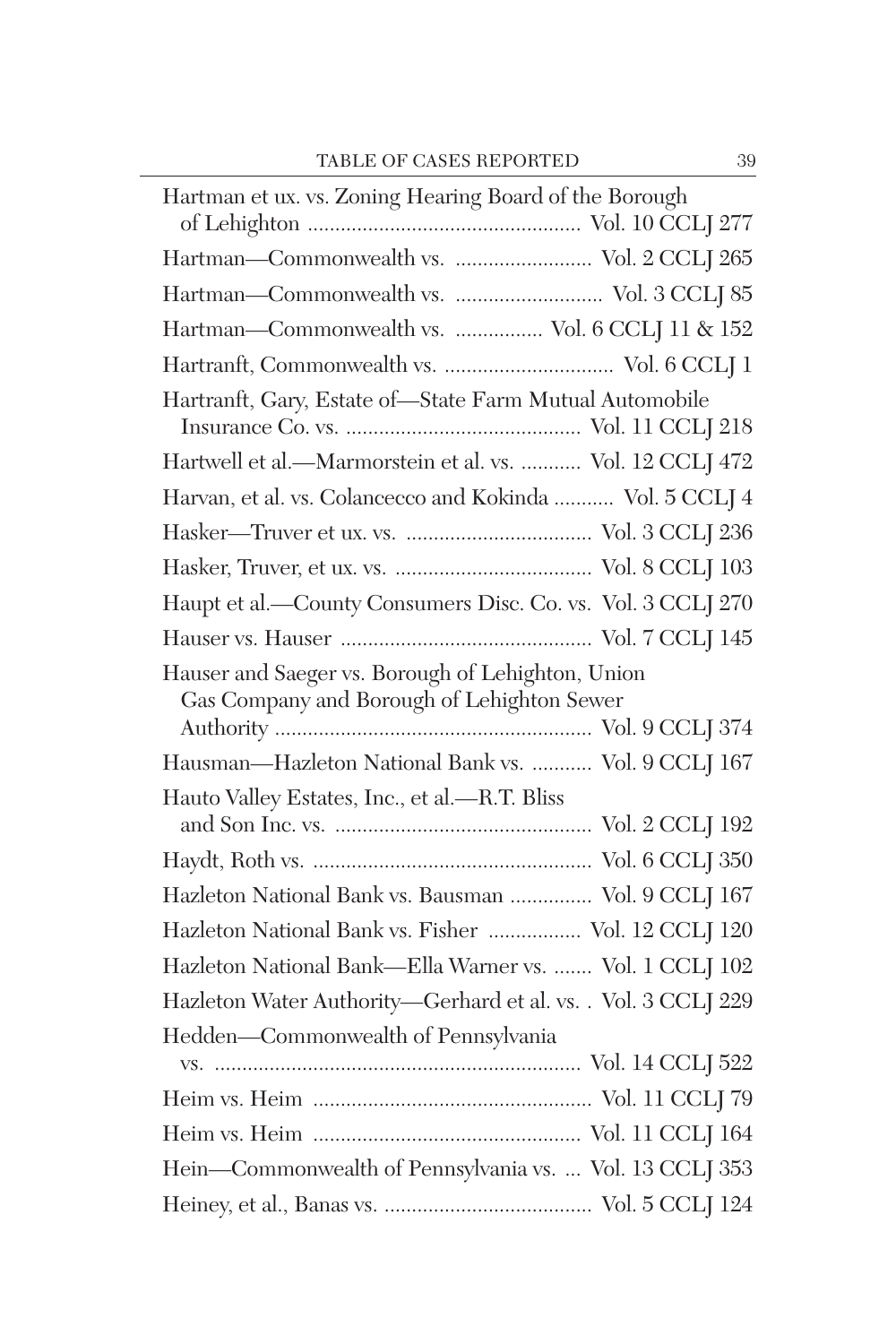| Hartman et ux. vs. Zoning Hearing Board of the Borough                                          |
|-------------------------------------------------------------------------------------------------|
| Hartman-Commonwealth vs.  Vol. 2 CCLJ 265                                                       |
| Hartman-Commonwealth vs.  Vol. 3 CCLJ 85                                                        |
| Hartman-Commonwealth vs.  Vol. 6 CCLJ 11 & 152                                                  |
|                                                                                                 |
| Hartranft, Gary, Estate of-State Farm Mutual Automobile                                         |
| Hartwell et al.-Marmorstein et al. vs.  Vol. 12 CCLJ 472                                        |
| Harvan, et al. vs. Colancecco and Kokinda  Vol. 5 CCLJ 4                                        |
|                                                                                                 |
|                                                                                                 |
| Haupt et al.-County Consumers Disc. Co. vs. Vol. 3 CCLJ 270                                     |
|                                                                                                 |
| Hauser and Saeger vs. Borough of Lehighton, Union<br>Gas Company and Borough of Lehighton Sewer |
| Hausman-Hazleton National Bank vs.  Vol. 9 CCLJ 167                                             |
| Hauto Valley Estates, Inc., et al.-R.T. Bliss                                                   |
|                                                                                                 |
|                                                                                                 |
| Hazleton National Bank vs. Bausman  Vol. 9 CCLJ 167                                             |
| Hazleton National Bank vs. Fisher  Vol. 12 CCLJ 120                                             |
| Hazleton National Bank-Ella Warner vs.  Vol. 1 CCLJ 102                                         |
| Hazleton Water Authority-Gerhard et al. vs. . Vol. 3 CCLJ 229                                   |
| Hedden-Commonwealth of Pennsylvania                                                             |
|                                                                                                 |
|                                                                                                 |
|                                                                                                 |
| Hein-Commonwealth of Pennsylvania vs.  Vol. 13 CCLJ 353                                         |
|                                                                                                 |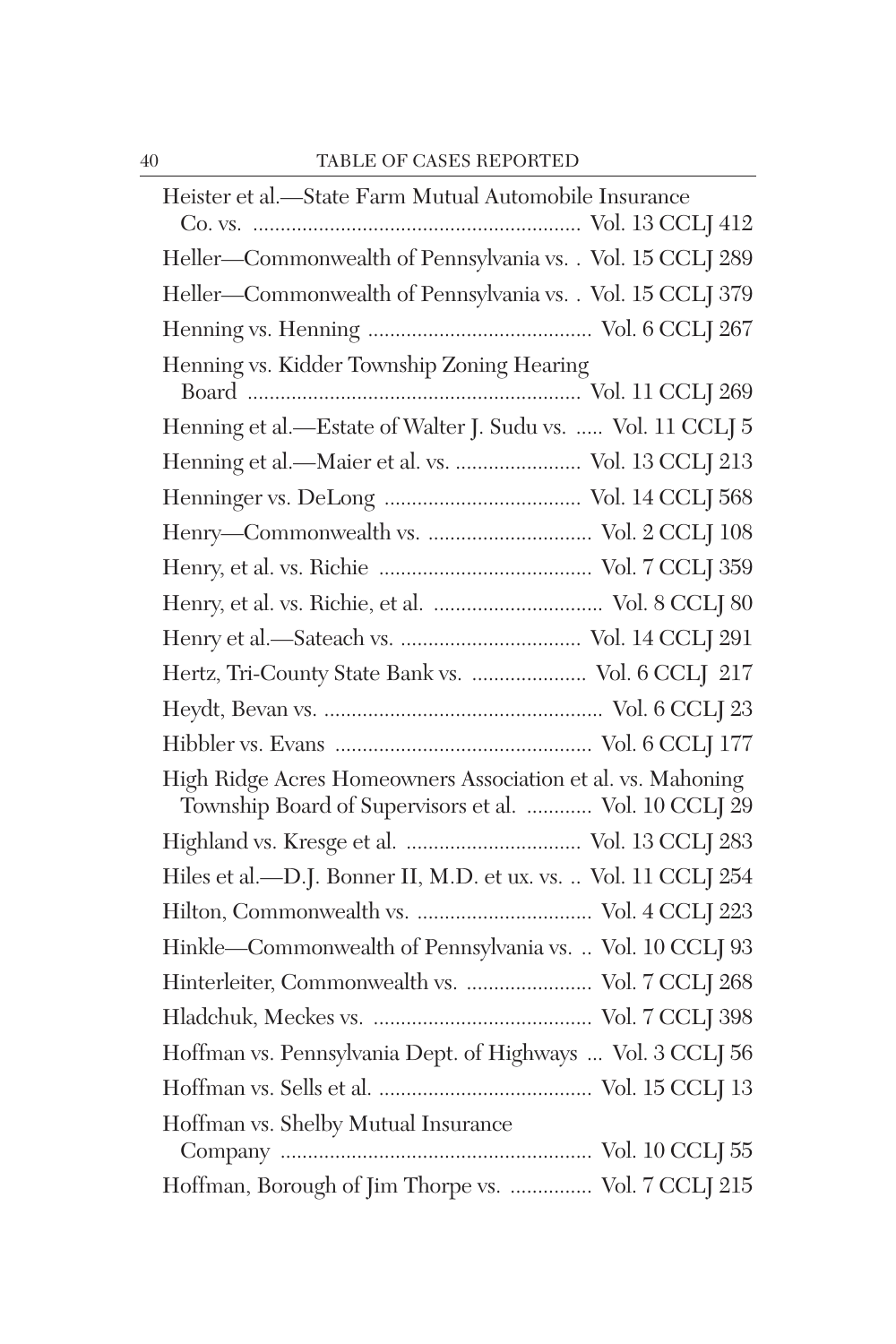| Heister et al.-State Farm Mutual Automobile Insurance                                                                |
|----------------------------------------------------------------------------------------------------------------------|
|                                                                                                                      |
| Heller-Commonwealth of Pennsylvania vs. . Vol. 15 CCLJ 289                                                           |
| Heller-Commonwealth of Pennsylvania vs. . Vol. 15 CCLJ 379                                                           |
|                                                                                                                      |
| Henning vs. Kidder Township Zoning Hearing                                                                           |
|                                                                                                                      |
| Henning et al.-Estate of Walter J. Sudu vs.  Vol. 11 CCLJ 5                                                          |
| Henning et al.-Maier et al. vs.  Vol. 13 CCLJ 213                                                                    |
|                                                                                                                      |
| Henry-Commonwealth vs.  Vol. 2 CCLJ 108                                                                              |
|                                                                                                                      |
|                                                                                                                      |
|                                                                                                                      |
| Hertz, Tri-County State Bank vs.  Vol. 6 CCLJ 217                                                                    |
|                                                                                                                      |
|                                                                                                                      |
| High Ridge Acres Homeowners Association et al. vs. Mahoning<br>Township Board of Supervisors et al.  Vol. 10 CCLJ 29 |
|                                                                                                                      |
| Hiles et al.-D.J. Bonner II, M.D. et ux. vs.  Vol. 11 CCLJ 254                                                       |
|                                                                                                                      |
| Hinkle-Commonwealth of Pennsylvania vs.  Vol. 10 CCLJ 93                                                             |
| Hinterleiter, Commonwealth vs.  Vol. 7 CCLJ 268                                                                      |
|                                                                                                                      |
| Hoffman vs. Pennsylvania Dept. of Highways  Vol. 3 CCLJ 56                                                           |
|                                                                                                                      |
| Hoffman vs. Shelby Mutual Insurance                                                                                  |
|                                                                                                                      |
| Hoffman, Borough of Jim Thorpe vs.  Vol. 7 CCLJ 215                                                                  |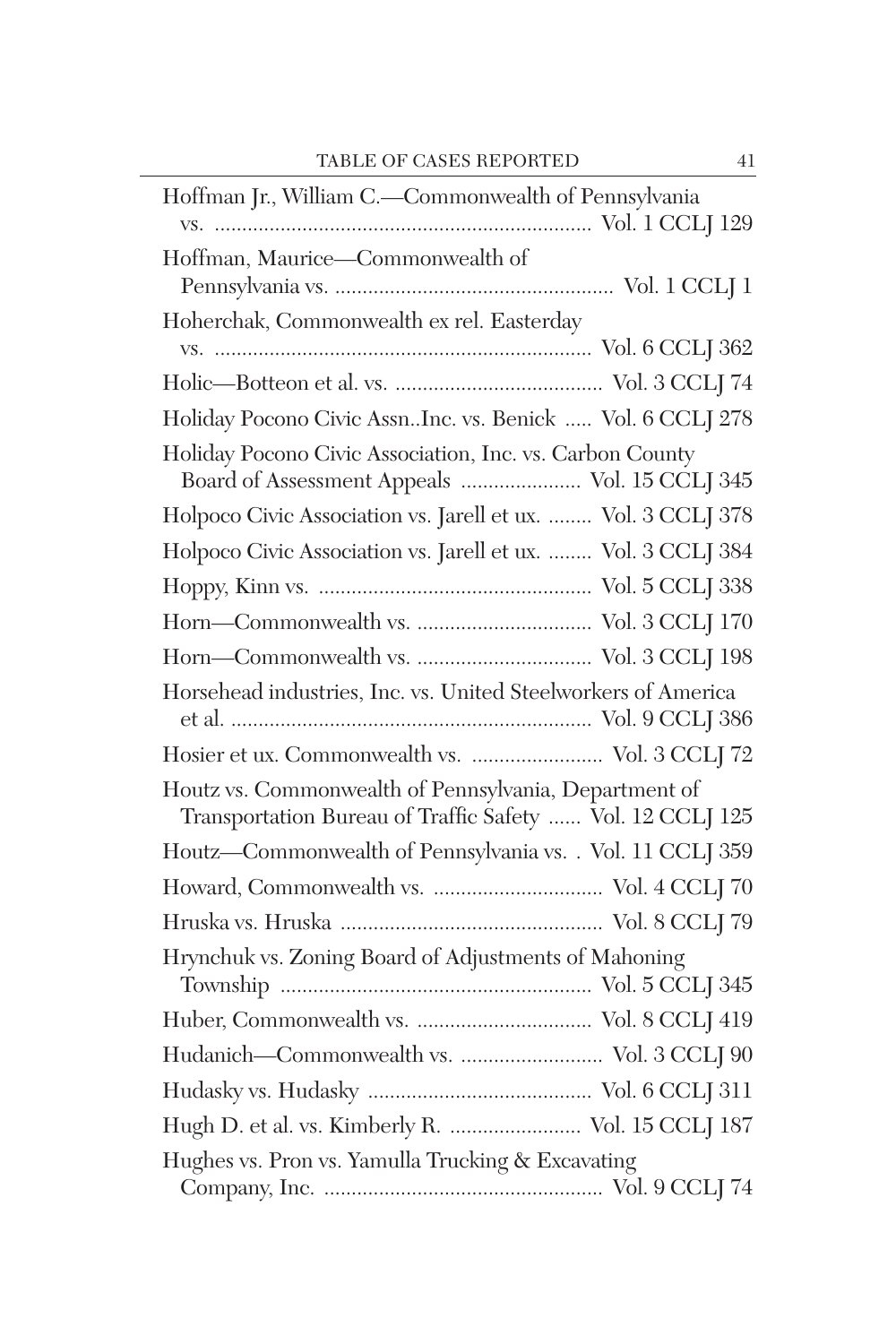| Hoffman Jr., William C.-Commonwealth of Pennsylvania                                                               |
|--------------------------------------------------------------------------------------------------------------------|
|                                                                                                                    |
| Hoffman, Maurice-Commonwealth of                                                                                   |
|                                                                                                                    |
| Hoherchak, Commonwealth ex rel. Easterday                                                                          |
|                                                                                                                    |
|                                                                                                                    |
| Holiday Pocono Civic Assn. Inc. vs. Benick  Vol. 6 CCLJ 278                                                        |
| Holiday Pocono Civic Association, Inc. vs. Carbon County<br>Board of Assessment Appeals  Vol. 15 CCLJ 345          |
| Holpoco Civic Association vs. Jarell et ux.  Vol. 3 CCLJ 378                                                       |
|                                                                                                                    |
| Holpoco Civic Association vs. Jarell et ux.  Vol. 3 CCLJ 384                                                       |
|                                                                                                                    |
|                                                                                                                    |
|                                                                                                                    |
| Horsehead industries, Inc. vs. United Steelworkers of America                                                      |
|                                                                                                                    |
| Hosier et ux. Commonwealth vs.  Vol. 3 CCLJ 72                                                                     |
| Houtz vs. Commonwealth of Pennsylvania, Department of<br>Transportation Bureau of Traffic Safety  Vol. 12 CCLJ 125 |
| Houtz-Commonwealth of Pennsylvania vs. . Vol. 11 CCLJ 359                                                          |
|                                                                                                                    |
|                                                                                                                    |
| Hrynchuk vs. Zoning Board of Adjustments of Mahoning                                                               |
|                                                                                                                    |
| Hudanich-Commonwealth vs.  Vol. 3 CCLJ 90                                                                          |
|                                                                                                                    |
| Hugh D. et al. vs. Kimberly R.  Vol. 15 CCLJ 187                                                                   |
| Hughes vs. Pron vs. Yamulla Trucking & Excavating                                                                  |
|                                                                                                                    |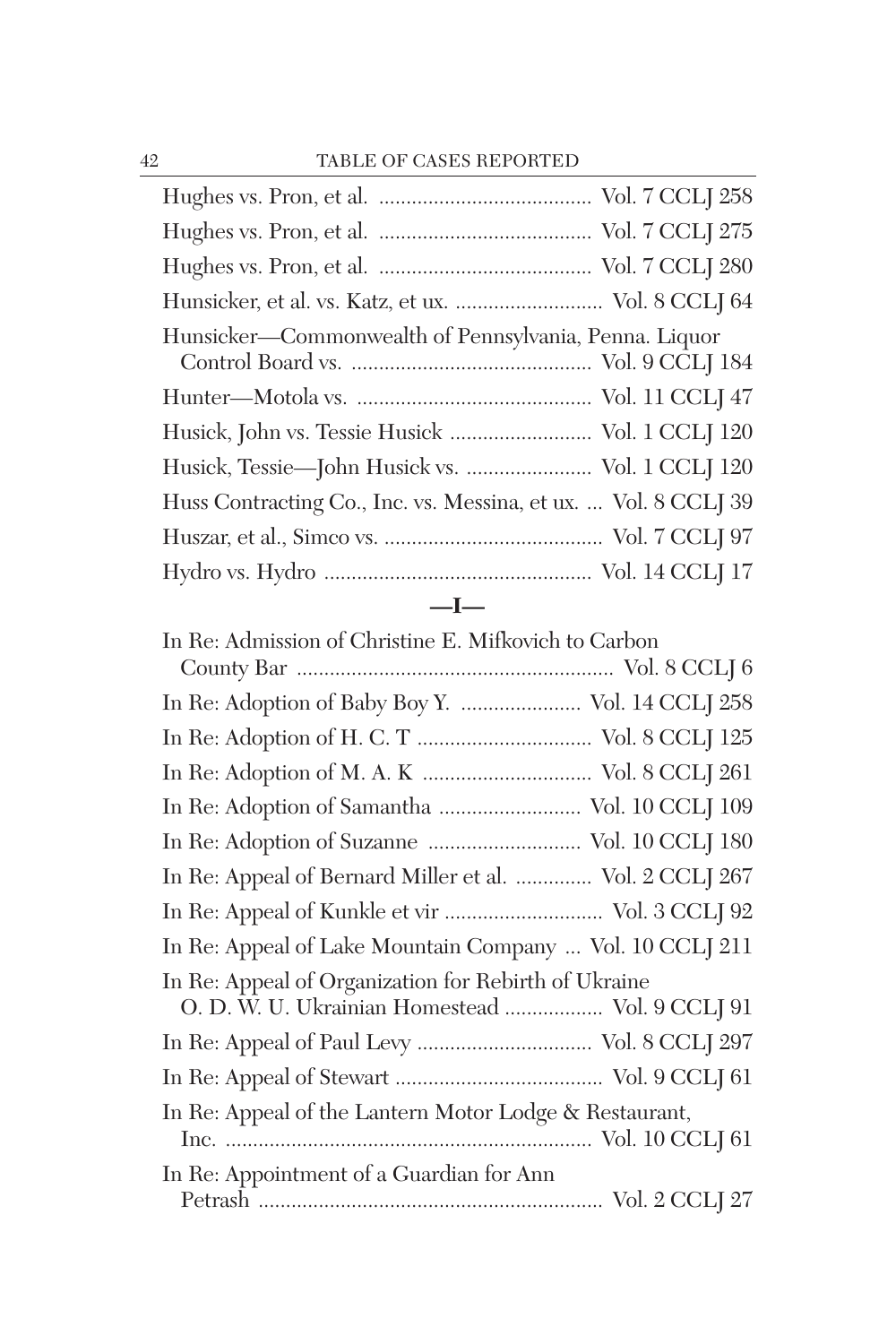| Hunsicker, et al. vs. Katz, et ux.  Vol. 8 CCLJ 64             |
|----------------------------------------------------------------|
| Hunsicker—Commonwealth of Pennsylvania, Penna. Liquor          |
|                                                                |
| Husick, John vs. Tessie Husick  Vol. $1$ CCLJ $120\,$          |
| Husick, Tessie—John Husick vs.  Vol. 1 CCLJ 120                |
| Huss Contracting Co., Inc. vs. Messina, et ux.  Vol. 8 CCLJ 39 |
|                                                                |
|                                                                |
|                                                                |

| In Re: Admission of Christine E. Mifkovich to Carbon     |
|----------------------------------------------------------|
|                                                          |
| In Re: Adoption of Baby Boy Y.  Vol. 14 CCLJ 258         |
|                                                          |
|                                                          |
| In Re: Adoption of Samantha  Vol. 10 CCLJ 109            |
| In Re: Adoption of Suzanne  Vol. 10 CCLJ 180             |
| In Re: Appeal of Bernard Miller et al.  Vol. 2 CCLJ 267  |
| In Re: Appeal of Kunkle et vir  Vol. 3 CCLJ 92           |
| In Re: Appeal of Lake Mountain Company  Vol. 10 CCLJ 211 |
| In Re: Appeal of Organization for Rebirth of Ukraine     |
| O. D. W. U. Ukrainian Homestead  Vol. 9 CCLJ 91          |
|                                                          |
|                                                          |
| In Re: Appeal of the Lantern Motor Lodge & Restaurant,   |
|                                                          |
| In Re: Appointment of a Guardian for Ann                 |
|                                                          |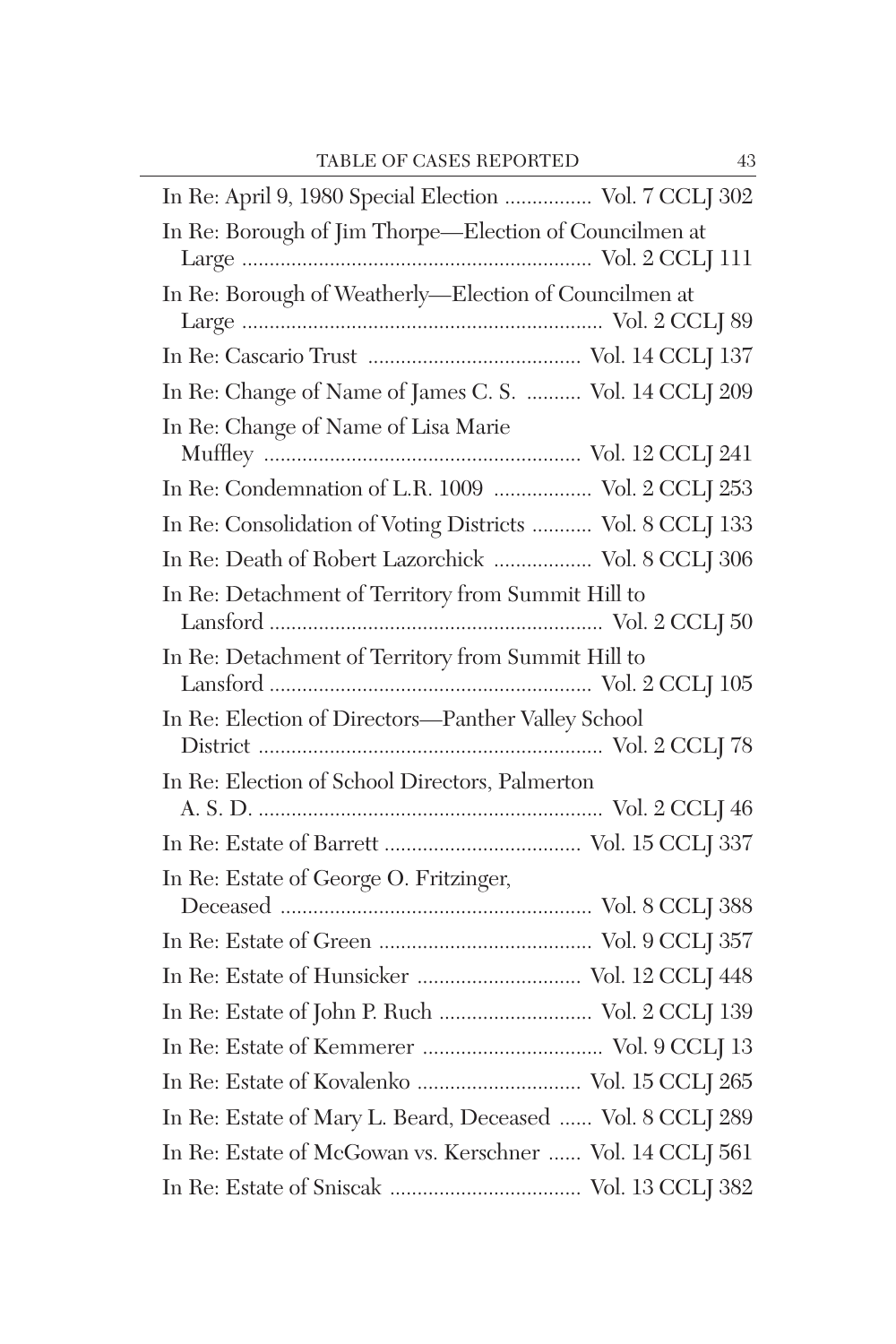| In Re: April 9, 1980 Special Election  Vol. 7 CCLJ 302    |
|-----------------------------------------------------------|
| In Re: Borough of Jim Thorpe-Election of Councilmen at    |
| In Re: Borough of Weatherly-Election of Councilmen at     |
|                                                           |
| In Re: Change of Name of James C. S.  Vol. 14 CCLJ 209    |
| In Re: Change of Name of Lisa Marie                       |
| In Re: Condemnation of L.R. 1009  Vol. 2 CCLJ 253         |
| In Re: Consolidation of Voting Districts  Vol. 8 CCLJ 133 |
| In Re: Death of Robert Lazorchick  Vol. 8 CCLJ 306        |
| In Re: Detachment of Territory from Summit Hill to        |
| In Re: Detachment of Territory from Summit Hill to        |
| In Re: Election of Directors-Panther Valley School        |
| In Re: Election of School Directors, Palmerton            |
|                                                           |
|                                                           |
| In Re: Estate of George O. Fritzinger,                    |
|                                                           |
|                                                           |
| In Re: Estate of Hunsicker  Vol. 12 CCLJ 448              |
|                                                           |
|                                                           |
| In Re: Estate of Kovalenko  Vol. 15 CCLJ 265              |
| In Re: Estate of Mary L. Beard, Deceased  Vol. 8 CCLJ 289 |
| In Re: Estate of McGowan vs. Kerschner  Vol. 14 CCLJ 561  |
|                                                           |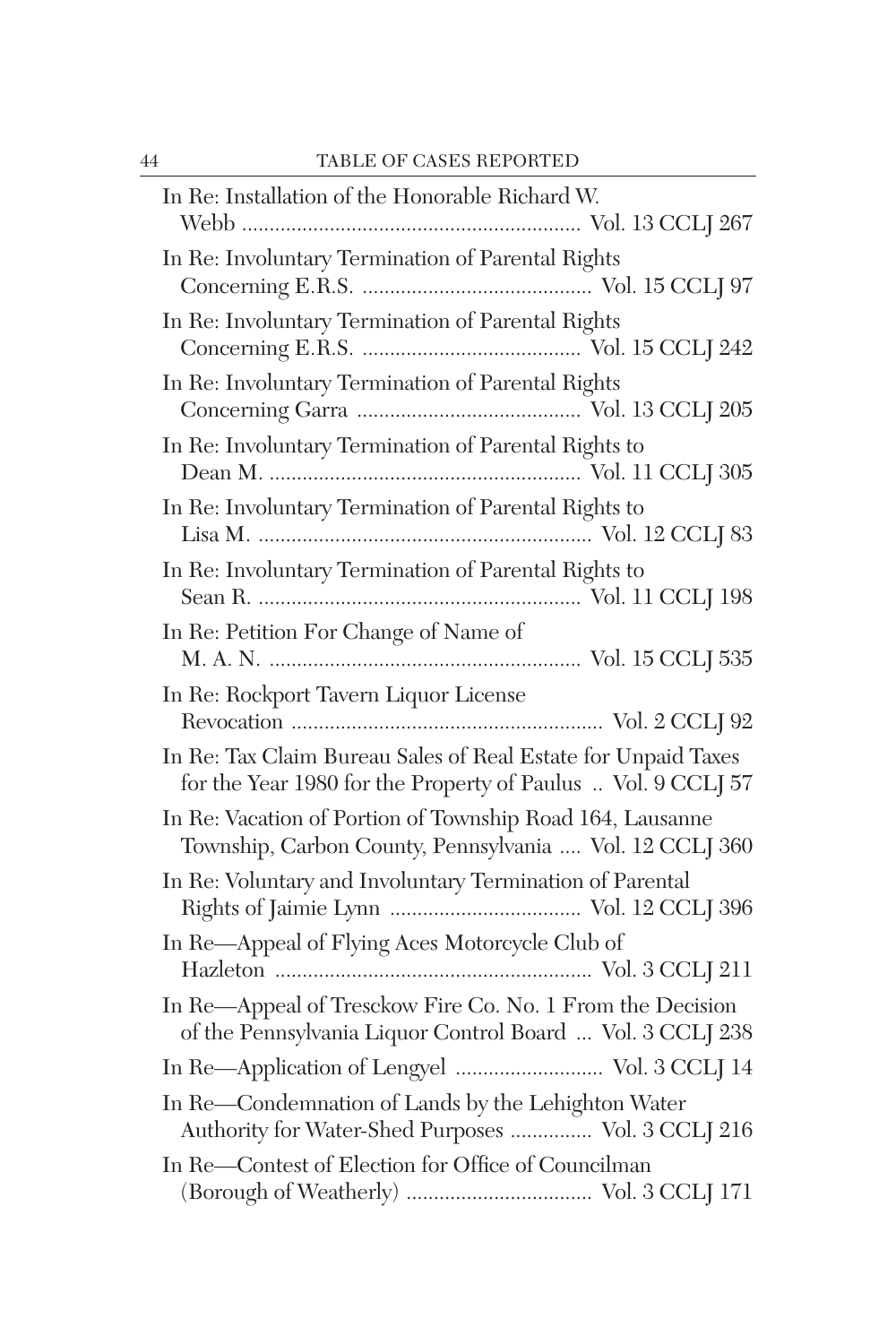| In Re: Installation of the Honorable Richard W.                                                                               |
|-------------------------------------------------------------------------------------------------------------------------------|
| In Re: Involuntary Termination of Parental Rights                                                                             |
| In Re: Involuntary Termination of Parental Rights                                                                             |
| In Re: Involuntary Termination of Parental Rights                                                                             |
| In Re: Involuntary Termination of Parental Rights to                                                                          |
| In Re: Involuntary Termination of Parental Rights to                                                                          |
| In Re: Involuntary Termination of Parental Rights to                                                                          |
| In Re: Petition For Change of Name of                                                                                         |
| In Re: Rockport Tavern Liquor License                                                                                         |
| In Re: Tax Claim Bureau Sales of Real Estate for Unpaid Taxes<br>for the Year 1980 for the Property of Paulus  Vol. 9 CCLJ 57 |
| In Re: Vacation of Portion of Township Road 164, Lausanne<br>Township, Carbon County, Pennsylvania  Vol. 12 CCLJ 360          |
| In Re: Voluntary and Involuntary Termination of Parental                                                                      |
| In Re-Appeal of Flying Aces Motorcycle Club of                                                                                |
| In Re-Appeal of Tresckow Fire Co. No. 1 From the Decision<br>of the Pennsylvania Liquor Control Board  Vol. 3 CCLJ 238        |
|                                                                                                                               |
| In Re-Condemnation of Lands by the Lehighton Water<br>Authority for Water-Shed Purposes  Vol. 3 CCLJ 216                      |
| In Re-Contest of Election for Office of Councilman                                                                            |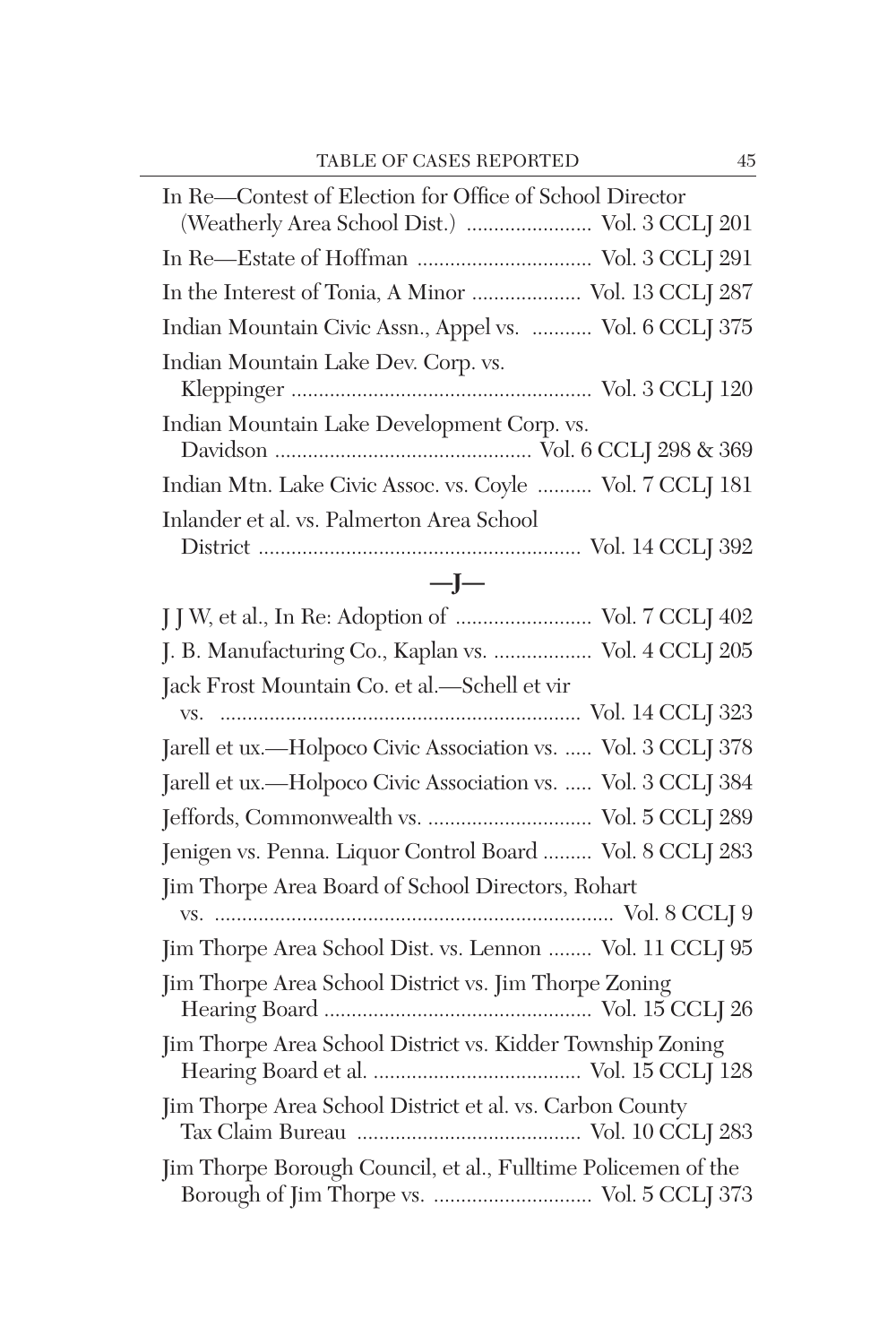| In Re-Contest of Election for Office of School Director<br>(Weatherly Area School Dist.)  Vol. 3 CCLJ 201 |
|-----------------------------------------------------------------------------------------------------------|
|                                                                                                           |
| In the Interest of Tonia, A Minor  Vol. 13 CCLJ 287                                                       |
| Indian Mountain Civic Assn., Appel vs.  Vol. 6 CCLJ 375                                                   |
| Indian Mountain Lake Dev. Corp. vs.                                                                       |
| Indian Mountain Lake Development Corp. vs.                                                                |
| Indian Mtn. Lake Civic Assoc. vs. Coyle  Vol. 7 CCLJ 181                                                  |
| Inlander et al. vs. Palmerton Area School                                                                 |
| $-I-$                                                                                                     |
| J J W, et al., In Re: Adoption of  Vol. 7 CCLJ 402                                                        |
| J. B. Manufacturing Co., Kaplan vs.  Vol. 4 CCLJ 205                                                      |
| Jack Frost Mountain Co. et al.-Schell et vir                                                              |
|                                                                                                           |
| Jarell et ux.—Holpoco Civic Association vs.  Vol. 3 CCLJ 378                                              |
| Jarell et ux.-Holpoco Civic Association vs.  Vol. 3 CCLJ 384                                              |
|                                                                                                           |
| Jenigen vs. Penna. Liquor Control Board  Vol. 8 CCLJ 283                                                  |
| Jim Thorpe Area Board of School Directors, Rohart                                                         |
| Jim Thorpe Area School Dist. vs. Lennon  Vol. 11 CCLJ 95                                                  |
| Jim Thorpe Area School District vs. Jim Thorpe Zoning                                                     |
| Jim Thorpe Area School District vs. Kidder Township Zoning                                                |
| Jim Thorpe Area School District et al. vs. Carbon County                                                  |
| Jim Thorpe Borough Council, et al., Fulltime Policemen of the                                             |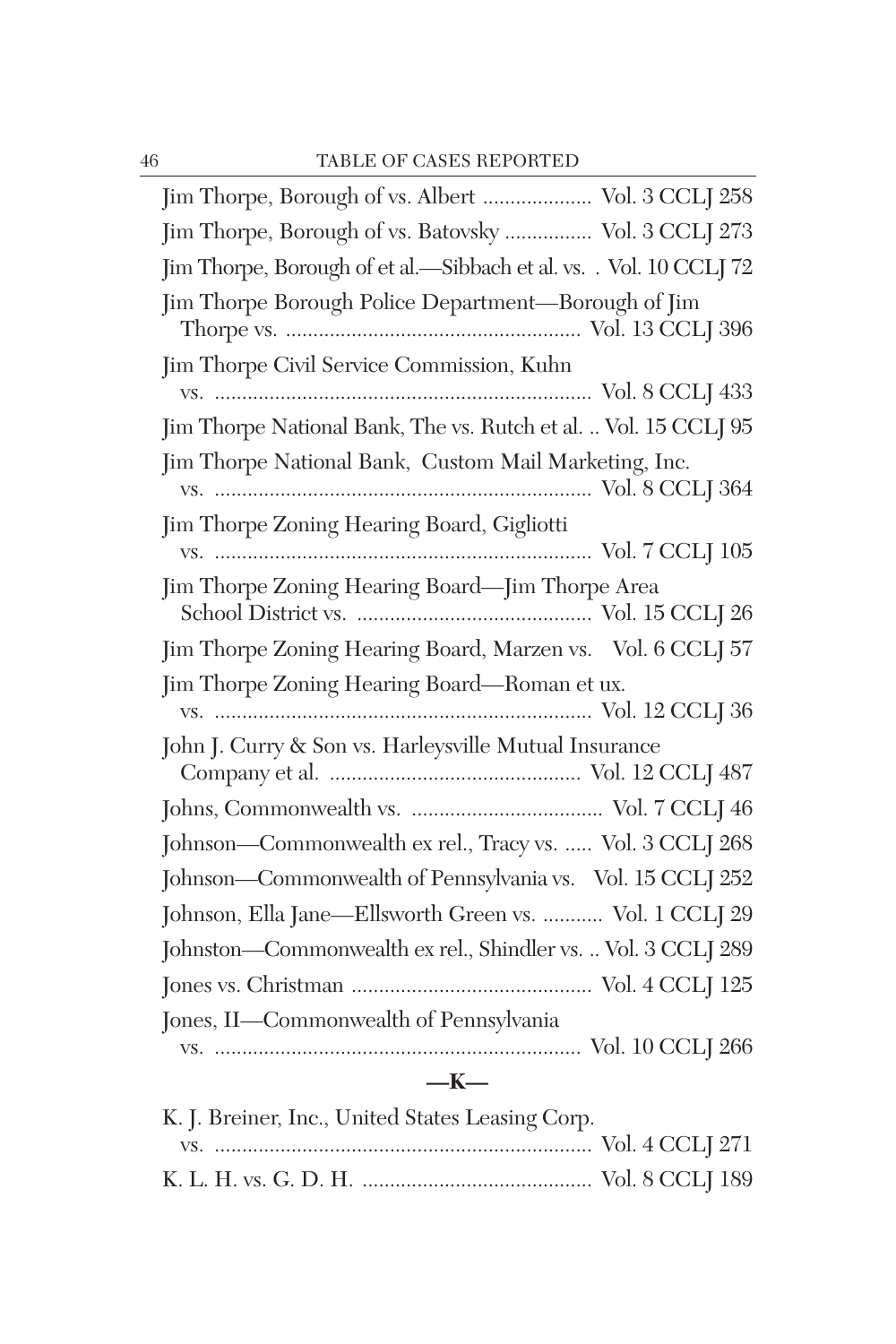| Jim Thorpe, Borough of vs. Albert  Vol. 3 CCLJ 258                 |
|--------------------------------------------------------------------|
| Jim Thorpe, Borough of vs. Batovsky  Vol. 3 CCLJ 273               |
| Jim Thorpe, Borough of et al.-Sibbach et al. vs. . Vol. 10 CCLJ 72 |
| Jim Thorpe Borough Police Department-Borough of Jim                |
| Jim Thorpe Civil Service Commission, Kuhn                          |
|                                                                    |
| Jim Thorpe National Bank, The vs. Rutch et al.  Vol. 15 CCLJ 95    |
| Jim Thorpe National Bank, Custom Mail Marketing, Inc.              |
| Jim Thorpe Zoning Hearing Board, Gigliotti                         |
|                                                                    |
| Jim Thorpe Zoning Hearing Board—Jim Thorpe Area                    |
|                                                                    |
| Jim Thorpe Zoning Hearing Board, Marzen vs. Vol. 6 CCLJ 57         |
| Jim Thorpe Zoning Hearing Board-Roman et ux.                       |
|                                                                    |
| John J. Curry & Son vs. Harleysville Mutual Insurance              |
|                                                                    |
| Johnson-Commonwealth ex rel., Tracy vs.  Vol. 3 CCLJ 268           |
| Johnson-Commonwealth of Pennsylvania vs. Vol. 15 CCLJ 252          |
| Johnson, Ella Jane-Ellsworth Green vs.  Vol. 1 CCLJ 29             |
| Johnston-Commonwealth ex rel., Shindler vs.  Vol. 3 CCLJ 289       |
|                                                                    |
| Jones, II-Commonwealth of Pennsylvania                             |
|                                                                    |
| $-K-$                                                              |

| K. J. Breiner, Inc., United States Leasing Corp. |  |
|--------------------------------------------------|--|
|                                                  |  |
|                                                  |  |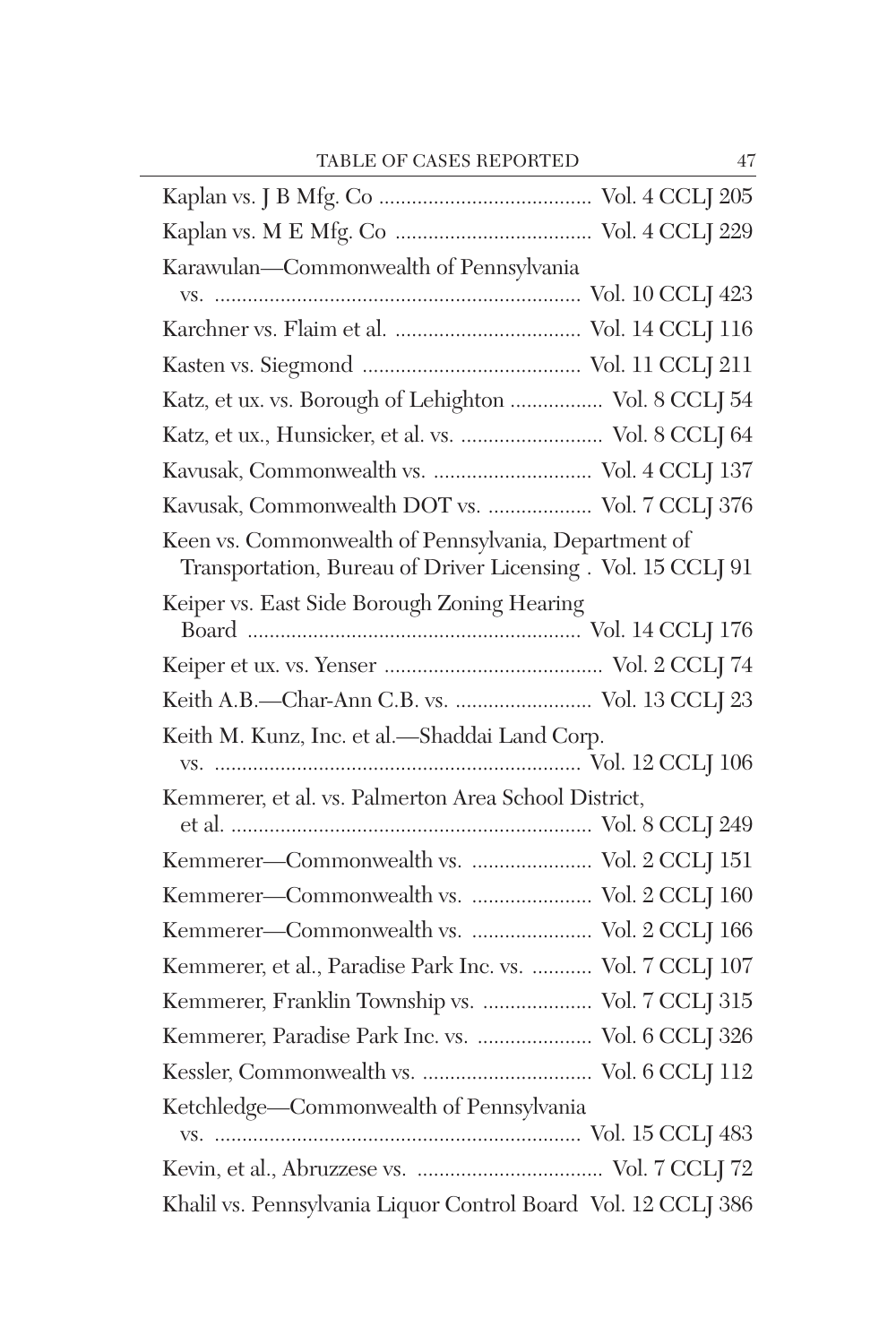| Karawulan-Commonwealth of Pennsylvania                                                                              |
|---------------------------------------------------------------------------------------------------------------------|
|                                                                                                                     |
|                                                                                                                     |
|                                                                                                                     |
| Katz, et ux. vs. Borough of Lehighton  Vol. 8 CCLJ 54                                                               |
| Katz, et ux., Hunsicker, et al. vs.  Vol. 8 CCLJ 64                                                                 |
|                                                                                                                     |
| Kavusak, Commonwealth DOT vs.  Vol. 7 CCLJ 376                                                                      |
| Keen vs. Commonwealth of Pennsylvania, Department of<br>Transportation, Bureau of Driver Licensing. Vol. 15 CCLJ 91 |
| Keiper vs. East Side Borough Zoning Hearing                                                                         |
|                                                                                                                     |
| Keith A.B.-Char-Ann C.B. vs.  Vol. 13 CCLJ 23                                                                       |
| Keith M. Kunz, Inc. et al.-Shaddai Land Corp.                                                                       |
|                                                                                                                     |
| Kemmerer, et al. vs. Palmerton Area School District,                                                                |
|                                                                                                                     |
| Kemmerer-Commonwealth vs.  Vol. 2 CCLJ 151                                                                          |
| Kemmerer-Commonwealth vs.  Vol. 2 CCLJ 160                                                                          |
| Kemmerer-Commonwealth vs.  Vol. 2 CCLJ 166                                                                          |
| Kemmerer, et al., Paradise Park Inc. vs.  Vol. 7 CCLJ 107                                                           |
| Kemmerer, Franklin Township vs.  Vol. 7 CCLJ 315                                                                    |
| Kemmerer, Paradise Park Inc. vs.  Vol. 6 CCLJ 326                                                                   |
|                                                                                                                     |
| Ketchledge-Commonwealth of Pennsylvania                                                                             |
|                                                                                                                     |
| Khalil vs. Pennsylvania Liquor Control Board Vol. 12 CCLJ 386                                                       |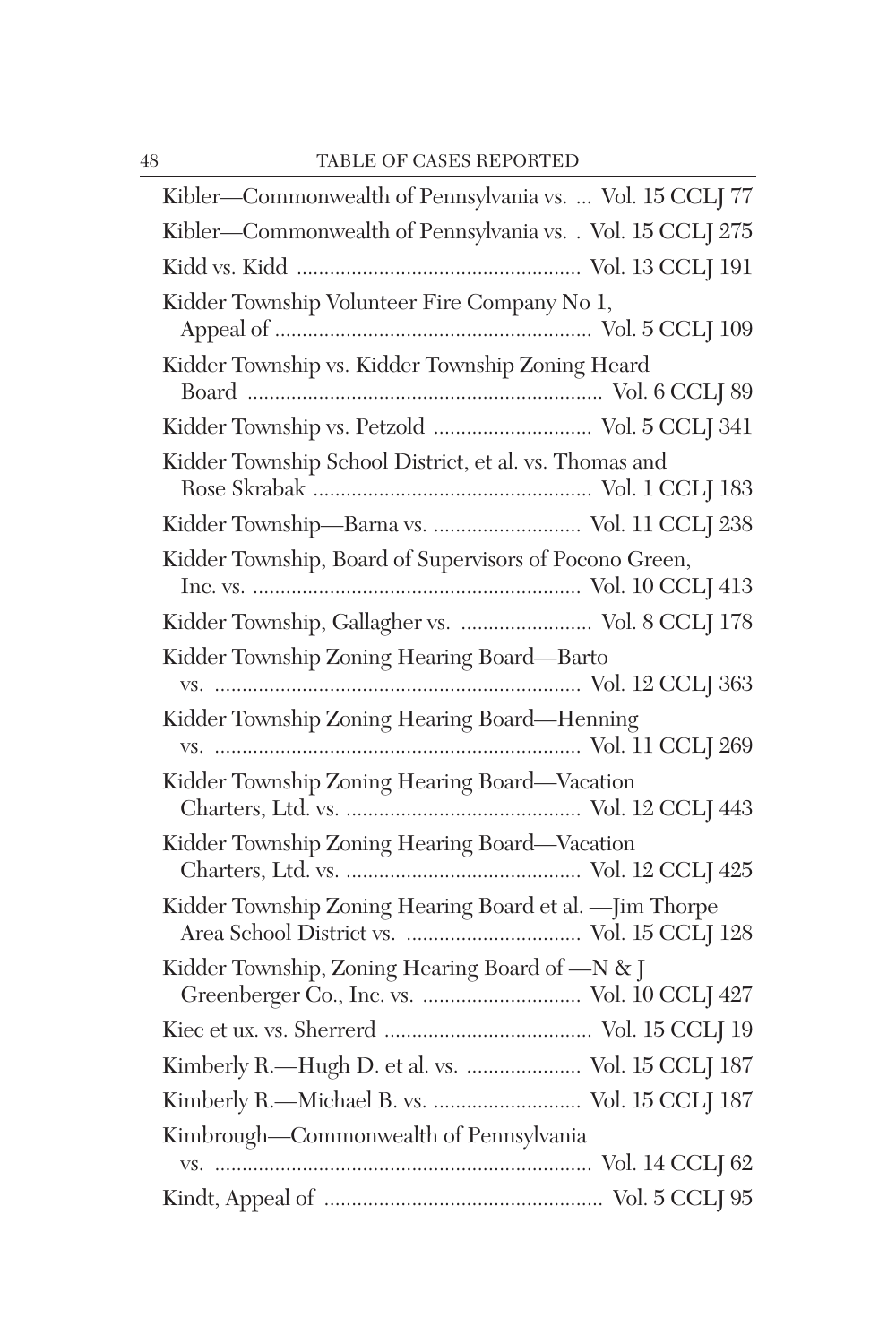| Kibler—Commonwealth of Pennsylvania vs.  Vol. 15 CCL 77                                        |
|------------------------------------------------------------------------------------------------|
| Kibler-Commonwealth of Pennsylvania vs. . Vol. 15 CCLJ 275                                     |
|                                                                                                |
| Kidder Township Volunteer Fire Company No 1,                                                   |
| Kidder Township vs. Kidder Township Zoning Heard                                               |
| Kidder Township vs. Petzold  Vol. 5 CCLJ 341                                                   |
| Kidder Township School District, et al. vs. Thomas and                                         |
| Kidder Township-Barna vs.  Vol. 11 CCLJ 238                                                    |
| Kidder Township, Board of Supervisors of Pocono Green,                                         |
| Kidder Township, Gallagher vs.  Vol. 8 CCLJ 178                                                |
| Kidder Township Zoning Hearing Board-Barto                                                     |
| Kidder Township Zoning Hearing Board-Henning                                                   |
| Kidder Township Zoning Hearing Board-Vacation                                                  |
| Kidder Township Zoning Hearing Board-Vacation                                                  |
| Kidder Township Zoning Hearing Board et al. - Jim Thorpe                                       |
| Kidder Township, Zoning Hearing Board of -N & J<br>Greenberger Co., Inc. vs.  Vol. 10 CCLJ 427 |
|                                                                                                |
| Kimberly R.—Hugh D. et al. vs.  Vol. 15 CCLJ 187                                               |
| Kimberly R.-Michael B. vs.  Vol. 15 CCLJ 187                                                   |
| Kimbrough-Commonwealth of Pennsylvania                                                         |
|                                                                                                |
|                                                                                                |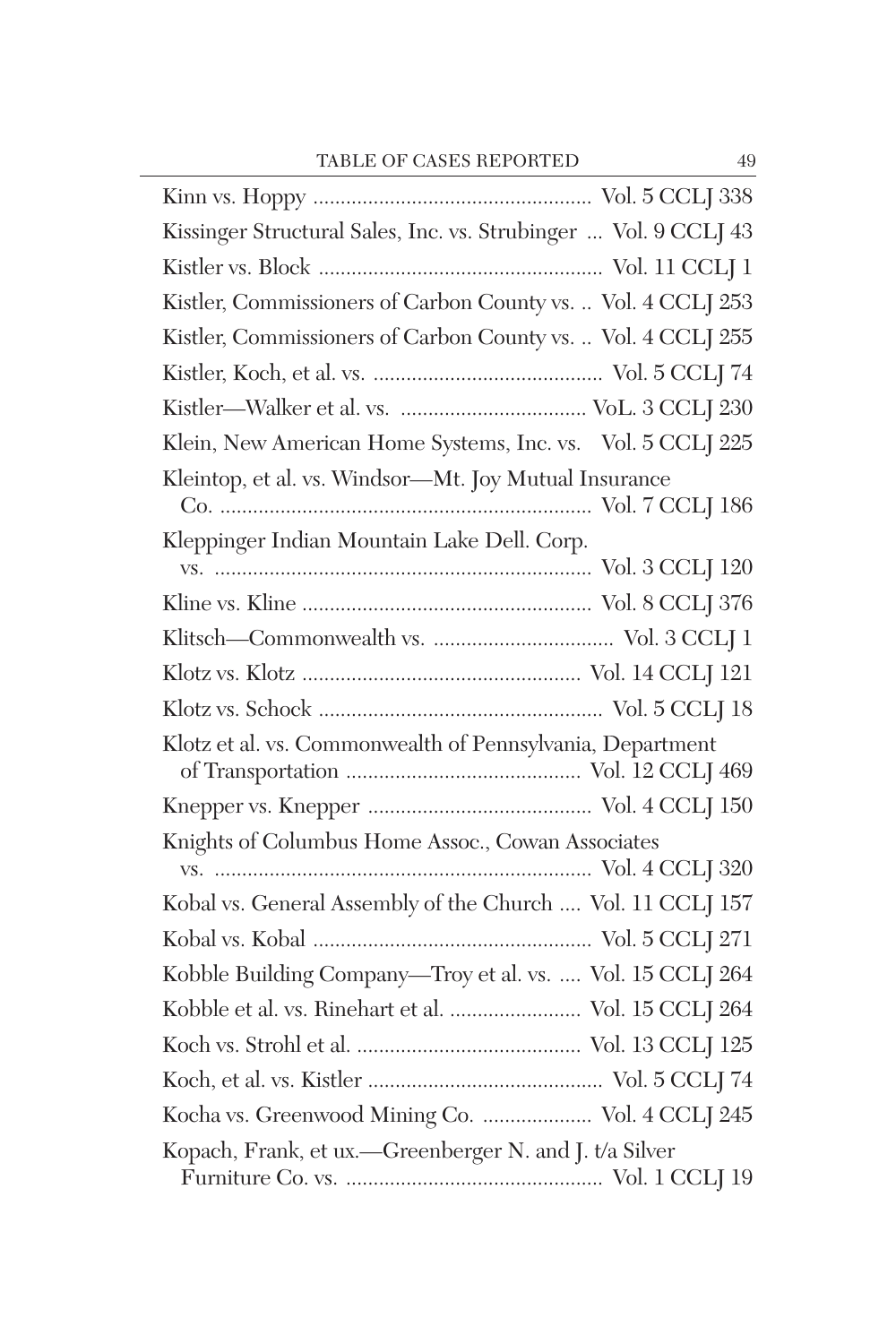| Kissinger Structural Sales, Inc. vs. Strubinger  Vol. 9 CCLJ 43 |
|-----------------------------------------------------------------|
|                                                                 |
| Kistler, Commissioners of Carbon County vs.  Vol. 4 CCLJ 253    |
| Kistler, Commissioners of Carbon County vs.  Vol. 4 CCLJ 255    |
|                                                                 |
|                                                                 |
| Klein, New American Home Systems, Inc. vs. Vol. 5 CCLJ 225      |
| Kleintop, et al. vs. Windsor-Mt. Joy Mutual Insurance           |
| Kleppinger Indian Mountain Lake Dell. Corp.                     |
|                                                                 |
|                                                                 |
|                                                                 |
|                                                                 |
|                                                                 |
| Klotz et al. vs. Commonwealth of Pennsylvania, Department       |
|                                                                 |
| Knights of Columbus Home Assoc., Cowan Associates               |
|                                                                 |
| Kobal vs. General Assembly of the Church  Vol. 11 CCLJ 157      |
|                                                                 |
| Kobble Building Company-Troy et al. vs.  Vol. 15 CCLJ 264       |
| Kobble et al. vs. Rinehart et al.  Vol. 15 CCLJ 264             |
|                                                                 |
|                                                                 |
|                                                                 |
| Kocha vs. Greenwood Mining Co.  Vol. 4 CCLJ 245                 |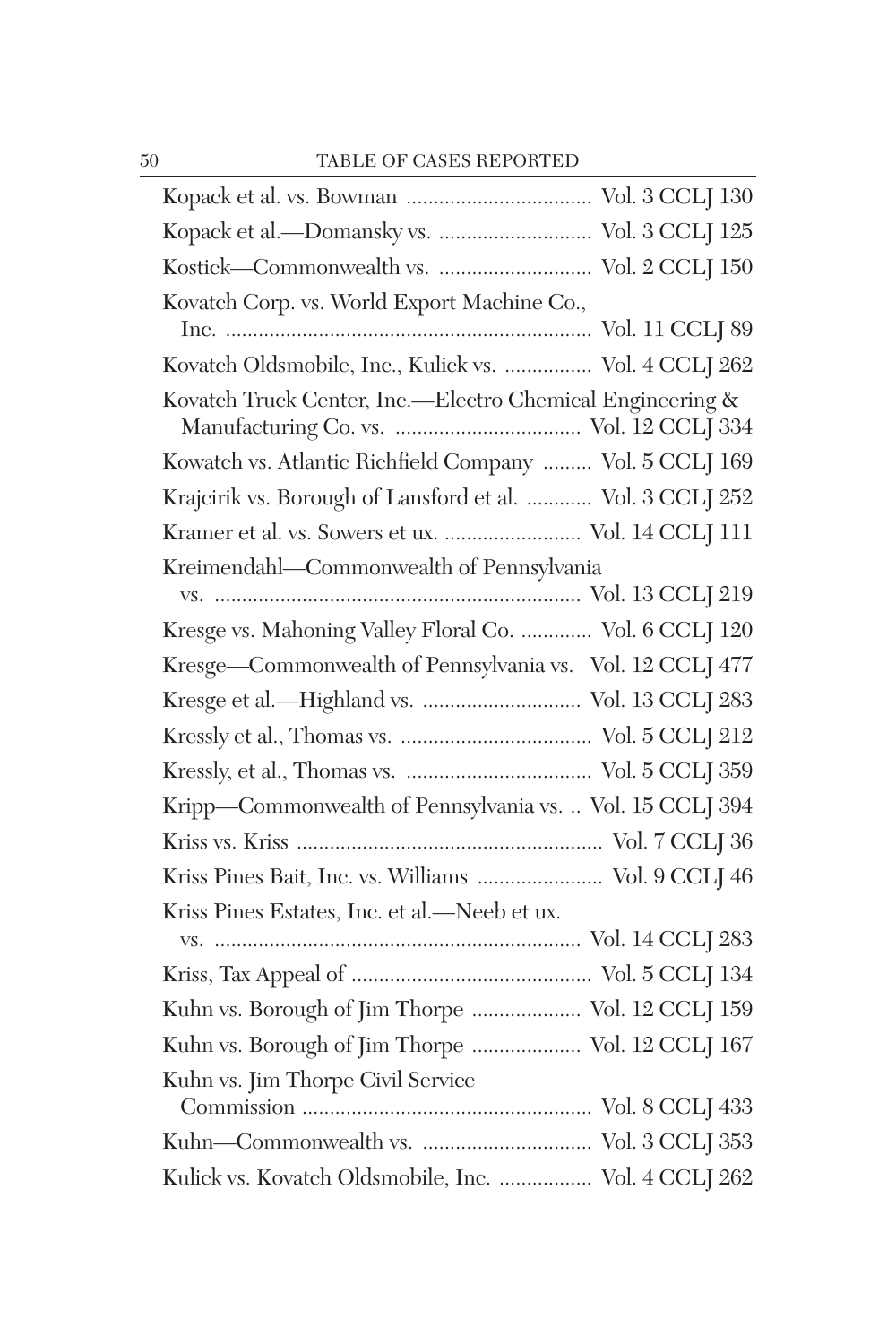| Kopack et al.-Domansky vs.  Vol. 3 CCLJ 125               |
|-----------------------------------------------------------|
|                                                           |
| Kovatch Corp. vs. World Export Machine Co.,               |
|                                                           |
| Kovatch Oldsmobile, Inc., Kulick vs.  Vol. 4 CCLJ 262     |
| Kovatch Truck Center, Inc.-Electro Chemical Engineering & |
| Kowatch vs. Atlantic Richfield Company  Vol. 5 CCLJ 169   |
| Krajcirik vs. Borough of Lansford et al.  Vol. 3 CCLJ 252 |
| Kramer et al. vs. Sowers et ux.  Vol. 14 CCLJ 111         |
| Kreimendahl-Commonwealth of Pennsylvania                  |
|                                                           |
| Kresge vs. Mahoning Valley Floral Co.  Vol. 6 CCLJ 120    |
| Kresge-Commonwealth of Pennsylvania vs. Vol. 12 CCLJ 477  |
| Kresge et al.-Highland vs.  Vol. 13 CCLJ 283              |
|                                                           |
|                                                           |
| Kripp-Commonwealth of Pennsylvania vs.  Vol. 15 CCLJ 394  |
|                                                           |
| Kriss Pines Bait, Inc. vs. Williams  Vol. 9 CCLJ 46       |
| Kriss Pines Estates, Inc. et al.-Neeb et ux.              |
|                                                           |
|                                                           |
| Kuhn vs. Borough of Jim Thorpe  Vol. 12 CCLJ 159          |
| Kuhn vs. Borough of Jim Thorpe  Vol. 12 CCLJ 167          |
| Kuhn vs. Jim Thorpe Civil Service                         |
|                                                           |
| Kulick vs. Kovatch Oldsmobile, Inc.  Vol. 4 CCLJ 262      |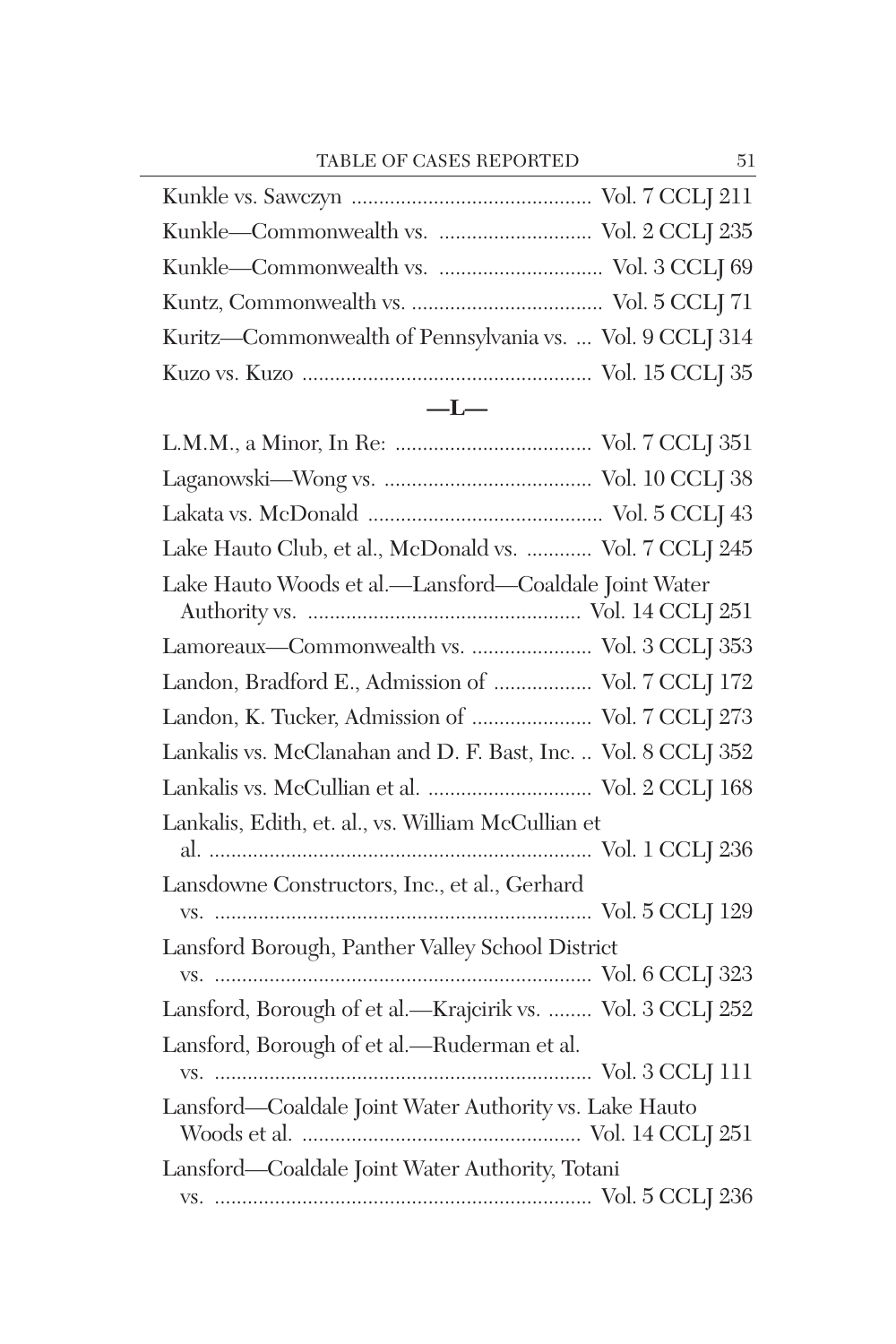| Kuritz—Commonwealth of Pennsylvania vs.  Vol. 9 CCLJ 314 |
|----------------------------------------------------------|
|                                                          |
| $-1$                                                     |

| Lake Hauto Club, et al., McDonald vs.  Vol. 7 CCLJ 245        |
|---------------------------------------------------------------|
| Lake Hauto Woods et al.-Lansford-Coaldale Joint Water         |
| Lamoreaux-Commonwealth vs.  Vol. 3 CCLJ 353                   |
| Landon, Bradford E., Admission of  Vol. 7 CCLJ 172            |
| Landon, K. Tucker, Admission of  Vol. 7 CCLJ 273              |
| Lankalis vs. McClanahan and D. F. Bast, Inc.  Vol. 8 CCLJ 352 |
| Lankalis vs. McCullian et al.  Vol. 2 CCLJ 168                |
| Lankalis, Edith, et. al., vs. William McCullian et            |
| Lansdowne Constructors, Inc., et al., Gerhard                 |
| Lansford Borough, Panther Valley School District              |
|                                                               |
| Lansford, Borough of et al.-Krajcirik vs.  Vol. 3 CCLJ 252    |
| Lansford, Borough of et al.-Ruderman et al.                   |
| Lansford—Coaldale Joint Water Authority vs. Lake Hauto        |
| Lansford—Coaldale Joint Water Authority, Totani               |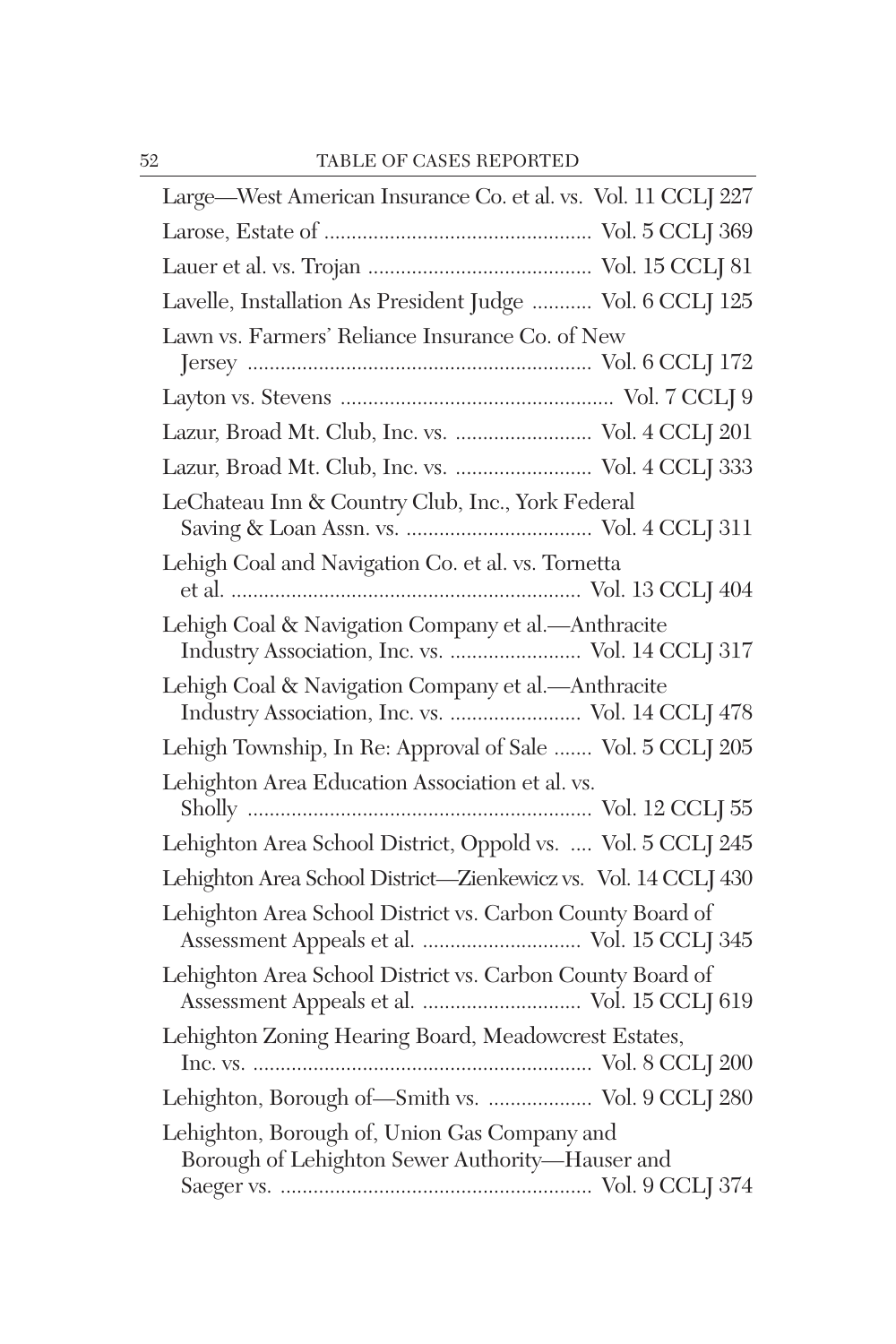| Large-West American Insurance Co. et al. vs. Vol. 11 CCLJ 227                                            |
|----------------------------------------------------------------------------------------------------------|
|                                                                                                          |
|                                                                                                          |
| Lavelle, Installation As President Judge  Vol. 6 CCLJ 125                                                |
| Lawn vs. Farmers' Reliance Insurance Co. of New                                                          |
|                                                                                                          |
|                                                                                                          |
| Lazur, Broad Mt. Club, Inc. vs.  Vol. 4 CCLJ 201                                                         |
| Lazur, Broad Mt. Club, Inc. vs.  Vol. 4 CCLJ 333                                                         |
| LeChateau Inn & Country Club, Inc., York Federal                                                         |
| Lehigh Coal and Navigation Co. et al. vs. Tornetta                                                       |
| Lehigh Coal & Navigation Company et al.-Anthracite<br>Industry Association, Inc. vs.  Vol. 14 CCLJ 317   |
| Lehigh Coal & Navigation Company et al.-Anthracite<br>Industry Association, Inc. vs.  Vol. 14 CCLJ 478   |
| Lehigh Township, In Re: Approval of Sale  Vol. 5 CCLJ 205                                                |
| Lehighton Area Education Association et al. vs.                                                          |
| Lehighton Area School District, Oppold vs.  Vol. 5 CCLJ 245                                              |
| Lehighton Area School District-Zienkewicz vs. Vol. 14 CCLJ 430                                           |
| Lehighton Area School District vs. Carbon County Board of<br>Assessment Appeals et al.  Vol. 15 CCLJ 345 |
| Lehighton Area School District vs. Carbon County Board of                                                |
| Lehighton Zoning Hearing Board, Meadowcrest Estates,                                                     |
| Lehighton, Borough of-Smith vs.  Vol. 9 CCLJ 280                                                         |
| Lehighton, Borough of, Union Gas Company and<br>Borough of Lehighton Sewer Authority-Hauser and          |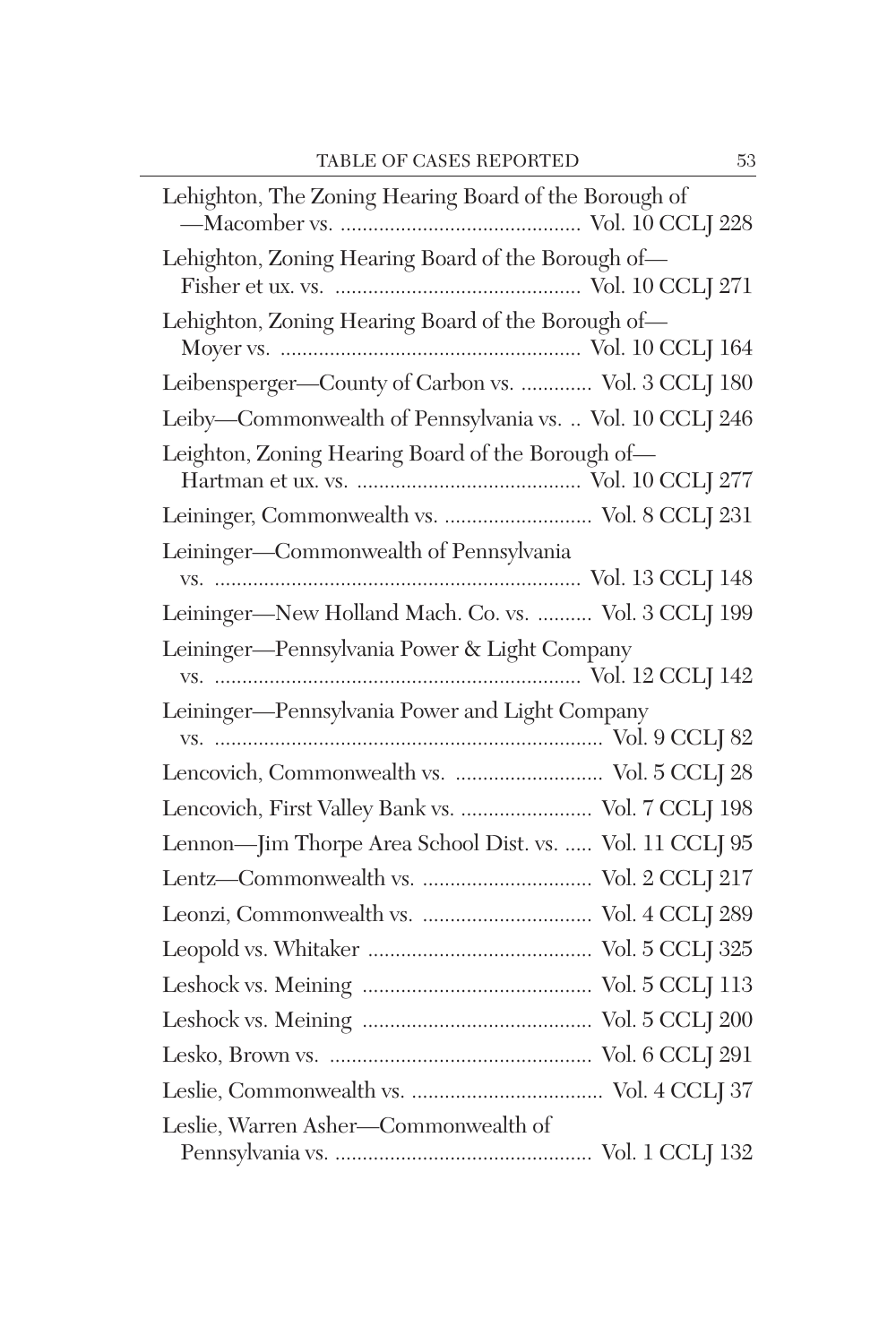| Lehighton, The Zoning Hearing Board of the Borough of    |
|----------------------------------------------------------|
| Lehighton, Zoning Hearing Board of the Borough of-       |
| Lehighton, Zoning Hearing Board of the Borough of-       |
| Leibensperger-County of Carbon vs.  Vol. 3 CCLJ 180      |
| Leiby-Commonwealth of Pennsylvania vs.  Vol. 10 CCLJ 246 |
| Leighton, Zoning Hearing Board of the Borough of-        |
| Leininger, Commonwealth vs.  Vol. 8 CCLJ 231             |
| Leininger-Commonwealth of Pennsylvania                   |
| Leininger-New Holland Mach. Co. vs.  Vol. 3 CCLJ 199     |
| Leininger-Pennsylvania Power & Light Company             |
| Leininger-Pennsylvania Power and Light Company           |
| Lencovich, Commonwealth vs.  Vol. 5 CCLJ 28              |
| Lencovich, First Valley Bank vs.  Vol. 7 CCLJ 198        |
| Lennon-Jim Thorpe Area School Dist. vs.  Vol. 11 CCLJ 95 |
|                                                          |
|                                                          |
|                                                          |
|                                                          |
|                                                          |
|                                                          |
|                                                          |
|                                                          |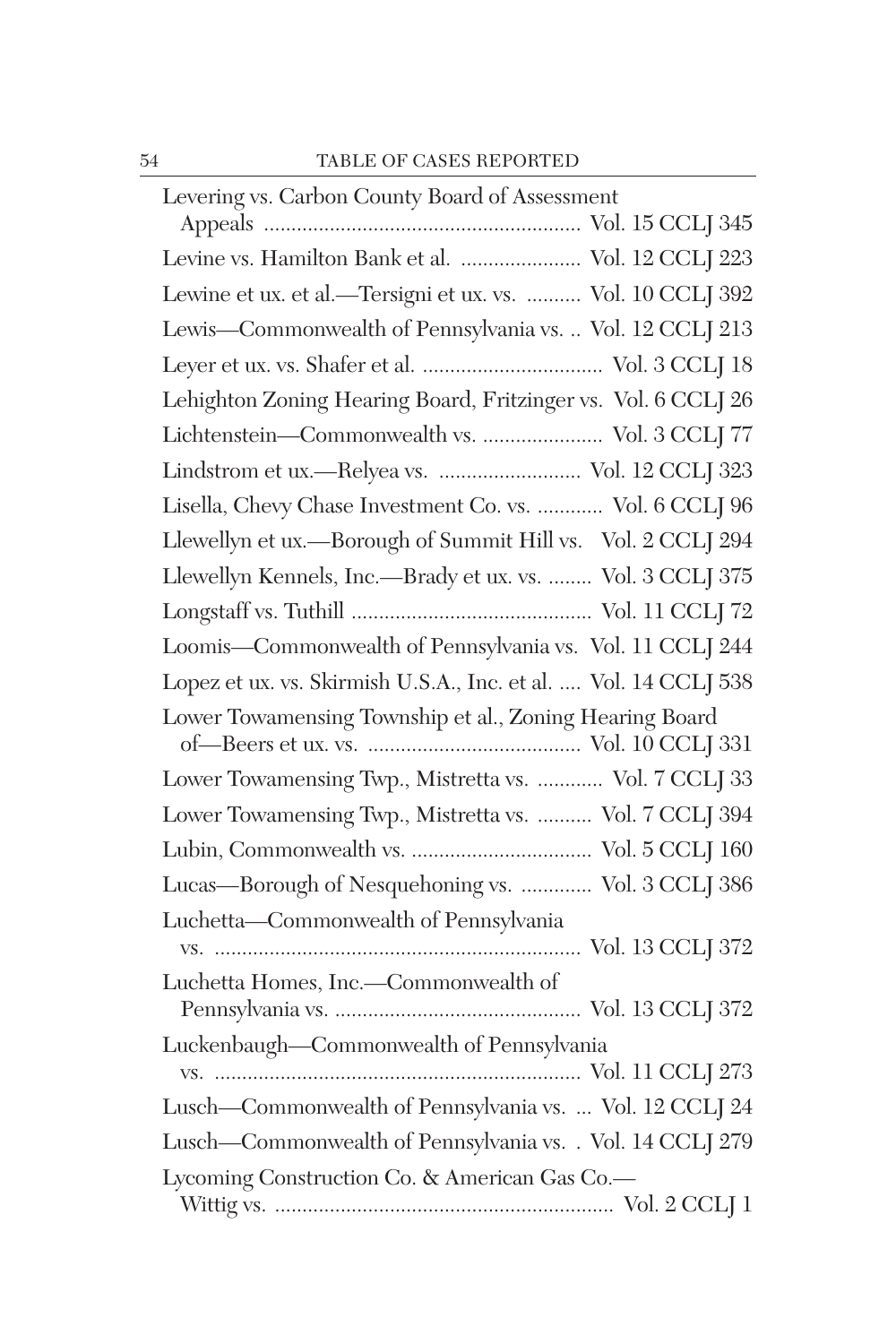| Levering vs. Carbon County Board of Assessment                                                             |
|------------------------------------------------------------------------------------------------------------|
|                                                                                                            |
| Levine vs. Hamilton Bank et al.  Vol. 12 CCLJ 223                                                          |
| Lewine et ux. et al.—Tersigni et ux. vs.  Vol. 10 CCLJ 392                                                 |
| Lewis-Commonwealth of Pennsylvania vs.  Vol. 12 CCLJ 213                                                   |
|                                                                                                            |
| Lehighton Zoning Hearing Board, Fritzinger vs. Vol. 6 CCLJ 26                                              |
| Lichtenstein-Commonwealth vs.  Vol. 3 CCLJ 77                                                              |
| Lindstrom et ux.—Relyea vs.  Vol. 12 CCLJ 323                                                              |
| Lisella, Chevy Chase Investment Co. vs.  Vol. 6 CCLJ 96                                                    |
| Llewellyn et ux.—Borough of Summit Hill vs. Vol. 2 CCLJ 294                                                |
| Llewellyn Kennels, Inc.—Brady et ux. vs.  Vol. 3 CCLJ 375                                                  |
|                                                                                                            |
| Loomis-Commonwealth of Pennsylvania vs. Vol. 11 CCLJ 244                                                   |
| Lopez et ux. vs. Skirmish U.S.A., Inc. et al.  Vol. 14 CCLJ 538                                            |
| Lower Towamensing Township et al., Zoning Hearing Board                                                    |
| Lower Towamensing Twp., Mistretta vs.  Vol. 7 CCLJ 33                                                      |
|                                                                                                            |
| Lower Towamensing Twp., Mistretta vs.  Vol. 7 CCLJ 394                                                     |
|                                                                                                            |
| Lucas-Borough of Nesquehoning vs.  Vol. 3 CCLJ 386                                                         |
| Luchetta-Commonwealth of Pennsylvania                                                                      |
|                                                                                                            |
| Luchetta Homes, Inc.-Commonwealth of                                                                       |
| Luckenbaugh-Commonwealth of Pennsylvania                                                                   |
| Lusch—Commonwealth of Pennsylvania vs.  Vol. 12 CCLJ 24                                                    |
|                                                                                                            |
| Lusch-Commonwealth of Pennsylvania vs. . Vol. 14 CCLJ 279<br>Lycoming Construction Co. & American Gas Co.— |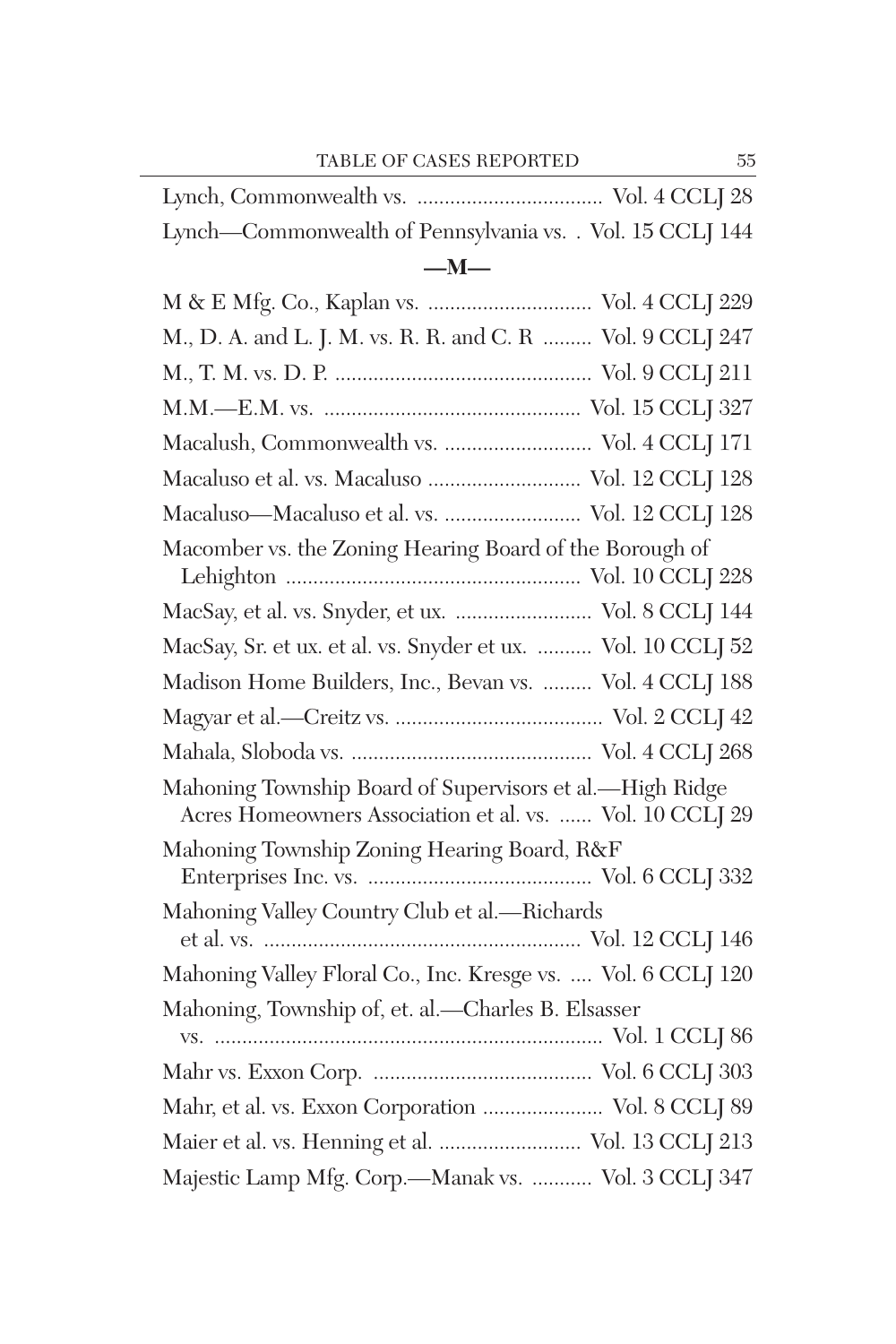| $-M-$                                                     |  |
|-----------------------------------------------------------|--|
| Lynch—Commonwealth of Pennsylvania vs. . Vol. 15 CCLJ 144 |  |
|                                                           |  |

| M., D. A. and L. J. M. vs. R. R. and C. R  Vol. 9 CCLJ 247                                                           |
|----------------------------------------------------------------------------------------------------------------------|
|                                                                                                                      |
|                                                                                                                      |
| Macalush, Commonwealth vs.  Vol. 4 CCLJ 171                                                                          |
| Macaluso et al. vs. Macaluso  Vol. 12 CCLJ 128                                                                       |
| Macaluso-Macaluso et al. vs.  Vol. 12 CCLJ 128                                                                       |
| Macomber vs. the Zoning Hearing Board of the Borough of                                                              |
| MacSay, et al. vs. Snyder, et ux.  Vol. 8 CCLJ 144                                                                   |
| MacSay, Sr. et ux. et al. vs. Snyder et ux.  Vol. 10 CCLJ 52                                                         |
| Madison Home Builders, Inc., Bevan vs.  Vol. 4 CCLJ 188                                                              |
|                                                                                                                      |
|                                                                                                                      |
| Mahoning Township Board of Supervisors et al.-High Ridge<br>Acres Homeowners Association et al. vs.  Vol. 10 CCLJ 29 |
| Mahoning Township Zoning Hearing Board, R&F                                                                          |
|                                                                                                                      |
| Mahoning Valley Country Club et al.-Richards                                                                         |
| Mahoning Valley Floral Co., Inc. Kresge vs.  Vol. 6 CCLJ 120                                                         |
| Mahoning, Township of, et. al.-Charles B. Elsasser                                                                   |
|                                                                                                                      |
|                                                                                                                      |
| Mahr, et al. vs. Exxon Corporation  Vol. 8 CCLJ 89                                                                   |
| Maier et al. vs. Henning et al.  Vol. 13 CCLJ 213                                                                    |
| Majestic Lamp Mfg. Corp.-Manak vs.  Vol. 3 CCLJ 347                                                                  |
|                                                                                                                      |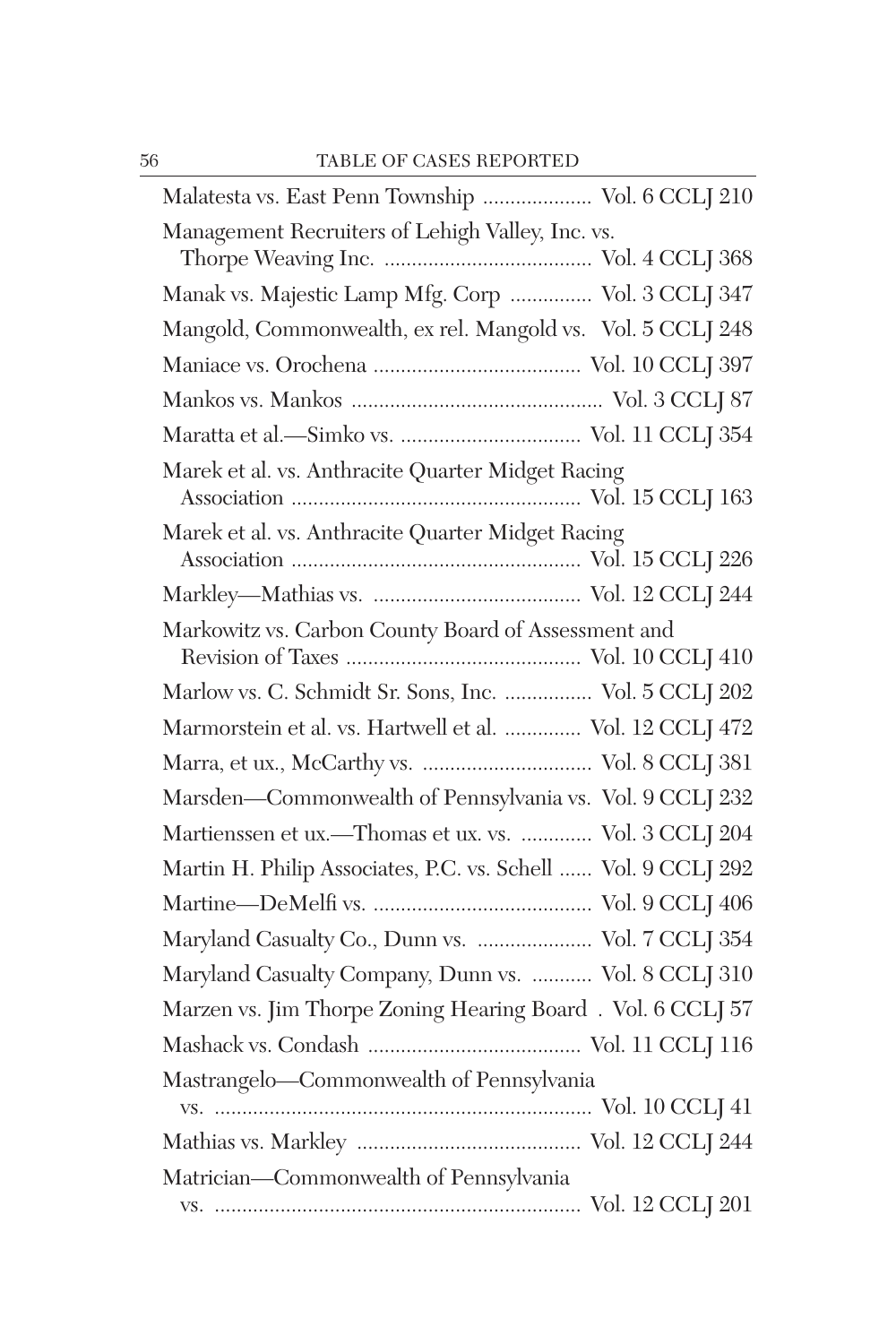| Malatesta vs. East Penn Township  Vol. 6 CCLJ 210             |  |
|---------------------------------------------------------------|--|
| Management Recruiters of Lehigh Valley, Inc. vs.              |  |
| Manak vs. Majestic Lamp Mfg. Corp  Vol. 3 CCLJ 347            |  |
| Mangold, Commonwealth, ex rel. Mangold vs. Vol. 5 CCLJ 248    |  |
|                                                               |  |
|                                                               |  |
|                                                               |  |
| Marek et al. vs. Anthracite Quarter Midget Racing             |  |
| Marek et al. vs. Anthracite Quarter Midget Racing             |  |
|                                                               |  |
| Markowitz vs. Carbon County Board of Assessment and           |  |
| Marlow vs. C. Schmidt Sr. Sons, Inc.  Vol. 5 CCLJ 202         |  |
| Marmorstein et al. vs. Hartwell et al.  Vol. 12 CCLJ 472      |  |
| Marra, et ux., McCarthy vs.  Vol. 8 CCLJ 381                  |  |
| Marsden-Commonwealth of Pennsylvania vs. Vol. 9 CCLJ 232      |  |
| Martienssen et ux.-Thomas et ux. vs.  Vol. 3 CCLJ 204         |  |
| Martin H. Philip Associates, P.C. vs. Schell  Vol. 9 CCLJ 292 |  |
|                                                               |  |
| Maryland Casualty Co., Dunn vs.  Vol. 7 CCLJ 354              |  |
| Maryland Casualty Company, Dunn vs.  Vol. 8 CCLJ 310          |  |
| Marzen vs. Jim Thorpe Zoning Hearing Board. Vol. 6 CCLJ 57    |  |
|                                                               |  |
| Mastrangelo-Commonwealth of Pennsylvania                      |  |
|                                                               |  |
| Matrician-Commonwealth of Pennsylvania                        |  |
|                                                               |  |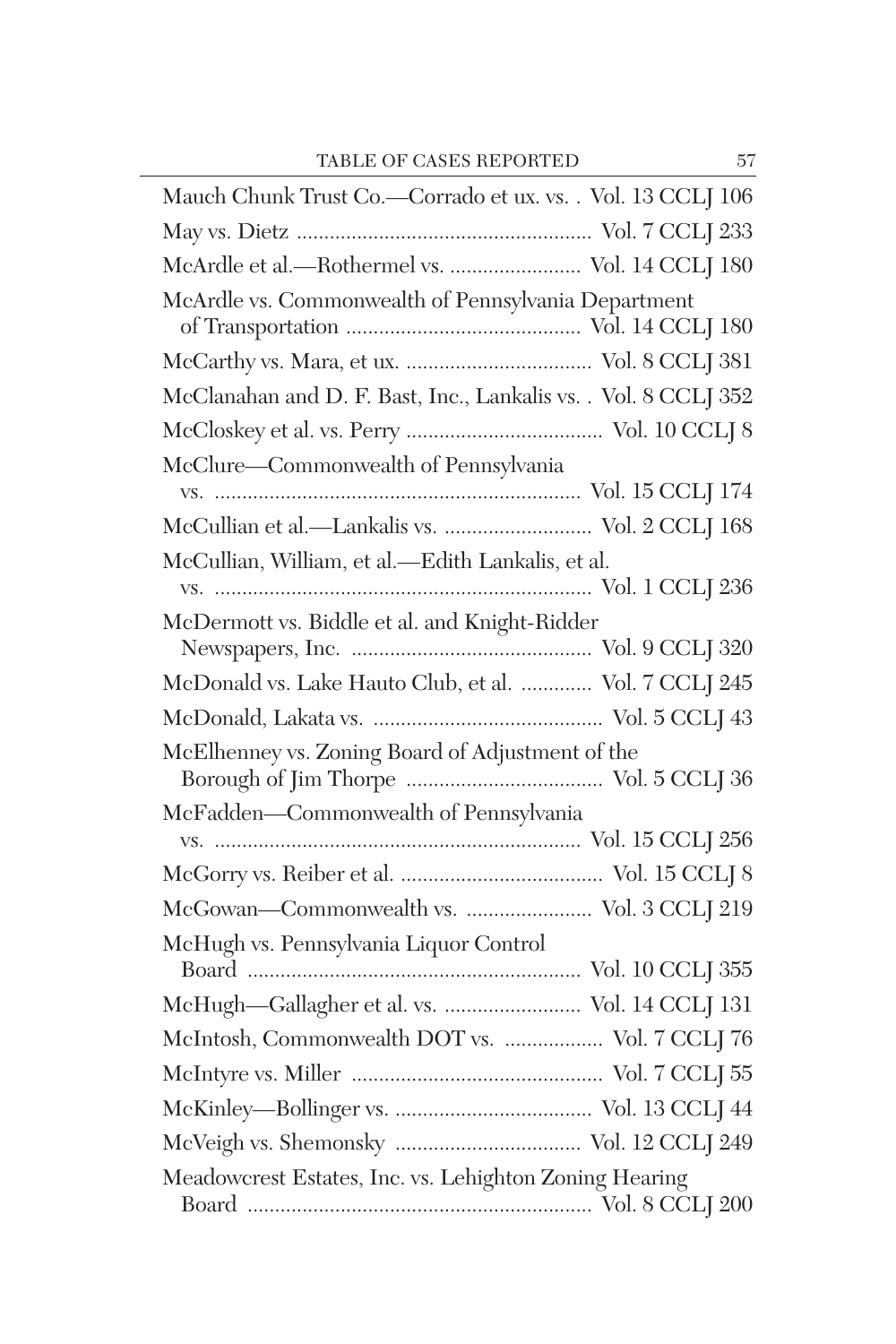| Mauch Chunk Trust Co.—Corrado et ux. vs. . Vol. 13 CCLJ 106     |
|-----------------------------------------------------------------|
|                                                                 |
| McArdle et al.-Rothermel vs.  Vol. 14 CCLJ 180                  |
| McArdle vs. Commonwealth of Pennsylvania Department             |
|                                                                 |
| McClanahan and D. F. Bast, Inc., Lankalis vs. . Vol. 8 CCLJ 352 |
|                                                                 |
| McClure-Commonwealth of Pennsylvania                            |
| McCullian et al.-Lankalis vs.  Vol. 2 CCLJ 168                  |
| McCullian, William, et al.-Edith Lankalis, et al.               |
| McDermott vs. Biddle et al. and Knight-Ridder                   |
| McDonald vs. Lake Hauto Club, et al.  Vol. 7 CCLJ 245           |
|                                                                 |
| McElhenney vs. Zoning Board of Adjustment of the                |
| McFadden-Commonwealth of Pennsylvania                           |
|                                                                 |
|                                                                 |
| McGowan-Commonwealth vs.  Vol. 3 CCLJ 219                       |
| McHugh vs. Pennsylvania Liquor Control                          |
| McHugh-Gallagher et al. vs.  Vol. 14 CCLJ 131                   |
| McIntosh, Commonwealth DOT vs.  Vol. 7 CCLJ 76                  |
|                                                                 |
|                                                                 |
|                                                                 |
| Meadowcrest Estates, Inc. vs. Lehighton Zoning Hearing          |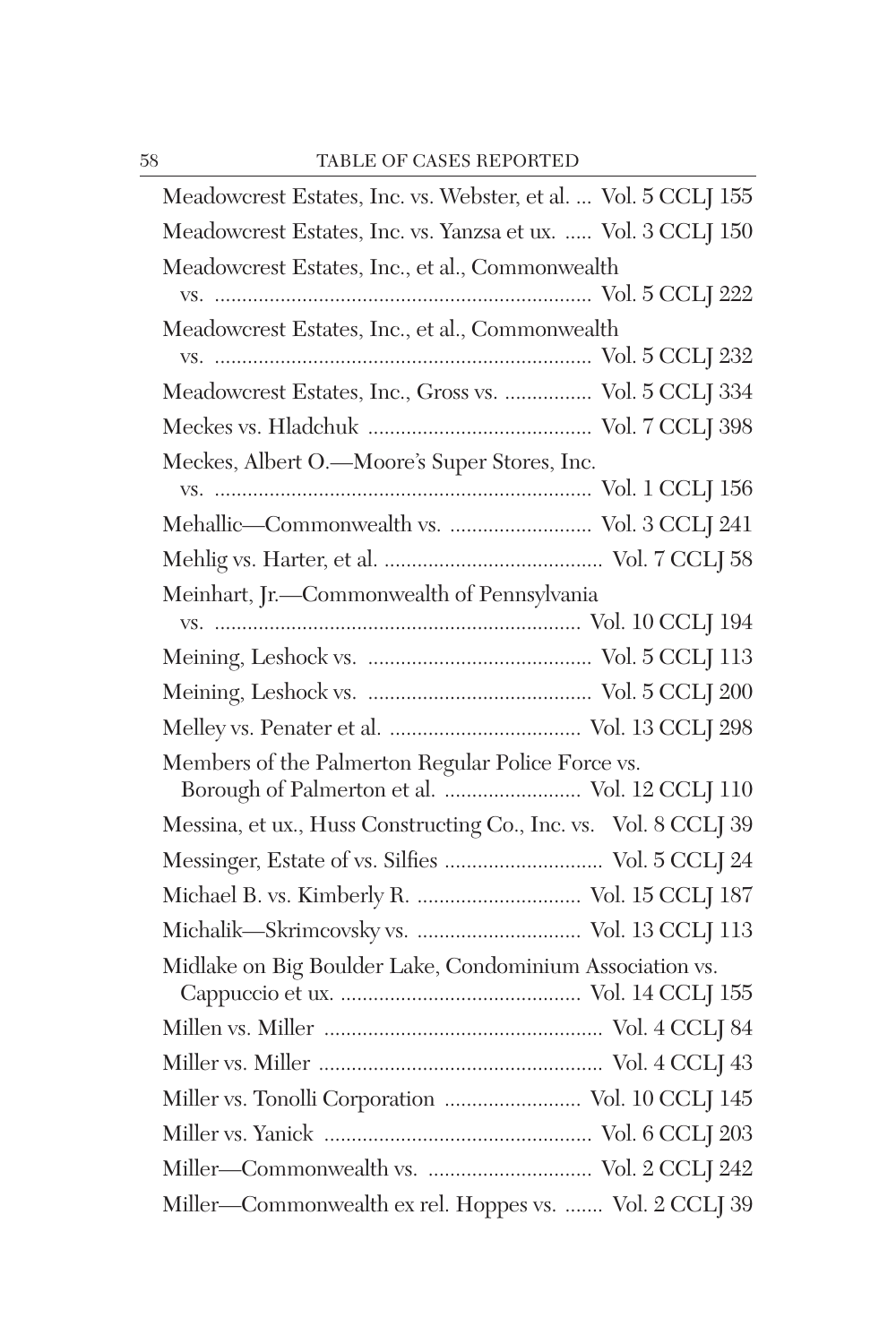| Meadowcrest Estates, Inc. vs. Webster, et al.  Vol. 5 CCLJ 155                                     |
|----------------------------------------------------------------------------------------------------|
| Meadowcrest Estates, Inc. vs. Yanzsa et ux.  Vol. 3 CCLJ 150                                       |
| Meadowcrest Estates, Inc., et al., Commonwealth                                                    |
|                                                                                                    |
| Meadowcrest Estates, Inc., et al., Commonwealth                                                    |
|                                                                                                    |
| Meadowcrest Estates, Inc., Gross vs.  Vol. 5 CCLJ 334                                              |
|                                                                                                    |
| Meckes, Albert O.-Moore's Super Stores, Inc.                                                       |
|                                                                                                    |
| Mehallic—Commonwealth vs.  Vol. 3 CCLJ 241                                                         |
|                                                                                                    |
| Meinhart, Jr.-Commonwealth of Pennsylvania                                                         |
|                                                                                                    |
|                                                                                                    |
|                                                                                                    |
|                                                                                                    |
| Members of the Palmerton Regular Police Force vs.<br>Borough of Palmerton et al.  Vol. 12 CCLJ 110 |
| Messina, et ux., Huss Constructing Co., Inc. vs. Vol. 8 CCLJ 39                                    |
| Messinger, Estate of vs. Silfies  Vol. 5 CCLJ 24                                                   |
| Michael B. vs. Kimberly R.  Vol. 15 CCLJ 187                                                       |
|                                                                                                    |
| Midlake on Big Boulder Lake, Condominium Association vs.                                           |
|                                                                                                    |
|                                                                                                    |
|                                                                                                    |
| Miller vs. Tonolli Corporation  Vol. 10 CCLJ 145                                                   |
|                                                                                                    |
|                                                                                                    |
| Miller-Commonwealth ex rel. Hoppes vs.  Vol. 2 CCLJ 39                                             |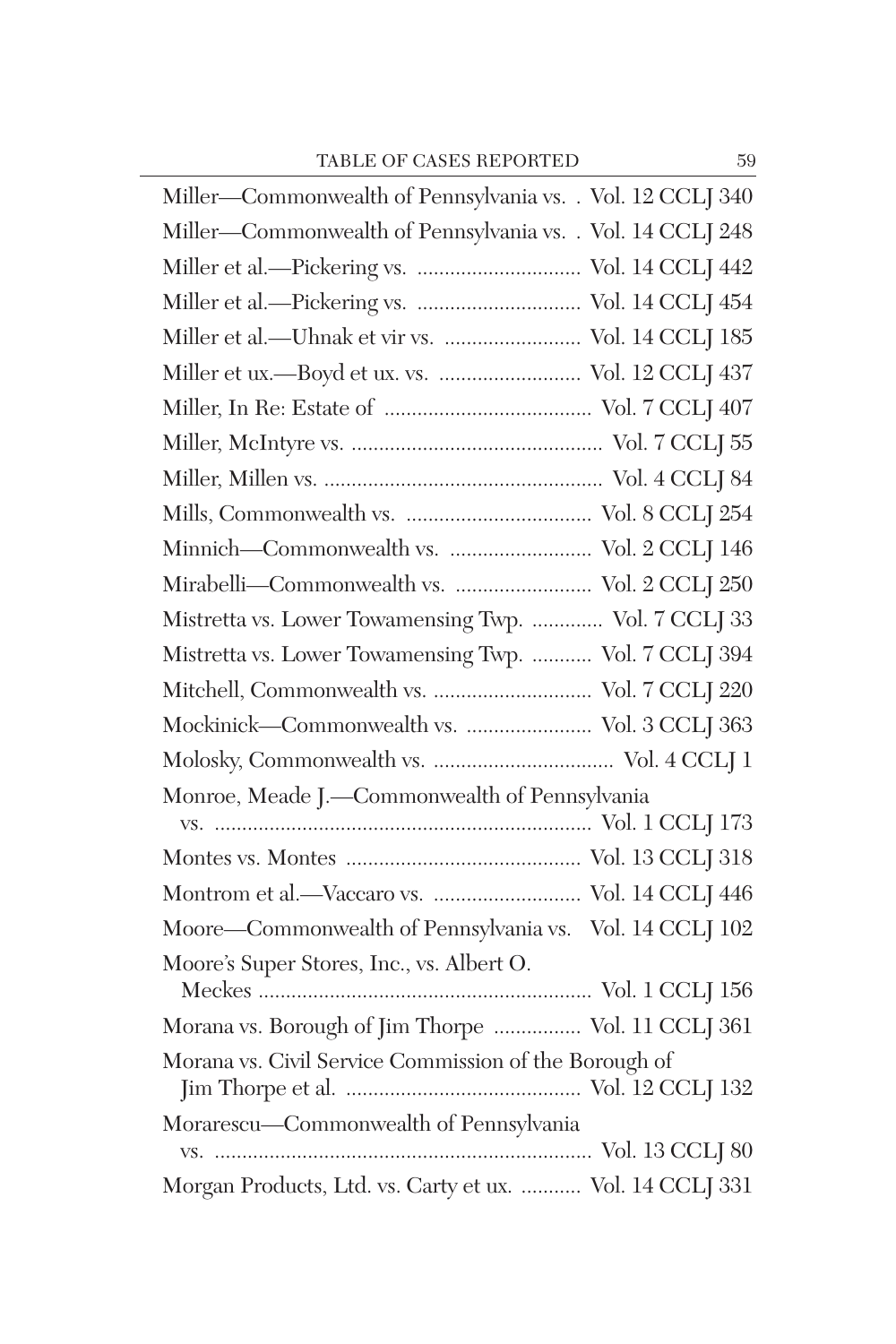| Miller-Commonwealth of Pennsylvania vs. . Vol. 12 CCLJ 340 |
|------------------------------------------------------------|
| Miller-Commonwealth of Pennsylvania vs. . Vol. 14 CCLJ 248 |
| Miller et al.-Pickering vs.  Vol. 14 CCLJ 442              |
| Miller et al.-Pickering vs.  Vol. 14 CCLJ 454              |
| Miller et al.-Uhnak et vir vs.  Vol. 14 CCLJ 185           |
| Miller et ux.-Boyd et ux. vs.  Vol. 12 CCLJ 437            |
|                                                            |
|                                                            |
|                                                            |
|                                                            |
| Minnich-Commonwealth vs.  Vol. 2 CCLJ 146                  |
| Mirabelli-Commonwealth vs.  Vol. 2 CCLJ 250                |
| Mistretta vs. Lower Towamensing Twp.  Vol. 7 CCLJ 33       |
| Mistretta vs. Lower Towamensing Twp.  Vol. 7 CCLJ 394      |
| Mitchell, Commonwealth vs.  Vol. 7 CCLJ 220                |
| Mockinick-Commonwealth vs.  Vol. 3 CCLJ 363                |
|                                                            |
| Monroe, Meade J.-Commonwealth of Pennsylvania              |
|                                                            |
|                                                            |
| Montrom et al.-Vaccaro vs.  Vol. 14 CCLJ 446               |
| Moore-Commonwealth of Pennsylvania vs. Vol. 14 CCLJ 102    |
| Moore's Super Stores, Inc., vs. Albert O.                  |
| Morana vs. Borough of Jim Thorpe  Vol. 11 CCLJ 361         |
| Morana vs. Civil Service Commission of the Borough of      |
| Morarescu-Commonwealth of Pennsylvania                     |
|                                                            |
| Morgan Products, Ltd. vs. Carty et ux.  Vol. 14 CCLJ 331   |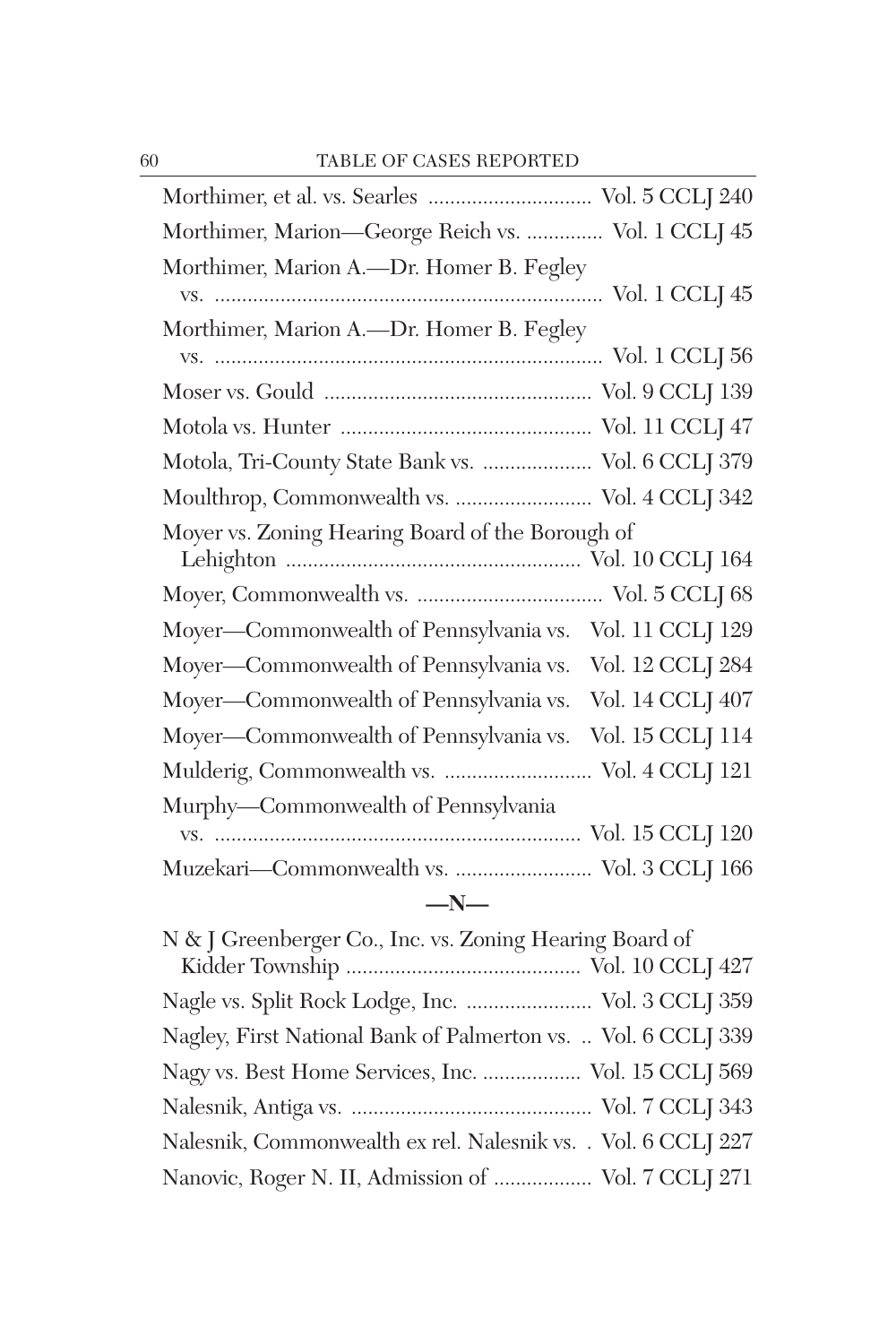| Morthimer, Marion-George Reich vs.  Vol. 1 CCLJ 45 |                  |
|----------------------------------------------------|------------------|
| Morthimer, Marion A.-Dr. Homer B. Fegley           |                  |
| Morthimer, Marion A.-Dr. Homer B. Fegley           |                  |
|                                                    |                  |
|                                                    |                  |
|                                                    |                  |
| Motola, Tri-County State Bank vs.  Vol. 6 CCLJ 379 |                  |
| Moulthrop, Commonwealth vs.  Vol. 4 CCLJ 342       |                  |
| Moyer vs. Zoning Hearing Board of the Borough of   |                  |
|                                                    |                  |
| Moyer—Commonwealth of Pennsylvania vs.             | Vol. 11 CCLJ 129 |
| Moyer—Commonwealth of Pennsylvania vs.             | Vol. 12 CCLJ 284 |
| Moyer—Commonwealth of Pennsylvania vs.             | Vol. 14 CCLJ 407 |
| Moyer—Commonwealth of Pennsylvania vs.             | Vol. 15 CCLJ 114 |
| Mulderig, Commonwealth vs.  Vol. 4 CCLJ 121        |                  |
| Murphy-Commonwealth of Pennsylvania                |                  |
|                                                    |                  |
| Muzekari-Commonwealth vs.  Vol. 3 CCLJ 166         |                  |
| $-N-$                                              |                  |

| Nagle vs. Split Rock Lodge, Inc.  Vol. 3 CCLJ 359             |
|---------------------------------------------------------------|
| Nagley, First National Bank of Palmerton vs.  Vol. 6 CCLJ 339 |
| Nagy vs. Best Home Services, Inc.  Vol. 15 CCLJ 569           |
|                                                               |
| Nalesnik, Commonwealth ex rel. Nalesnik vs. . Vol. 6 CCLJ 227 |
| Nanovic, Roger N. II, Admission of  Vol. 7 CCLJ 271           |
|                                                               |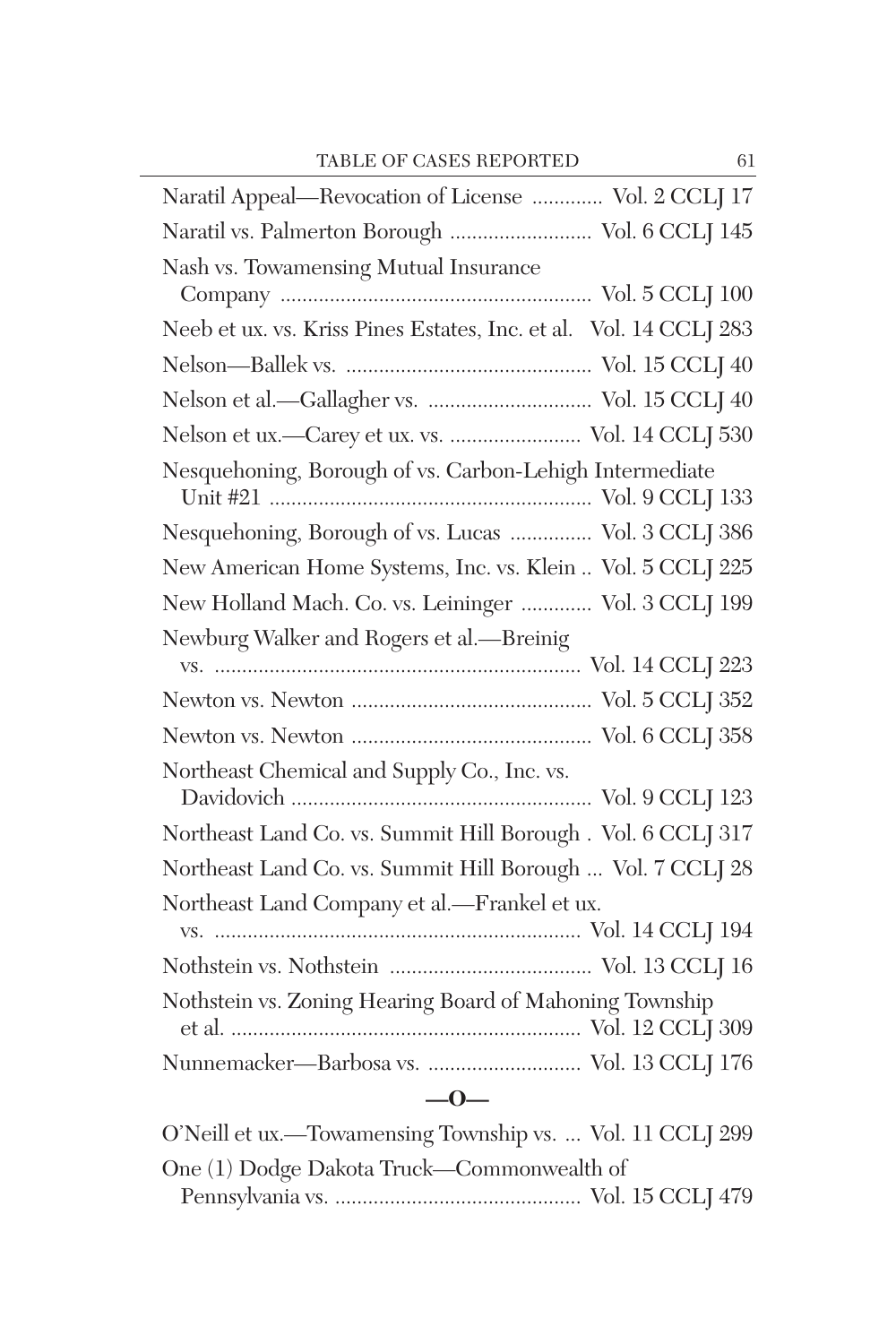| Naratil Appeal—Revocation of License  Vol. 2 CCLJ 17              |
|-------------------------------------------------------------------|
| Naratil vs. Palmerton Borough  Vol. 6 CCLJ 145                    |
| Nash vs. Towamensing Mutual Insurance                             |
|                                                                   |
| Neeb et ux. vs. Kriss Pines Estates, Inc. et al. Vol. 14 CCLJ 283 |
|                                                                   |
| Nelson et al.-Gallagher vs.  Vol. 15 CCLJ 40                      |
| Nelson et ux.-Carey et ux. vs.  Vol. 14 CCLJ 530                  |
| Nesquehoning, Borough of vs. Carbon-Lehigh Intermediate           |
|                                                                   |
| Nesquehoning, Borough of vs. Lucas  Vol. 3 CCLJ 386               |
| New American Home Systems, Inc. vs. Klein  Vol. 5 CCLJ 225        |
| New Holland Mach. Co. vs. Leininger  Vol. 3 CCLJ 199              |
| Newburg Walker and Rogers et al.-Breinig                          |
|                                                                   |
|                                                                   |
|                                                                   |
| Northeast Chemical and Supply Co., Inc. vs.                       |
|                                                                   |
| Northeast Land Co. vs. Summit Hill Borough. Vol. 6 CCLJ 317       |
| Northeast Land Co. vs. Summit Hill Borough  Vol. 7 CCLJ 28        |
| Northeast Land Company et al.-Frankel et ux.                      |
|                                                                   |
|                                                                   |
| Nothstein vs. Zoning Hearing Board of Mahoning Township           |
|                                                                   |
| Nunnemacker-Barbosa vs.  Vol. 13 CCLJ 176                         |
| $-0-$                                                             |

| One (1) Dodge Dakota Truck-Commonwealth of |  |  |
|--------------------------------------------|--|--|
|                                            |  |  |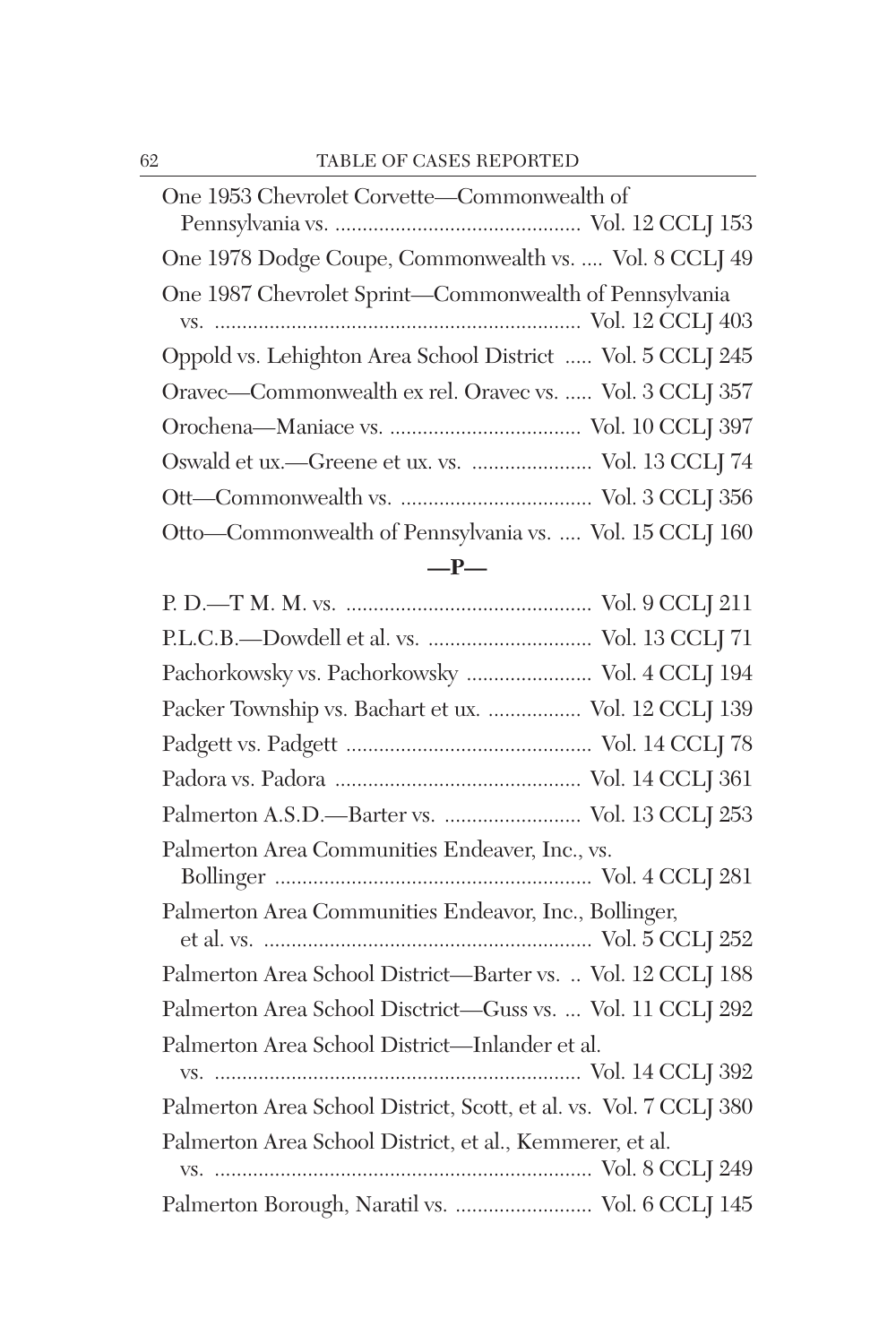| One 1953 Chevrolet Corvette-Commonwealth of                |
|------------------------------------------------------------|
|                                                            |
| One 1978 Dodge Coupe, Commonwealth vs.  Vol. 8 CCLJ 49     |
| One 1987 Chevrolet Sprint-Commonwealth of Pennsylvania     |
|                                                            |
| Oppold vs. Lehighton Area School District  Vol. 5 CCLJ 245 |
| Oravec—Commonwealth ex rel. Oravec vs.  Vol. 3 CCLJ 357    |
|                                                            |
| Oswald et ux.—Greene et ux. vs.  Vol. 13 CCLJ 74           |
|                                                            |
| Otto-Commonwealth of Pennsylvania vs.  Vol. 15 CCLJ 160    |
|                                                            |

| -- |
|----|
|----|

| P.L.C.B.-Dowdell et al. vs.  Vol. 13 CCLJ 71                      |
|-------------------------------------------------------------------|
| Pachorkowsky vs. Pachorkowsky  Vol. 4 CCLJ 194                    |
| Packer Township vs. Bachart et ux.  Vol. 12 CCLJ 139              |
|                                                                   |
|                                                                   |
| Palmerton A.S.D.-Barter vs.  Vol. 13 CCLJ 253                     |
| Palmerton Area Communities Endeaver, Inc., vs.                    |
| Palmerton Area Communities Endeavor, Inc., Bollinger,             |
| Palmerton Area School District—Barter vs.  Vol. 12 CCLJ 188       |
| Palmerton Area School Disctrict-Guss vs.  Vol. 11 CCLJ 292        |
| Palmerton Area School District-Inlander et al.                    |
| Palmerton Area School District, Scott, et al. vs. Vol. 7 CCLJ 380 |
| Palmerton Area School District, et al., Kemmerer, et al.          |
| Palmerton Borough, Naratil vs.  Vol. 6 CCLJ 145                   |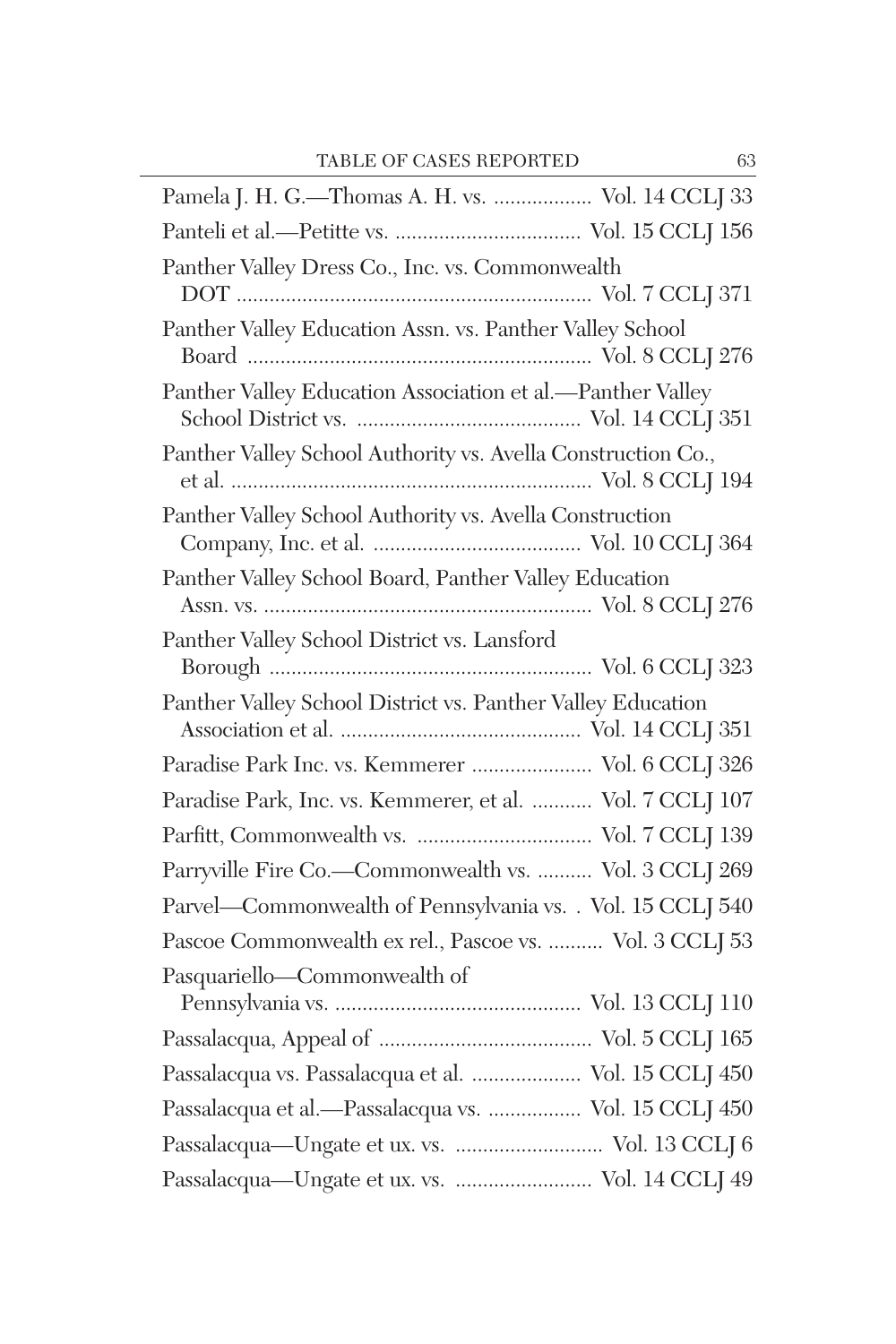| Pamela J. H. G.-Thomas A. H. vs.  Vol. 14 CCLJ 33            |
|--------------------------------------------------------------|
|                                                              |
| Panther Valley Dress Co., Inc. vs. Commonwealth              |
| Panther Valley Education Assn. vs. Panther Valley School     |
| Panther Valley Education Association et al.-Panther Valley   |
| Panther Valley School Authority vs. Avella Construction Co., |
| Panther Valley School Authority vs. Avella Construction      |
| Panther Valley School Board, Panther Valley Education        |
| Panther Valley School District vs. Lansford                  |
| Panther Valley School District vs. Panther Valley Education  |
| Paradise Park Inc. vs. Kemmerer  Vol. 6 CCLJ 326             |
| Paradise Park, Inc. vs. Kemmerer, et al.  Vol. 7 CCLJ 107    |
|                                                              |
| Parryville Fire Co.-Commonwealth vs.  Vol. 3 CCLJ 269        |
| Parvel-Commonwealth of Pennsylvania vs. . Vol. 15 CCLJ 540   |
| Pascoe Commonwealth ex rel., Pascoe vs.  Vol. 3 CCLJ 53      |
| Pasquariello—Commonwealth of                                 |
|                                                              |
| Passalacqua vs. Passalacqua et al.  Vol. 15 CCLJ 450         |
| Passalacqua et al.-Passalacqua vs.  Vol. 15 CCLJ 450         |
|                                                              |
| Passalacqua-Ungate et ux. vs.  Vol. 13 CCLJ 6                |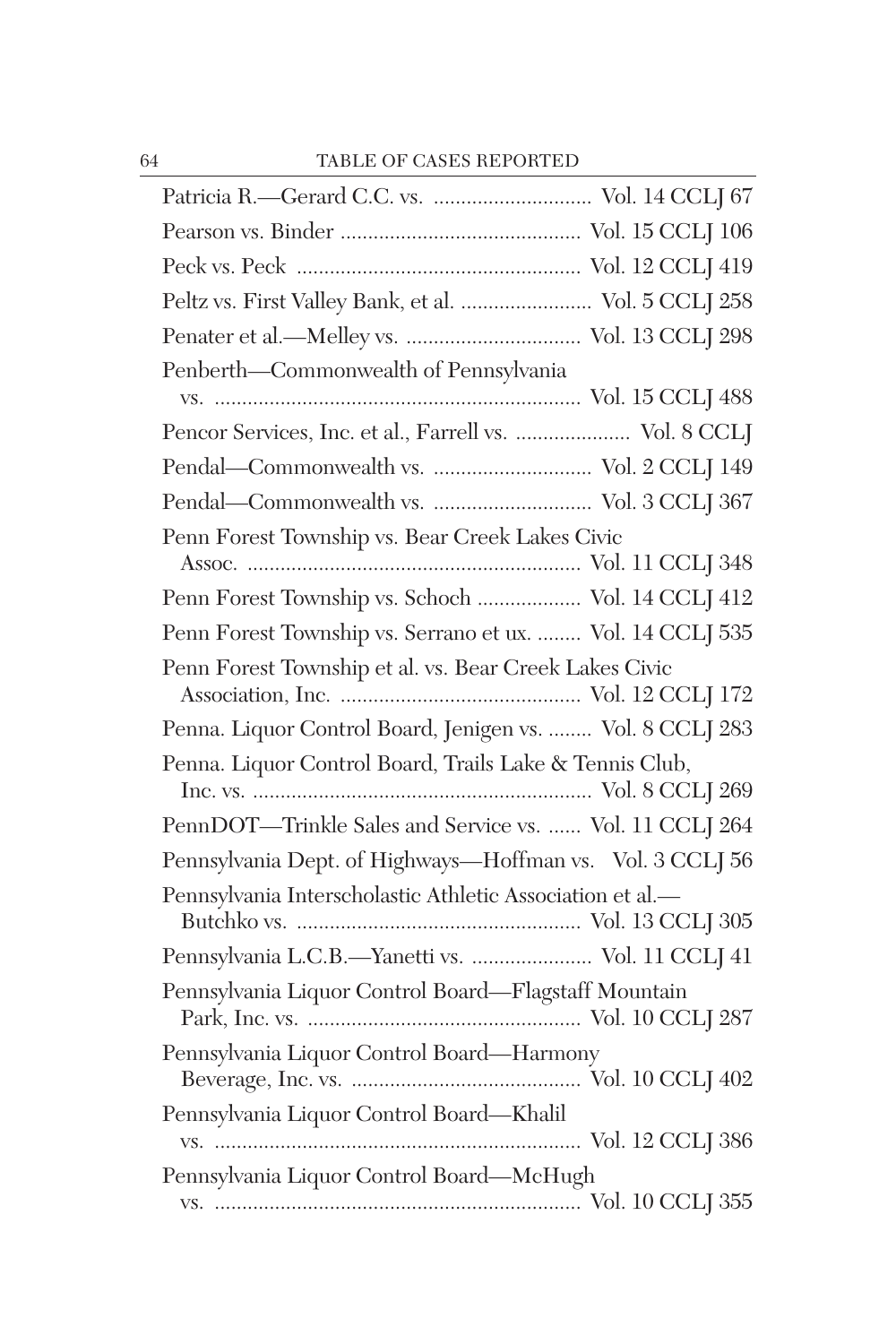| Peltz vs. First Valley Bank, et al.  Vol. 5 CCLJ 258      |
|-----------------------------------------------------------|
|                                                           |
| Penberth-Commonwealth of Pennsylvania                     |
|                                                           |
| Pencor Services, Inc. et al., Farrell vs.  Vol. 8 CCLJ    |
|                                                           |
| Pendal-Commonwealth vs.  Vol. 3 CCLJ 367                  |
| Penn Forest Township vs. Bear Creek Lakes Civic           |
|                                                           |
| Penn Forest Township vs. Schoch  Vol. 14 CCLJ 412         |
| Penn Forest Township vs. Serrano et ux.  Vol. 14 CCLJ 535 |
| Penn Forest Township et al. vs. Bear Creek Lakes Civic    |
| Penna. Liquor Control Board, Jenigen vs.  Vol. 8 CCLJ 283 |
| Penna. Liquor Control Board, Trails Lake & Tennis Club,   |
| PennDOT-Trinkle Sales and Service vs.  Vol. 11 CCLJ 264   |
| Pennsylvania Dept. of Highways-Hoffman vs. Vol. 3 CCLJ 56 |
| Pennsylvania Interscholastic Athletic Association et al.- |
| Pennsylvania L.C.B.-Yanetti vs.  Vol. 11 CCLJ 41          |
| Pennsylvania Liquor Control Board-Flagstaff Mountain      |
| Pennsylvania Liquor Control Board-Harmony                 |
| Pennsylvania Liquor Control Board-Khalil                  |
| Pennsylvania Liquor Control Board-McHugh                  |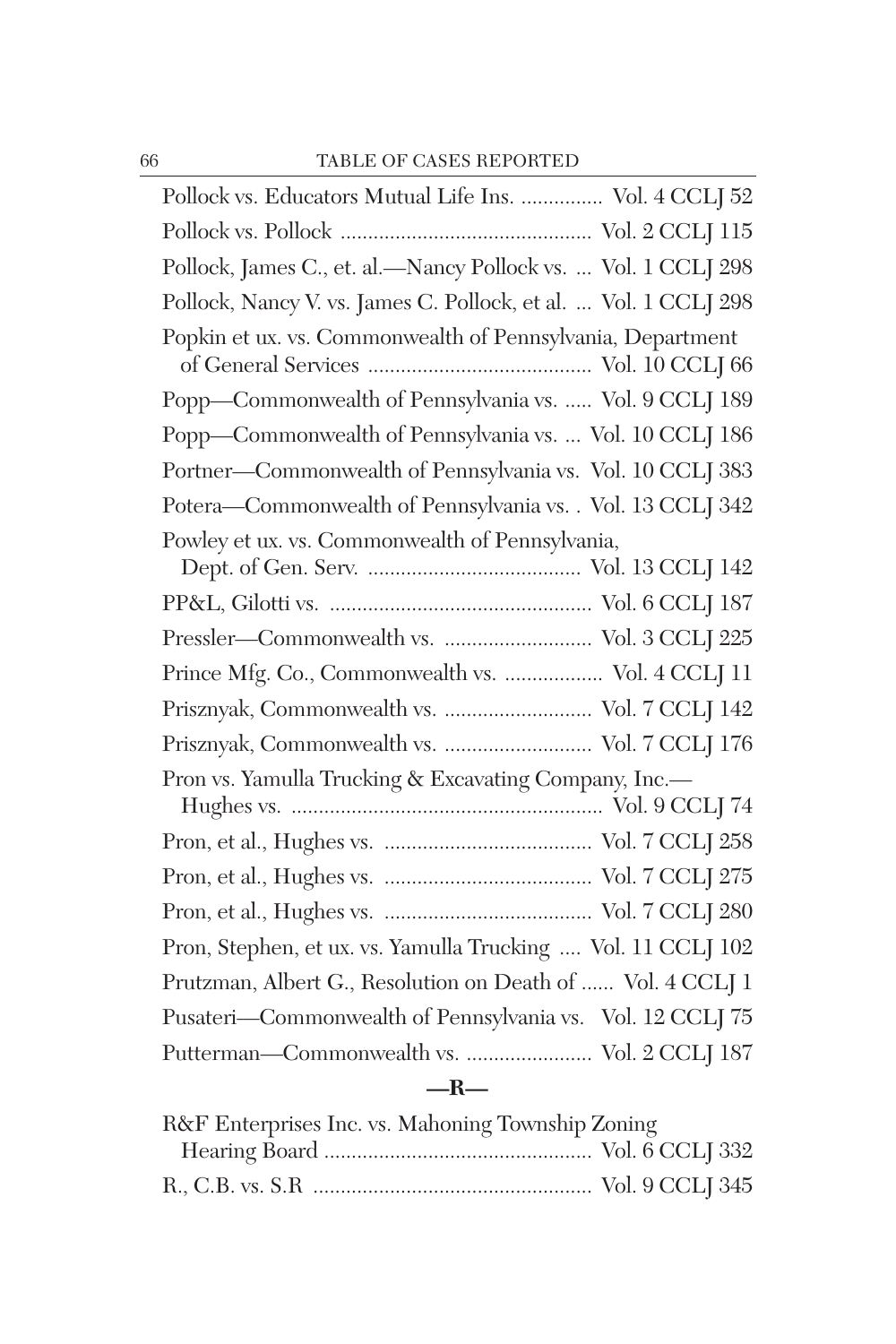| Pollock vs. Educators Mutual Life Ins.  Vol. 4 CCLJ 52          |
|-----------------------------------------------------------------|
|                                                                 |
| Pollock, James C., et. al.-Nancy Pollock vs.  Vol. 1 CCLJ 298   |
| Pollock, Nancy V. vs. James C. Pollock, et al.  Vol. 1 CCLJ 298 |
| Popkin et ux. vs. Commonwealth of Pennsylvania, Department      |
| Popp-Commonwealth of Pennsylvania vs.  Vol. 9 CCLJ 189          |
| Popp-Commonwealth of Pennsylvania vs.  Vol. 10 CCLJ 186         |
| Portner-Commonwealth of Pennsylvania vs. Vol. 10 CCLJ 383       |
| Potera-Commonwealth of Pennsylvania vs. . Vol. 13 CCLJ 342      |
| Powley et ux. vs. Commonwealth of Pennsylvania,                 |
|                                                                 |
| Pressler-Commonwealth vs.  Vol. 3 CCLJ 225                      |
| Prince Mfg. Co., Commonwealth vs.  Vol. $4$ CCLJ $11$           |
| Prisznyak, Commonwealth vs.  Vol. 7 CCLJ 142                    |
| Prisznyak, Commonwealth vs.  Vol. 7 CCLJ 176                    |
| Pron vs. Yamulla Trucking & Excavating Company, Inc.-           |
|                                                                 |
|                                                                 |
|                                                                 |
| Pron, Stephen, et ux. vs. Yamulla Trucking  Vol. 11 CCLJ 102    |
| Prutzman, Albert G., Resolution on Death of  Vol. 4 CCLJ 1      |
| Pusateri-Commonwealth of Pennsylvania vs. Vol. 12 CCLJ 75       |
| Putterman-Commonwealth vs.  Vol. 2 CCLJ 187                     |

## **—R—**

| R&F Enterprises Inc. vs. Mahoning Township Zoning |  |
|---------------------------------------------------|--|
|                                                   |  |
|                                                   |  |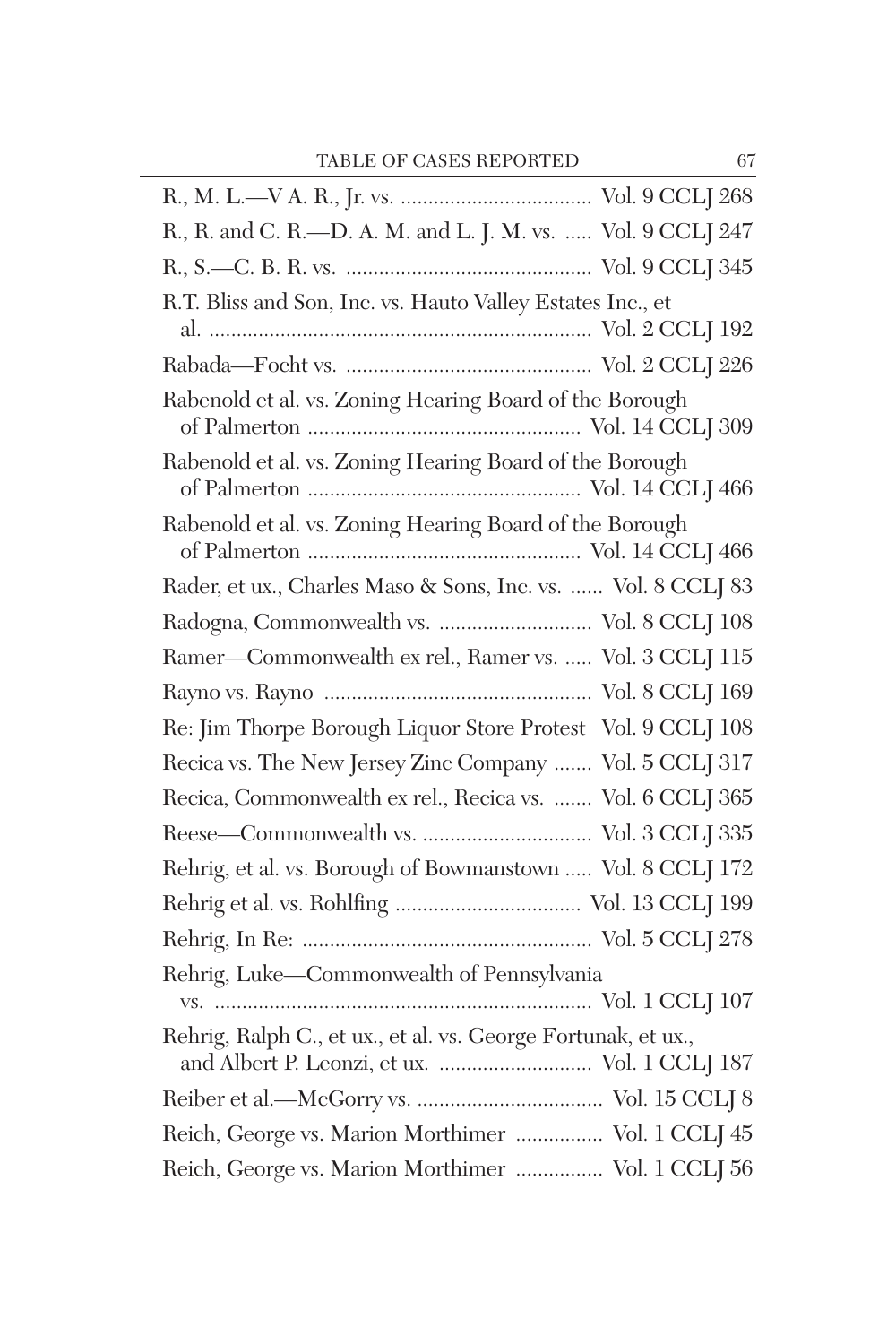| R., R. and C. R.-D. A. M. and L. J. M. vs.  Vol. 9 CCLJ 247                                                    |
|----------------------------------------------------------------------------------------------------------------|
|                                                                                                                |
| R.T. Bliss and Son, Inc. vs. Hauto Valley Estates Inc., et                                                     |
|                                                                                                                |
|                                                                                                                |
| Rabenold et al. vs. Zoning Hearing Board of the Borough                                                        |
| Rabenold et al. vs. Zoning Hearing Board of the Borough                                                        |
| Rabenold et al. vs. Zoning Hearing Board of the Borough                                                        |
| Rader, et ux., Charles Maso & Sons, Inc. vs.  Vol. 8 CCLJ 83                                                   |
| Radogna, Commonwealth vs.  Vol. 8 CCLJ 108                                                                     |
| Ramer-Commonwealth ex rel., Ramer vs.  Vol. 3 CCLJ 115                                                         |
|                                                                                                                |
| Re: Jim Thorpe Borough Liquor Store Protest Vol. 9 CCLJ 108                                                    |
| Recica vs. The New Jersey Zinc Company  Vol. 5 CCLJ 317                                                        |
| Recica, Commonwealth ex rel., Recica vs.  Vol. 6 CCLJ 365                                                      |
|                                                                                                                |
| Rehrig, et al. vs. Borough of Bowmanstown  Vol. 8 CCLJ 172                                                     |
|                                                                                                                |
|                                                                                                                |
| Rehrig, Luke-Commonwealth of Pennsylvania                                                                      |
| Rehrig, Ralph C., et ux., et al. vs. George Fortunak, et ux.,<br>and Albert P. Leonzi, et ux.  Vol. 1 CCLJ 187 |
|                                                                                                                |
| Reich, George vs. Marion Morthimer  Vol. 1 CCLJ 45                                                             |
| Reich, George vs. Marion Morthimer  Vol. 1 CCLJ 56                                                             |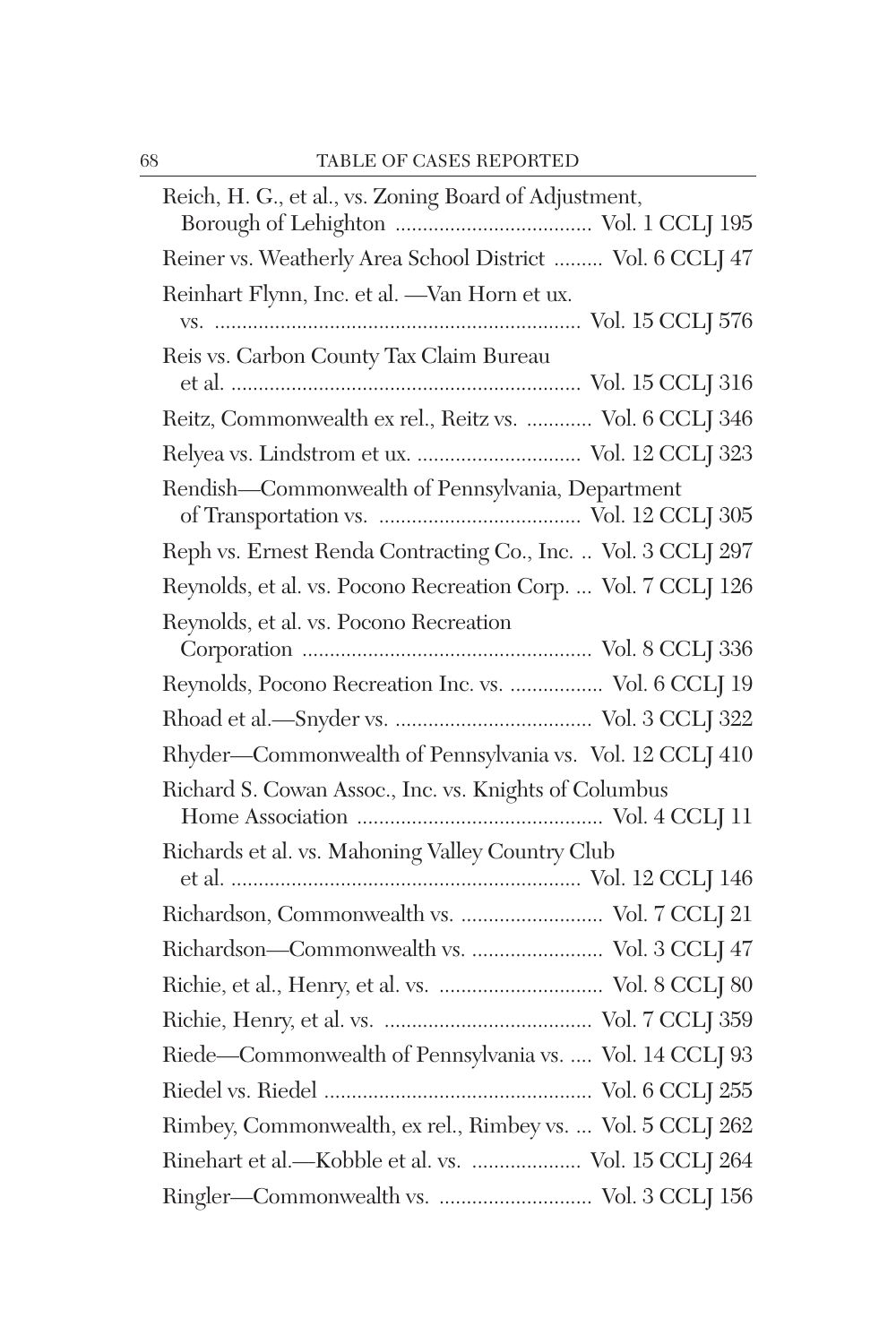| Reich, H. G., et al., vs. Zoning Board of Adjustment,         |
|---------------------------------------------------------------|
|                                                               |
| Reiner vs. Weatherly Area School District  Vol. 6 CCLJ 47     |
| Reinhart Flynn, Inc. et al. - Van Horn et ux.                 |
|                                                               |
| Reis vs. Carbon County Tax Claim Bureau                       |
|                                                               |
| Reitz, Commonwealth ex rel., Reitz vs.  Vol. 6 CCLJ 346       |
| Relyea vs. Lindstrom et ux.  Vol. 12 CCLJ 323                 |
| Rendish-Commonwealth of Pennsylvania, Department              |
|                                                               |
| Reph vs. Ernest Renda Contracting Co., Inc.  Vol. 3 CCLJ 297  |
| Reynolds, et al. vs. Pocono Recreation Corp.  Vol. 7 CCLJ 126 |
| Reynolds, et al. vs. Pocono Recreation                        |
|                                                               |
| Reynolds, Pocono Recreation Inc. vs.  Vol. 6 CCLJ 19          |
|                                                               |
| Rhyder-Commonwealth of Pennsylvania vs. Vol. 12 CCLJ 410      |
| Richard S. Cowan Assoc., Inc. vs. Knights of Columbus         |
|                                                               |
| Richards et al. vs. Mahoning Valley Country Club              |
|                                                               |
| Richardson, Commonwealth vs.  Vol. 7 CCLJ 21                  |
| Richardson-Commonwealth vs.  Vol. 3 CCLJ 47                   |
|                                                               |
|                                                               |
| Riede-Commonwealth of Pennsylvania vs.  Vol. 14 CCLJ 93       |
|                                                               |
| Rimbey, Commonwealth, ex rel., Rimbey vs.  Vol. 5 CCLJ 262    |
| Rinehart et al.—Kobble et al. vs.  Vol. 15 CCLJ 264           |
|                                                               |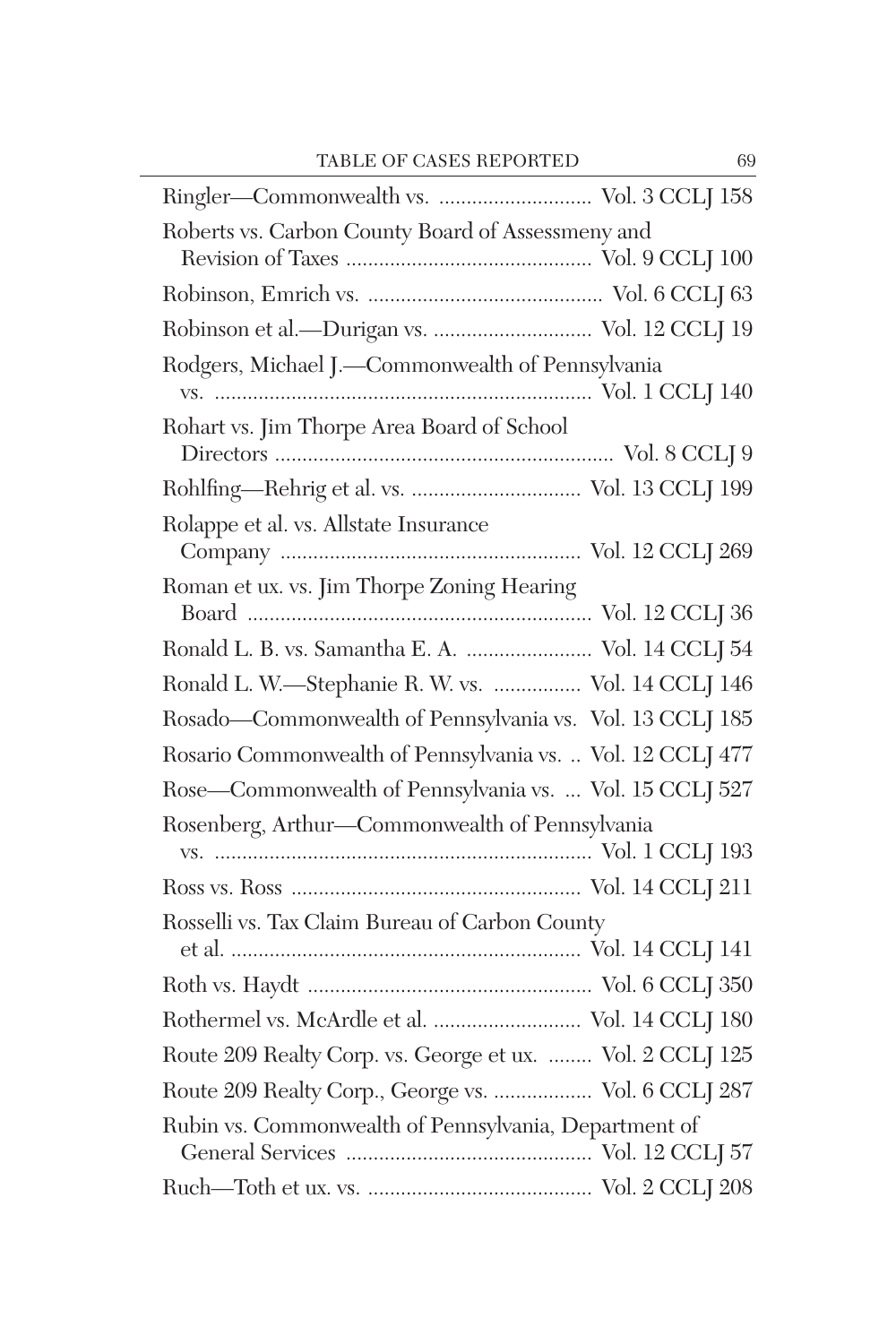| Roberts vs. Carbon County Board of Assessmeny and          |
|------------------------------------------------------------|
|                                                            |
| Robinson et al.-Durigan vs.  Vol. 12 CCLJ 19               |
| Rodgers, Michael J.-Commonwealth of Pennsylvania           |
| Rohart vs. Jim Thorpe Area Board of School                 |
|                                                            |
| Rolappe et al. vs. Allstate Insurance                      |
| Roman et ux. vs. Jim Thorpe Zoning Hearing                 |
| Ronald L. B. vs. Samantha E. A.  Vol. 14 CCLJ 54           |
| Ronald L. W.-Stephanie R. W. vs.  Vol. 14 CCLJ 146         |
| Rosado-Commonwealth of Pennsylvania vs. Vol. 13 CCLJ 185   |
| Rosario Commonwealth of Pennsylvania vs.  Vol. 12 CCLJ 477 |
| Rose-Commonwealth of Pennsylvania vs.  Vol. 15 CCLJ 527    |
| Rosenberg, Arthur-Commonwealth of Pennsylvania             |
|                                                            |
|                                                            |
| Rosselli vs. Tax Claim Bureau of Carbon County             |
|                                                            |
|                                                            |
| Rothermel vs. McArdle et al.  Vol. 14 CCLJ 180             |
| Route 209 Realty Corp. vs. George et ux.  Vol. 2 CCLJ 125  |
| Route 209 Realty Corp., George vs.  Vol. 6 CCLJ 287        |
| Rubin vs. Commonwealth of Pennsylvania, Department of      |
|                                                            |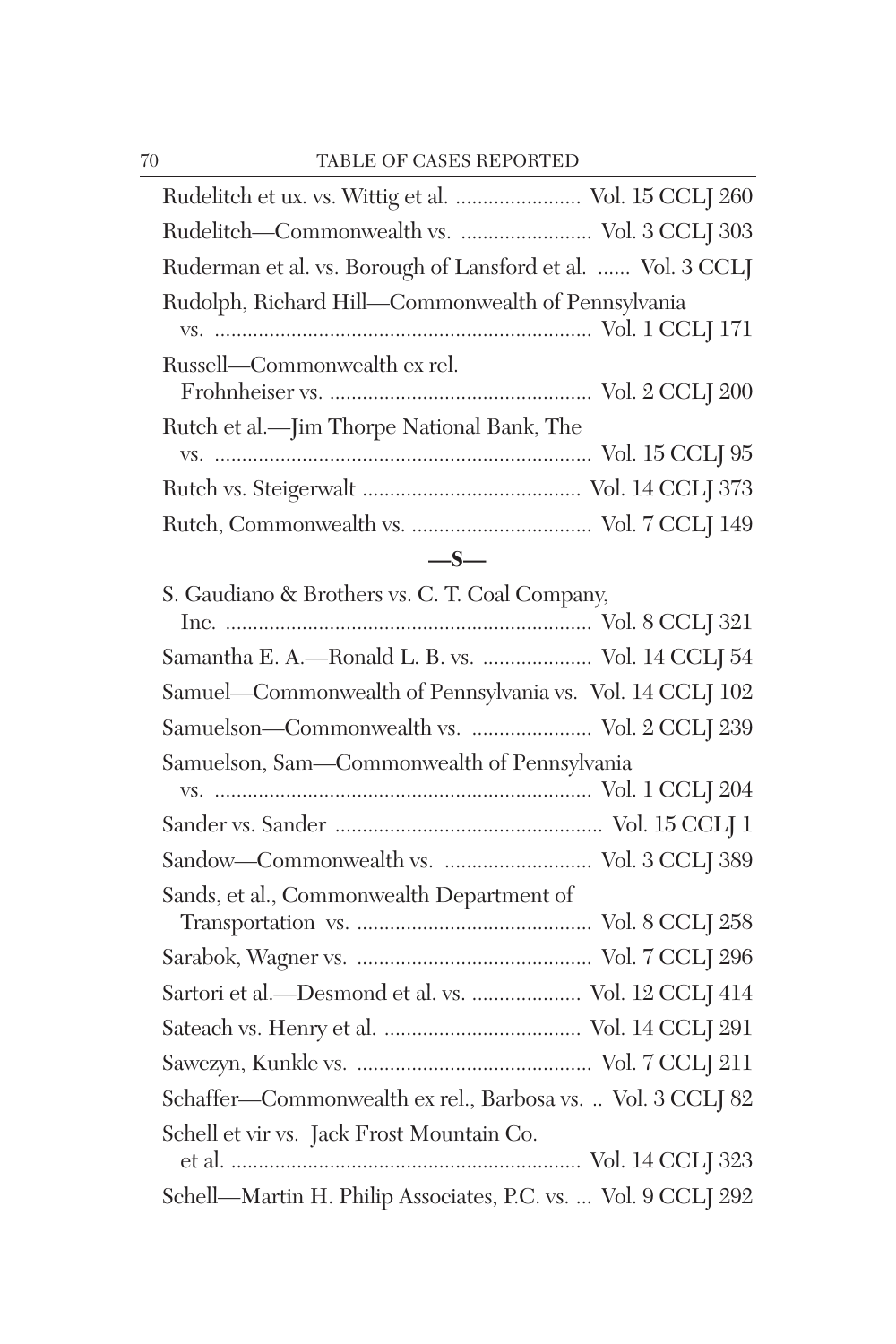| Rudelitch et ux. vs. Wittig et al.  Vol. 15 CCLJ 260        |
|-------------------------------------------------------------|
|                                                             |
| Ruderman et al. vs. Borough of Lansford et al.  Vol. 3 CCLJ |
| Rudolph, Richard Hill-Commonwealth of Pennsylvania          |
|                                                             |
| Russell—Commonwealth ex rel.                                |
|                                                             |
| Rutch et al.—Jim Thorpe National Bank, The                  |
|                                                             |
|                                                             |
|                                                             |
| $-$ S $-$                                                   |

| S. Gaudiano & Brothers vs. C. T. Coal Company,                |
|---------------------------------------------------------------|
|                                                               |
| Samantha E. A.-Ronald L. B. vs.  Vol. 14 CCLJ 54              |
| Samuel-Commonwealth of Pennsylvania vs. Vol. 14 CCLJ 102      |
| Samuelson—Commonwealth vs.  Vol. 2 CCLJ 239                   |
| Samuelson, Sam-Commonwealth of Pennsylvania                   |
|                                                               |
|                                                               |
|                                                               |
| Sands, et al., Commonwealth Department of                     |
|                                                               |
|                                                               |
| Sartori et al.-Desmond et al. vs.  Vol. 12 CCLJ 414           |
|                                                               |
|                                                               |
| Schaffer—Commonwealth ex rel., Barbosa vs.  Vol. 3 CCLJ 82    |
| Schell et vir vs. Jack Frost Mountain Co.                     |
|                                                               |
| Schell—Martin H. Philip Associates, P.C. vs.  Vol. 9 CCLJ 292 |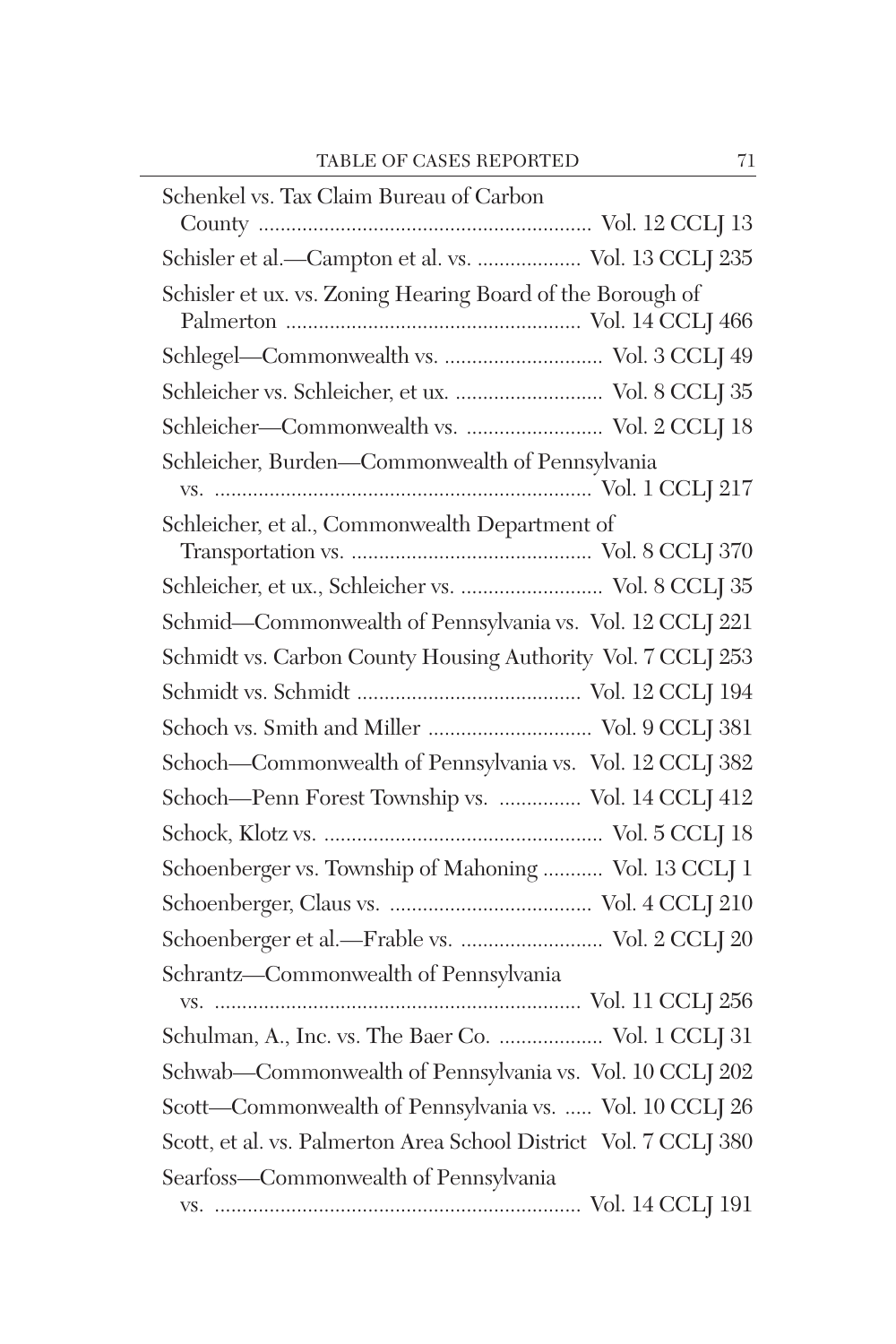| Schenkel vs. Tax Claim Bureau of Carbon                                                                                                    |
|--------------------------------------------------------------------------------------------------------------------------------------------|
|                                                                                                                                            |
| Schisler et al.-Campton et al. vs.  Vol. 13 CCLJ 235                                                                                       |
| Schisler et ux. vs. Zoning Hearing Board of the Borough of                                                                                 |
|                                                                                                                                            |
|                                                                                                                                            |
| $\label{eq:2} \mbox{Schleicher vs. Schleicher, et ux.} \mbox{ } \mbox{ } \mbox{ } \mbox{ } \mbox{ } \mbox{ No.} \; 8 \; \mbox{CCLJ} \; 35$ |
|                                                                                                                                            |
| Schleicher, Burden-Commonwealth of Pennsylvania                                                                                            |
|                                                                                                                                            |
| Schleicher, et al., Commonwealth Department of                                                                                             |
|                                                                                                                                            |
| Schleicher, et ux., Schleicher vs.  Vol. 8 CCLJ 35                                                                                         |
| Schmid-Commonwealth of Pennsylvania vs. Vol. 12 CCLJ 221                                                                                   |
| Schmidt vs. Carbon County Housing Authority Vol. 7 CCLJ 253                                                                                |
|                                                                                                                                            |
| Schoch vs. Smith and Miller  Vol. 9 CCLJ 381                                                                                               |
| Schoch-Commonwealth of Pennsylvania vs. Vol. 12 CCLJ 382                                                                                   |
| Schoch—Penn Forest Township vs.  Vol. 14 CCLJ 412                                                                                          |
|                                                                                                                                            |
| Schoenberger vs. Township of Mahoning  Vol. 13 CCLJ 1                                                                                      |
|                                                                                                                                            |
| Schoenberger et al.-Frable vs.  Vol. 2 CCLJ 20                                                                                             |
| Schrantz-Commonwealth of Pennsylvania                                                                                                      |
|                                                                                                                                            |
| Schulman, A., Inc. vs. The Baer Co.  Vol. 1 CCLJ 31                                                                                        |
| Schwab-Commonwealth of Pennsylvania vs. Vol. 10 CCLJ 202                                                                                   |
| Scott-Commonwealth of Pennsylvania vs.  Vol. 10 CCLJ 26                                                                                    |
| Scott, et al. vs. Palmerton Area School District Vol. 7 CCLJ 380                                                                           |
| Searfoss-Commonwealth of Pennsylvania                                                                                                      |
|                                                                                                                                            |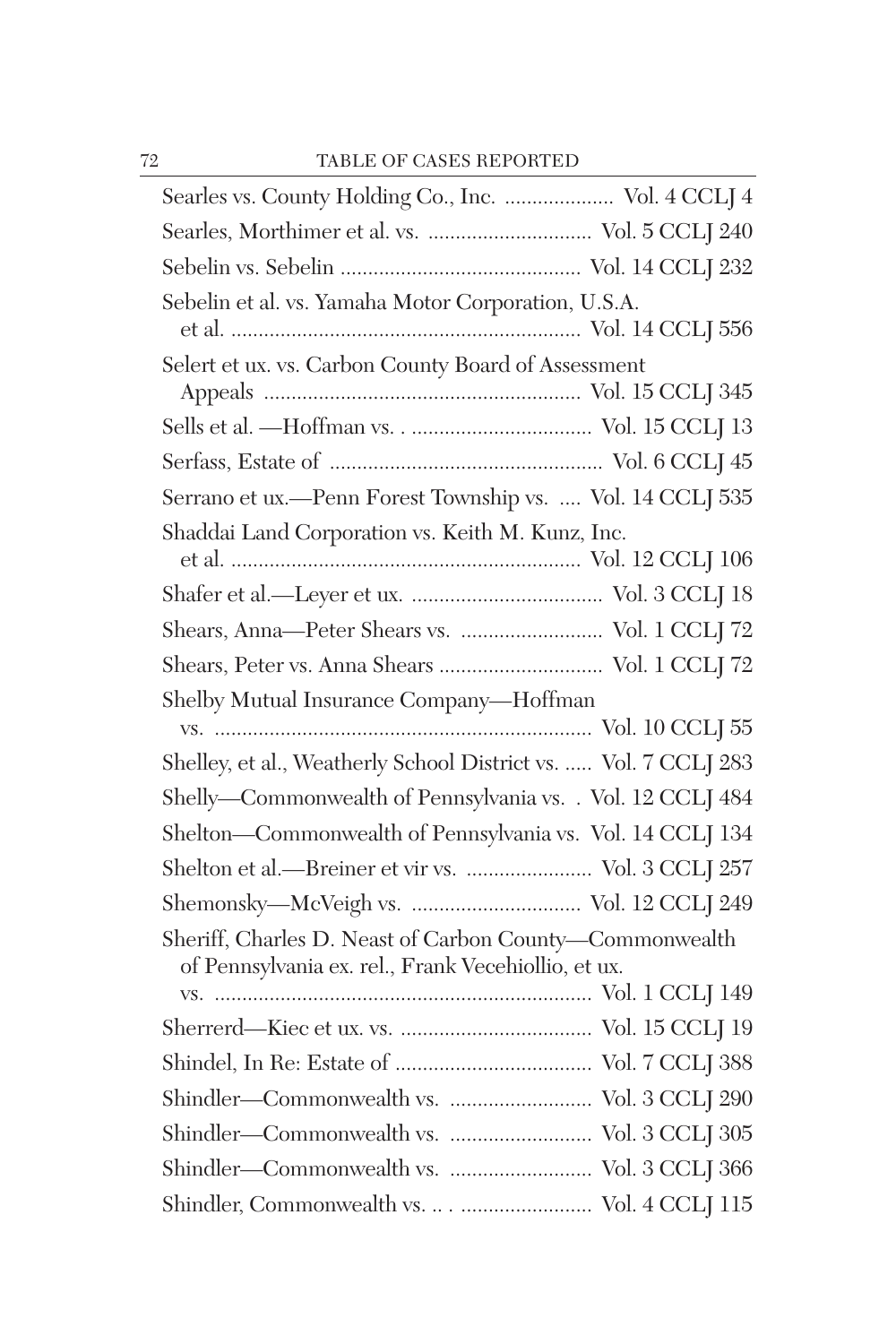| Searles vs. County Holding Co., Inc.  Vol. 4 CCLJ 4                                                            |  |
|----------------------------------------------------------------------------------------------------------------|--|
|                                                                                                                |  |
|                                                                                                                |  |
| Sebelin et al. vs. Yamaha Motor Corporation, U.S.A.                                                            |  |
| Selert et ux. vs. Carbon County Board of Assessment                                                            |  |
|                                                                                                                |  |
|                                                                                                                |  |
| Serrano et ux.—Penn Forest Township vs.  Vol. 14 CCLJ 535                                                      |  |
| Shaddai Land Corporation vs. Keith M. Kunz, Inc.                                                               |  |
| Shears, Anna-Peter Shears vs.  Vol. 1 CCLJ 72                                                                  |  |
| Shears, Peter vs. Anna Shears  Vol. 1 CCLJ 72                                                                  |  |
| Shelby Mutual Insurance Company-Hoffman                                                                        |  |
| Shelley, et al., Weatherly School District vs.  Vol. 7 CCLJ 283                                                |  |
| Shelly-Commonwealth of Pennsylvania vs. . Vol. 12 CCLJ 484                                                     |  |
| Shelton-Commonwealth of Pennsylvania vs. Vol. 14 CCLJ 134                                                      |  |
| Shelton et al.-Breiner et vir vs.  Vol. 3 CCLJ 257                                                             |  |
|                                                                                                                |  |
| Sheriff, Charles D. Neast of Carbon County-Commonwealth<br>of Pennsylvania ex. rel., Frank Vecehiollio, et ux. |  |
|                                                                                                                |  |
|                                                                                                                |  |
|                                                                                                                |  |
|                                                                                                                |  |
|                                                                                                                |  |
|                                                                                                                |  |
|                                                                                                                |  |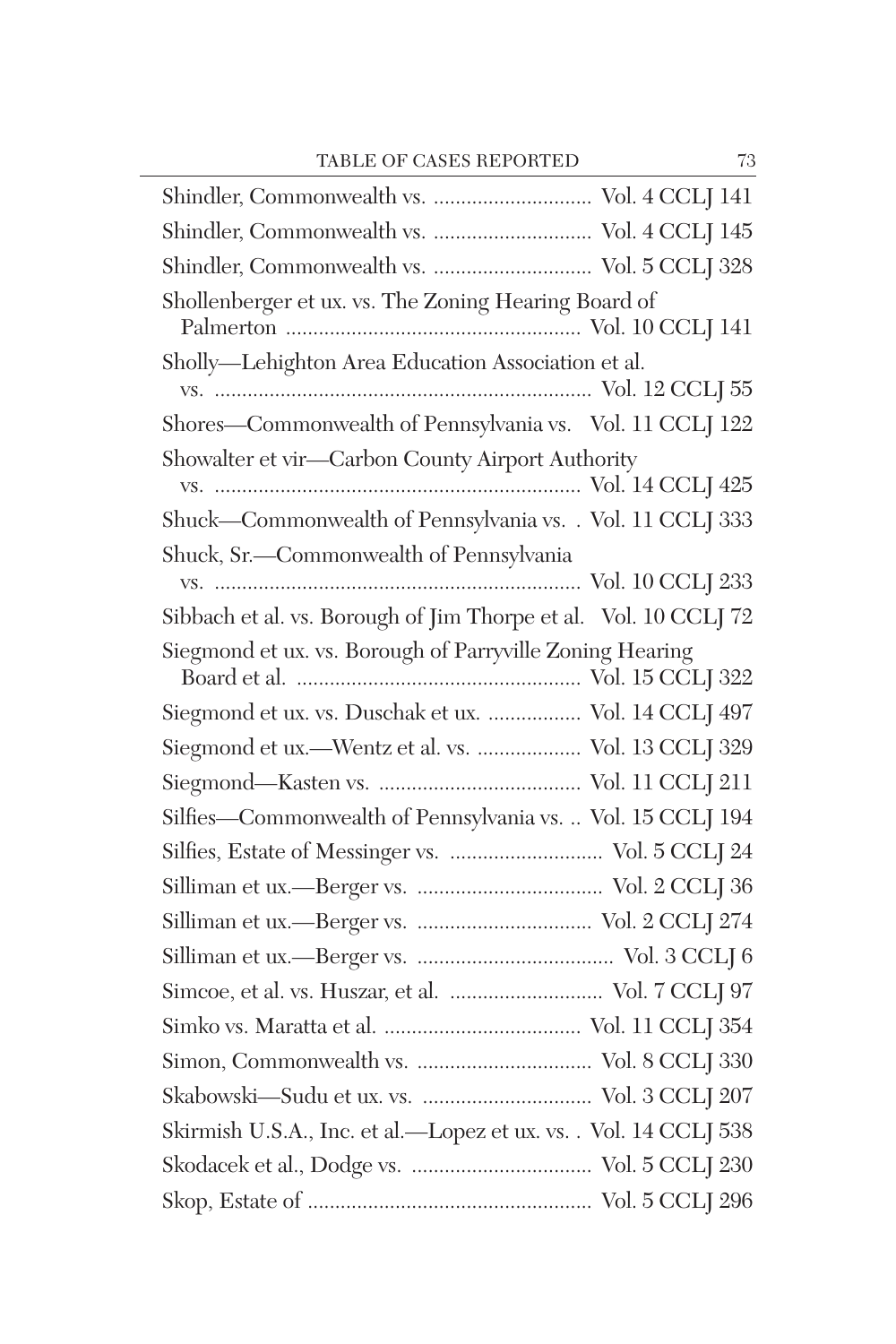| Shindler, Commonwealth vs.  Vol. 4 CCLJ 145                      |
|------------------------------------------------------------------|
| Shindler, Commonwealth vs.  Vol. 5 CCLI 328                      |
| Shollenberger et ux. vs. The Zoning Hearing Board of             |
| Sholly-Lehighton Area Education Association et al.               |
| Shores-Commonwealth of Pennsylvania vs. Vol. 11 CCLJ 122         |
| Showalter et vir-Carbon County Airport Authority                 |
| Shuck-Commonwealth of Pennsylvania vs. . Vol. 11 CCLJ 333        |
| Shuck, Sr.-Commonwealth of Pennsylvania                          |
| Sibbach et al. vs. Borough of Jim Thorpe et al. Vol. 10 CCLJ 72  |
| Siegmond et ux. vs. Borough of Parryville Zoning Hearing         |
| Siegmond et ux. vs. Duschak et ux.  Vol. 14 CCLJ 497             |
| Siegmond et ux.-Wentz et al. vs.  Vol. 13 CCLJ 329               |
|                                                                  |
| Silfies-Commonwealth of Pennsylvania vs.  Vol. 15 CCLJ 194       |
| Silfies, Estate of Messinger vs.  Vol. 5 CCLJ 24                 |
|                                                                  |
|                                                                  |
|                                                                  |
| Simcoe, et al. vs. Huszar, et al.  Vol. 7 CCLJ 97                |
|                                                                  |
|                                                                  |
|                                                                  |
| Skirmish U.S.A., Inc. et al.—Lopez et ux. vs. . Vol. 14 CCLJ 538 |
|                                                                  |
|                                                                  |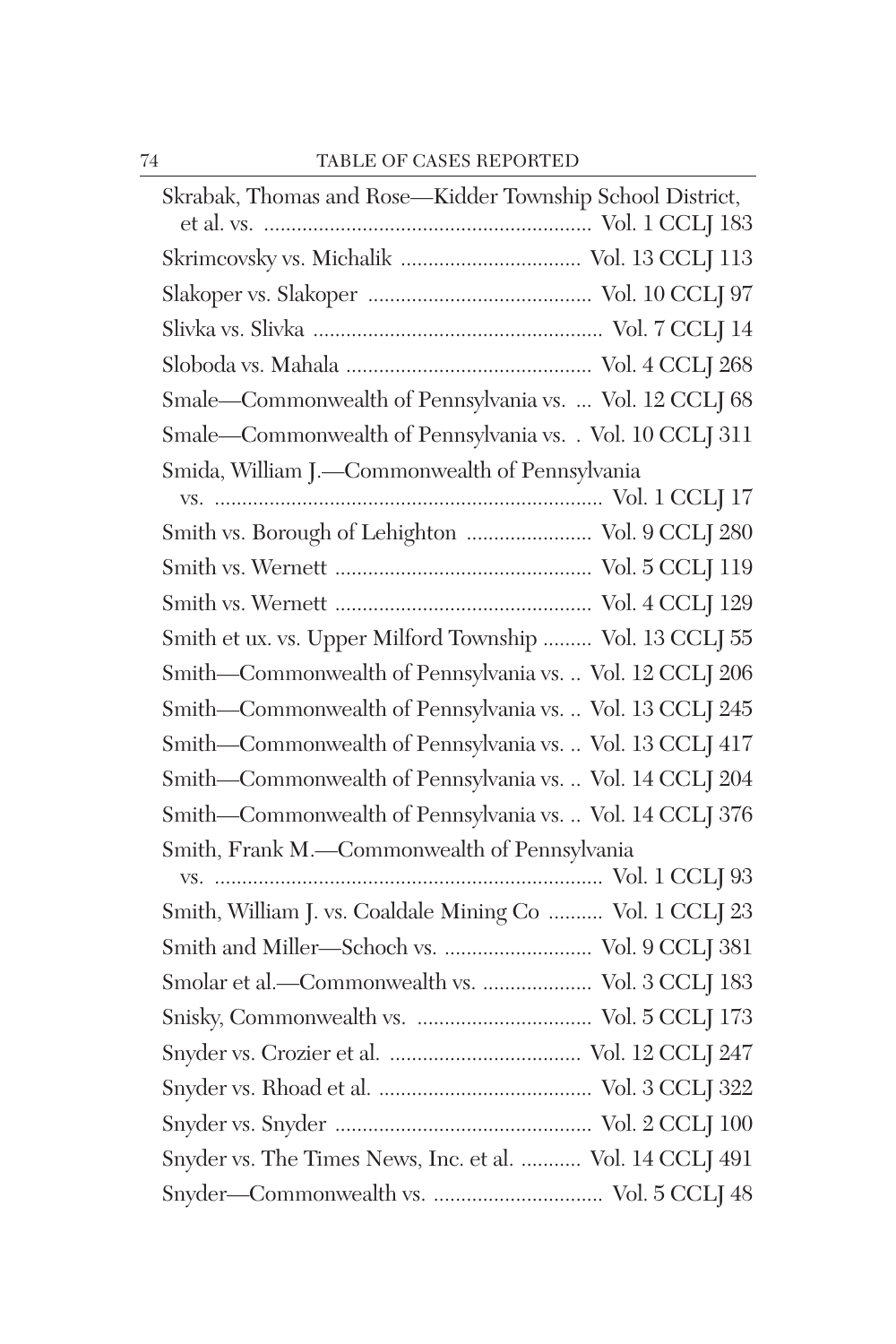| Skrabak, Thomas and Rose-Kidder Township School District, |
|-----------------------------------------------------------|
|                                                           |
|                                                           |
|                                                           |
|                                                           |
| Smale-Commonwealth of Pennsylvania vs.  Vol. 12 CCLJ 68   |
| Smale-Commonwealth of Pennsylvania vs. . Vol. 10 CCLJ 311 |
| Smida, William J.-Commonwealth of Pennsylvania            |
|                                                           |
| Smith vs. Borough of Lehighton  Vol. 9 CCLJ 280           |
|                                                           |
|                                                           |
| Smith et ux. vs. Upper Milford Township  Vol. 13 CCLJ 55  |
| Smith-Commonwealth of Pennsylvania vs.  Vol. 12 CCLJ 206  |
| Smith-Commonwealth of Pennsylvania vs.  Vol. 13 CCLJ 245  |
| Smith-Commonwealth of Pennsylvania vs.  Vol. 13 CCLJ 417  |
| Smith-Commonwealth of Pennsylvania vs.  Vol. 14 CCLJ 204  |
| Smith-Commonwealth of Pennsylvania vs.  Vol. 14 CCLJ 376  |
| Smith, Frank M.-Commonwealth of Pennsylvania              |
|                                                           |
| Smith, William J. vs. Coaldale Mining Co  Vol. 1 CCLJ 23  |
| Smith and Miller-Schoch vs.  Vol. 9 CCLJ 381              |
| Smolar et al.-Commonwealth vs.  Vol. 3 CCLJ 183           |
|                                                           |
|                                                           |
|                                                           |
|                                                           |
| Snyder vs. The Times News, Inc. et al.  Vol. 14 CCLJ 491  |
|                                                           |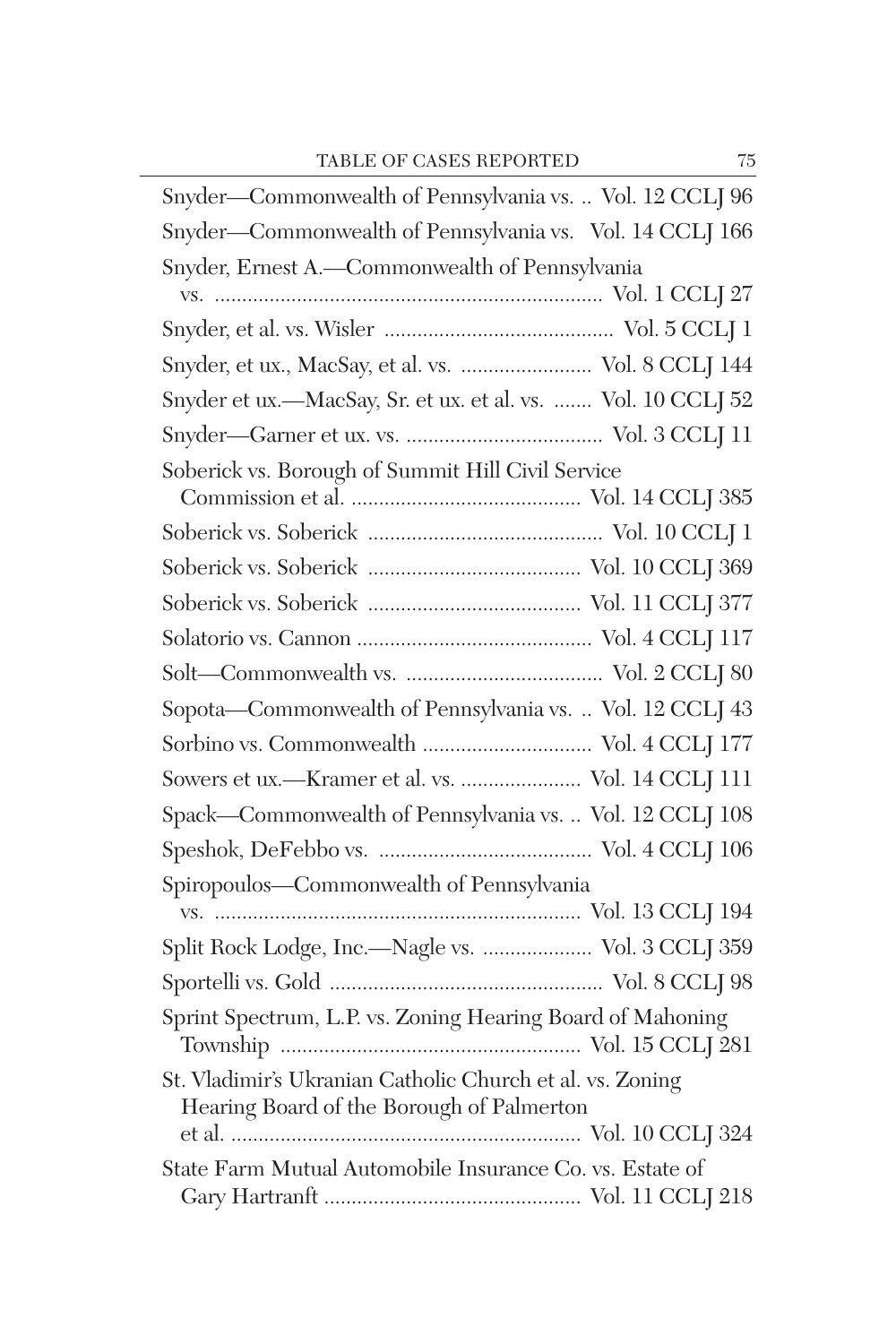| Snyder-Commonwealth of Pennsylvania vs.  Vol. 12 CCLJ 96                                               |
|--------------------------------------------------------------------------------------------------------|
| Snyder-Commonwealth of Pennsylvania vs. Vol. 14 CCLJ 166                                               |
| Snyder, Ernest A.-Commonwealth of Pennsylvania                                                         |
|                                                                                                        |
|                                                                                                        |
| Snyder, et ux., MacSay, et al. vs.  Vol. 8 CCLJ 144                                                    |
| Snyder et ux.—MacSay, Sr. et ux. et al. vs.  Vol. 10 CCLJ 52                                           |
|                                                                                                        |
| Soberick vs. Borough of Summit Hill Civil Service                                                      |
|                                                                                                        |
|                                                                                                        |
|                                                                                                        |
|                                                                                                        |
|                                                                                                        |
|                                                                                                        |
| Sopota-Commonwealth of Pennsylvania vs.  Vol. 12 CCLJ 43                                               |
|                                                                                                        |
| Sowers et ux.-Kramer et al. vs.  Vol. 14 CCLJ 111                                                      |
| Spack-Commonwealth of Pennsylvania vs.  Vol. 12 CCLJ 108                                               |
|                                                                                                        |
| Spiropoulos-Commonwealth of Pennsylvania                                                               |
|                                                                                                        |
| Split Rock Lodge, Inc.—Nagle vs.  Vol. 3 CCLJ 359                                                      |
|                                                                                                        |
| Sprint Spectrum, L.P. vs. Zoning Hearing Board of Mahoning                                             |
| St. Vladimir's Ukranian Catholic Church et al. vs. Zoning<br>Hearing Board of the Borough of Palmerton |
| State Farm Mutual Automobile Insurance Co. vs. Estate of                                               |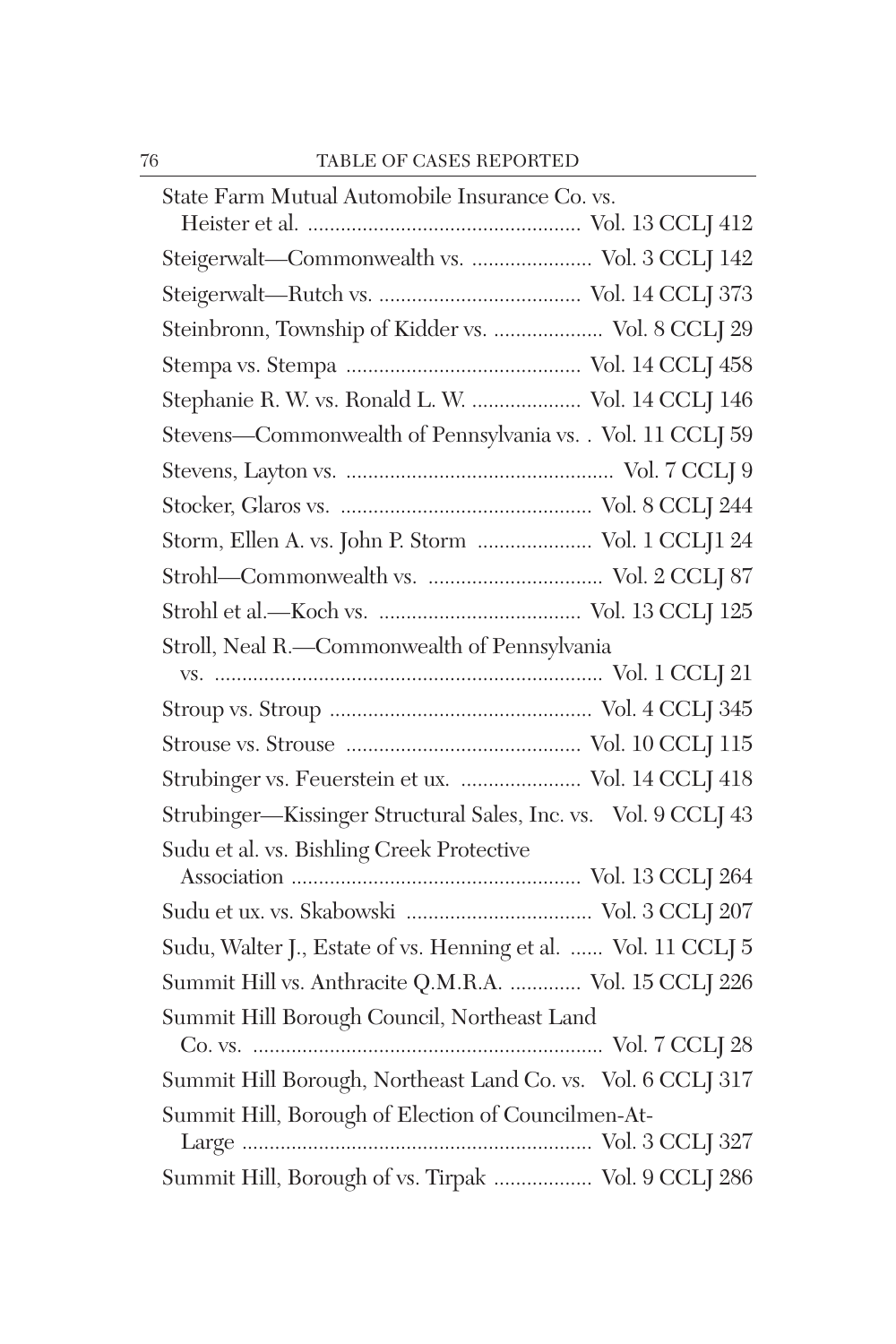| State Farm Mutual Automobile Insurance Co. vs.                 |
|----------------------------------------------------------------|
|                                                                |
| Steigerwalt-Commonwealth vs.  Vol. 3 CCLJ 142                  |
|                                                                |
| Steinbronn, Township of Kidder vs.  Vol. 8 CCLJ 29             |
|                                                                |
| Stephanie R. W. vs. Ronald L. W.  Vol. 14 CCLJ 146             |
| Stevens-Commonwealth of Pennsylvania vs. . Vol. 11 CCLJ 59     |
|                                                                |
|                                                                |
| Storm, Ellen A. vs. John P. Storm  Vol. 1 CCLJ1 24             |
|                                                                |
|                                                                |
| Stroll, Neal R.-Commonwealth of Pennsylvania                   |
|                                                                |
|                                                                |
|                                                                |
| Strubinger vs. Feuerstein et ux.  Vol. 14 CCLJ 418             |
| Strubinger-Kissinger Structural Sales, Inc. vs. Vol. 9 CCLJ 43 |
| Sudu et al. vs. Bishling Creek Protective                      |
|                                                                |
|                                                                |
| Sudu, Walter J., Estate of vs. Henning et al.  Vol. 11 CCLJ 5  |
| Summit Hill vs. Anthracite Q.M.R.A.  Vol. 15 CCLJ 226          |
| Summit Hill Borough Council, Northeast Land                    |
|                                                                |
| Summit Hill Borough, Northeast Land Co. vs. Vol. 6 CCLJ 317    |
| Summit Hill, Borough of Election of Councilmen-At-             |
|                                                                |
| Summit Hill, Borough of vs. Tirpak  Vol. 9 CCLJ 286            |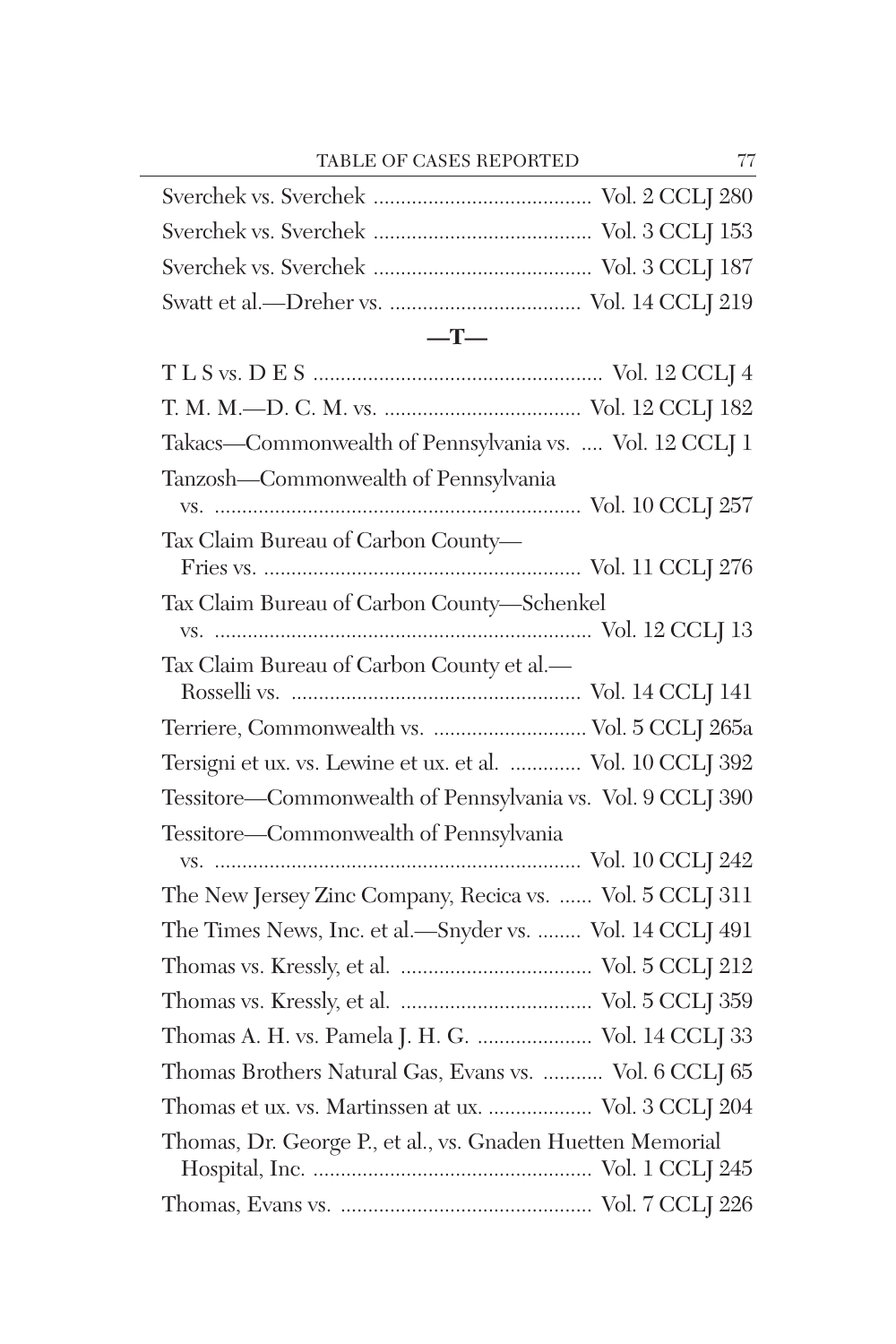#### **—T—**

| Takacs-Commonwealth of Pennsylvania vs.  Vol. 12 CCLJ 1    |  |
|------------------------------------------------------------|--|
| Tanzosh—Commonwealth of Pennsylvania                       |  |
| Tax Claim Bureau of Carbon County-                         |  |
| Tax Claim Bureau of Carbon County-Schenkel                 |  |
|                                                            |  |
| Tax Claim Bureau of Carbon County et al.-                  |  |
| Terriere, Commonwealth vs.  Vol. 5 CCLJ 265a               |  |
| Tersigni et ux. vs. Lewine et ux. et al.  Vol. 10 CCLJ 392 |  |
| Tessitore—Commonwealth of Pennsylvania vs. Vol. 9 CCLJ 390 |  |
| Tessitore—Commonwealth of Pennsylvania                     |  |
|                                                            |  |
| The New Jersey Zinc Company, Recica vs.  Vol. 5 CCLJ 311   |  |
| The Times News, Inc. et al.—Snyder vs.  Vol. 14 CCLJ 491   |  |
|                                                            |  |
|                                                            |  |
| Thomas A. H. vs. Pamela J. H. G.  Vol. 14 CCLJ 33          |  |
| Thomas Brothers Natural Gas, Evans vs.  Vol. 6 CCLJ 65     |  |
| Thomas et ux. vs. Martinssen at ux.  Vol. 3 CCLJ 204       |  |
| Thomas, Dr. George P., et al., vs. Gnaden Huetten Memorial |  |
|                                                            |  |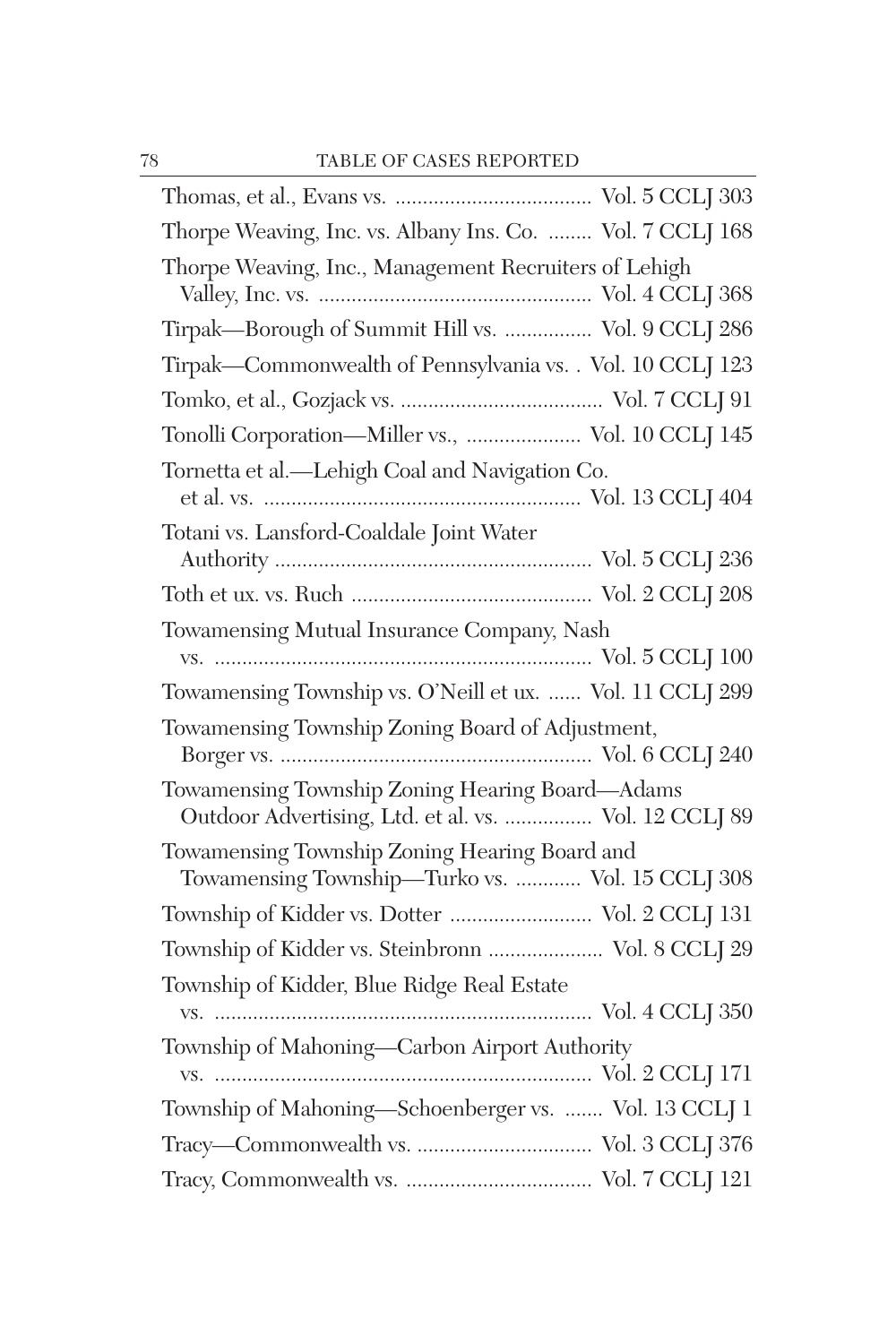| Thorpe Weaving, Inc. vs. Albany Ins. Co.  Vol. 7 CCLJ 168                                                |
|----------------------------------------------------------------------------------------------------------|
| Thorpe Weaving, Inc., Management Recruiters of Lehigh                                                    |
| Tirpak-Borough of Summit Hill vs.  Vol. 9 CCLJ 286                                                       |
| Tirpak-Commonwealth of Pennsylvania vs. . Vol. 10 CCLJ 123                                               |
|                                                                                                          |
| Tonolli Corporation-Miller vs.,  Vol. 10 CCLJ 145                                                        |
| Tornetta et al.—Lehigh Coal and Navigation Co.                                                           |
| Totani vs. Lansford-Coaldale Joint Water                                                                 |
|                                                                                                          |
|                                                                                                          |
| Towamensing Mutual Insurance Company, Nash                                                               |
| Towamensing Township vs. O'Neill et ux.  Vol. 11 CCLJ 299                                                |
| Towamensing Township Zoning Board of Adjustment,                                                         |
| Towamensing Township Zoning Hearing Board—Adams<br>Outdoor Advertising, Ltd. et al. vs.  Vol. 12 CCLJ 89 |
| Towamensing Township Zoning Hearing Board and<br>Towamensing Township-Turko vs.  Vol. 15 CCLJ 308        |
| Township of Kidder vs. Dotter  Vol. 2 CCLJ 131                                                           |
| Township of Kidder vs. Steinbronn  Vol. 8 CCLJ 29                                                        |
| Township of Kidder, Blue Ridge Real Estate                                                               |
| Township of Mahoning-Carbon Airport Authority                                                            |
| Township of Mahoning-Schoenberger vs.  Vol. 13 CCLJ 1                                                    |
|                                                                                                          |
|                                                                                                          |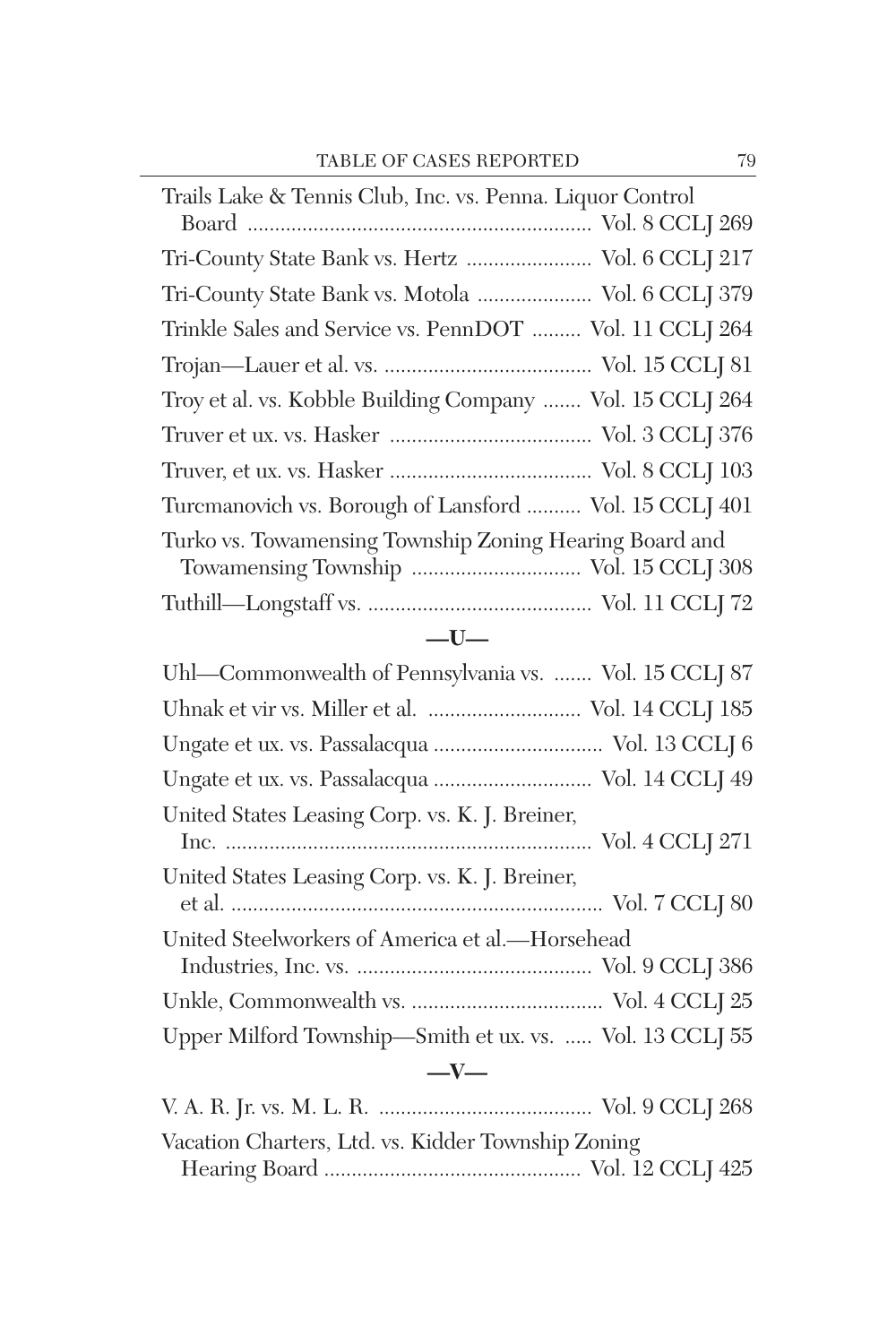| Trails Lake & Tennis Club, Inc. vs. Penna. Liquor Control |
|-----------------------------------------------------------|
|                                                           |
| Tri-County State Bank vs. Hertz  Vol. 6 CCLJ 217          |
| Tri-County State Bank vs. Motola  Vol. 6 CCLJ 379         |
| Trinkle Sales and Service vs. PennDOT  Vol. 11 CCLJ 264   |
|                                                           |
| Troy et al. vs. Kobble Building Company  Vol. 15 CCLJ 264 |
|                                                           |
|                                                           |
| Turcmanovich vs. Borough of Lansford  Vol. 15 CCLJ 401    |
| Turko vs. Towamensing Township Zoning Hearing Board and   |
|                                                           |

## **—U—**

| Uhl—Commonwealth of Pennsylvania vs.  Vol. 15 CCLJ 87    |
|----------------------------------------------------------|
| Uhnak et vir vs. Miller et al.  Vol. 14 CCLJ 185         |
| Ungate et ux. vs. Passalacqua  Vol. 13 CCLJ 6            |
| Ungate et ux. vs. Passalacqua  Vol. 14 CCLJ 49           |
| United States Leasing Corp. vs. K. J. Breiner,           |
| United States Leasing Corp. vs. K. J. Breiner,           |
| United Steelworkers of America et al.-Horsehead          |
|                                                          |
|                                                          |
| Upper Milford Township-Smith et ux. vs.  Vol. 13 CCLJ 55 |
| $-$ V $-$                                                |
|                                                          |
| Vacation Charters, Ltd. vs. Kidder Township Zoning       |
|                                                          |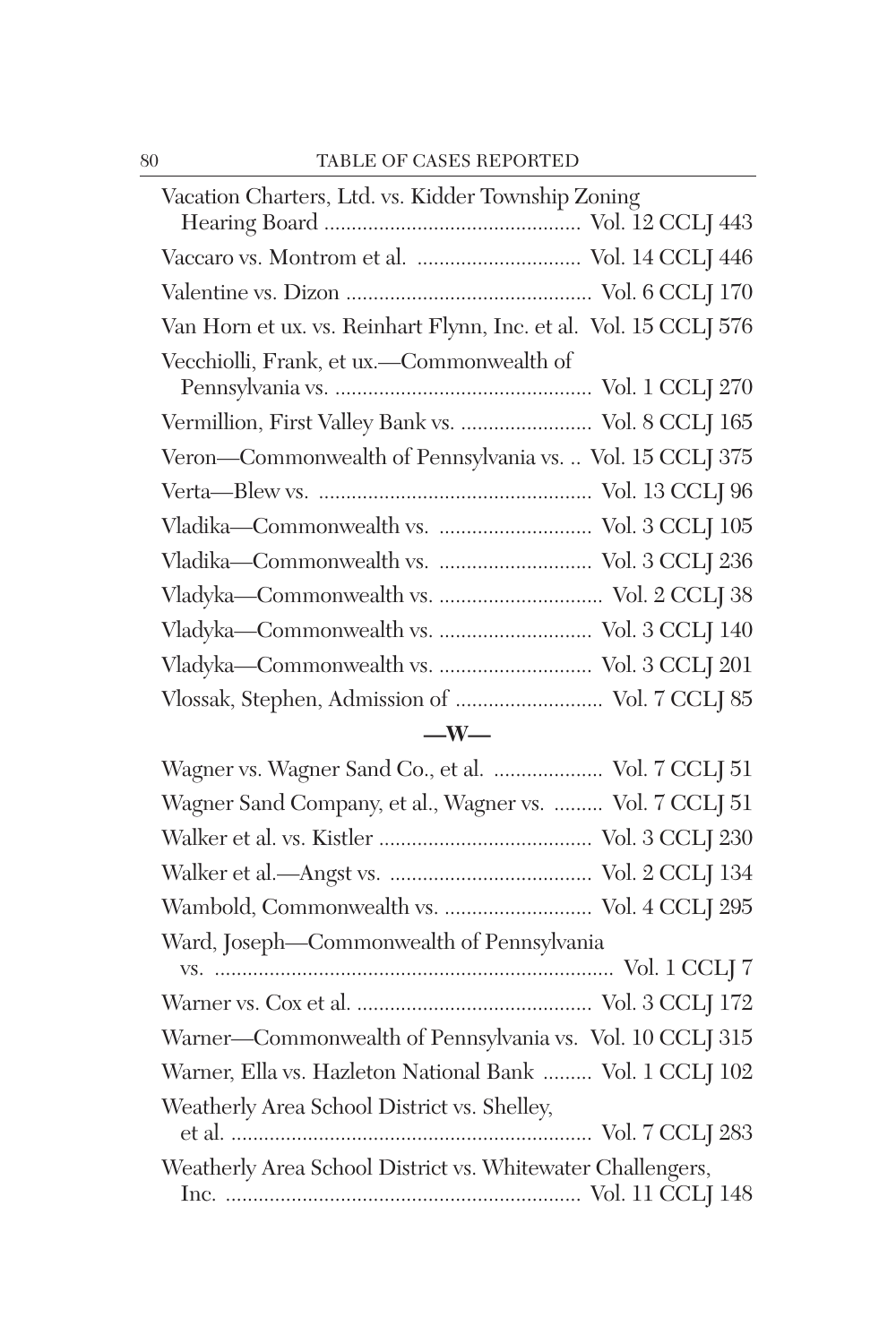| Vacation Charters, Ltd. vs. Kidder Township Zoning               |
|------------------------------------------------------------------|
|                                                                  |
| Vaccaro vs. Montrom et al.  Vol. 14 CCLJ 446                     |
|                                                                  |
| Van Horn et ux. vs. Reinhart Flynn, Inc. et al. Vol. 15 CCLJ 576 |
| Vecchiolli, Frank, et ux.-Commonwealth of                        |
|                                                                  |
| Vermillion, First Valley Bank vs.  Vol. 8 CCLJ 165               |
| Veron-Commonwealth of Pennsylvania vs.  Vol. 15 CCLJ 375         |
|                                                                  |
|                                                                  |
| Vladika-Commonwealth vs.  Vol. 3 CCLJ 236                        |
|                                                                  |
| Vladyka-Commonwealth vs.  Vol. 3 CCLJ 140                        |
|                                                                  |
| Vlossak, Stephen, Admission of  Vol. 7 CCLJ 85                   |
|                                                                  |

## **—W—**

| Wagner vs. Wagner Sand Co., et al.  Vol. 7 CCLJ 51         |
|------------------------------------------------------------|
| Wagner Sand Company, et al., Wagner vs.  Vol. 7 CCLJ 51    |
|                                                            |
|                                                            |
| Wambold, Commonwealth vs.  Vol. 4 CCLJ 295                 |
| Ward, Joseph-Commonwealth of Pennsylvania                  |
|                                                            |
|                                                            |
| Warner-Commonwealth of Pennsylvania vs. Vol. 10 CCLJ 315   |
| Warner, Ella vs. Hazleton National Bank  Vol. 1 CCLJ 102   |
| Weatherly Area School District vs. Shelley,                |
|                                                            |
| Weatherly Area School District vs. Whitewater Challengers, |
|                                                            |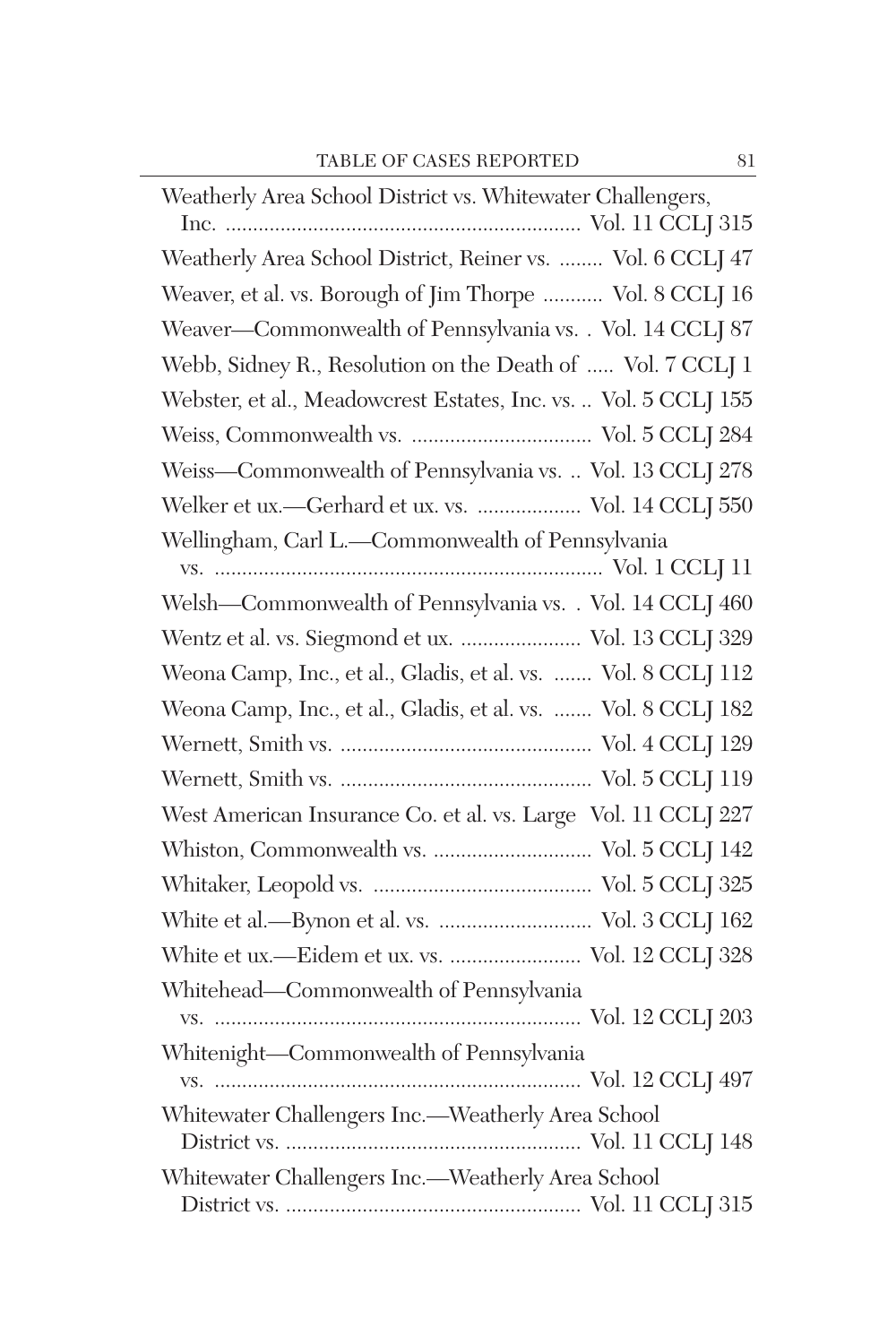| Weatherly Area School District vs. Whitewater Challengers,      |
|-----------------------------------------------------------------|
| Weatherly Area School District, Reiner vs.  Vol. 6 CCLJ 47      |
| Weaver, et al. vs. Borough of Jim Thorpe  Vol. 8 CCLJ 16        |
| Weaver-Commonwealth of Pennsylvania vs. . Vol. 14 CCLJ 87       |
| Webb, Sidney R., Resolution on the Death of  Vol. 7 CCLJ 1      |
| Webster, et al., Meadowcrest Estates, Inc. vs.  Vol. 5 CCLJ 155 |
|                                                                 |
| Weiss-Commonwealth of Pennsylvania vs.  Vol. 13 CCLJ 278        |
| Welker et ux.-Gerhard et ux. vs.  Vol. 14 CCLJ 550              |
| Wellingham, Carl L.-Commonwealth of Pennsylvania                |
| Welsh-Commonwealth of Pennsylvania vs. . Vol. 14 CCLJ 460       |
| Wentz et al. vs. Siegmond et ux.  Vol. 13 CCLJ 329              |
| Weona Camp, Inc., et al., Gladis, et al. vs.  Vol. 8 CCLJ 112   |
| Weona Camp, Inc., et al., Gladis, et al. vs.  Vol. 8 CCLJ 182   |
|                                                                 |
|                                                                 |
| West American Insurance Co. et al. vs. Large Vol. 11 CCLJ 227   |
|                                                                 |
|                                                                 |
| White et al.—Bynon et al. vs.  Vol. 3 CCLJ 162                  |
| White et ux.-Eidem et ux. vs.  Vol. 12 CCLJ 328                 |
| Whitehead-Commonwealth of Pennsylvania                          |
| Whitenight-Commonwealth of Pennsylvania                         |
|                                                                 |
| Whitewater Challengers Inc.-Weatherly Area School               |
|                                                                 |
| Whitewater Challengers Inc.-Weatherly Area School               |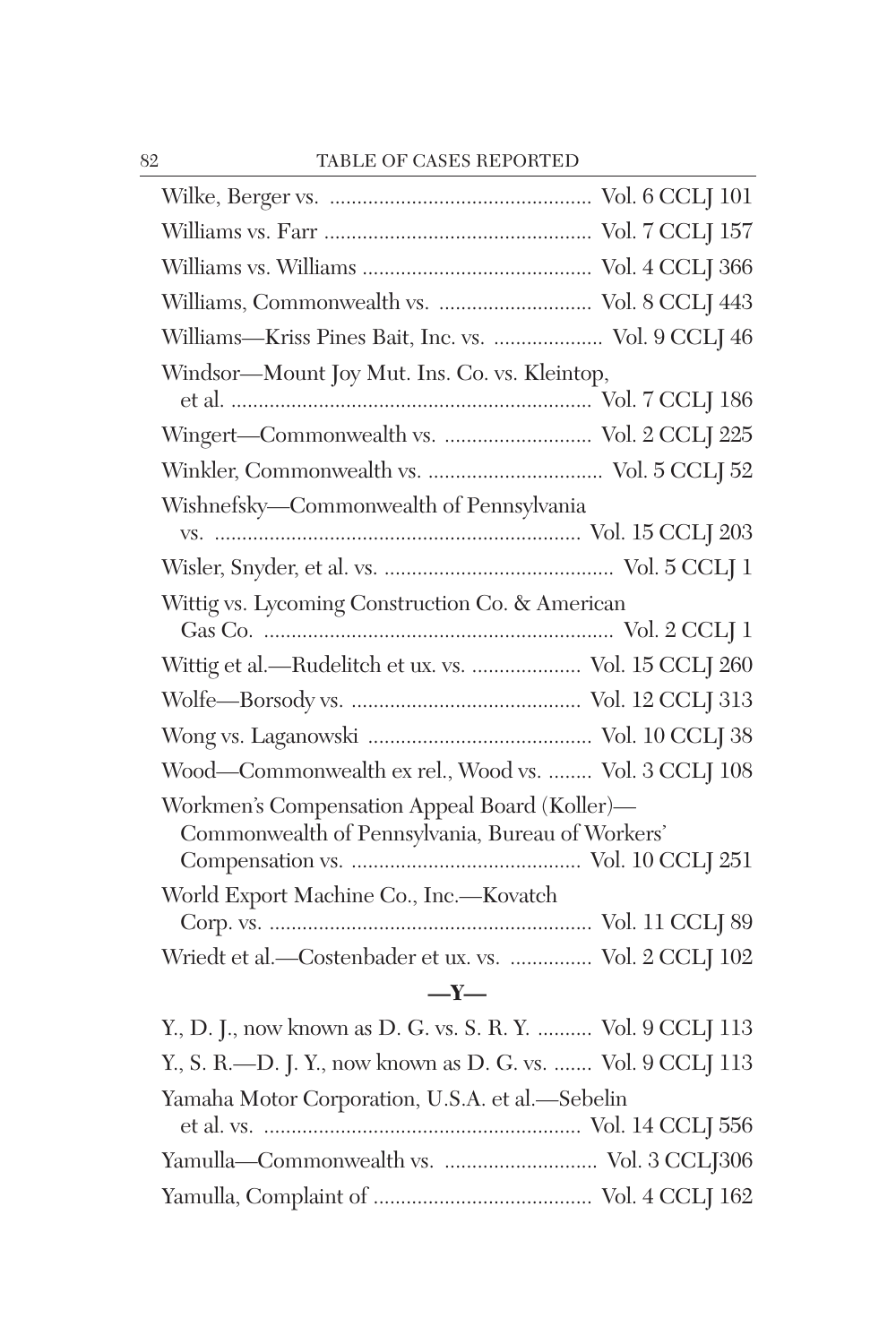| Williams, Commonwealth vs.  Vol. 8 CCLJ 443                                                       |  |
|---------------------------------------------------------------------------------------------------|--|
| Williams-Kriss Pines Bait, Inc. vs.  Vol. 9 CCLJ 46                                               |  |
| Windsor-Mount Joy Mut. Ins. Co. vs. Kleintop,                                                     |  |
| Wingert-Commonwealth vs.  Vol. 2 CCLJ 225                                                         |  |
|                                                                                                   |  |
| Wishnefsky-Commonwealth of Pennsylvania                                                           |  |
|                                                                                                   |  |
| Wittig vs. Lycoming Construction Co. & American                                                   |  |
| Wittig et al.—Rudelitch et ux. vs.  Vol. 15 CCLJ 260                                              |  |
|                                                                                                   |  |
|                                                                                                   |  |
| Wood-Commonwealth ex rel., Wood vs.  Vol. 3 CCLJ 108                                              |  |
| Workmen's Compensation Appeal Board (Koller)-<br>Commonwealth of Pennsylvania, Bureau of Workers' |  |
| World Export Machine Co., Inc.-Kovatch                                                            |  |
| Wriedt et al.-Costenbader et ux. vs.  Vol. 2 CCLJ 102                                             |  |
| $-Y-$                                                                                             |  |
| $V \cap Y = 1$ $P \cap T = 0$ $P Y' = Y' \cap Q \cap Y'$                                          |  |

| Y., D. J., now known as D. G. vs. S. R. Y.  Vol. 9 CCLJ 113 |
|-------------------------------------------------------------|
| Y., S. R.—D. J. Y., now known as D. G. vs.  Vol. 9 CCLJ 113 |
| Yamaha Motor Corporation, U.S.A. et al.-Sebelin             |
|                                                             |
|                                                             |
|                                                             |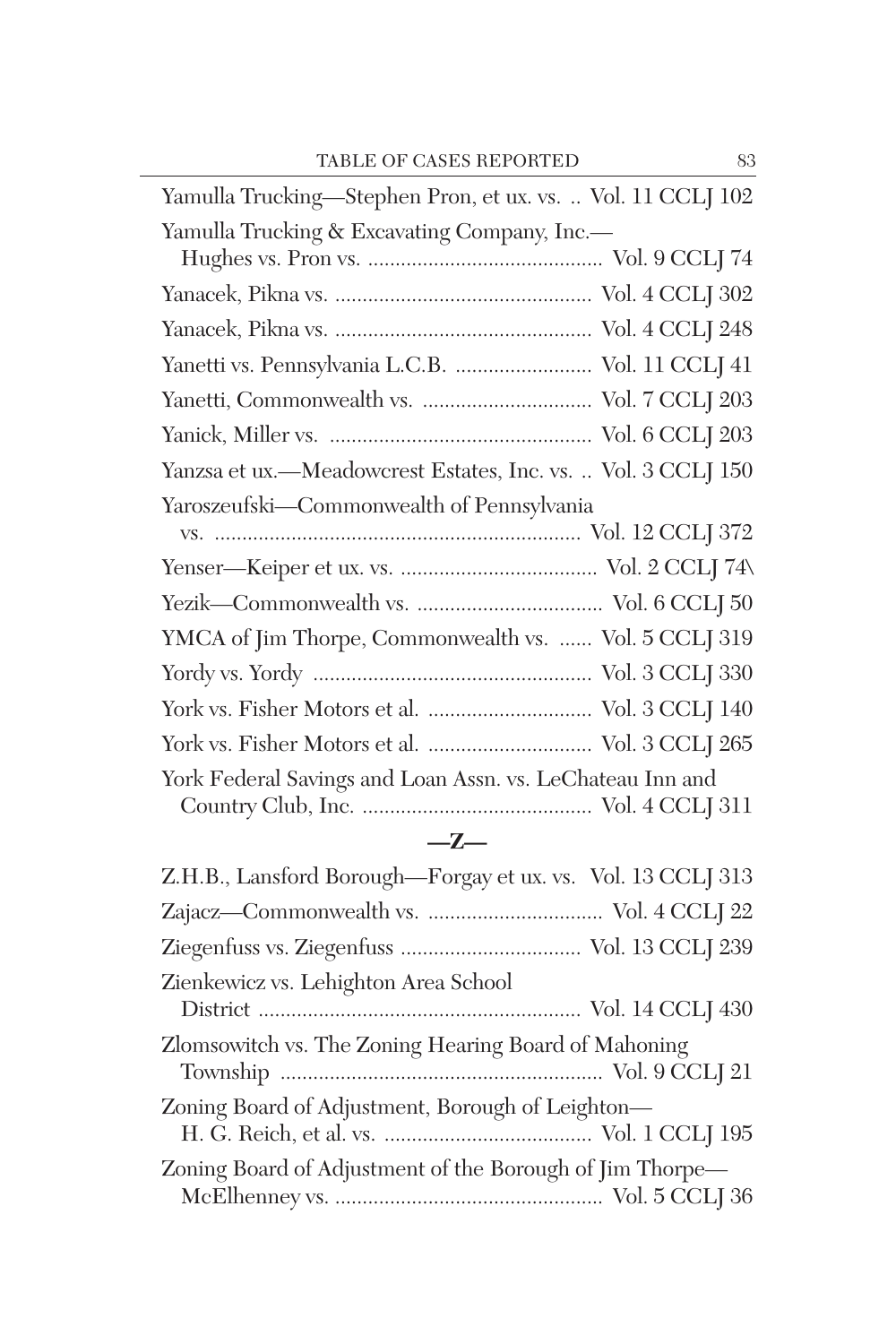| Yamulla Trucking-Stephen Pron, et ux. vs.  Vol. 11 CCLJ 102  |
|--------------------------------------------------------------|
| Yamulla Trucking & Excavating Company, Inc.-                 |
|                                                              |
|                                                              |
|                                                              |
| Yanetti vs. Pennsylvania L.C.B.  Vol. 11 CCLJ 41             |
|                                                              |
|                                                              |
| Yanzsa et ux.—Meadowcrest Estates, Inc. vs.  Vol. 3 CCLJ 150 |
| Yaroszeufski—Commonwealth of Pennsylvania                    |
|                                                              |
|                                                              |
|                                                              |
| YMCA of Jim Thorpe, Commonwealth vs.  Vol. 5 CCLJ 319        |
|                                                              |
| York vs. Fisher Motors et al.  Vol. 3 CCLJ 140               |
| York vs. Fisher Motors et al.  Vol. 3 CCLJ 265               |
| York Federal Savings and Loan Assn. vs. LeChateau Inn and    |

## **—Z—**

| Z.H.B., Lansford Borough-Forgay et ux. vs. Vol. 13 CCLJ 313 |
|-------------------------------------------------------------|
|                                                             |
|                                                             |
| Zienkewicz vs. Lehighton Area School                        |
| Zlomsowitch vs. The Zoning Hearing Board of Mahoning        |
| Zoning Board of Adjustment, Borough of Leighton-            |
| Zoning Board of Adjustment of the Borough of Jim Thorpe—    |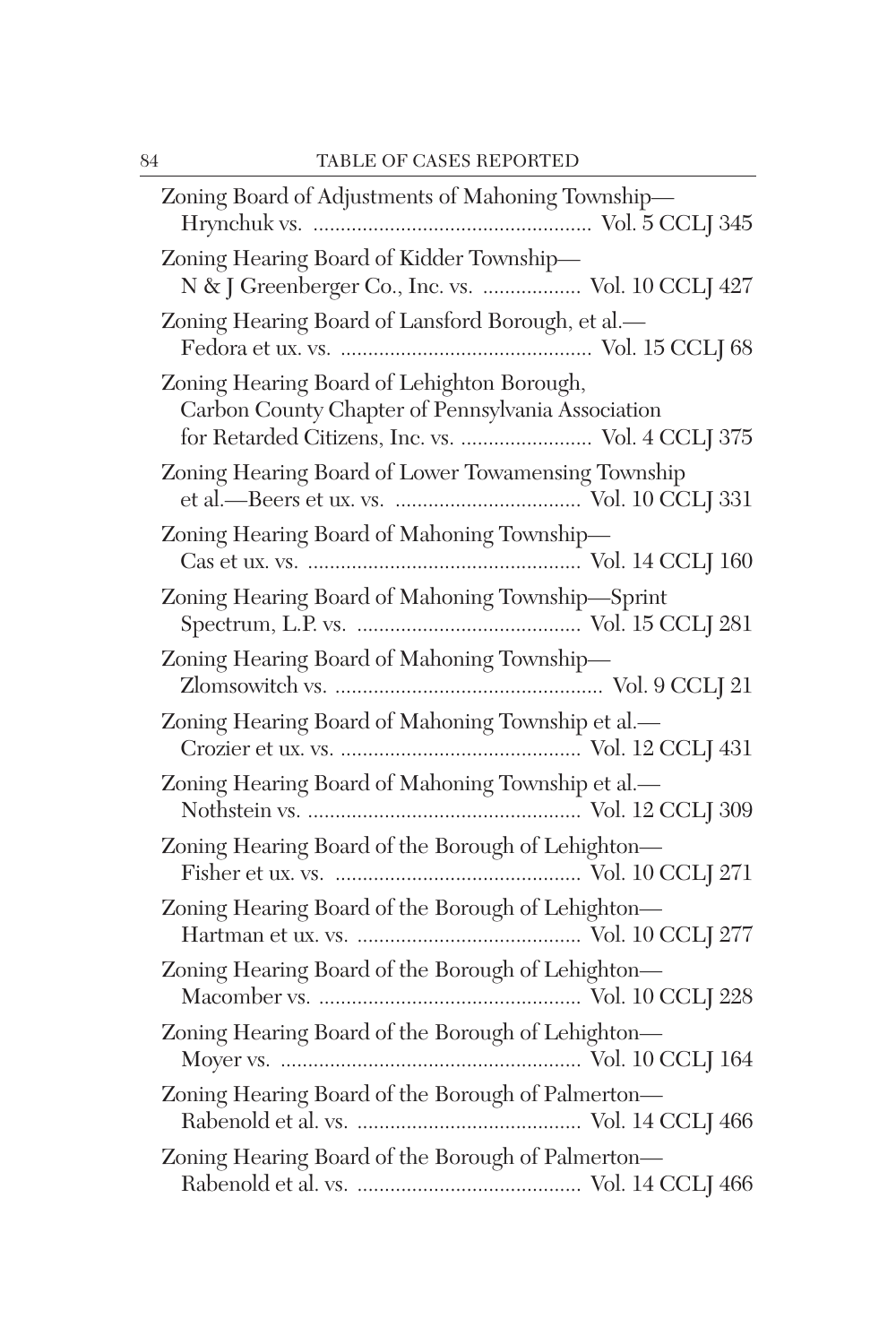| Zoning Board of Adjustments of Mahoning Township-                                                                                                   |
|-----------------------------------------------------------------------------------------------------------------------------------------------------|
| Zoning Hearing Board of Kidder Township-<br>N & J Greenberger Co., Inc. vs.  Vol. 10 CCLJ 427                                                       |
| Zoning Hearing Board of Lansford Borough, et al.-                                                                                                   |
| Zoning Hearing Board of Lehighton Borough,<br>Carbon County Chapter of Pennsylvania Association<br>for Retarded Citizens, Inc. vs.  Vol. 4 CCLJ 375 |
| Zoning Hearing Board of Lower Towamensing Township                                                                                                  |
| Zoning Hearing Board of Mahoning Township-                                                                                                          |
| Zoning Hearing Board of Mahoning Township-Sprint                                                                                                    |
| Zoning Hearing Board of Mahoning Township-                                                                                                          |
| Zoning Hearing Board of Mahoning Township et al.-                                                                                                   |
| Zoning Hearing Board of Mahoning Township et al.-                                                                                                   |
| Zoning Hearing Board of the Borough of Lehighton-                                                                                                   |
| Zoning Hearing Board of the Borough of Lehighton-                                                                                                   |
| Zoning Hearing Board of the Borough of Lehighton-                                                                                                   |
| Zoning Hearing Board of the Borough of Lehighton-                                                                                                   |
| Zoning Hearing Board of the Borough of Palmerton-                                                                                                   |
| Zoning Hearing Board of the Borough of Palmerton-                                                                                                   |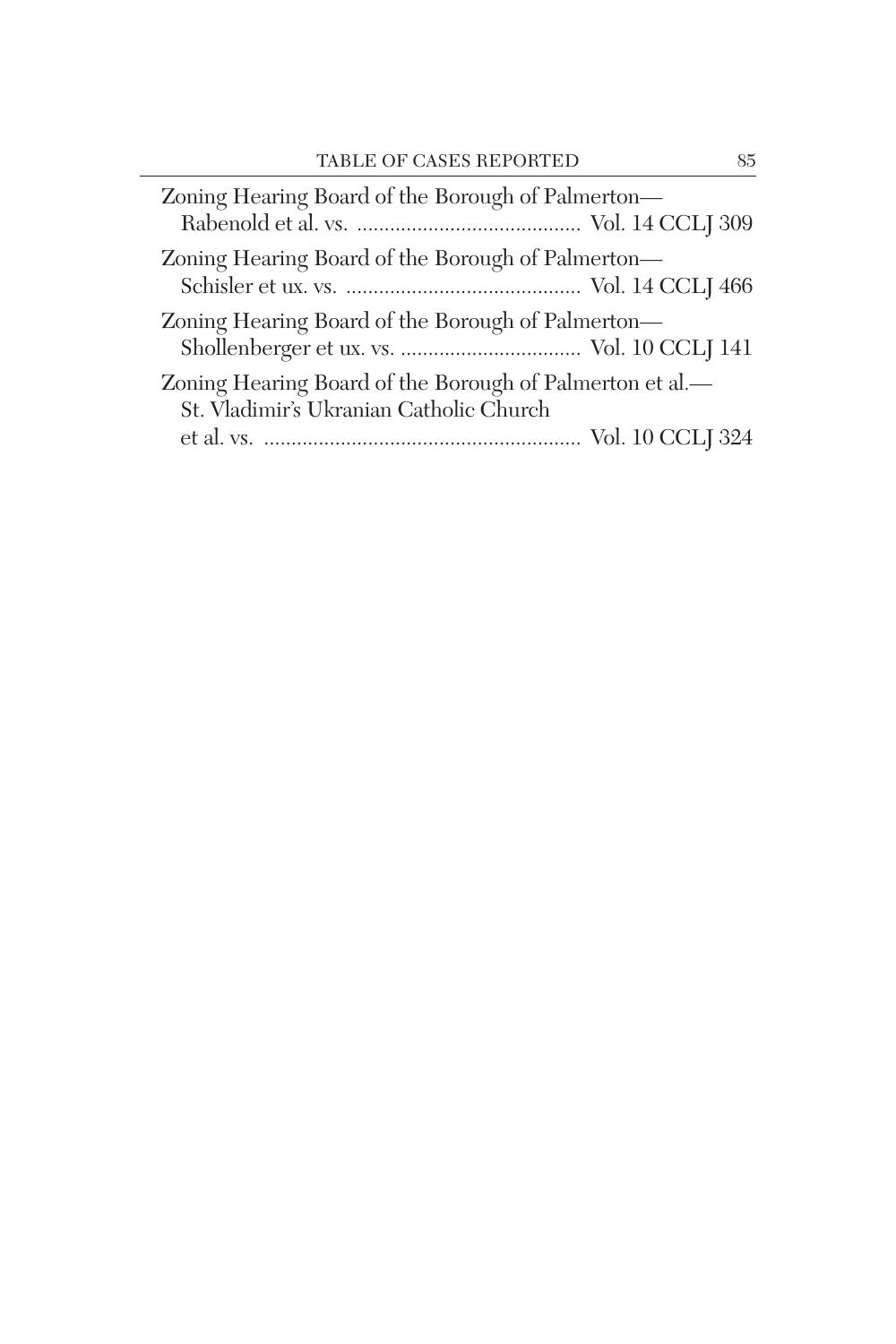| Zoning Hearing Board of the Borough of Palmerton-                                                   |  |
|-----------------------------------------------------------------------------------------------------|--|
| Zoning Hearing Board of the Borough of Palmerton—                                                   |  |
| Zoning Hearing Board of the Borough of Palmerton-                                                   |  |
| Zoning Hearing Board of the Borough of Palmerton et al.—<br>St. Vladimir's Ukranian Catholic Church |  |
|                                                                                                     |  |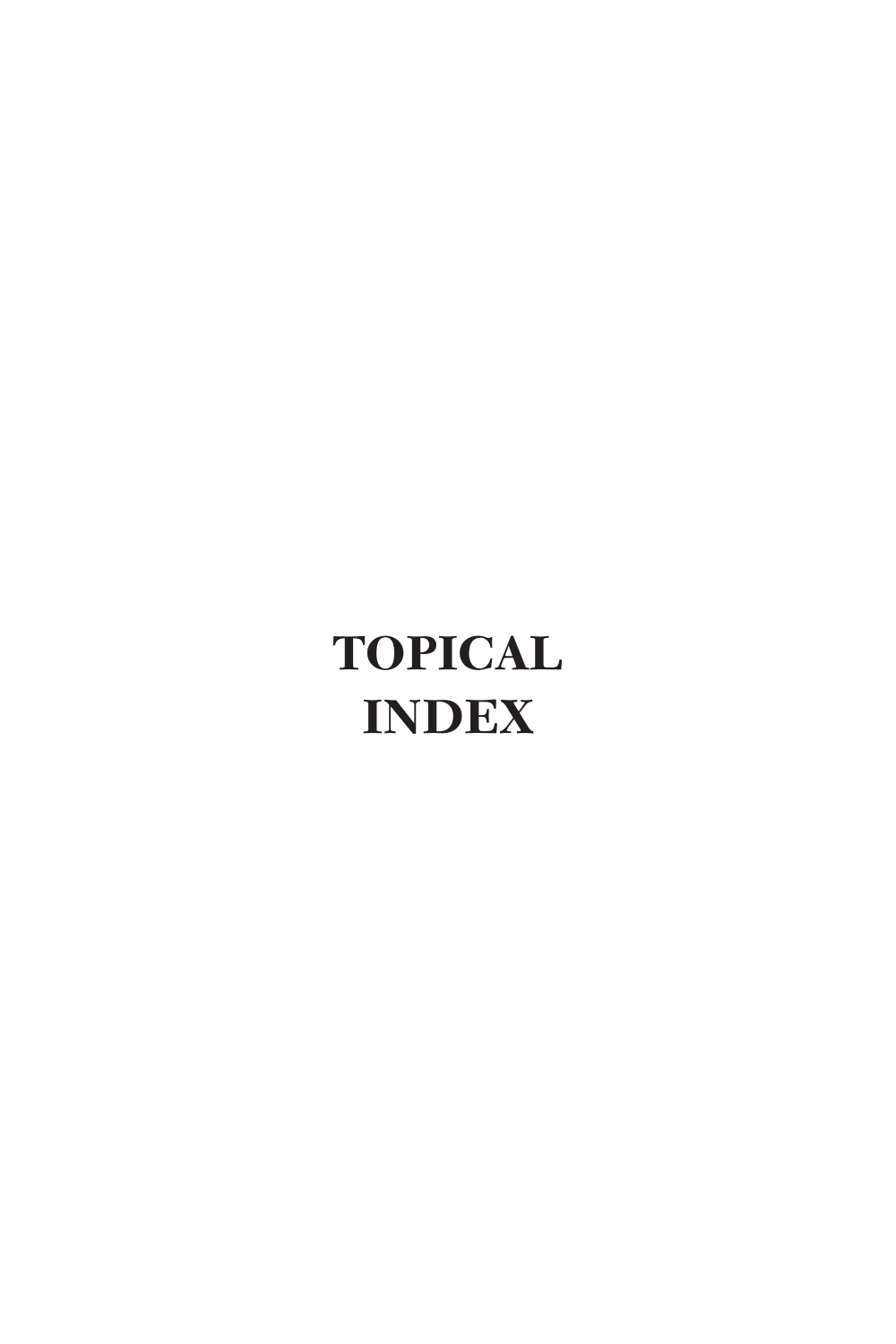# **TOPICAL INDEX**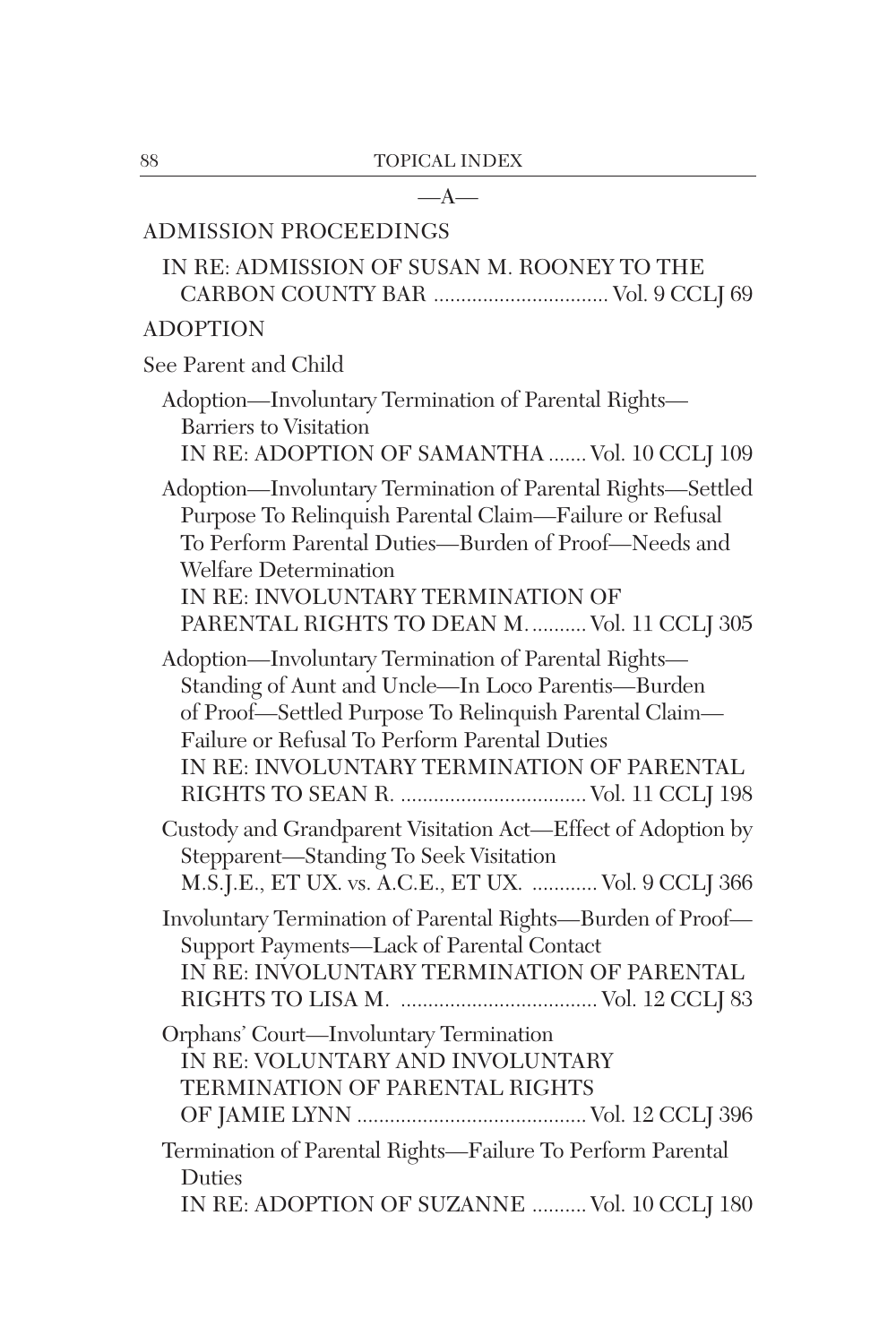| —A—                                                                                                                                                                                                                                                                                                 |
|-----------------------------------------------------------------------------------------------------------------------------------------------------------------------------------------------------------------------------------------------------------------------------------------------------|
| <b>ADMISSION PROCEEDINGS</b>                                                                                                                                                                                                                                                                        |
| IN RE: ADMISSION OF SUSAN M. ROONEY TO THE                                                                                                                                                                                                                                                          |
| <b>ADOPTION</b>                                                                                                                                                                                                                                                                                     |
| See Parent and Child                                                                                                                                                                                                                                                                                |
| Adoption-Involuntary Termination of Parental Rights-<br><b>Barriers</b> to Visitation<br>IN RE: ADOPTION OF SAMANTHA  Vol. 10 CCLJ 109                                                                                                                                                              |
| Adoption-Involuntary Termination of Parental Rights-Settled<br>Purpose To Relinquish Parental Claim-Failure or Refusal<br>To Perform Parental Duties-Burden of Proof-Needs and<br><b>Welfare Determination</b><br>IN RE: INVOLUNTARY TERMINATION OF<br>PARENTAL RIGHTS TO DEAN M.  Vol. 11 CCLJ 305 |
| Adoption-Involuntary Termination of Parental Rights-<br>Standing of Aunt and Uncle-In Loco Parentis-Burden<br>of Proof—Settled Purpose To Relinquish Parental Claim—<br>Failure or Refusal To Perform Parental Duties<br>IN RE: INVOLUNTARY TERMINATION OF PARENTAL                                 |
| Custody and Grandparent Visitation Act-Effect of Adoption by<br>Stepparent-Standing To Seek Visitation<br>M.S.J.E., ET UX. vs. A.C.E., ET UX.  Vol. 9 CCLJ 366                                                                                                                                      |
| Involuntary Termination of Parental Rights-Burden of Proof-<br>Support Payments-Lack of Parental Contact<br>IN RE: INVOLUNTARY TERMINATION OF PARENTAL                                                                                                                                              |
| Orphans' Court-Involuntary Termination<br>IN RE: VOLUNTARY AND INVOLUNTARY<br>TERMINATION OF PARENTAL RIGHTS                                                                                                                                                                                        |
| Termination of Parental Rights-Failure To Perform Parental<br>Duties<br>IN RE: ADOPTION OF SUZANNE  Vol. 10 CCLJ 180                                                                                                                                                                                |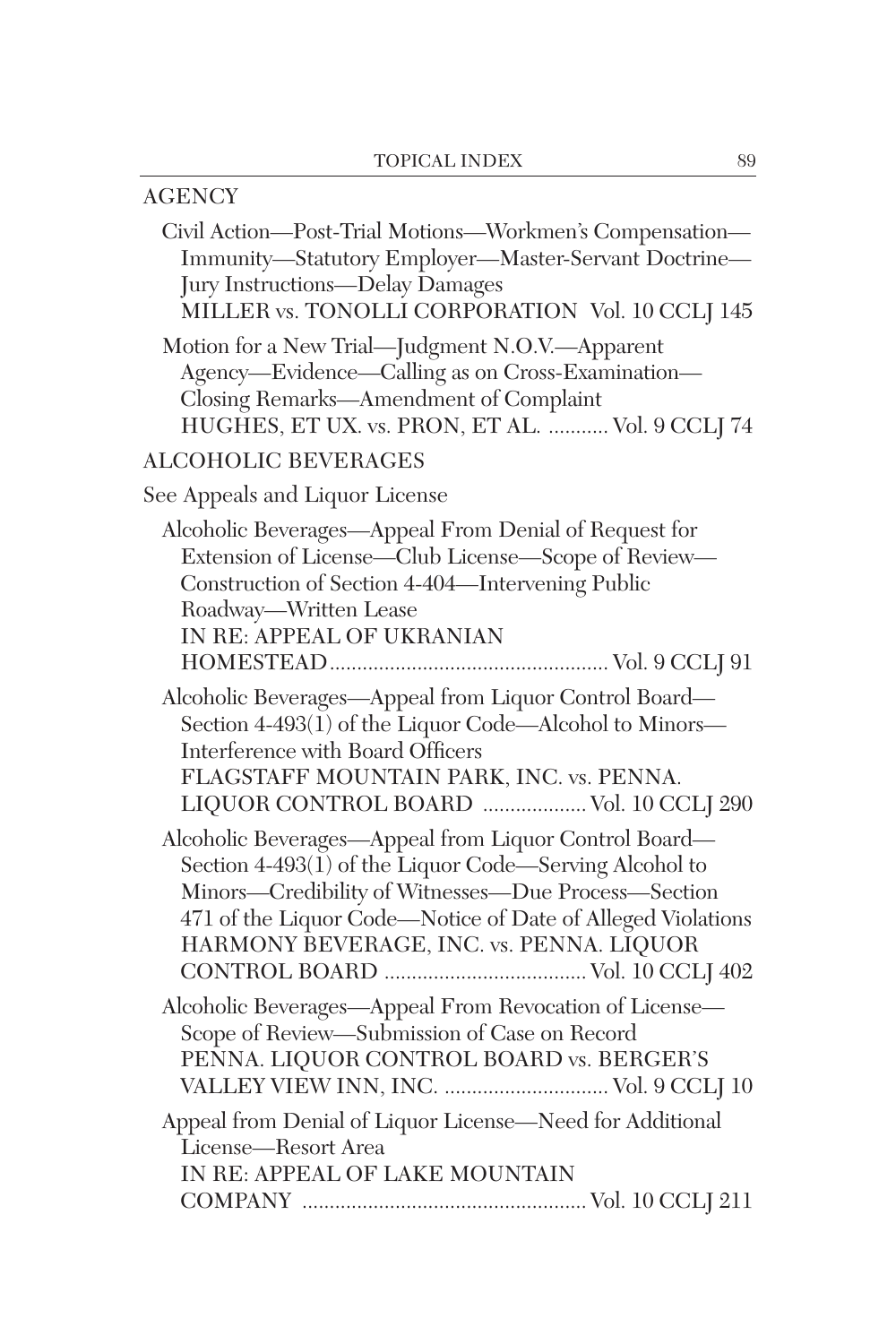| <b>AGENCY</b>                                                                                                                                                                                                                                                                     |
|-----------------------------------------------------------------------------------------------------------------------------------------------------------------------------------------------------------------------------------------------------------------------------------|
| Civil Action-Post-Trial Motions-Workmen's Compensation-<br>Immunity-Statutory Employer-Master-Servant Doctrine-<br>Jury Instructions-Delay Damages<br>MILLER vs. TONOLLI CORPORATION Vol. 10 CCLJ 145                                                                             |
| Motion for a New Trial-Judgment N.O.V.-Apparent<br>Agency-Evidence-Calling as on Cross-Examination-<br>Closing Remarks-Amendment of Complaint<br>HUGHES, ET UX. vs. PRON, ET AL.  Vol. 9 CCLJ 74                                                                                  |
| <b>ALCOHOLIC BEVERAGES</b>                                                                                                                                                                                                                                                        |
| See Appeals and Liquor License                                                                                                                                                                                                                                                    |
| Alcoholic Beverages—Appeal From Denial of Request for<br>Extension of License—Club License—Scope of Review—<br>Construction of Section 4-404-Intervening Public<br>Roadway—Written Lease<br>IN RE: APPEAL OF UKRANIAN                                                             |
| Alcoholic Beverages-Appeal from Liquor Control Board-<br>Section 4-493(1) of the Liquor Code—Alcohol to Minors—<br>Interference with Board Officers<br>FLAGSTAFF MOUNTAIN PARK, INC. vs. PENNA.<br>LIQUOR CONTROL BOARD  Vol. 10 CCLJ 290                                         |
| Alcoholic Beverages-Appeal from Liquor Control Board-<br>Section 4-493(1) of the Liquor Code—Serving Alcohol to<br>Minors—Credibility of Witnesses—Due Process—Section<br>471 of the Liquor Code-Notice of Date of Alleged Violations<br>HARMONY BEVERAGE, INC. vs. PENNA. LIQUOR |
| Alcoholic Beverages-Appeal From Revocation of License-<br>Scope of Review-Submission of Case on Record<br>PENNA. LIQUOR CONTROL BOARD vs. BERGER'S<br>VALLEY VIEW INN, INC.  Vol. 9 CCLJ 10                                                                                       |
| Appeal from Denial of Liquor License-Need for Additional<br>License-Resort Area<br>IN RE: APPEAL OF LAKE MOUNTAIN                                                                                                                                                                 |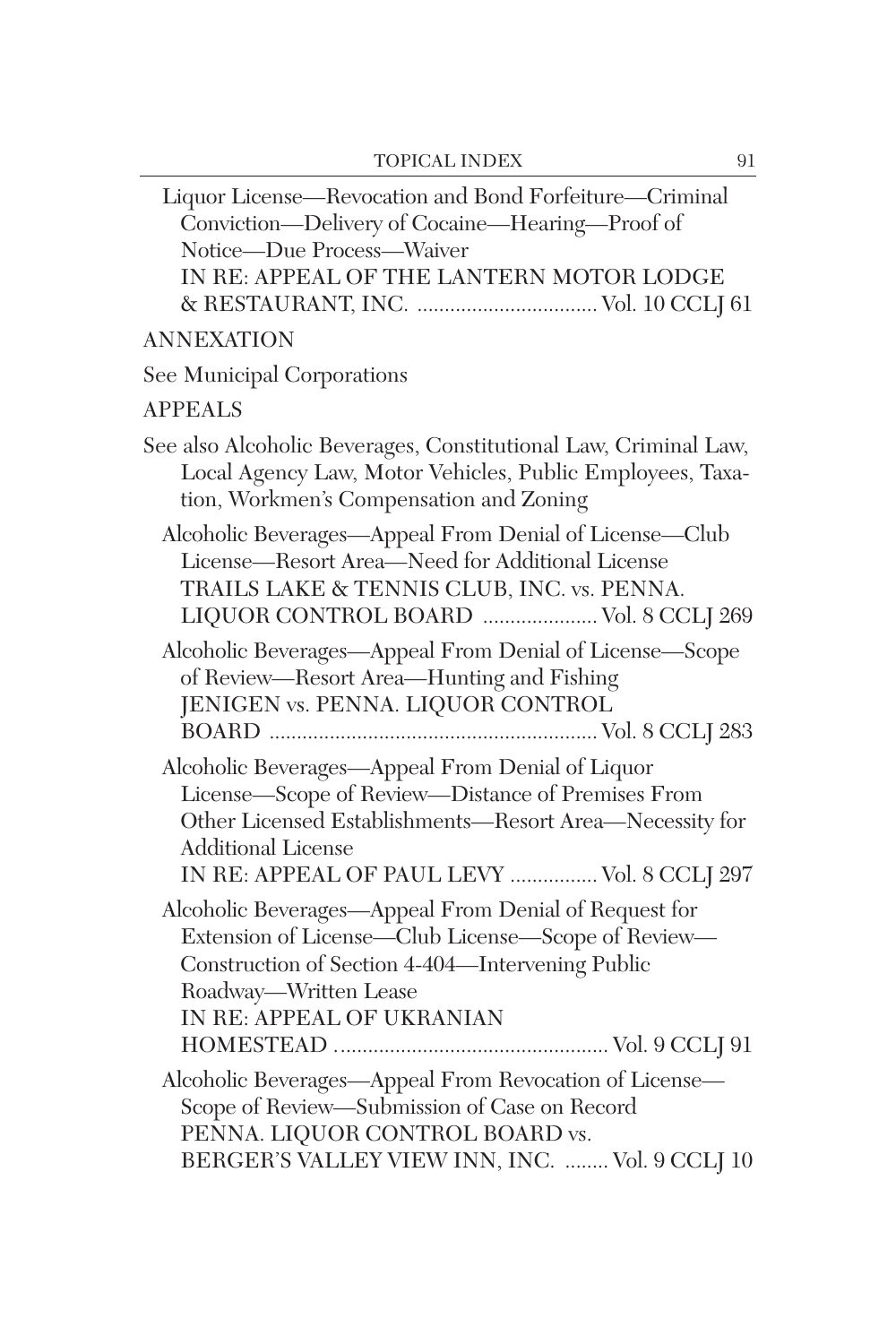| Liquor License—Revocation and Bond Forfeiture—Criminal<br>Conviction-Delivery of Cocaine-Hearing-Proof of<br>Notice-Due Process-Waiver<br>IN RE: APPEAL OF THE LANTERN MOTOR LODGE                                                           |
|----------------------------------------------------------------------------------------------------------------------------------------------------------------------------------------------------------------------------------------------|
| ANNEXATION                                                                                                                                                                                                                                   |
| See Municipal Corporations                                                                                                                                                                                                                   |
| <b>APPEALS</b>                                                                                                                                                                                                                               |
| See also Alcoholic Beverages, Constitutional Law, Criminal Law,<br>Local Agency Law, Motor Vehicles, Public Employees, Taxa-<br>tion, Workmen's Compensation and Zoning                                                                      |
| Alcoholic Beverages-Appeal From Denial of License-Club<br>License-Resort Area-Need for Additional License<br>TRAILS LAKE & TENNIS CLUB, INC. vs. PENNA.<br>LIQUOR CONTROL BOARD  Vol. 8 CCLJ 269                                             |
| Alcoholic Beverages—Appeal From Denial of License—Scope<br>of Review-Resort Area-Hunting and Fishing<br>JENIGEN vs. PENNA. LIQUOR CONTROL                                                                                                    |
| Alcoholic Beverages-Appeal From Denial of Liquor<br>License-Scope of Review-Distance of Premises From<br>Other Licensed Establishments-Resort Area-Necessity for<br><b>Additional License</b><br>IN RE: APPEAL OF PAUL LEVY  Vol. 8 CCLJ 297 |
| Alcoholic Beverages-Appeal From Denial of Request for<br>Extension of License—Club License—Scope of Review—<br>Construction of Section 4-404—Intervening Public<br>Roadway—Written Lease<br>IN RE: APPEAL OF UKRANIAN                        |
| Alcoholic Beverages-Appeal From Revocation of License-<br>Scope of Review-Submission of Case on Record<br>PENNA. LIQUOR CONTROL BOARD vs.<br>BERGER'S VALLEY VIEW INN, INC.  Vol. 9 CCLJ 10                                                  |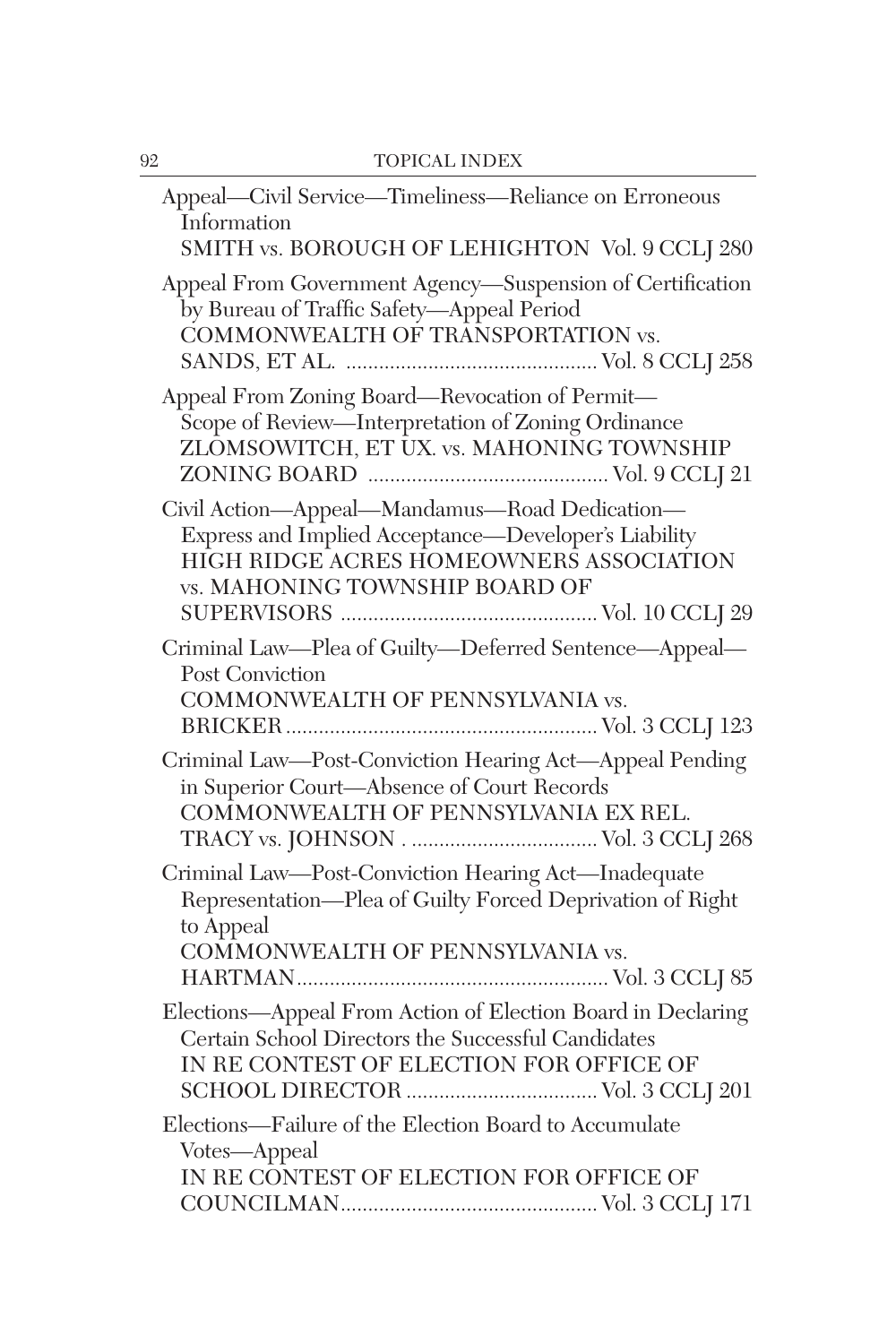| Appeal-Civil Service-Timeliness-Reliance on Erroneous<br>Information<br>SMITH vs. BOROUGH OF LEHIGHTON Vol. 9 CCLJ 280                                                             |
|------------------------------------------------------------------------------------------------------------------------------------------------------------------------------------|
| Appeal From Government Agency-Suspension of Certification<br>by Bureau of Traffic Safety-Appeal Period<br>COMMONWEALTH OF TRANSPORTATION vs.                                       |
| Appeal From Zoning Board—Revocation of Permit—<br>Scope of Review-Interpretation of Zoning Ordinance<br>ZLOMSOWITCH, ET UX. vs. MAHONING TOWNSHIP                                  |
| Civil Action-Appeal-Mandamus-Road Dedication-<br>Express and Implied Acceptance-Developer's Liability<br>HIGH RIDGE ACRES HOMEOWNERS ASSOCIATION<br>vs. MAHONING TOWNSHIP BOARD OF |
| Criminal Law-Plea of Guilty-Deferred Sentence-Appeal-<br><b>Post Conviction</b><br>COMMONWEALTH OF PENNSYLVANIA vs.                                                                |
| Criminal Law-Post-Conviction Hearing Act-Appeal Pending<br>in Superior Court-Absence of Court Records<br>COMMONWEALTH OF PENNSYLVANIA EX REL.                                      |
| Criminal Law-Post-Conviction Hearing Act-Inadequate<br>Representation-Plea of Guilty Forced Deprivation of Right<br>to Appeal<br>COMMONWEALTH OF PENNSYLVANIA vs.                  |
| Elections-Appeal From Action of Election Board in Declaring<br>Certain School Directors the Successful Candidates<br>IN RE CONTEST OF ELECTION FOR OFFICE OF                       |
| Elections-Failure of the Election Board to Accumulate<br>Votes-Appeal<br>IN RE CONTEST OF ELECTION FOR OFFICE OF                                                                   |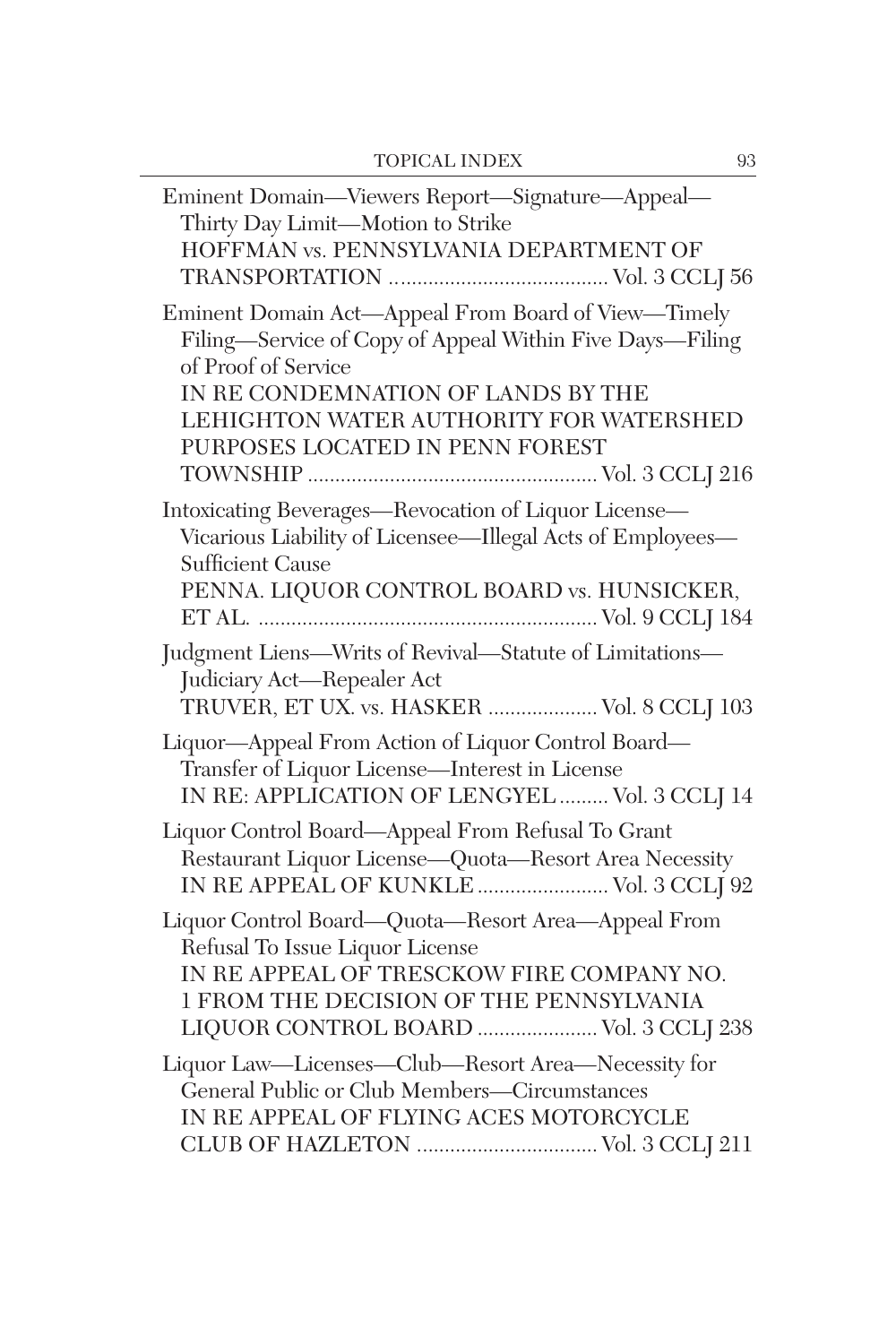| Eminent Domain-Viewers Report-Signature-Appeal-<br>Thirty Day Limit-Motion to Strike<br>HOFFMAN vs. PENNSYLVANIA DEPARTMENT OF                                                                                                                             |
|------------------------------------------------------------------------------------------------------------------------------------------------------------------------------------------------------------------------------------------------------------|
| Eminent Domain Act-Appeal From Board of View-Timely<br>Filing—Service of Copy of Appeal Within Five Days—Filing<br>of Proof of Service<br>IN RE CONDEMNATION OF LANDS BY THE<br>LEHIGHTON WATER AUTHORITY FOR WATERSHED<br>PURPOSES LOCATED IN PENN FOREST |
| Intoxicating Beverages-Revocation of Liquor License-<br>Vicarious Liability of Licensee-Illegal Acts of Employees-<br><b>Sufficient Cause</b><br>PENNA. LIQUOR CONTROL BOARD vs. HUNSICKER,                                                                |
| Judgment Liens-Writs of Revival-Statute of Limitations-<br>Judiciary Act-Repealer Act<br>TRUVER, ET UX. vs. HASKER  Vol. 8 CCLJ 103                                                                                                                        |
| Liquor-Appeal From Action of Liquor Control Board-<br>Transfer of Liquor License-Interest in License<br>IN RE: APPLICATION OF LENGYEL  Vol. 3 CCLJ 14                                                                                                      |
| Liquor Control Board—Appeal From Refusal To Grant<br>Restaurant Liquor License-Quota-Resort Area Necessity<br>IN RE APPEAL OF KUNKLE  Vol. 3 CCLJ 92                                                                                                       |
| Liquor Control Board-Quota-Resort Area-Appeal From<br>Refusal To Issue Liquor License<br>IN RE APPEAL OF TRESCKOW FIRE COMPANY NO.<br>1 FROM THE DECISION OF THE PENNSYLVANIA<br>LIQUOR CONTROL BOARD  Vol. 3 CCLJ 238                                     |
| Liquor Law-Licenses-Club-Resort Area-Necessity for<br>General Public or Club Members-Circumstances<br>IN RE APPEAL OF FLYING ACES MOTORCYCLE                                                                                                               |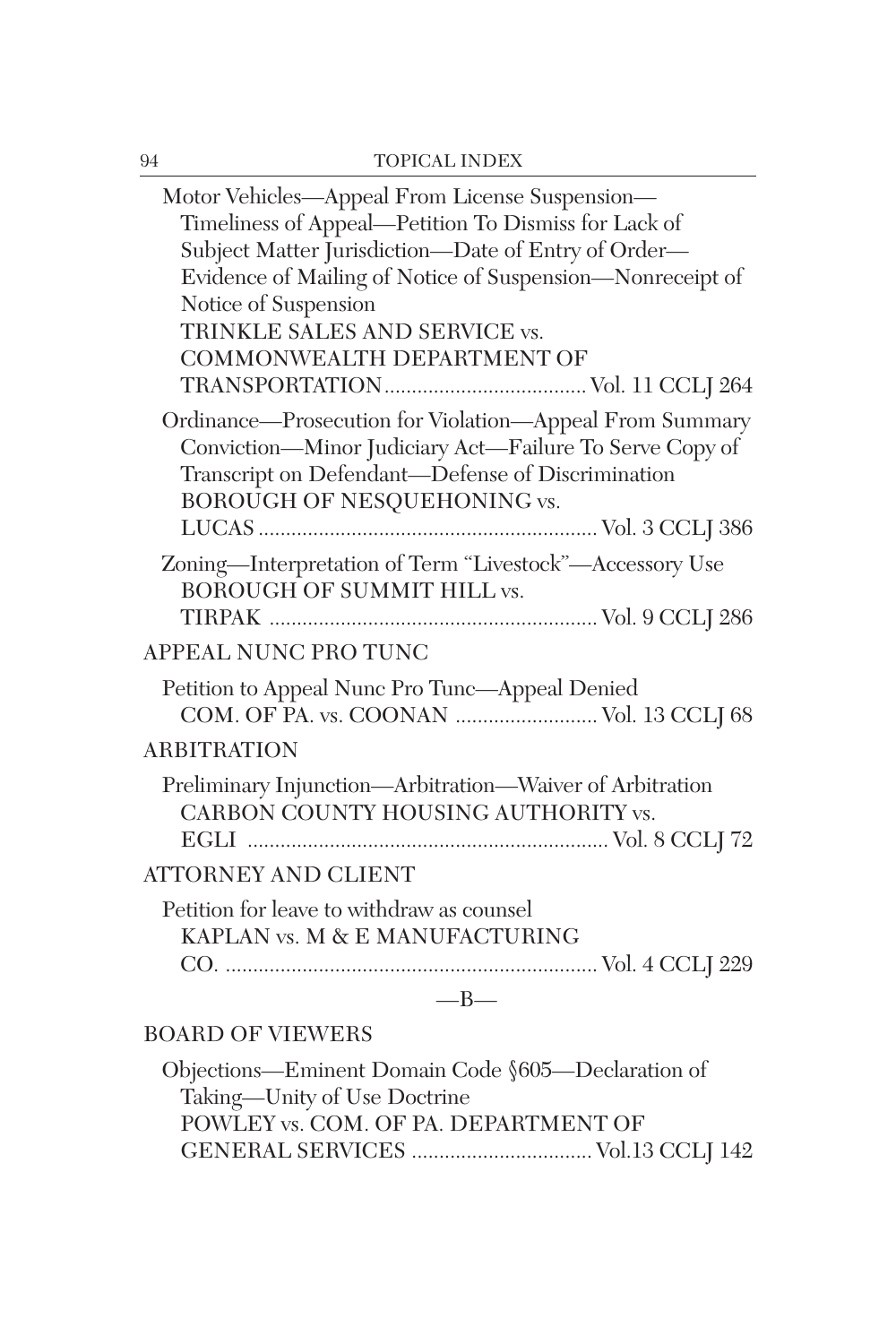| Motor Vehicles-Appeal From License Suspension-<br>Timeliness of Appeal-Petition To Dismiss for Lack of<br>Subject Matter Jurisdiction-Date of Entry of Order-<br>Evidence of Mailing of Notice of Suspension-Nonreceipt of<br>Notice of Suspension<br>TRINKLE SALES AND SERVICE vs.<br>COMMONWEALTH DEPARTMENT OF |
|-------------------------------------------------------------------------------------------------------------------------------------------------------------------------------------------------------------------------------------------------------------------------------------------------------------------|
| Ordinance-Prosecution for Violation-Appeal From Summary<br>Conviction-Minor Judiciary Act-Failure To Serve Copy of<br>Transcript on Defendant-Defense of Discrimination<br>BOROUGH OF NESQUEHONING vs.                                                                                                            |
| Zoning-Interpretation of Term "Livestock"-Accessory Use<br><b>BOROUGH OF SUMMIT HILL vs.</b>                                                                                                                                                                                                                      |
| APPEAL NUNC PRO TUNC                                                                                                                                                                                                                                                                                              |
| Petition to Appeal Nunc Pro Tunc-Appeal Denied<br>COM. OF PA. vs. COONAN  Vol. 13 CCLJ 68                                                                                                                                                                                                                         |
| <b>ARBITRATION</b>                                                                                                                                                                                                                                                                                                |
| Preliminary Injunction-Arbitration-Waiver of Arbitration<br>CARBON COUNTY HOUSING AUTHORITY vs.                                                                                                                                                                                                                   |
| <b>ATTORNEY AND CLIENT</b>                                                                                                                                                                                                                                                                                        |
| Petition for leave to withdraw as counsel<br>KAPLAN vs. M & E MANUFACTURING                                                                                                                                                                                                                                       |
| $-B-$                                                                                                                                                                                                                                                                                                             |
| <b>BOARD OF VIEWERS</b>                                                                                                                                                                                                                                                                                           |
| Objections—Eminent Domain Code §605—Declaration of<br>Taking-Unity of Use Doctrine                                                                                                                                                                                                                                |

POWLEY vs. COM. OF PA. DEPARTMENT OF

GENERAL SERVICES ................................. Vol.13 CCLJ 142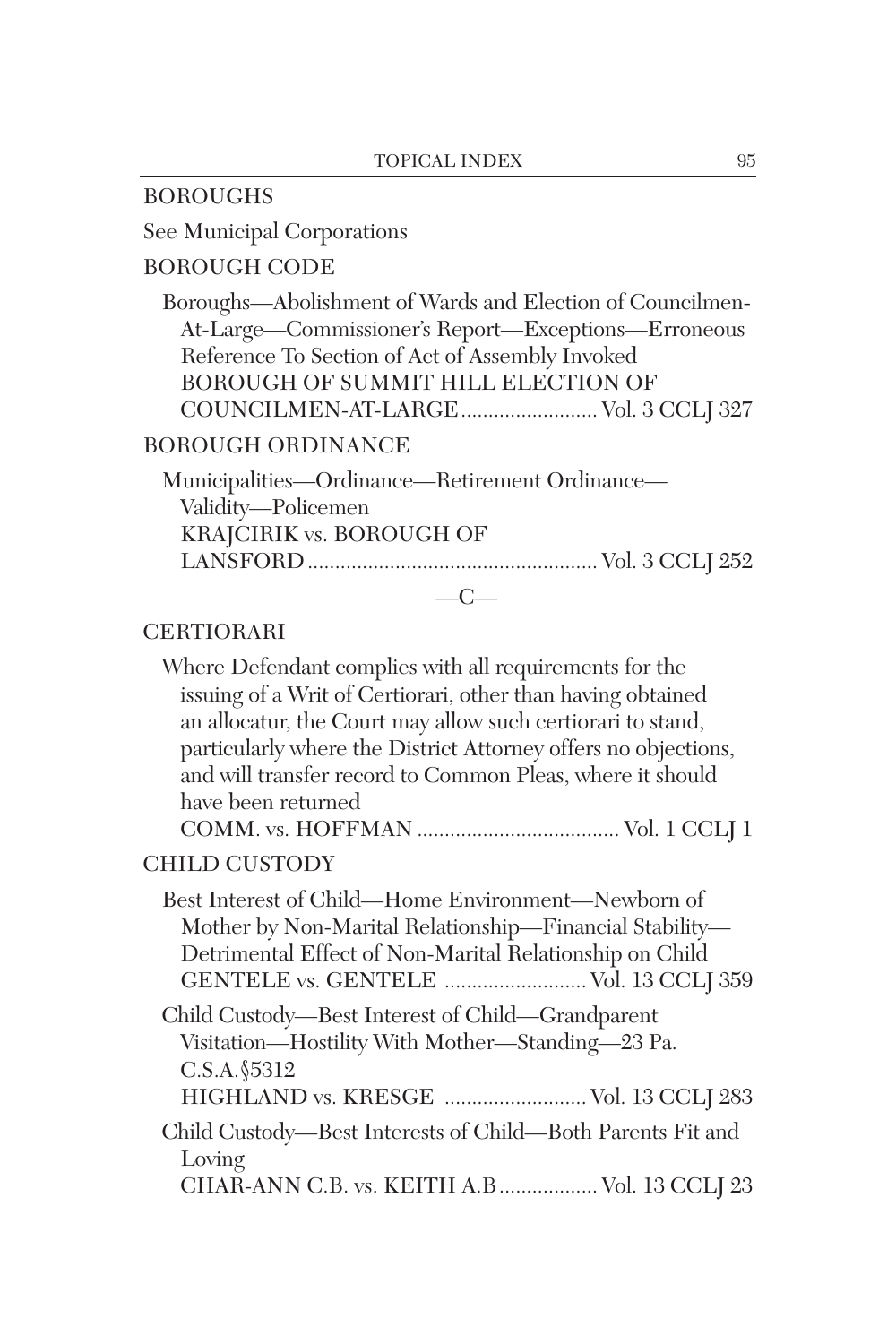### BOROUGHS

See Municipal Corporations

## BOROUGH CODE

Boroughs—Abolishment of Wards and Election of Councilmen-At-Large—Commissioner's Report—Exceptions—Erroneous Reference To Section of Act of Assembly Invoked BOROUGH OF SUMMIT HILL ELECTION OF COUNCILMEN-AT-LARGE......................... Vol. 3 CCLJ 327

### BOROUGH ORDINANCE

Municipalities—Ordinance—Retirement Ordinance— Validity—Policemen KRAJCIRIK vs. BOROUGH OF LANSFORD..................................................... Vol. 3 CCLJ 252  $-C-$ 

### CERTIORARI

| Where Defendant complies with all requirements for the                                                                                                                                                            |
|-------------------------------------------------------------------------------------------------------------------------------------------------------------------------------------------------------------------|
| issuing of a Writ of Certiorari, other than having obtained                                                                                                                                                       |
| an allocatur, the Court may allow such certiorari to stand,                                                                                                                                                       |
| particularly where the District Attorney offers no objections,                                                                                                                                                    |
| and will transfer record to Common Pleas, where it should                                                                                                                                                         |
| have been returned                                                                                                                                                                                                |
|                                                                                                                                                                                                                   |
| <b>CHILD CUSTODY</b>                                                                                                                                                                                              |
| Best Interest of Child—Home Environment—Newborn of<br>Mother by Non-Marital Relationship—Financial Stability—<br>Detrimental Effect of Non-Marital Relationship on Child<br>GENTELE vs. GENTELE  Vol. 13 CCLJ 359 |
| Child Custody—Best Interest of Child—Grandparent<br>Visitation-Hostility With Mother-Standing-23 Pa.<br>C.S.A. §5312<br>HIGHLAND vs. KRESGE  Vol. 13 CCLJ 283                                                     |
| Child Custody—Best Interests of Child—Both Parents Fit and<br>Loving<br>CHAR-ANN C.B. vs. KEITH A.B  Vol. 13 CCLJ 23                                                                                              |
|                                                                                                                                                                                                                   |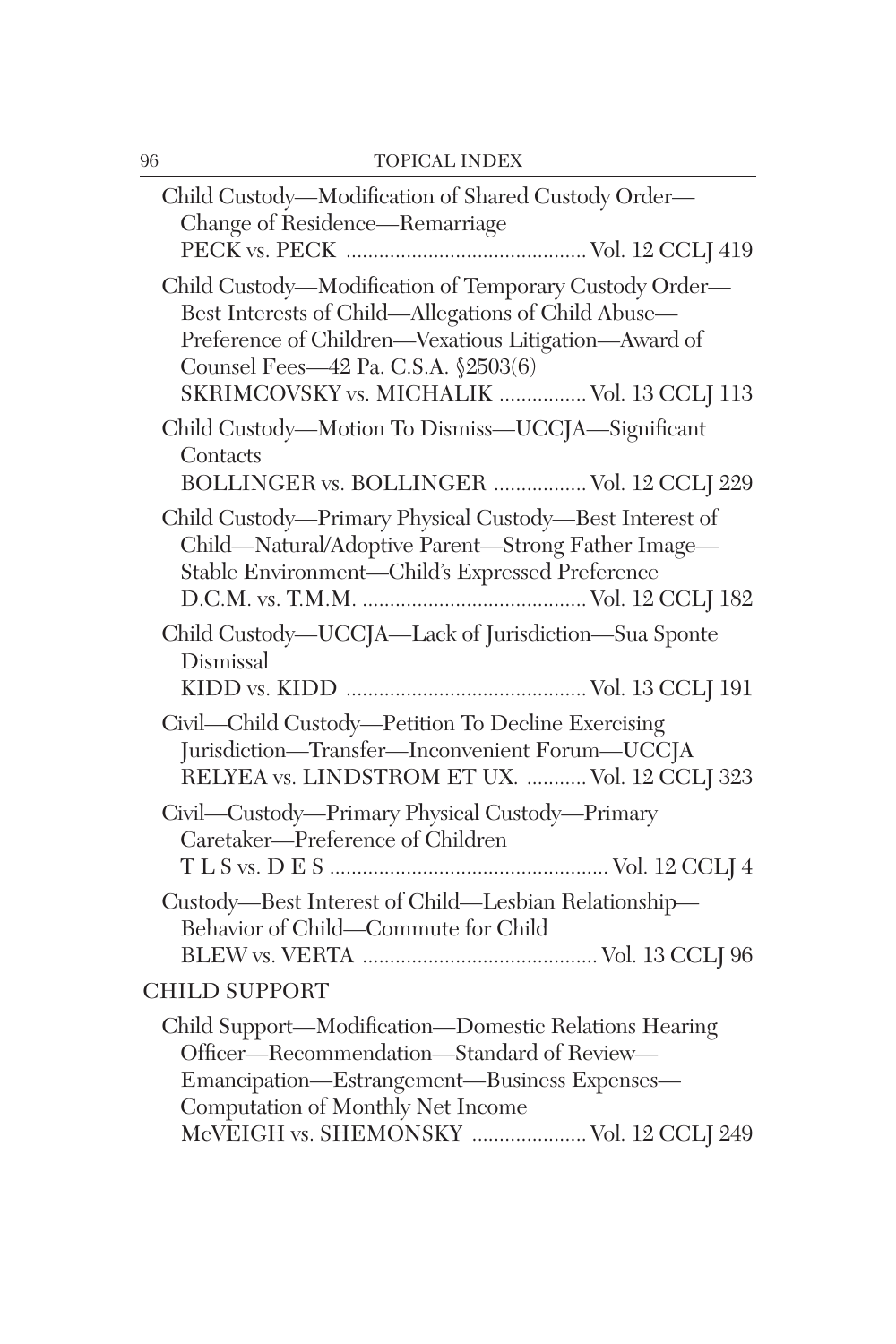| 96 | <b>TOPICAL INDEX</b>                                                                                                                                                                                                                                       |
|----|------------------------------------------------------------------------------------------------------------------------------------------------------------------------------------------------------------------------------------------------------------|
|    | Child Custody—Modification of Shared Custody Order—<br>Change of Residence-Remarriage                                                                                                                                                                      |
|    | Child Custody-Modification of Temporary Custody Order-<br>Best Interests of Child—Allegations of Child Abuse—<br>Preference of Children-Vexatious Litigation-Award of<br>Counsel Fees-42 Pa. C.S.A. §2503(6)<br>SKRIMCOVSKY vs. MICHALIK  Vol. 13 CCLJ 113 |
|    | Child Custody-Motion To Dismiss-UCCJA-Significant<br>Contacts<br>BOLLINGER vs. BOLLINGER  Vol. 12 CCLJ 229                                                                                                                                                 |
|    | Child Custody-Primary Physical Custody-Best Interest of<br>Child-Natural/Adoptive Parent-Strong Father Image-<br>Stable Environment-Child's Expressed Preference                                                                                           |
|    | Child Custody-UCCJA-Lack of Jurisdiction-Sua Sponte<br>Dismissal                                                                                                                                                                                           |
|    | Civil—Child Custody—Petition To Decline Exercising<br>Jurisdiction-Transfer-Inconvenient Forum-UCCJA<br>RELYEA vs. LINDSTROM ET UX.  Vol. 12 CCLJ 323                                                                                                      |
|    | Civil—Custody—Primary Physical Custody—Primary<br>Caretaker-Preference of Children                                                                                                                                                                         |
|    | Custody-Best Interest of Child-Lesbian Relationship-<br>Behavior of Child-Commute for Child                                                                                                                                                                |
|    | <b>CHILD SUPPORT</b>                                                                                                                                                                                                                                       |
|    | Child Support-Modification-Domestic Relations Hearing<br>Officer-Recommendation-Standard of Review-<br>Emancipation-Estrangement-Business Expenses-<br>Computation of Monthly Net Income<br>McVEIGH vs. SHEMONSKY  Vol. 12 CCLJ 249                        |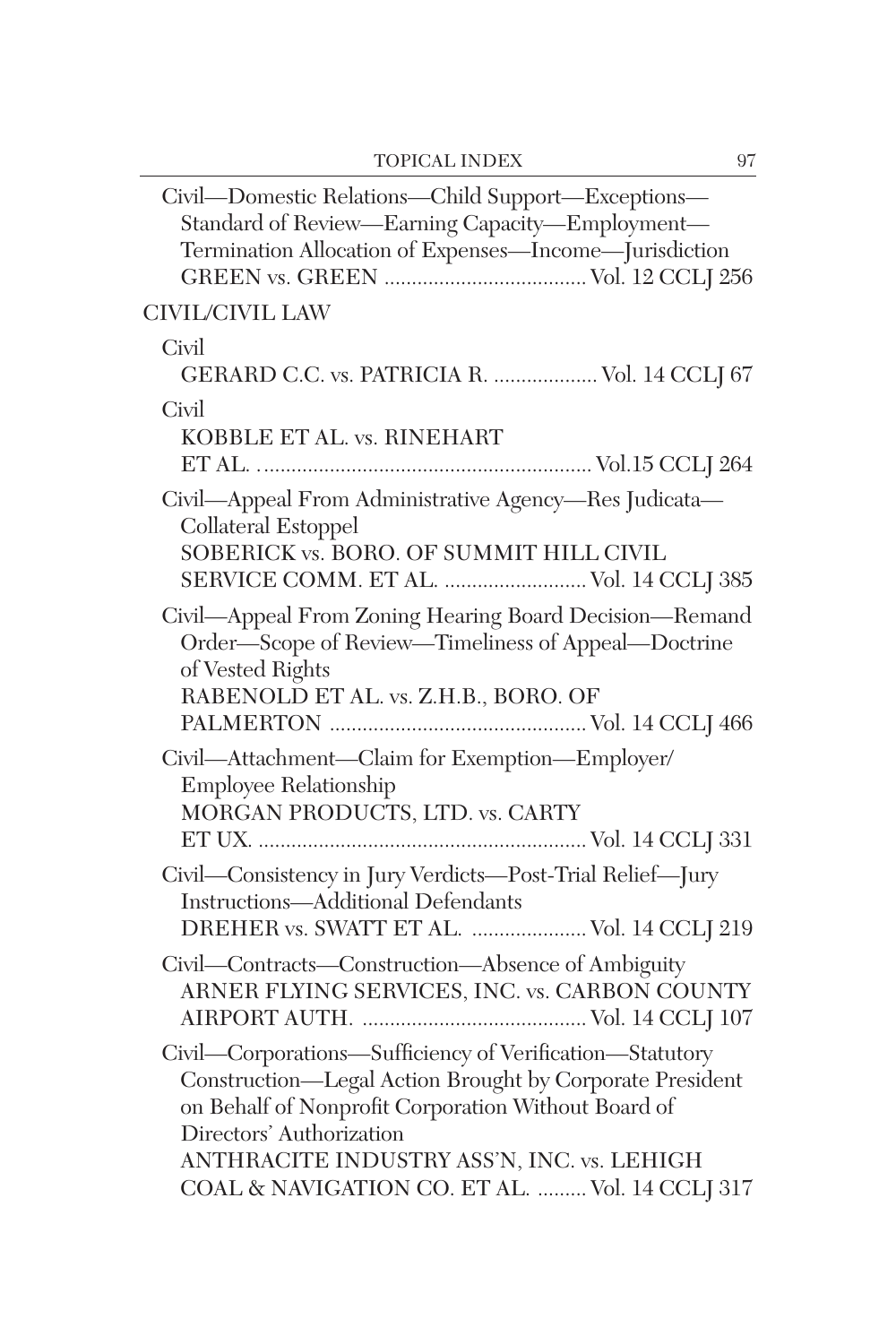| Civil-Domestic Relations-Child Support-Exceptions-<br>Standard of Review-Earning Capacity-Employment-<br>Termination Allocation of Expenses-Income-Jurisdiction                                                                                                                                         |
|---------------------------------------------------------------------------------------------------------------------------------------------------------------------------------------------------------------------------------------------------------------------------------------------------------|
| CIVIL/CIVIL LAW                                                                                                                                                                                                                                                                                         |
| Civil<br>GERARD C.C. vs. PATRICIA R.  Vol. 14 CCLJ 67                                                                                                                                                                                                                                                   |
| Civil<br>KOBBLE ET AL. vs. RINEHART                                                                                                                                                                                                                                                                     |
| Civil—Appeal From Administrative Agency—Res Judicata—<br>Collateral Estoppel<br>SOBERICK vs. BORO. OF SUMMIT HILL CIVIL<br>SERVICE COMM. ET AL.  Vol. 14 CCLJ 385                                                                                                                                       |
| Civil—Appeal From Zoning Hearing Board Decision—Remand<br>Order-Scope of Review-Timeliness of Appeal-Doctrine<br>of Vested Rights<br>RABENOLD ET AL. vs. Z.H.B., BORO. OF                                                                                                                               |
| Civil-Attachment-Claim for Exemption-Employer/<br>Employee Relationship<br>MORGAN PRODUCTS, LTD. vs. CARTY                                                                                                                                                                                              |
| Civil-Consistency in Jury Verdicts-Post-Trial Relief-Jury<br><b>Instructions-Additional Defendants</b><br>DREHER vs. SWATT ET AL.  Vol. 14 CCLJ 219                                                                                                                                                     |
| Civil-Contracts-Construction-Absence of Ambiguity<br>ARNER FLYING SERVICES, INC. vs. CARBON COUNTY                                                                                                                                                                                                      |
| Civil-Corporations-Sufficiency of Verification-Statutory<br>Construction-Legal Action Brought by Corporate President<br>on Behalf of Nonprofit Corporation Without Board of<br>Directors' Authorization<br>ANTHRACITE INDUSTRY ASS'N, INC. vs. LEHIGH<br>COAL & NAVIGATION CO. ET AL.  Vol. 14 CCLJ 317 |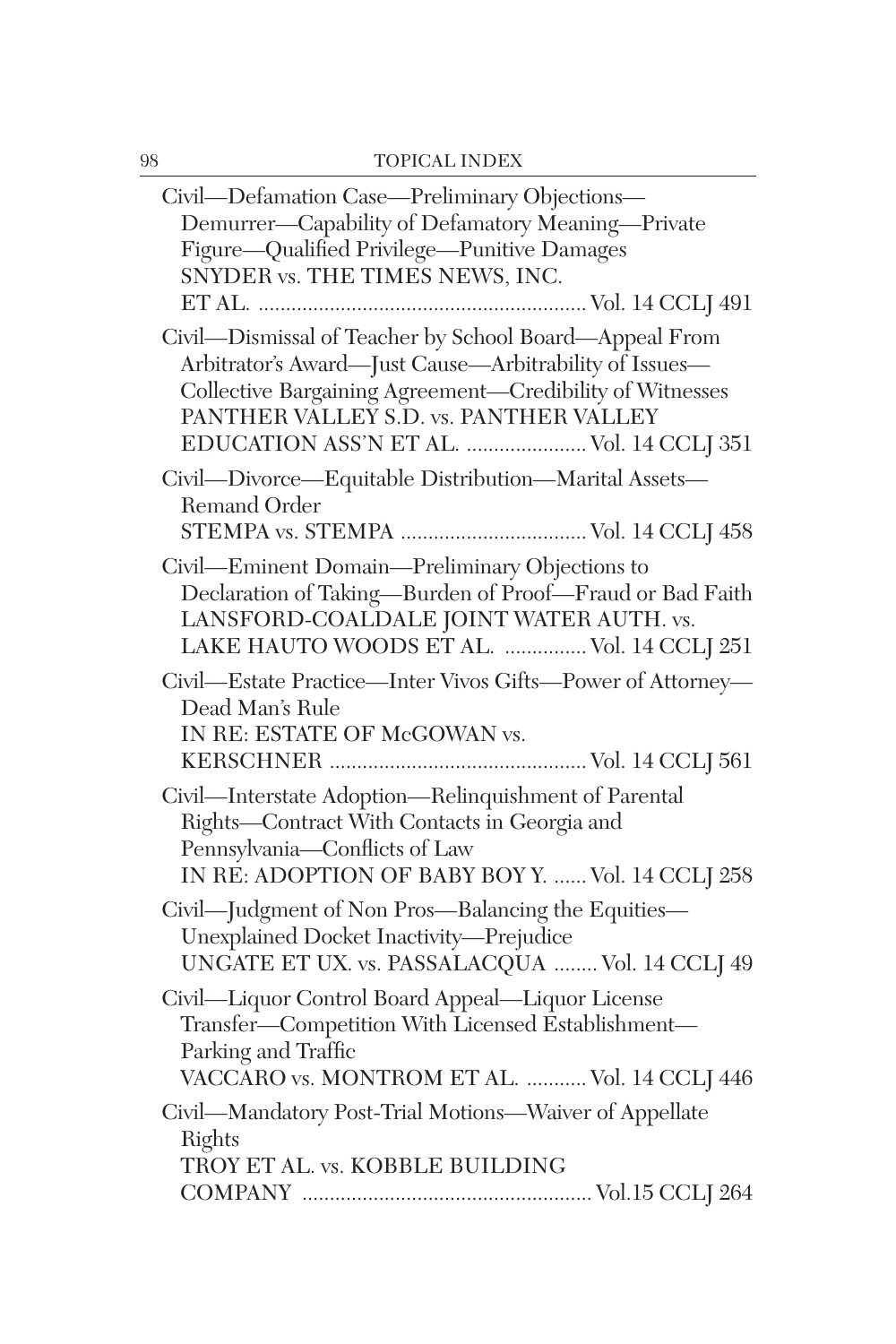| Civil—Defamation Case—Preliminary Objections—<br>Demurrer-Capability of Defamatory Meaning-Private<br>Figure-Qualified Privilege-Punitive Damages<br>SNYDER vs. THE TIMES NEWS, INC.                                                                               |
|--------------------------------------------------------------------------------------------------------------------------------------------------------------------------------------------------------------------------------------------------------------------|
| Civil-Dismissal of Teacher by School Board-Appeal From<br>Arbitrator's Award-Just Cause-Arbitrability of Issues-<br>Collective Bargaining Agreement-Credibility of Witnesses<br>PANTHER VALLEY S.D. vs. PANTHER VALLEY<br>EDUCATION ASS'N ET AL.  Vol. 14 CCLJ 351 |
| Civil-Divorce-Equitable Distribution-Marital Assets-<br>Remand Order<br>STEMPA vs. STEMPA  Vol. 14 CCLJ 458                                                                                                                                                        |
| Civil—Eminent Domain—Preliminary Objections to<br>Declaration of Taking-Burden of Proof-Fraud or Bad Faith<br>LANSFORD-COALDALE JOINT WATER AUTH. vs.<br>LAKE HAUTO WOODS ET AL.  Vol. 14 CCLJ 251                                                                 |
| Civil—Estate Practice—Inter Vivos Gifts—Power of Attorney—<br>Dead Man's Rule<br>IN RE: ESTATE OF McGOWAN vs.                                                                                                                                                      |
| Civil-Interstate Adoption-Relinquishment of Parental<br>Rights-Contract With Contacts in Georgia and<br>Pennsylvania-Conflicts of Law<br>IN RE: ADOPTION OF BABY BOY Y.  Vol. 14 CCLJ 258                                                                          |
| Civil-Judgment of Non Pros-Balancing the Equities-<br>Unexplained Docket Inactivity-Prejudice<br>UNGATE ET UX. vs. PASSALACQUA  Vol. 14 CCLJ 49                                                                                                                    |
| Civil-Liquor Control Board Appeal-Liquor License<br>Transfer-Competition With Licensed Establishment-<br>Parking and Traffic<br>VACCARO vs. MONTROM ET AL.  Vol. 14 CCLJ 446                                                                                       |
| Civil-Mandatory Post-Trial Motions-Waiver of Appellate<br>Rights<br>TROY ET AL. vs. KOBBLE BUILDING                                                                                                                                                                |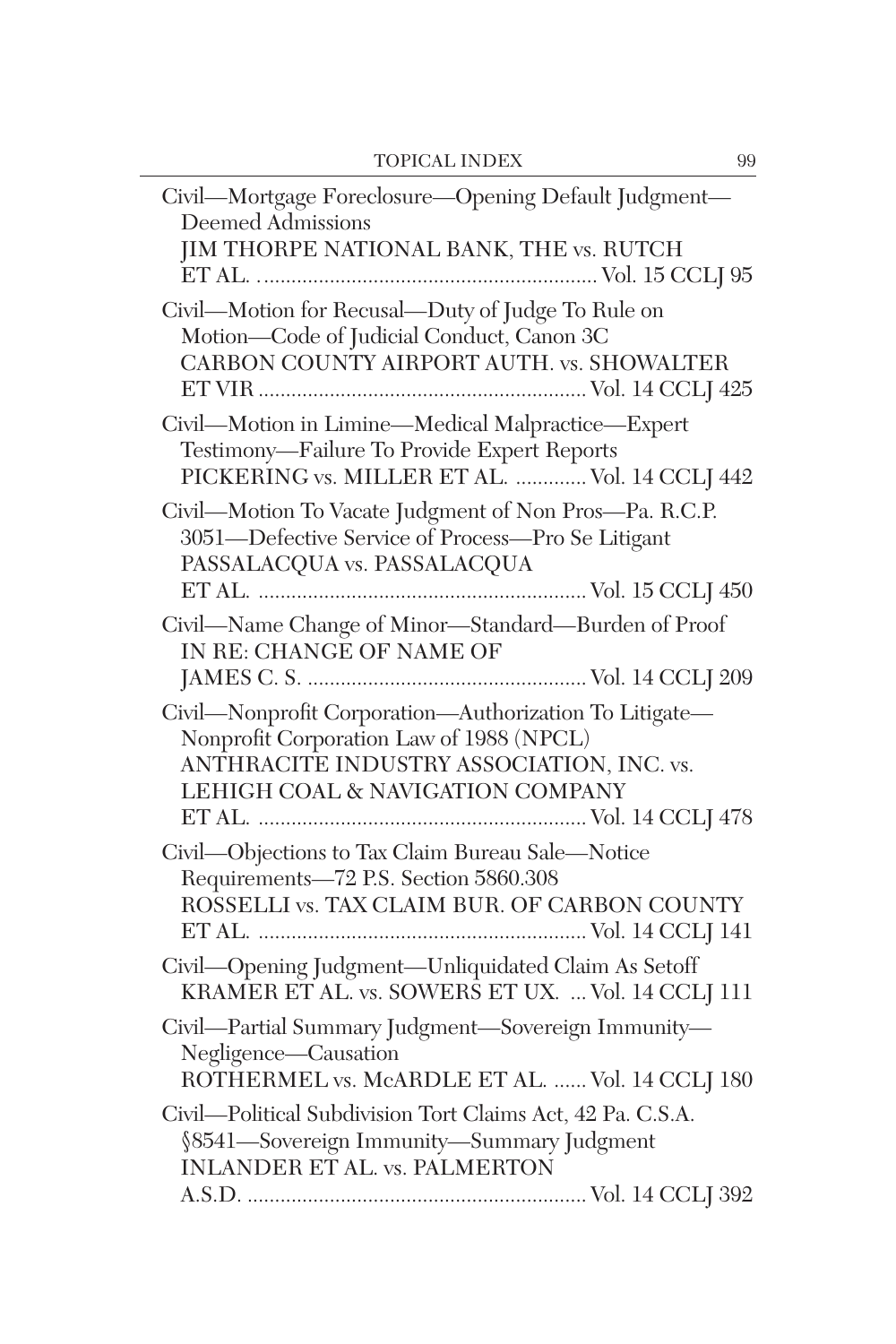| Civil-Mortgage Foreclosure-Opening Default Judgment-<br>Deemed Admissions<br>JIM THORPE NATIONAL BANK, THE vs. RUTCH<br>Civil-Motion for Recusal-Duty of Judge To Rule on<br>Motion-Code of Judicial Conduct, Canon 3C<br>CARBON COUNTY AIRPORT AUTH. vs. SHOWALTER<br>Civil-Motion in Limine-Medical Malpractice-Expert<br>Testimony-Failure To Provide Expert Reports<br>PICKERING vs. MILLER ET AL.  Vol. 14 CCLJ 442<br>Civil-Motion To Vacate Judgment of Non Pros-Pa. R.C.P.<br>3051-Defective Service of Process-Pro Se Litigant<br>PASSALACQUA vs. PASSALACQUA<br>Civil-Name Change of Minor-Standard-Burden of Proof<br>IN RE: CHANGE OF NAME OF<br>Civil-Nonprofit Corporation-Authorization To Litigate-<br>Nonprofit Corporation Law of 1988 (NPCL)<br>ANTHRACITE INDUSTRY ASSOCIATION, INC. vs.<br>LEHIGH COAL & NAVIGATION COMPANY<br>Civil-Objections to Tax Claim Bureau Sale-Notice<br>Requirements-72 P.S. Section 5860.308<br>ROSSELLI vs. TAX CLAIM BUR. OF CARBON COUNTY<br>Civil-Opening Judgment-Unliquidated Claim As Setoff<br>KRAMER ET AL. vs. SOWERS ET UX.  Vol. 14 CCLJ 111<br>Civil-Partial Summary Judgment-Sovereign Immunity-<br>Negligence-Causation<br>ROTHERMEL vs. McARDLE ET AL.  Vol. 14 CCLJ 180<br>Civil-Political Subdivision Tort Claims Act, 42 Pa. C.S.A.<br>§8541-Sovereign Immunity-Summary Judgment<br><b>INLANDER ET AL. vs. PALMERTON</b> |  |
|----------------------------------------------------------------------------------------------------------------------------------------------------------------------------------------------------------------------------------------------------------------------------------------------------------------------------------------------------------------------------------------------------------------------------------------------------------------------------------------------------------------------------------------------------------------------------------------------------------------------------------------------------------------------------------------------------------------------------------------------------------------------------------------------------------------------------------------------------------------------------------------------------------------------------------------------------------------------------------------------------------------------------------------------------------------------------------------------------------------------------------------------------------------------------------------------------------------------------------------------------------------------------------------------------------------------------------------------------------------------------------------------|--|
|                                                                                                                                                                                                                                                                                                                                                                                                                                                                                                                                                                                                                                                                                                                                                                                                                                                                                                                                                                                                                                                                                                                                                                                                                                                                                                                                                                                              |  |
|                                                                                                                                                                                                                                                                                                                                                                                                                                                                                                                                                                                                                                                                                                                                                                                                                                                                                                                                                                                                                                                                                                                                                                                                                                                                                                                                                                                              |  |
|                                                                                                                                                                                                                                                                                                                                                                                                                                                                                                                                                                                                                                                                                                                                                                                                                                                                                                                                                                                                                                                                                                                                                                                                                                                                                                                                                                                              |  |
|                                                                                                                                                                                                                                                                                                                                                                                                                                                                                                                                                                                                                                                                                                                                                                                                                                                                                                                                                                                                                                                                                                                                                                                                                                                                                                                                                                                              |  |
|                                                                                                                                                                                                                                                                                                                                                                                                                                                                                                                                                                                                                                                                                                                                                                                                                                                                                                                                                                                                                                                                                                                                                                                                                                                                                                                                                                                              |  |
|                                                                                                                                                                                                                                                                                                                                                                                                                                                                                                                                                                                                                                                                                                                                                                                                                                                                                                                                                                                                                                                                                                                                                                                                                                                                                                                                                                                              |  |
|                                                                                                                                                                                                                                                                                                                                                                                                                                                                                                                                                                                                                                                                                                                                                                                                                                                                                                                                                                                                                                                                                                                                                                                                                                                                                                                                                                                              |  |
|                                                                                                                                                                                                                                                                                                                                                                                                                                                                                                                                                                                                                                                                                                                                                                                                                                                                                                                                                                                                                                                                                                                                                                                                                                                                                                                                                                                              |  |
|                                                                                                                                                                                                                                                                                                                                                                                                                                                                                                                                                                                                                                                                                                                                                                                                                                                                                                                                                                                                                                                                                                                                                                                                                                                                                                                                                                                              |  |
|                                                                                                                                                                                                                                                                                                                                                                                                                                                                                                                                                                                                                                                                                                                                                                                                                                                                                                                                                                                                                                                                                                                                                                                                                                                                                                                                                                                              |  |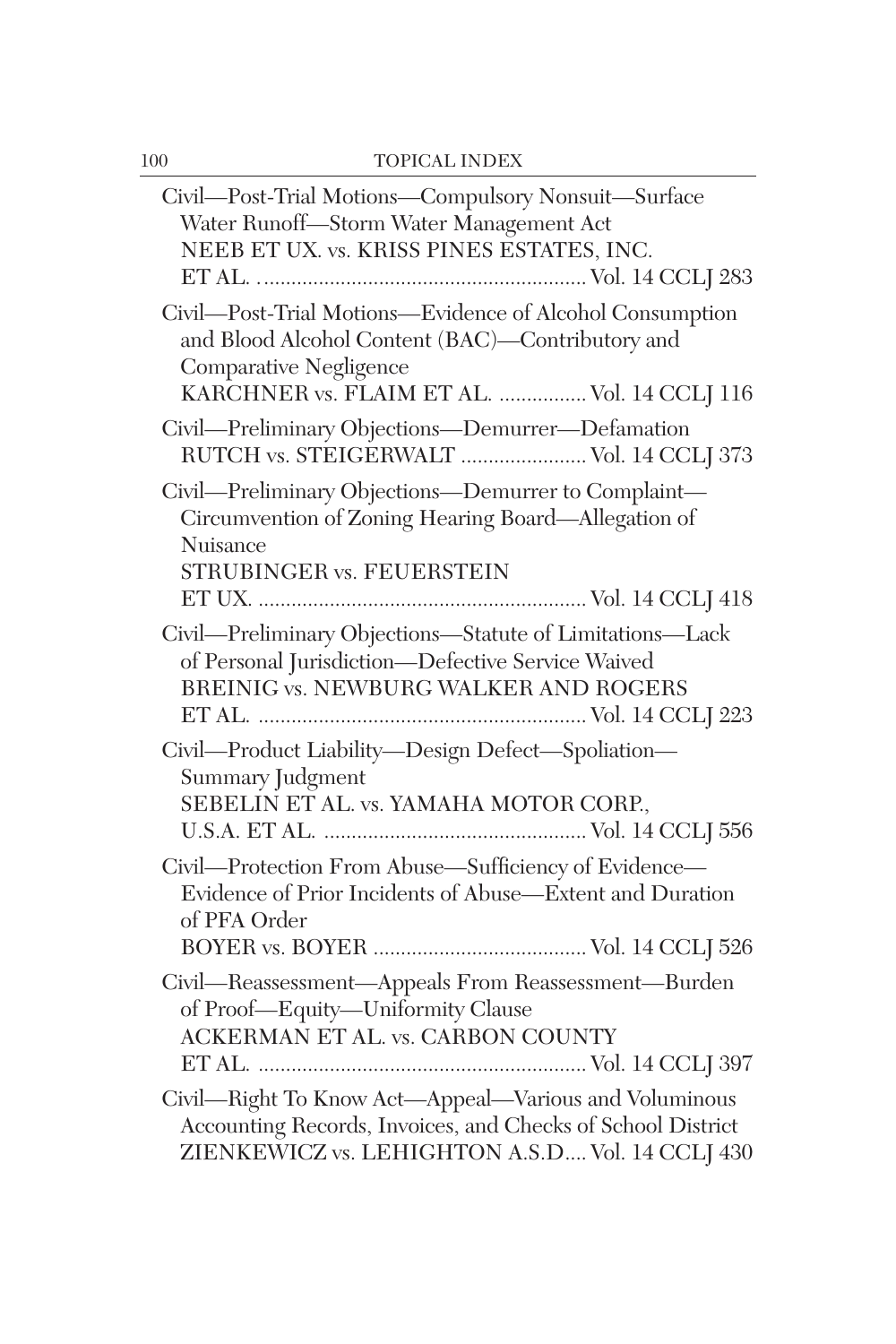| Civil-Post-Trial Motions-Compulsory Nonsuit-Surface<br>Water Runoff-Storm Water Management Act<br>NEEB ET UX. vs. KRISS PINES ESTATES, INC.                                           |
|---------------------------------------------------------------------------------------------------------------------------------------------------------------------------------------|
| Civil-Post-Trial Motions-Evidence of Alcohol Consumption<br>and Blood Alcohol Content (BAC)-Contributory and<br>Comparative Negligence<br>KARCHNER vs. FLAIM ET AL.  Vol. 14 CCLJ 116 |
| Civil—Preliminary Objections—Demurrer—Defamation<br>RUTCH vs. STEIGERWALT  Vol. 14 CCLJ 373                                                                                           |
| Civil—Preliminary Objections—Demurrer to Complaint—<br>Circumvention of Zoning Hearing Board—Allegation of<br>Nuisance                                                                |
| STRUBINGER vs. FEUERSTEIN                                                                                                                                                             |
| Civil-Preliminary Objections-Statute of Limitations-Lack<br>of Personal Jurisdiction-Defective Service Waived<br>BREINIG vs. NEWBURG WALKER AND ROGERS                                |
| Civil-Product Liability-Design Defect-Spoliation-<br>Summary Judgment<br>SEBELIN ET AL. vs. YAMAHA MOTOR CORP.,                                                                       |
| Civil-Protection From Abuse-Sufficiency of Evidence-<br>Evidence of Prior Incidents of Abuse—Extent and Duration<br>of PFA Order                                                      |
| Civil-Reassessment-Appeals From Reassessment-Burden<br>of Proof—Equity—Uniformity Clause<br>ACKERMAN ET AL. vs. CARBON COUNTY                                                         |
| Civil-Right To Know Act-Appeal-Various and Voluminous<br>Accounting Records, Invoices, and Checks of School District<br>ZIENKEWICZ vs. LEHIGHTON A.S.D Vol. 14 CCLJ 430               |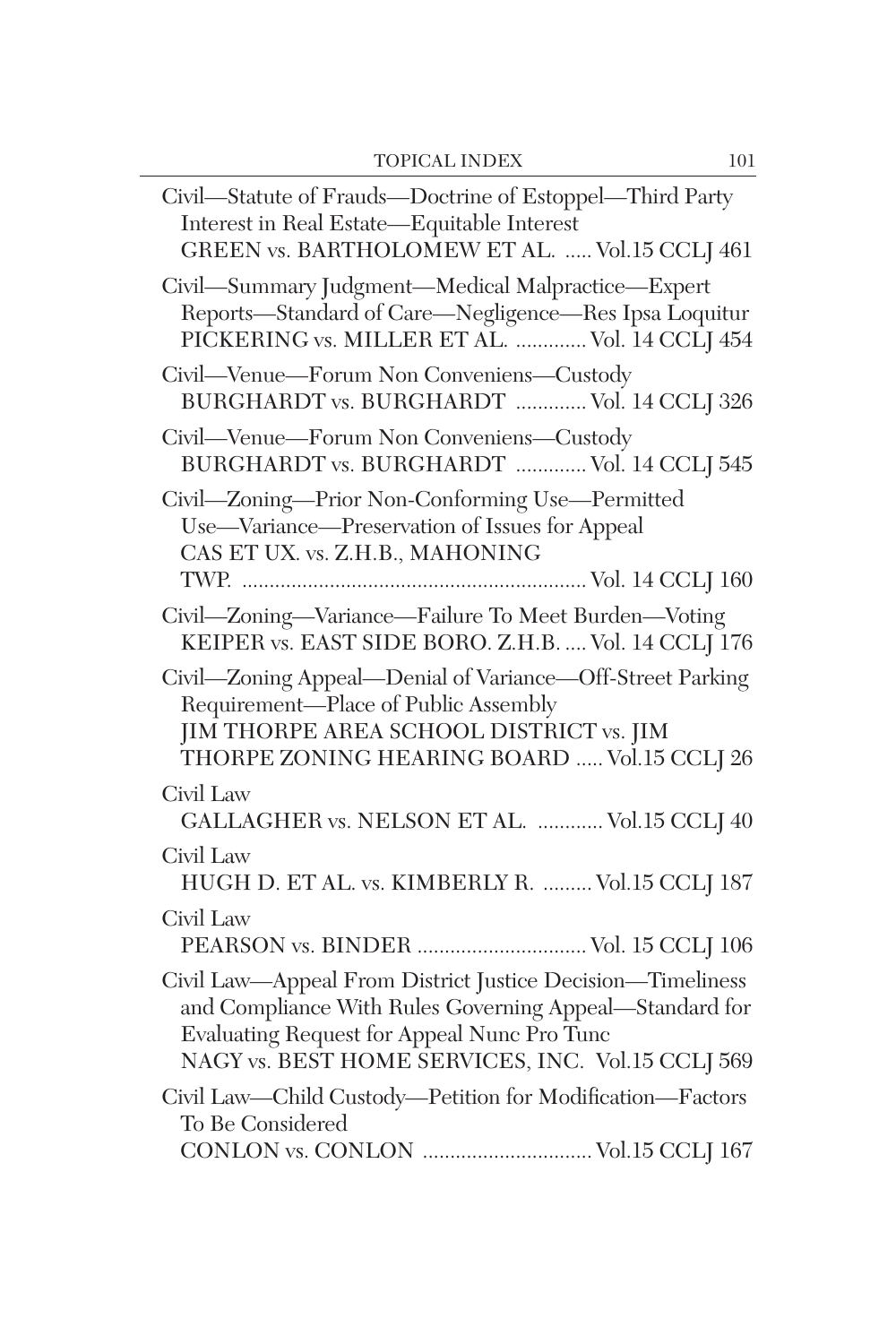| Civil—Statute of Frauds—Doctrine of Estoppel—Third Party<br>Interest in Real Estate-Equitable Interest<br>GREEN vs. BARTHOLOMEW ET AL.  Vol.15 CCLJ 461                                                                   |
|---------------------------------------------------------------------------------------------------------------------------------------------------------------------------------------------------------------------------|
| Civil-Summary Judgment-Medical Malpractice-Expert<br>Reports-Standard of Care-Negligence-Res Ipsa Loquitur<br>PICKERING vs. MILLER ET AL.  Vol. 14 CCLJ 454                                                               |
| Civil—Venue—Forum Non Conveniens—Custody<br>BURGHARDT vs. BURGHARDT  Vol. 14 CCLJ 326                                                                                                                                     |
| Civil—Venue—Forum Non Conveniens—Custody<br>BURGHARDT vs. BURGHARDT  Vol. 14 CCLJ 545                                                                                                                                     |
| Civil-Zoning-Prior Non-Conforming Use-Permitted<br>Use—Variance—Preservation of Issues for Appeal<br>CAS ET UX. vs. Z.H.B., MAHONING                                                                                      |
| Civil-Zoning-Variance-Failure To Meet Burden-Voting<br>KEIPER vs. EAST SIDE BORO. Z.H.B.  Vol. 14 CCLJ 176                                                                                                                |
| Civil-Zoning Appeal-Denial of Variance-Off-Street Parking<br>Requirement-Place of Public Assembly<br>JIM THORPE AREA SCHOOL DISTRICT vs. JIM<br>THORPE ZONING HEARING BOARD  Vol.15 CCLJ 26                               |
| Civil Law<br>GALLAGHER vs. NELSON ET AL.  Vol.15 CCLJ 40                                                                                                                                                                  |
| Civil Law<br>HUGH D. ET AL. vs. KIMBERLY R.  Vol.15 CCLJ 187                                                                                                                                                              |
| Civil Law<br>PEARSON vs. BINDER  Vol. 15 CCLJ 106                                                                                                                                                                         |
| Civil Law-Appeal From District Justice Decision-Timeliness<br>and Compliance With Rules Governing Appeal-Standard for<br>Evaluating Request for Appeal Nunc Pro Tunc<br>NAGY vs. BEST HOME SERVICES, INC. Vol.15 CCLJ 569 |
| Civil Law-Child Custody-Petition for Modification-Factors<br>To Be Considered<br>CONLON vs. CONLON  Vol.15 CCLJ 167                                                                                                       |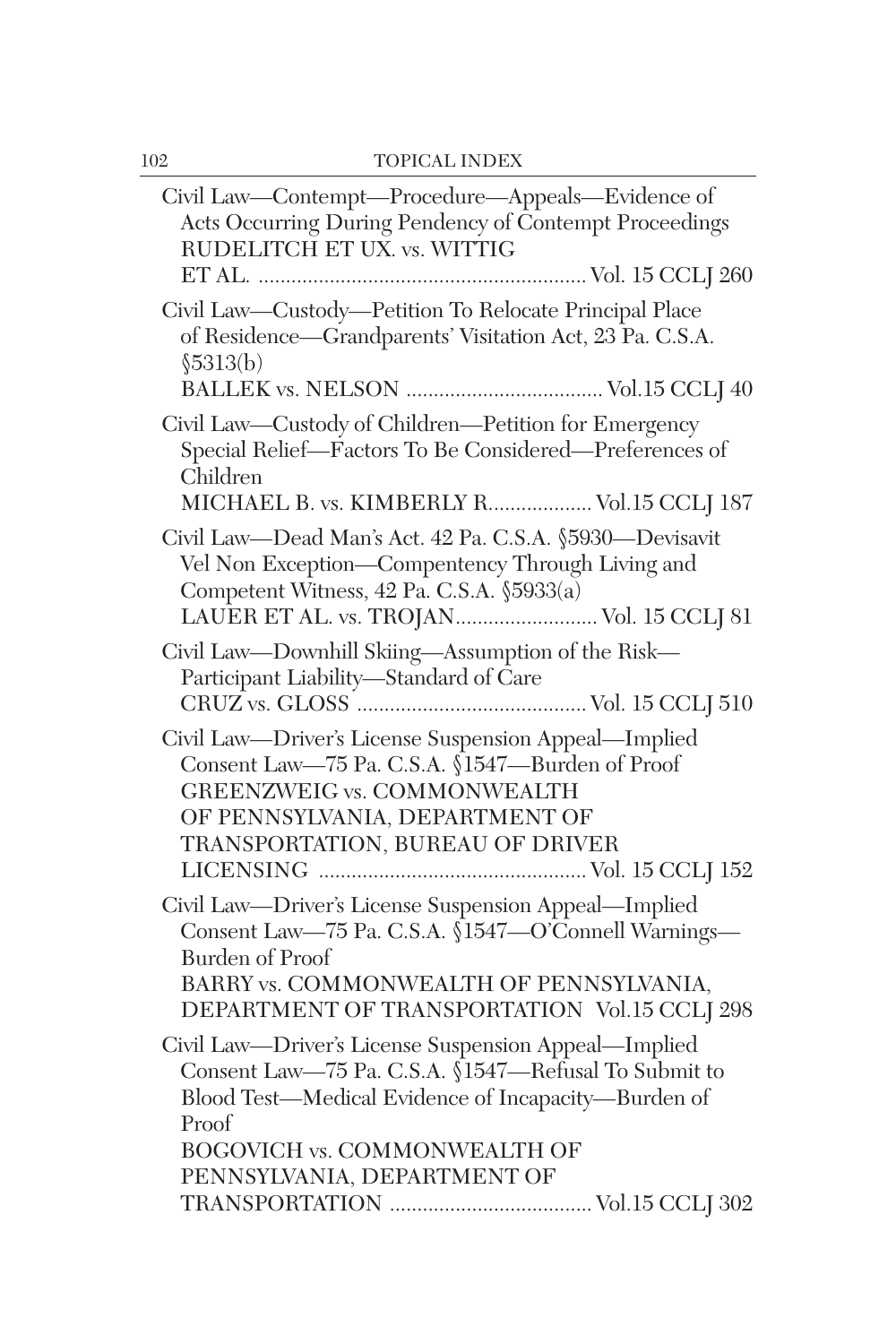| Civil Law—Contempt—Procedure—Appeals—Evidence of<br>Acts Occurring During Pendency of Contempt Proceedings<br>RUDELITCH ET UX. vs. WITTIG                                                                                        |  |
|----------------------------------------------------------------------------------------------------------------------------------------------------------------------------------------------------------------------------------|--|
| Civil Law-Custody-Petition To Relocate Principal Place<br>of Residence—Grandparents' Visitation Act, 23 Pa. C.S.A.<br>\$5313(b)                                                                                                  |  |
|                                                                                                                                                                                                                                  |  |
| Civil Law-Custody of Children-Petition for Emergency<br>Special Relief-Factors To Be Considered-Preferences of<br>Children<br>MICHAEL B. vs. KIMBERLY R Vol.15 CCLJ 187                                                          |  |
|                                                                                                                                                                                                                                  |  |
| Civil Law-Dead Man's Act. 42 Pa. C.S.A. §5930-Devisavit<br>Vel Non Exception-Compentency Through Living and<br>Competent Witness, 42 Pa. C.S.A. §5933(a)<br>LAUER ET AL. vs. TROJAN Vol. 15 CCLJ 81                              |  |
| Civil Law-Downhill Skiing-Assumption of the Risk-<br>Participant Liability-Standard of Care                                                                                                                                      |  |
| Civil Law-Driver's License Suspension Appeal-Implied<br>Consent Law-75 Pa. C.S.A. §1547-Burden of Proof<br><b>GREENZWEIG vs. COMMONWEALTH</b><br>OF PENNSYLVANIA, DEPARTMENT OF<br>TRANSPORTATION, BUREAU OF DRIVER              |  |
| Civil Law-Driver's License Suspension Appeal-Implied<br>Consent Law-75 Pa. C.S.A. §1547-O'Connell Warnings-<br><b>Burden of Proof</b><br>BARRY vs. COMMONWEALTH OF PENNSYLVANIA,<br>DEPARTMENT OF TRANSPORTATION Vol.15 CCLJ 298 |  |
| Civil Law-Driver's License Suspension Appeal-Implied<br>Consent Law-75 Pa. C.S.A. §1547-Refusal To Submit to<br>Blood Test-Medical Evidence of Incapacity-Burden of<br>Proof                                                     |  |
| BOGOVICH vs. COMMONWEALTH OF                                                                                                                                                                                                     |  |
| PENNSYLVANIA, DEPARTMENT OF                                                                                                                                                                                                      |  |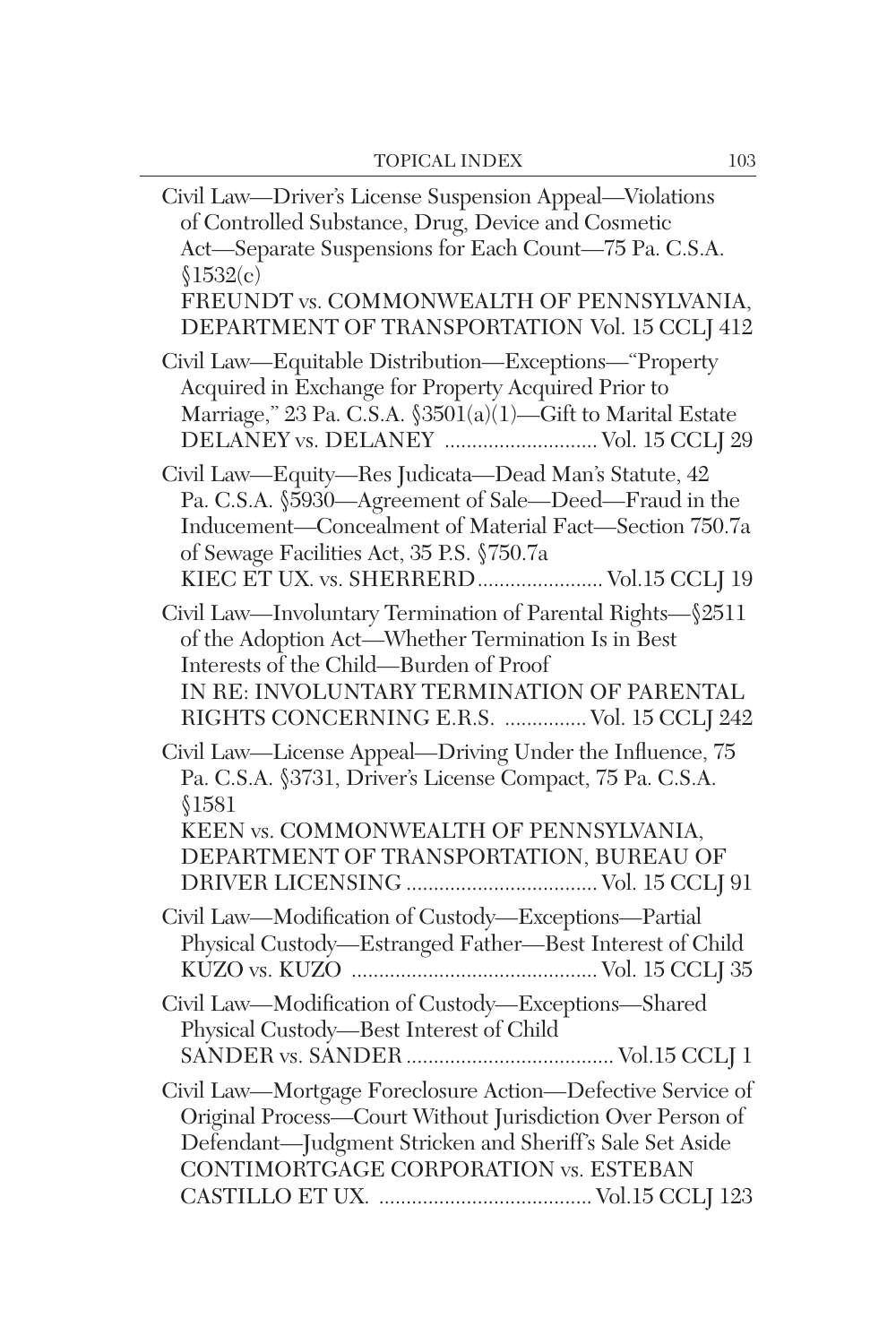| Civil Law—Driver's License Suspension Appeal—Violations<br>of Controlled Substance, Drug, Device and Cosmetic<br>Act-Separate Suspensions for Each Count-75 Pa. C.S.A.<br>\$1532(c)<br>FREUNDT vs. COMMONWEALTH OF PENNSYLVANIA,<br>DEPARTMENT OF TRANSPORTATION Vol. 15 CCLJ 412 |  |
|-----------------------------------------------------------------------------------------------------------------------------------------------------------------------------------------------------------------------------------------------------------------------------------|--|
| Civil Law-Equitable Distribution-Exceptions-"Property<br>Acquired in Exchange for Property Acquired Prior to<br>Marriage," 23 Pa. C.S.A. §3501(a)(1)—Gift to Marital Estate<br>DELANEY vs. DELANEY  Vol. 15 CCLJ 29                                                               |  |
| Civil Law—Equity—Res Judicata—Dead Man's Statute, 42<br>Pa. C.S.A. §5930—Agreement of Sale—Deed—Fraud in the<br>Inducement-Concealment of Material Fact-Section 750.7a<br>of Sewage Facilities Act, 35 P.S. §750.7a<br>KIEC ET UX. vs. SHERRERD  Vol.15 CCLJ 19                   |  |
| Civil Law—Involuntary Termination of Parental Rights— $$2511$<br>of the Adoption Act-Whether Termination Is in Best<br>Interests of the Child—Burden of Proof<br>IN RE: INVOLUNTARY TERMINATION OF PARENTAL<br>RIGHTS CONCERNING E.R.S.  Vol. 15 CCLJ 242                         |  |
| Civil Law-License Appeal-Driving Under the Influence, 75<br>Pa. C.S.A. §3731, Driver's License Compact, 75 Pa. C.S.A.<br>\$1581<br>KEEN vs. COMMONWEALTH OF PENNSYLVANIA,<br>DEPARTMENT OF TRANSPORTATION, BUREAU OF                                                              |  |
| Civil Law-Modification of Custody-Exceptions-Partial<br>Physical Custody-Estranged Father-Best Interest of Child                                                                                                                                                                  |  |
| Civil Law-Modification of Custody-Exceptions-Shared<br>Physical Custody-Best Interest of Child                                                                                                                                                                                    |  |
| Civil Law-Mortgage Foreclosure Action-Defective Service of<br>Original Process-Court Without Jurisdiction Over Person of<br>Defendant-Judgment Stricken and Sheriff's Sale Set Aside<br>CONTIMORTGAGE CORPORATION vs. ESTEBAN                                                     |  |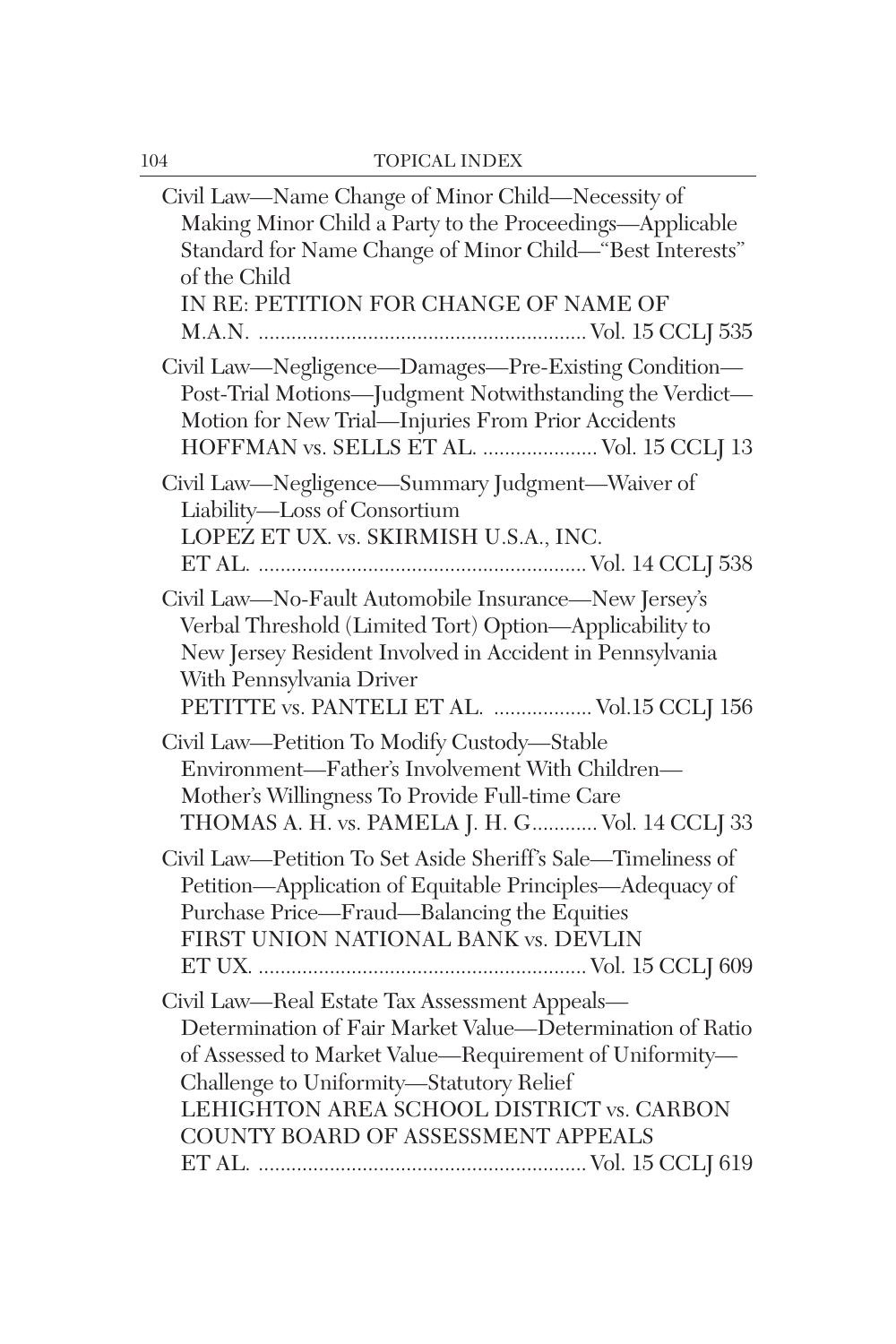| Civil Law—Name Change of Minor Child—Necessity of<br>Making Minor Child a Party to the Proceedings-Applicable<br>Standard for Name Change of Minor Child—"Best Interests"<br>of the Child<br>IN RE: PETITION FOR CHANGE OF NAME OF                                                                  |
|-----------------------------------------------------------------------------------------------------------------------------------------------------------------------------------------------------------------------------------------------------------------------------------------------------|
| Civil Law-Negligence-Damages-Pre-Existing Condition-<br>Post-Trial Motions-Judgment Notwithstanding the Verdict-<br>Motion for New Trial-Injuries From Prior Accidents<br>HOFFMAN vs. SELLS ET AL.  Vol. 15 CCLJ 13                                                                                 |
| Civil Law-Negligence-Summary Judgment-Waiver of<br>Liability-Loss of Consortium<br>LOPEZ ET UX. vs. SKIRMISH U.S.A., INC.                                                                                                                                                                           |
| Civil Law-No-Fault Automobile Insurance-New Jersey's<br>Verbal Threshold (Limited Tort) Option-Applicability to<br>New Jersey Resident Involved in Accident in Pennsylvania<br>With Pennsylvania Driver<br>PETITTE vs. PANTELI ET AL.  Vol.15 CCLJ 156                                              |
| Civil Law-Petition To Modify Custody-Stable<br>Environment-Father's Involvement With Children-<br>Mother's Willingness To Provide Full-time Care<br>THOMAS A. H. vs. PAMELA J. H. G Vol. 14 CCLJ 33                                                                                                 |
| Civil Law-Petition To Set Aside Sheriff's Sale-Timeliness of<br>Petition-Application of Equitable Principles-Adequacy of<br>Purchase Price—Fraud—Balancing the Equities<br>FIRST UNION NATIONAL BANK vs. DEVLIN                                                                                     |
| Civil Law-Real Estate Tax Assessment Appeals-<br>Determination of Fair Market Value-Determination of Ratio<br>of Assessed to Market Value-Requirement of Uniformity-<br>Challenge to Uniformity-Statutory Relief<br>LEHIGHTON AREA SCHOOL DISTRICT vs. CARBON<br>COUNTY BOARD OF ASSESSMENT APPEALS |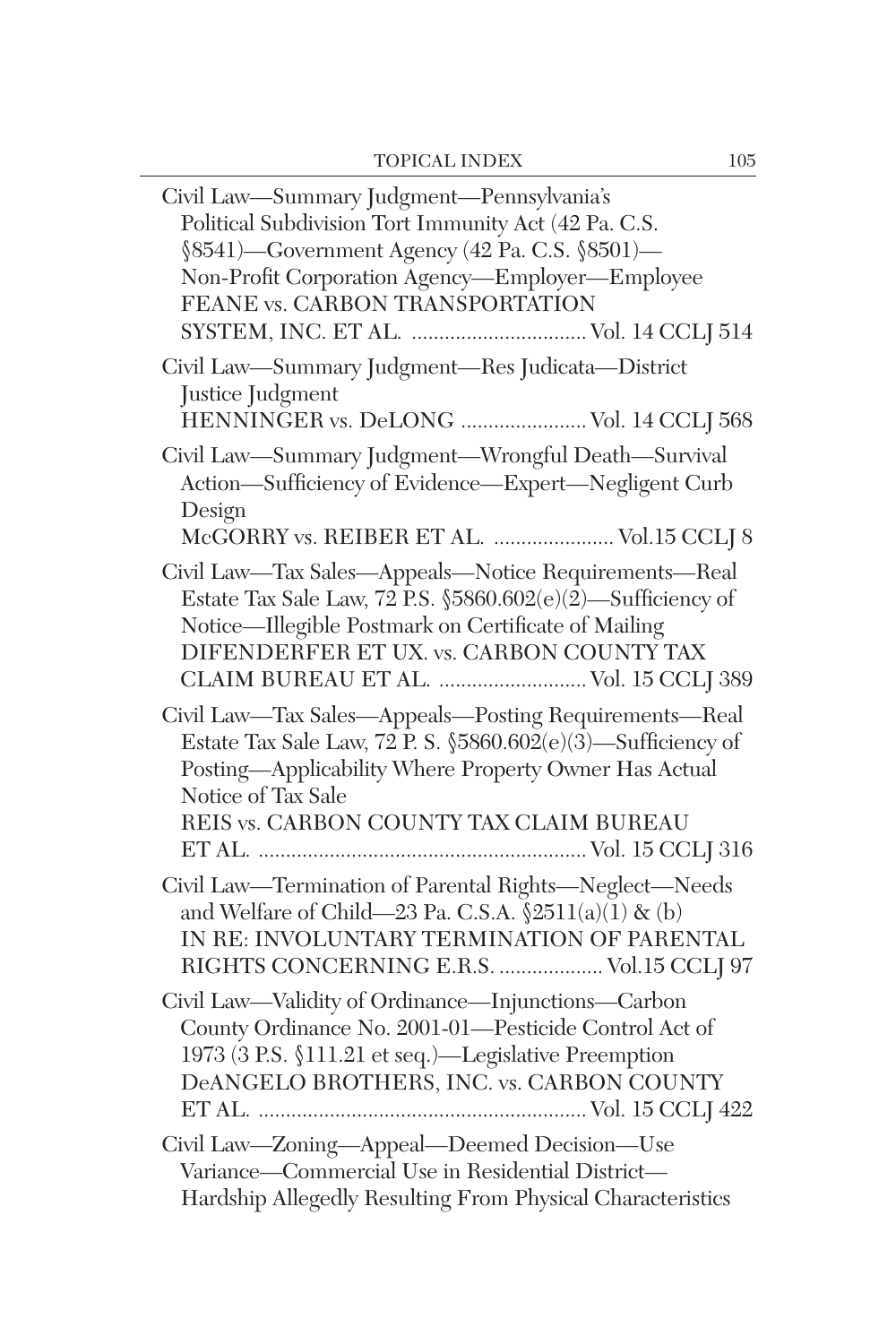| Civil Law-Summary Judgment-Pennsylvania's<br>Political Subdivision Tort Immunity Act (42 Pa. C.S.<br>§8541)—Government Agency (42 Pa. C.S. §8501)—<br>Non-Profit Corporation Agency-Employer-Employee<br>FEANE vs. CARBON TRANSPORTATION<br>SYSTEM, INC. ET AL.  Vol. 14 CCLJ 514 |
|-----------------------------------------------------------------------------------------------------------------------------------------------------------------------------------------------------------------------------------------------------------------------------------|
| Civil Law-Summary Judgment-Res Judicata-District<br>Justice Judgment<br>HENNINGER vs. DeLONG  Vol. 14 CCLJ 568                                                                                                                                                                    |
| Civil Law-Summary Judgment-Wrongful Death-Survival<br>Action-Sufficiency of Evidence-Expert-Negligent Curb<br>Design<br>McGORRY vs. REIBER ET AL.  Vol.15 CCLJ 8                                                                                                                  |
| Civil Law-Tax Sales-Appeals-Notice Requirements-Real<br>Estate Tax Sale Law, $72$ P.S. $$5860.602(e)(2)$ —Sufficiency of<br>Notice-Illegible Postmark on Certificate of Mailing<br>DIFENDERFER ET UX. vs. CARBON COUNTY TAX<br>CLAIM BUREAU ET AL.  Vol. 15 CCLJ 389              |
| Civil Law-Tax Sales-Appeals-Posting Requirements-Real<br>Estate Tax Sale Law, $72$ P. S. $$5860.602(e)(3)$ —Sufficiency of<br>Posting-Applicability Where Property Owner Has Actual<br>Notice of Tax Sale<br>REIS vs. CARBON COUNTY TAX CLAIM BUREAU                              |
| Civil Law-Termination of Parental Rights-Neglect-Needs<br>and Welfare of Child—23 Pa. C.S.A. $\S 2511(a)(1) \& (b)$<br>IN RE: INVOLUNTARY TERMINATION OF PARENTAL<br>RIGHTS CONCERNING E.R.S.  Vol.15 CCLJ 97                                                                     |
| Civil Law-Validity of Ordinance-Injunctions-Carbon<br>County Ordinance No. 2001-01-Pesticide Control Act of<br>1973 (3 P.S. §111.21 et seq.)—Legislative Preemption<br>DeANGELO BROTHERS, INC. vs. CARBON COUNTY                                                                  |
| Civil Law-Zoning-Appeal-Deemed Decision-Use<br>Variance-Commercial Use in Residential District-<br>Hardship Allegedly Resulting From Physical Characteristics                                                                                                                     |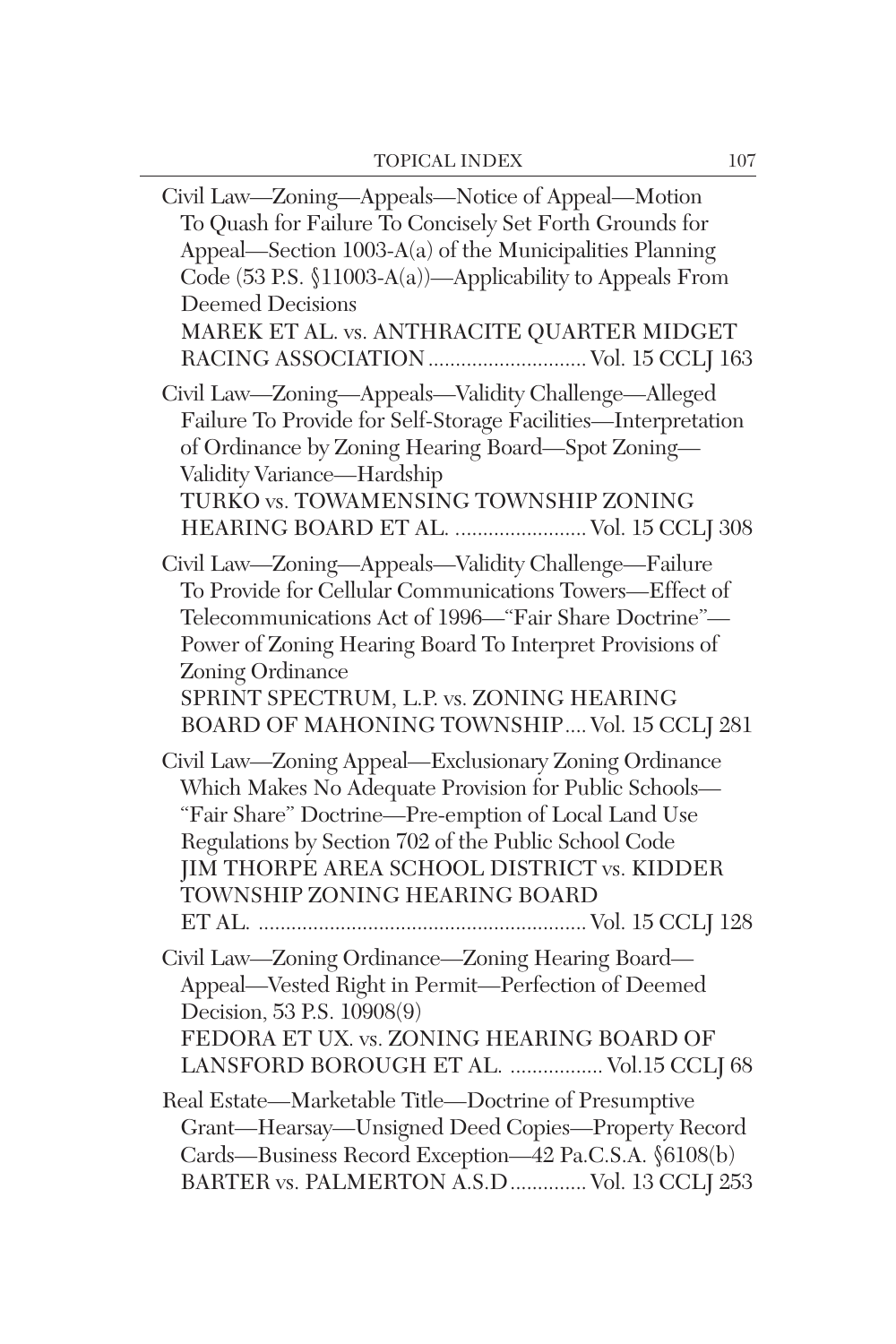| Civil Law—Zoning—Appeals—Notice of Appeal—Motion<br>To Quash for Failure To Concisely Set Forth Grounds for<br>Appeal—Section 1003-A(a) of the Municipalities Planning<br>Code (53 P.S. §11003-A(a))—Applicability to Appeals From<br><b>Deemed Decisions</b><br>MAREK ET AL. vs. ANTHRACITE QUARTER MIDGET                                        |
|----------------------------------------------------------------------------------------------------------------------------------------------------------------------------------------------------------------------------------------------------------------------------------------------------------------------------------------------------|
| Civil Law-Zoning-Appeals-Validity Challenge-Alleged<br>Failure To Provide for Self-Storage Facilities-Interpretation<br>of Ordinance by Zoning Hearing Board-Spot Zoning-<br>Validity Variance-Hardship<br>TURKO vs. TOWAMENSING TOWNSHIP ZONING<br>HEARING BOARD ET AL.  Vol. 15 CCLJ 308                                                         |
| Civil Law-Zoning-Appeals-Validity Challenge-Failure<br>To Provide for Cellular Communications Towers-Effect of<br>Telecommunications Act of 1996—"Fair Share Doctrine"-<br>Power of Zoning Hearing Board To Interpret Provisions of<br>Zoning Ordinance<br>SPRINT SPECTRUM, L.P. vs. ZONING HEARING<br>BOARD OF MAHONING TOWNSHIP Vol. 15 CCLJ 281 |
| Civil Law-Zoning Appeal-Exclusionary Zoning Ordinance<br>Which Makes No Adequate Provision for Public Schools-<br>"Fair Share" Doctrine-Pre-emption of Local Land Use<br>Regulations by Section 702 of the Public School Code<br>JIM THORPE AREA SCHOOL DISTRICT vs. KIDDER<br>TOWNSHIP ZONING HEARING BOARD                                       |
| Civil Law-Zoning Ordinance-Zoning Hearing Board-<br>Appeal-Vested Right in Permit-Perfection of Deemed<br>Decision, 53 P.S. 10908(9)<br>FEDORA ET UX. vs. ZONING HEARING BOARD OF<br>LANSFORD BOROUGH ET AL.  Vol.15 CCLJ 68                                                                                                                       |
| Real Estate-Marketable Title-Doctrine of Presumptive<br>Grant-Hearsay-Unsigned Deed Copies-Property Record<br>Cards-Business Record Exception-42 Pa.C.S.A. §6108(b)<br>BARTER vs. PALMERTON A.S.D  Vol. 13 CCLJ 253                                                                                                                                |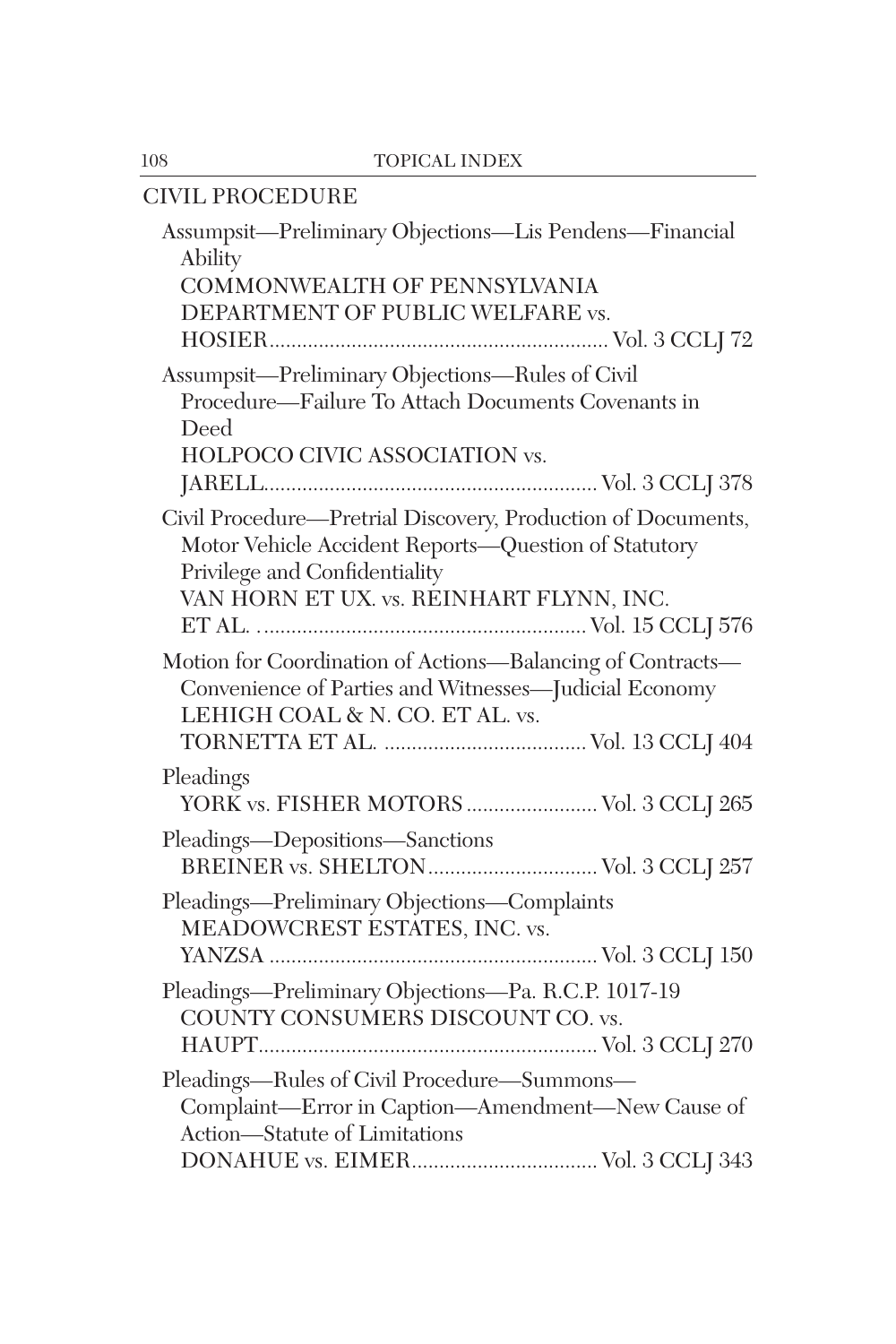| CIVIL PROCEDURE                                                                                                                                                                                   |
|---------------------------------------------------------------------------------------------------------------------------------------------------------------------------------------------------|
| Assumpsit-Preliminary Objections-Lis Pendens-Financial<br>Ability<br>COMMONWEALTH OF PENNSYLVANIA<br>DEPARTMENT OF PUBLIC WELFARE vs.                                                             |
| Assumpsit-Preliminary Objections-Rules of Civil<br>Procedure-Failure To Attach Documents Covenants in<br>Deed<br>HOLPOCO CIVIC ASSOCIATION vs.                                                    |
| Civil Procedure—Pretrial Discovery, Production of Documents,<br>Motor Vehicle Accident Reports-Question of Statutory<br>Privilege and Confidentiality<br>VAN HORN ET UX. vs. REINHART FLYNN, INC. |
| Motion for Coordination of Actions-Balancing of Contracts-<br>Convenience of Parties and Witnesses-Judicial Economy<br>LEHIGH COAL & N. CO. ET AL. vs.                                            |
| Pleadings<br>YORK vs. FISHER MOTORS  Vol. 3 CCLJ 265<br>Pleadings-Depositions-Sanctions                                                                                                           |
| Pleadings—Preliminary Objections—Complaints<br>MEADOWCREST ESTATES, INC. vs.                                                                                                                      |
| Pleadings—Preliminary Objections—Pa. R.C.P. 1017-19<br>COUNTY CONSUMERS DISCOUNT CO. vs.                                                                                                          |
| Pleadings—Rules of Civil Procedure—Summons—<br>Complaint-Error in Caption-Amendment-New Cause of<br>Action-Statute of Limitations                                                                 |
|                                                                                                                                                                                                   |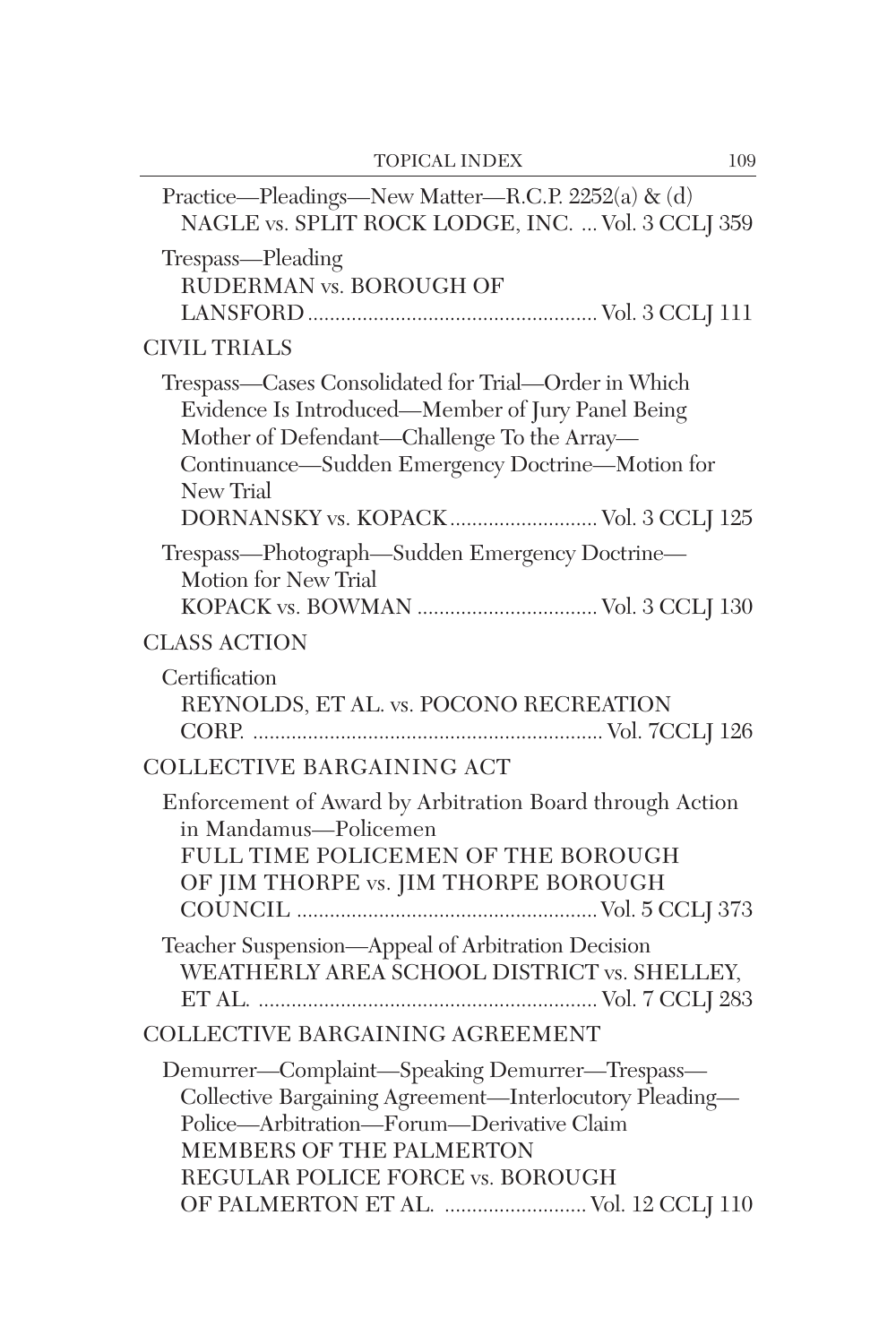| Practice—Pleadings—New Matter—R.C.P. 2252(a) & (d)<br>NAGLE vs. SPLIT ROCK LODGE, INC.  Vol. 3 CCLJ 359                                                                                                                                                            |
|--------------------------------------------------------------------------------------------------------------------------------------------------------------------------------------------------------------------------------------------------------------------|
| Trespass—Pleading<br>RUDERMAN vs. BOROUGH OF                                                                                                                                                                                                                       |
| <b>CIVIL TRIALS</b>                                                                                                                                                                                                                                                |
| Trespass—Cases Consolidated for Trial—Order in Which<br>Evidence Is Introduced—Member of Jury Panel Being<br>Mother of Defendant-Challenge To the Array-<br>Continuance-Sudden Emergency Doctrine-Motion for<br>New Trial<br>DORNANSKY vs. KOPACK  Vol. 3 CCLJ 125 |
| Trespass-Photograph-Sudden Emergency Doctrine-<br>Motion for New Trial<br>KOPACK vs. BOWMAN  Vol. 3 CCLJ 130                                                                                                                                                       |
| <b>CLASS ACTION</b>                                                                                                                                                                                                                                                |
| Certification<br>REYNOLDS, ET AL. vs. POCONO RECREATION                                                                                                                                                                                                            |
| COLLECTIVE BARGAINING ACT                                                                                                                                                                                                                                          |
| Enforcement of Award by Arbitration Board through Action<br>in Mandamus-Policemen<br>FULL TIME POLICEMEN OF THE BOROUGH<br>OF JIM THORPE vs. JIM THORPE BOROUGH                                                                                                    |
| Teacher Suspension-Appeal of Arbitration Decision<br>WEATHERLY AREA SCHOOL DISTRICT vs. SHELLEY,                                                                                                                                                                   |
| COLLECTIVE BARGAINING AGREEMENT                                                                                                                                                                                                                                    |
| Demurrer-Complaint-Speaking Demurrer-Trespass-<br>Collective Bargaining Agreement-Interlocutory Pleading-<br>Police-Arbitration-Forum-Derivative Claim<br>MEMBERS OF THE PALMERTON<br>REGULAR POLICE FORCE vs. BOROUGH<br>OF PALMERTON ET AL.  Vol. 12 CCLJ 110    |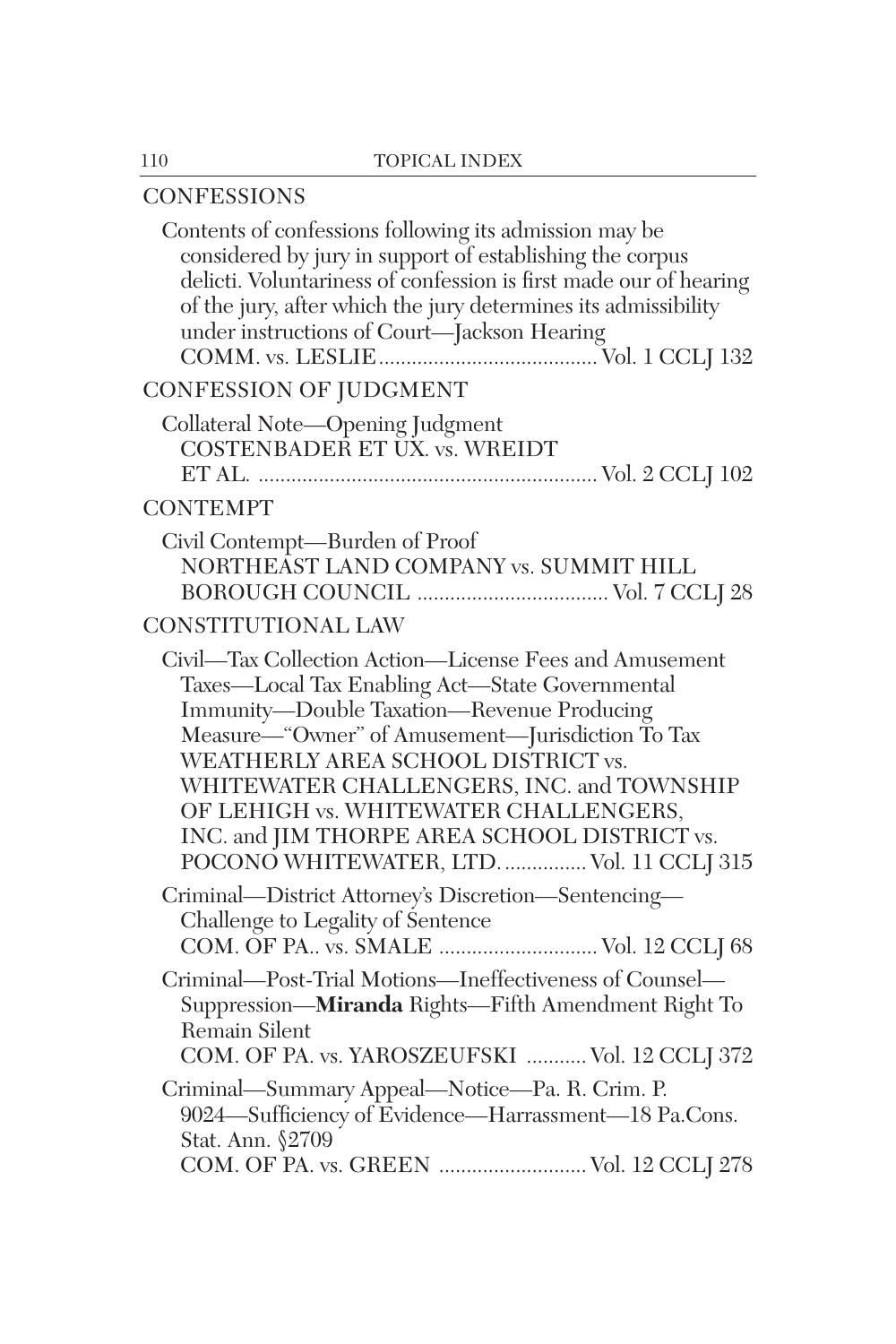## **CONFESSIONS**

| Contents of confessions following its admission may be<br>considered by jury in support of establishing the corpus<br>delicti. Voluntariness of confession is first made our of hearing<br>of the jury, after which the jury determines its admissibility<br>under instructions of Court—Jackson Hearing                                                                                                                           |
|------------------------------------------------------------------------------------------------------------------------------------------------------------------------------------------------------------------------------------------------------------------------------------------------------------------------------------------------------------------------------------------------------------------------------------|
| CONFESSION OF JUDGMENT                                                                                                                                                                                                                                                                                                                                                                                                             |
| Collateral Note-Opening Judgment<br>COSTENBADER ET UX. vs. WREIDT                                                                                                                                                                                                                                                                                                                                                                  |
| <b>CONTEMPT</b>                                                                                                                                                                                                                                                                                                                                                                                                                    |
| Civil Contempt-Burden of Proof<br>NORTHEAST LAND COMPANY vs. SUMMIT HILL                                                                                                                                                                                                                                                                                                                                                           |
| CONSTITUTIONAL LAW                                                                                                                                                                                                                                                                                                                                                                                                                 |
| Civil-Tax Collection Action-License Fees and Amusement<br>Taxes-Local Tax Enabling Act-State Governmental<br>Immunity-Double Taxation-Revenue Producing<br>Measure—"Owner" of Amusement—Jurisdiction To Tax<br>WEATHERLY AREA SCHOOL DISTRICT vs.<br>WHITEWATER CHALLENGERS, INC. and TOWNSHIP<br>OF LEHIGH vs. WHITEWATER CHALLENGERS,<br>INC. and JIM THORPE AREA SCHOOL DISTRICT vs.<br>POCONO WHITEWATER, LTD Vol. 11 CCLJ 315 |
| Criminal-District Attorney's Discretion-Sentencing-<br>Challenge to Legality of Sentence<br>COM. OF PA., vs. SMALE  Vol. 12 CCLJ 68                                                                                                                                                                                                                                                                                                |
| Criminal-Post-Trial Motions-Ineffectiveness of Counsel-<br>Suppression-Miranda Rights-Fifth Amendment Right To<br>Remain Silent<br>COM. OF PA. vs. YAROSZEUFSKI  Vol. 12 CCLJ 372                                                                                                                                                                                                                                                  |
| Criminal—Summary Appeal—Notice—Pa. R. Crim. P.<br>9024—Sufficiency of Evidence—Harrassment—18 Pa.Cons.<br>Stat. Ann. §2709<br>COM. OF PA. vs. GREEN  Vol. 12 CCLJ 278                                                                                                                                                                                                                                                              |
|                                                                                                                                                                                                                                                                                                                                                                                                                                    |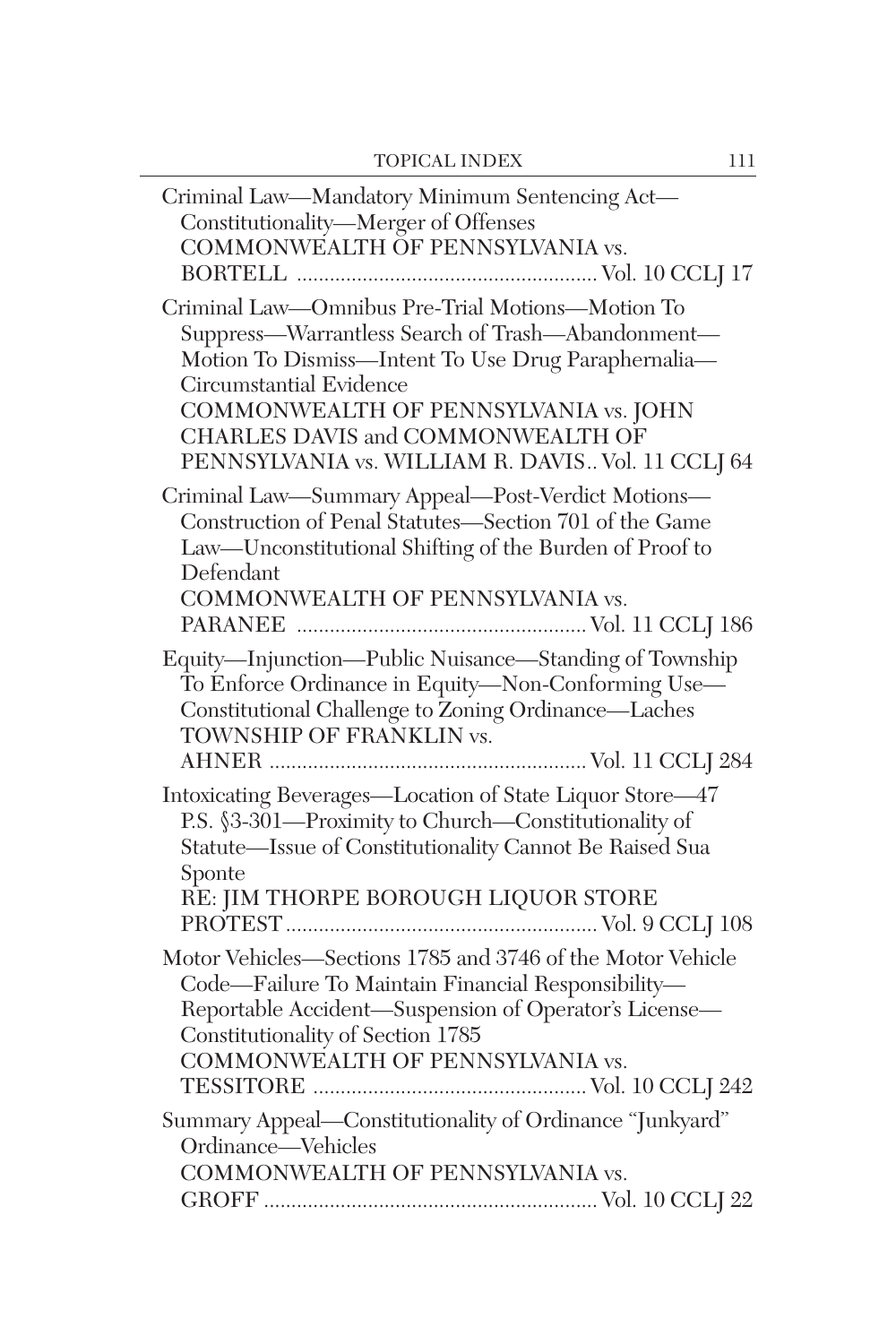| Criminal Law-Mandatory Minimum Sentencing Act-<br>Constitutionality-Merger of Offenses<br>COMMONWEALTH OF PENNSYLVANIA vs.                                                                                                                                                                                                 |
|----------------------------------------------------------------------------------------------------------------------------------------------------------------------------------------------------------------------------------------------------------------------------------------------------------------------------|
| Criminal Law-Omnibus Pre-Trial Motions-Motion To<br>Suppress-Warrantless Search of Trash-Abandonment-<br>Motion To Dismiss-Intent To Use Drug Paraphernalia-<br>Circumstantial Evidence<br>COMMONWEALTH OF PENNSYLVANIA vs. JOHN<br>CHARLES DAVIS and COMMONWEALTH OF<br>PENNSYLVANIA vs. WILLIAM R. DAVIS Vol. 11 CCLJ 64 |
| Criminal Law-Summary Appeal-Post-Verdict Motions-<br>Construction of Penal Statutes-Section 701 of the Game<br>Law-Unconstitutional Shifting of the Burden of Proof to<br>Defendant<br>COMMONWEALTH OF PENNSYLVANIA vs.                                                                                                    |
| Equity-Injunction-Public Nuisance-Standing of Township<br>To Enforce Ordinance in Equity-Non-Conforming Use-<br>Constitutional Challenge to Zoning Ordinance-Laches<br>TOWNSHIP OF FRANKLIN vs.                                                                                                                            |
| Intoxicating Beverages-Location of State Liquor Store-47<br>P.S. §3-301-Proximity to Church-Constitutionality of<br>Statute-Issue of Constitutionality Cannot Be Raised Sua<br>Sponte<br>RE: JIM THORPE BOROUGH LIQUOR STORE                                                                                               |
| Motor Vehicles-Sections 1785 and 3746 of the Motor Vehicle<br>Code-Failure To Maintain Financial Responsibility-<br>Reportable Accident-Suspension of Operator's License-<br>Constitutionality of Section 1785<br>COMMONWEALTH OF PENNSYLVANIA vs.                                                                         |
| Summary Appeal-Constitutionality of Ordinance "Junkyard"<br>Ordinance-Vehicles<br>COMMONWEALTH OF PENNSYLVANIA vs.                                                                                                                                                                                                         |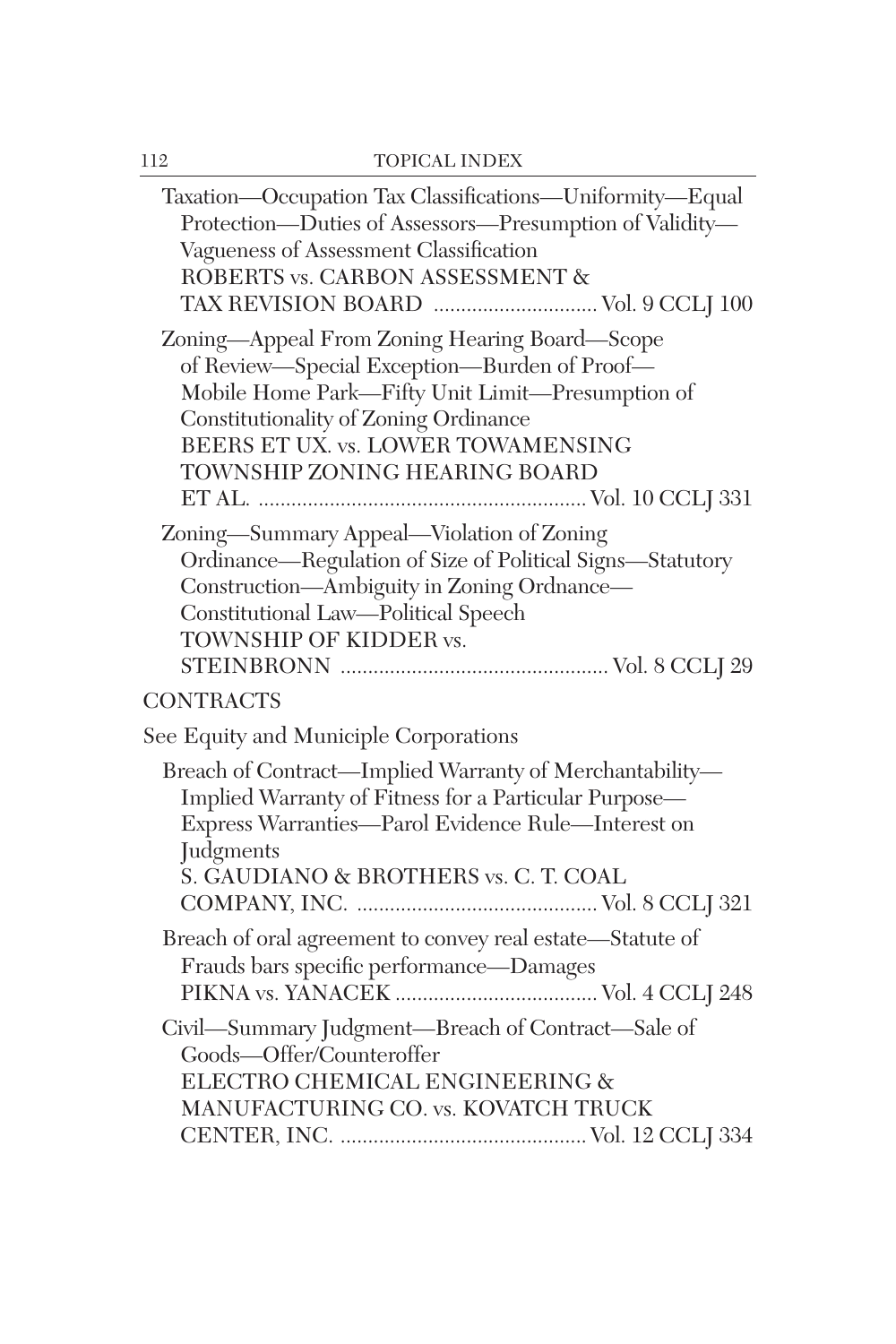| Taxation—Occupation Tax Classifications—Uniformity—Equal<br>Protection-Duties of Assessors-Presumption of Validity-<br>Vagueness of Assessment Classification<br>ROBERTS vs. CARBON ASSESSMENT &<br>TAX REVISION BOARD  Vol. 9 CCLJ 100                           |
|-------------------------------------------------------------------------------------------------------------------------------------------------------------------------------------------------------------------------------------------------------------------|
| Zoning-Appeal From Zoning Hearing Board-Scope<br>of Review—Special Exception—Burden of Proof—<br>Mobile Home Park-Fifty Unit Limit-Presumption of<br>Constitutionality of Zoning Ordinance<br>BEERS ET UX. vs. LOWER TOWAMENSING<br>TOWNSHIP ZONING HEARING BOARD |
| Zoning—Summary Appeal—Violation of Zoning<br>Ordinance-Regulation of Size of Political Signs-Statutory<br>Construction-Ambiguity in Zoning Ordnance-<br>Constitutional Law-Political Speech<br>TOWNSHIP OF KIDDER vs.                                             |
| CONTRACTS                                                                                                                                                                                                                                                         |
| See Equity and Municiple Corporations                                                                                                                                                                                                                             |
| Breach of Contract—Implied Warranty of Merchantability—<br>Implied Warranty of Fitness for a Particular Purpose-<br>Express Warranties-Parol Evidence Rule-Interest on<br>Judgments<br>S. GAUDIANO & BROTHERS vs. C. T. COAL                                      |
| Breach of oral agreement to convey real estate-Statute of<br>Frauds bars specific performance-Damages                                                                                                                                                             |
| Civil—Summary Judgment—Breach of Contract—Sale of<br>Goods-Offer/Counteroffer<br>ELECTRO CHEMICAL ENGINEERING &<br>MANUFACTURING CO. vs. KOVATCH TRUCK                                                                                                            |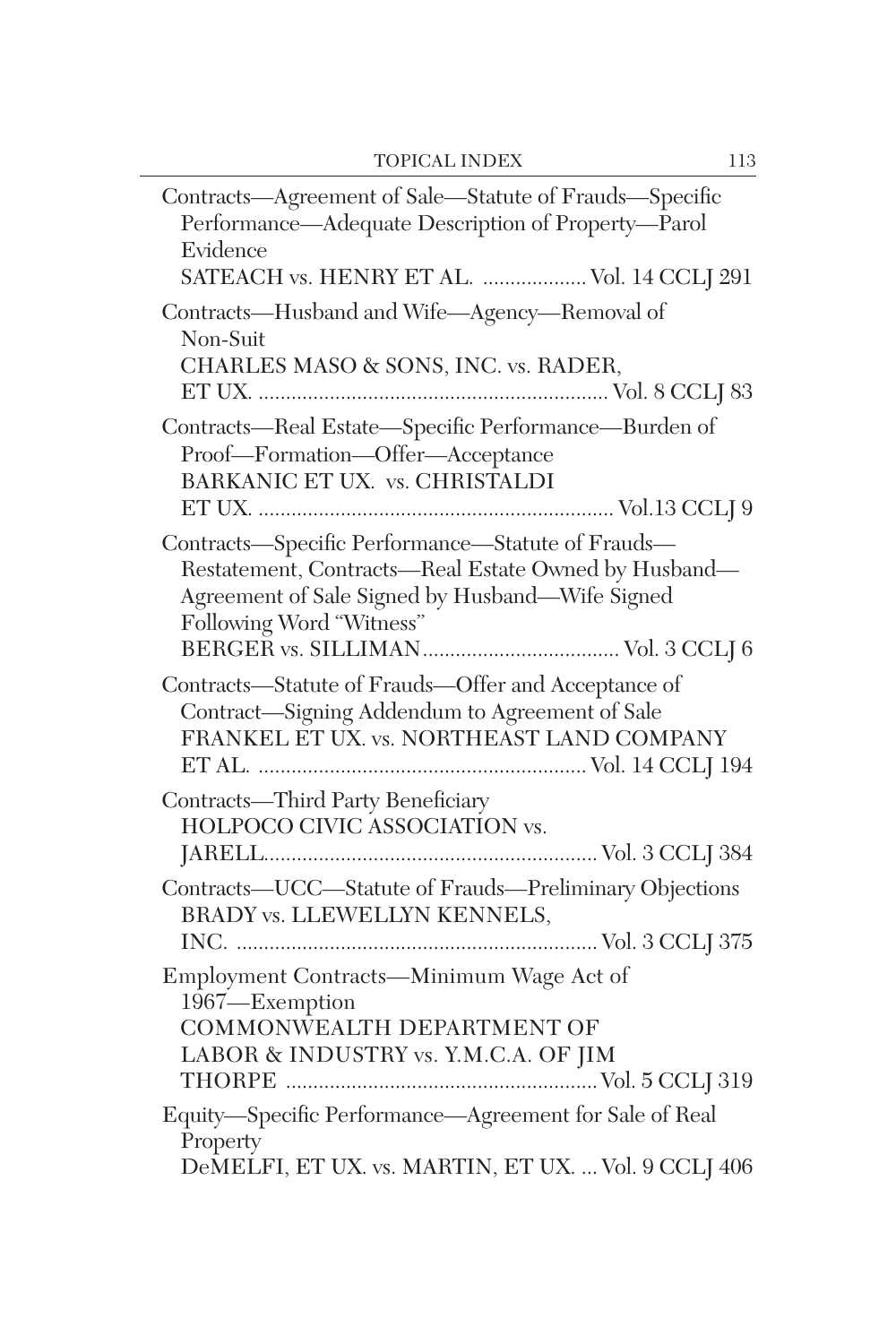| Contracts-Agreement of Sale-Statute of Frauds-Specific<br>Performance-Adequate Description of Property-Parol<br>Evidence<br>SATEACH vs. HENRY ET AL.  Vol. 14 CCLJ 291                   |
|------------------------------------------------------------------------------------------------------------------------------------------------------------------------------------------|
| Contracts-Husband and Wife-Agency-Removal of<br>Non-Suit<br>CHARLES MASO & SONS, INC. vs. RADER,                                                                                         |
| Contracts-Real Estate-Specific Performance-Burden of<br>Proof-Formation-Offer-Acceptance<br>BARKANIC ET UX. vs. CHRISTALDI                                                               |
| Contracts-Specific Performance-Statute of Frauds-<br>Restatement, Contracts-Real Estate Owned by Husband-<br>Agreement of Sale Signed by Husband-Wife Signed<br>Following Word "Witness" |
| Contracts-Statute of Frauds-Offer and Acceptance of<br>Contract-Signing Addendum to Agreement of Sale<br>FRANKEL ET UX. vs. NORTHEAST LAND COMPANY                                       |
| Contracts-Third Party Beneficiary<br>HOLPOCO CIVIC ASSOCIATION vs.                                                                                                                       |
| Contracts-UCC-Statute of Frauds-Preliminary Objections<br>BRADY vs. LLEWELLYN KENNELS,                                                                                                   |
| Employment Contracts-Minimum Wage Act of<br>1967-Exemption<br>COMMONWEALTH DEPARTMENT OF<br>LABOR & INDUSTRY vs. Y.M.C.A. OF JIM                                                         |
| Equity-Specific Performance-Agreement for Sale of Real<br>Property<br>DeMELFI, ET UX. vs. MARTIN, ET UX.  Vol. 9 CCLJ 406                                                                |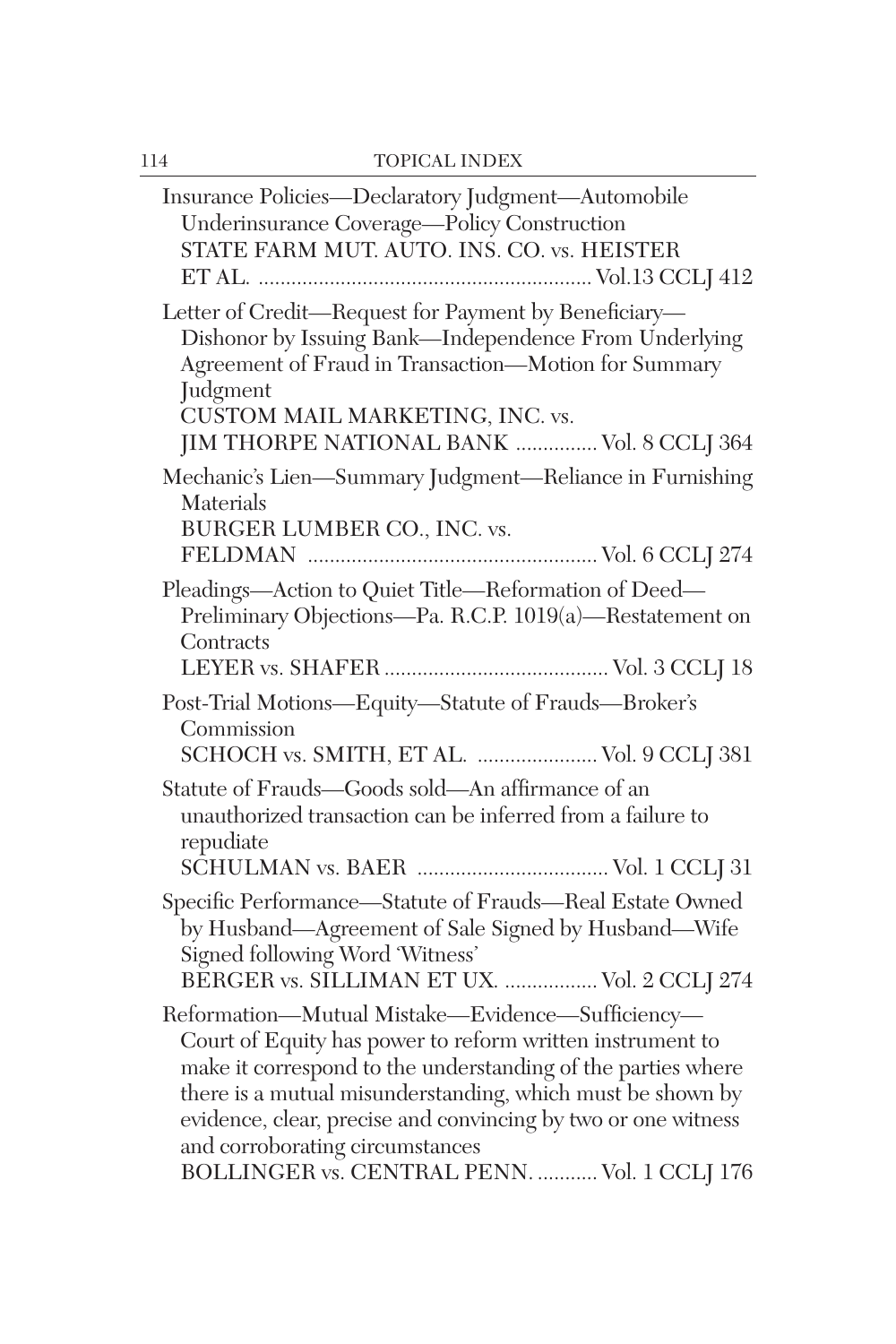| Insurance Policies—Declaratory Judgment—Automobile<br>Underinsurance Coverage-Policy Construction<br>STATE FARM MUT. AUTO. INS. CO. vs. HEISTER                                                                                                                                                                                                                                                 |
|-------------------------------------------------------------------------------------------------------------------------------------------------------------------------------------------------------------------------------------------------------------------------------------------------------------------------------------------------------------------------------------------------|
| Letter of Credit-Request for Payment by Beneficiary-<br>Dishonor by Issuing Bank-Independence From Underlying<br>Agreement of Fraud in Transaction-Motion for Summary<br>Judgment<br>CUSTOM MAIL MARKETING, INC. vs.                                                                                                                                                                            |
| JIM THORPE NATIONAL BANK  Vol. 8 CCLJ 364<br>Mechanic's Lien-Summary Judgment-Reliance in Furnishing<br>Materials                                                                                                                                                                                                                                                                               |
| BURGER LUMBER CO., INC. vs.                                                                                                                                                                                                                                                                                                                                                                     |
| Pleadings-Action to Quiet Title-Reformation of Deed-<br>Preliminary Objections-Pa. R.C.P. 1019(a)-Restatement on<br>Contracts                                                                                                                                                                                                                                                                   |
| Post-Trial Motions-Equity-Statute of Frauds-Broker's<br>Commission<br>SCHOCH vs. SMITH, ET AL.  Vol. 9 CCLJ 381                                                                                                                                                                                                                                                                                 |
| Statute of Frauds-Goods sold-An affirmance of an<br>unauthorized transaction can be inferred from a failure to<br>repudiate                                                                                                                                                                                                                                                                     |
| Specific Performance-Statute of Frauds-Real Estate Owned<br>by Husband-Agreement of Sale Signed by Husband-Wife<br>Signed following Word 'Witness'<br>BERGER vs. SILLIMAN ET UX.  Vol. 2 CCLJ 274                                                                                                                                                                                               |
| Reformation-Mutual Mistake-Evidence-Sufficiency-<br>Court of Equity has power to reform written instrument to<br>make it correspond to the understanding of the parties where<br>there is a mutual misunderstanding, which must be shown by<br>evidence, clear, precise and convincing by two or one witness<br>and corroborating circumstances<br>BOLLINGER vs. CENTRAL PENN.  Vol. 1 CCLJ 176 |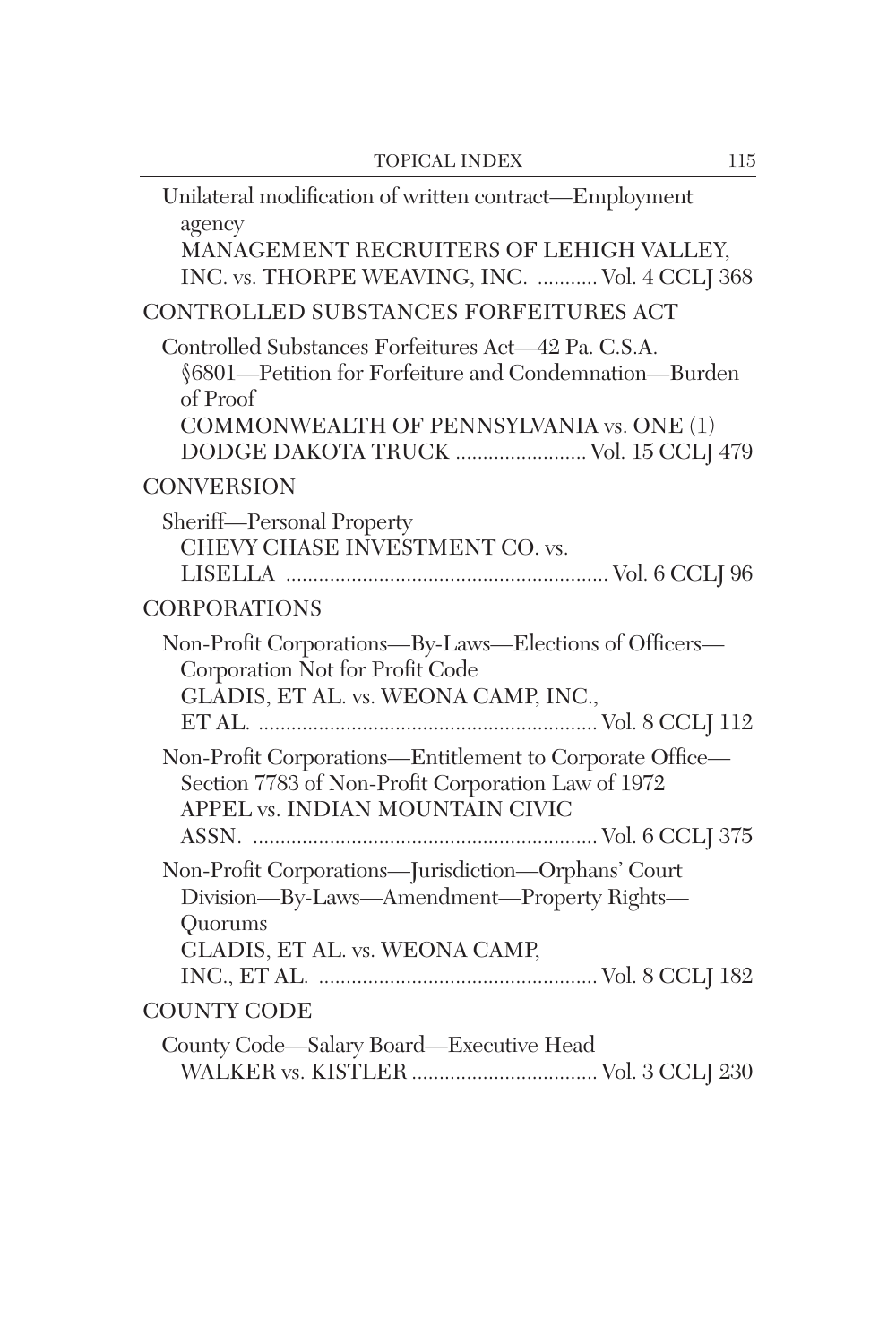| Unilateral modification of written contract—Employment<br>agency<br>MANAGEMENT RECRUITERS OF LEHIGH VALLEY,<br>INC. vs. THORPE WEAVING, INC.  Vol. 4 CCLJ 368                                                |
|--------------------------------------------------------------------------------------------------------------------------------------------------------------------------------------------------------------|
| CONTROLLED SUBSTANCES FORFEITURES ACT                                                                                                                                                                        |
| Controlled Substances Forfeitures Act-42 Pa. C.S.A.<br>§6801—Petition for Forfeiture and Condemnation—Burden<br>of Proof<br>COMMONWEALTH OF PENNSYLVANIA vs. ONE (1)<br>DODGE DAKOTA TRUCK  Vol. 15 CCLJ 479 |
| <b>CONVERSION</b>                                                                                                                                                                                            |
| Sheriff-Personal Property<br>CHEVY CHASE INVESTMENT CO. vs.                                                                                                                                                  |
| <b>CORPORATIONS</b>                                                                                                                                                                                          |
| Non-Profit Corporations-By-Laws-Elections of Officers-<br>Corporation Not for Profit Code<br>GLADIS, ET AL. vs. WEONA CAMP, INC.,                                                                            |
| Non-Profit Corporations-Entitlement to Corporate Office-<br>Section 7783 of Non-Profit Corporation Law of 1972<br>APPEL vs. INDIAN MOUNTAIN CIVIC                                                            |
| Non-Profit Corporations-Jurisdiction-Orphans' Court<br>Division-By-Laws-Amendment-Property Rights-<br>Quorums<br>GLADIS, ET AL. vs. WEONA CAMP,                                                              |
| <b>COUNTY CODE</b>                                                                                                                                                                                           |
| County Code-Salary Board-Executive Head                                                                                                                                                                      |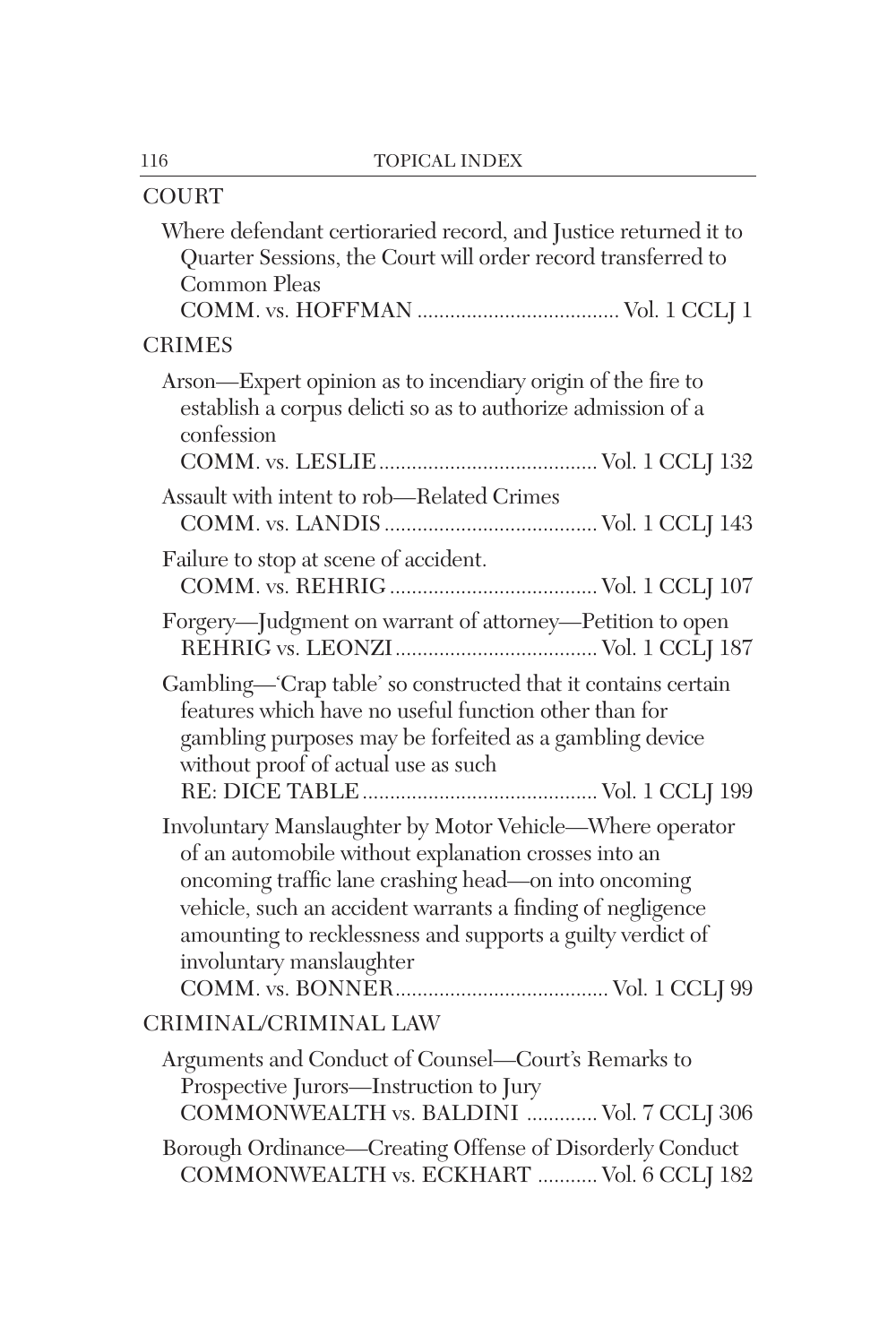| <b>COURT</b>                                                                                                                                                                                                                                                                                                                     |
|----------------------------------------------------------------------------------------------------------------------------------------------------------------------------------------------------------------------------------------------------------------------------------------------------------------------------------|
| Where defendant certioraried record, and Justice returned it to<br>Quarter Sessions, the Court will order record transferred to<br>Common Pleas                                                                                                                                                                                  |
| <b>CRIMES</b>                                                                                                                                                                                                                                                                                                                    |
| Arson—Expert opinion as to incendiary origin of the fire to<br>establish a corpus delicti so as to authorize admission of a<br>confession                                                                                                                                                                                        |
| Assault with intent to rob-Related Crimes                                                                                                                                                                                                                                                                                        |
|                                                                                                                                                                                                                                                                                                                                  |
| Failure to stop at scene of accident.                                                                                                                                                                                                                                                                                            |
| Forgery-Judgment on warrant of attorney-Petition to open                                                                                                                                                                                                                                                                         |
| Gambling—'Crap table' so constructed that it contains certain<br>features which have no useful function other than for<br>gambling purposes may be forfeited as a gambling device<br>without proof of actual use as such                                                                                                         |
| Involuntary Manslaughter by Motor Vehicle-Where operator<br>of an automobile without explanation crosses into an<br>oncoming traffic lane crashing head—on into oncoming<br>vehicle, such an accident warrants a finding of negligence<br>amounting to recklessness and supports a guilty verdict of<br>involuntary manslaughter |
| CRIMINAL/CRIMINAL LAW                                                                                                                                                                                                                                                                                                            |
| Arguments and Conduct of Counsel-Court's Remarks to<br>Prospective Jurors—Instruction to Jury<br>COMMONWEALTH vs. BALDINI  Vol. 7 CCLJ 306                                                                                                                                                                                       |
| Borough Ordinance-Creating Offense of Disorderly Conduct<br>COMMONWEALTH vs. ECKHART  Vol. 6 CCLJ 182                                                                                                                                                                                                                            |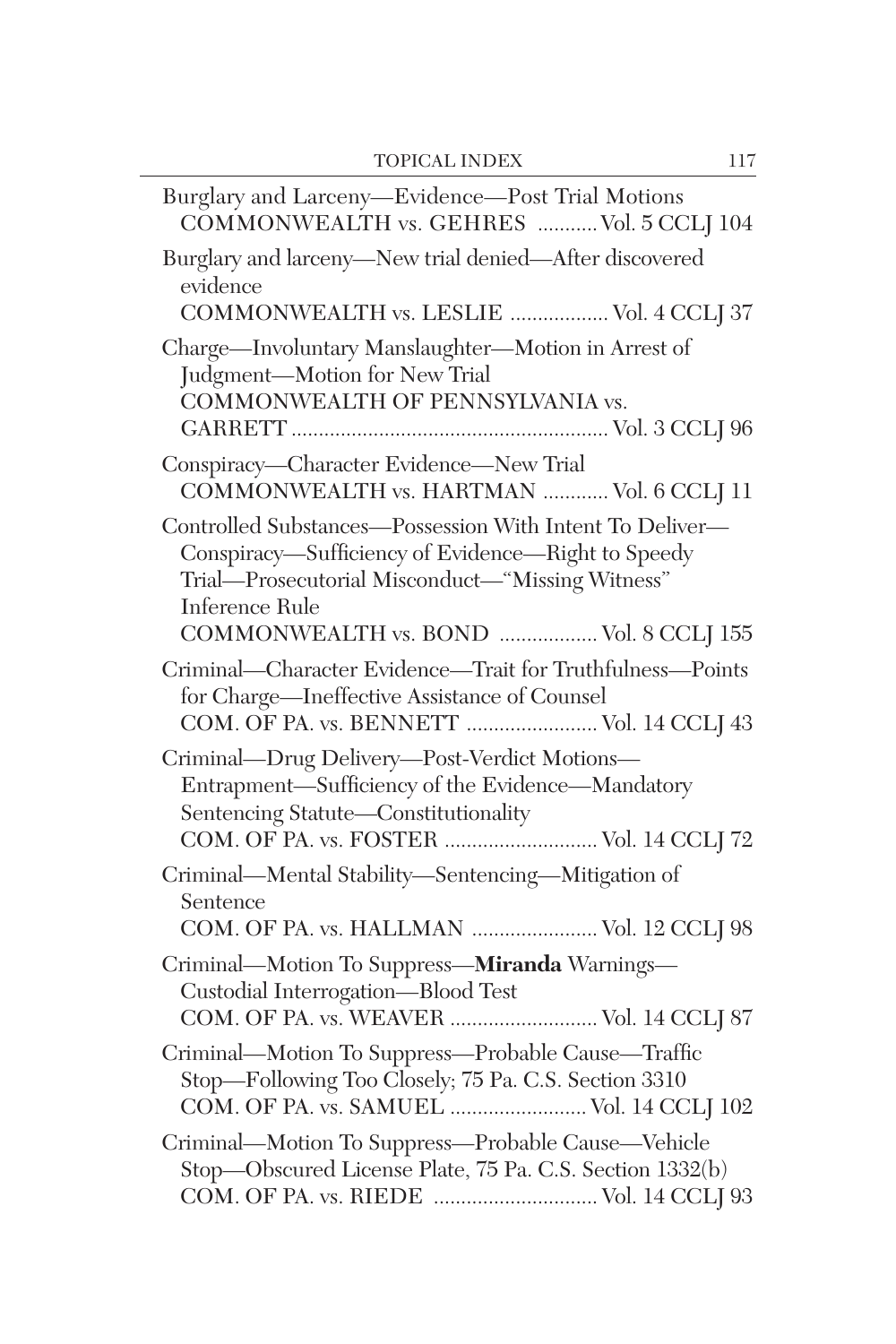| Burglary and Larceny-Evidence-Post Trial Motions<br>COMMONWEALTH vs. GEHRES  Vol. 5 CCLJ 104                                                                                                                                   |
|--------------------------------------------------------------------------------------------------------------------------------------------------------------------------------------------------------------------------------|
| Burglary and larceny-New trial denied-After discovered<br>evidence<br>COMMONWEALTH vs. LESLIE  Vol. 4 CCLJ 37                                                                                                                  |
| Charge-Involuntary Manslaughter-Motion in Arrest of<br>Judgment-Motion for New Trial<br>COMMONWEALTH OF PENNSYLVANIA vs.                                                                                                       |
| Conspiracy-Character Evidence-New Trial<br>COMMONWEALTH vs. HARTMAN  Vol. 6 CCLJ 11                                                                                                                                            |
| Controlled Substances-Possession With Intent To Deliver-<br>Conspiracy—Sufficiency of Evidence—Right to Speedy<br>Trial-Prosecutorial Misconduct-"Missing Witness"<br>Inference Rule<br>COMMONWEALTH vs. BOND  Vol. 8 CCLJ 155 |
| Criminal-Character Evidence-Trait for Truthfulness-Points<br>for Charge-Ineffective Assistance of Counsel<br>COM. OF PA. vs. BENNETT  Vol. 14 CCLJ 43                                                                          |
| Criminal-Drug Delivery-Post-Verdict Motions-<br>Entrapment-Sufficiency of the Evidence-Mandatory<br>Sentencing Statute-Constitutionality<br>COM. OF PA. vs. FOSTER  Vol. 14 CCLJ 72                                            |
| Criminal—Mental Stability—Sentencing—Mitigation of<br>Sentence<br>COM. OF PA. vs. HALLMAN  Vol. 12 CCLJ 98                                                                                                                     |
| Criminal-Motion To Suppress-Miranda Warnings-<br>Custodial Interrogation-Blood Test<br>COM. OF PA. vs. WEAVER  Vol. 14 CCLJ 87                                                                                                 |
| Criminal-Motion To Suppress-Probable Cause-Traffic<br>Stop-Following Too Closely; 75 Pa. C.S. Section 3310<br>COM. OF PA. vs. SAMUEL  Vol. 14 CCLJ 102                                                                         |
| Criminal-Motion To Suppress-Probable Cause-Vehicle<br>Stop-Obscured License Plate, 75 Pa. C.S. Section 1332(b)<br>COM. OF PA. vs. RIEDE  Vol. 14 CCLJ 93                                                                       |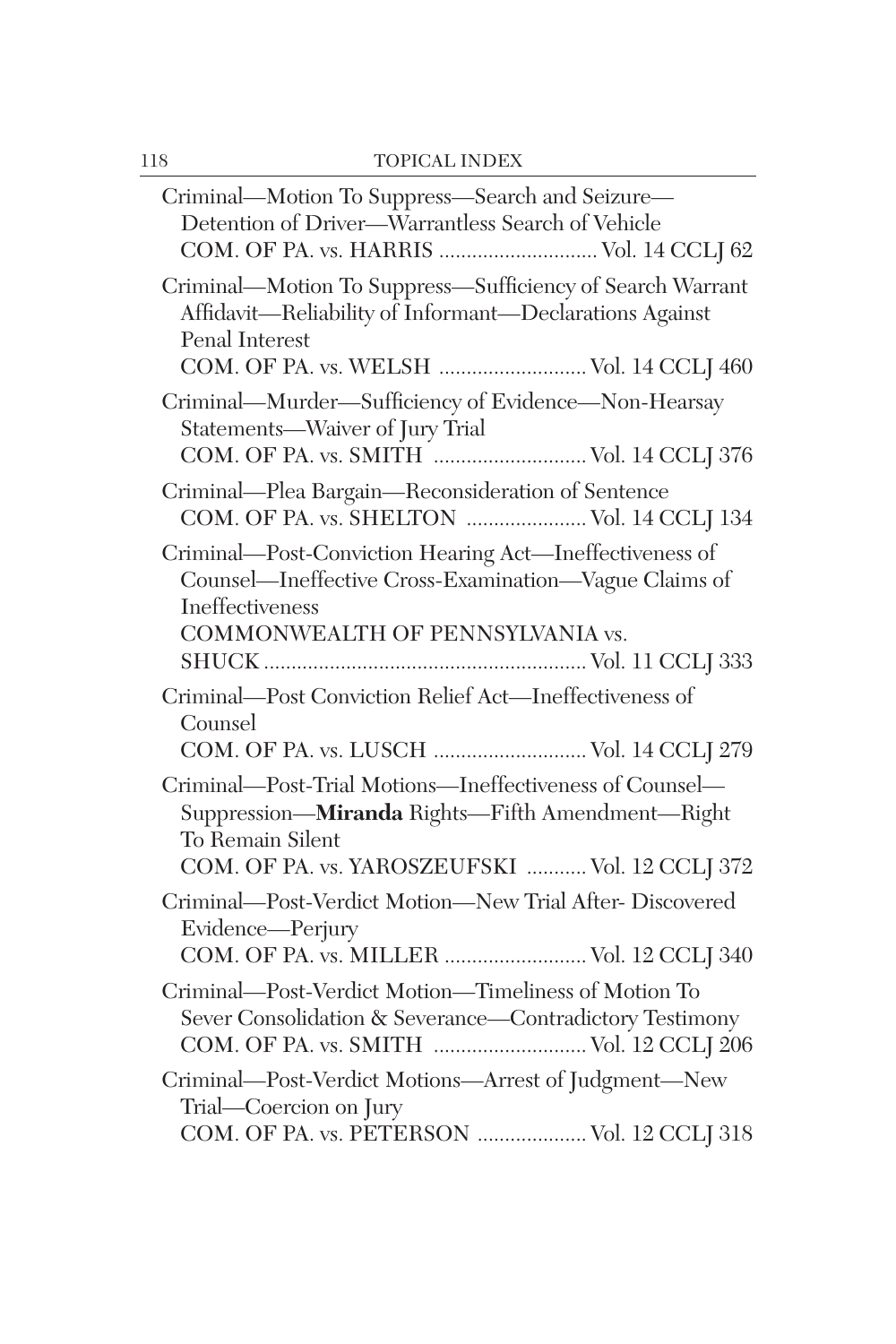| Criminal—Motion To Suppress—Search and Seizure—<br>Detention of Driver-Warrantless Search of Vehicle<br>COM. OF PA. vs. HARRIS  Vol. 14 CCLJ 62                                   |
|-----------------------------------------------------------------------------------------------------------------------------------------------------------------------------------|
| Criminal—Motion To Suppress—Sufficiency of Search Warrant<br>Affidavit-Reliability of Informant-Declarations Against<br>Penal Interest<br>COM. OF PA. vs. WELSH  Vol. 14 CCLJ 460 |
| Criminal—Murder—Sufficiency of Evidence—Non-Hearsay<br>Statements-Waiver of Jury Trial<br>COM. OF PA. vs. SMITH  Vol. 14 CCLJ 376                                                 |
| Criminal-Plea Bargain-Reconsideration of Sentence<br>COM. OF PA. vs. SHELTON  Vol. 14 CCLJ 134                                                                                    |
| Criminal—Post-Conviction Hearing Act—Ineffectiveness of<br>Counsel-Ineffective Cross-Examination-Vague Claims of<br>Ineffectiveness<br>COMMONWEALTH OF PENNSYLVANIA vs.           |
| Criminal-Post Conviction Relief Act-Ineffectiveness of<br>Counsel<br>COM. OF PA. vs. LUSCH  Vol. 14 CCLJ 279                                                                      |
| Criminal—Post-Trial Motions—Ineffectiveness of Counsel—<br>Suppression-Miranda Rights-Fifth Amendment-Right<br>To Remain Silent<br>COM. OF PA. vs. YAROSZEUFSKI  Vol. 12 CCLJ 372 |
| Criminal-Post-Verdict Motion-New Trial After-Discovered<br>Evidence—Perjury<br>COM. OF PA. vs. MILLER  Vol. 12 CCLJ 340                                                           |
| Criminal-Post-Verdict Motion-Timeliness of Motion To<br>Sever Consolidation & Severance-Contradictory Testimony<br>COM. OF PA. vs. SMITH  Vol. 12 CCLJ 206                        |
| Criminal-Post-Verdict Motions-Arrest of Judgment-New<br>Trial—Coercion on Jury<br>COM. OF PA. vs. PETERSON  Vol. 12 CCLJ 318                                                      |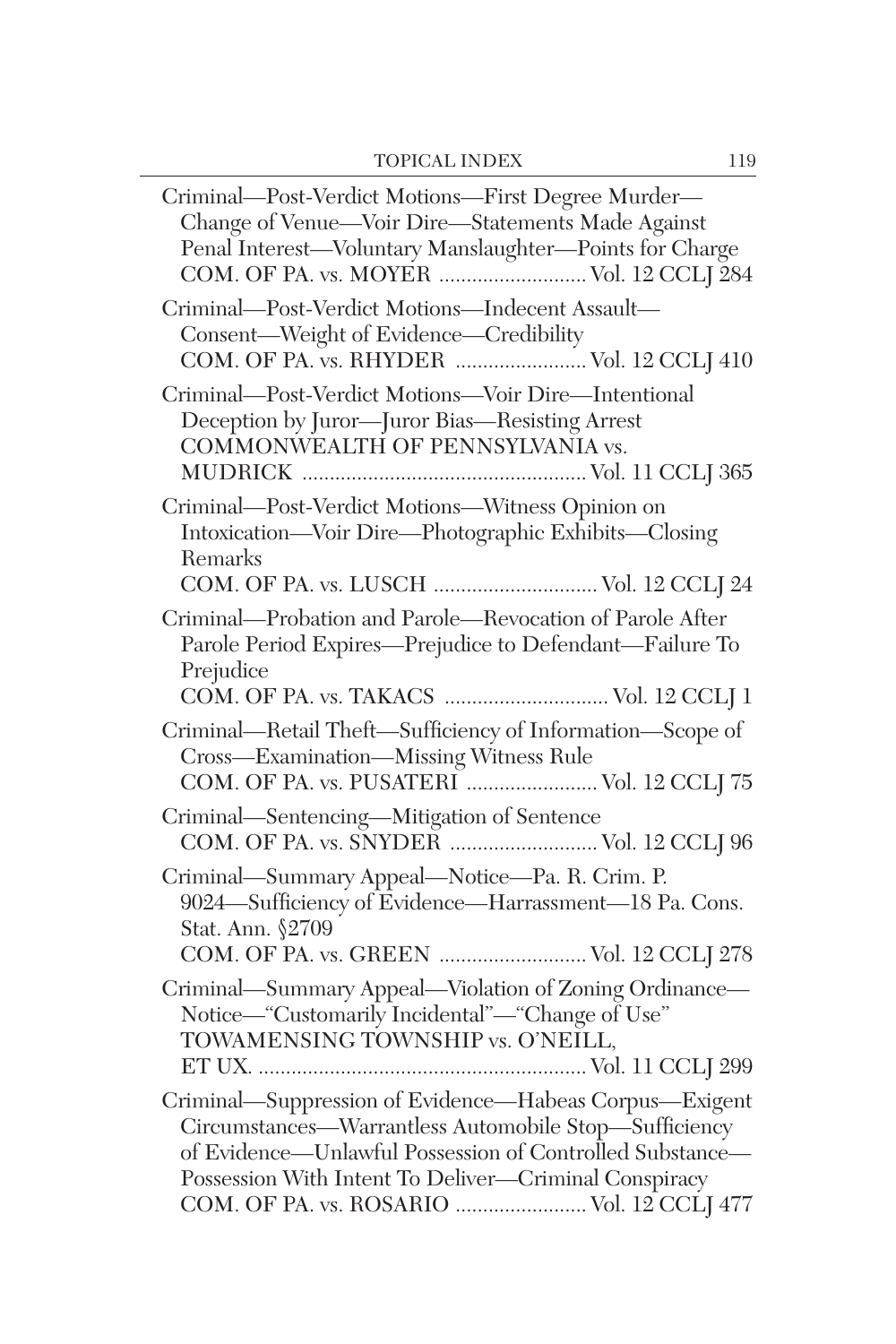| Criminal—Post-Verdict Motions—First Degree Murder—<br>Change of Venue-Voir Dire-Statements Made Against<br>Penal Interest-Voluntary Manslaughter-Points for Charge<br>COM. OF PA. vs. MOYER  Vol. 12 CCLJ 284                                                                     |
|-----------------------------------------------------------------------------------------------------------------------------------------------------------------------------------------------------------------------------------------------------------------------------------|
| Criminal-Post-Verdict Motions-Indecent Assault-<br>Consent-Weight of Evidence-Credibility<br>COM. OF PA. vs. RHYDER  Vol. 12 CCLJ 410                                                                                                                                             |
| Criminal-Post-Verdict Motions-Voir Dire-Intentional<br>Deception by Juror—Juror Bias—Resisting Arrest<br>COMMONWEALTH OF PENNSYLVANIA vs.                                                                                                                                         |
| Criminal-Post-Verdict Motions-Witness Opinion on<br>Intoxication—Voir Dire—Photographic Exhibits—Closing<br>Remarks<br>COM. OF PA. vs. LUSCH  Vol. 12 CCLJ 24                                                                                                                     |
| Criminal-Probation and Parole-Revocation of Parole After<br>Parole Period Expires-Prejudice to Defendant-Failure To<br>Prejudice<br>COM. OF PA. vs. TAKACS  Vol. 12 CCLJ 1                                                                                                        |
| Criminal—Retail Theft—Sufficiency of Information—Scope of<br>Cross—Examination—Missing Witness Rule<br>COM. OF PA. vs. PUSATERI  Vol. 12 CCLJ 75                                                                                                                                  |
| Criminal—Sentencing—Mitigation of Sentence<br>COM. OF PA. vs. SNYDER  Vol. 12 CCLJ 96                                                                                                                                                                                             |
| Criminal-Summary Appeal-Notice-Pa. R. Crim. P.<br>9024—Sufficiency of Evidence—Harrassment—18 Pa. Cons.<br>Stat. Ann. §2709                                                                                                                                                       |
| COM. OF PA. vs. GREEN  Vol. 12 CCLJ 278<br>Criminal—Summary Appeal—Violation of Zoning Ordinance—<br>Notice—"Customarily Incidental"—"Change of Use"<br>TOWAMENSING TOWNSHIP vs. O'NEILL,                                                                                         |
| Criminal-Suppression of Evidence-Habeas Corpus-Exigent<br>Circumstances-Warrantless Automobile Stop-Sufficiency<br>of Evidence—Unlawful Possession of Controlled Substance—<br>Possession With Intent To Deliver-Criminal Conspiracy<br>COM. OF PA. vs. ROSARIO  Vol. 12 CCLJ 477 |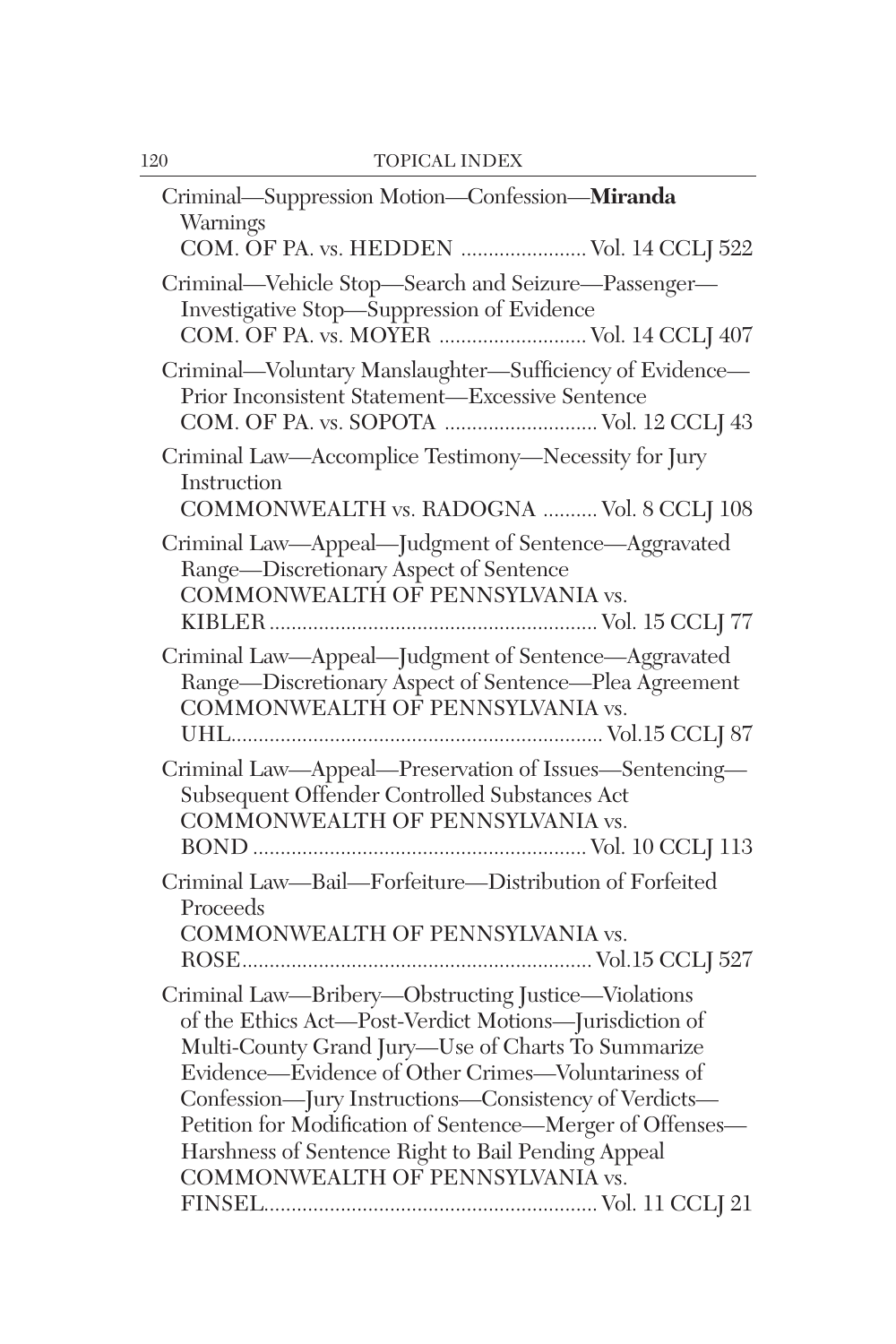| Criminal-Suppression Motion-Confession-Miranda<br>Warnings                                                                                                                                                                                                                                                                                                                                                                                |
|-------------------------------------------------------------------------------------------------------------------------------------------------------------------------------------------------------------------------------------------------------------------------------------------------------------------------------------------------------------------------------------------------------------------------------------------|
| COM. OF PA. vs. HEDDEN  Vol. 14 CCLJ 522                                                                                                                                                                                                                                                                                                                                                                                                  |
| Criminal—Vehicle Stop—Search and Seizure—Passenger—<br>Investigative Stop-Suppression of Evidence<br>COM. OF PA. vs. MOYER  Vol. 14 CCLJ 407                                                                                                                                                                                                                                                                                              |
| Criminal-Voluntary Manslaughter-Sufficiency of Evidence-<br>Prior Inconsistent Statement-Excessive Sentence<br>COM. OF PA. vs. SOPOTA  Vol. 12 CCLJ 43                                                                                                                                                                                                                                                                                    |
| Criminal Law-Accomplice Testimony-Necessity for Jury<br>Instruction<br>COMMONWEALTH vs. RADOGNA  Vol. 8 CCLJ 108                                                                                                                                                                                                                                                                                                                          |
| Criminal Law-Appeal-Judgment of Sentence-Aggravated<br>Range-Discretionary Aspect of Sentence<br>COMMONWEALTH OF PENNSYLVANIA vs.                                                                                                                                                                                                                                                                                                         |
| Criminal Law-Appeal-Judgment of Sentence-Aggravated<br>Range-Discretionary Aspect of Sentence-Plea Agreement<br>COMMONWEALTH OF PENNSYLVANIA vs.                                                                                                                                                                                                                                                                                          |
| Criminal Law-Appeal-Preservation of Issues-Sentencing-<br>Subsequent Offender Controlled Substances Act<br>COMMONWEALTH OF PENNSYLVANIA vs.                                                                                                                                                                                                                                                                                               |
| Criminal Law-Bail-Forfeiture-Distribution of Forfeited<br>Proceeds<br>COMMONWEALTH OF PENNSYLVANIA vs.                                                                                                                                                                                                                                                                                                                                    |
| Criminal Law-Bribery-Obstructing Justice-Violations<br>of the Ethics Act-Post-Verdict Motions-Jurisdiction of<br>Multi-County Grand Jury-Use of Charts To Summarize<br>Evidence—Evidence of Other Crimes—Voluntariness of<br>Confession-Jury Instructions-Consistency of Verdicts-<br>Petition for Modification of Sentence-Merger of Offenses-<br>Harshness of Sentence Right to Bail Pending Appeal<br>COMMONWEALTH OF PENNSYLVANIA vs. |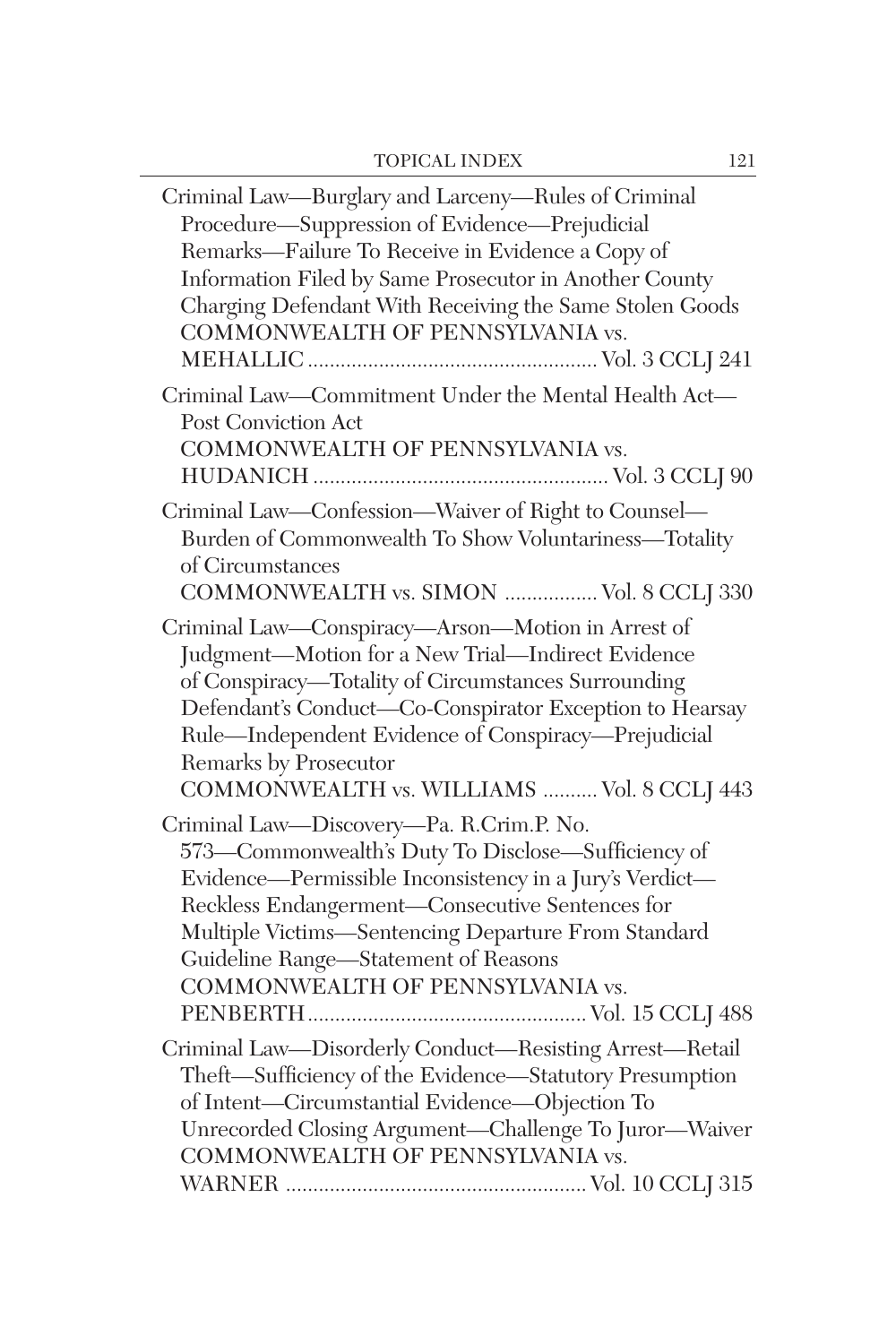| Criminal Law—Burglary and Larceny—Rules of Criminal<br>Procedure-Suppression of Evidence-Prejudicial<br>Remarks-Failure To Receive in Evidence a Copy of<br>Information Filed by Same Prosecutor in Another County<br>Charging Defendant With Receiving the Same Stolen Goods<br>COMMONWEALTH OF PENNSYLVANIA vs.                                      |
|--------------------------------------------------------------------------------------------------------------------------------------------------------------------------------------------------------------------------------------------------------------------------------------------------------------------------------------------------------|
| Criminal Law-Commitment Under the Mental Health Act-<br>Post Conviction Act<br>COMMONWEALTH OF PENNSYLVANIA vs.                                                                                                                                                                                                                                        |
| Criminal Law-Confession-Waiver of Right to Counsel-<br>Burden of Commonwealth To Show Voluntariness-Totality<br>of Circumstances<br>COMMONWEALTH vs. SIMON  Vol. 8 CCLJ 330                                                                                                                                                                            |
| Criminal Law-Conspiracy-Arson-Motion in Arrest of<br>Judgment-Motion for a New Trial-Indirect Evidence<br>of Conspiracy-Totality of Circumstances Surrounding<br>Defendant's Conduct-Co-Conspirator Exception to Hearsay<br>Rule-Independent Evidence of Conspiracy-Prejudicial<br>Remarks by Prosecutor<br>COMMONWEALTH vs. WILLIAMS  Vol. 8 CCLJ 443 |
| Criminal Law-Discovery-Pa. R.Crim.P. No.<br>573-Commonwealth's Duty To Disclose-Sufficiency of<br>Evidence—Permissible Inconsistency in a Jury's Verdict—<br>Reckless Endangerment-Consecutive Sentences for<br>Multiple Victims-Sentencing Departure From Standard<br>Guideline Range-Statement of Reasons<br>COMMONWEALTH OF PENNSYLVANIA vs.        |
| Criminal Law-Disorderly Conduct-Resisting Arrest-Retail<br>Theft-Sufficiency of the Evidence-Statutory Presumption<br>of Intent-Circumstantial Evidence-Objection To<br>Unrecorded Closing Argument-Challenge To Juror-Waiver<br>COMMONWEALTH OF PENNSYLVANIA vs.                                                                                      |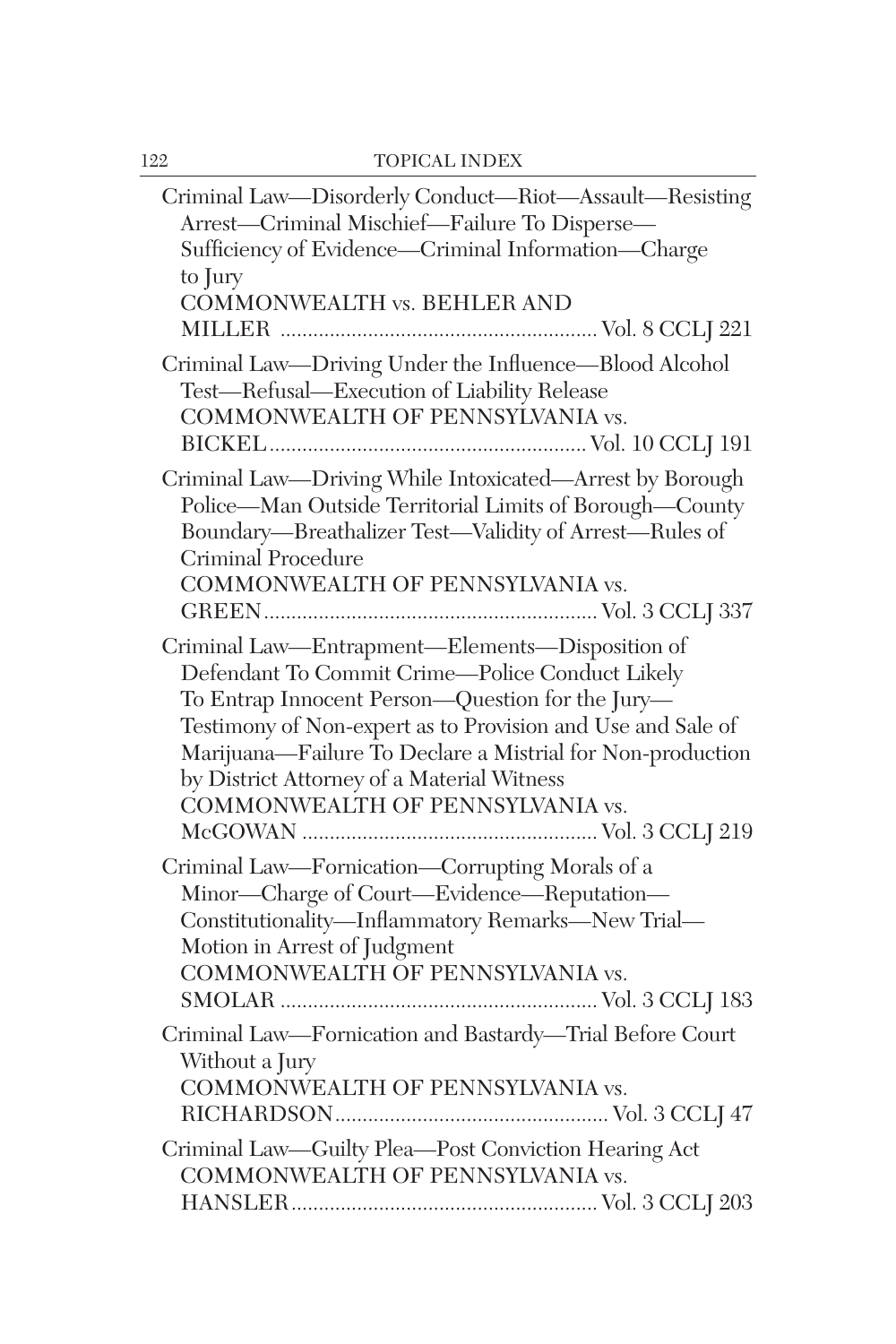| Criminal Law-Disorderly Conduct-Riot-Assault-Resisting<br>Arrest-Criminal Mischief-Failure To Disperse-<br>Sufficiency of Evidence-Criminal Information-Charge<br>to Jury<br>COMMONWEALTH vs. BEHLER AND                                                                                                                                                              |
|-----------------------------------------------------------------------------------------------------------------------------------------------------------------------------------------------------------------------------------------------------------------------------------------------------------------------------------------------------------------------|
| Criminal Law-Driving Under the Influence-Blood Alcohol<br>Test-Refusal-Execution of Liability Release<br>COMMONWEALTH OF PENNSYLVANIA vs.                                                                                                                                                                                                                             |
| Criminal Law-Driving While Intoxicated-Arrest by Borough<br>Police-Man Outside Territorial Limits of Borough-County<br>Boundary-Breathalizer Test-Validity of Arrest-Rules of<br>Criminal Procedure<br>COMMONWEALTH OF PENNSYLVANIA vs.                                                                                                                               |
| Criminal Law-Entrapment-Elements-Disposition of<br>Defendant To Commit Crime-Police Conduct Likely<br>To Entrap Innocent Person-Question for the Jury-<br>Testimony of Non-expert as to Provision and Use and Sale of<br>Marijuana-Failure To Declare a Mistrial for Non-production<br>by District Attorney of a Material Witness<br>COMMONWEALTH OF PENNSYLVANIA vs. |
| Criminal Law-Fornication-Corrupting Morals of a<br>Minor-Charge of Court-Evidence-Reputation-<br>Constitutionality-Inflammatory Remarks-New Trial-<br>Motion in Arrest of Judgment<br>COMMONWEALTH OF PENNSYLVANIA vs.                                                                                                                                                |
| Criminal Law-Fornication and Bastardy-Trial Before Court<br>Without a Jury<br>COMMONWEALTH OF PENNSYLVANIA vs.                                                                                                                                                                                                                                                        |
| Criminal Law-Guilty Plea-Post Conviction Hearing Act<br>COMMONWEALTH OF PENNSYLVANIA vs.                                                                                                                                                                                                                                                                              |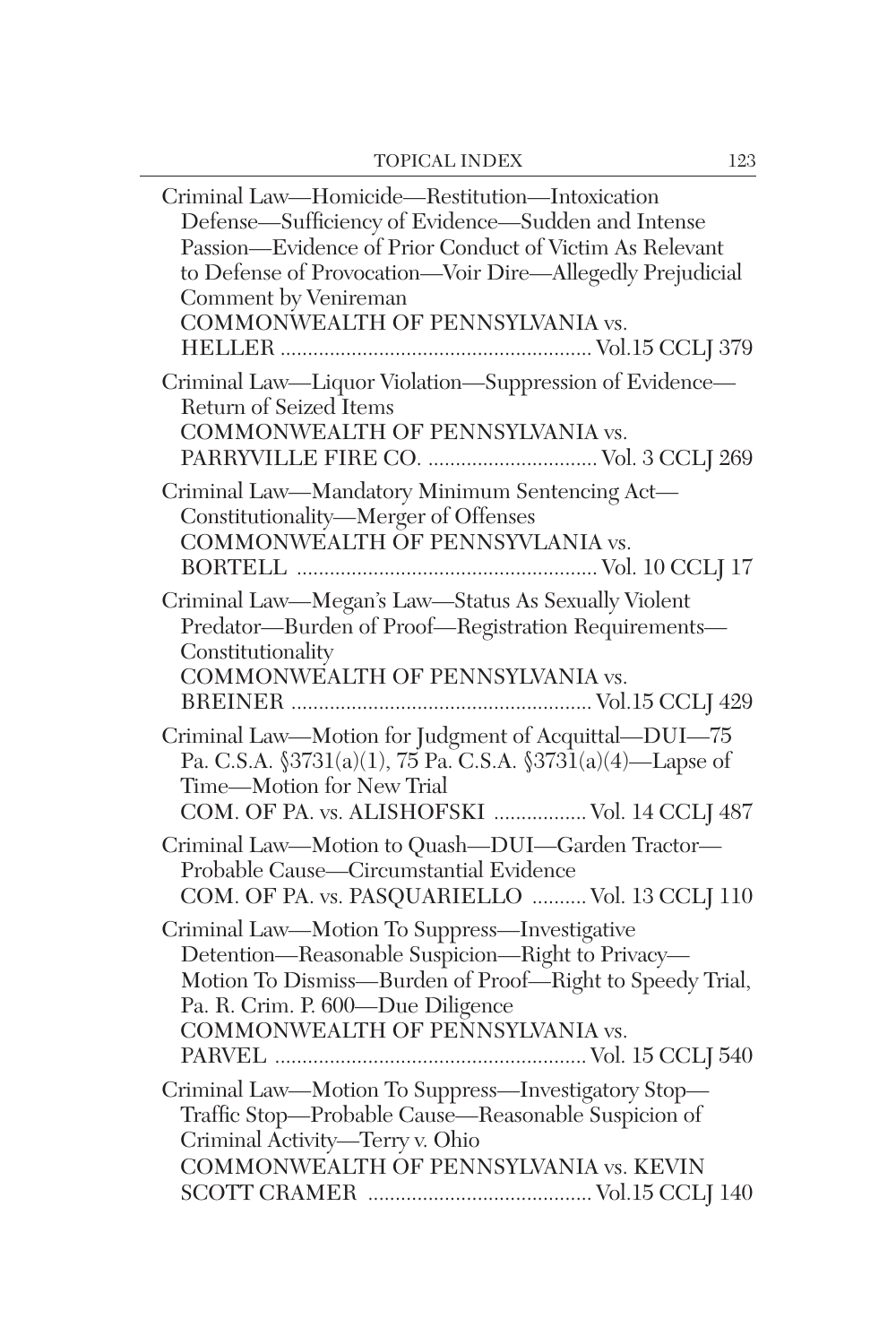| Criminal Law-Homicide-Restitution-Intoxication<br>Defense—Sufficiency of Evidence—Sudden and Intense<br>Passion-Evidence of Prior Conduct of Victim As Relevant<br>to Defense of Provocation-Voir Dire-Allegedly Prejudicial<br>Comment by Venireman<br>COMMONWEALTH OF PENNSYLVANIA vs. |
|------------------------------------------------------------------------------------------------------------------------------------------------------------------------------------------------------------------------------------------------------------------------------------------|
| Criminal Law-Liquor Violation-Suppression of Evidence-<br>Return of Seized Items<br>COMMONWEALTH OF PENNSYLVANIA vs.<br>PARRYVILLE FIRE CO.  Vol. 3 CCLJ 269                                                                                                                             |
| Criminal Law-Mandatory Minimum Sentencing Act-<br>Constitutionality-Merger of Offenses<br>COMMONWEALTH OF PENNSYVLANIA vs.                                                                                                                                                               |
| Criminal Law-Megan's Law-Status As Sexually Violent<br>Predator-Burden of Proof-Registration Requirements-<br>Constitutionality<br>COMMONWEALTH OF PENNSYLVANIA vs.                                                                                                                      |
| Criminal Law-Motion for Judgment of Acquittal-DUI-75<br>Pa. C.S.A. $\frac{3731(a)(1)}{75}$ Pa. C.S.A. $\frac{3731(a)(4)}{4}$ Lapse of<br>Time-Motion for New Trial<br>COM. OF PA. vs. ALISHOFSKI  Vol. 14 CCLJ 487                                                                       |
| Criminal Law-Motion to Quash-DUI-Garden Tractor-<br>Probable Cause—Circumstantial Evidence<br>COM. OF PA. vs. PASQUARIELLO  Vol. 13 CCLJ 110                                                                                                                                             |
| Criminal Law-Motion To Suppress-Investigative<br>Detention-Reasonable Suspicion-Right to Privacy-<br>Motion To Dismiss-Burden of Proof-Right to Speedy Trial,<br>Pa. R. Crim. P. 600-Due Diligence<br>COMMONWEALTH OF PENNSYLVANIA vs.                                                   |
| Criminal Law-Motion To Suppress-Investigatory Stop-<br>Traffic Stop-Probable Cause-Reasonable Suspicion of<br>Criminal Activity-Terry v. Ohio<br>COMMONWEALTH OF PENNSYLVANIA vs. KEVIN                                                                                                  |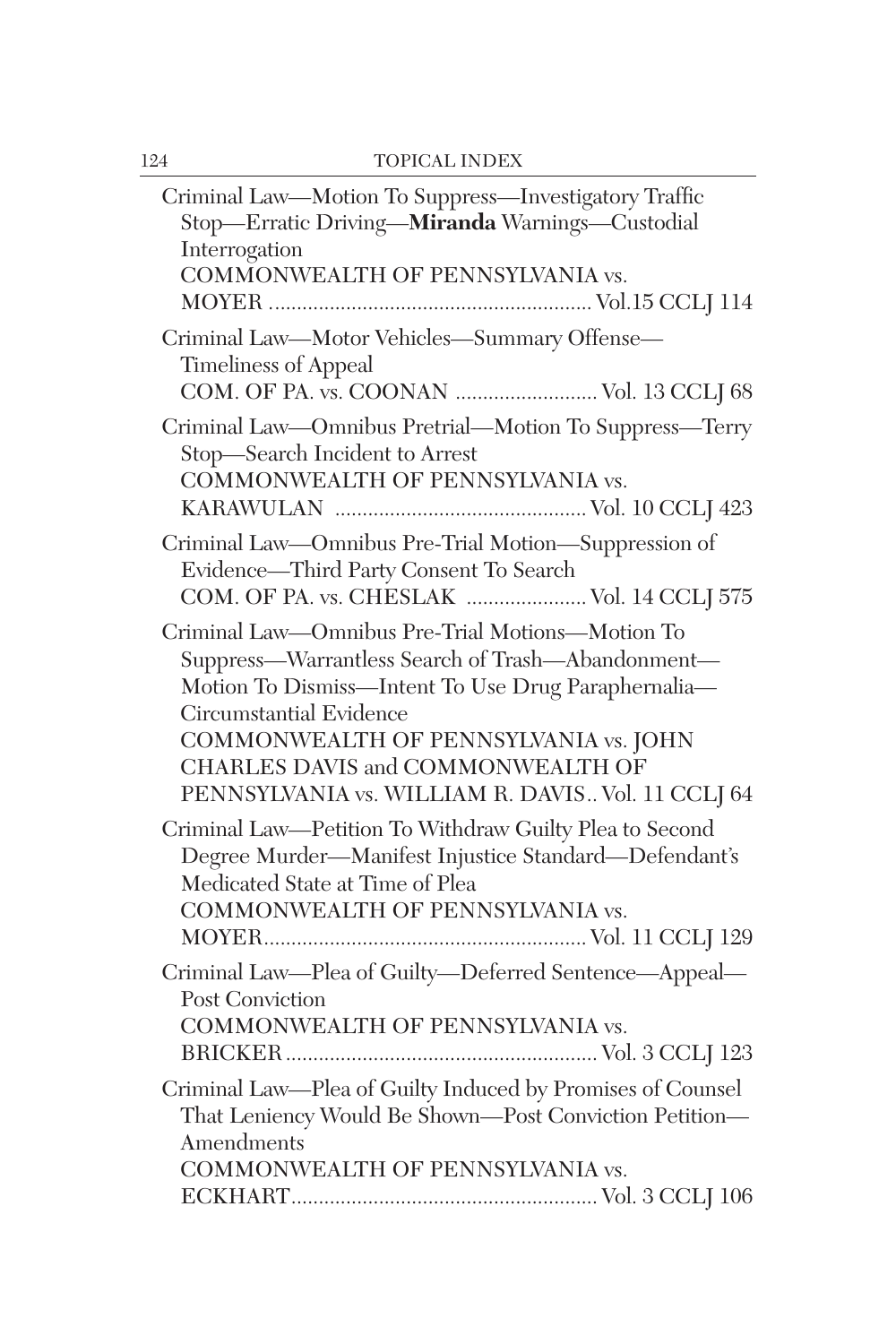| Criminal Law-Motion To Suppress-Investigatory Traffic<br>Stop-Erratic Driving-Miranda Warnings-Custodial<br>Interrogation<br>COMMONWEALTH OF PENNSYLVANIA vs.                                                                                                                                                              |
|----------------------------------------------------------------------------------------------------------------------------------------------------------------------------------------------------------------------------------------------------------------------------------------------------------------------------|
| Criminal Law-Motor Vehicles-Summary Offense-<br><b>Timeliness of Appeal</b><br>COM. OF PA. vs. COONAN  Vol. 13 CCLJ 68                                                                                                                                                                                                     |
| Criminal Law-Omnibus Pretrial-Motion To Suppress-Terry<br>Stop-Search Incident to Arrest<br>COMMONWEALTH OF PENNSYLVANIA vs.                                                                                                                                                                                               |
| Criminal Law-Omnibus Pre-Trial Motion-Suppression of<br>Evidence-Third Party Consent To Search<br>COM. OF PA. vs. CHESLAK  Vol. 14 CCLJ 575                                                                                                                                                                                |
| Criminal Law-Omnibus Pre-Trial Motions-Motion To<br>Suppress-Warrantless Search of Trash-Abandonment-<br>Motion To Dismiss-Intent To Use Drug Paraphernalia-<br>Circumstantial Evidence<br>COMMONWEALTH OF PENNSYLVANIA vs. JOHN<br>CHARLES DAVIS and COMMONWEALTH OF<br>PENNSYLVANIA vs. WILLIAM R. DAVIS Vol. 11 CCLJ 64 |
| Criminal Law-Petition To Withdraw Guilty Plea to Second<br>Degree Murder-Manifest Injustice Standard-Defendant's<br>Medicated State at Time of Plea<br>COMMONWEALTH OF PENNSYLVANIA vs.                                                                                                                                    |
| Criminal Law-Plea of Guilty-Deferred Sentence-Appeal-<br><b>Post Conviction</b><br>COMMONWEALTH OF PENNSYLVANIA vs.                                                                                                                                                                                                        |
| Criminal Law-Plea of Guilty Induced by Promises of Counsel<br>That Leniency Would Be Shown-Post Conviction Petition-<br>Amendments<br>COMMONWEALTH OF PENNSYLVANIA vs.                                                                                                                                                     |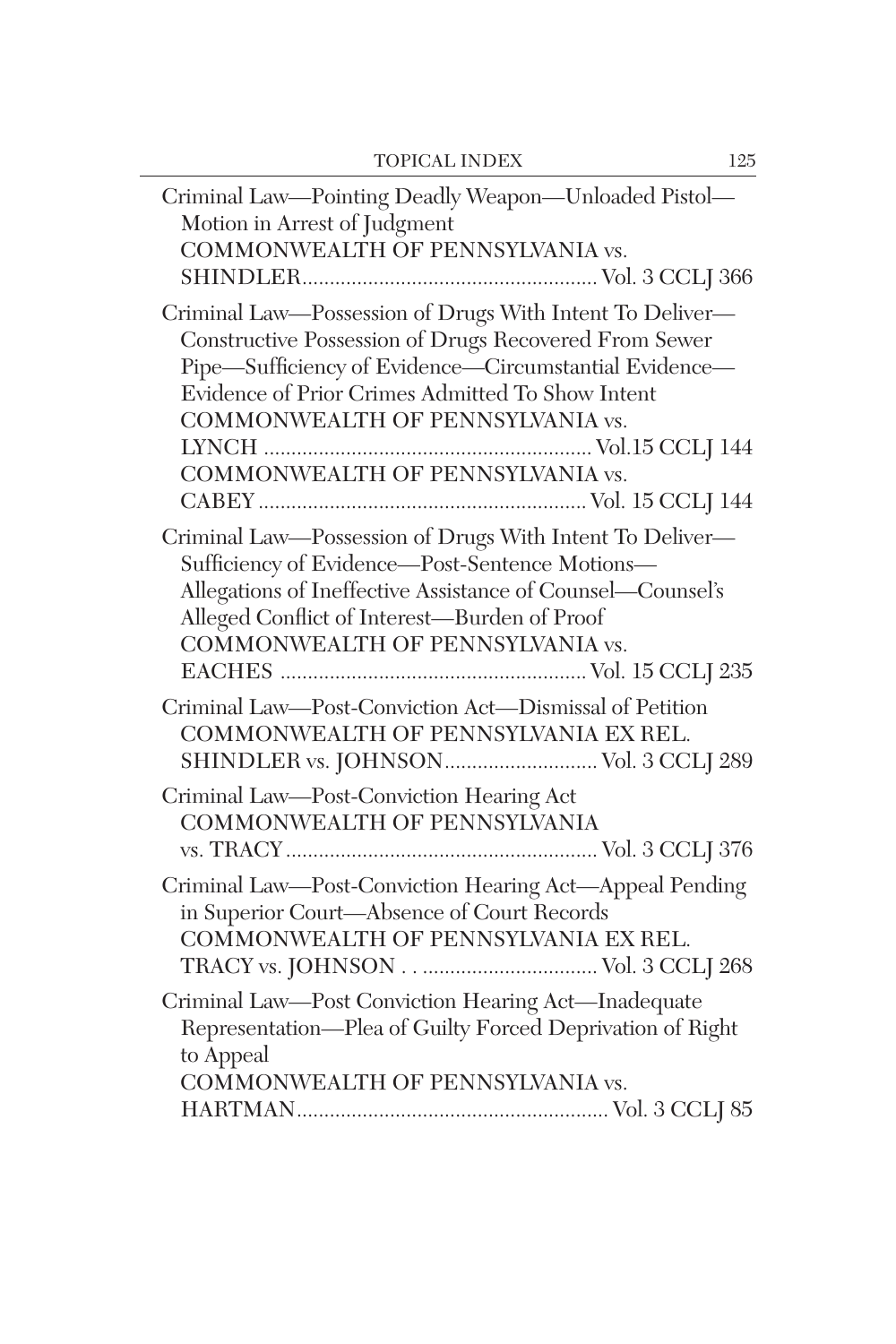| Criminal Law-Pointing Deadly Weapon-Unloaded Pistol-<br>Motion in Arrest of Judgment<br>COMMONWEALTH OF PENNSYLVANIA vs.                                                                                                                                                                               |
|--------------------------------------------------------------------------------------------------------------------------------------------------------------------------------------------------------------------------------------------------------------------------------------------------------|
| Criminal Law-Possession of Drugs With Intent To Deliver-<br>Constructive Possession of Drugs Recovered From Sewer<br>Pipe-Sufficiency of Evidence-Circumstantial Evidence-<br>Evidence of Prior Crimes Admitted To Show Intent<br>COMMONWEALTH OF PENNSYLVANIA vs.<br>COMMONWEALTH OF PENNSYLVANIA vs. |
| Criminal Law-Possession of Drugs With Intent To Deliver-<br>Sufficiency of Evidence-Post-Sentence Motions-<br>Allegations of Ineffective Assistance of Counsel-Counsel's<br>Alleged Conflict of Interest-Burden of Proof<br>COMMONWEALTH OF PENNSYLVANIA vs.                                           |
| Criminal Law-Post-Conviction Act-Dismissal of Petition<br>COMMONWEALTH OF PENNSYLVANIA EX REL.<br>SHINDLER vs. JOHNSON Vol. 3 CCLJ 289                                                                                                                                                                 |
| Criminal Law-Post-Conviction Hearing Act<br>COMMONWEALTH OF PENNSYLVANIA                                                                                                                                                                                                                               |
| Criminal Law-Post-Conviction Hearing Act-Appeal Pending<br>in Superior Court-Absence of Court Records<br>COMMONWEALTH OF PENNSYLVANIA EX REL.                                                                                                                                                          |
| Criminal Law-Post Conviction Hearing Act-Inadequate<br>Representation-Plea of Guilty Forced Deprivation of Right<br>to Appeal<br>COMMONWEALTH OF PENNSYLVANIA vs.                                                                                                                                      |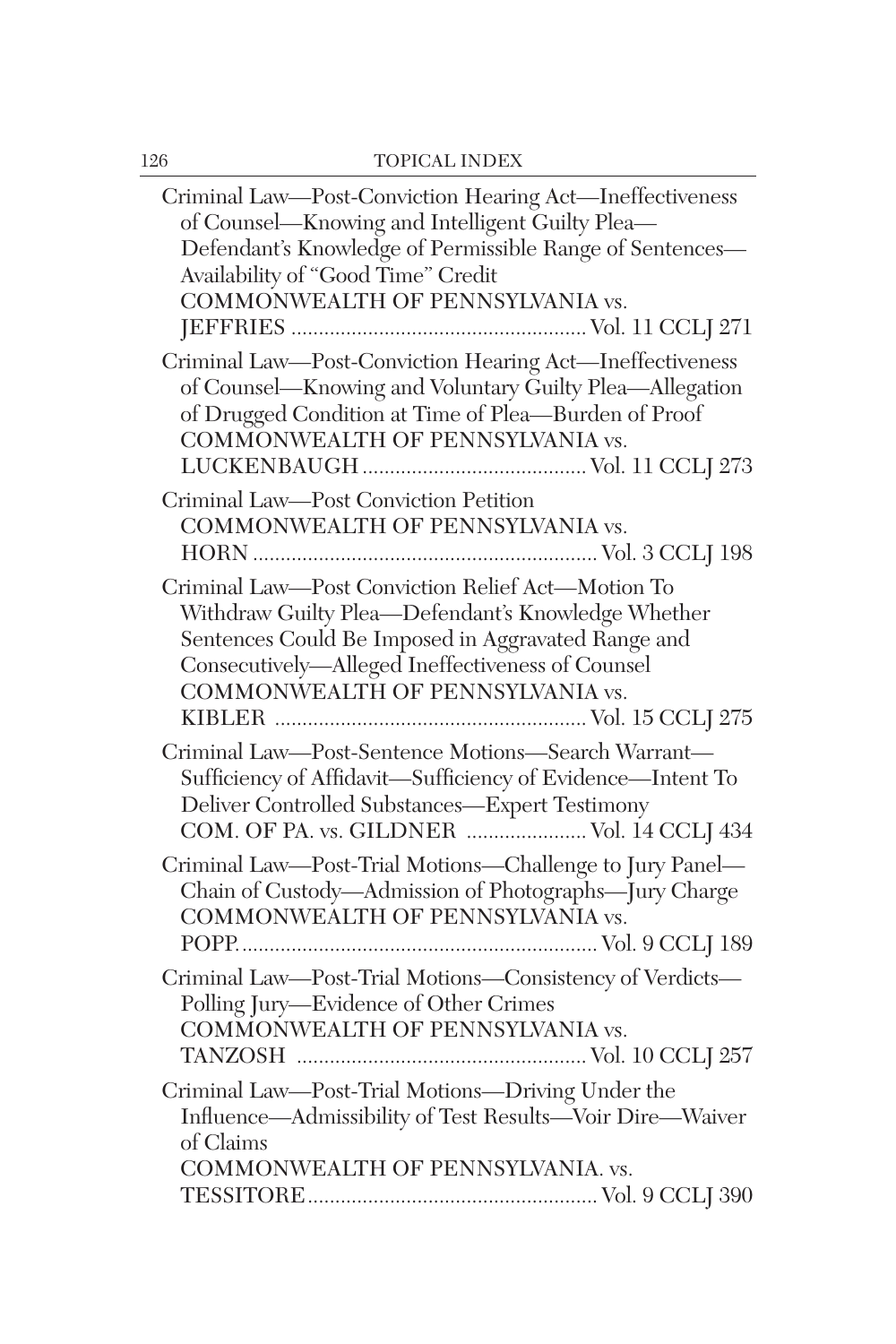| Criminal Law-Post-Conviction Hearing Act-Ineffectiveness<br>of Counsel-Knowing and Intelligent Guilty Plea-<br>Defendant's Knowledge of Permissible Range of Sentences-<br>Availability of "Good Time" Credit<br>COMMONWEALTH OF PENNSYLVANIA vs.     |
|-------------------------------------------------------------------------------------------------------------------------------------------------------------------------------------------------------------------------------------------------------|
| Criminal Law-Post-Conviction Hearing Act-Ineffectiveness<br>of Counsel-Knowing and Voluntary Guilty Plea-Allegation<br>of Drugged Condition at Time of Plea-Burden of Proof<br>COMMONWEALTH OF PENNSYLVANIA vs.                                       |
| Criminal Law-Post Conviction Petition<br>COMMONWEALTH OF PENNSYLVANIA vs.                                                                                                                                                                             |
| Criminal Law-Post Conviction Relief Act-Motion To<br>Withdraw Guilty Plea-Defendant's Knowledge Whether<br>Sentences Could Be Imposed in Aggravated Range and<br>Consecutively-Alleged Ineffectiveness of Counsel<br>COMMONWEALTH OF PENNSYLVANIA vs. |
| Criminal Law-Post-Sentence Motions-Search Warrant-<br>Sufficiency of Affidavit-Sufficiency of Evidence-Intent To<br>Deliver Controlled Substances-Expert Testimony<br>COM. OF PA. vs. GILDNER  Vol. 14 CCLJ 434                                       |
| Criminal Law-Post-Trial Motions-Challenge to Jury Panel-<br>Chain of Custody—Admission of Photographs—Jury Charge<br>COMMONWEALTH OF PENNSYLVANIA vs.                                                                                                 |
| Criminal Law-Post-Trial Motions-Consistency of Verdicts-<br>Polling Jury-Evidence of Other Crimes<br>COMMONWEALTH OF PENNSYLVANIA vs.                                                                                                                 |
| Criminal Law-Post-Trial Motions-Driving Under the<br>Influence-Admissibility of Test Results-Voir Dire-Waiver<br>of Claims<br>COMMONWEALTH OF PENNSYLVANIA. vs.                                                                                       |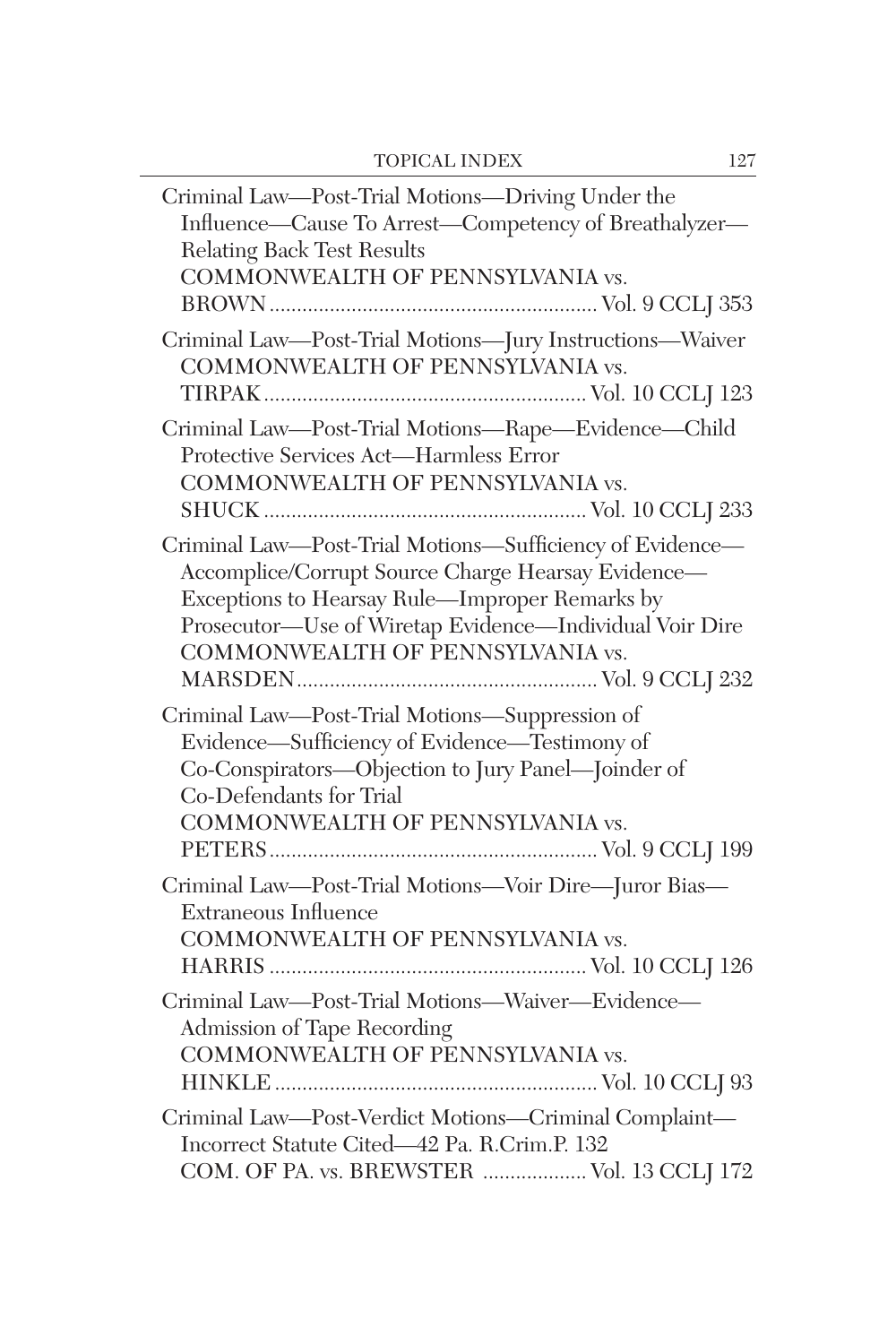| Criminal Law—Post-Trial Motions—Driving Under the<br>Influence—Cause To Arrest—Competency of Breathalyzer—<br>Relating Back Test Results<br>COMMONWEALTH OF PENNSYLVANIA vs.                                                                                    |
|-----------------------------------------------------------------------------------------------------------------------------------------------------------------------------------------------------------------------------------------------------------------|
| Criminal Law-Post-Trial Motions-Jury Instructions-Waiver<br>COMMONWEALTH OF PENNSYLVANIA vs.                                                                                                                                                                    |
| Criminal Law-Post-Trial Motions-Rape-Evidence-Child<br>Protective Services Act-Harmless Error<br>COMMONWEALTH OF PENNSYLVANIA vs.                                                                                                                               |
| Criminal Law-Post-Trial Motions-Sufficiency of Evidence-<br>Accomplice/Corrupt Source Charge Hearsay Evidence-<br>Exceptions to Hearsay Rule-Improper Remarks by<br>Prosecutor—Use of Wiretap Evidence—Individual Voir Dire<br>COMMONWEALTH OF PENNSYLVANIA vs. |
| Criminal Law-Post-Trial Motions-Suppression of<br>Evidence—Sufficiency of Evidence—Testimony of<br>Co-Conspirators—Objection to Jury Panel—Joinder of<br>Co-Defendants for Trial<br>COMMONWEALTH OF PENNSYLVANIA vs.                                            |
| Criminal Law-Post-Trial Motions-Voir Dire-Juror Bias-<br>Extraneous Influence<br>COMMONWEALTH OF PENNSYLVANIA vs.                                                                                                                                               |
| Criminal Law-Post-Trial Motions-Waiver-Evidence-<br>Admission of Tape Recording<br>COMMONWEALTH OF PENNSYLVANIA vs.                                                                                                                                             |
| Criminal Law-Post-Verdict Motions-Criminal Complaint-<br>Incorrect Statute Cited-42 Pa. R.Crim.P. 132<br>COM. OF PA. vs. BREWSTER  Vol. 13 CCLJ 172                                                                                                             |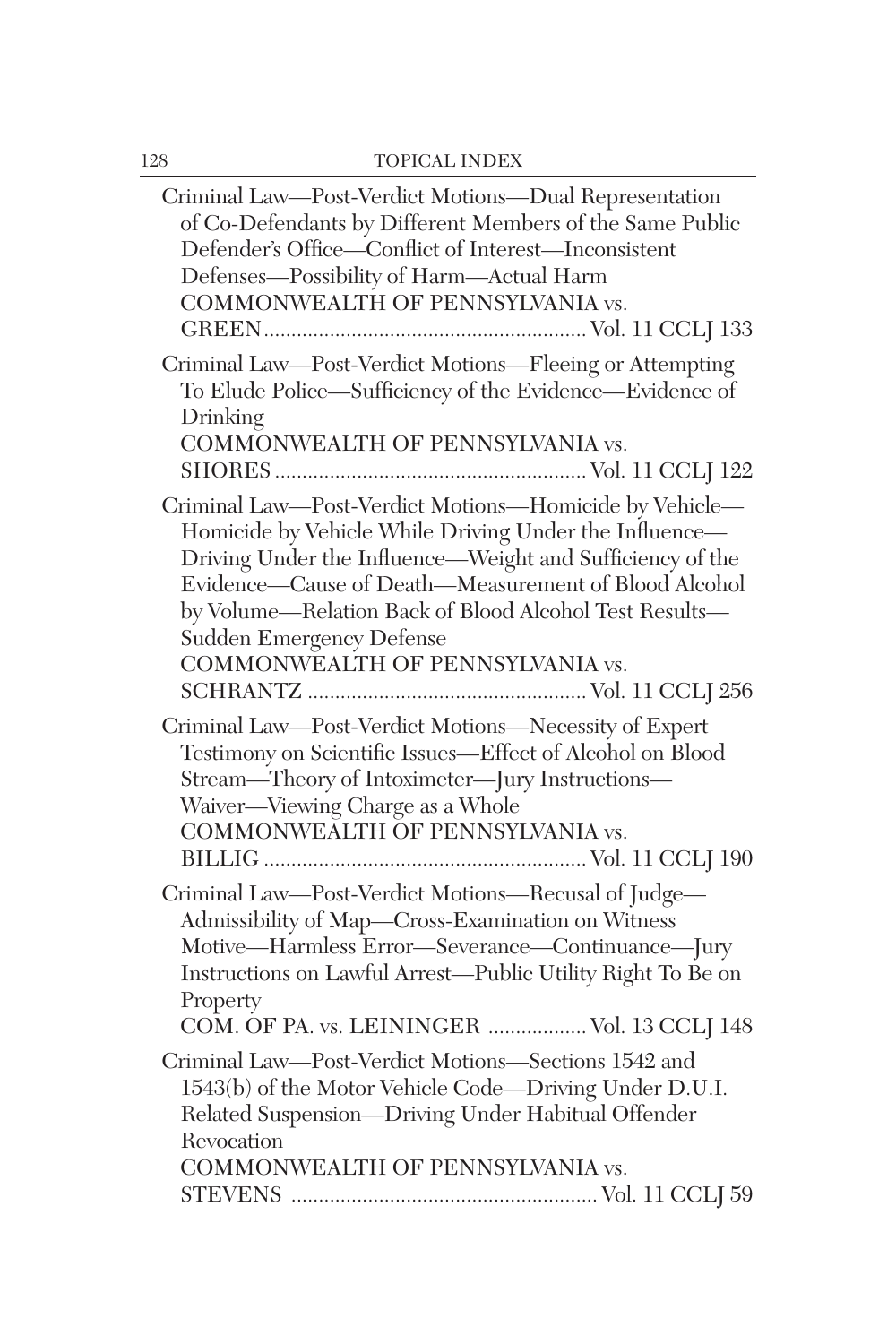| Criminal Law-Post-Verdict Motions-Dual Representation<br>of Co-Defendants by Different Members of the Same Public<br>Defender's Office-Conflict of Interest-Inconsistent<br>Defenses-Possibility of Harm-Actual Harm<br>COMMONWEALTH OF PENNSYLVANIA vs.                                                                                                        |
|-----------------------------------------------------------------------------------------------------------------------------------------------------------------------------------------------------------------------------------------------------------------------------------------------------------------------------------------------------------------|
| Criminal Law-Post-Verdict Motions-Fleeing or Attempting<br>To Elude Police—Sufficiency of the Evidence—Evidence of<br>Drinking<br>COMMONWEALTH OF PENNSYLVANIA vs.                                                                                                                                                                                              |
| Criminal Law-Post-Verdict Motions-Homicide by Vehicle-<br>Homicide by Vehicle While Driving Under the Influence-<br>Driving Under the Influence—Weight and Sufficiency of the<br>Evidence-Cause of Death-Measurement of Blood Alcohol<br>by Volume-Relation Back of Blood Alcohol Test Results-<br>Sudden Emergency Defense<br>COMMONWEALTH OF PENNSYLVANIA vs. |
| Criminal Law-Post-Verdict Motions-Necessity of Expert<br>Testimony on Scientific Issues-Effect of Alcohol on Blood<br>Stream-Theory of Intoximeter-Jury Instructions-<br>Waiver-Viewing Charge as a Whole<br>COMMONWEALTH OF PENNSYLVANIA vs.                                                                                                                   |
| Criminal Law-Post-Verdict Motions-Recusal of Judge-<br>Admissibility of Map-Cross-Examination on Witness<br>Motive-Harmless Error-Severance-Continuance-Jury<br>Instructions on Lawful Arrest-Public Utility Right To Be on<br>Property<br>COM. OF PA. vs. LEININGER  Vol. 13 CCLJ 148                                                                          |
| Criminal Law-Post-Verdict Motions-Sections 1542 and<br>1543(b) of the Motor Vehicle Code-Driving Under D.U.I.<br>Related Suspension-Driving Under Habitual Offender<br>Revocation<br>COMMONWEALTH OF PENNSYLVANIA vs.                                                                                                                                           |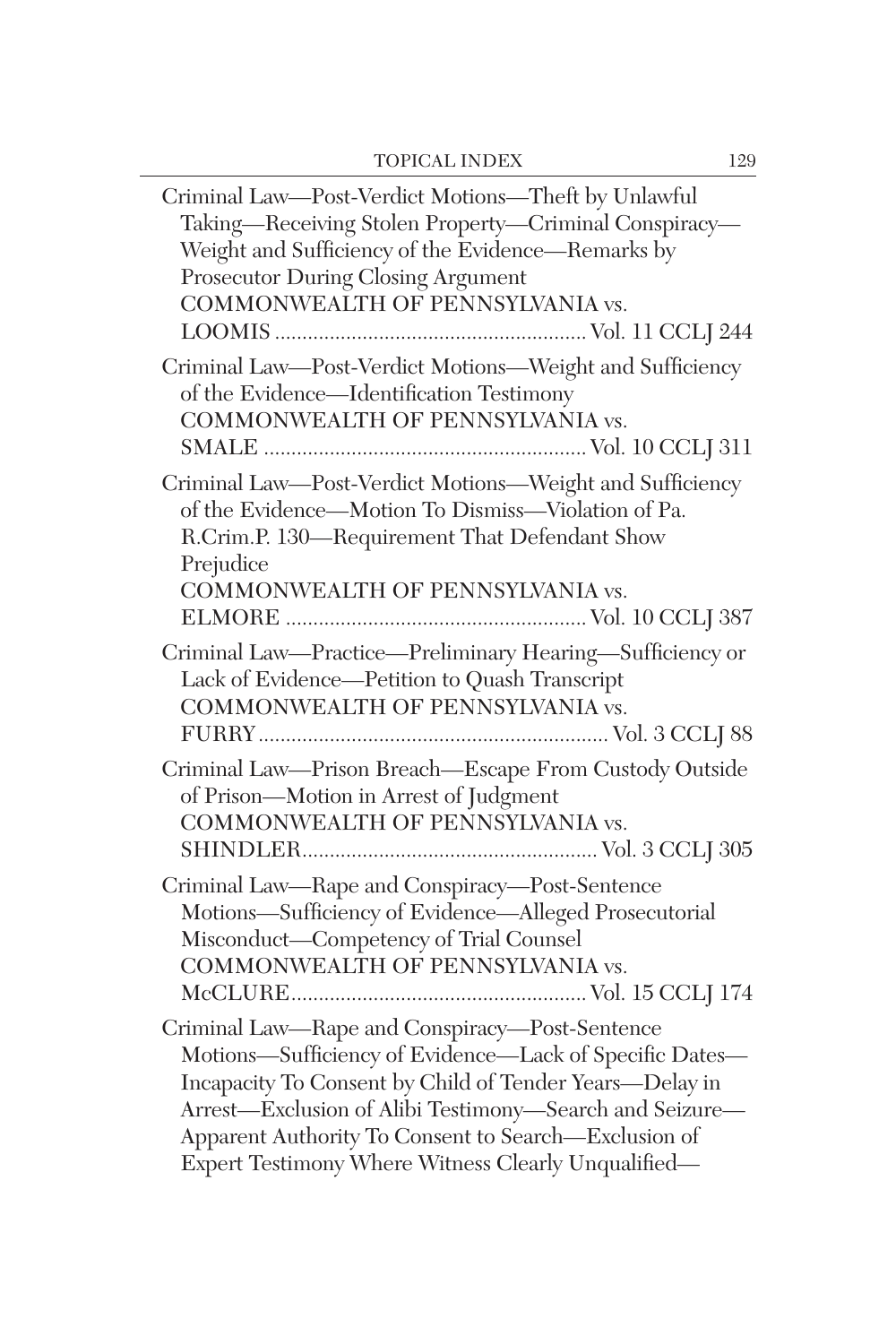| Criminal Law-Post-Verdict Motions-Theft by Unlawful<br>Taking-Receiving Stolen Property-Criminal Conspiracy-<br>Weight and Sufficiency of the Evidence-Remarks by<br>Prosecutor During Closing Argument<br>COMMONWEALTH OF PENNSYLVANIA vs.                                                                                                    |
|------------------------------------------------------------------------------------------------------------------------------------------------------------------------------------------------------------------------------------------------------------------------------------------------------------------------------------------------|
| Criminal Law-Post-Verdict Motions-Weight and Sufficiency<br>of the Evidence-Identification Testimony<br>COMMONWEALTH OF PENNSYLVANIA vs.                                                                                                                                                                                                       |
| Criminal Law-Post-Verdict Motions-Weight and Sufficiency<br>of the Evidence—Motion To Dismiss—Violation of Pa.<br>R.Crim.P. 130-Requirement That Defendant Show<br>Prejudice<br>COMMONWEALTH OF PENNSYLVANIA vs.                                                                                                                               |
|                                                                                                                                                                                                                                                                                                                                                |
| Criminal Law-Practice-Preliminary Hearing-Sufficiency or<br>Lack of Evidence-Petition to Quash Transcript<br>COMMONWEALTH OF PENNSYLVANIA vs.                                                                                                                                                                                                  |
| Criminal Law-Prison Breach-Escape From Custody Outside<br>of Prison-Motion in Arrest of Judgment<br>COMMONWEALTH OF PENNSYLVANIA vs.                                                                                                                                                                                                           |
| Criminal Law-Rape and Conspiracy-Post-Sentence<br>Motions-Sufficiency of Evidence-Alleged Prosecutorial<br>Misconduct-Competency of Trial Counsel<br>COMMONWEALTH OF PENNSYLVANIA vs.                                                                                                                                                          |
| Criminal Law-Rape and Conspiracy-Post-Sentence<br>Motions-Sufficiency of Evidence-Lack of Specific Dates-<br>Incapacity To Consent by Child of Tender Years-Delay in<br>Arrest-Exclusion of Alibi Testimony-Search and Seizure-<br>Apparent Authority To Consent to Search-Exclusion of<br>Expert Testimony Where Witness Clearly Unqualified- |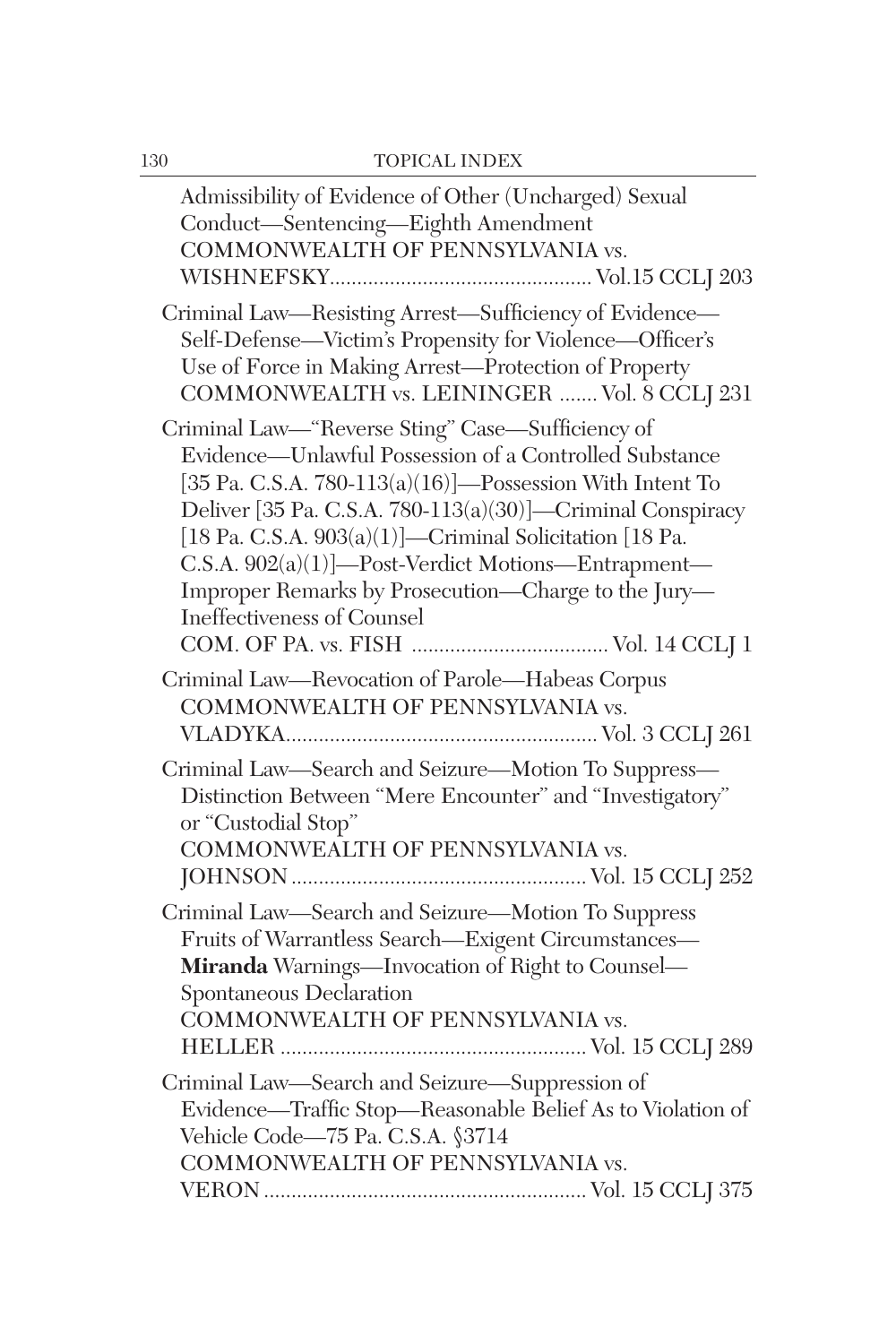| Admissibility of Evidence of Other (Uncharged) Sexual<br>Conduct-Sentencing-Eighth Amendment<br>COMMONWEALTH OF PENNSYLVANIA vs.                                                                                                                                                                                                                                                                                                              |
|-----------------------------------------------------------------------------------------------------------------------------------------------------------------------------------------------------------------------------------------------------------------------------------------------------------------------------------------------------------------------------------------------------------------------------------------------|
| Criminal Law-Resisting Arrest-Sufficiency of Evidence-<br>Self-Defense-Victim's Propensity for Violence-Officer's<br>Use of Force in Making Arrest-Protection of Property<br>COMMONWEALTH vs. LEININGER  Vol. 8 CCLJ 231                                                                                                                                                                                                                      |
| Criminal Law-"Reverse Sting" Case-Sufficiency of<br>Evidence—Unlawful Possession of a Controlled Substance<br>[35 Pa. C.S.A. 780-113(a)(16)]—Possession With Intent To<br>Deliver [35 Pa. C.S.A. 780-113(a)(30)]-Criminal Conspiracy<br>[18 Pa. C.S.A. $903(a)(1)$ ]—Criminal Solicitation [18 Pa.<br>C.S.A. 902(a)(1)]-Post-Verdict Motions-Entrapment-<br>Improper Remarks by Prosecution-Charge to the Jury-<br>Ineffectiveness of Counsel |
| Criminal Law-Revocation of Parole-Habeas Corpus<br>COMMONWEALTH OF PENNSYLVANIA vs.                                                                                                                                                                                                                                                                                                                                                           |
| Criminal Law-Search and Seizure-Motion To Suppress-<br>Distinction Between "Mere Encounter" and "Investigatory"<br>or "Custodial Stop"<br>COMMONWEALTH OF PENNSYLVANIA vs.                                                                                                                                                                                                                                                                    |
| Criminal Law-Search and Seizure-Motion To Suppress<br>Fruits of Warrantless Search-Exigent Circumstances-<br>Miranda Warnings-Invocation of Right to Counsel-<br>Spontaneous Declaration<br>COMMONWEALTH OF PENNSYLVANIA vs.                                                                                                                                                                                                                  |
| Criminal Law-Search and Seizure-Suppression of<br>Evidence—Traffic Stop—Reasonable Belief As to Violation of<br>Vehicle Code-75 Pa. C.S.A. §3714<br>COMMONWEALTH OF PENNSYLVANIA vs.                                                                                                                                                                                                                                                          |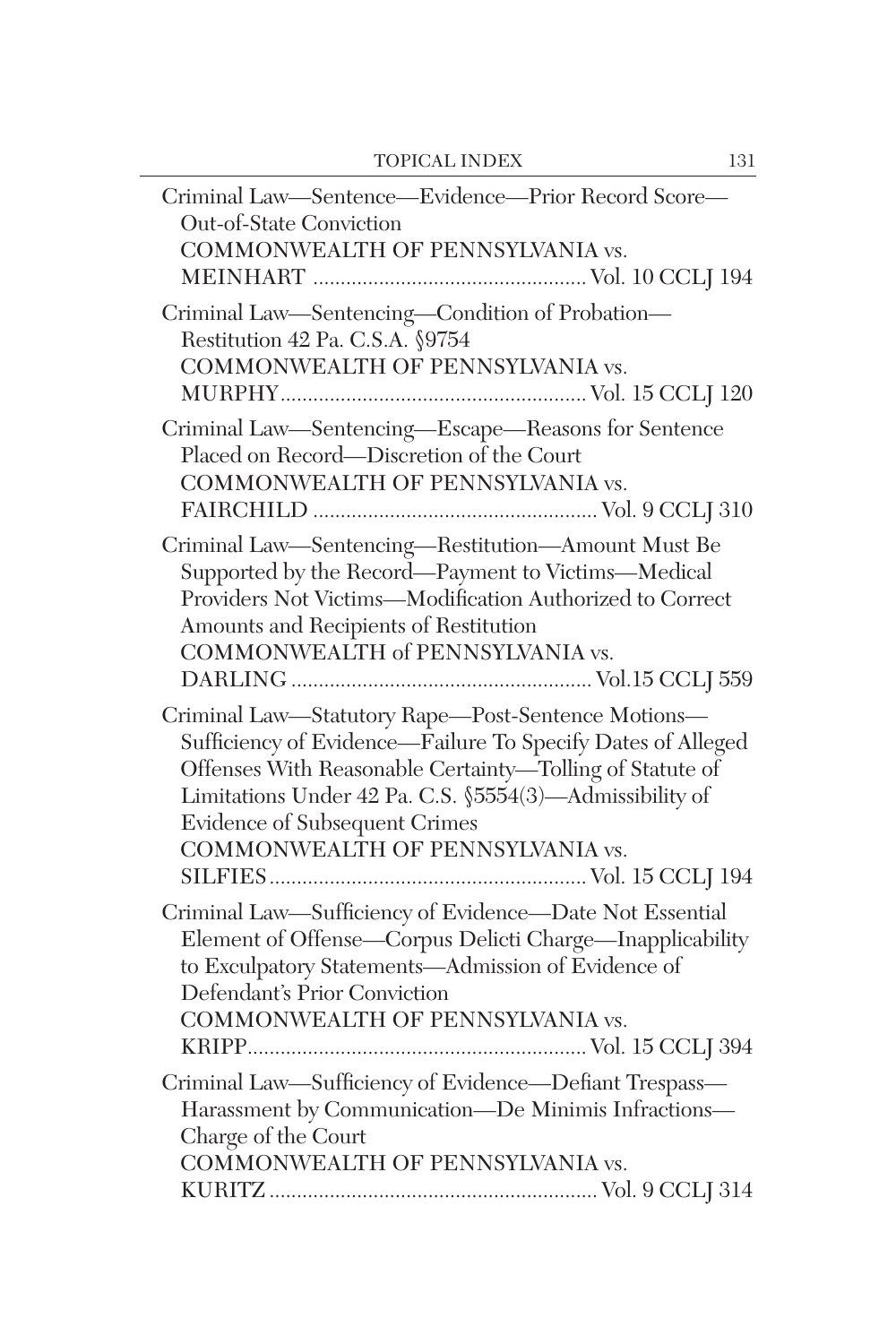| Criminal Law-Sentence-Evidence-Prior Record Score-                                                                                                                                                                                                                                                            |
|---------------------------------------------------------------------------------------------------------------------------------------------------------------------------------------------------------------------------------------------------------------------------------------------------------------|
| <b>Out-of-State Conviction</b><br>COMMONWEALTH OF PENNSYLVANIA vs.                                                                                                                                                                                                                                            |
| Criminal Law-Sentencing-Condition of Probation-<br>Restitution 42 Pa. C.S.A. §9754<br>COMMONWEALTH OF PENNSYLVANIA vs.                                                                                                                                                                                        |
| Criminal Law-Sentencing-Escape-Reasons for Sentence<br>Placed on Record—Discretion of the Court<br>COMMONWEALTH OF PENNSYLVANIA vs.                                                                                                                                                                           |
| Criminal Law-Sentencing-Restitution-Amount Must Be<br>Supported by the Record—Payment to Victims—Medical<br>Providers Not Victims-Modification Authorized to Correct<br>Amounts and Recipients of Restitution<br>COMMONWEALTH of PENNSYLVANIA vs.                                                             |
| Criminal Law-Statutory Rape-Post-Sentence Motions-<br>Sufficiency of Evidence-Failure To Specify Dates of Alleged<br>Offenses With Reasonable Certainty-Tolling of Statute of<br>Limitations Under 42 Pa. C.S. §5554(3)-Admissibility of<br>Evidence of Subsequent Crimes<br>COMMONWEALTH OF PENNSYLVANIA vs. |
| Criminal Law-Sufficiency of Evidence-Date Not Essential<br>Element of Offense—Corpus Delicti Charge—Inapplicability<br>to Exculpatory Statements-Admission of Evidence of<br>Defendant's Prior Conviction<br>COMMONWEALTH OF PENNSYLVANIA vs.                                                                 |
| Criminal Law-Sufficiency of Evidence-Defiant Trespass-<br>Harassment by Communication-De Minimis Infractions-<br>Charge of the Court<br>COMMONWEALTH OF PENNSYLVANIA vs.                                                                                                                                      |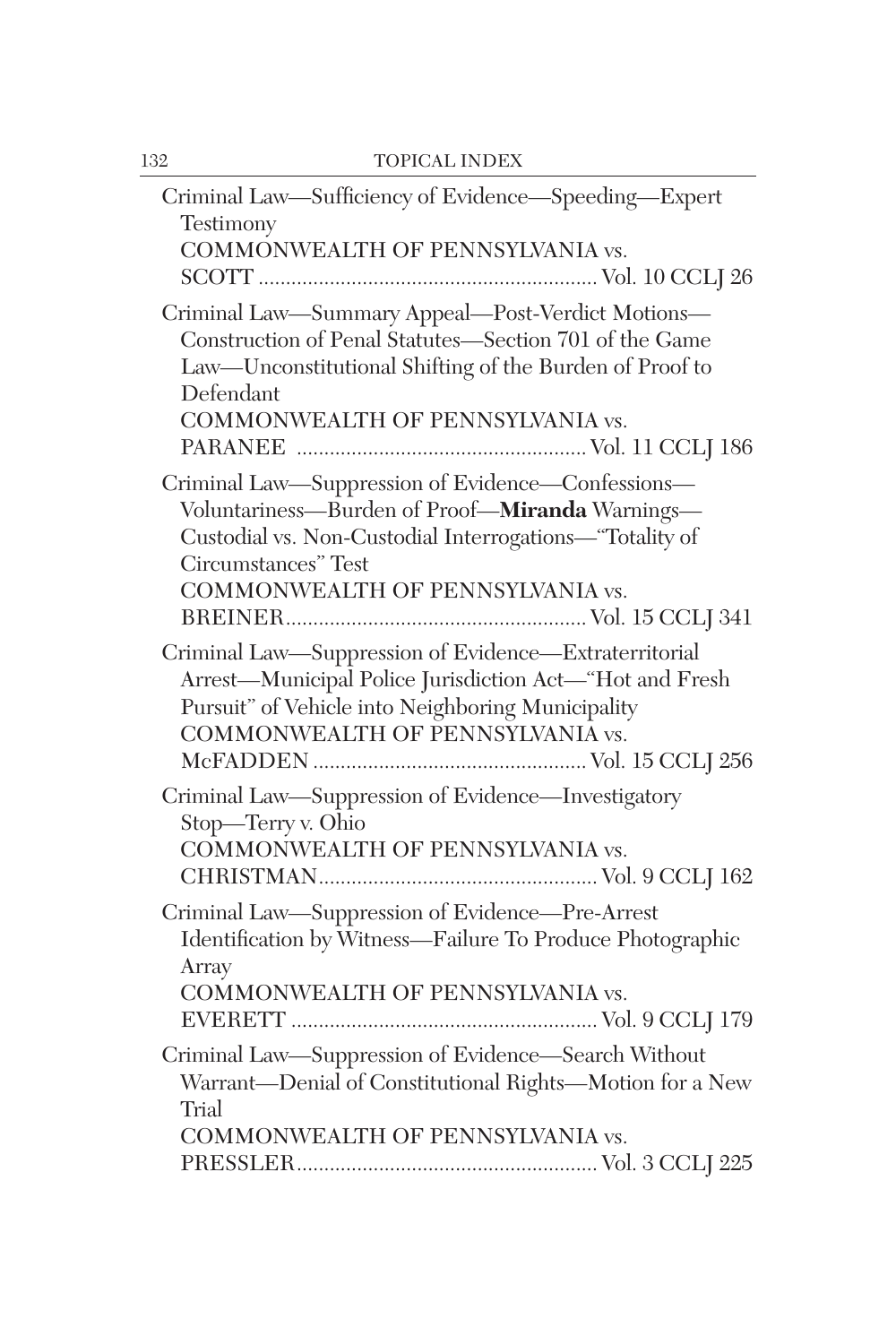| Criminal Law-Sufficiency of Evidence-Speeding-Expert                                                                                                                                                                       |
|----------------------------------------------------------------------------------------------------------------------------------------------------------------------------------------------------------------------------|
| Testimony<br>COMMONWEALTH OF PENNSYLVANIA vs.                                                                                                                                                                              |
|                                                                                                                                                                                                                            |
| Criminal Law-Summary Appeal-Post-Verdict Motions-<br>Construction of Penal Statutes-Section 701 of the Game<br>Law-Unconstitutional Shifting of the Burden of Proof to<br>Defendant<br>COMMONWEALTH OF PENNSYLVANIA vs.    |
| Criminal Law-Suppression of Evidence-Confessions-<br>Voluntariness-Burden of Proof-Miranda Warnings-<br>Custodial vs. Non-Custodial Interrogations-"Totality of<br>Circumstances" Test<br>COMMONWEALTH OF PENNSYLVANIA vs. |
| Criminal Law-Suppression of Evidence-Extraterritorial<br>Arrest-Municipal Police Jurisdiction Act-"Hot and Fresh<br>Pursuit" of Vehicle into Neighboring Municipality<br>COMMONWEALTH OF PENNSYLVANIA vs.                  |
| Criminal Law-Suppression of Evidence-Investigatory<br>Stop-Terry v. Ohio<br>COMMONWEALTH OF PENNSYLVANIA vs.                                                                                                               |
| Criminal Law-Suppression of Evidence-Pre-Arrest<br>Identification by Witness-Failure To Produce Photographic<br>Array<br>COMMONWEALTH OF PENNSYLVANIA vs.                                                                  |
| Criminal Law-Suppression of Evidence-Search Without<br>Warrant-Denial of Constitutional Rights-Motion for a New<br>Trial<br>COMMONWEALTH OF PENNSYLVANIA vs.                                                               |
|                                                                                                                                                                                                                            |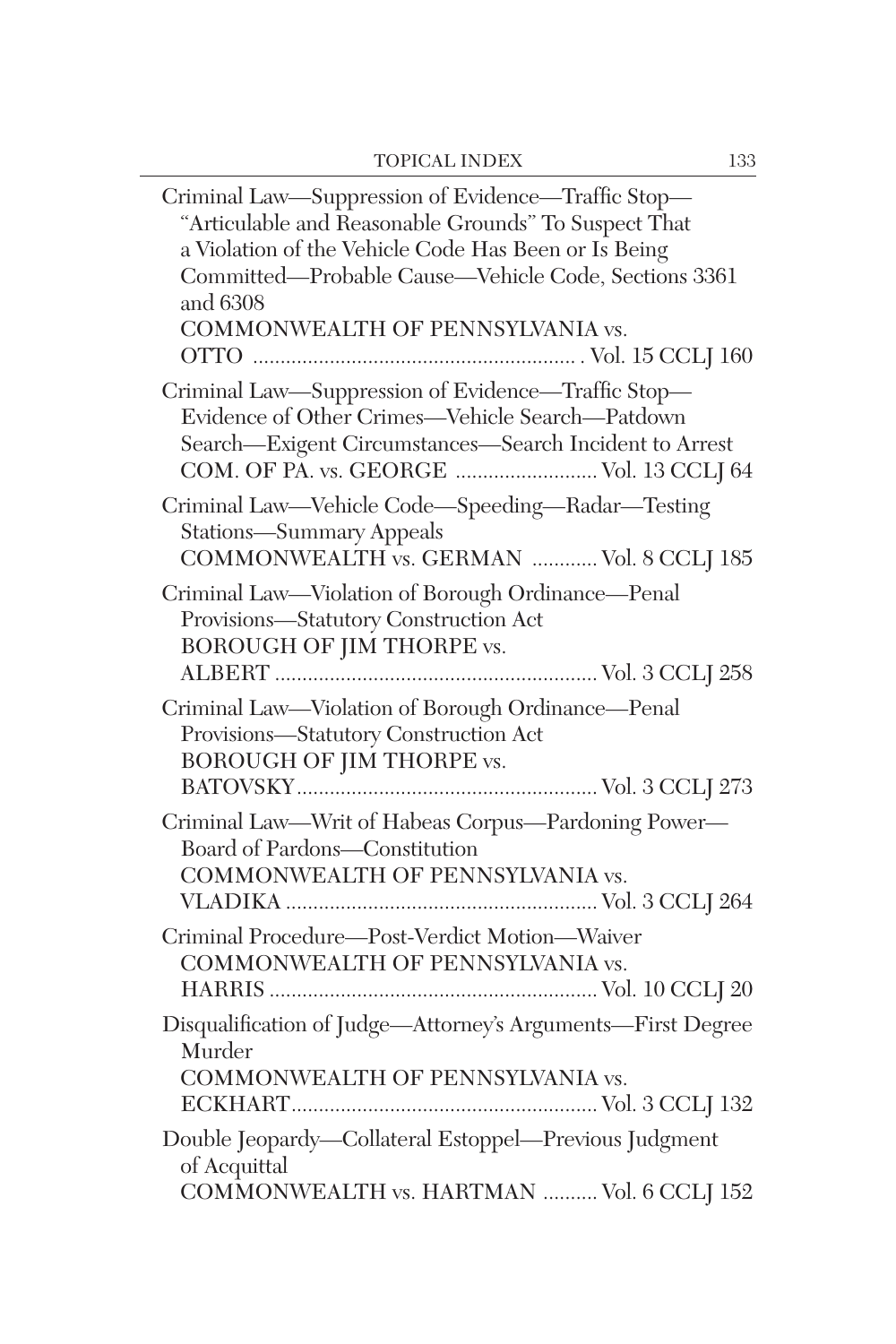| Criminal Law—Suppression of Evidence—Traffic Stop—<br>"Articulable and Reasonable Grounds" To Suspect That<br>a Violation of the Vehicle Code Has Been or Is Being<br>Committed-Probable Cause-Vehicle Code, Sections 3361<br>and 6308<br>COMMONWEALTH OF PENNSYLVANIA vs. |
|----------------------------------------------------------------------------------------------------------------------------------------------------------------------------------------------------------------------------------------------------------------------------|
| Criminal Law-Suppression of Evidence-Traffic Stop-<br>Evidence of Other Crimes-Vehicle Search-Patdown<br>Search-Exigent Circumstances-Search Incident to Arrest<br>COM. OF PA. vs. GEORGE  Vol. 13 CCLJ 64                                                                 |
| Criminal Law—Vehicle Code—Speeding—Radar—Testing<br><b>Stations-Summary Appeals</b><br>COMMONWEALTH vs. GERMAN  Vol. 8 CCLJ 185                                                                                                                                            |
| Criminal Law-Violation of Borough Ordinance-Penal<br>Provisions-Statutory Construction Act<br><b>BOROUGH OF JIM THORPE vs.</b>                                                                                                                                             |
| Criminal Law-Violation of Borough Ordinance-Penal<br>Provisions-Statutory Construction Act<br><b>BOROUGH OF JIM THORPE vs.</b>                                                                                                                                             |
| Criminal Law-Writ of Habeas Corpus-Pardoning Power-<br>Board of Pardons-Constitution<br>COMMONWEALTH OF PENNSYLVANIA vs.                                                                                                                                                   |
| Criminal Procedure-Post-Verdict Motion-Waiver<br>COMMONWEALTH OF PENNSYLVANIA vs.                                                                                                                                                                                          |
| Disqualification of Judge-Attorney's Arguments-First Degree<br>Murder<br>COMMONWEALTH OF PENNSYLVANIA vs.                                                                                                                                                                  |
| Double Jeopardy-Collateral Estoppel-Previous Judgment<br>of Acquittal<br>COMMONWEALTH vs. HARTMAN  Vol. 6 CCLJ 152                                                                                                                                                         |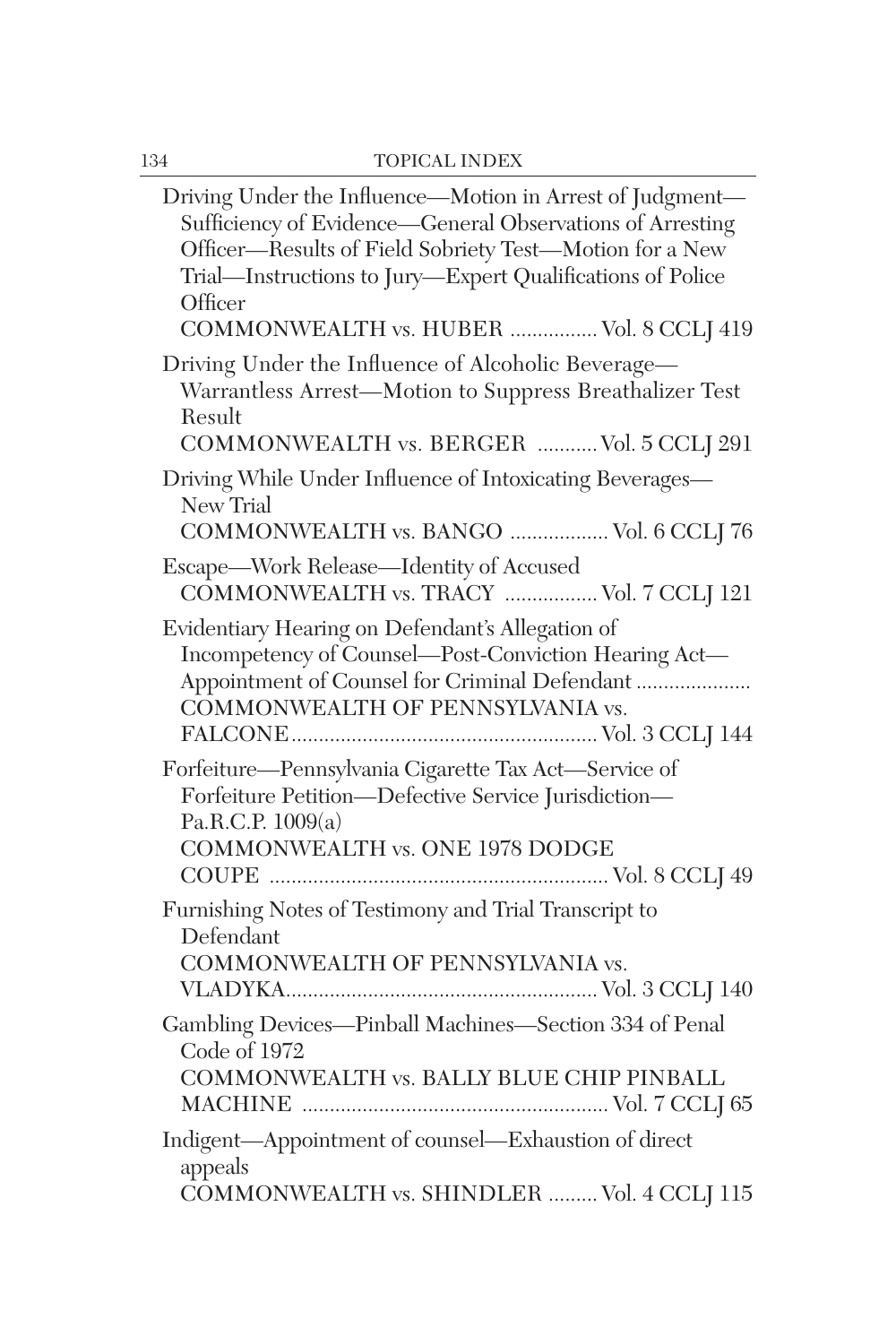| Driving Under the Influence—Motion in Arrest of Judgment—<br>Sufficiency of Evidence—General Observations of Arresting<br>Officer-Results of Field Sobriety Test-Motion for a New<br>Trial-Instructions to Jury-Expert Qualifications of Police<br>Officer<br>COMMONWEALTH vs. HUBER  Vol. 8 CCLJ 419 |
|-------------------------------------------------------------------------------------------------------------------------------------------------------------------------------------------------------------------------------------------------------------------------------------------------------|
| Driving Under the Influence of Alcoholic Beverage-<br>Warrantless Arrest-Motion to Suppress Breathalizer Test<br>Result<br>COMMONWEALTH vs. BERGER  Vol. 5 CCLJ 291                                                                                                                                   |
| Driving While Under Influence of Intoxicating Beverages-<br>New Trial<br>COMMONWEALTH vs. BANGO  Vol. 6 CCLJ 76                                                                                                                                                                                       |
| Escape—Work Release—Identity of Accused<br>COMMONWEALTH vs. TRACY  Vol. 7 CCLJ 121                                                                                                                                                                                                                    |
| Evidentiary Hearing on Defendant's Allegation of<br>Incompetency of Counsel—Post-Conviction Hearing Act—<br>Appointment of Counsel for Criminal Defendant<br>COMMONWEALTH OF PENNSYLVANIA vs.                                                                                                         |
| Forfeiture—Pennsylvania Cigarette Tax Act—Service of<br>Forfeiture Petition-Defective Service Jurisdiction-<br>Pa.R.C.P. 1009(a)<br><b>COMMONWEALTH vs. ONE 1978 DODGE</b>                                                                                                                            |
| Furnishing Notes of Testimony and Trial Transcript to<br>Defendant<br>COMMONWEALTH OF PENNSYLVANIA vs.                                                                                                                                                                                                |
| Gambling Devices-Pinball Machines-Section 334 of Penal<br>Code of 1972<br>COMMONWEALTH vs. BALLY BLUE CHIP PINBALL                                                                                                                                                                                    |
| Indigent-Appointment of counsel-Exhaustion of direct<br>appeals<br>COMMONWEALTH vs. SHINDLER  Vol. 4 CCLJ 115                                                                                                                                                                                         |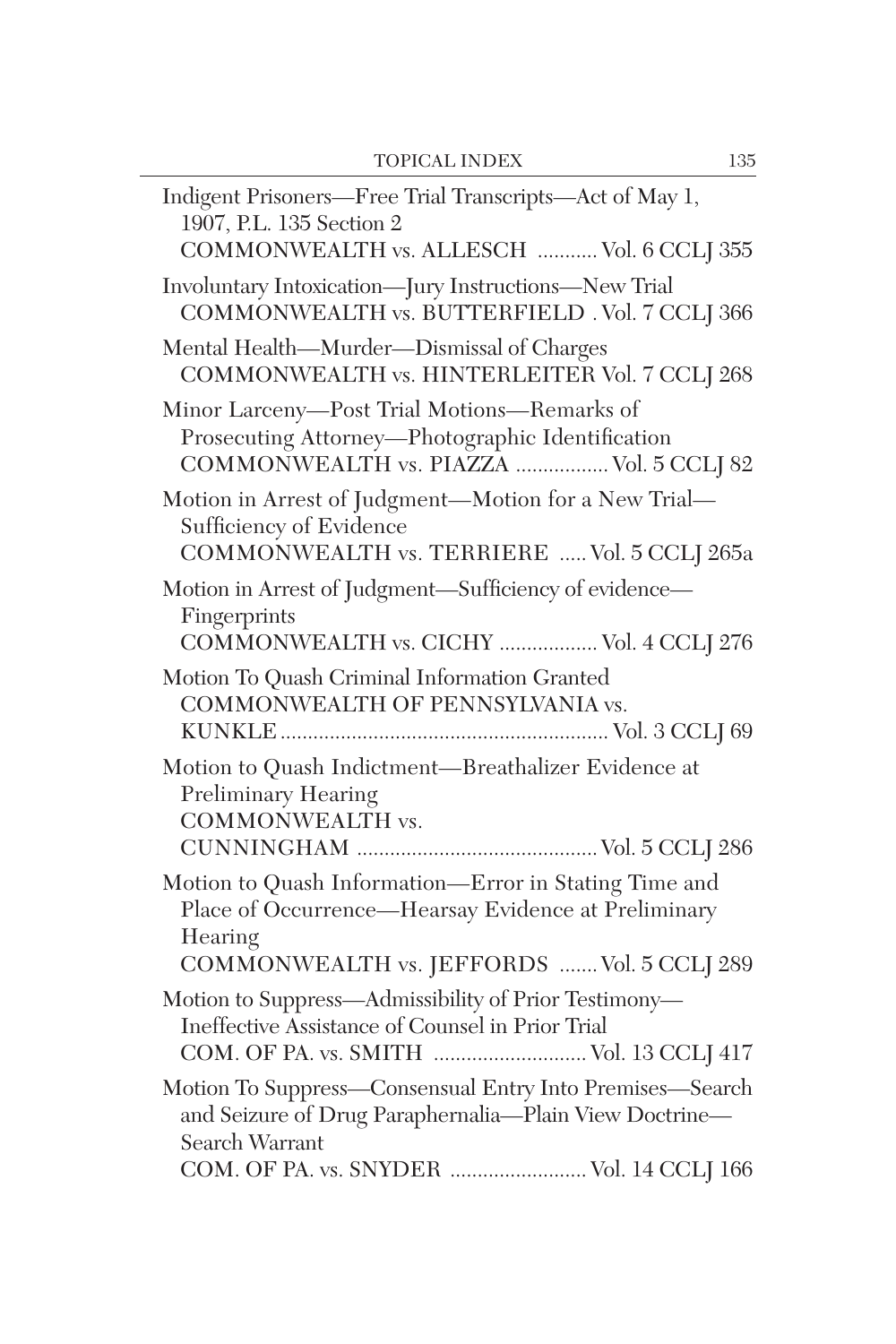| Indigent Prisoners—Free Trial Transcripts—Act of May 1,<br>1907, P.L. 135 Section 2<br>COMMONWEALTH vs. ALLESCH  Vol. 6 CCLJ 355                                                        |
|-----------------------------------------------------------------------------------------------------------------------------------------------------------------------------------------|
| Involuntary Intoxication-Jury Instructions-New Trial<br>COMMONWEALTH vs. BUTTERFIELD . Vol. 7 CCLJ 366                                                                                  |
| Mental Health-Murder-Dismissal of Charges<br>COMMONWEALTH vs. HINTERLEITER Vol. 7 CCLJ 268                                                                                              |
| Minor Larceny-Post Trial Motions-Remarks of<br>Prosecuting Attorney-Photographic Identification<br>COMMONWEALTH vs. PIAZZA  Vol. 5 CCLJ 82                                              |
| Motion in Arrest of Judgment-Motion for a New Trial-<br>Sufficiency of Evidence<br>COMMONWEALTH vs. TERRIERE  Vol. 5 CCLJ 265a                                                          |
| Motion in Arrest of Judgment-Sufficiency of evidence-<br>Fingerprints<br>COMMONWEALTH vs. CICHY  Vol. 4 CCLJ 276                                                                        |
| Motion To Quash Criminal Information Granted<br>COMMONWEALTH OF PENNSYLVANIA vs.                                                                                                        |
| Motion to Quash Indictment-Breathalizer Evidence at<br>Preliminary Hearing<br><b>COMMONWEALTH vs.</b>                                                                                   |
| Motion to Quash Information-Error in Stating Time and<br>Place of Occurrence-Hearsay Evidence at Preliminary<br>Hearing<br>COMMONWEALTH vs. JEFFORDS  Vol. 5 CCLJ 289                   |
| Motion to Suppress—Admissibility of Prior Testimony—<br>Ineffective Assistance of Counsel in Prior Trial<br>COM. OF PA. vs. SMITH  Vol. 13 CCLJ 417                                     |
| Motion To Suppress-Consensual Entry Into Premises-Search<br>and Seizure of Drug Paraphernalia-Plain View Doctrine-<br><b>Search Warrant</b><br>COM. OF PA. vs. SNYDER  Vol. 14 CCLJ 166 |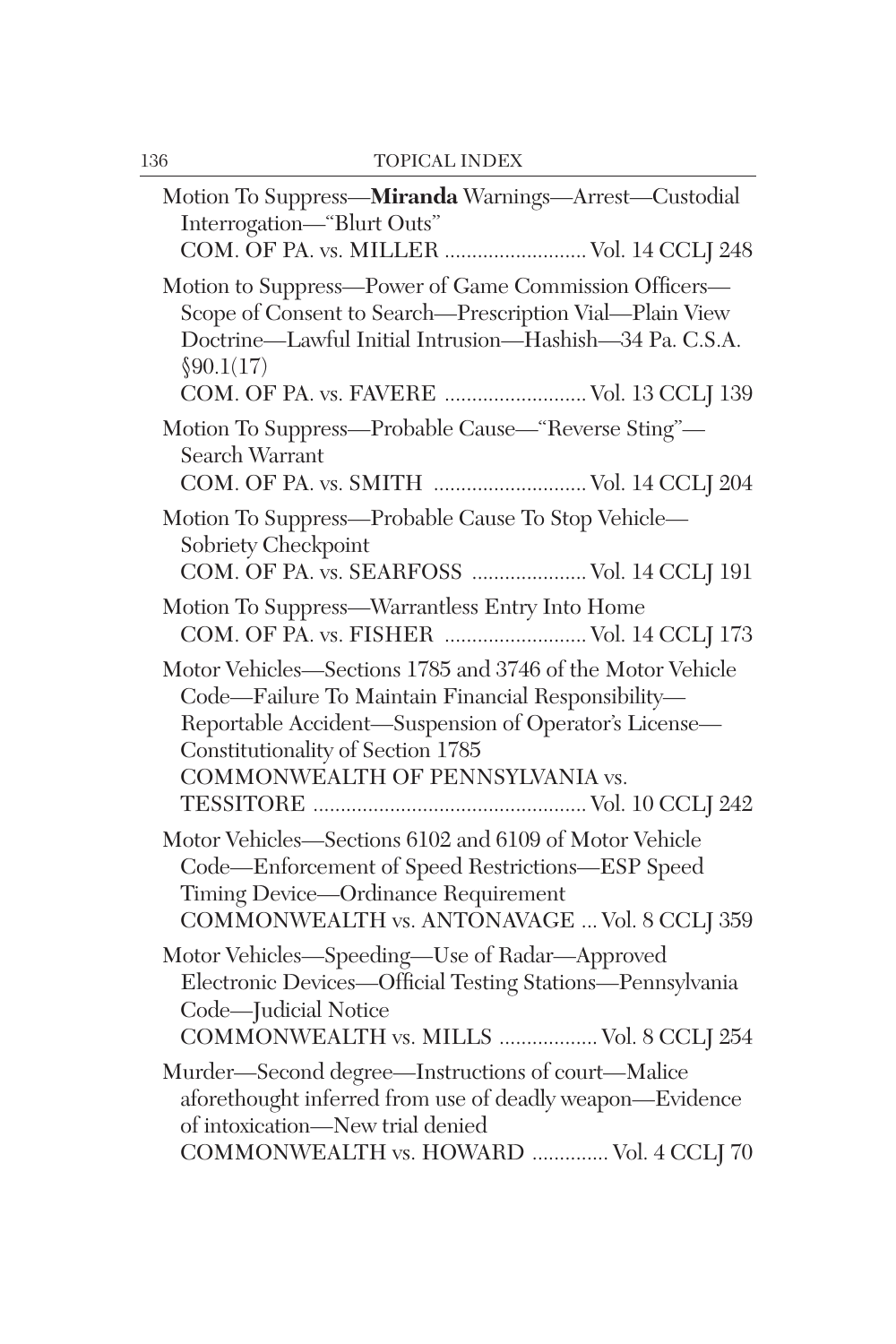| Motion To Suppress-Miranda Warnings-Arrest-Custodial<br>Interrogation-"Blurt Outs"                                                                                                                                                                 |
|----------------------------------------------------------------------------------------------------------------------------------------------------------------------------------------------------------------------------------------------------|
| COM. OF PA. vs. MILLER  Vol. 14 CCLJ 248                                                                                                                                                                                                           |
| Motion to Suppress-Power of Game Commission Officers-<br>Scope of Consent to Search-Prescription Vial-Plain View<br>Doctrine-Lawful Initial Intrusion-Hashish-34 Pa. C.S.A.<br>\$90.1(17)<br>COM. OF PA. vs. FAVERE  Vol. 13 CCLJ 139              |
| Motion To Suppress-Probable Cause-"Reverse Sting"-<br>Search Warrant<br>COM. OF PA. vs. SMITH  Vol. 14 CCLJ 204                                                                                                                                    |
| Motion To Suppress-Probable Cause To Stop Vehicle-<br>Sobriety Checkpoint<br>COM. OF PA. vs. SEARFOSS  Vol. 14 CCLJ 191                                                                                                                            |
| Motion To Suppress—Warrantless Entry Into Home<br>COM. OF PA. vs. FISHER  Vol. 14 CCLJ 173                                                                                                                                                         |
| Motor Vehicles-Sections 1785 and 3746 of the Motor Vehicle<br>Code—Failure To Maintain Financial Responsibility—<br>Reportable Accident-Suspension of Operator's License-<br>Constitutionality of Section 1785<br>COMMONWEALTH OF PENNSYLVANIA vs. |
| Motor Vehicles-Sections 6102 and 6109 of Motor Vehicle<br>Code-Enforcement of Speed Restrictions-ESP Speed<br>Timing Device-Ordinance Requirement<br>COMMONWEALTH vs. ANTONAVAGE  Vol. 8 CCLJ 359                                                  |
| Motor Vehicles-Speeding-Use of Radar-Approved<br>Electronic Devices-Official Testing Stations-Pennsylvania<br>Code-Judicial Notice<br>COMMONWEALTH vs. MILLS  Vol. 8 CCLJ 254                                                                      |
| Murder-Second degree-Instructions of court-Malice<br>aforethought inferred from use of deadly weapon-Evidence<br>of intoxication-New trial denied<br>COMMONWEALTH vs. HOWARD  Vol. 4 CCLI 70                                                       |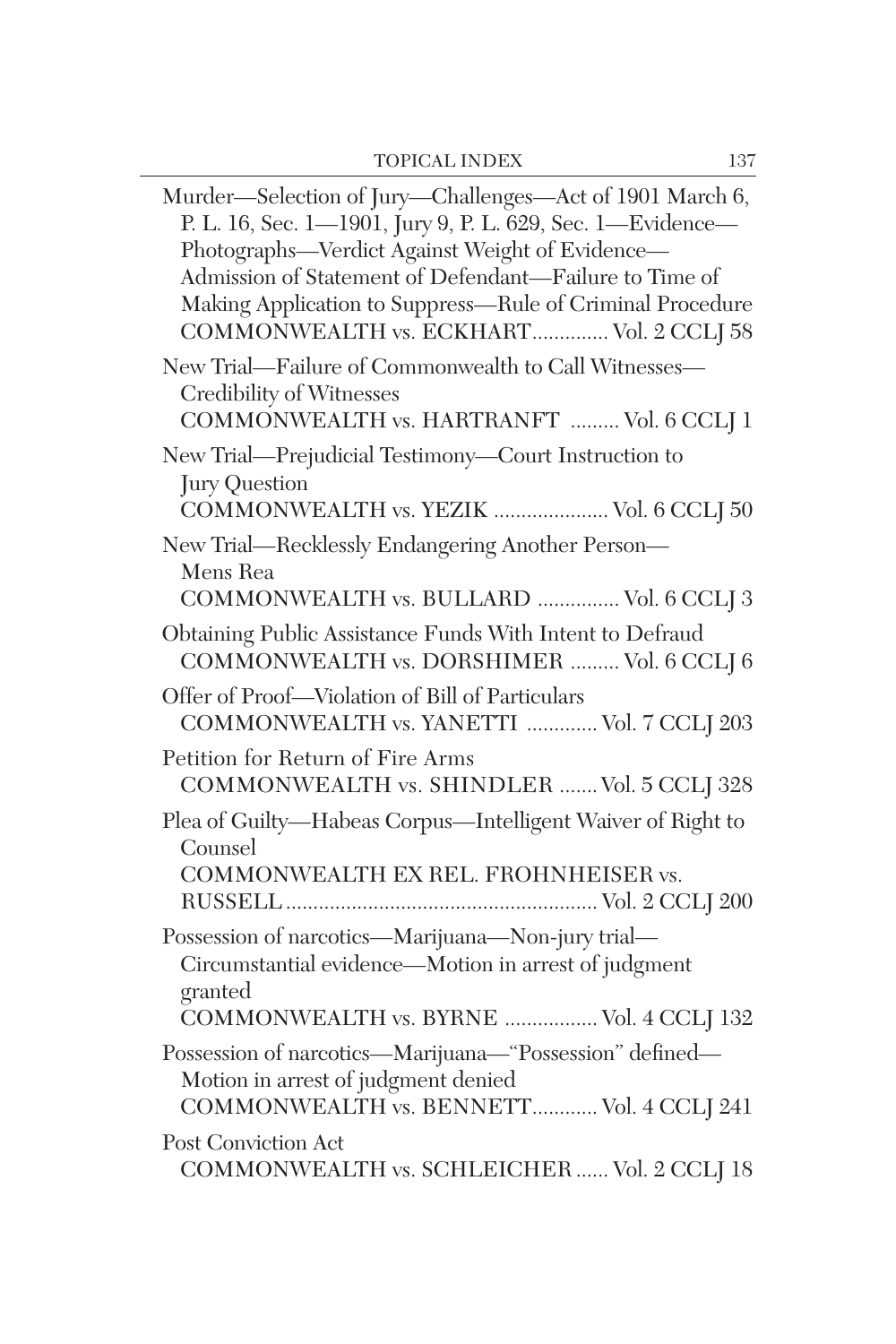$\overline{\phantom{0}}$ 

| Murder-Selection of Jury-Challenges-Act of 1901 March 6,<br>P. L. 16, Sec. 1-1901, Jury 9, P. L. 629, Sec. 1-Evidence-<br>Photographs-Verdict Against Weight of Evidence-<br>Admission of Statement of Defendant-Failure to Time of<br>Making Application to Suppress-Rule of Criminal Procedure<br>COMMONWEALTH vs. ECKHART Vol. 2 CCLJ 58 |
|---------------------------------------------------------------------------------------------------------------------------------------------------------------------------------------------------------------------------------------------------------------------------------------------------------------------------------------------|
| New Trial-Failure of Commonwealth to Call Witnesses-<br>Credibility of Witnesses<br>COMMONWEALTH vs. HARTRANFT  Vol. 6 CCLJ 1                                                                                                                                                                                                               |
| New Trial-Prejudicial Testimony-Court Instruction to<br>Jury Question<br>COMMONWEALTH vs. YEZIK  Vol. 6 CCLJ 50                                                                                                                                                                                                                             |
| New Trial—Recklessly Endangering Another Person—<br>Mens Rea<br>COMMONWEALTH vs. BULLARD  Vol. 6 CCLJ 3                                                                                                                                                                                                                                     |
| Obtaining Public Assistance Funds With Intent to Defraud<br>COMMONWEALTH vs. DORSHIMER  Vol. 6 CCLJ 6                                                                                                                                                                                                                                       |
| Offer of Proof-Violation of Bill of Particulars<br>COMMONWEALTH vs. YANETTI  Vol. 7 CCLJ 203                                                                                                                                                                                                                                                |
| Petition for Return of Fire Arms<br>COMMONWEALTH vs. SHINDLER  Vol. 5 CCLJ 328                                                                                                                                                                                                                                                              |
| Plea of Guilty-Habeas Corpus-Intelligent Waiver of Right to<br>Counsel<br>COMMONWEALTH EX REL. FROHNHEISER vs.                                                                                                                                                                                                                              |
| Possession of narcotics-Marijuana-Non-jury trial-<br>Circumstantial evidence-Motion in arrest of judgment<br>granted<br>COMMONWEALTH vs. BYRNE  Vol. 4 CCLJ 132                                                                                                                                                                             |
| Possession of narcotics-Marijuana-"Possession" defined-<br>Motion in arrest of judgment denied<br>COMMONWEALTH vs. BENNETT Vol. 4 CCLJ 241                                                                                                                                                                                                  |
| Post Conviction Act<br>COMMONWEALTH vs. SCHLEICHER  Vol. 2 CCLJ 18                                                                                                                                                                                                                                                                          |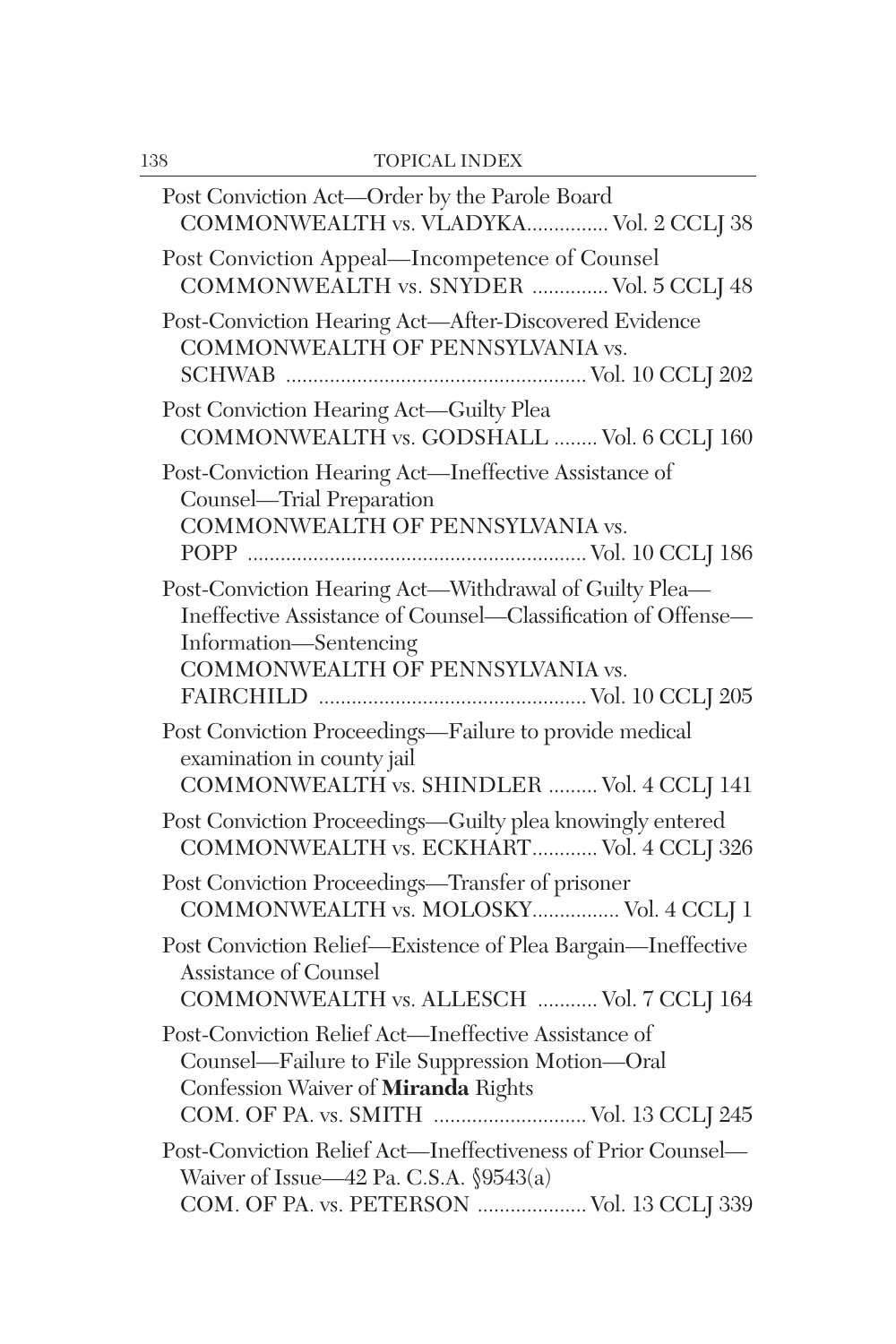| Post Conviction Act-Order by the Parole Board<br>COMMONWEALTH vs. VLADYKA Vol. 2 CCLJ 38                                                                                                  |
|-------------------------------------------------------------------------------------------------------------------------------------------------------------------------------------------|
| Post Conviction Appeal—Incompetence of Counsel<br>COMMONWEALTH vs. SNYDER  Vol. 5 CCLJ 48                                                                                                 |
| Post-Conviction Hearing Act-After-Discovered Evidence<br>COMMONWEALTH OF PENNSYLVANIA vs.                                                                                                 |
| Post Conviction Hearing Act-Guilty Plea<br>COMMONWEALTH vs. GODSHALL  Vol. 6 CCLJ 160                                                                                                     |
| Post-Conviction Hearing Act—Ineffective Assistance of<br>Counsel-Trial Preparation<br>COMMONWEALTH OF PENNSYLVANIA vs.                                                                    |
| Post-Conviction Hearing Act-Withdrawal of Guilty Plea-<br>Ineffective Assistance of Counsel-Classification of Offense-<br>Information—Sentencing<br>COMMONWEALTH OF PENNSYLVANIA vs.      |
| Post Conviction Proceedings-Failure to provide medical<br>examination in county jail<br>COMMONWEALTH vs. SHINDLER  Vol. 4 CCLJ 141                                                        |
| Post Conviction Proceedings-Guilty plea knowingly entered<br>COMMONWEALTH vs. ECKHART Vol. 4 CCLJ 326                                                                                     |
| Post Conviction Proceedings-Transfer of prisoner<br>COMMONWEALTH vs. MOLOSKY Vol. 4 CCLJ 1                                                                                                |
| Post Conviction Relief-Existence of Plea Bargain-Ineffective<br><b>Assistance of Counsel</b><br>COMMONWEALTH vs. ALLESCH  Vol. 7 CCLJ 164                                                 |
| Post-Conviction Relief Act-Ineffective Assistance of<br>Counsel—Failure to File Suppression Motion—Oral<br>Confession Waiver of Miranda Rights<br>COM. OF PA. vs. SMITH  Vol. 13 CCLJ 245 |
| Post-Conviction Relief Act—Ineffectiveness of Prior Counsel—<br>Waiver of Issue—42 Pa. C.S.A. $\$9543(a)$<br>COM. OF PA. vs. PETERSON  Vol. 13 CCLJ 339                                   |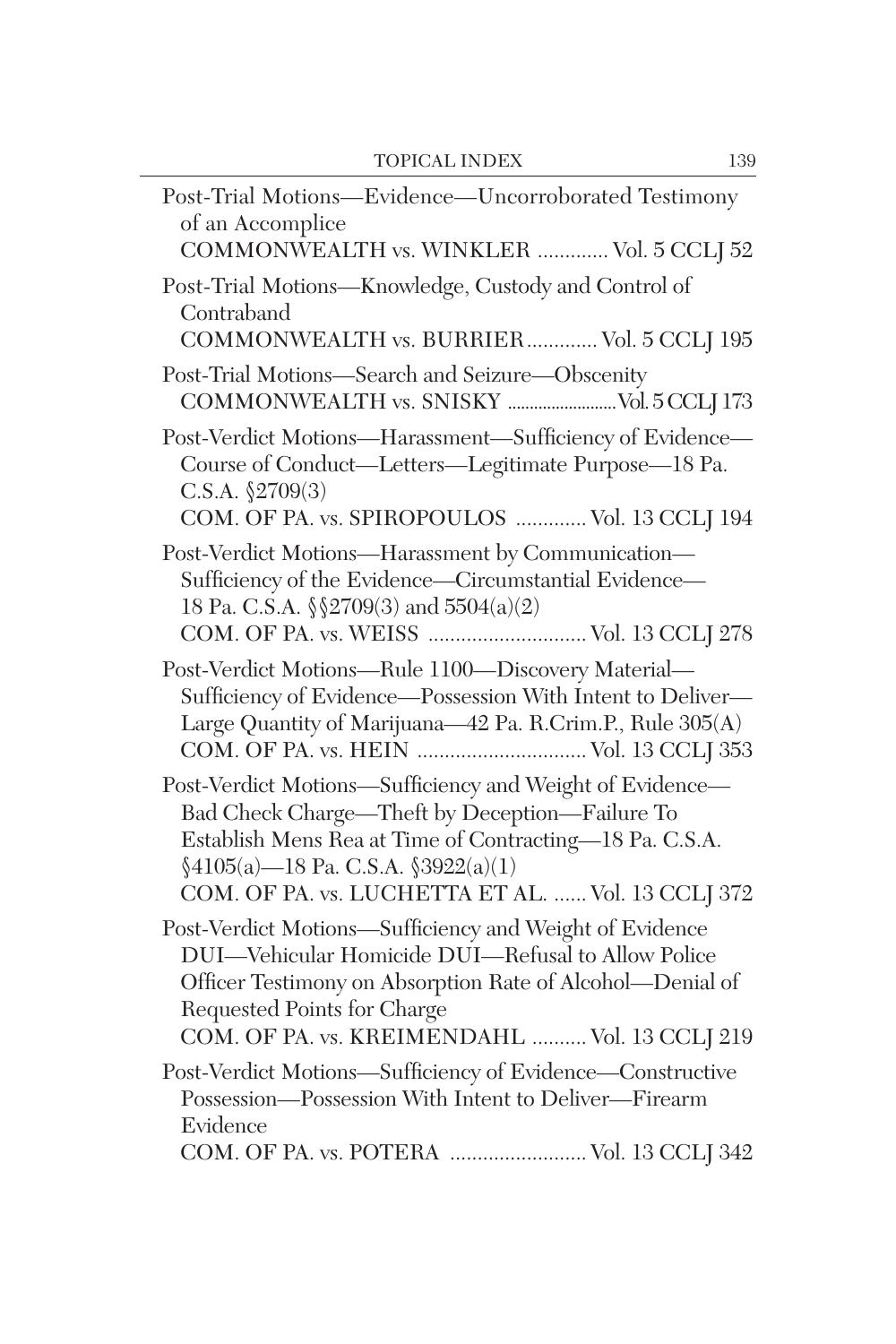| Post-Trial Motions-Evidence-Uncorroborated Testimony<br>of an Accomplice<br>COMMONWEALTH vs. WINKLER  Vol. 5 CCLJ 52                                                                                                                                                  |
|-----------------------------------------------------------------------------------------------------------------------------------------------------------------------------------------------------------------------------------------------------------------------|
| Post-Trial Motions-Knowledge, Custody and Control of<br>Contraband<br>COMMONWEALTH vs. BURRIER Vol. 5 CCLJ 195                                                                                                                                                        |
| Post-Trial Motions-Search and Seizure-Obscenity                                                                                                                                                                                                                       |
| Post-Verdict Motions-Harassment-Sufficiency of Evidence-<br>Course of Conduct—Letters—Legitimate Purpose—18 Pa.<br>C.S.A. $$2709(3)$<br>COM. OF PA. vs. SPIROPOULOS  Vol. 13 CCLJ 194                                                                                 |
| Post-Verdict Motions-Harassment by Communication-<br>Sufficiency of the Evidence—Circumstantial Evidence—<br>18 Pa. C.S.A. $\S$ 2709(3) and 5504(a)(2)<br>COM. OF PA. vs. WEISS  Vol. 13 CCLJ 278                                                                     |
| Post-Verdict Motions-Rule 1100-Discovery Material-<br>Sufficiency of Evidence-Possession With Intent to Deliver-<br>Large Quantity of Marijuana-42 Pa. R.Crim.P., Rule 305(A)<br>COM. OF PA. vs. HEIN  Vol. 13 CCLJ 353                                               |
| Post-Verdict Motions-Sufficiency and Weight of Evidence-<br>Bad Check Charge-Theft by Deception-Failure To<br>Establish Mens Rea at Time of Contracting-18 Pa. C.S.A.<br>$$4105(a)$ -18 Pa. C.S.A. $$3922(a)(1)$<br>COM. OF PA. vs. LUCHETTA ET AL.  Vol. 13 CCLJ 372 |
| Post-Verdict Motions-Sufficiency and Weight of Evidence<br>DUI-Vehicular Homicide DUI-Refusal to Allow Police<br>Officer Testimony on Absorption Rate of Alcohol-Denial of<br>Requested Points for Charge<br>COM. OF PA. vs. KREIMENDAHL  Vol. 13 CCLJ 219            |
| Post-Verdict Motions-Sufficiency of Evidence-Constructive<br>Possession-Possession With Intent to Deliver-Firearm<br>Evidence<br>COM. OF PA. vs. POTERA  Vol. 13 CCLJ 342                                                                                             |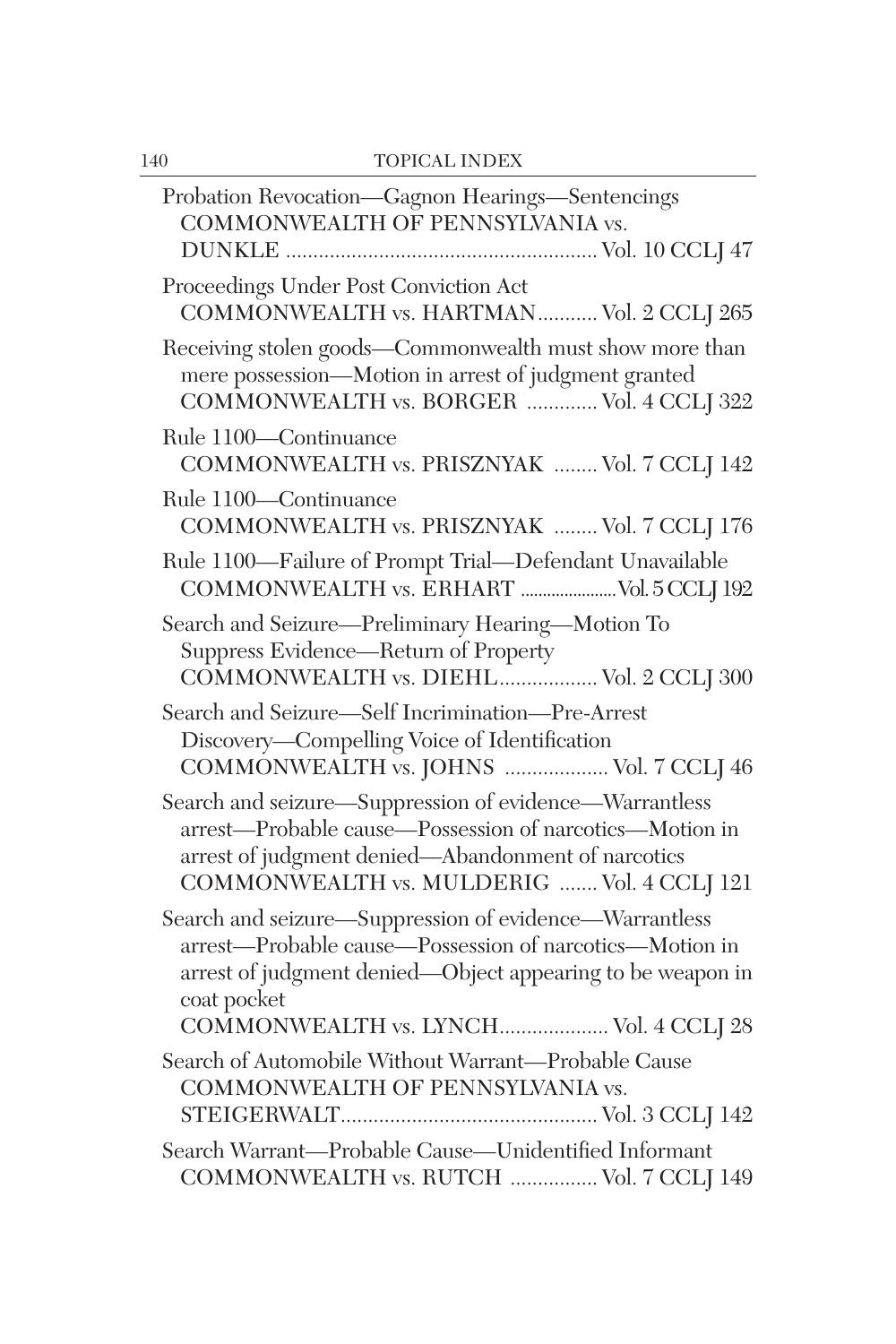| Probation Revocation-Gagnon Hearings-Sentencings<br>COMMONWEALTH OF PENNSYLVANIA vs.                                                                                                                                  |
|-----------------------------------------------------------------------------------------------------------------------------------------------------------------------------------------------------------------------|
| Proceedings Under Post Conviction Act<br>COMMONWEALTH vs. HARTMAN Vol. 2 CCLJ 265                                                                                                                                     |
| Receiving stolen goods-Commonwealth must show more than<br>mere possession-Motion in arrest of judgment granted<br>COMMONWEALTH vs. BORGER  Vol. 4 CCLJ 322                                                           |
| Rule 1100-Continuance<br>COMMONWEALTH vs. PRISZNYAK  Vol. 7 CCLJ 142                                                                                                                                                  |
| Rule 1100-Continuance<br>COMMONWEALTH vs. PRISZNYAK  Vol. 7 CCLJ 176                                                                                                                                                  |
| Rule 1100-Failure of Prompt Trial-Defendant Unavailable<br>COMMONWEALTH vs. ERHART  Vol. 5 CCLJ 192                                                                                                                   |
| Search and Seizure-Preliminary Hearing-Motion To<br>Suppress Evidence-Return of Property<br>COMMONWEALTH vs. DIEHL Vol. 2 CCLJ 300                                                                                    |
| Search and Seizure-Self Incrimination-Pre-Arrest<br>Discovery-Compelling Voice of Identification<br>COMMONWEALTH vs. JOHNS  Vol. 7 CCLJ 46                                                                            |
| Search and seizure-Suppression of evidence-Warrantless<br>arrest-Probable cause-Possession of narcotics-Motion in<br>arrest of judgment denied-Abandonment of narcotics<br>COMMONWEALTH vs. MULDERIG  Vol. 4 CCLJ 121 |
| Search and seizure-Suppression of evidence-Warrantless<br>arrest—Probable cause—Possession of narcotics—Motion in<br>arrest of judgment denied-Object appearing to be weapon in<br>coat pocket                        |
| COMMONWEALTH vs. LYNCH Vol. 4 CCLJ 28                                                                                                                                                                                 |
| Search of Automobile Without Warrant-Probable Cause<br>COMMONWEALTH OF PENNSYLVANIA vs.                                                                                                                               |
| Search Warrant-Probable Cause-Unidentified Informant<br>COMMONWEALTH vs. RUTCH  Vol. 7 CCLJ 149                                                                                                                       |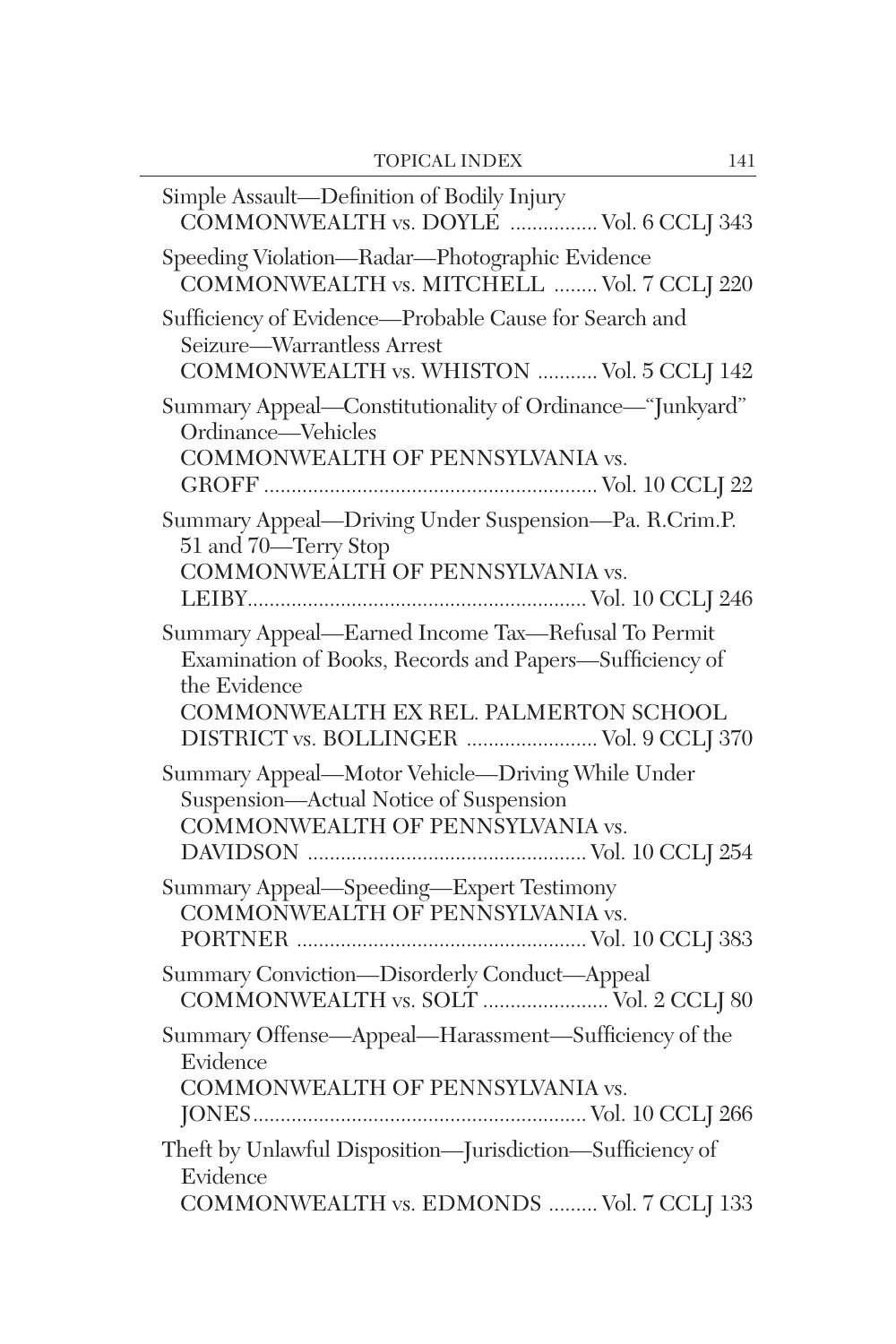| Simple Assault-Definition of Bodily Injury<br>COMMONWEALTH vs. DOYLE  Vol. 6 CCLJ 343                                                                                                                             |
|-------------------------------------------------------------------------------------------------------------------------------------------------------------------------------------------------------------------|
| Speeding Violation-Radar-Photographic Evidence<br>COMMONWEALTH vs. MITCHELL  Vol. 7 CCLJ 220                                                                                                                      |
| Sufficiency of Evidence-Probable Cause for Search and<br>Seizure-Warrantless Arrest<br>COMMONWEALTH vs. WHISTON  Vol. 5 CCLJ 142                                                                                  |
| Summary Appeal-Constitutionality of Ordinance-"Junkyard"<br>Ordinance—Vehicles<br>COMMONWEALTH OF PENNSYLVANIA vs.                                                                                                |
| Summary Appeal-Driving Under Suspension-Pa. R.Crim.P.<br>51 and 70—Terry Stop<br>COMMONWEALTH OF PENNSYLVANIA vs.                                                                                                 |
| Summary Appeal-Earned Income Tax-Refusal To Permit<br>Examination of Books, Records and Papers-Sufficiency of<br>the Evidence<br>COMMONWEALTH EX REL. PALMERTON SCHOOL<br>DISTRICT vs. BOLLINGER  Vol. 9 CCLJ 370 |
| Summary Appeal-Motor Vehicle-Driving While Under<br>Suspension-Actual Notice of Suspension<br>COMMONWEALTH OF PENNSYLVANIA vs.                                                                                    |
| Summary Appeal-Speeding-Expert Testimony<br>COMMONWEALTH OF PENNSYLVANIA vs.                                                                                                                                      |
| Summary Conviction-Disorderly Conduct-Appeal<br>COMMONWEALTH vs. SOLT  Vol. 2 CCLJ 80                                                                                                                             |
| Summary Offense—Appeal—Harassment—Sufficiency of the<br>Evidence<br>COMMONWEALTH OF PENNSYLVANIA vs.                                                                                                              |
| Theft by Unlawful Disposition-Jurisdiction-Sufficiency of<br>Evidence<br>COMMONWEALTH vs. EDMONDS  Vol. 7 CCLJ 133                                                                                                |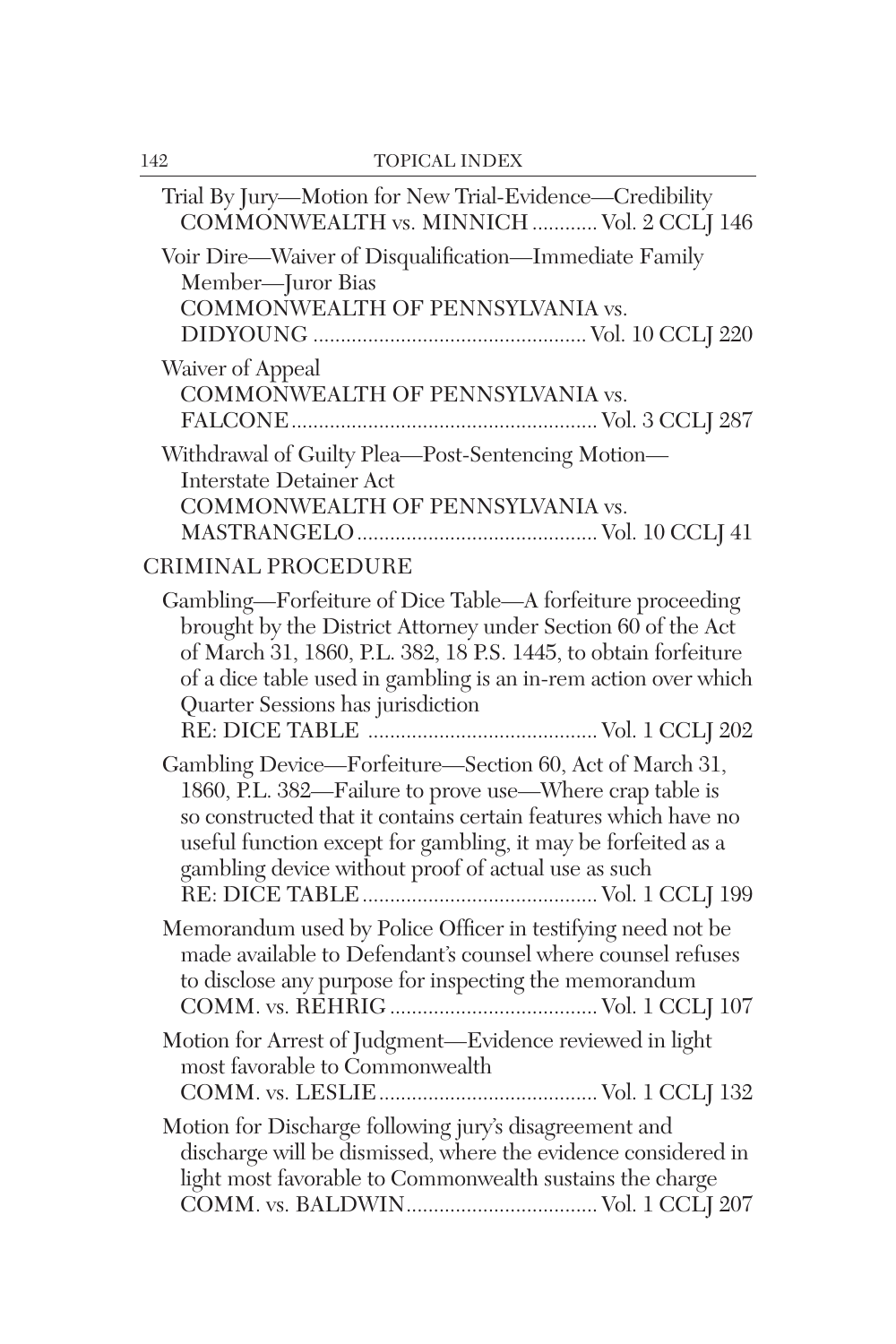| Trial By Jury-Motion for New Trial-Evidence-Credibility<br>COMMONWEALTH vs. MINNICH  Vol. 2 CCLI 146                                                                                                                                                                                                         |
|--------------------------------------------------------------------------------------------------------------------------------------------------------------------------------------------------------------------------------------------------------------------------------------------------------------|
| Voir Dire-Waiver of Disqualification-Immediate Family<br>Member-Juror Bias<br>COMMONWEALTH OF PENNSYLVANIA vs.                                                                                                                                                                                               |
| Waiver of Appeal<br>COMMONWEALTH OF PENNSYLVANIA vs.                                                                                                                                                                                                                                                         |
| Withdrawal of Guilty Plea-Post-Sentencing Motion-<br><b>Interstate Detainer Act</b><br>COMMONWEALTH OF PENNSYLVANIA vs.                                                                                                                                                                                      |
| CRIMINAL PROCEDURE                                                                                                                                                                                                                                                                                           |
| Gambling—Forfeiture of Dice Table—A forfeiture proceeding<br>brought by the District Attorney under Section 60 of the Act<br>of March 31, 1860, P.L. 382, 18 P.S. 1445, to obtain forfeiture<br>of a dice table used in gambling is an in-rem action over which<br>Quarter Sessions has jurisdiction         |
| Gambling Device-Forfeiture-Section 60, Act of March 31,<br>1860, P.L. 382—Failure to prove use—Where crap table is<br>so constructed that it contains certain features which have no<br>useful function except for gambling, it may be forfeited as a<br>gambling device without proof of actual use as such |
| Memorandum used by Police Officer in testifying need not be<br>made available to Defendant's counsel where counsel refuses<br>to disclose any purpose for inspecting the memorandum                                                                                                                          |
| Motion for Arrest of Judgment-Evidence reviewed in light<br>most favorable to Commonwealth                                                                                                                                                                                                                   |
| Motion for Discharge following jury's disagreement and<br>discharge will be dismissed, where the evidence considered in<br>light most favorable to Commonwealth sustains the charge                                                                                                                          |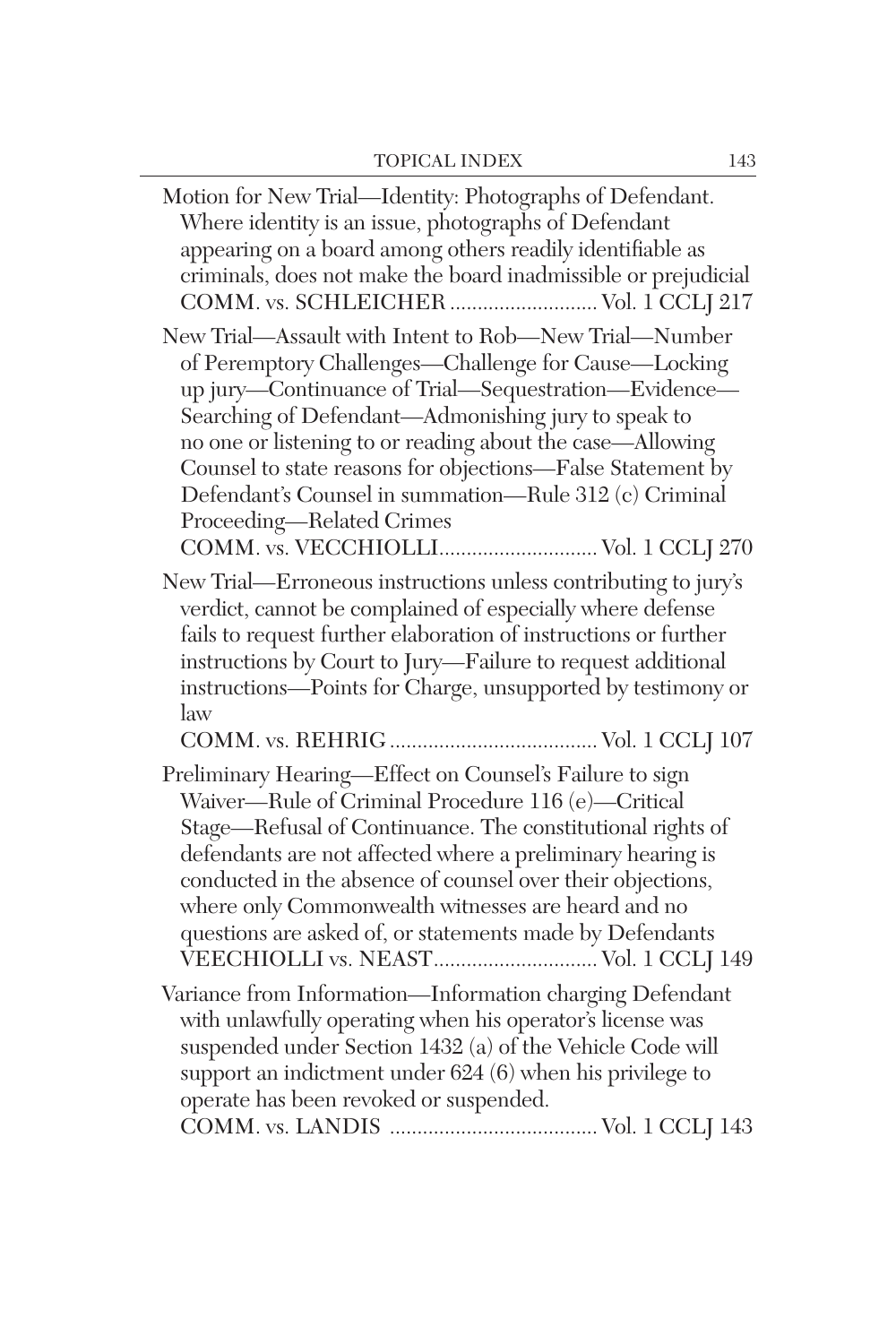| Motion for New Trial-Identity: Photographs of Defendant.<br>Where identity is an issue, photographs of Defendant<br>appearing on a board among others readily identifiable as<br>criminals, does not make the board inadmissible or prejudicial<br>COMM. vs. SCHLEICHER  Vol. 1 CCLJ 217                                                                                                                                                                                               |
|----------------------------------------------------------------------------------------------------------------------------------------------------------------------------------------------------------------------------------------------------------------------------------------------------------------------------------------------------------------------------------------------------------------------------------------------------------------------------------------|
| New Trial-Assault with Intent to Rob-New Trial-Number<br>of Peremptory Challenges-Challenge for Cause-Locking<br>up jury-Continuance of Trial-Sequestration-Evidence-<br>Searching of Defendant-Admonishing jury to speak to<br>no one or listening to or reading about the case—Allowing<br>Counsel to state reasons for objections-False Statement by<br>Defendant's Counsel in summation—Rule 312 (c) Criminal<br>Proceeding-Related Crimes<br>COMM. vs. VECCHIOLLI Vol. 1 CCLJ 270 |
| New Trial—Erroneous instructions unless contributing to jury's<br>verdict, cannot be complained of especially where defense<br>fails to request further elaboration of instructions or further<br>instructions by Court to Jury-Failure to request additional<br>instructions-Points for Charge, unsupported by testimony or<br>law                                                                                                                                                    |
| Preliminary Hearing-Effect on Counsel's Failure to sign<br>Waiver-Rule of Criminal Procedure 116 (e)-Critical<br>Stage-Refusal of Continuance. The constitutional rights of<br>defendants are not affected where a preliminary hearing is<br>conducted in the absence of counsel over their objections,<br>where only Commonwealth witnesses are heard and no<br>questions are asked of, or statements made by Defendants<br>VEECHIOLLI vs. NEAST Vol. 1 CCLJ 149                      |
| Variance from Information—Information charging Defendant<br>with unlawfully operating when his operator's license was<br>suspended under Section 1432 (a) of the Vehicle Code will<br>support an indictment under 624 (6) when his privilege to<br>operate has been revoked or suspended.                                                                                                                                                                                              |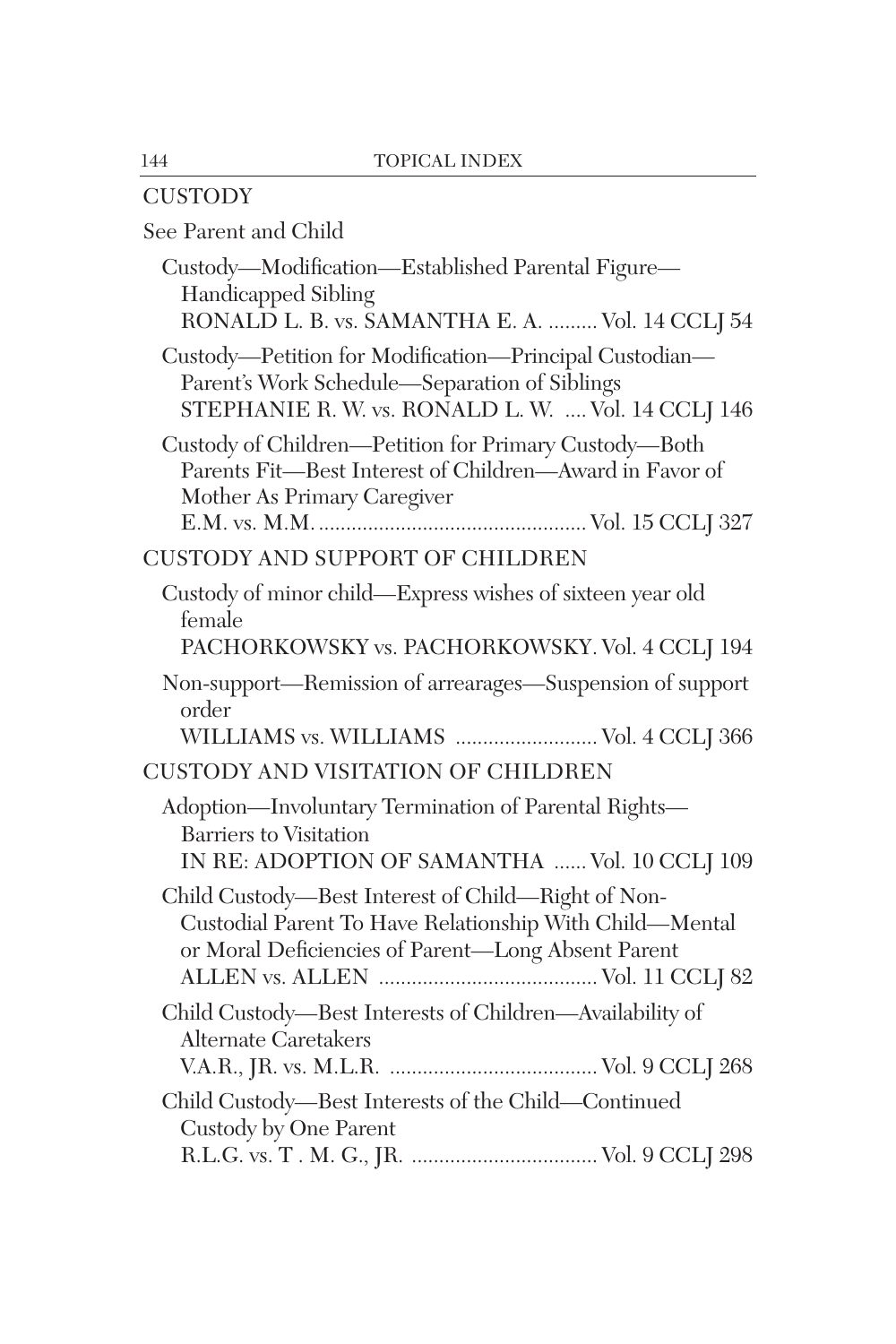| <b>CUSTODY</b>                                                                                                                                                      |
|---------------------------------------------------------------------------------------------------------------------------------------------------------------------|
| See Parent and Child                                                                                                                                                |
| Custody-Modification-Established Parental Figure-<br><b>Handicapped Sibling</b><br>RONALD L. B. vs. SAMANTHA E. A.  Vol. 14 CCLJ 54                                 |
| Custody-Petition for Modification-Principal Custodian-<br>Parent's Work Schedule-Separation of Siblings<br>STEPHANIE R. W. vs. RONALD L. W.  Vol. 14 CCLJ 146       |
| Custody of Children-Petition for Primary Custody-Both<br>Parents Fit-Best Interest of Children-Award in Favor of<br>Mother As Primary Caregiver                     |
| CUSTODY AND SUPPORT OF CHILDREN                                                                                                                                     |
| Custody of minor child—Express wishes of sixteen year old<br>female<br>PACHORKOWSKY vs. PACHORKOWSKY. Vol. 4 CCLJ 194                                               |
| Non-support—Remission of arrearages—Suspension of support<br>order<br>WILLIAMS vs. WILLIAMS  Vol. 4 CCLJ 366                                                        |
| CUSTODY AND VISITATION OF CHILDREN                                                                                                                                  |
| Adoption-Involuntary Termination of Parental Rights-<br><b>Barriers to Visitation</b><br>IN RE: ADOPTION OF SAMANTHA  Vol. 10 CCLJ 109                              |
| Child Custody-Best Interest of Child-Right of Non-<br>Custodial Parent To Have Relationship With Child—Mental<br>or Moral Deficiencies of Parent-Long Absent Parent |
| Child Custody-Best Interests of Children-Availability of<br><b>Alternate Caretakers</b>                                                                             |
| Child Custody-Best Interests of the Child-Continued<br>Custody by One Parent                                                                                        |
|                                                                                                                                                                     |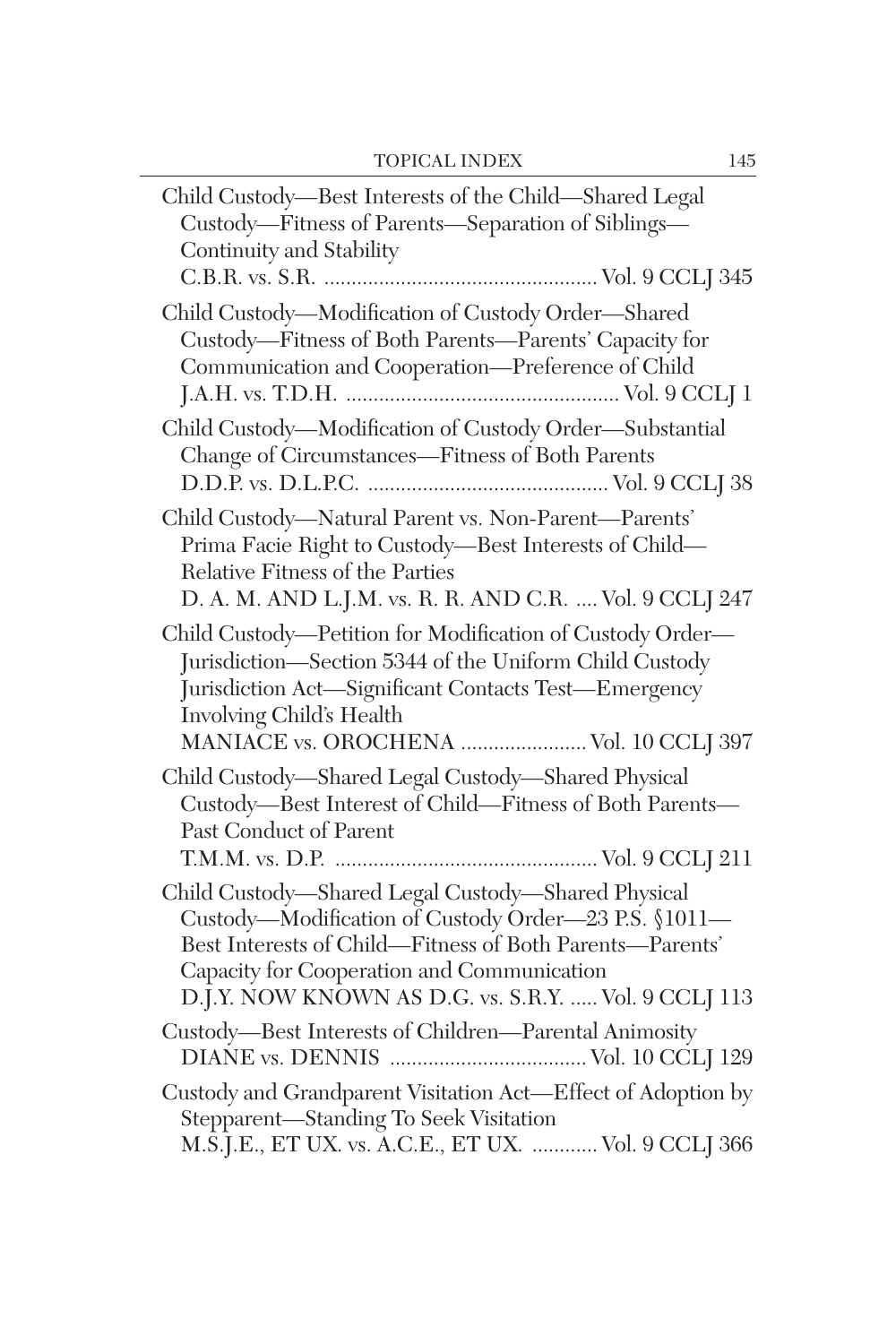| Child Custody-Best Interests of the Child-Shared Legal<br>Custody-Fitness of Parents-Separation of Siblings-<br>Continuity and Stability                                                                                                                                     |
|------------------------------------------------------------------------------------------------------------------------------------------------------------------------------------------------------------------------------------------------------------------------------|
| Child Custody-Modification of Custody Order-Shared<br>Custody-Fitness of Both Parents-Parents' Capacity for<br>Communication and Cooperation-Preference of Child                                                                                                             |
| Child Custody-Modification of Custody Order-Substantial<br>Change of Circumstances-Fitness of Both Parents                                                                                                                                                                   |
| Child Custody-Natural Parent vs. Non-Parent-Parents'<br>Prima Facie Right to Custody-Best Interests of Child-<br>Relative Fitness of the Parties<br>D. A. M. AND L.J.M. vs. R. R. AND C.R.  Vol. 9 CCLJ 247                                                                  |
| Child Custody—Petition for Modification of Custody Order—<br>Jurisdiction—Section 5344 of the Uniform Child Custody<br>Jurisdiction Act-Significant Contacts Test-Emergency<br>Involving Child's Health<br>MANIACE vs. OROCHENA  Vol. 10 CCLJ 397                            |
| Child Custody-Shared Legal Custody-Shared Physical<br>Custody—Best Interest of Child—Fitness of Both Parents—<br>Past Conduct of Parent                                                                                                                                      |
| Child Custody—Shared Legal Custody—Shared Physical<br>Custody-Modification of Custody Order-23 P.S. §1011-<br>Best Interests of Child—Fitness of Both Parents—Parents'<br>Capacity for Cooperation and Communication<br>D.J.Y. NOW KNOWN AS D.G. vs. S.R.Y.  Vol. 9 CCLJ 113 |
| Custody-Best Interests of Children-Parental Animosity                                                                                                                                                                                                                        |
| Custody and Grandparent Visitation Act-Effect of Adoption by<br>Stepparent-Standing To Seek Visitation<br>M.S.J.E., ET UX. vs. A.C.E., ET UX.  Vol. 9 CCLJ 366                                                                                                               |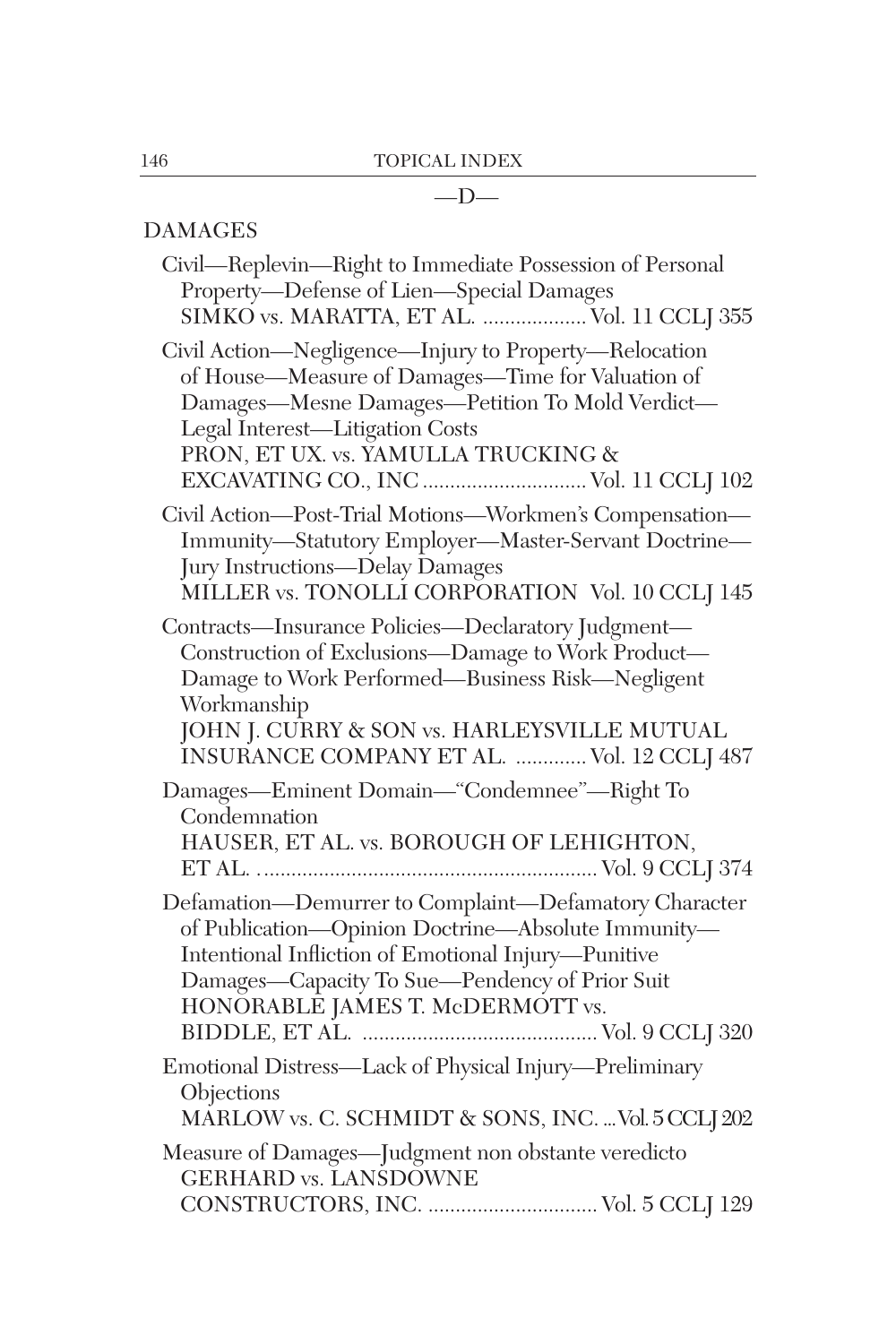## $-\mathbf{D}-$

## DAMAGES

| Civil—Replevin—Right to Immediate Possession of Personal<br>Property-Defense of Lien-Special Damages                                                                                                                                                                             |
|----------------------------------------------------------------------------------------------------------------------------------------------------------------------------------------------------------------------------------------------------------------------------------|
| SIMKO vs. MARATTA, ET AL.  Vol. 11 CCLJ 355                                                                                                                                                                                                                                      |
| Civil Action—Negligence—Injury to Property—Relocation<br>of House—Measure of Damages—Time for Valuation of<br>Damages-Mesne Damages-Petition To Mold Verdict-<br>Legal Interest-Litigation Costs<br>PRON, ET UX. vs. YAMULLA TRUCKING &<br>EXCAVATING CO., INC  Vol. 11 CCLJ 102 |
| Civil Action-Post-Trial Motions-Workmen's Compensation-<br>Immunity-Statutory Employer-Master-Servant Doctrine-<br>Jury Instructions-Delay Damages<br>MILLER vs. TONOLLI CORPORATION Vol. 10 CCLJ 145                                                                            |
| Contracts-Insurance Policies-Declaratory Judgment-<br>Construction of Exclusions-Damage to Work Product-<br>Damage to Work Performed-Business Risk-Negligent<br>Workmanship<br>JOHN J. CURRY & SON vs. HARLEYSVILLE MUTUAL<br>INSURANCE COMPANY ET AL.  Vol. 12 CCLJ 487         |
| Damages-Eminent Domain-"Condemnee"-Right To<br>Condemnation<br>HAUSER, ET AL. vs. BOROUGH OF LEHIGHTON,                                                                                                                                                                          |
| Defamation-Demurrer to Complaint-Defamatory Character<br>of Publication-Opinion Doctrine-Absolute Immunity-<br>Intentional Infliction of Emotional Injury-Punitive<br>Damages—Capacity To Sue—Pendency of Prior Suit<br>HONORABLE JAMES T. McDERMOTT vs.                         |
| Emotional Distress—Lack of Physical Injury—Preliminary<br>Objections<br>MARLOW vs. C. SCHMIDT & SONS, INC.  Vol. 5 CCLJ 202                                                                                                                                                      |
| Measure of Damages-Judgment non obstante veredicto<br><b>GERHARD vs. LANSDOWNE</b><br>CONSTRUCTORS, INC.  Vol. 5 CCLJ 129                                                                                                                                                        |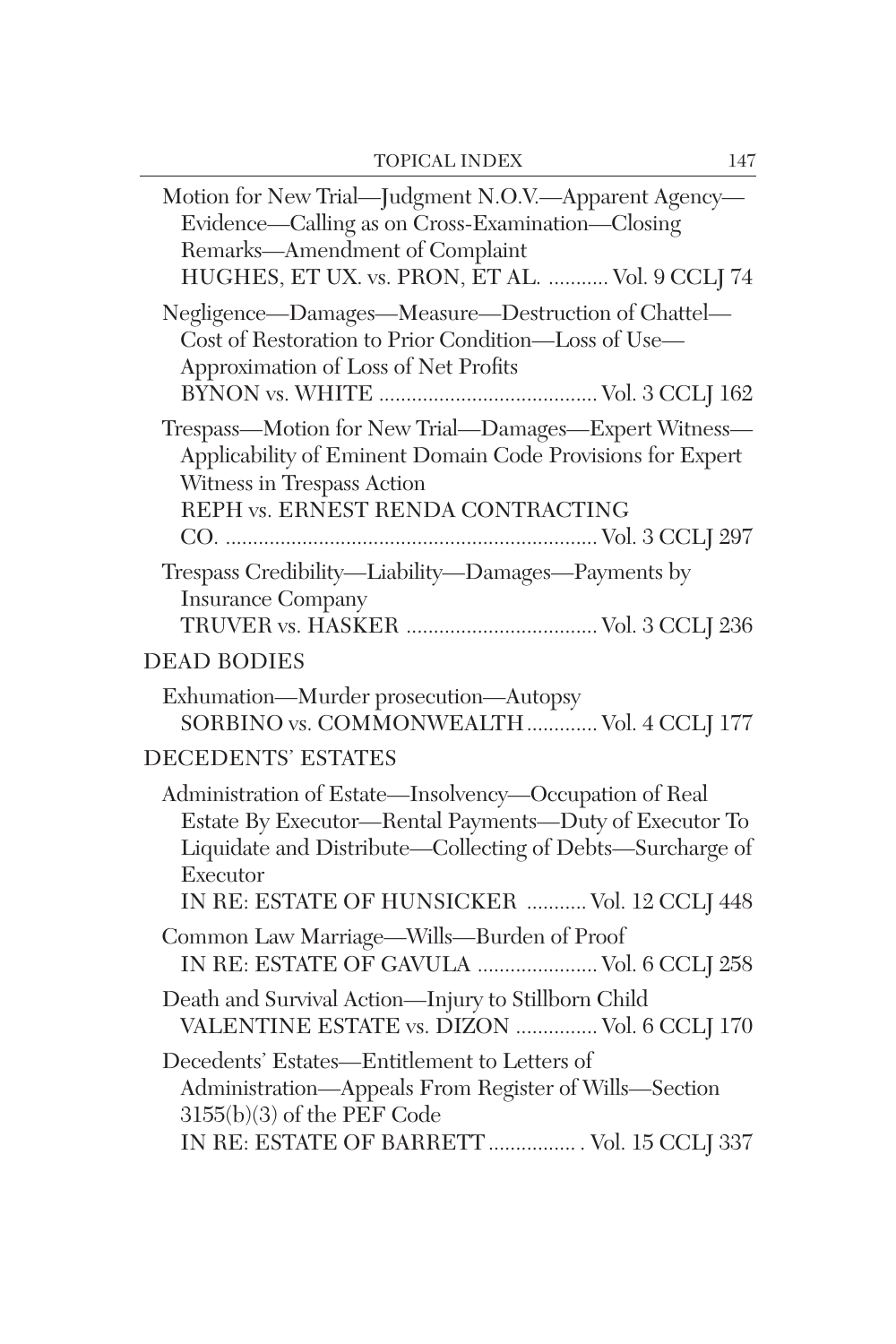| Motion for New Trial-Judgment N.O.V.-Apparent Agency-<br>Evidence—Calling as on Cross-Examination—Closing<br>Remarks-Amendment of Complaint<br>HUGHES, ET UX. vs. PRON, ET AL.  Vol. 9 CCLJ 74                                            |
|-------------------------------------------------------------------------------------------------------------------------------------------------------------------------------------------------------------------------------------------|
| Negligence-Damages-Measure-Destruction of Chattel-<br>Cost of Restoration to Prior Condition-Loss of Use-<br>Approximation of Loss of Net Profits                                                                                         |
| Trespass-Motion for New Trial-Damages-Expert Witness-<br>Applicability of Eminent Domain Code Provisions for Expert<br>Witness in Trespass Action<br>REPH vs. ERNEST RENDA CONTRACTING                                                    |
| Trespass Credibility-Liability-Damages-Payments by<br><b>Insurance Company</b>                                                                                                                                                            |
| <b>DEAD BODIES</b>                                                                                                                                                                                                                        |
| Exhumation-Murder prosecution-Autopsy<br>SORBINO vs. COMMONWEALTH  Vol. 4 CCLJ 177                                                                                                                                                        |
| <b>DECEDENTS' ESTATES</b>                                                                                                                                                                                                                 |
| Administration of Estate-Insolvency-Occupation of Real<br>Estate By Executor-Rental Payments-Duty of Executor To<br>Liquidate and Distribute—Collecting of Debts—Surcharge of<br>Executor<br>IN RE: ESTATE OF HUNSICKER  Vol. 12 CCLJ 448 |
| Common Law Marriage-Wills-Burden of Proof<br>IN RE: ESTATE OF GAVULA  Vol. 6 CCLJ 258                                                                                                                                                     |
| Death and Survival Action-Injury to Stillborn Child<br>VALENTINE ESTATE vs. DIZON  Vol. 6 CCLJ 170                                                                                                                                        |
| Decedents' Estates-Entitlement to Letters of<br>Administration-Appeals From Register of Wills-Section<br>$3155(b)(3)$ of the PEF Code<br>IN RE: ESTATE OF BARRETT  Vol. 15 CCLJ 337                                                       |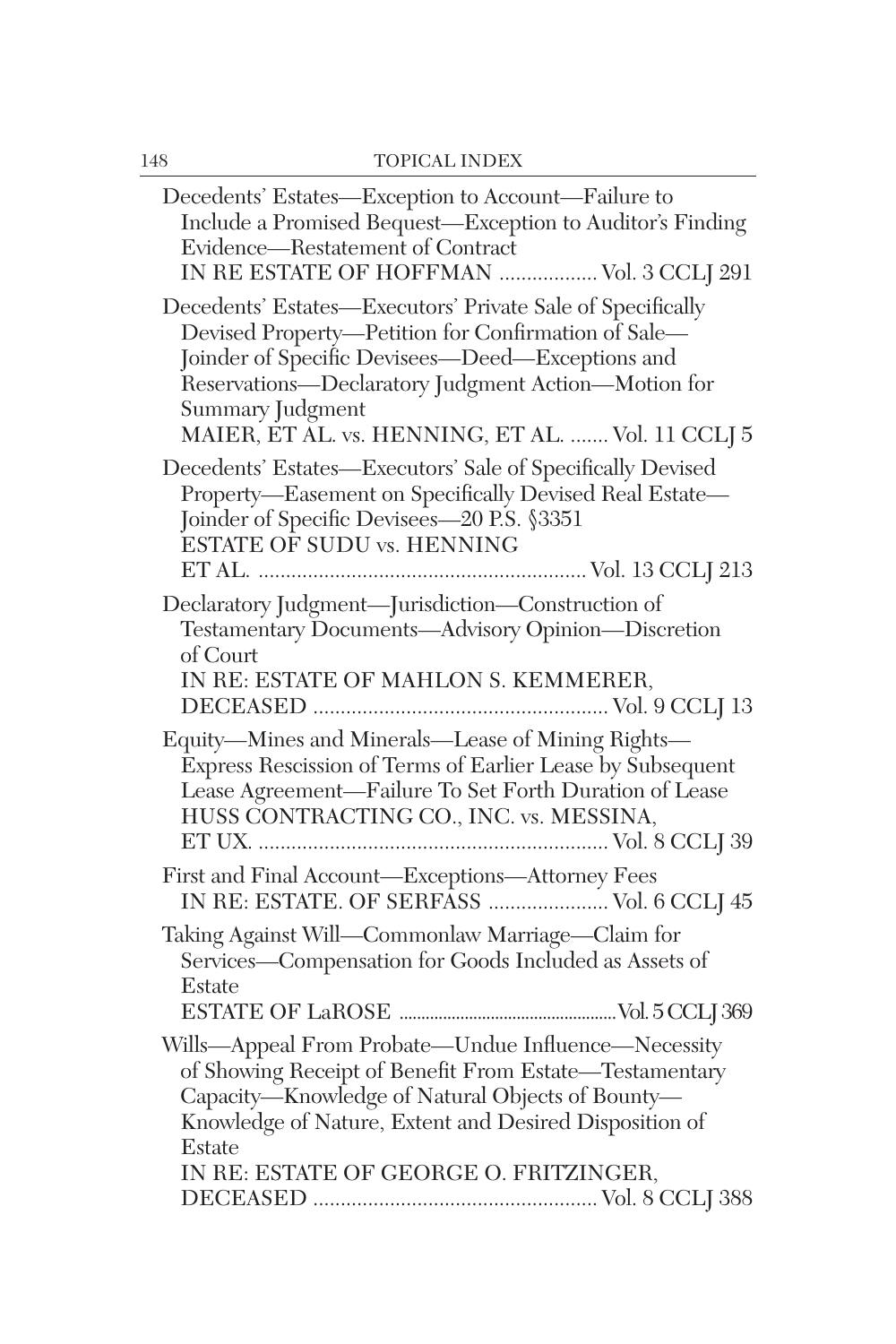| Decedents' Estates-Exception to Account-Failure to<br>Include a Promised Bequest-Exception to Auditor's Finding<br>Evidence-Restatement of Contract<br>IN RE ESTATE OF HOFFMAN  Vol. 3 CCLJ 291                                                                                                       |
|-------------------------------------------------------------------------------------------------------------------------------------------------------------------------------------------------------------------------------------------------------------------------------------------------------|
| Decedents' Estates-Executors' Private Sale of Specifically<br>Devised Property-Petition for Confirmation of Sale-<br>Joinder of Specific Devisees-Deed-Exceptions and<br>Reservations-Declaratory Judgment Action-Motion for<br>Summary Judgment<br>MAIER, ET AL. vs. HENNING, ET AL.  Vol. 11 CCLJ 5 |
| Decedents' Estates-Executors' Sale of Specifically Devised<br>Property-Easement on Specifically Devised Real Estate-<br>Joinder of Specific Devisees-20 P.S. §3351<br>ESTATE OF SUDU vs. HENNING                                                                                                      |
| Declaratory Judgment-Jurisdiction-Construction of<br>Testamentary Documents-Advisory Opinion-Discretion<br>of Court<br>IN RE: ESTATE OF MAHLON S. KEMMERER,                                                                                                                                           |
| Equity-Mines and Minerals-Lease of Mining Rights-<br>Express Rescission of Terms of Earlier Lease by Subsequent<br>Lease Agreement-Failure To Set Forth Duration of Lease<br>HUSS CONTRACTING CO., INC. vs. MESSINA,                                                                                  |
| First and Final Account-Exceptions-Attorney Fees<br>IN RE: ESTATE. OF SERFASS  Vol. 6 CCLI 45                                                                                                                                                                                                         |
| Taking Against Will-Commonlaw Marriage-Claim for<br>Services-Compensation for Goods Included as Assets of<br>Estate                                                                                                                                                                                   |
| Wills-Appeal From Probate-Undue Influence-Necessity<br>of Showing Receipt of Benefit From Estate—Testamentary<br>Capacity-Knowledge of Natural Objects of Bounty-<br>Knowledge of Nature, Extent and Desired Disposition of<br>Estate                                                                 |
| IN RE: ESTATE OF GEORGE O. FRITZINGER,                                                                                                                                                                                                                                                                |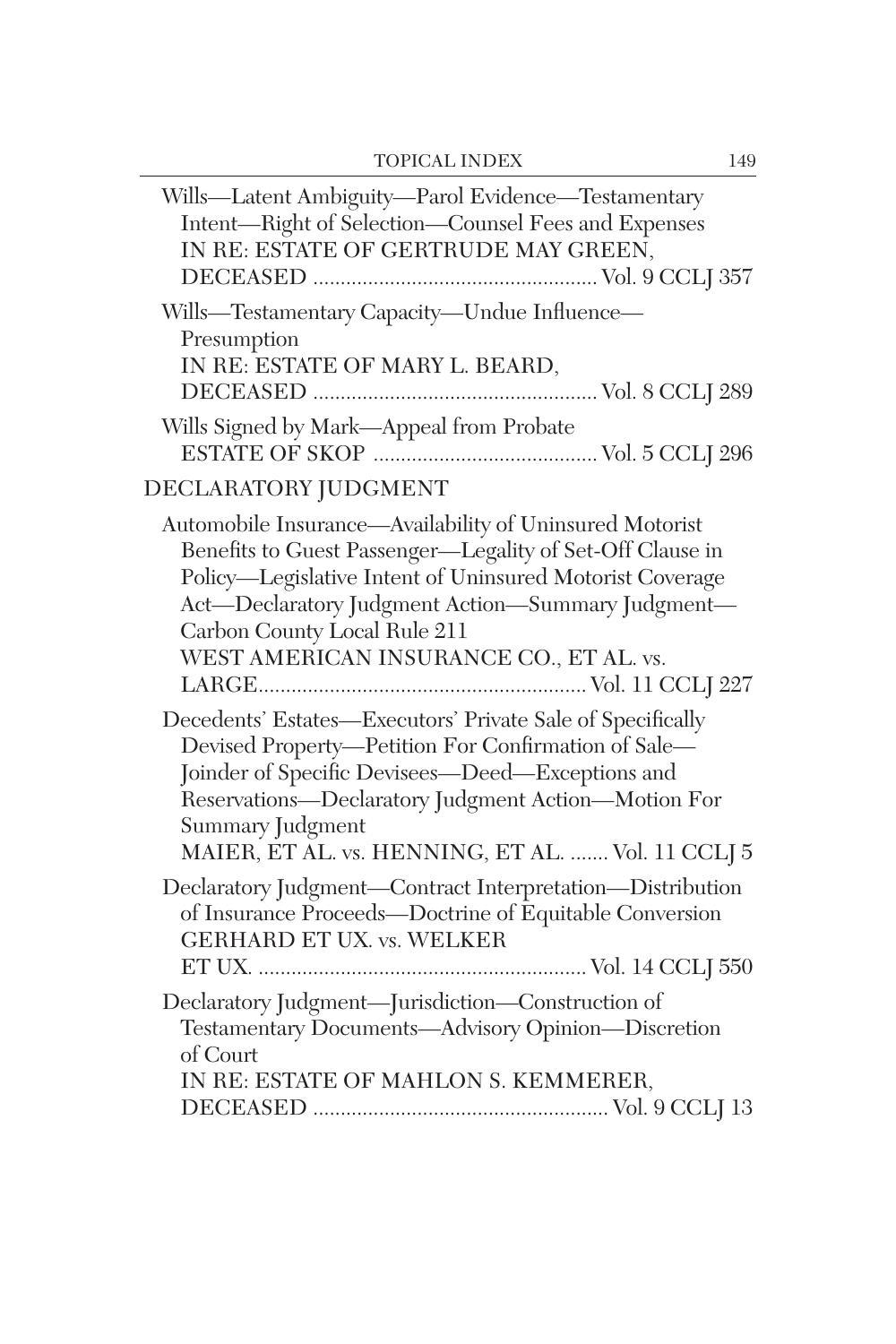| Wills-Latent Ambiguity-Parol Evidence-Testamentary<br>Intent-Right of Selection-Counsel Fees and Expenses<br>IN RE: ESTATE OF GERTRUDE MAY GREEN,                                                                                                                                                                |
|------------------------------------------------------------------------------------------------------------------------------------------------------------------------------------------------------------------------------------------------------------------------------------------------------------------|
| Wills—Testamentary Capacity—Undue Influence—<br>Presumption<br>IN RE: ESTATE OF MARY L. BEARD,                                                                                                                                                                                                                   |
| Wills Signed by Mark—Appeal from Probate                                                                                                                                                                                                                                                                         |
| DECLARATORY JUDGMENT                                                                                                                                                                                                                                                                                             |
| Automobile Insurance—Availability of Uninsured Motorist<br>Benefits to Guest Passenger-Legality of Set-Off Clause in<br>Policy-Legislative Intent of Uninsured Motorist Coverage<br>Act-Declaratory Judgment Action-Summary Judgment-<br>Carbon County Local Rule 211<br>WEST AMERICAN INSURANCE CO., ET AL. vs. |
| Decedents' Estates—Executors' Private Sale of Specifically<br>Devised Property-Petition For Confirmation of Sale-<br>Joinder of Specific Devisees-Deed-Exceptions and<br>Reservations-Declaratory Judgment Action-Motion For<br>Summary Judgment<br>MAIER, ET AL. vs. HENNING, ET AL.  Vol. 11 CCLJ 5            |
| Declaratory Judgment-Contract Interpretation-Distribution<br>of Insurance Proceeds-Doctrine of Equitable Conversion<br><b>GERHARD ET UX. vs. WELKER</b>                                                                                                                                                          |
| Declaratory Judgment-Jurisdiction-Construction of<br>Testamentary Documents-Advisory Opinion-Discretion<br>of Court<br>IN RE: ESTATE OF MAHLON S. KEMMERER,                                                                                                                                                      |
|                                                                                                                                                                                                                                                                                                                  |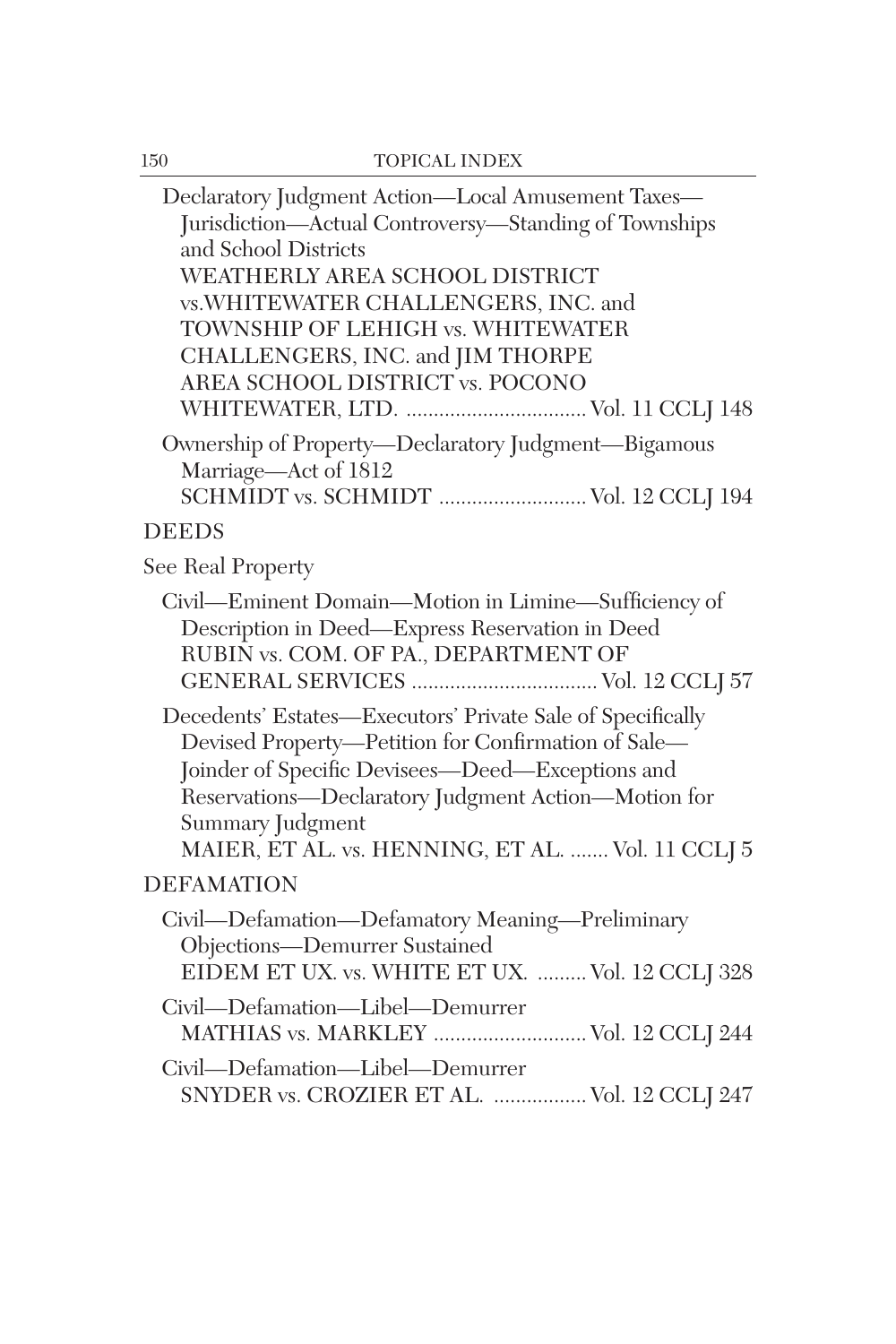| Declaratory Judgment Action-Local Amusement Taxes-<br>Jurisdiction-Actual Controversy-Standing of Townships<br>and School Districts<br>WEATHERLY AREA SCHOOL DISTRICT<br>vs. WHITEWATER CHALLENGERS, INC. and<br>TOWNSHIP OF LEHIGH vs. WHITEWATER<br>CHALLENGERS, INC. and JIM THORPE<br>AREA SCHOOL DISTRICT vs. POCONO |
|---------------------------------------------------------------------------------------------------------------------------------------------------------------------------------------------------------------------------------------------------------------------------------------------------------------------------|
| Ownership of Property-Declaratory Judgment-Bigamous<br>Marriage-Act of 1812<br>SCHMIDT vs. SCHMIDT  Vol. 12 CCLJ 194                                                                                                                                                                                                      |
| <b>DEEDS</b>                                                                                                                                                                                                                                                                                                              |
| See Real Property                                                                                                                                                                                                                                                                                                         |
| Civil—Eminent Domain—Motion in Limine—Sufficiency of<br>Description in Deed-Express Reservation in Deed<br>RUBIN vs. COM. OF PA., DEPARTMENT OF                                                                                                                                                                           |
| Decedents' Estates—Executors' Private Sale of Specifically<br>Devised Property-Petition for Confirmation of Sale-<br>Joinder of Specific Devisees-Deed-Exceptions and<br>Reservations-Declaratory Judgment Action-Motion for<br>Summary Judgment<br>MAIER, ET AL. vs. HENNING, ET AL.  Vol. 11 CCLJ 5                     |
| <b>DEFAMATION</b>                                                                                                                                                                                                                                                                                                         |
| Civil—Defamation—Defamatory Meaning—Preliminary<br>Objections-Demurrer Sustained<br>EIDEM ET UX. vs. WHITE ET UX.  Vol. 12 CCLJ 328                                                                                                                                                                                       |
| Civil-Defamation-Libel-Demurrer<br>MATHIAS vs. MARKLEY  Vol. 12 CCLJ 244                                                                                                                                                                                                                                                  |
| Civil-Defamation-Libel-Demurrer<br>SNYDER vs. CROZIER ET AL.  Vol. 12 CCLJ 247                                                                                                                                                                                                                                            |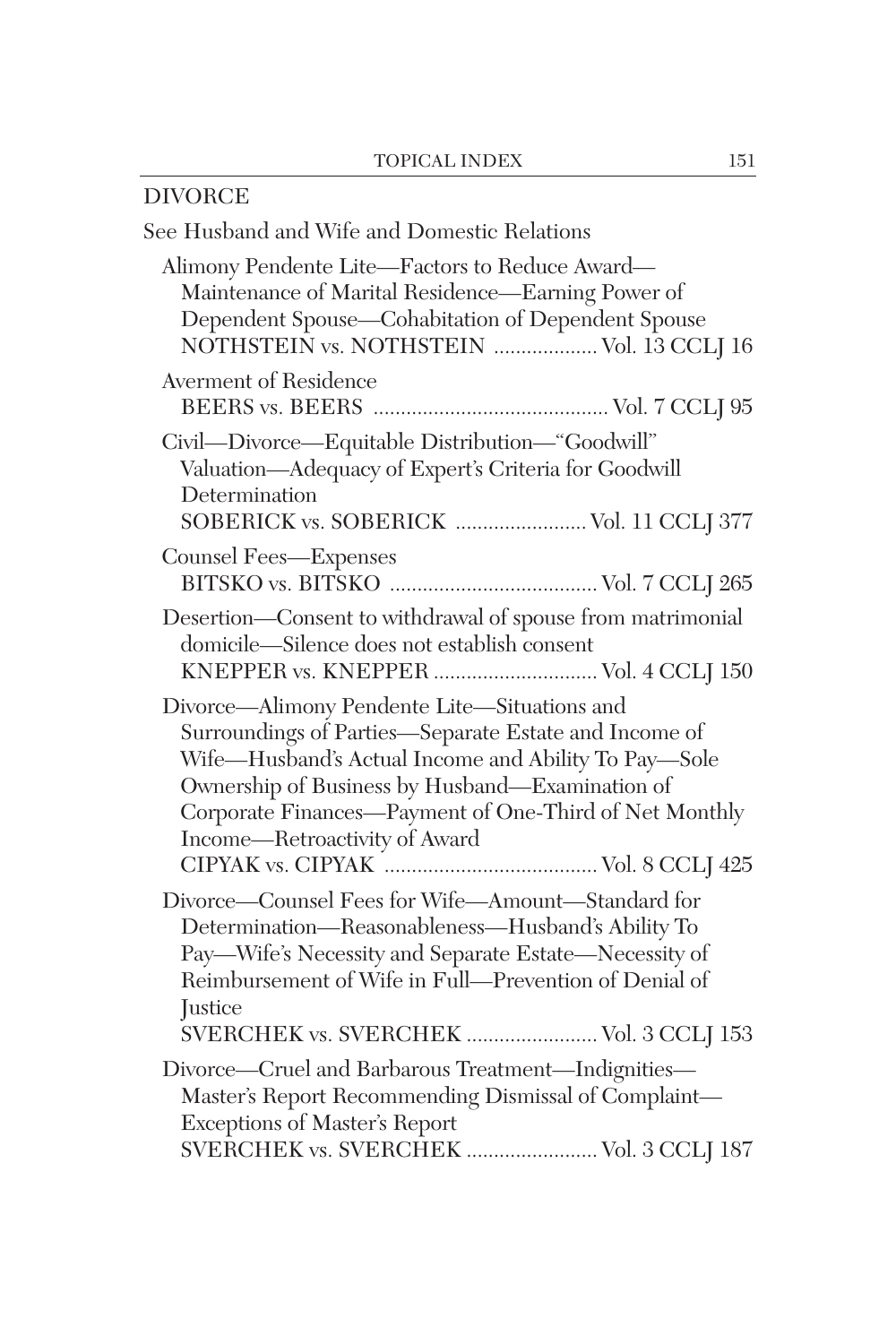| DIVORCE                                                                                                                                                                                                                                                                                                     |
|-------------------------------------------------------------------------------------------------------------------------------------------------------------------------------------------------------------------------------------------------------------------------------------------------------------|
| See Husband and Wife and Domestic Relations                                                                                                                                                                                                                                                                 |
| Alimony Pendente Lite-Factors to Reduce Award-<br>Maintenance of Marital Residence-Earning Power of<br>Dependent Spouse-Cohabitation of Dependent Spouse<br>NOTHSTEIN vs. NOTHSTEIN  Vol. 13 CCLJ 16                                                                                                        |
| <b>Averment of Residence</b>                                                                                                                                                                                                                                                                                |
| Civil-Divorce-Equitable Distribution-"Goodwill"<br>Valuation-Adequacy of Expert's Criteria for Goodwill<br>Determination<br>SOBERICK vs. SOBERICK  Vol. 11 CCLJ 377                                                                                                                                         |
| Counsel Fees-Expenses                                                                                                                                                                                                                                                                                       |
| Desertion-Consent to withdrawal of spouse from matrimonial<br>domicile-Silence does not establish consent<br>KNEPPER vs. KNEPPER  Vol. 4 CCLJ 150                                                                                                                                                           |
| Divorce-Alimony Pendente Lite-Situations and<br>Surroundings of Parties-Separate Estate and Income of<br>Wife-Husband's Actual Income and Ability To Pay-Sole<br>Ownership of Business by Husband-Examination of<br>Corporate Finances-Payment of One-Third of Net Monthly<br>Income-Retroactivity of Award |
| Divorce-Counsel Fees for Wife-Amount-Standard for<br>Determination-Reasonableness-Husband's Ability To<br>Pay-Wife's Necessity and Separate Estate-Necessity of<br>Reimbursement of Wife in Full-Prevention of Denial of<br>Justice<br>SVERCHEK vs. SVERCHEK  Vol. 3 CCLJ 153                               |
| Divorce—Cruel and Barbarous Treatment—Indignities—<br>Master's Report Recommending Dismissal of Complaint-<br>Exceptions of Master's Report<br>SVERCHEK vs. SVERCHEK  Vol. 3 CCLJ 187                                                                                                                       |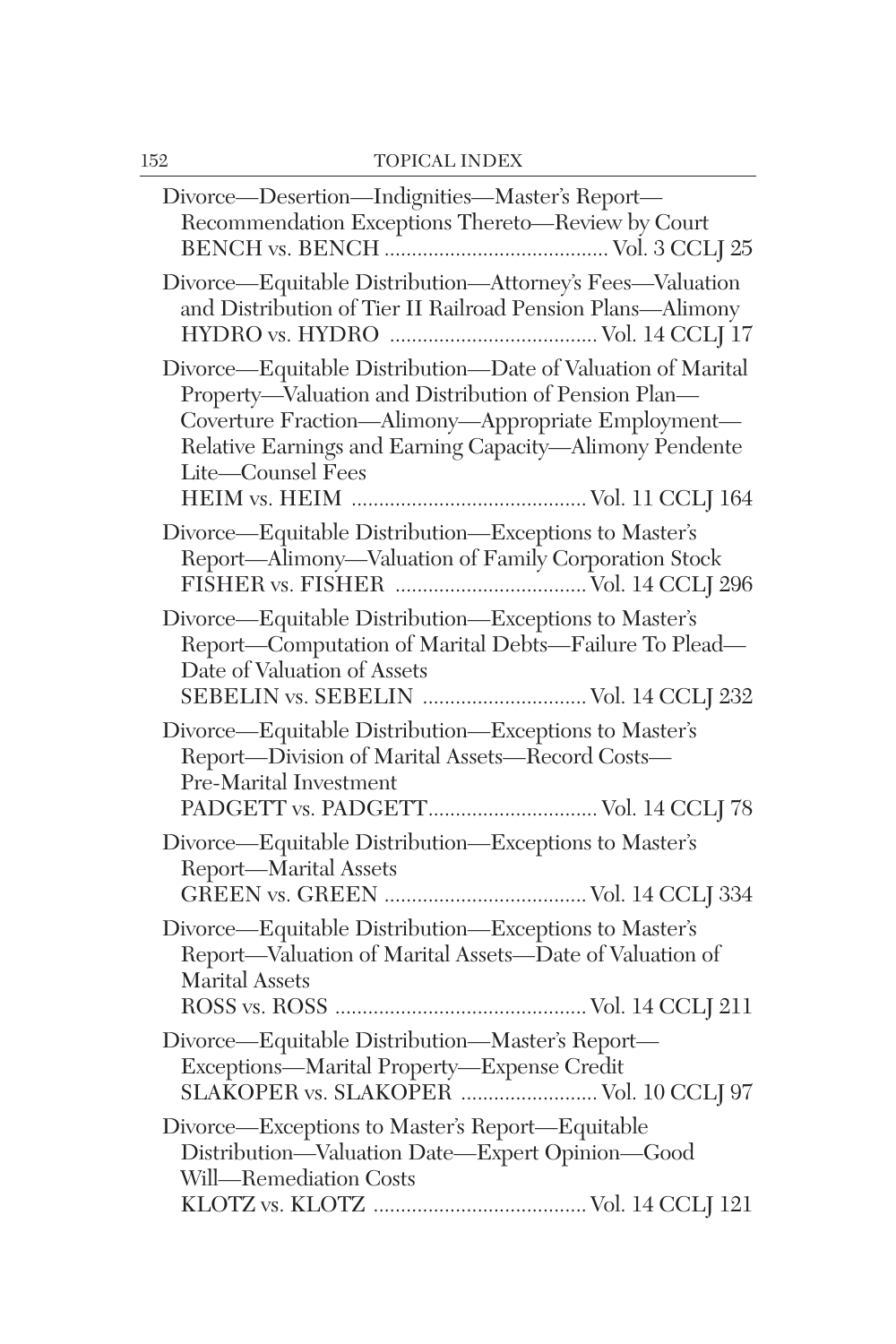| Divorce-Desertion-Indignities-Master's Report-<br>Recommendation Exceptions Thereto-Review by Court                                                                                                                                                       |
|-----------------------------------------------------------------------------------------------------------------------------------------------------------------------------------------------------------------------------------------------------------|
| Divorce-Equitable Distribution-Attorney's Fees-Valuation<br>and Distribution of Tier II Railroad Pension Plans-Alimony                                                                                                                                    |
| Divorce-Equitable Distribution-Date of Valuation of Marital<br>Property-Valuation and Distribution of Pension Plan-<br>Coverture Fraction-Alimony-Appropriate Employment-<br>Relative Earnings and Earning Capacity-Alimony Pendente<br>Lite-Counsel Fees |
| Divorce-Equitable Distribution-Exceptions to Master's<br>Report-Alimony-Valuation of Family Corporation Stock                                                                                                                                             |
| Divorce-Equitable Distribution-Exceptions to Master's<br>Report-Computation of Marital Debts-Failure To Plead-<br>Date of Valuation of Assets<br>SEBELIN vs. SEBELIN  Vol. 14 CCLJ 232                                                                    |
| Divorce-Equitable Distribution-Exceptions to Master's<br>Report-Division of Marital Assets-Record Costs-<br>Pre-Marital Investment<br>PADGETT vs. PADGETT Vol. 14 CCLJ 78                                                                                 |
| Divorce-Equitable Distribution-Exceptions to Master's<br>Report-Marital Assets                                                                                                                                                                            |
| Divorce—Equitable Distribution—Exceptions to Master's<br>Report-Valuation of Marital Assets-Date of Valuation of<br><b>Marital Assets</b>                                                                                                                 |
| Divorce-Equitable Distribution-Master's Report-<br>Exceptions—Marital Property—Expense Credit<br>SLAKOPER vs. SLAKOPER  Vol. 10 CCLJ 97                                                                                                                   |
| Divorce-Exceptions to Master's Report-Equitable<br>Distribution-Valuation Date-Expert Opinion-Good<br>Will-Remediation Costs                                                                                                                              |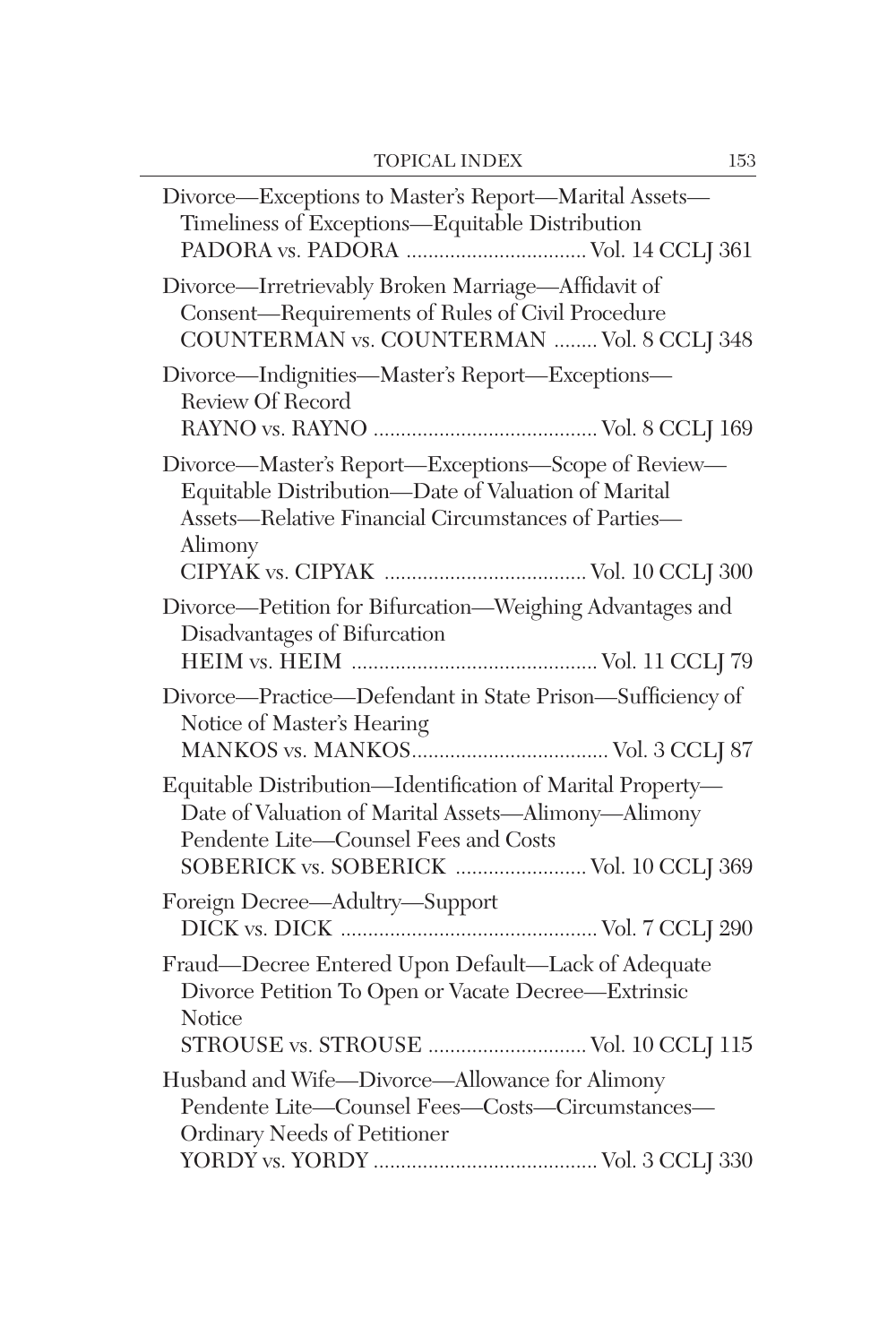| Divorce-Exceptions to Master's Report-Marital Assets-<br>Timeliness of Exceptions—Equitable Distribution                                                                                             |
|------------------------------------------------------------------------------------------------------------------------------------------------------------------------------------------------------|
| Divorce—Irretrievably Broken Marriage—Affidavit of<br>Consent-Requirements of Rules of Civil Procedure<br>COUNTERMAN vs. COUNTERMAN  Vol. 8 CCLJ 348                                                 |
| Divorce-Indignities-Master's Report-Exceptions-<br>Review Of Record                                                                                                                                  |
| Divorce—Master's Report—Exceptions—Scope of Review—<br>Equitable Distribution-Date of Valuation of Marital<br>Assets-Relative Financial Circumstances of Parties-<br>Alimony                         |
| Divorce-Petition for Bifurcation-Weighing Advantages and<br>Disadvantages of Bifurcation                                                                                                             |
| Divorce-Practice-Defendant in State Prison-Sufficiency of<br>Notice of Master's Hearing                                                                                                              |
| Equitable Distribution-Identification of Marital Property-<br>Date of Valuation of Marital Assets-Alimony-Alimony<br>Pendente Lite-Counsel Fees and Costs<br>SOBERICK vs. SOBERICK  Vol. 10 CCLJ 369 |
| Foreign Decree-Adultry-Support                                                                                                                                                                       |
| Fraud-Decree Entered Upon Default-Lack of Adequate<br>Divorce Petition To Open or Vacate Decree-Extrinsic<br>Notice<br>STROUSE vs. STROUSE  Vol. 10 CCLJ 115                                         |
| Husband and Wife-Divorce-Allowance for Alimony<br>Pendente Lite-Counsel Fees-Costs-Circumstances-<br>Ordinary Needs of Petitioner                                                                    |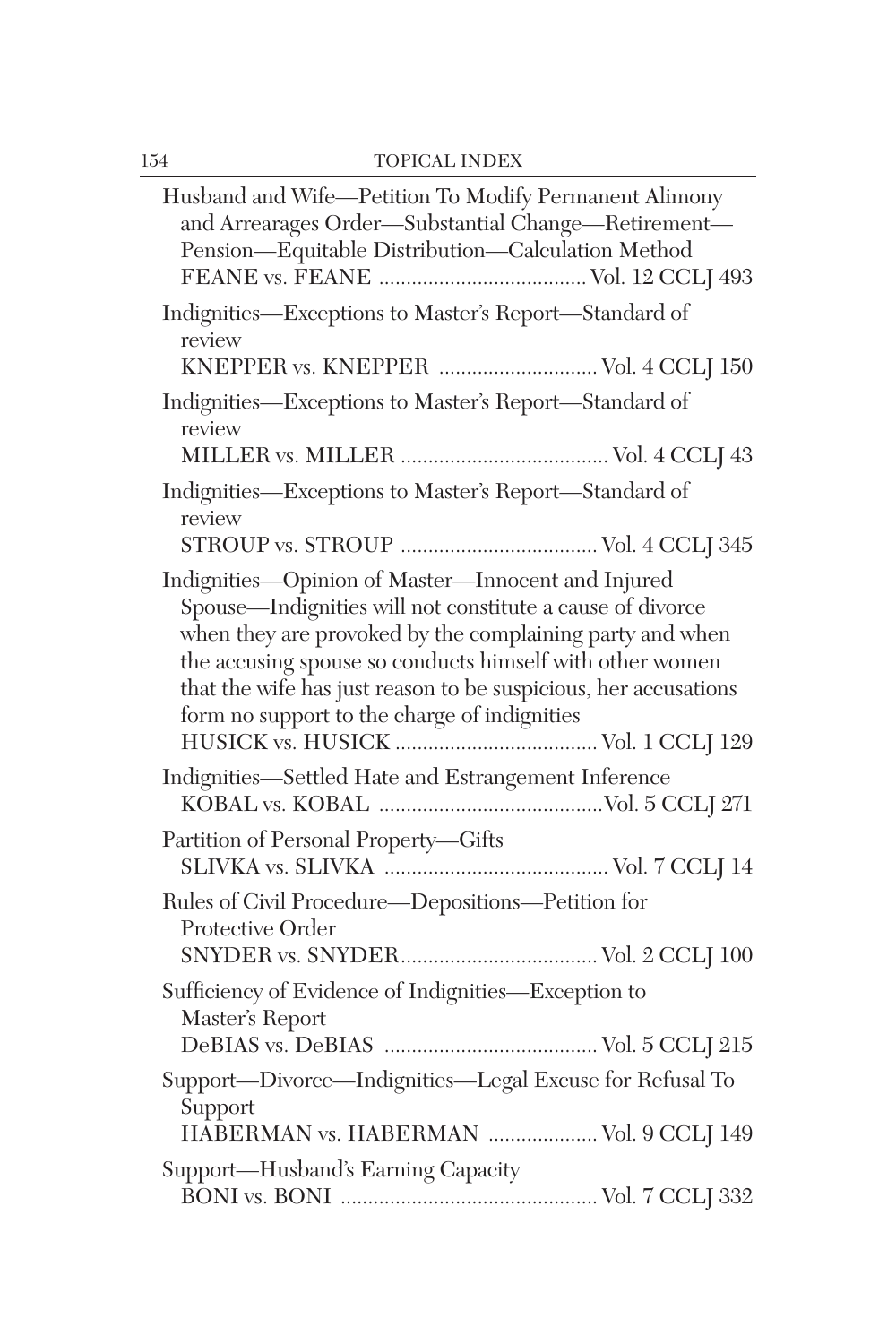| Husband and Wife-Petition To Modify Permanent Alimony<br>and Arrearages Order-Substantial Change-Retirement-<br>Pension-Equitable Distribution-Calculation Method                                                                                                                                                                                          |
|------------------------------------------------------------------------------------------------------------------------------------------------------------------------------------------------------------------------------------------------------------------------------------------------------------------------------------------------------------|
| Indignities-Exceptions to Master's Report-Standard of<br>review<br>KNEPPER vs. KNEPPER  Vol. 4 CCLJ 150                                                                                                                                                                                                                                                    |
| Indignities-Exceptions to Master's Report-Standard of<br>review                                                                                                                                                                                                                                                                                            |
| Indignities-Exceptions to Master's Report-Standard of<br>review                                                                                                                                                                                                                                                                                            |
| Indignities-Opinion of Master-Innocent and Injured<br>Spouse-Indignities will not constitute a cause of divorce<br>when they are provoked by the complaining party and when<br>the accusing spouse so conducts himself with other women<br>that the wife has just reason to be suspicious, her accusations<br>form no support to the charge of indignities |
| Indignities-Settled Hate and Estrangement Inference                                                                                                                                                                                                                                                                                                        |
| Partition of Personal Property—Gifts                                                                                                                                                                                                                                                                                                                       |
| Rules of Civil Procedure-Depositions-Petition for<br>Protective Order                                                                                                                                                                                                                                                                                      |
| Sufficiency of Evidence of Indignities-Exception to<br>Master's Report                                                                                                                                                                                                                                                                                     |
| Support-Divorce-Indignities-Legal Excuse for Refusal To<br>Support<br>HABERMAN vs. HABERMAN  Vol. 9 CCLJ 149                                                                                                                                                                                                                                               |
| Support-Husband's Earning Capacity                                                                                                                                                                                                                                                                                                                         |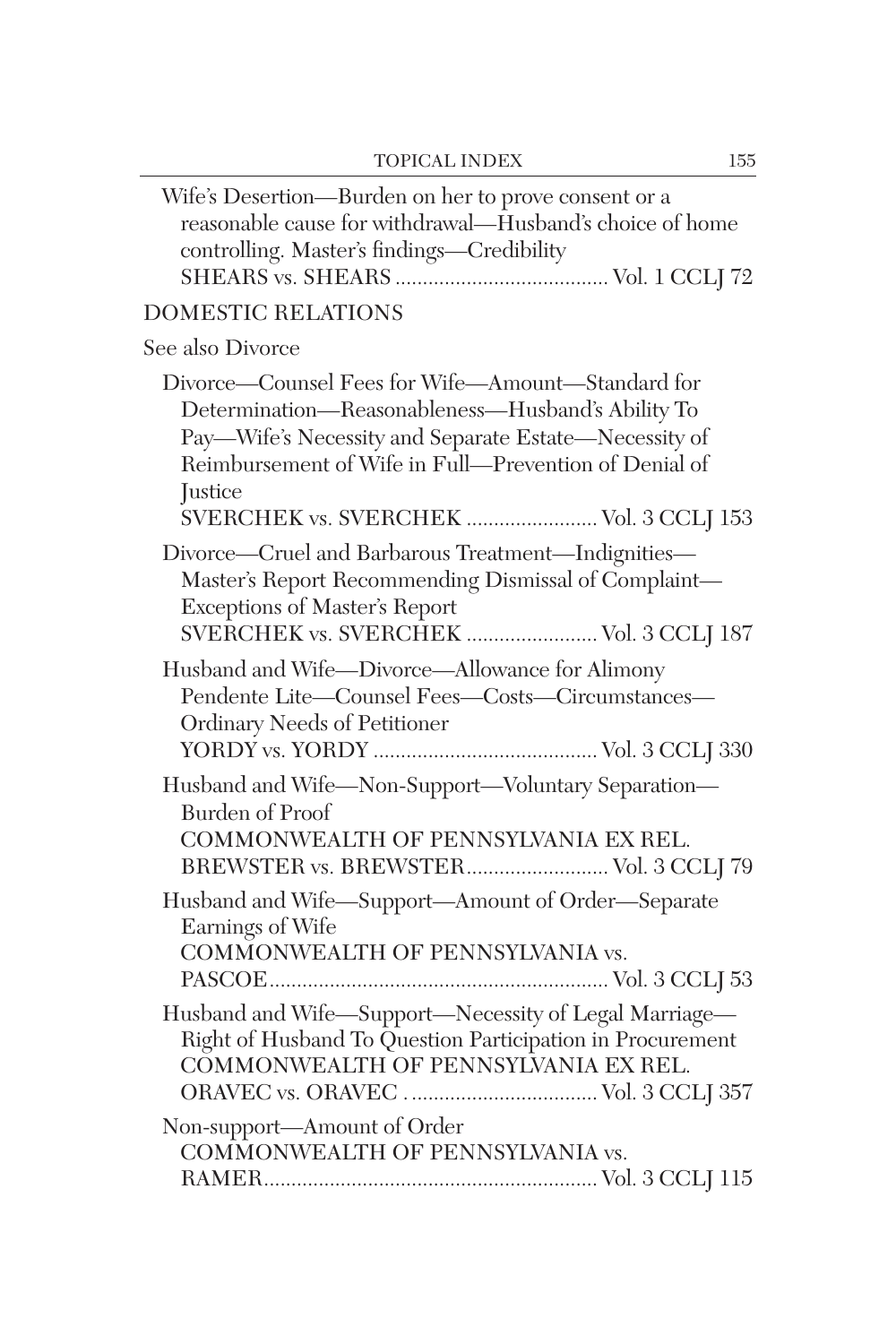| Wife's Desertion-Burden on her to prove consent or a<br>reasonable cause for withdrawal—Husband's choice of home<br>controlling. Master's findings-Credibility                                                                                                                     |
|------------------------------------------------------------------------------------------------------------------------------------------------------------------------------------------------------------------------------------------------------------------------------------|
| <b>DOMESTIC RELATIONS</b>                                                                                                                                                                                                                                                          |
| See also Divorce                                                                                                                                                                                                                                                                   |
| Divorce-Counsel Fees for Wife-Amount-Standard for<br>Determination-Reasonableness-Husband's Ability To<br>Pay—Wife's Necessity and Separate Estate—Necessity of<br>Reimbursement of Wife in Full-Prevention of Denial of<br>Justice<br>.<br>SVERCHEK vs. SVERCHEK  Vol. 3 CCLJ 153 |
| Divorce-Cruel and Barbarous Treatment-Indignities-<br>Master's Report Recommending Dismissal of Complaint-<br>Exceptions of Master's Report<br>SVERCHEK vs. SVERCHEK  Vol. 3 CCLJ 187                                                                                              |
| Husband and Wife-Divorce-Allowance for Alimony<br>Pendente Lite-Counsel Fees-Costs-Circumstances-<br>Ordinary Needs of Petitioner                                                                                                                                                  |
| Husband and Wife-Non-Support-Voluntary Separation-<br><b>Burden</b> of Proof<br>COMMONWEALTH OF PENNSYLVANIA EX REL.<br>BREWSTER vs. BREWSTER Vol. 3 CCLJ 79                                                                                                                       |
| Husband and Wife-Support-Amount of Order-Separate<br>Earnings of Wife<br>COMMONWEALTH OF PENNSYLVANIA vs.                                                                                                                                                                          |
| Husband and Wife-Support-Necessity of Legal Marriage-<br>Right of Husband To Question Participation in Procurement<br>COMMONWEALTH OF PENNSYLVANIA EX REL.                                                                                                                         |
| Non-support-Amount of Order<br>COMMONWEALTH OF PENNSYLVANIA vs.                                                                                                                                                                                                                    |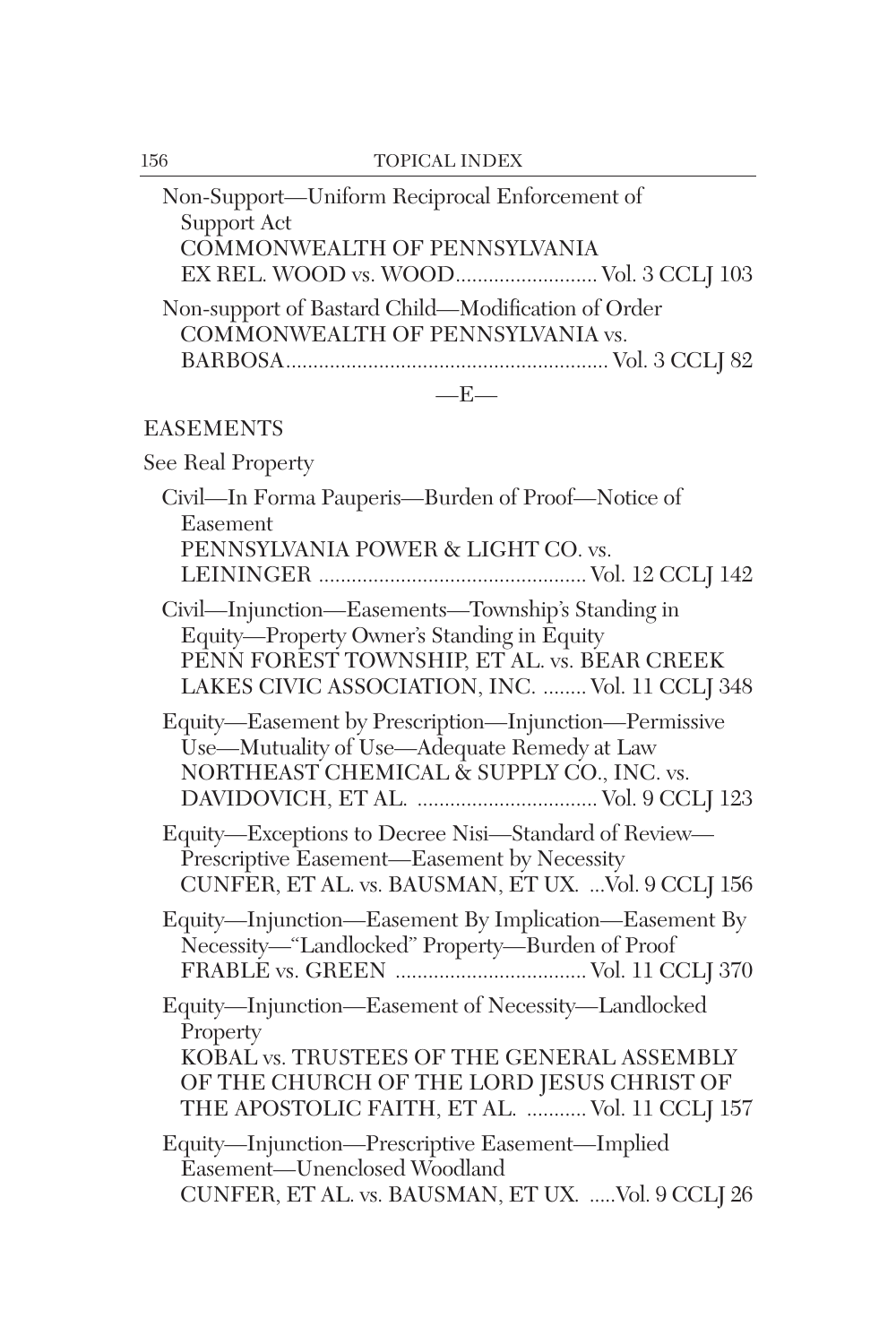| 156 | <b>TOPICAL INDEX</b>                                                                                                                                                                              |
|-----|---------------------------------------------------------------------------------------------------------------------------------------------------------------------------------------------------|
|     | Non-Support-Uniform Reciprocal Enforcement of<br>Support Act                                                                                                                                      |
|     | COMMONWEALTH OF PENNSYLVANIA<br>EX REL. WOOD vs. WOOD Vol. 3 CCLJ 103                                                                                                                             |
|     | Non-support of Bastard Child-Modification of Order<br>COMMONWEALTH OF PENNSYLVANIA vs.                                                                                                            |
|     | $-E-$                                                                                                                                                                                             |
|     | <b>EASEMENTS</b>                                                                                                                                                                                  |
|     | See Real Property                                                                                                                                                                                 |
|     | Civil-In Forma Pauperis-Burden of Proof-Notice of<br>Easement<br>PENNSYLVANIA POWER & LIGHT CO. vs.                                                                                               |
|     |                                                                                                                                                                                                   |
|     | Civil-Injunction-Easements-Township's Standing in<br>Equity-Property Owner's Standing in Equity<br>PENN FOREST TOWNSHIP, ET AL. vs. BEAR CREEK<br>LAKES CIVIC ASSOCIATION, INC.  Vol. 11 CCLJ 348 |
|     | Equity-Easement by Prescription-Injunction-Permissive<br>Use—Mutuality of Use—Adequate Remedy at Law<br>NORTHEAST CHEMICAL & SUPPLY CO., INC. vs.                                                 |
|     | Equity-Exceptions to Decree Nisi-Standard of Review-<br>Prescriptive Easement-Easement by Necessity<br>CUNFER, ET AL. vs. BAUSMAN, ET UX.  Vol. 9 CCLJ 156                                        |
|     | Equity-Injunction-Easement By Implication-Easement By<br>Necessity-"Landlocked" Property-Burden of Proof                                                                                          |
|     | Equity-Injunction-Easement of Necessity-Landlocked<br>Property<br>KOBAL vs. TRUSTEES OF THE GENERAL ASSEMBLY                                                                                      |
|     | OF THE CHURCH OF THE LORD JESUS CHRIST OF<br>THE APOSTOLIC FAITH, ET AL.  Vol. 11 CCLJ 157                                                                                                        |
|     | Equity-Injunction-Prescriptive Easement-Implied<br>Easement-Unenclosed Woodland                                                                                                                   |
|     | CUNFER, ET AL. vs. BAUSMAN, ET UX. Vol. 9 CCLJ 26                                                                                                                                                 |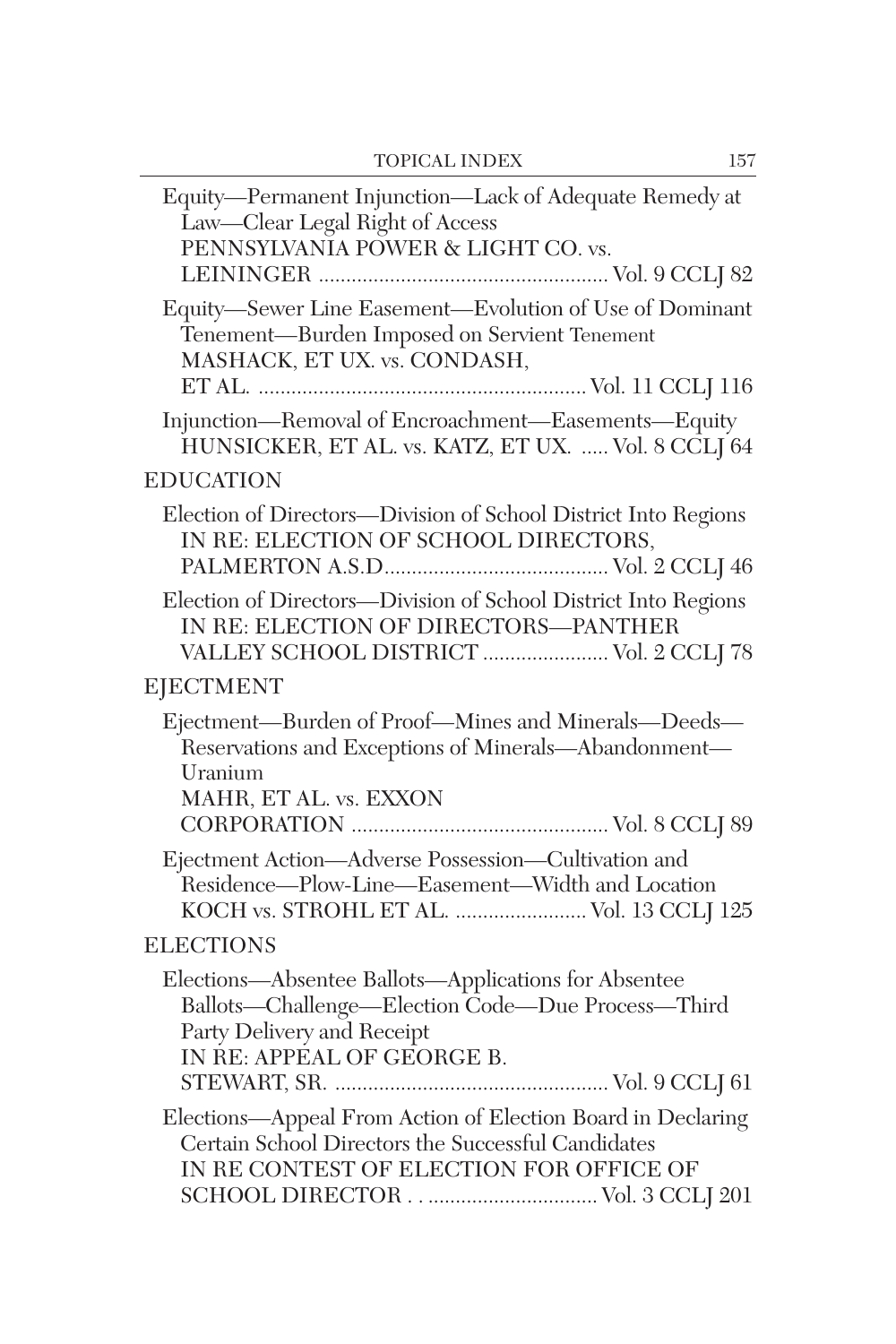| Equity-Permanent Injunction-Lack of Adequate Remedy at<br>Law-Clear Legal Right of Access<br>PENNSYLVANIA POWER & LIGHT CO. vs.                                       |
|-----------------------------------------------------------------------------------------------------------------------------------------------------------------------|
| Equity-Sewer Line Easement-Evolution of Use of Dominant<br>Tenement-Burden Imposed on Servient Tenement<br>MASHACK, ET UX. vs. CONDASH,                               |
| Injunction-Removal of Encroachment-Easements-Equity<br>HUNSICKER, ET AL. vs. KATZ, ET UX.  Vol. 8 CCLJ 64                                                             |
| <b>EDUCATION</b>                                                                                                                                                      |
| Election of Directors-Division of School District Into Regions<br>IN RE: ELECTION OF SCHOOL DIRECTORS,                                                                |
| Election of Directors-Division of School District Into Regions<br>IN RE: ELECTION OF DIRECTORS-PANTHER<br>VALLEY SCHOOL DISTRICT  Vol. 2 CCLJ 78                      |
| EJECTMENT                                                                                                                                                             |
| Ejectment-Burden of Proof-Mines and Minerals-Deeds-<br>Reservations and Exceptions of Minerals-Abandonment-<br>Uranium<br>MAHR, ET AL. vs. EXXON                      |
| Ejectment Action-Adverse Possession-Cultivation and<br>Residence-Plow-Line-Easement-Width and Location<br>KOCH vs. STROHL ET AL.  Vol. 13 CCLJ 125                    |
| <b>ELECTIONS</b>                                                                                                                                                      |
| Elections-Absentee Ballots-Applications for Absentee<br>Ballots-Challenge-Election Code-Due Process-Third<br>Party Delivery and Receipt<br>IN RE: APPEAL OF GEORGE B. |
| Elections-Appeal From Action of Election Board in Declaring<br>Certain School Directors the Successful Candidates<br>IN RE CONTEST OF ELECTION FOR OFFICE OF          |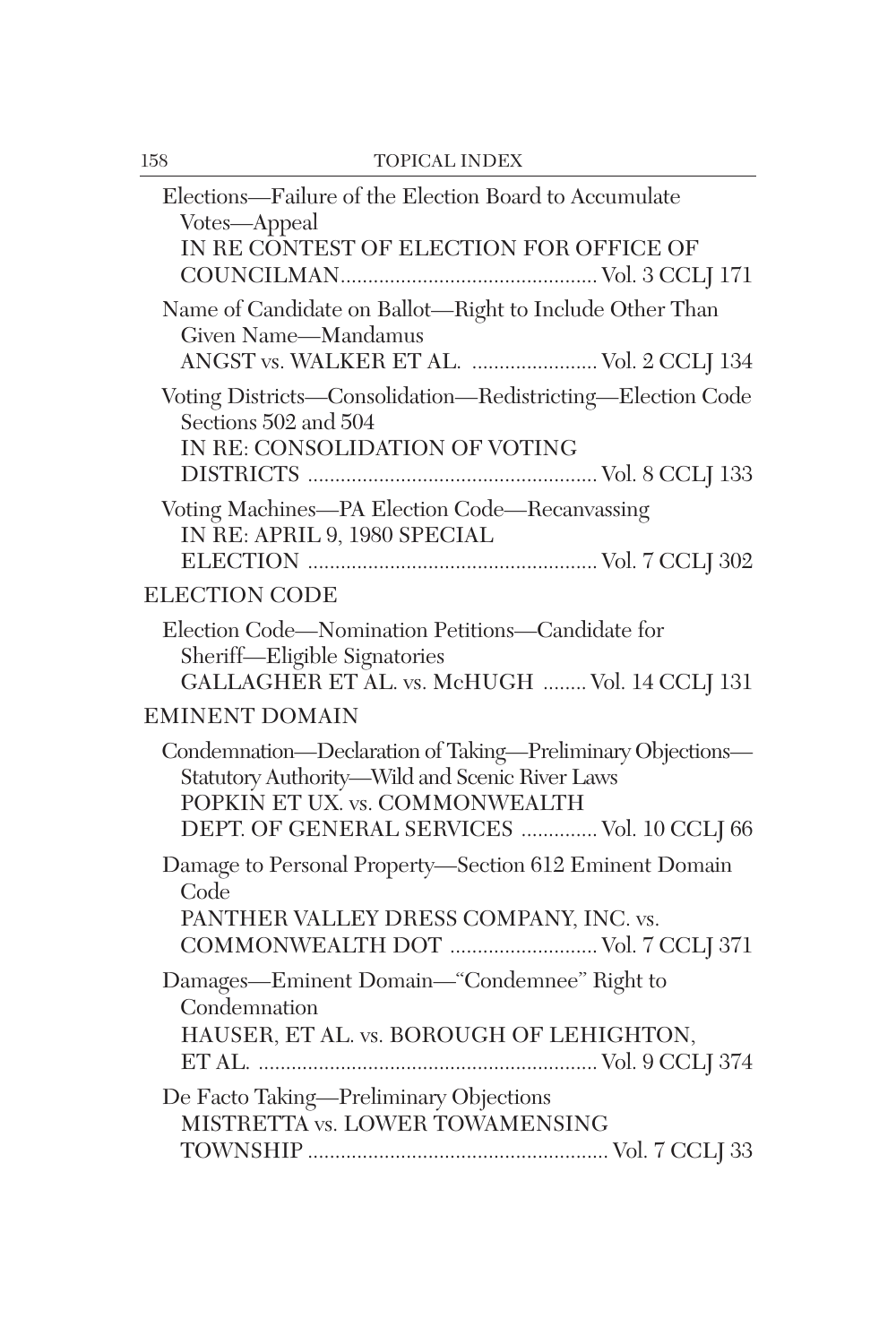| 158 | <b>TOPICAL INDEX</b>                                                                                                                                                                         |
|-----|----------------------------------------------------------------------------------------------------------------------------------------------------------------------------------------------|
|     | Elections—Failure of the Election Board to Accumulate<br>Votes-Appeal<br>IN RE CONTEST OF ELECTION FOR OFFICE OF                                                                             |
|     | Name of Candidate on Ballot-Right to Include Other Than<br>Given Name-Mandamus<br>ANGST vs. WALKER ET AL.  Vol. 2 CCLJ 134                                                                   |
|     | Voting Districts-Consolidation-Redistricting-Election Code<br>Sections 502 and 504<br>IN RE: CONSOLIDATION OF VOTING                                                                         |
|     | Voting Machines-PA Election Code-Recanvassing<br>IN RE: APRIL 9, 1980 SPECIAL                                                                                                                |
|     | <b>ELECTION CODE</b>                                                                                                                                                                         |
|     | Election Code—Nomination Petitions—Candidate for<br>Sheriff-Eligible Signatories<br>GALLAGHER ET AL. vs. McHUGH  Vol. 14 CCLJ 131                                                            |
|     | <b>EMINENT DOMAIN</b>                                                                                                                                                                        |
|     | Condemnation-Declaration of Taking-Preliminary Objections-<br>Statutory Authority-Wild and Scenic River Laws<br>POPKIN ET UX. vs. COMMONWEALTH<br>DEPT. OF GENERAL SERVICES  Vol. 10 CCLJ 66 |
|     | Damage to Personal Property-Section 612 Eminent Domain<br>Code<br>PANTHER VALLEY DRESS COMPANY, INC. vs.<br>COMMONWEALTH DOT  Vol. 7 CCLJ 371                                                |
|     | Damages-Eminent Domain-"Condemnee" Right to<br>Condemnation<br>HAUSER, ET AL. vs. BOROUGH OF LEHIGHTON,                                                                                      |
|     | De Facto Taking-Preliminary Objections<br>MISTRETTA vs. LOWER TOWAMENSING                                                                                                                    |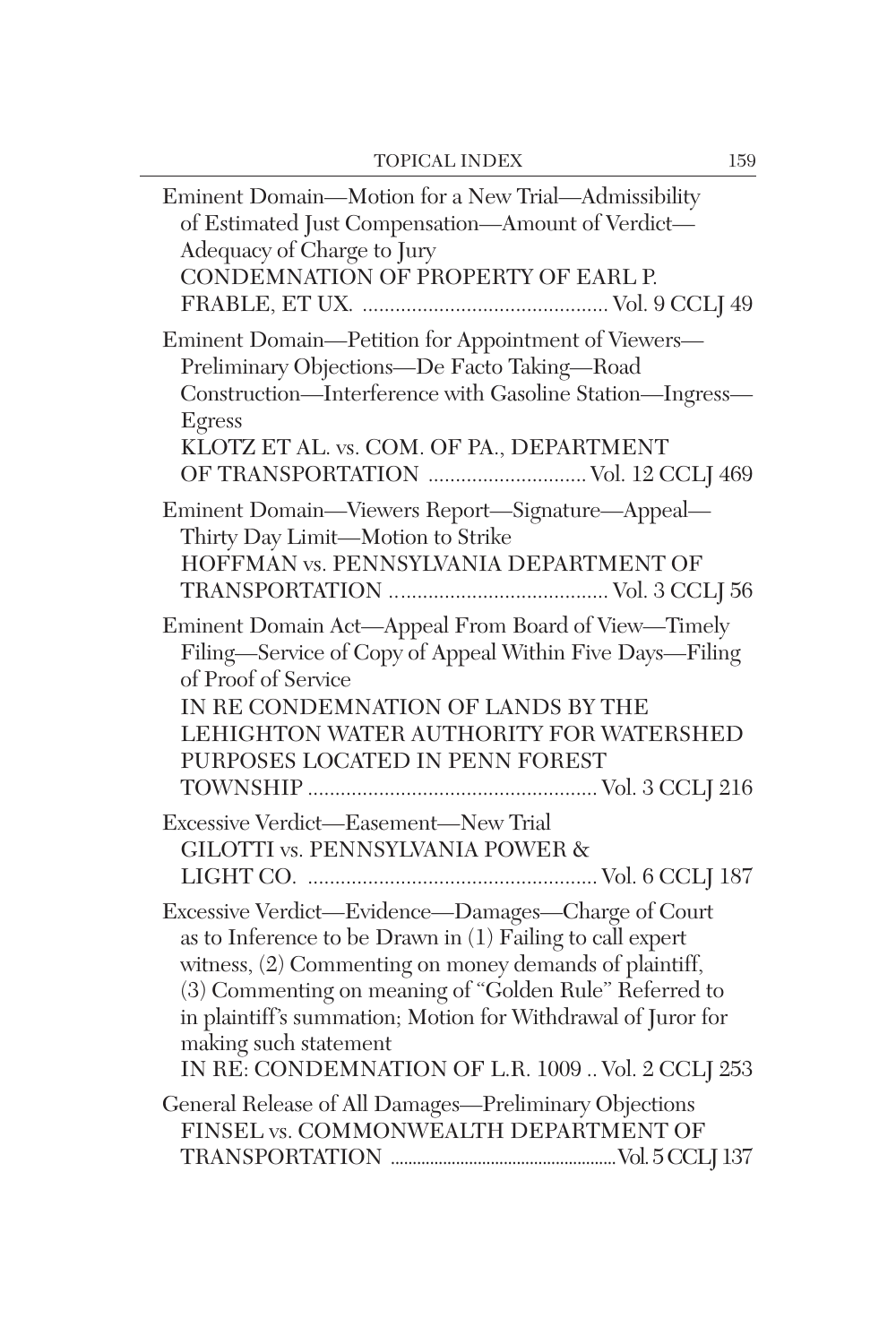| Eminent Domain-Motion for a New Trial-Admissibility<br>of Estimated Just Compensation-Amount of Verdict-<br>Adequacy of Charge to Jury<br>CONDEMNATION OF PROPERTY OF EARL P.                                                                                                                                                                                                     |
|-----------------------------------------------------------------------------------------------------------------------------------------------------------------------------------------------------------------------------------------------------------------------------------------------------------------------------------------------------------------------------------|
| Eminent Domain-Petition for Appointment of Viewers-<br>Preliminary Objections-De Facto Taking-Road<br>Construction-Interference with Gasoline Station-Ingress-<br>Egress<br>KLOTZ ET AL. vs. COM. OF PA., DEPARTMENT                                                                                                                                                              |
| Eminent Domain-Viewers Report-Signature-Appeal-<br>Thirty Day Limit-Motion to Strike<br>HOFFMAN vs. PENNSYLVANIA DEPARTMENT OF                                                                                                                                                                                                                                                    |
| Eminent Domain Act-Appeal From Board of View-Timely<br>Filing-Service of Copy of Appeal Within Five Days-Filing<br>of Proof of Service<br>IN RE CONDEMNATION OF LANDS BY THE<br>LEHIGHTON WATER AUTHORITY FOR WATERSHED<br>PURPOSES LOCATED IN PENN FOREST                                                                                                                        |
| Excessive Verdict-Easement-New Trial<br><b>GILOTTI vs. PENNSYLVANIA POWER &amp;</b>                                                                                                                                                                                                                                                                                               |
| Excessive Verdict-Evidence-Damages-Charge of Court<br>as to Inference to be Drawn in (1) Failing to call expert<br>witness, (2) Commenting on money demands of plaintiff,<br>(3) Commenting on meaning of "Golden Rule" Referred to<br>in plaintiff's summation; Motion for Withdrawal of Juror for<br>making such statement<br>IN RE: CONDEMNATION OF L.R. 1009  Vol. 2 CCLJ 253 |
| General Release of All Damages-Preliminary Objections<br>FINSEL vs. COMMONWEALTH DEPARTMENT OF                                                                                                                                                                                                                                                                                    |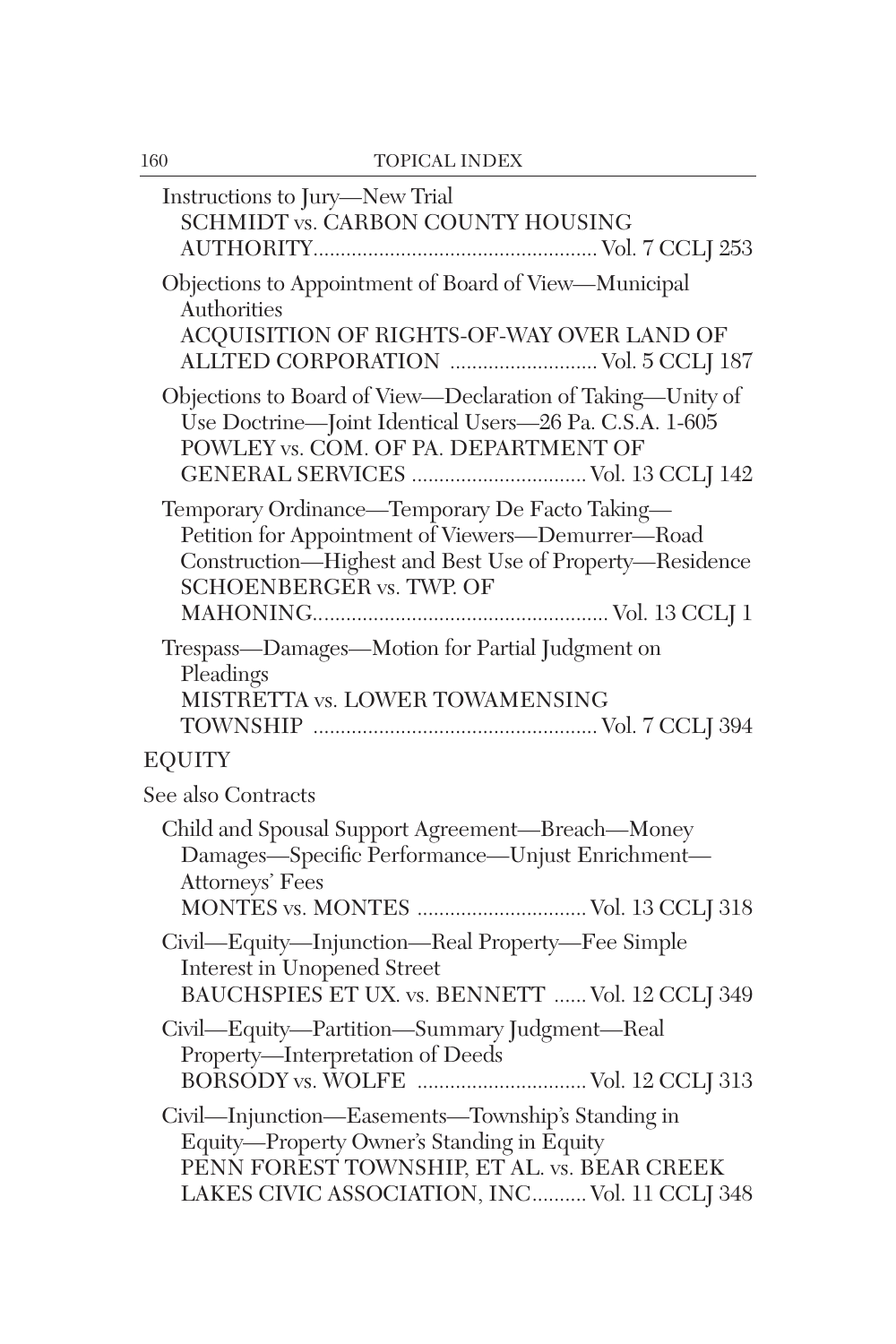| 160 | <b>TOPICAL INDEX</b>                                                                                                                                                                            |
|-----|-------------------------------------------------------------------------------------------------------------------------------------------------------------------------------------------------|
|     | Instructions to Jury-New Trial<br>SCHMIDT vs. CARBON COUNTY HOUSING                                                                                                                             |
|     | Objections to Appointment of Board of View-Municipal<br>Authorities<br>ACQUISITION OF RIGHTS-OF-WAY OVER LAND OF<br>ALLTED CORPORATION  Vol. 5 CCLJ 187                                         |
|     | Objections to Board of View-Declaration of Taking-Unity of<br>Use Doctrine-Joint Identical Users-26 Pa. C.S.A. 1-605<br>POWLEY vs. COM. OF PA. DEPARTMENT OF                                    |
|     | Temporary Ordinance-Temporary De Facto Taking-<br>Petition for Appointment of Viewers-Demurrer-Road<br>Construction-Highest and Best Use of Property-Residence<br>SCHOENBERGER vs. TWP. OF      |
|     | Trespass-Damages-Motion for Partial Judgment on<br>Pleadings<br>MISTRETTA vs. LOWER TOWAMENSING                                                                                                 |
|     | <b>EQUITY</b>                                                                                                                                                                                   |
|     | See also Contracts                                                                                                                                                                              |
|     | Child and Spousal Support Agreement-Breach-Money<br>Damages-Specific Performance-Unjust Enrichment-<br>Attorneys' Fees<br>MONTES vs. MONTES  Vol. 13 CCLJ 318                                   |
|     | Civil—Equity—Injunction—Real Property—Fee Simple<br><b>Interest in Unopened Street</b><br>BAUCHSPIES ET UX. vs. BENNETT  Vol. 12 CCLJ 349                                                       |
|     | Civil-Equity-Partition-Summary Judgment-Real<br>Property-Interpretation of Deeds                                                                                                                |
|     | Civil—Injunction—Easements—Township's Standing in<br>Equity-Property Owner's Standing in Equity<br>PENN FOREST TOWNSHIP, ET AL. vs. BEAR CREEK<br>LAKES CIVIC ASSOCIATION, INC Vol. 11 CCLJ 348 |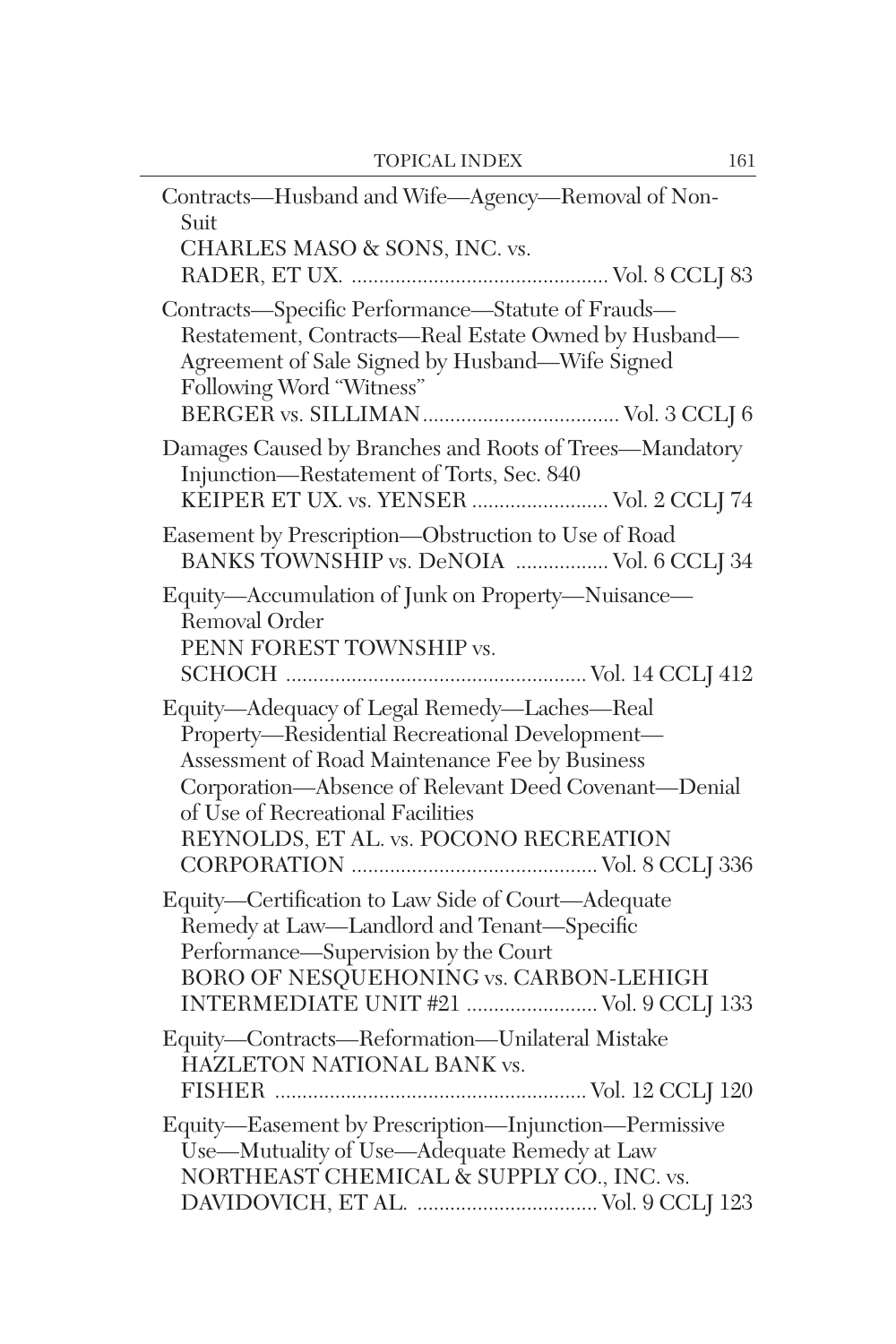| Contracts-Husband and Wife-Agency-Removal of Non-<br>Suit                                                                                                                                                                                                                              |
|----------------------------------------------------------------------------------------------------------------------------------------------------------------------------------------------------------------------------------------------------------------------------------------|
| CHARLES MASO & SONS, INC. vs.                                                                                                                                                                                                                                                          |
| Contracts-Specific Performance-Statute of Frauds-<br>Restatement, Contracts-Real Estate Owned by Husband-<br>Agreement of Sale Signed by Husband-Wife Signed<br>Following Word "Witness"                                                                                               |
| Damages Caused by Branches and Roots of Trees-Mandatory<br>Injunction—Restatement of Torts, Sec. 840<br>KEIPER ET UX. vs. YENSER  Vol. 2 CCLJ 74                                                                                                                                       |
| Easement by Prescription-Obstruction to Use of Road<br>BANKS TOWNSHIP vs. DeNOIA  Vol. 6 CCLJ 34                                                                                                                                                                                       |
| Equity-Accumulation of Junk on Property-Nuisance-<br>Removal Order<br>PENN FOREST TOWNSHIP vs.                                                                                                                                                                                         |
| Equity-Adequacy of Legal Remedy-Laches-Real<br>Property-Residential Recreational Development-<br>Assessment of Road Maintenance Fee by Business<br>Corporation-Absence of Relevant Deed Covenant-Denial<br>of Use of Recreational Facilities<br>REYNOLDS, ET AL. vs. POCONO RECREATION |
| Equity-Certification to Law Side of Court-Adequate<br>Remedy at Law-Landlord and Tenant-Specific<br>Performance—Supervision by the Court<br>BORO OF NESQUEHONING vs. CARBON-LEHIGH<br>INTERMEDIATE UNIT #21  Vol. 9 CCLJ 133                                                           |
| Equity-Contracts-Reformation-Unilateral Mistake<br>HAZLETON NATIONAL BANK vs.                                                                                                                                                                                                          |
| Equity-Easement by Prescription-Injunction-Permissive<br>Use-Mutuality of Use-Adequate Remedy at Law<br>NORTHEAST CHEMICAL & SUPPLY CO., INC. vs.                                                                                                                                      |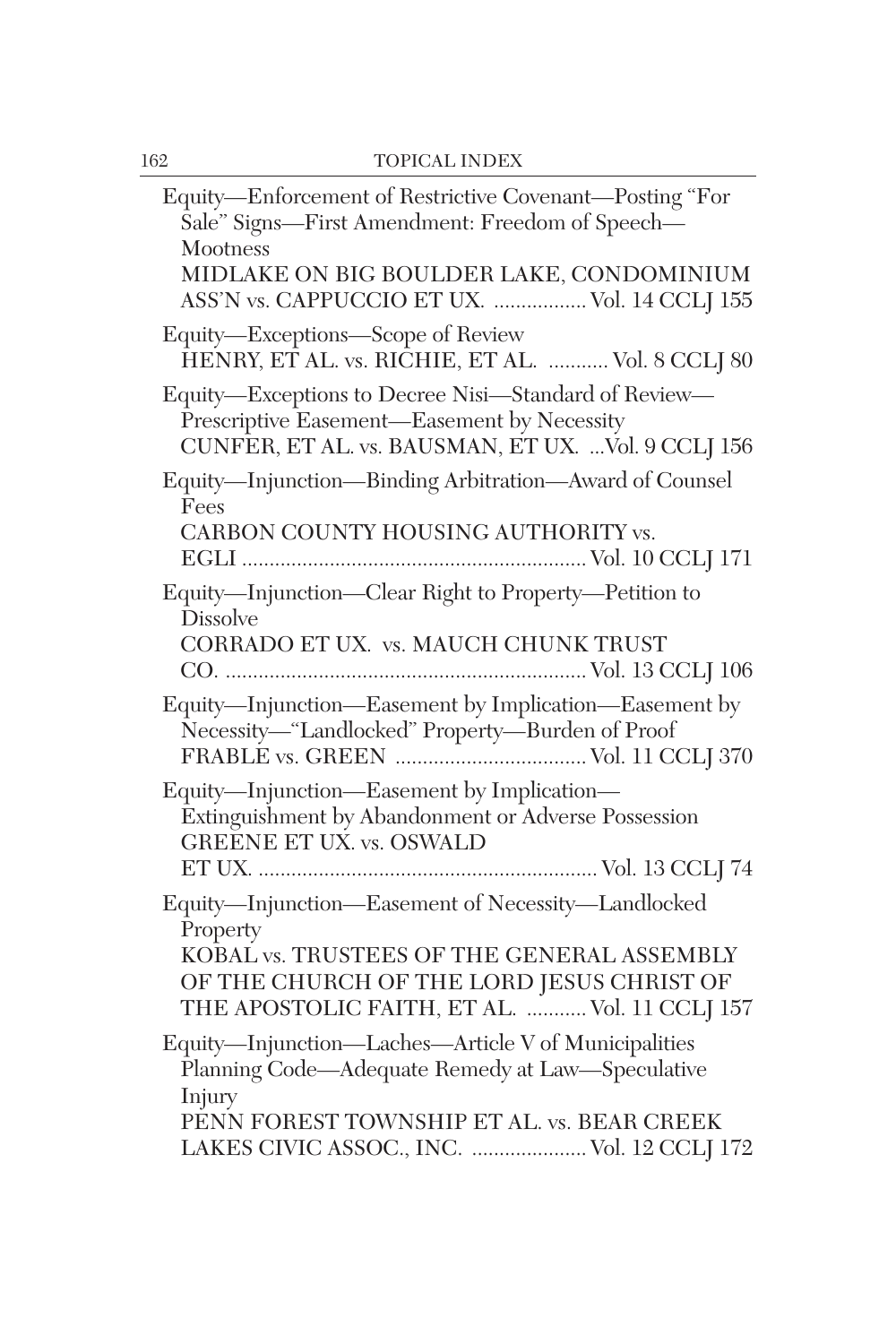| Equity-Enforcement of Restrictive Covenant-Posting "For<br>Sale" Signs-First Amendment: Freedom of Speech-<br>Mootness<br>MIDLAKE ON BIG BOULDER LAKE, CONDOMINIUM<br>ASS'N vs. CAPPUCCIO ET UX.  Vol. 14 CCLJ 155 |
|--------------------------------------------------------------------------------------------------------------------------------------------------------------------------------------------------------------------|
| Equity-Exceptions-Scope of Review<br>HENRY, ET AL. vs. RICHIE, ET AL.  Vol. 8 CCLJ 80                                                                                                                              |
| Equity-Exceptions to Decree Nisi-Standard of Review-<br>Prescriptive Easement—Easement by Necessity<br>CUNFER, ET AL. vs. BAUSMAN, ET UX.  Vol. 9 CCLJ 156                                                         |
| Equity-Injunction-Binding Arbitration-Award of Counsel<br>Fees<br>CARBON COUNTY HOUSING AUTHORITY vs.                                                                                                              |
| Equity-Injunction-Clear Right to Property-Petition to<br><b>Dissolve</b><br>CORRADO ET UX. vs. MAUCH CHUNK TRUST                                                                                                   |
| Equity-Injunction-Easement by Implication-Easement by<br>Necessity-"Landlocked" Property-Burden of Proof                                                                                                           |
| Equity—Injunction—Easement by Implication—<br>Extinguishment by Abandonment or Adverse Possession<br>GREENE ET UX. vs. OSWALD                                                                                      |
| Equity-Injunction-Easement of Necessity-Landlocked<br>Property<br>KOBAL vs. TRUSTEES OF THE GENERAL ASSEMBLY<br>OF THE CHURCH OF THE LORD JESUS CHRIST OF<br>THE APOSTOLIC FAITH, ET AL.  Vol. 11 CCLJ 157         |
| Equity-Injunction-Laches-Article V of Municipalities<br>Planning Code-Adequate Remedy at Law-Speculative<br>Injury<br>PENN FOREST TOWNSHIP ET AL. vs. BEAR CREEK<br>LAKES CIVIC ASSOC., INC.  Vol. 12 CCLJ 172     |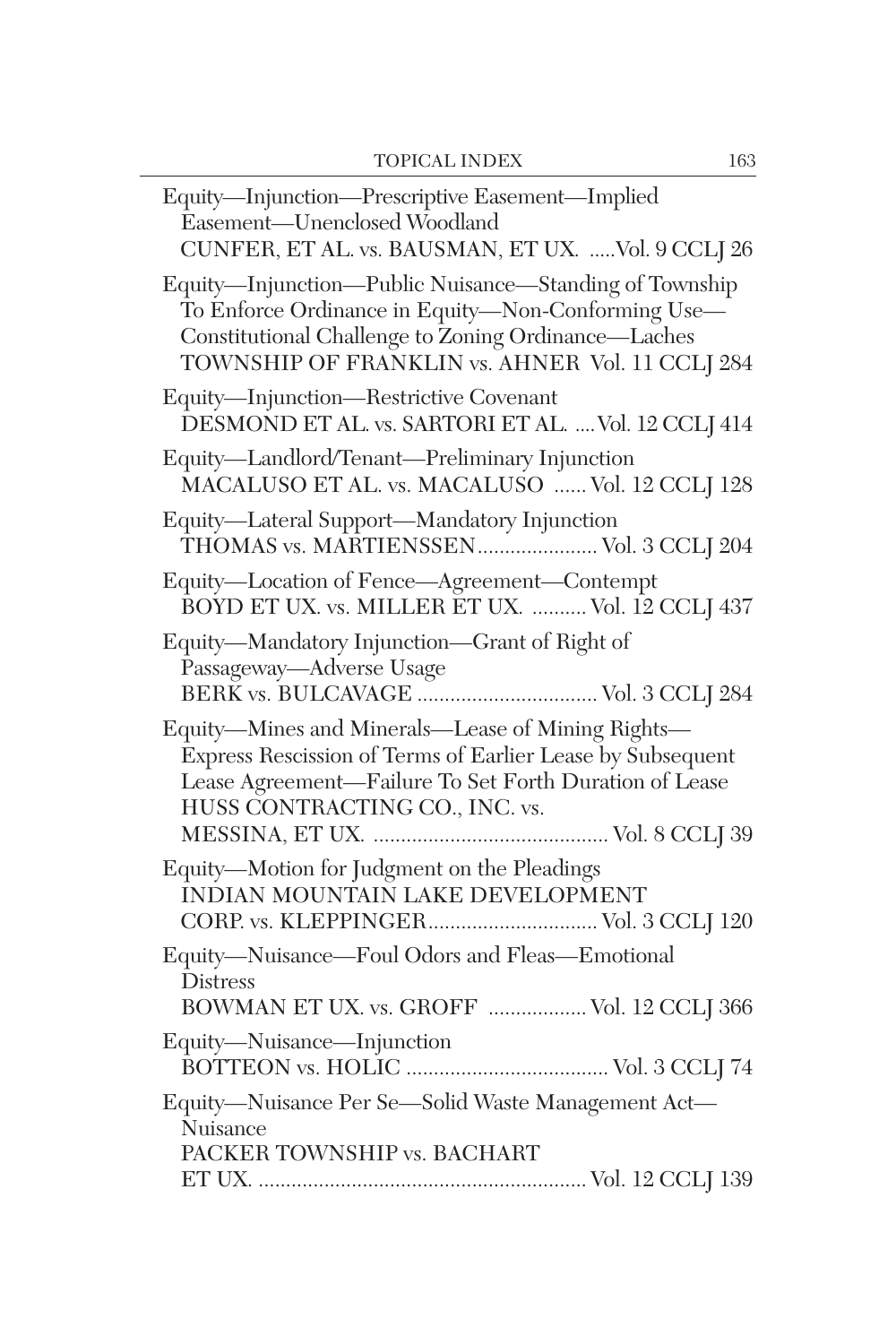| Equity-Injunction-Prescriptive Easement-Implied<br>Easement-Unenclosed Woodland<br>CUNFER, ET AL. vs. BAUSMAN, ET UX. Vol. 9 CCLJ 26                                                                                   |
|------------------------------------------------------------------------------------------------------------------------------------------------------------------------------------------------------------------------|
| Equity-Injunction-Public Nuisance-Standing of Township<br>To Enforce Ordinance in Equity-Non-Conforming Use-<br>Constitutional Challenge to Zoning Ordinance-Laches<br>TOWNSHIP OF FRANKLIN vs. AHNER Vol. 11 CCLJ 284 |
| Equity-Injunction-Restrictive Covenant<br>DESMOND ET AL. vs. SARTORI ET AL.  Vol. 12 CCLJ 414                                                                                                                          |
| Equity-Landlord/Tenant-Preliminary Injunction<br>MACALUSO ET AL. vs. MACALUSO  Vol. 12 CCLJ 128                                                                                                                        |
| Equity-Lateral Support-Mandatory Injunction<br>THOMAS vs. MARTIENSSEN Vol. 3 CCLJ 204                                                                                                                                  |
| Equity-Location of Fence-Agreement-Contempt<br>BOYD ET UX. vs. MILLER ET UX.  Vol. 12 CCLJ 437                                                                                                                         |
| Equity—Mandatory Injunction—Grant of Right of<br>Passageway—Adverse Usage                                                                                                                                              |
| Equity-Mines and Minerals-Lease of Mining Rights-<br>Express Rescission of Terms of Earlier Lease by Subsequent<br>Lease Agreement-Failure To Set Forth Duration of Lease<br>HUSS CONTRACTING CO., INC. vs.            |
| Equity-Motion for Judgment on the Pleadings<br>ÎNDIAN MOUNTAIN LAKE DEVELOPMENT<br>CORP. vs. KLEPPINGER Vol. 3 CCLJ 120                                                                                                |
| Equity-Nuisance-Foul Odors and Fleas-Emotional<br><b>Distress</b><br>BOWMAN ET UX. vs. GROFF  Vol. 12 CCLJ 366                                                                                                         |
| Equity-Nuisance-Injunction                                                                                                                                                                                             |
| Equity-Nuisance Per Se-Solid Waste Management Act-<br>Nuisance<br>PACKER TOWNSHIP vs. BACHART                                                                                                                          |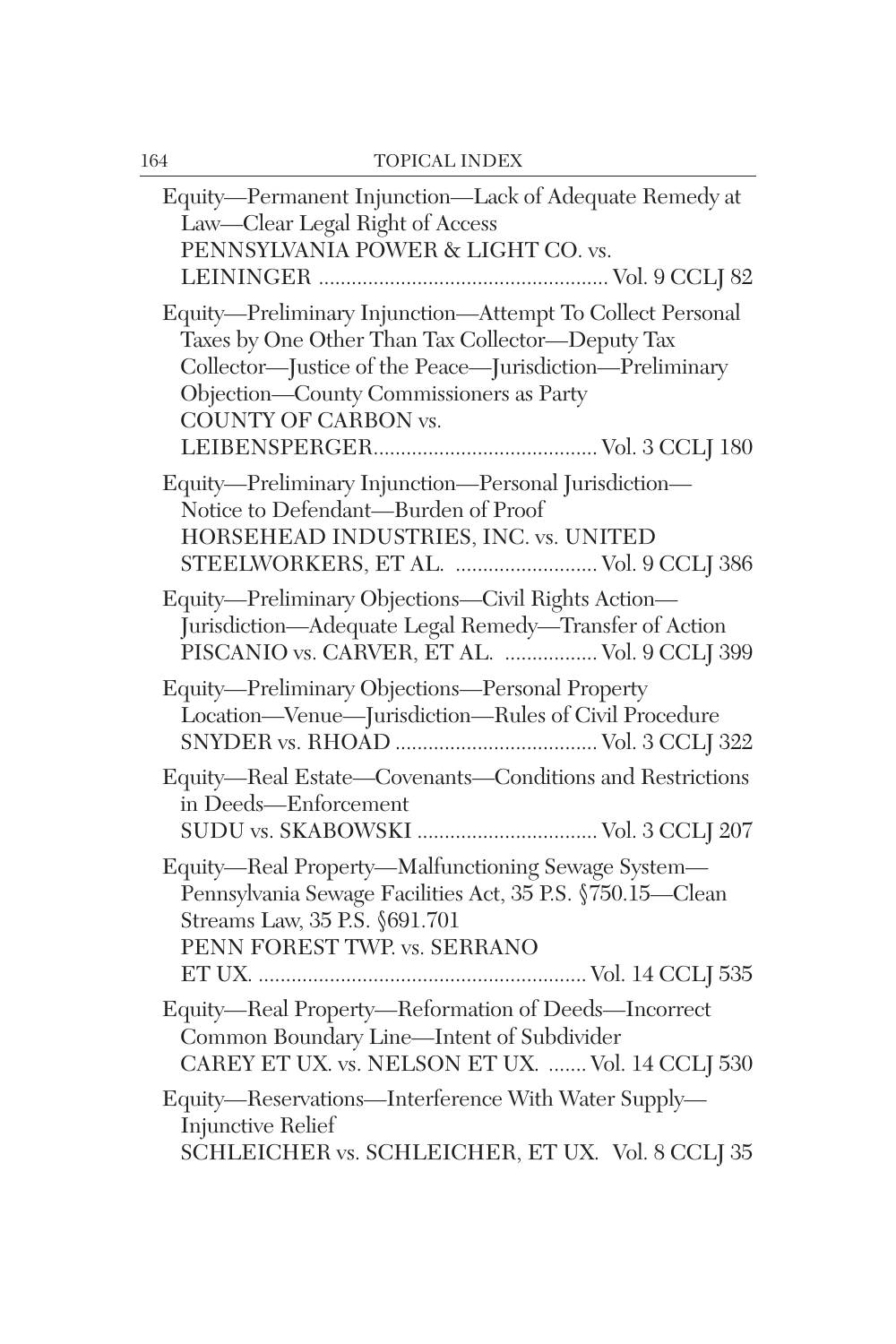| Equity-Permanent Injunction-Lack of Adequate Remedy at<br>Law-Clear Legal Right of Access<br>PENNSYLVANIA POWER & LIGHT CO. vs.                                                                                                                    |
|----------------------------------------------------------------------------------------------------------------------------------------------------------------------------------------------------------------------------------------------------|
| Equity-Preliminary Injunction-Attempt To Collect Personal<br>Taxes by One Other Than Tax Collector-Deputy Tax<br>Collector-Justice of the Peace-Jurisdiction-Preliminary<br>Objection-County Commissioners as Party<br><b>COUNTY OF CARBON vs.</b> |
| Equity-Preliminary Injunction-Personal Jurisdiction-<br>Notice to Defendant-Burden of Proof<br>HORSEHEAD INDUSTRIES, INC. vs. UNITED<br>STEELWORKERS, ET AL.  Vol. 9 CCLJ 386                                                                      |
| Equity-Preliminary Objections-Civil Rights Action-<br>Jurisdiction-Adequate Legal Remedy-Transfer of Action<br>PISCANIO vs. CARVER, ET AL.  Vol. 9 CCLJ 399                                                                                        |
| Equity-Preliminary Objections-Personal Property<br>Location-Venue-Jurisdiction-Rules of Civil Procedure                                                                                                                                            |
| Equity-Real Estate-Covenants-Conditions and Restrictions<br>in Deeds—Enforcement<br>SUDU vs. SKABOWSKI  Vol. 3 CCLJ 207                                                                                                                            |
| Equity-Real Property-Malfunctioning Sewage System-<br>Pennsylvania Sewage Facilities Act, 35 P.S. §750.15-Clean<br>Streams Law, 35 P.S. §691.701<br>PENN FOREST TWP. vs. SERRANO                                                                   |
| Equity-Real Property-Reformation of Deeds-Incorrect<br>Common Boundary Line-Intent of Subdivider<br>CAREY ET UX. vs. NELSON ET UX.  Vol. 14 CCLJ 530                                                                                               |
| Equity-Reservations-Interference With Water Supply-<br>Injunctive Relief<br>SCHLEICHER vs. SCHLEICHER, ET UX. Vol. 8 CCLJ 35                                                                                                                       |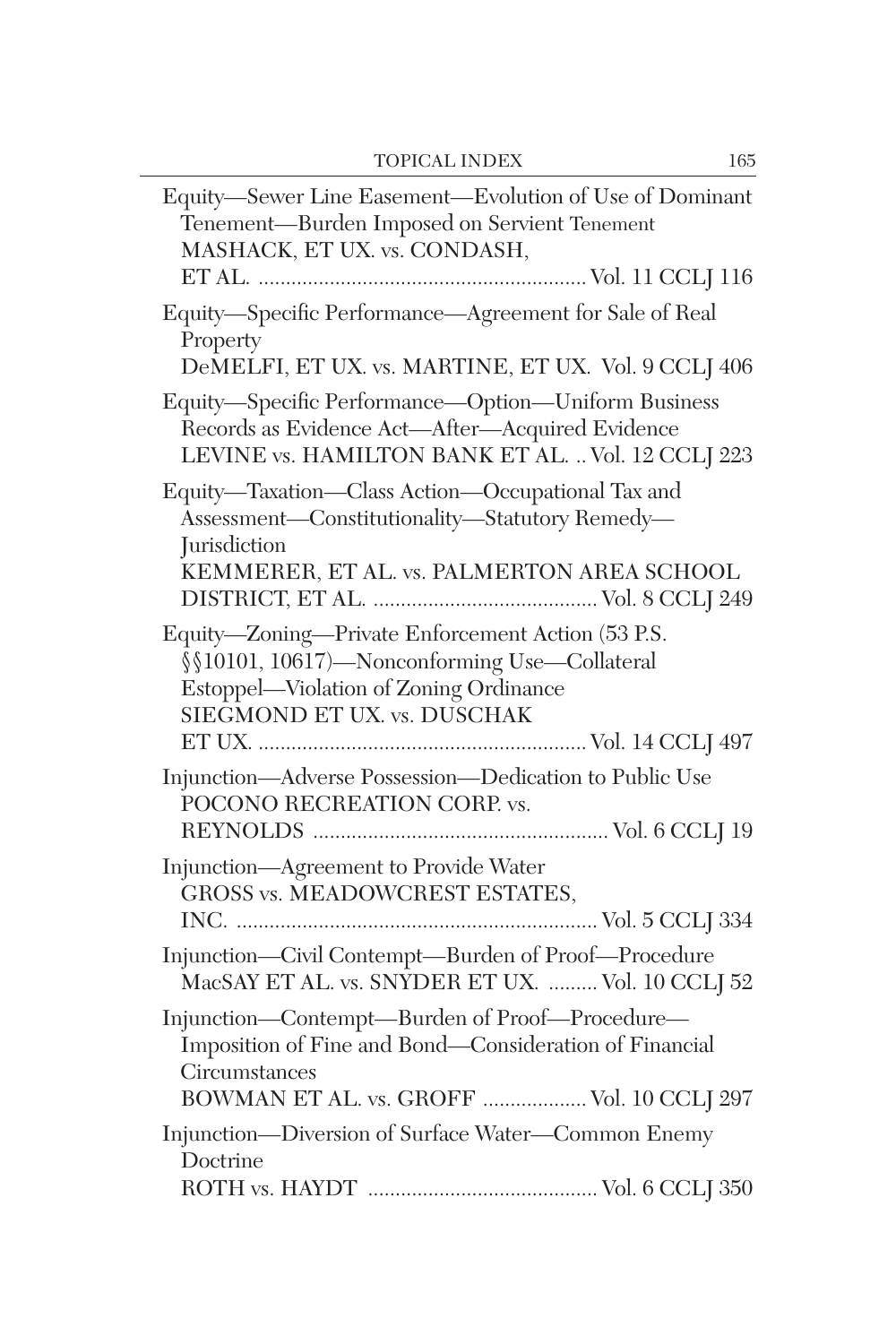| Equity-Sewer Line Easement-Evolution of Use of Dominant<br>Tenement-Burden Imposed on Servient Tenement<br>MASHACK, ET UX. vs. CONDASH,                                    |
|----------------------------------------------------------------------------------------------------------------------------------------------------------------------------|
| Equity-Specific Performance-Agreement for Sale of Real<br>Property<br>DeMELFI, ET UX. vs. MARTINE, ET UX. Vol. 9 CCLJ 406                                                  |
| Equity-Specific Performance-Option-Uniform Business<br>Records as Evidence Act-After-Acquired Evidence<br>LEVINE vs. HAMILTON BANK ET AL.  Vol. 12 CCLJ 223                |
| Equity-Taxation-Class Action-Occupational Tax and<br>Assessment-Constitutionality-Statutory Remedy-<br><b>Jurisdiction</b><br>KEMMERER, ET AL. vs. PALMERTON AREA SCHOOL   |
| Equity-Zoning-Private Enforcement Action (53 P.S.<br>§§10101, 10617)-Nonconforming Use-Collateral<br>Estoppel-Violation of Zoning Ordinance<br>SIEGMOND ET UX. vs. DUSCHAK |
| Injunction—Adverse Possession—Dedication to Public Use<br>POCONO RECREATION CORP. vs.                                                                                      |
| Injunction-Agreement to Provide Water<br><b>GROSS vs. MEADOWCREST ESTATES,</b>                                                                                             |
| Injunction-Civil Contempt-Burden of Proof-Procedure<br>MacSAY ET AL. vs. SNYDER ET UX.  Vol. 10 CCLJ 52                                                                    |
| Injunction-Contempt-Burden of Proof-Procedure-<br>Imposition of Fine and Bond—Consideration of Financial<br>Circumstances<br>BOWMAN ET AL. vs. GROFF  Vol. 10 CCLJ 297     |
| Injunction-Diversion of Surface Water-Common Enemy<br>Doctrine                                                                                                             |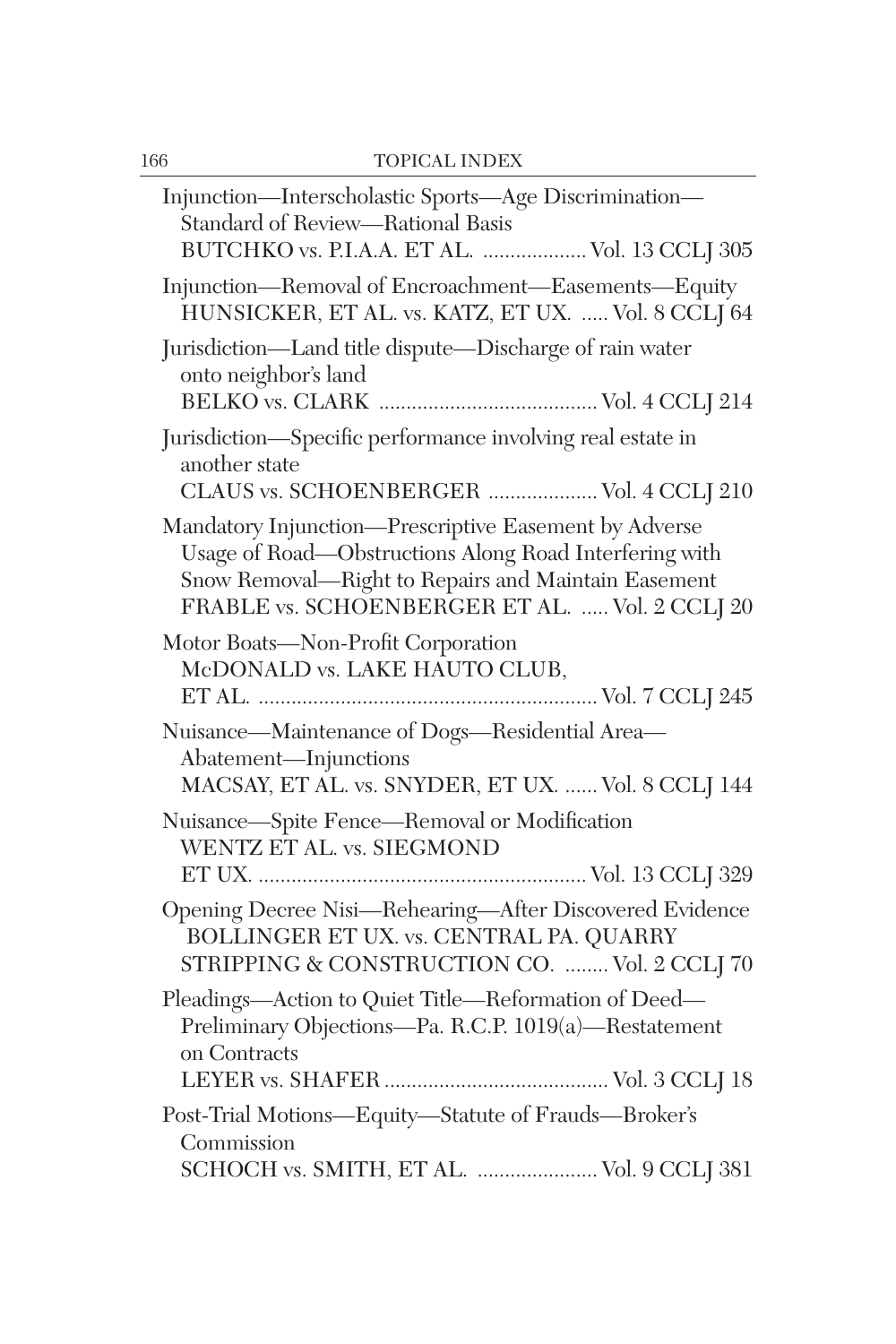| Injunction—Interscholastic Sports—Age Discrimination—<br>Standard of Review-Rational Basis<br>BUTCHKO vs. P.I.A.A. ET AL.  Vol. 13 CCLJ 305                                                                              |
|--------------------------------------------------------------------------------------------------------------------------------------------------------------------------------------------------------------------------|
| Injunction-Removal of Encroachment-Easements-Equity<br>HUNSICKER, ET AL. vs. KATZ, ET UX.  Vol. 8 CCLJ 64                                                                                                                |
| Jurisdiction-Land title dispute-Discharge of rain water<br>onto neighbor's land                                                                                                                                          |
| Jurisdiction-Specific performance involving real estate in<br>another state                                                                                                                                              |
| CLAUS vs. SCHOENBERGER  Vol. 4 CCLJ 210                                                                                                                                                                                  |
| Mandatory Injunction-Prescriptive Easement by Adverse<br>Usage of Road-Obstructions Along Road Interfering with<br>Snow Removal-Right to Repairs and Maintain Easement<br>FRABLE vs. SCHOENBERGER ET AL.  Vol. 2 CCLJ 20 |
| Motor Boats-Non-Profit Corporation<br>McDONALD vs. LAKE HAUTO CLUB,                                                                                                                                                      |
| Nuisance-Maintenance of Dogs-Residential Area-<br>Abatement-Injunctions<br>MACSAY, ET AL. vs. SNYDER, ET UX.  Vol. 8 CCLJ 144                                                                                            |
| Nuisance-Spite Fence-Removal or Modification<br>WENTZ ET AL. vs. SIEGMOND                                                                                                                                                |
| Opening Decree Nisi-Rehearing-After Discovered Evidence<br>BOLLINGER ET UX. vs. CENTRAL PA. QUARRY<br>STRIPPING & CONSTRUCTION CO.  Vol. 2 CCLJ 70                                                                       |
| Pleadings-Action to Quiet Title-Reformation of Deed-<br>Preliminary Objections-Pa. R.C.P. 1019(a)-Restatement<br>on Contracts                                                                                            |
|                                                                                                                                                                                                                          |
| Post-Trial Motions-Equity-Statute of Frauds-Broker's<br>Commission                                                                                                                                                       |
| SCHOCH vs. SMITH, ET AL.  Vol. 9 CCLJ 381                                                                                                                                                                                |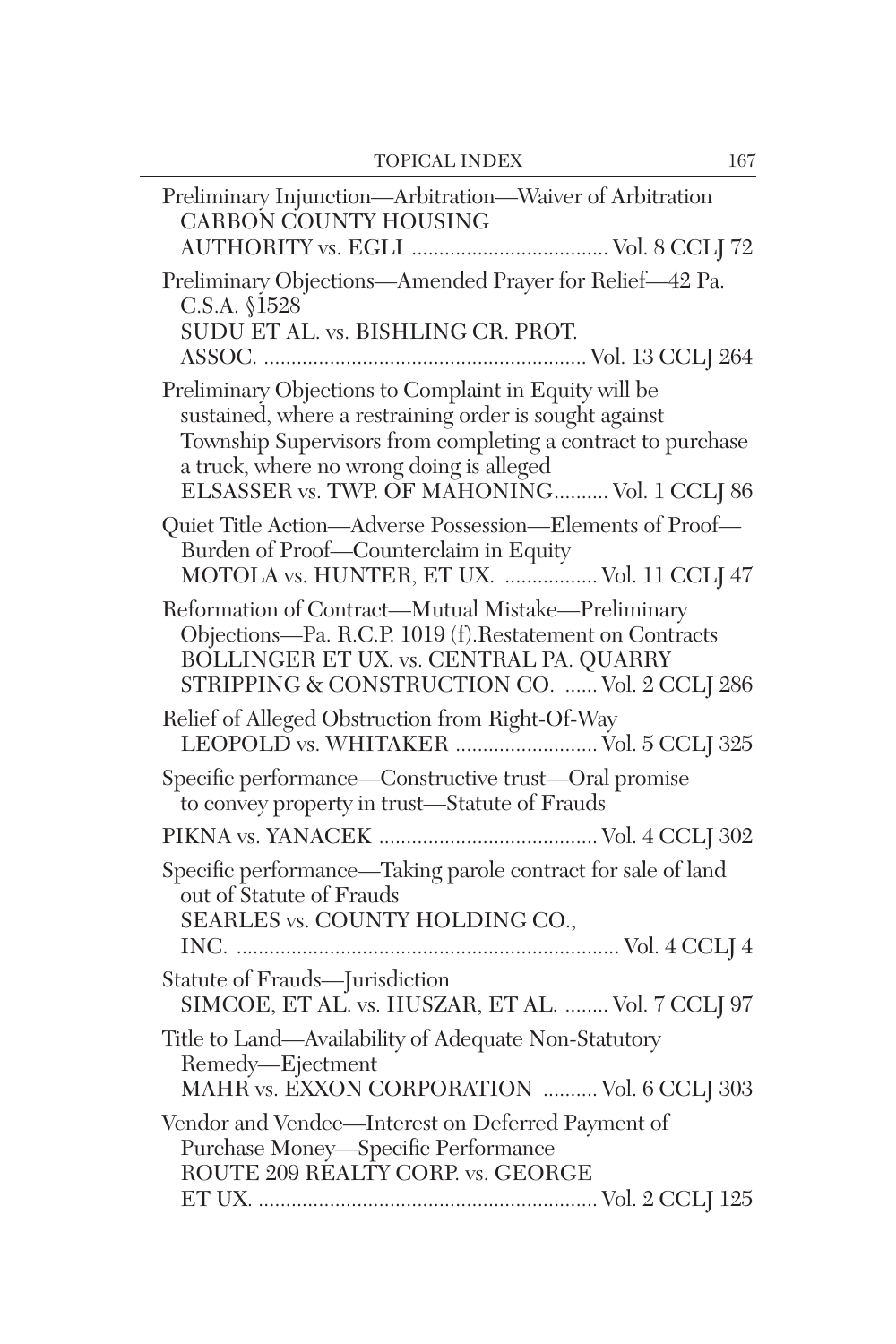| Preliminary Injunction-Arbitration-Waiver of Arbitration<br>CARBON COUNTY HOUSING                                                                                                                                                                                          |
|----------------------------------------------------------------------------------------------------------------------------------------------------------------------------------------------------------------------------------------------------------------------------|
| Preliminary Objections-Amended Prayer for Relief-42 Pa.<br>C.S.A. §1528<br>SUDU ET AL. vs. BISHLING CR. PROT.                                                                                                                                                              |
| Preliminary Objections to Complaint in Equity will be<br>sustained, where a restraining order is sought against<br>Township Supervisors from completing a contract to purchase<br>a truck, where no wrong doing is alleged<br>ELSASSER vs. TWP. OF MAHONING Vol. 1 CCLJ 86 |
| $\begin{minipage}{.4\linewidth} Quiet Title Action—Adverse Possession—Elements of Proof—\textbf{Burden of Proof—Counterclaim in Equity} \end{minipage} \label{eq:Quot}$<br>MOTOLA vs. HUNTER, ET UX.  Vol. 11 CCLJ 47                                                      |
| Reformation of Contract-Mutual Mistake-Preliminary<br>Objections-Pa. R.C.P. 1019 (f).Restatement on Contracts<br>BOLLINGER ET UX. vs. CENTRAL PA. QUARRY<br>STRIPPING & CONSTRUCTION CO.  Vol. 2 CCLJ 286                                                                  |
| Relief of Alleged Obstruction from Right-Of-Way<br>LEOPOLD vs. WHITAKER  Vol. 5 CCLJ 325                                                                                                                                                                                   |
| Specific performance-Constructive trust-Oral promise<br>to convey property in trust-Statute of Frauds                                                                                                                                                                      |
|                                                                                                                                                                                                                                                                            |
| Specific performance-Taking parole contract for sale of land<br>out of Statute of Frauds<br>SEARLES vs. COUNTY HOLDING CO.,                                                                                                                                                |
| Statute of Frauds-Jurisdiction<br>SIMCOE, ET AL. vs. HUSZAR, ET AL.  Vol. 7 CCLJ 97                                                                                                                                                                                        |
| Title to Land-Availability of Adequate Non-Statutory<br>Remedy-Ejectment<br>MAHR vs. EXXON CORPORATION  Vol. 6 CCLI 303                                                                                                                                                    |
| Vendor and Vendee-Interest on Deferred Payment of<br>Purchase Money-Specific Performance<br>ROUTE 209 RÉALTY CORP. vs. GEORGE                                                                                                                                              |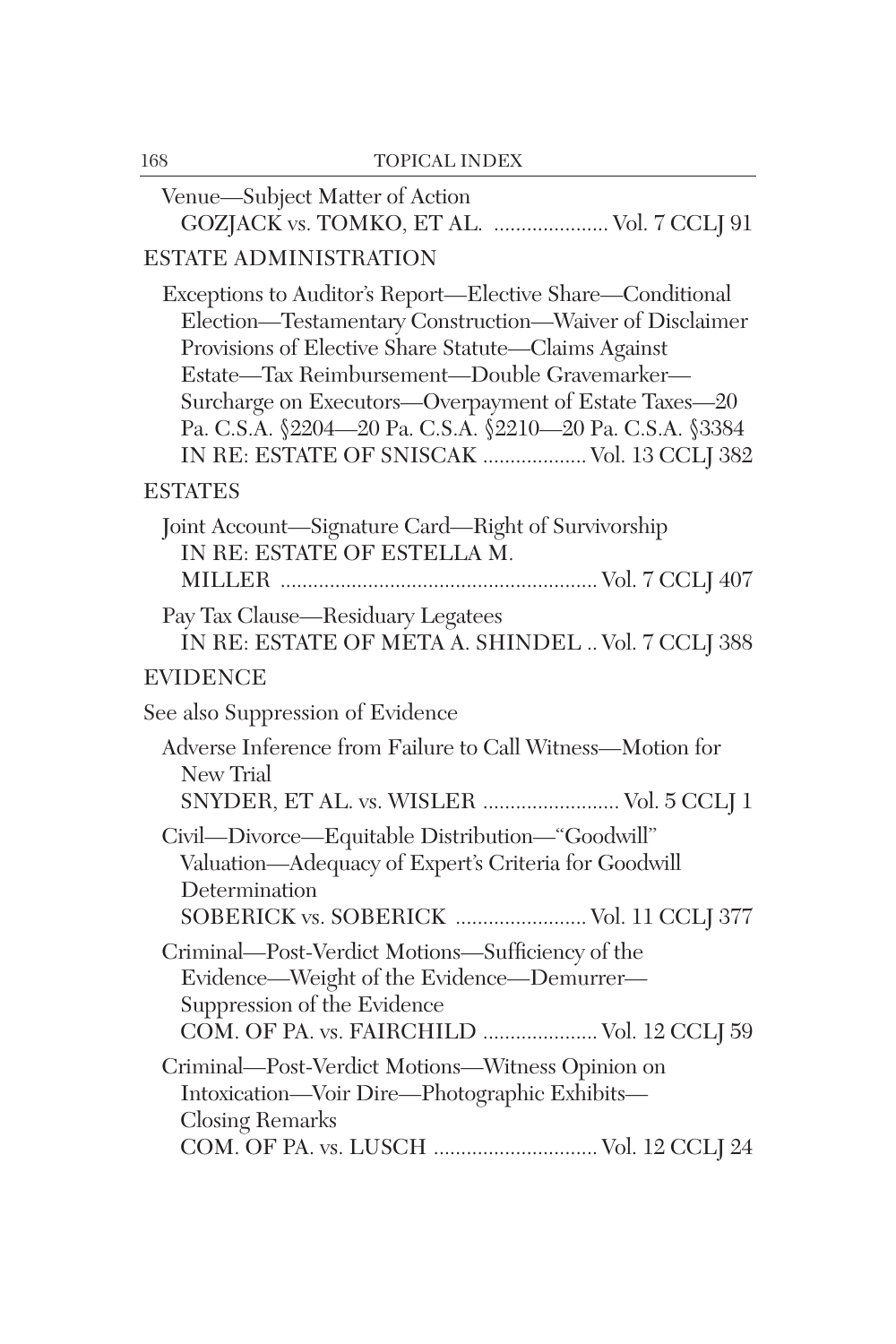| 168 | <b>TOPICAL INDEX</b>                                                                                                                                                                                                                                                                                                                                                                           |
|-----|------------------------------------------------------------------------------------------------------------------------------------------------------------------------------------------------------------------------------------------------------------------------------------------------------------------------------------------------------------------------------------------------|
|     | Venue-Subject Matter of Action<br>GOZJACK vs. TOMKO, ET AL.  Vol. 7 CCLJ 91                                                                                                                                                                                                                                                                                                                    |
|     | <b>ESTATE ADMINISTRATION</b>                                                                                                                                                                                                                                                                                                                                                                   |
|     | Exceptions to Auditor's Report-Elective Share-Conditional<br>Election-Testamentary Construction-Waiver of Disclaimer<br>Provisions of Elective Share Statute-Claims Against<br>Estate-Tax Reimbursement-Double Gravemarker-<br>Surcharge on Executors-Overpayment of Estate Taxes-20<br>Pa. C.S.A. §2204-20 Pa. C.S.A. §2210-20 Pa. C.S.A. §3384<br>IN RE: ESTATE OF SNISCAK  Vol. 13 CCLJ 382 |
|     | <b>ESTATES</b>                                                                                                                                                                                                                                                                                                                                                                                 |
|     | Joint Account-Signature Card-Right of Survivorship<br>IN RE: ESTATE OF ESTELLA M.                                                                                                                                                                                                                                                                                                              |
|     | Pay Tax Clause-Residuary Legatees<br>IN RE: ESTATE OF META A. SHINDEL  Vol. 7 CCLJ 388                                                                                                                                                                                                                                                                                                         |
|     | <b>EVIDENCE</b>                                                                                                                                                                                                                                                                                                                                                                                |
|     | See also Suppression of Evidence                                                                                                                                                                                                                                                                                                                                                               |
|     | Adverse Inference from Failure to Call Witness-Motion for<br>New Trial<br>SNYDER, ET AL. vs. WISLER  Vol. 5 CCLJ 1                                                                                                                                                                                                                                                                             |
|     | Civil-Divorce-Equitable Distribution-"Goodwill"<br>Valuation-Adequacy of Expert's Criteria for Goodwill<br>Determination<br>SOBERICK vs. SOBERICK  Vol. 11 CCLJ 377                                                                                                                                                                                                                            |
|     | Criminal-Post-Verdict Motions-Sufficiency of the<br>Evidence—Weight of the Evidence—Demurrer—<br>Suppression of the Evidence<br>COM. OF PA. vs. FAIRCHILD  Vol. 12 CCLJ 59                                                                                                                                                                                                                     |
|     | Criminal-Post-Verdict Motions-Witness Opinion on<br>Intoxication-Voir Dire-Photographic Exhibits-<br><b>Closing Remarks</b><br>COM. OF PA. vs. LUSCH  Vol. 12 CCLJ 24                                                                                                                                                                                                                          |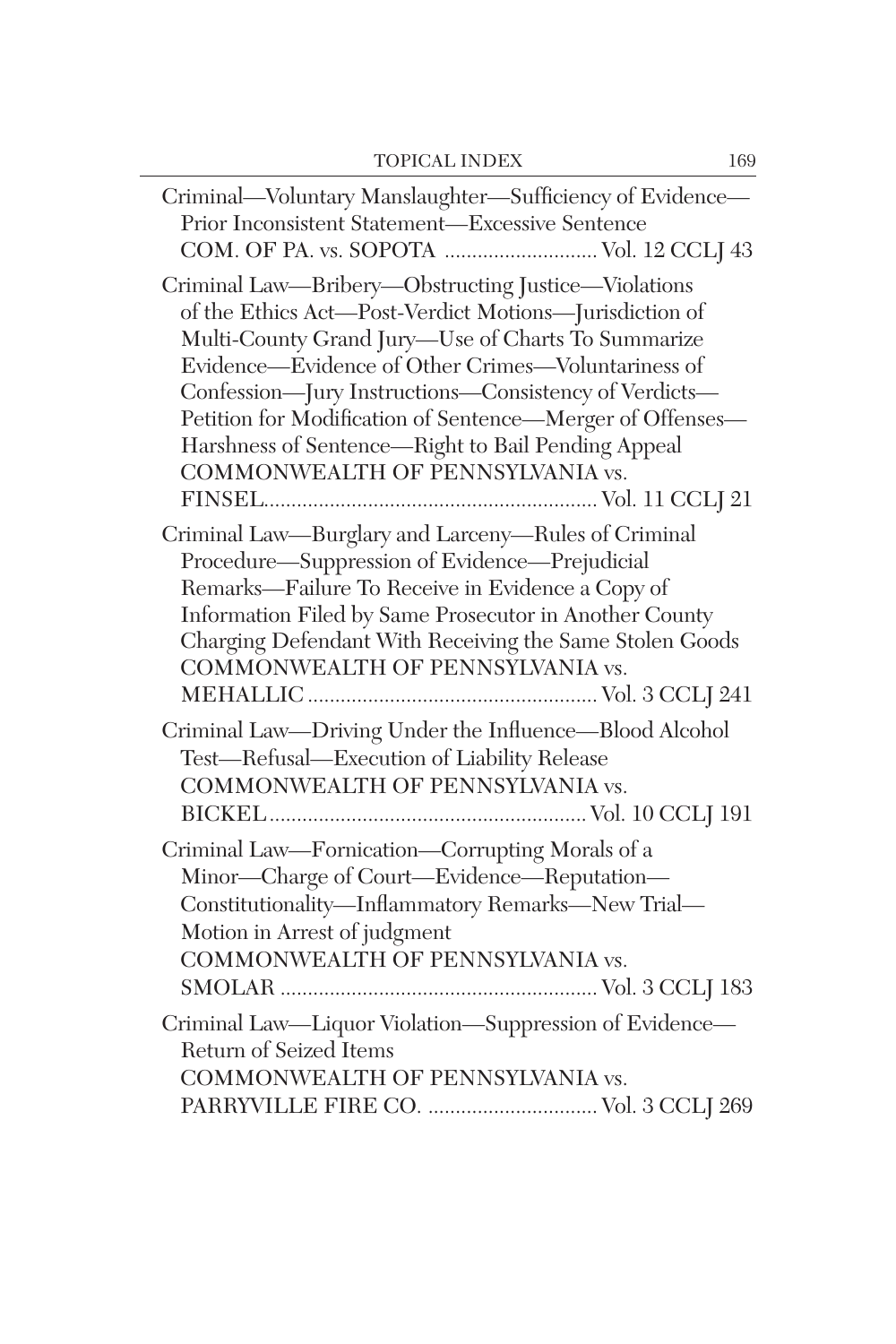| Criminal—Voluntary Manslaughter—Sufficiency of Evidence—<br>Prior Inconsistent Statement-Excessive Sentence<br>COM. OF PA. vs. SOPOTA  Vol. 12 CCLJ 43                                                                                                                                                                                                                                                                                    |
|-------------------------------------------------------------------------------------------------------------------------------------------------------------------------------------------------------------------------------------------------------------------------------------------------------------------------------------------------------------------------------------------------------------------------------------------|
| Criminal Law—Bribery—Obstructing Justice—Violations<br>of the Ethics Act-Post-Verdict Motions-Jurisdiction of<br>Multi-County Grand Jury-Use of Charts To Summarize<br>Evidence—Evidence of Other Crimes—Voluntariness of<br>Confession-Jury Instructions-Consistency of Verdicts-<br>Petition for Modification of Sentence-Merger of Offenses-<br>Harshness of Sentence-Right to Bail Pending Appeal<br>COMMONWEALTH OF PENNSYLVANIA vs. |
| Criminal Law-Burglary and Larceny-Rules of Criminal<br>Procedure-Suppression of Evidence-Prejudicial<br>Remarks-Failure To Receive in Evidence a Copy of<br>Information Filed by Same Prosecutor in Another County<br>Charging Defendant With Receiving the Same Stolen Goods<br>COMMONWEALTH OF PENNSYLVANIA vs.                                                                                                                         |
| Criminal Law-Driving Under the Influence-Blood Alcohol<br>Test-Refusal-Execution of Liability Release<br>COMMONWEALTH OF PENNSYLVANIA vs.                                                                                                                                                                                                                                                                                                 |
| Criminal Law-Fornication-Corrupting Morals of a<br>Minor-Charge of Court-Evidence-Reputation-<br>Constitutionality-Inflammatory Remarks-New Trial-<br>Motion in Arrest of judgment<br>COMMONWEALTH OF PENNSYLVANIA vs.                                                                                                                                                                                                                    |
| Criminal Law—Liquor Violation—Suppression of Evidence—<br>Return of Seized Items<br>COMMONWEALTH OF PENNSYLVANIA vs.<br>PARRYVILLE FIRE CO.  Vol. 3 CCLJ 269                                                                                                                                                                                                                                                                              |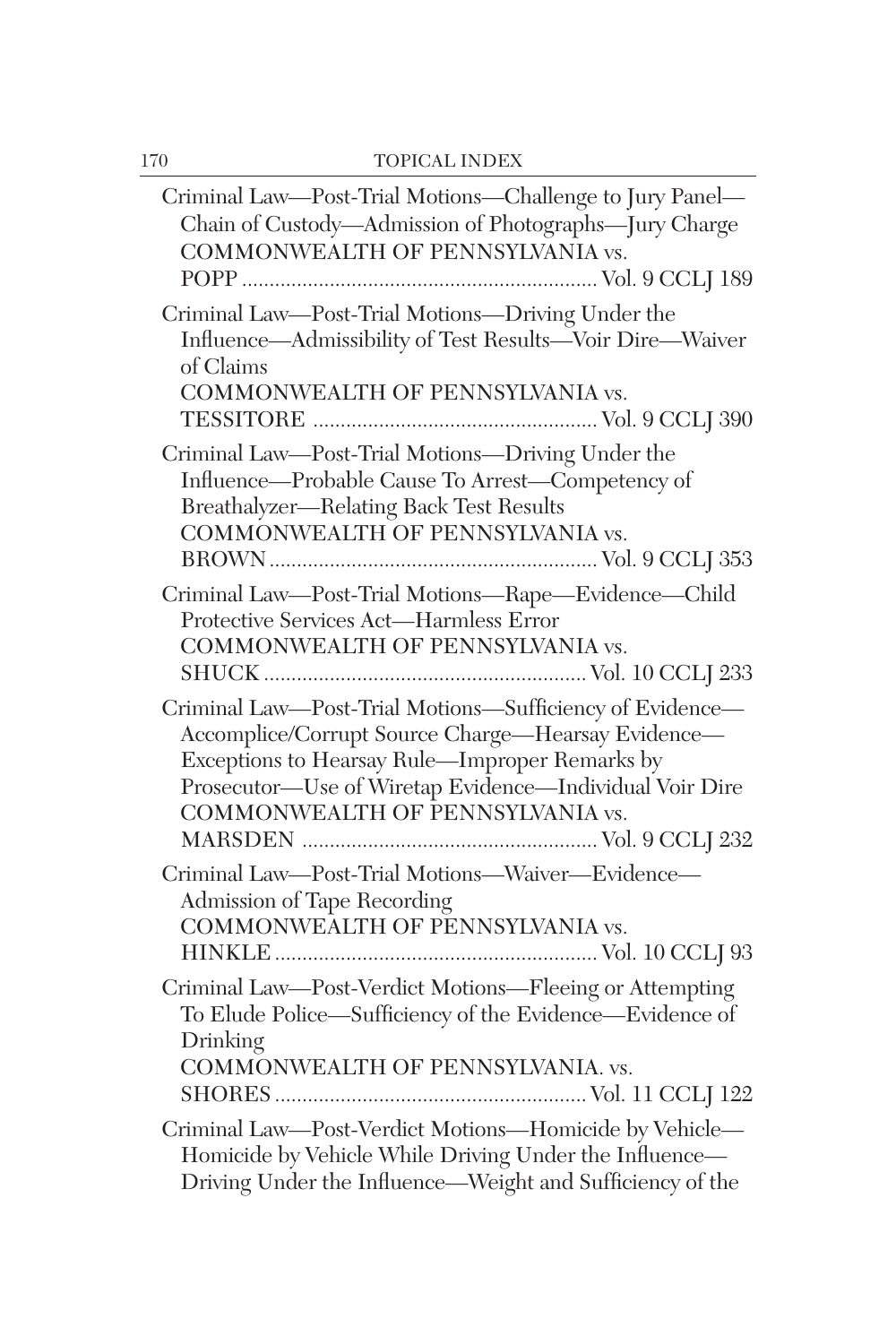| Criminal Law-Post-Trial Motions-Challenge to Jury Panel-<br>Chain of Custody-Admission of Photographs-Jury Charge<br>COMMONWEALTH OF PENNSYLVANIA vs.                                                                                                           |
|-----------------------------------------------------------------------------------------------------------------------------------------------------------------------------------------------------------------------------------------------------------------|
| Criminal Law-Post-Trial Motions-Driving Under the<br>Influence-Admissibility of Test Results-Voir Dire-Waiver<br>of Claims<br>COMMONWEALTH OF PENNSYLVANIA vs.                                                                                                  |
| Criminal Law-Post-Trial Motions-Driving Under the<br>Influence—Probable Cause To Arrest—Competency of<br>Breathalyzer-Relating Back Test Results<br>COMMONWEALTH OF PENNSYLVANIA vs.                                                                            |
| Criminal Law-Post-Trial Motions-Rape-Evidence-Child<br>Protective Services Act-Harmless Error<br>COMMONWEALTH OF PENNSYLVANIA vs.                                                                                                                               |
| Criminal Law-Post-Trial Motions-Sufficiency of Evidence-<br>Accomplice/Corrupt Source Charge-Hearsay Evidence-<br>Exceptions to Hearsay Rule-Improper Remarks by<br>Prosecutor-Use of Wiretap Evidence-Individual Voir Dire<br>COMMONWEALTH OF PENNSYLVANIA vs. |
| Criminal Law-Post-Trial Motions-Waiver-Evidence-<br>Admission of Tape Recording<br>COMMONWEALTH OF PENNSYLVANIA vs.                                                                                                                                             |
| Criminal Law-Post-Verdict Motions-Fleeing or Attempting<br>To Elude Police—Sufficiency of the Evidence—Evidence of<br>Drinking<br>COMMONWEALTH OF PENNSYLVANIA. vs.                                                                                             |
| Criminal Law-Post-Verdict Motions-Homicide by Vehicle-<br>Homicide by Vehicle While Driving Under the Influence-<br>Driving Under the Influence—Weight and Sufficiency of the                                                                                   |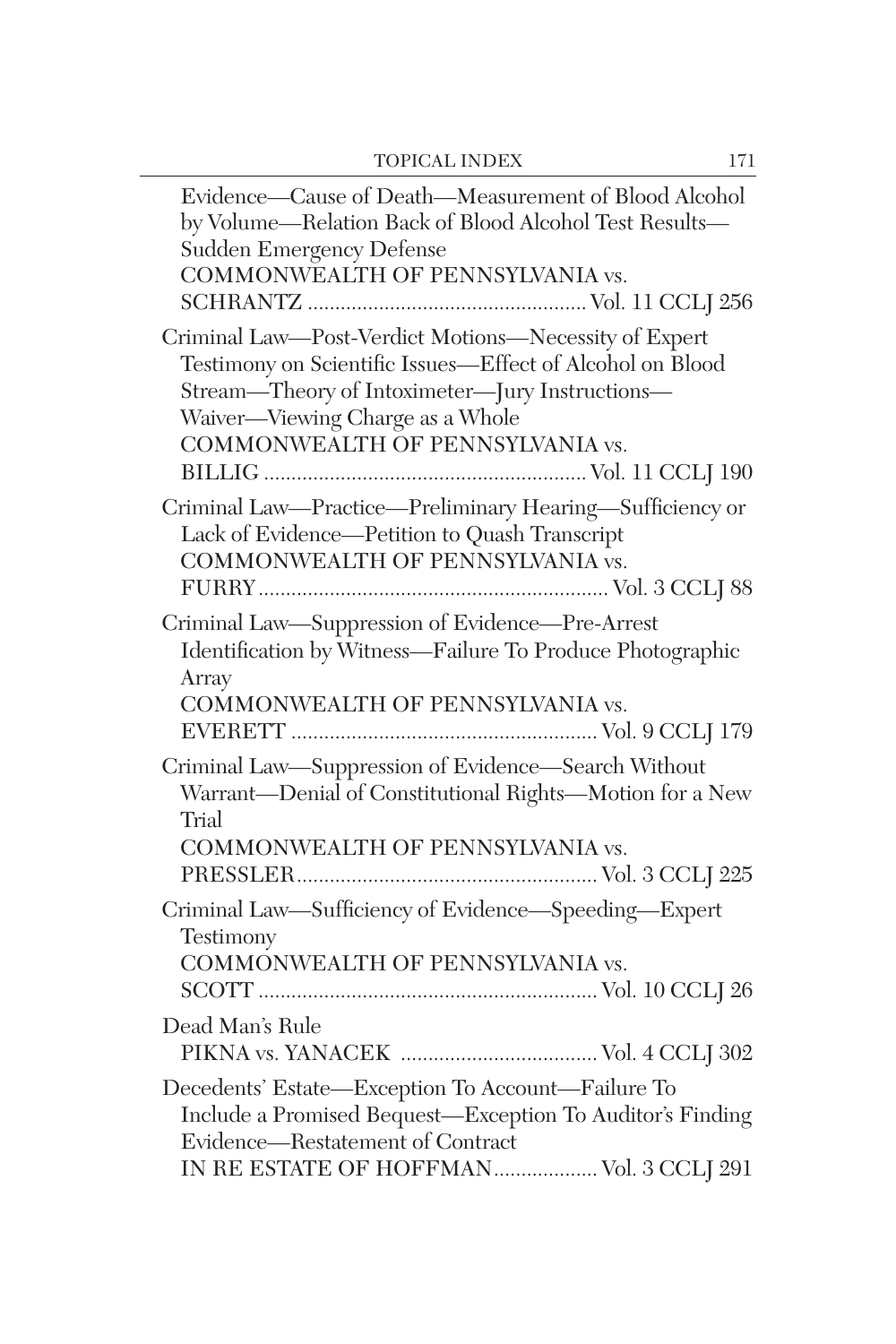| Evidence-Cause of Death-Measurement of Blood Alcohol<br>by Volume—Relation Back of Blood Alcohol Test Results—<br>Sudden Emergency Defense<br>COMMONWEALTH OF PENNSYLVANIA vs.                                                                |
|-----------------------------------------------------------------------------------------------------------------------------------------------------------------------------------------------------------------------------------------------|
| Criminal Law-Post-Verdict Motions-Necessity of Expert<br>Testimony on Scientific Issues-Effect of Alcohol on Blood<br>Stream-Theory of Intoximeter-Jury Instructions-<br>Waiver—Viewing Charge as a Whole<br>COMMONWEALTH OF PENNSYLVANIA vs. |
| Criminal Law-Practice-Preliminary Hearing-Sufficiency or<br>Lack of Evidence-Petition to Quash Transcript<br>COMMONWEALTH OF PENNSYLVANIA vs.                                                                                                 |
| Criminal Law—Suppression of Evidence—Pre-Arrest<br>Identification by Witness-Failure To Produce Photographic<br>Array<br>COMMONWEALTH OF PENNSYLVANIA vs.                                                                                     |
| Criminal Law-Suppression of Evidence-Search Without<br>Warrant-Denial of Constitutional Rights-Motion for a New<br>Trial<br>COMMONWEALTH OF PENNSYLVANIA vs.                                                                                  |
| Criminal Law-Sufficiency of Evidence-Speeding-Expert<br>Testimony<br>COMMONWEALTH OF PENNSYLVANIA vs.                                                                                                                                         |
| Dead Man's Rule                                                                                                                                                                                                                               |
| Decedents' Estate-Exception To Account-Failure To<br>Include a Promised Bequest-Exception To Auditor's Finding<br>Evidence-Restatement of Contract<br>IN RE ESTATE OF HOFFMAN Vol. 3 CCLJ 291                                                 |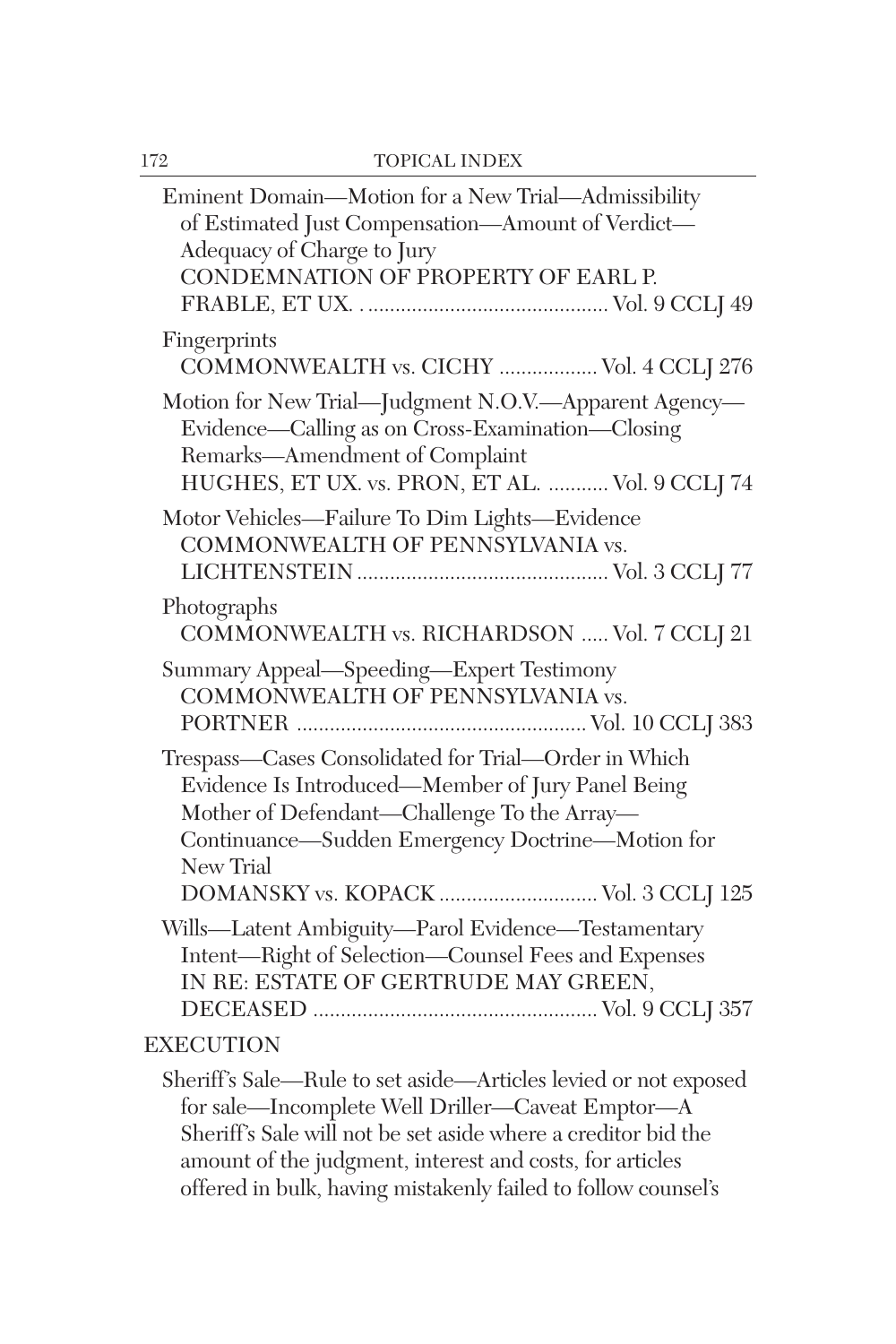| Eminent Domain-Motion for a New Trial-Admissibility<br>of Estimated Just Compensation-Amount of Verdict-<br>Adequacy of Charge to Jury<br>CONDEMNATION OF PROPERTY OF EARL P.                                                                                     |
|-------------------------------------------------------------------------------------------------------------------------------------------------------------------------------------------------------------------------------------------------------------------|
| Fingerprints<br>COMMONWEALTH vs. CICHY  Vol. 4 CCLJ 276                                                                                                                                                                                                           |
| Motion for New Trial-Judgment N.O.V.-Apparent Agency-<br>Evidence—Calling as on Cross-Examination—Closing<br>Remarks-Amendment of Complaint<br>HUGHES, ET UX. vs. PRON, ET AL.  Vol. 9 CCLJ 74                                                                    |
| Motor Vehicles-Failure To Dim Lights-Evidence<br>COMMONWEALTH OF PENNSYLVANIA vs.                                                                                                                                                                                 |
| Photographs<br>COMMONWEALTH vs. RICHARDSON  Vol. 7 CCLJ 21                                                                                                                                                                                                        |
| Summary Appeal-Speeding-Expert Testimony<br>COMMONWEALTH OF PENNSYLVANIA vs.                                                                                                                                                                                      |
| Trespass-Cases Consolidated for Trial-Order in Which<br>Evidence Is Introduced—Member of Jury Panel Being<br>Mother of Defendant-Challenge To the Array-<br>Continuance—Sudden Emergency Doctrine—Motion for<br>New Trial<br>DOMANSKY vs. KOPACK  Vol. 3 CCLJ 125 |
| Wills-Latent Ambiguity-Parol Evidence-Testamentary<br>Intent-Right of Selection-Counsel Fees and Expenses<br>IN RE: ESTATE OF GERTRUDE MAY GREEN,                                                                                                                 |
| <b>EXECUTION</b>                                                                                                                                                                                                                                                  |
| Sheriff's Sale-Rule to set aside-Articles levied or not exposed<br>for sale-Incomplete Well Driller-Caveat Emptor-A<br>Sheriff's Sale will not be set aside where a creditor bid the<br>amount of the judgment, interest and costs, for articles                  |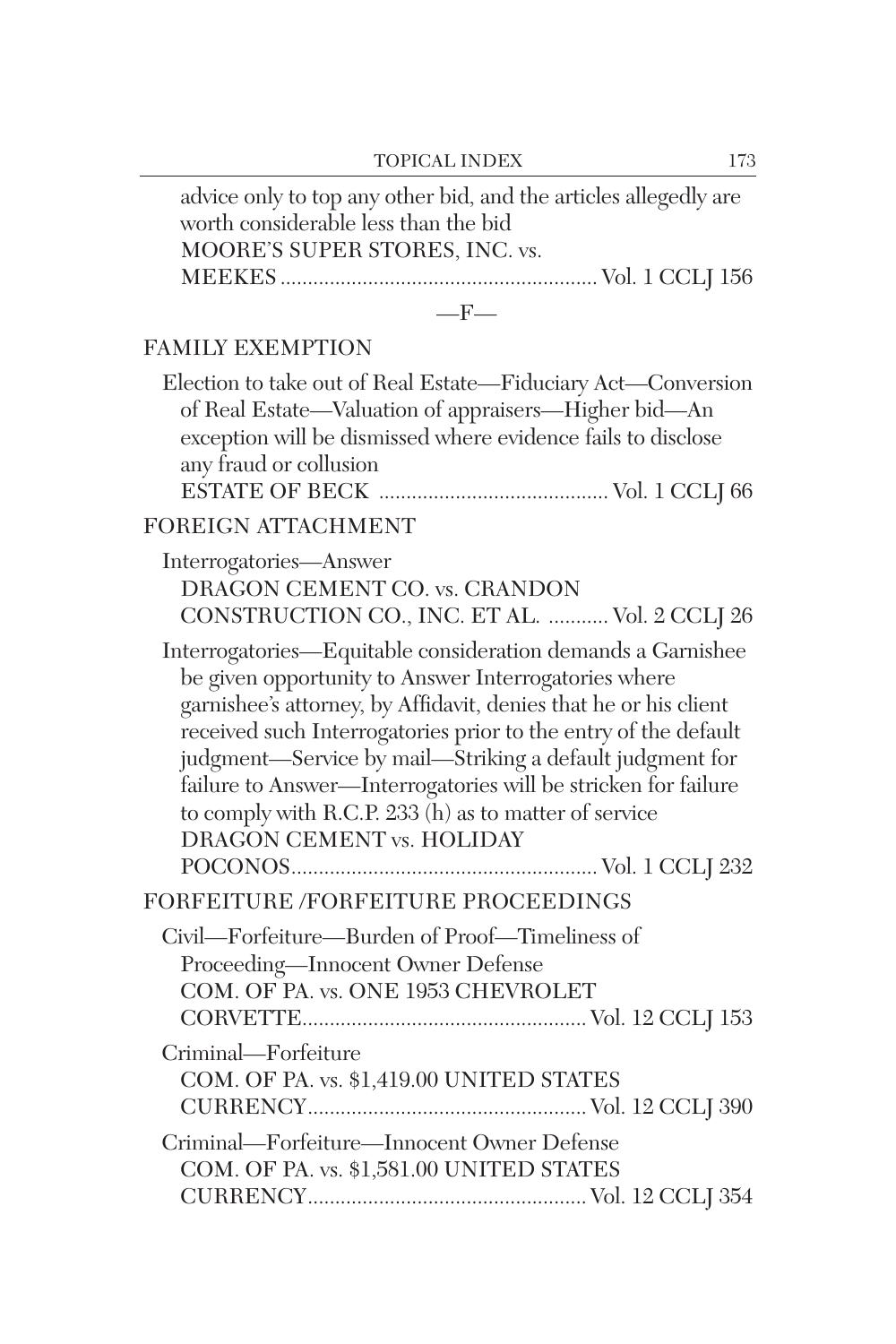| advice only to top any other bid, and the articles allegedly are<br>worth considerable less than the bid<br>MOORE'S SUPER STORES, INC. vs.                                                                                                                                                                                                                                                                                                                                     |
|--------------------------------------------------------------------------------------------------------------------------------------------------------------------------------------------------------------------------------------------------------------------------------------------------------------------------------------------------------------------------------------------------------------------------------------------------------------------------------|
| $-F-$                                                                                                                                                                                                                                                                                                                                                                                                                                                                          |
| <b>FAMILY EXEMPTION</b>                                                                                                                                                                                                                                                                                                                                                                                                                                                        |
| Election to take out of Real Estate-Fiduciary Act-Conversion<br>of Real Estate-Valuation of appraisers-Higher bid-An<br>exception will be dismissed where evidence fails to disclose<br>any fraud or collusion                                                                                                                                                                                                                                                                 |
| FOREIGN ATTACHMENT                                                                                                                                                                                                                                                                                                                                                                                                                                                             |
| Interrogatories-Answer<br>DRAGON CEMENT CO. vs. CRANDON<br>CONSTRUCTION CO., INC. ET AL.  Vol. 2 CCLJ 26                                                                                                                                                                                                                                                                                                                                                                       |
| Interrogatories-Equitable consideration demands a Garnishee<br>be given opportunity to Answer Interrogatories where<br>garnishee's attorney, by Affidavit, denies that he or his client<br>received such Interrogatories prior to the entry of the default<br>judgment-Service by mail-Striking a default judgment for<br>failure to Answer-Interrogatories will be stricken for failure<br>to comply with R.C.P. 233 (h) as to matter of service<br>DRAGON CEMENT vs. HOLIDAY |
| FORFEITURE /FORFEITURE PROCEEDINGS                                                                                                                                                                                                                                                                                                                                                                                                                                             |
| Civil—Forfeiture—Burden of Proof—Timeliness of<br>Proceeding-Innocent Owner Defense<br>COM. OF PA. vs. ONE 1953 CHEVROLET                                                                                                                                                                                                                                                                                                                                                      |
| Criminal-Forfeiture<br>COM. OF PA. vs. \$1,419.00 UNITED STATES                                                                                                                                                                                                                                                                                                                                                                                                                |
| Criminal-Forfeiture-Innocent Owner Defense<br>COM. OF PA. vs. \$1,581.00 UNITED STATES                                                                                                                                                                                                                                                                                                                                                                                         |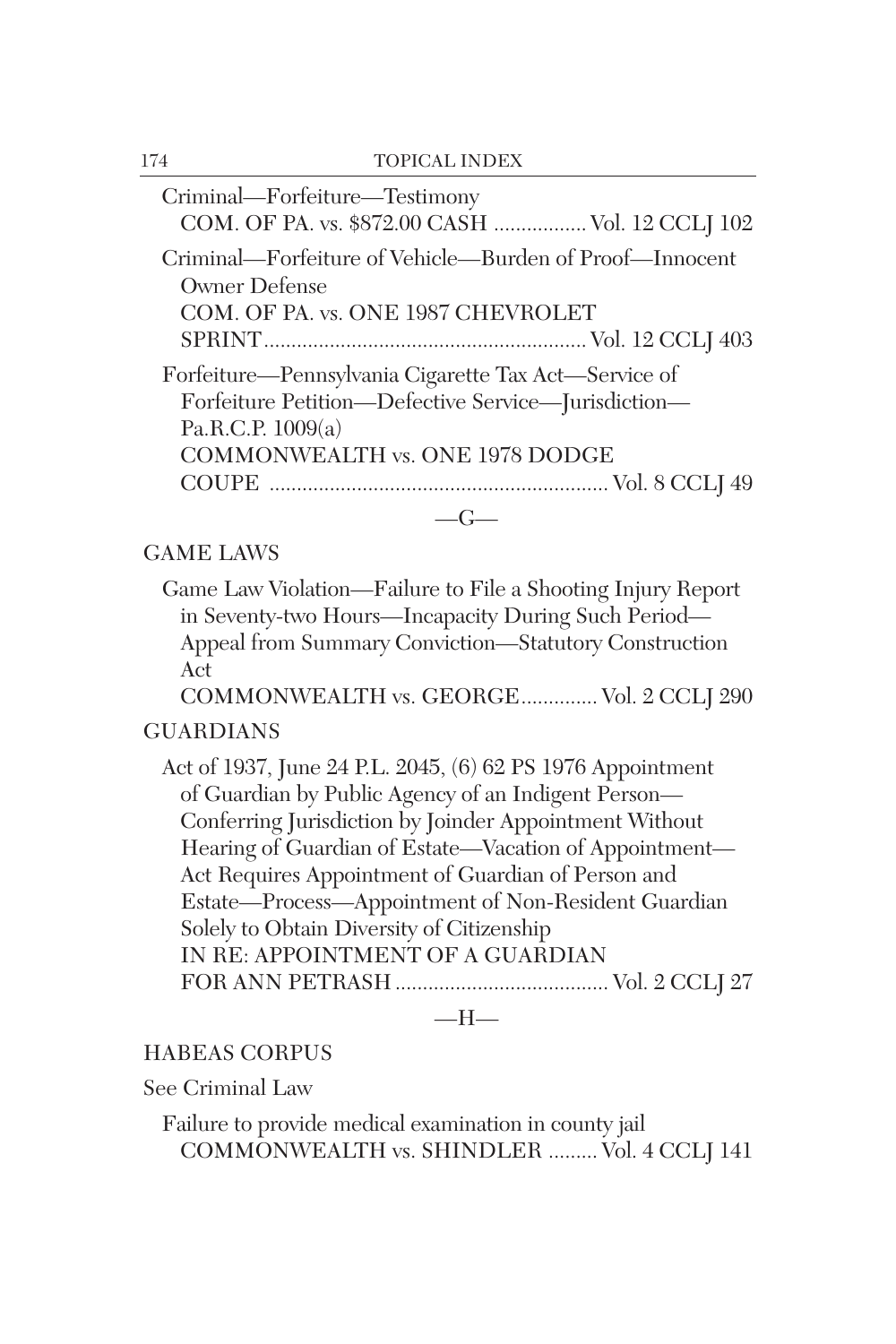| Criminal-Forfeiture-Testimony                           |
|---------------------------------------------------------|
| COM. OF PA. vs. \$872.00 CASH  Vol. 12 CCLJ 102         |
| Criminal—Forfeiture of Vehicle—Burden of Proof—Innocent |
| Owner Defense                                           |
| COM. OF PA. vs. ONE 1987 CHEVROLET                      |
|                                                         |
| Forfeiture—Pennsylvania Cigarette Tax Act—Service of    |
| Forfeiture Petition-Defective Service-Jurisdiction-     |
| Pa.R.C.P. 1009(a)                                       |
| COMMONWEALTH vs. ONE 1978 DODGE                         |
|                                                         |
|                                                         |
| GAME LAWS                                               |

Game Law Violation—Failure to File a Shooting Injury Report in Seventy-two Hours—Incapacity During Such Period— Appeal from Summary Conviction—Statutory Construction Act

COMMONWEALTH vs. GEORGE.............. Vol. 2 CCLJ 290

## GUARDIANS

Act of 1937, June 24 P.L. 2045, (6) 62 PS 1976 Appointment of Guardian by Public Agency of an Indigent Person— Conferring Jurisdiction by Joinder Appointment Without Hearing of Guardian of Estate—Vacation of Appointment— Act Requires Appointment of Guardian of Person and Estate—Process—Appointment of Non-Resident Guardian Solely to Obtain Diversity of Citizenship IN RE: APPOINTMENT OF A GUARDIAN FOR ANN PETRASH ....................................... Vol. 2 CCLJ 27

 $-H-$ 

## HABEAS CORPUS

See Criminal Law

Failure to provide medical examination in county jail COMMONWEALTH vs. SHINDLER ......... Vol. 4 CCLJ 141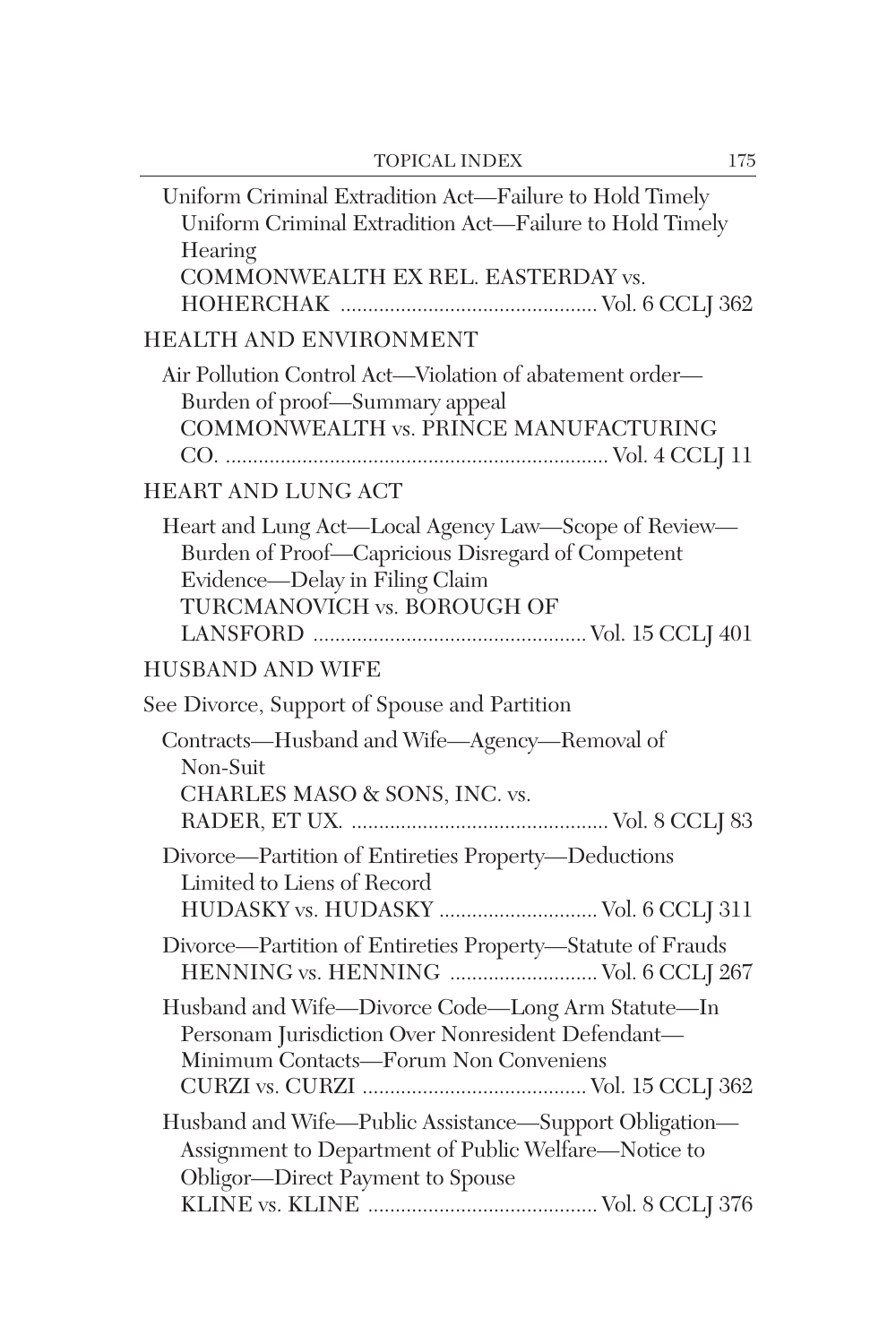| Uniform Criminal Extradition Act—Failure to Hold Timely<br>Uniform Criminal Extradition Act-Failure to Hold Timely<br>Hearing<br>COMMONWEALTH EX REL. EASTERDAY vs.        |
|----------------------------------------------------------------------------------------------------------------------------------------------------------------------------|
| HEALTH AND ENVIRONMENT                                                                                                                                                     |
| Air Pollution Control Act-Violation of abatement order-<br>Burden of proof-Summary appeal<br>COMMONWEALTH vs. PRINCE MANUFACTURING                                         |
| <b>HEART AND LUNG ACT</b>                                                                                                                                                  |
| Heart and Lung Act-Local Agency Law-Scope of Review-<br>Burden of Proof-Capricious Disregard of Competent<br>Evidence-Delay in Filing Claim<br>TURCMANOVICH vs. BOROUGH OF |
| <b>HUSBAND AND WIFE</b>                                                                                                                                                    |
| See Divorce, Support of Spouse and Partition                                                                                                                               |
| Contracts-Husband and Wife-Agency-Removal of<br>Non-Suit<br>CHARLES MASO & SONS, INC. vs.                                                                                  |
| Divorce-Partition of Entireties Property-Deductions<br>Limited to Liens of Record<br>HUDASKY vs. HUDASKY  Vol. 6 CCLJ 311                                                  |
| Divorce-Partition of Entireties Property-Statute of Frauds<br>HENNING vs. HENNING  Vol. 6 CCLJ 267                                                                         |
| Husband and Wife-Divorce Code-Long Arm Statute-In<br>Personam Jurisdiction Over Nonresident Defendant-<br>Minimum Contacts-Forum Non Conveniens                            |
| Husband and Wife-Public Assistance-Support Obligation-<br>Assignment to Department of Public Welfare-Notice to<br>Obligor-Direct Payment to Spouse                         |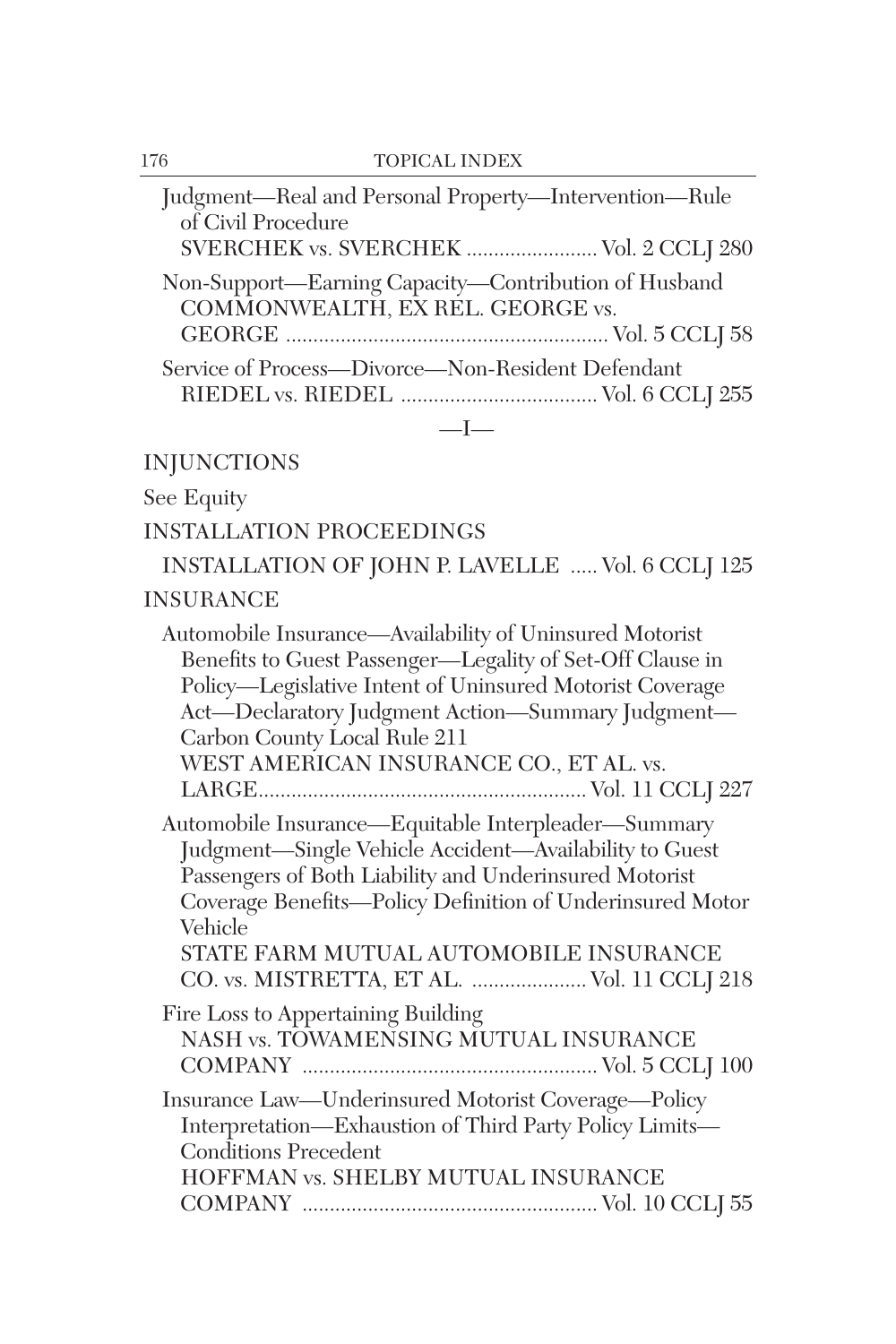| Judgment-Real and Personal Property-Intervention-Rule<br>of Civil Procedure<br>SVERCHEK vs. SVERCHEK  Vol. 2 CCLJ 280                                                                                                                                                                                                                                                                                                             |
|-----------------------------------------------------------------------------------------------------------------------------------------------------------------------------------------------------------------------------------------------------------------------------------------------------------------------------------------------------------------------------------------------------------------------------------|
| Non-Support-Earning Capacity-Contribution of Husband<br>COMMONWEALTH, EX REL. GEORGE vs.                                                                                                                                                                                                                                                                                                                                          |
| Service of Process-Divorce-Non-Resident Defendant<br>$-I-$                                                                                                                                                                                                                                                                                                                                                                        |
| <b>INJUNCTIONS</b>                                                                                                                                                                                                                                                                                                                                                                                                                |
| See Equity                                                                                                                                                                                                                                                                                                                                                                                                                        |
| <b>INSTALLATION PROCEEDINGS</b>                                                                                                                                                                                                                                                                                                                                                                                                   |
| INSTALLATION OF JOHN P. LAVELLE  Vol. 6 CCLJ 125                                                                                                                                                                                                                                                                                                                                                                                  |
| <b>INSURANCE</b>                                                                                                                                                                                                                                                                                                                                                                                                                  |
| Automobile Insurance—Availability of Uninsured Motorist<br>Benefits to Guest Passenger-Legality of Set-Off Clause in<br>Policy-Legislative Intent of Uninsured Motorist Coverage<br>Act-Declaratory Judgment Action-Summary Judgment-<br>Carbon County Local Rule 211<br>WEST AMERICAN INSURANCE CO., ET AL. vs.<br>Automobile Insurance—Equitable Interpleader—Summary<br>Judgment-Single Vehicle Accident-Availability to Guest |
| Passengers of Both Liability and Underinsured Motorist<br>Coverage Benefits-Policy Definition of Underinsured Motor<br>Vehicle                                                                                                                                                                                                                                                                                                    |
| STATE FARM MUTUAL AUTOMOBILE INSURANCE<br>CO. vs. MISTRETTA, ET AL.  Vol. 11 CCLJ 218                                                                                                                                                                                                                                                                                                                                             |
| Fire Loss to Appertaining Building<br>NASH vs. TOWAMENSING MUTUAL INSURANCE                                                                                                                                                                                                                                                                                                                                                       |
| Insurance Law-Underinsured Motorist Coverage-Policy<br>Interpretation-Exhaustion of Third Party Policy Limits-<br><b>Conditions Precedent</b><br>HOFFMAN vs. SHELBY MUTUAL INSURANCE                                                                                                                                                                                                                                              |
|                                                                                                                                                                                                                                                                                                                                                                                                                                   |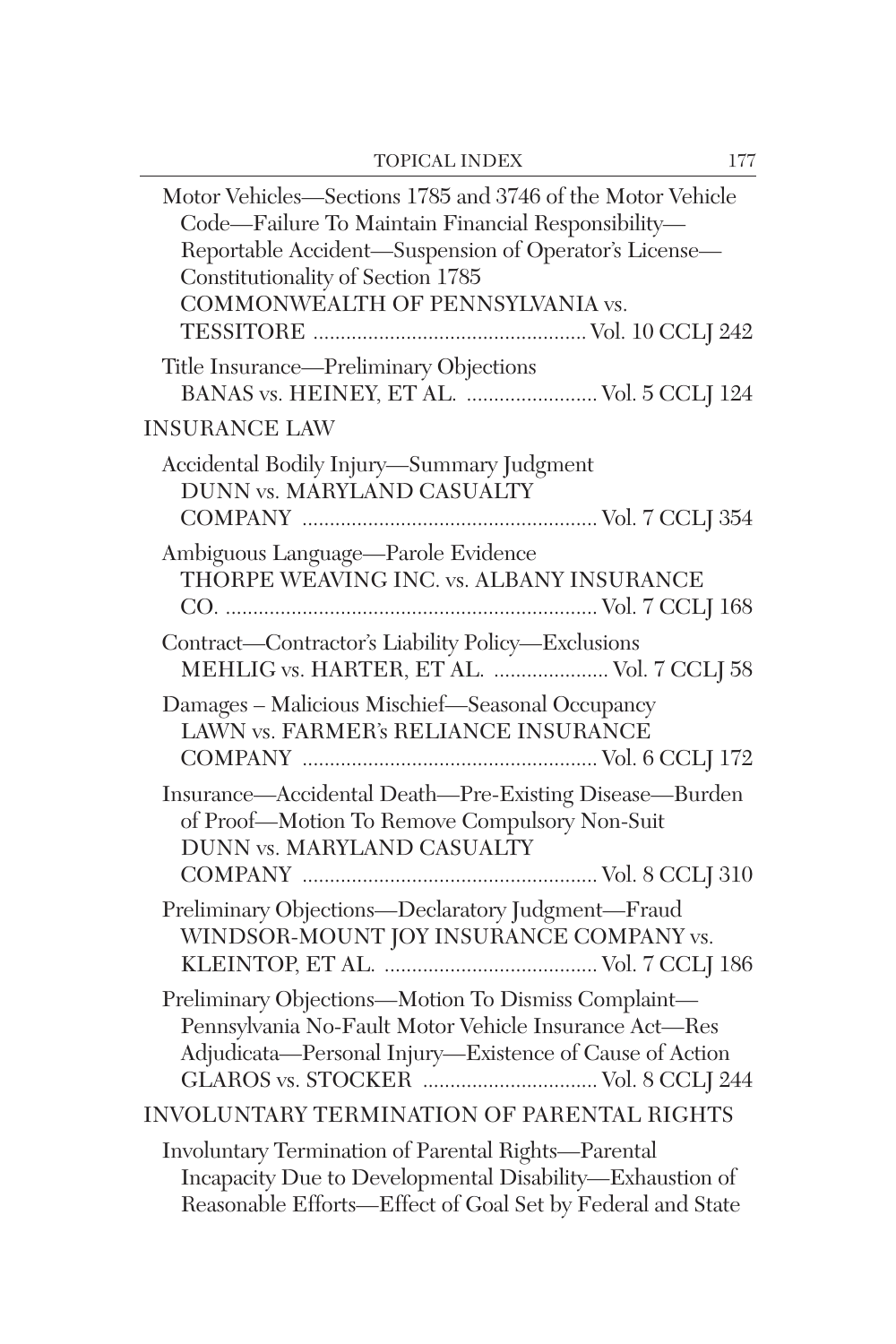| Motor Vehicles-Sections 1785 and 3746 of the Motor Vehicle<br>Code-Failure To Maintain Financial Responsibility-<br>Reportable Accident-Suspension of Operator's License-<br>Constitutionality of Section 1785<br>COMMONWEALTH OF PENNSYLVANIA vs. |
|----------------------------------------------------------------------------------------------------------------------------------------------------------------------------------------------------------------------------------------------------|
| Title Insurance—Preliminary Objections<br>BANAS vs. HEINEY, ET AL.  Vol. 5 CCLJ 124                                                                                                                                                                |
| <b>INSURANCE LAW</b>                                                                                                                                                                                                                               |
| Accidental Bodily Injury-Summary Judgment<br>DUNN vs. MARYLAND CASUALTY                                                                                                                                                                            |
| Ambiguous Language-Parole Evidence<br>THORPE WEAVING INC. vs. ALBANY INSURANCE                                                                                                                                                                     |
| Contract-Contractor's Liability Policy-Exclusions<br>MEHLIG vs. HARTER, ET AL.  Vol. 7 CCLJ 58                                                                                                                                                     |
| Damages - Malicious Mischief-Seasonal Occupancy<br>LAWN vs. FARMER's RELIANCE INSURANCE                                                                                                                                                            |
| Insurance-Accidental Death-Pre-Existing Disease-Burden<br>of Proof-Motion To Remove Compulsory Non-Suit<br>DUNN vs. MARYLAND CASUALTY                                                                                                              |
| Preliminary Objections-Declaratory Judgment-Fraud<br>WINDSOR-MOUNT JOY INSURANCE COMPANY vs.                                                                                                                                                       |
| Preliminary Objections-Motion To Dismiss Complaint-<br>Pennsylvania No-Fault Motor Vehicle Insurance Act-Res<br>Adjudicata-Personal Injury-Existence of Cause of Action                                                                            |
| INVOLUNTARY TERMINATION OF PARENTAL RIGHTS                                                                                                                                                                                                         |
| Involuntary Termination of Parental Rights-Parental<br>Incapacity Due to Developmental Disability-Exhaustion of<br>Reasonable Efforts-Effect of Goal Set by Federal and State                                                                      |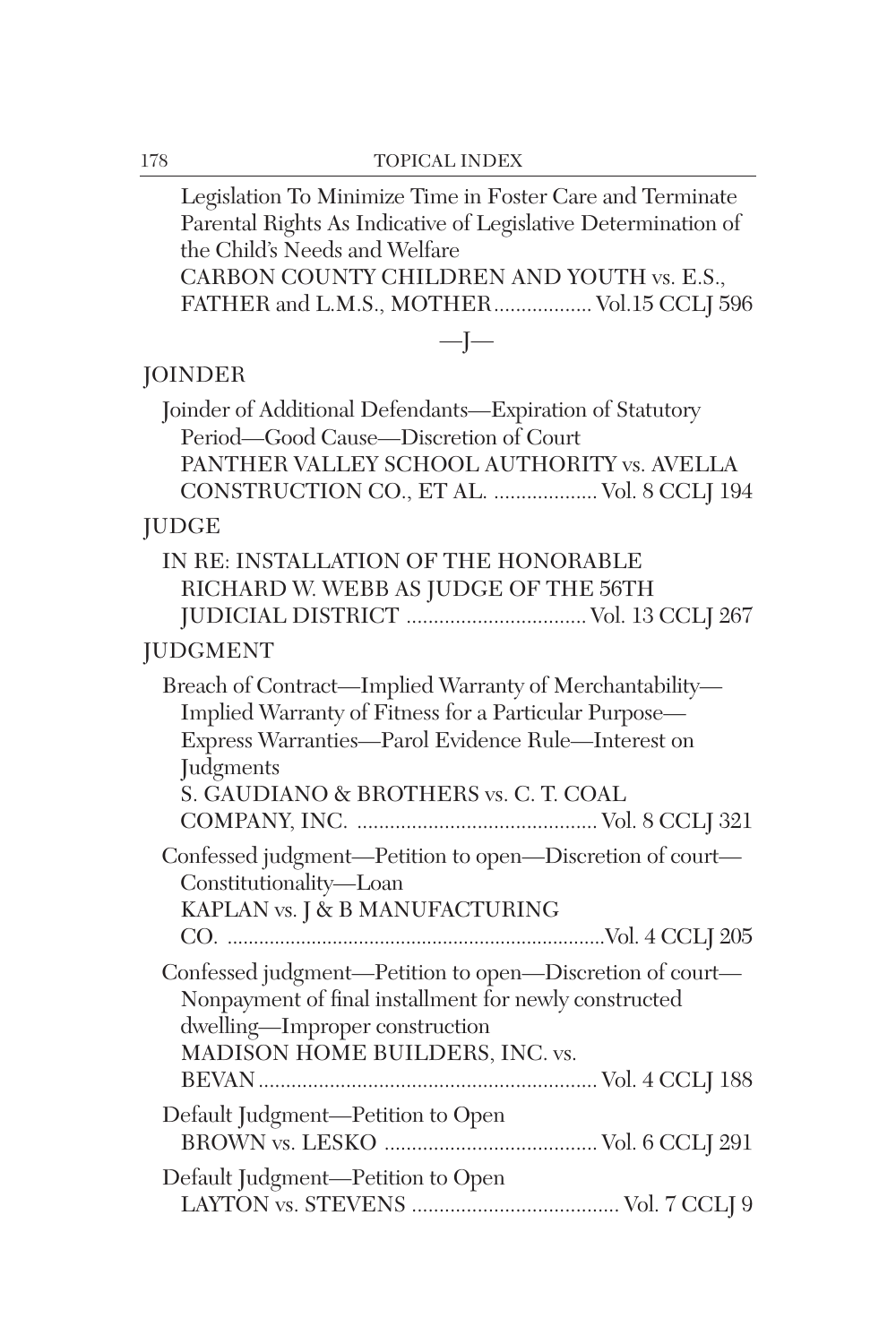| Legislation To Minimize Time in Foster Care and Terminate<br>Parental Rights As Indicative of Legislative Determination of<br>the Child's Needs and Welfare<br>CARBON COUNTY CHILDREN AND YOUTH vs. E.S.,<br>FATHER and L.M.S., MOTHER Vol.15 CCLJ 596 |
|--------------------------------------------------------------------------------------------------------------------------------------------------------------------------------------------------------------------------------------------------------|
| $-I-$                                                                                                                                                                                                                                                  |
| <b>JOINDER</b>                                                                                                                                                                                                                                         |
| Joinder of Additional Defendants-Expiration of Statutory<br>Period-Good Cause-Discretion of Court<br>PANTHER VALLEY SCHOOL AUTHORITY vs. AVELLA<br>CONSTRUCTION CO., ET AL.  Vol. 8 CCLJ 194                                                           |
| <b>JUDGE</b>                                                                                                                                                                                                                                           |
| IN RE: INSTALLATION OF THE HONORABLE<br>RICHARD W. WEBB AS JUDGE OF THE 56TH<br>JUDICIAL DISTRICT  Vol. 13 CCLJ 267                                                                                                                                    |
| <b>JUDGMENT</b>                                                                                                                                                                                                                                        |
| Breach of Contract—Implied Warranty of Merchantability—<br>Implied Warranty of Fitness for a Particular Purpose-<br>Express Warranties-Parol Evidence Rule-Interest on<br>Judgments<br>S. GAUDIANO & BROTHERS vs. C. T. COAL                           |
| Confessed judgment-Petition to open-Discretion of court-<br>Constitutionality-Loan<br>KAPLAN vs. J & B MANUFACTURING                                                                                                                                   |
| Confessed judgment-Petition to open-Discretion of court-<br>Nonpayment of final installment for newly constructed<br>dwelling-Improper construction<br>MADISON HOME BUILDERS, INC. vs.                                                                 |
| Default Judgment-Petition to Open                                                                                                                                                                                                                      |
| Default Judgment-Petition to Open                                                                                                                                                                                                                      |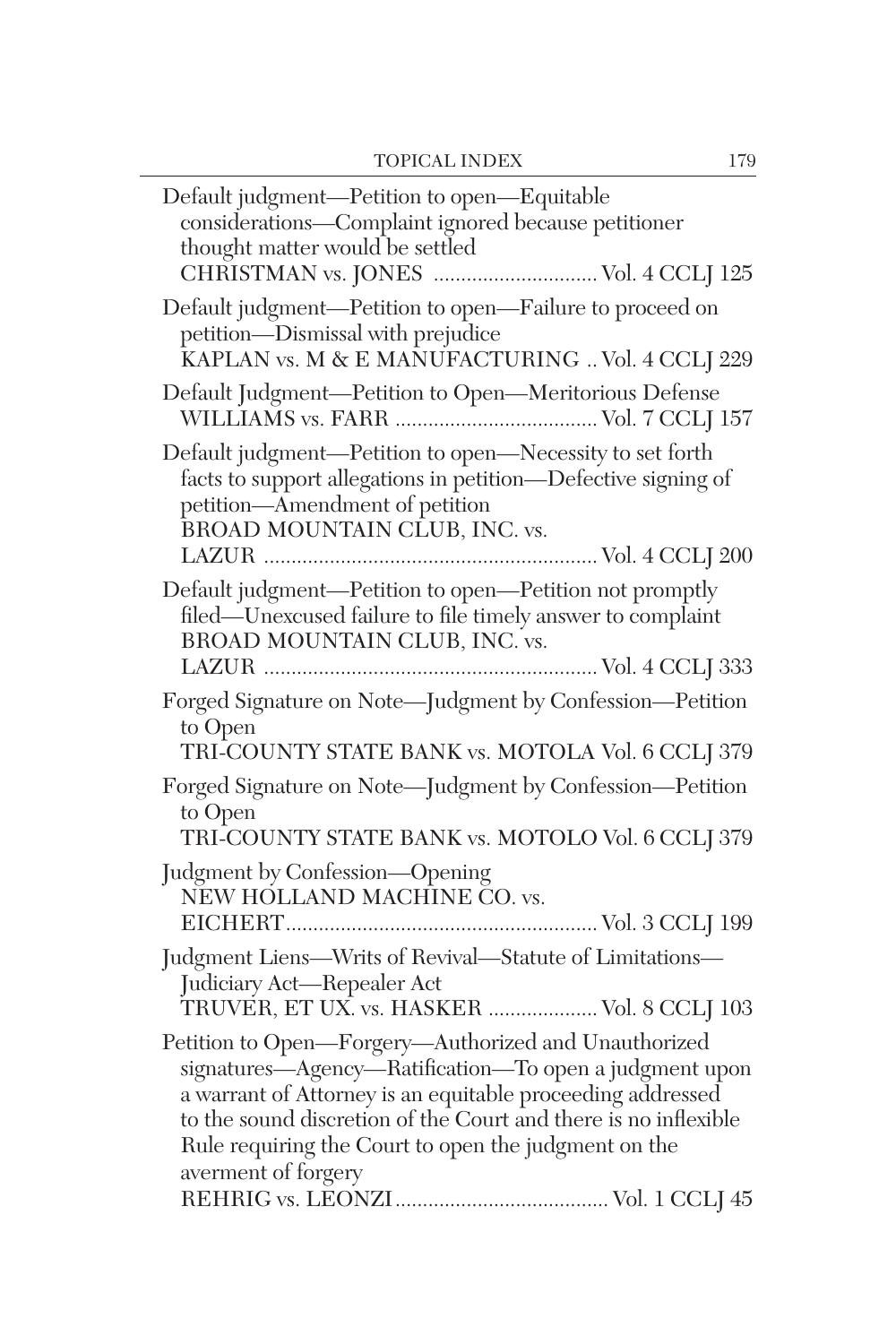| CHRISTMAN vs. JONES  Vol. 4 CCLJ 125<br>Default judgment-Petition to open-Failure to proceed on<br>petition-Dismissal with prejudice<br>KAPLAN vs. M & E MANUFACTURING  Vol. 4 CCLJ 229<br>Default Judgment-Petition to Open-Meritorious Defense<br>Default judgment-Petition to open-Necessity to set forth<br>facts to support allegations in petition-Defective signing of<br>petition-Amendment of petition<br>BROAD MOUNTAIN CLUB, INC. vs. |
|--------------------------------------------------------------------------------------------------------------------------------------------------------------------------------------------------------------------------------------------------------------------------------------------------------------------------------------------------------------------------------------------------------------------------------------------------|
|                                                                                                                                                                                                                                                                                                                                                                                                                                                  |
|                                                                                                                                                                                                                                                                                                                                                                                                                                                  |
|                                                                                                                                                                                                                                                                                                                                                                                                                                                  |
| Default judgment-Petition to open-Petition not promptly<br>filed—Unexcused failure to file timely answer to complaint<br>BROAD MOUNTAIN CLUB, INC. vs.                                                                                                                                                                                                                                                                                           |
| Forged Signature on Note-Judgment by Confession-Petition<br>to Open<br>TRI-COUNTY STATE BANK vs. MOTOLA Vol. 6 CCLJ 379                                                                                                                                                                                                                                                                                                                          |
| Forged Signature on Note-Judgment by Confession-Petition<br>to Open<br>TRI-COUNTY STATE BANK vs. MOTOLO Vol. 6 CCLJ 379                                                                                                                                                                                                                                                                                                                          |
| Judgment by Confession-Opening<br>NEW HOLLAND MACHINE CO. vs.                                                                                                                                                                                                                                                                                                                                                                                    |
| Judgment Liens-Writs of Revival-Statute of Limitations-<br>Judiciary Act-Repealer Act<br>TRUVER, ET UX. vs. HASKER  Vol. 8 CCLJ 103                                                                                                                                                                                                                                                                                                              |
| Petition to Open-Forgery-Authorized and Unauthorized<br>signatures-Agency-Ratification-To open a judgment upon<br>a warrant of Attorney is an equitable proceeding addressed<br>to the sound discretion of the Court and there is no inflexible<br>Rule requiring the Court to open the judgment on the<br>averment of forgery                                                                                                                   |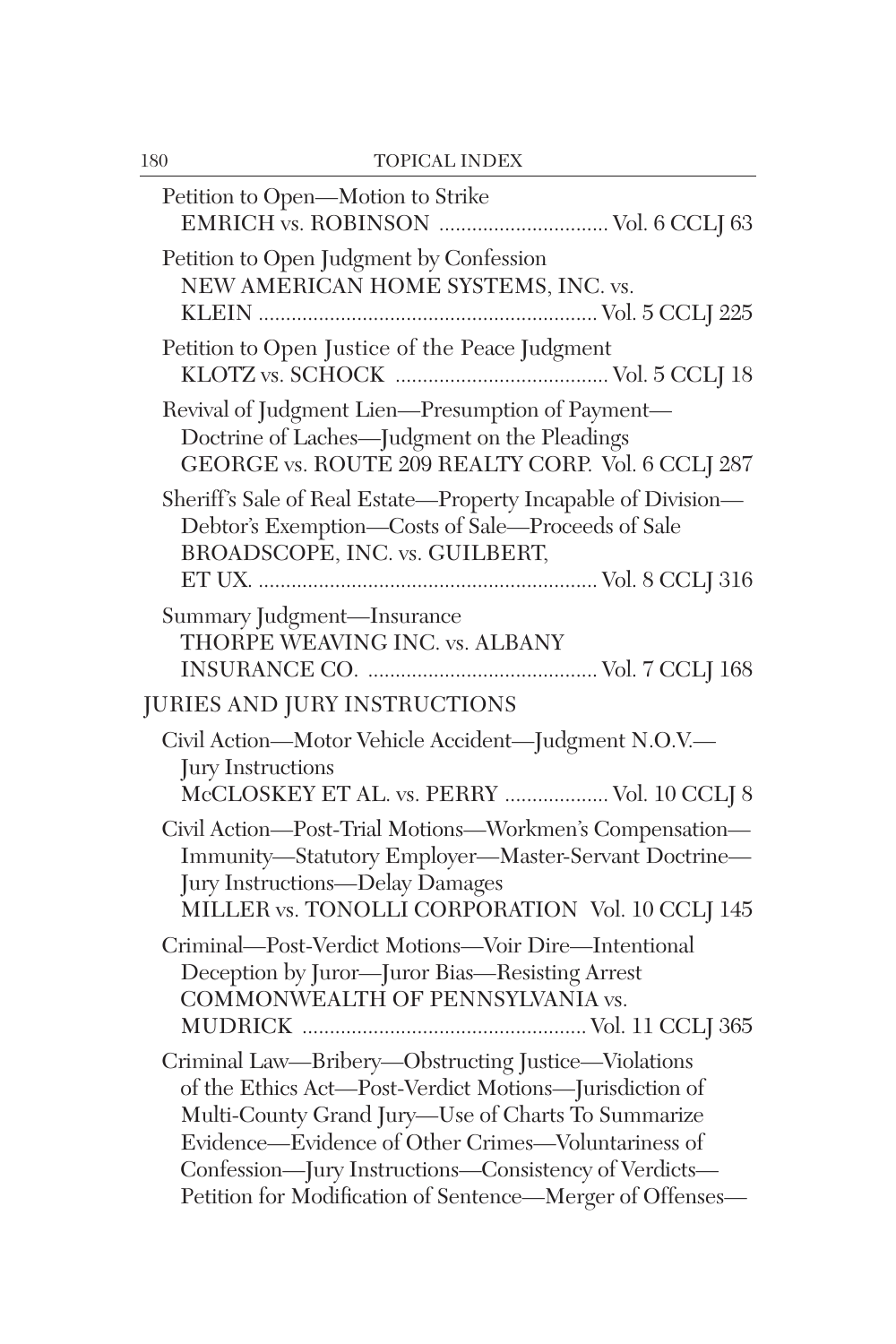| 180 | <b>TOPICAL INDEX</b>                                                                                                                                                                                                                                                                                                                            |
|-----|-------------------------------------------------------------------------------------------------------------------------------------------------------------------------------------------------------------------------------------------------------------------------------------------------------------------------------------------------|
|     | Petition to Open-Motion to Strike<br>EMRICH vs. ROBINSON  Vol. 6 CCLJ 63                                                                                                                                                                                                                                                                        |
|     | Petition to Open Judgment by Confession<br>NEW AMERICAN HOME SYSTEMS, INC. vs.                                                                                                                                                                                                                                                                  |
|     | Petition to Open Justice of the Peace Judgment                                                                                                                                                                                                                                                                                                  |
|     | Revival of Judgment Lien-Presumption of Payment-<br>Doctrine of Laches-Judgment on the Pleadings<br>GEORGE vs. ROUTE 209 REALTY CORP. Vol. 6 CCLJ 287                                                                                                                                                                                           |
|     | Sheriff's Sale of Real Estate-Property Incapable of Division-<br>Debtor's Exemption-Costs of Sale-Proceeds of Sale<br>BROADSCOPE, INC. vs. GUILBERT,                                                                                                                                                                                            |
|     | Summary Judgment-Insurance<br>THORPE WEAVING INC. vs. ALBANY                                                                                                                                                                                                                                                                                    |
|     | JURIES AND JURY INSTRUCTIONS                                                                                                                                                                                                                                                                                                                    |
|     | Civil Action-Motor Vehicle Accident-Judgment N.O.V.-<br>Jury Instructions<br>McCLOSKEY ET AL. vs. PERRY  Vol. 10 CCLJ 8                                                                                                                                                                                                                         |
|     | Civil Action-Post-Trial Motions-Workmen's Compensation-<br>Immunity-Statutory Employer-Master-Servant Doctrine-<br>Jury Instructions-Delay Damages<br>MILLER vs. TONOLLI CORPORATION Vol. 10 CCLJ 145                                                                                                                                           |
|     | Criminal-Post-Verdict Motions-Voir Dire-Intentional<br>Deception by Juror-Juror Bias-Resisting Arrest<br>COMMONWEALTH OF PENNSYLVANIA vs.                                                                                                                                                                                                       |
|     | Criminal Law-Bribery-Obstructing Justice-Violations<br>of the Ethics Act-Post-Verdict Motions-Jurisdiction of<br>Multi-County Grand Jury-Use of Charts To Summarize<br>Evidence—Evidence of Other Crimes—Voluntariness of<br>Confession-Jury Instructions-Consistency of Verdicts-<br>Petition for Modification of Sentence-Merger of Offenses- |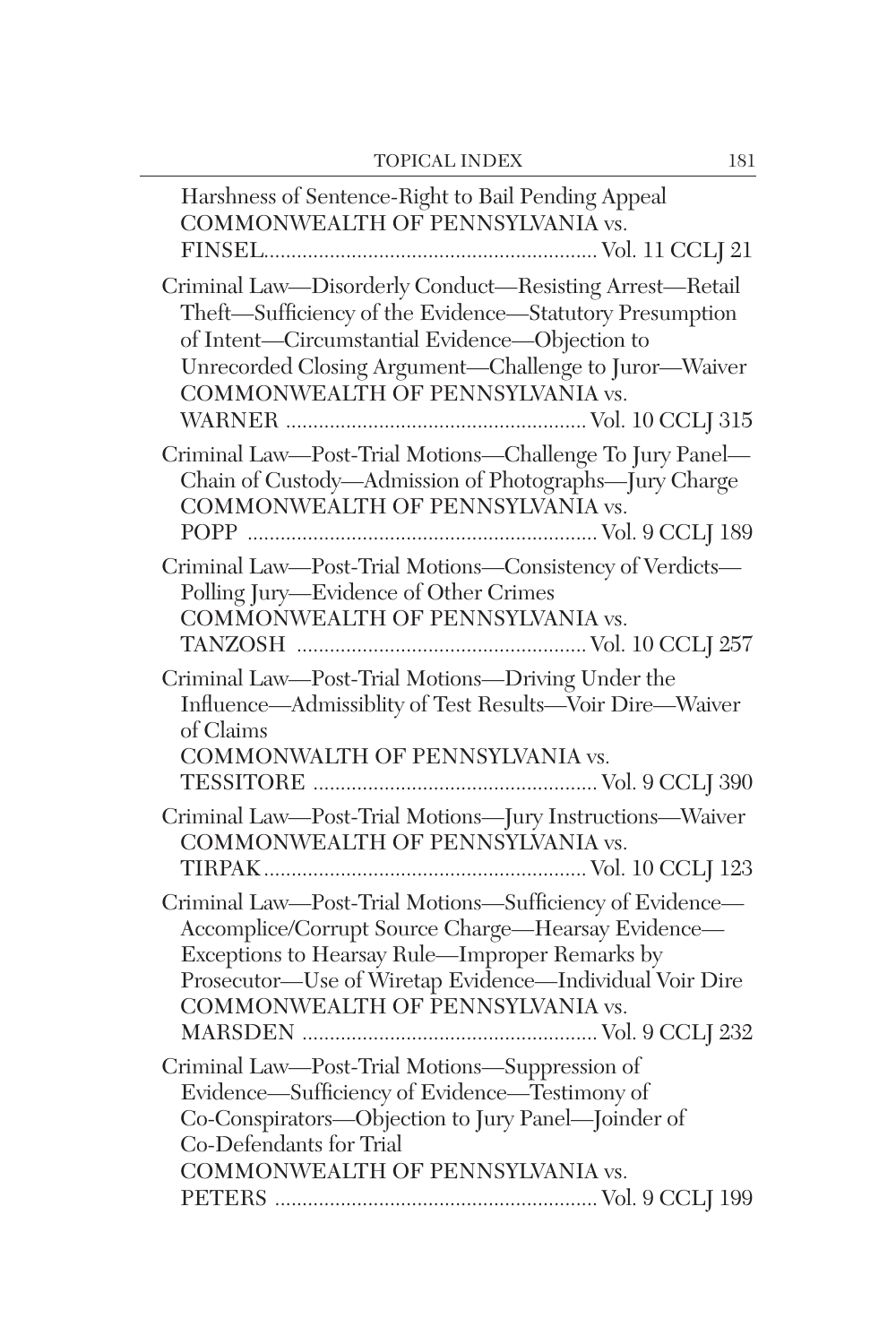$\overline{\phantom{0}}$ 

| Harshness of Sentence-Right to Bail Pending Appeal<br>COMMONWEALTH OF PENNSYLVANIA vs.                                                                                                                                                                            |
|-------------------------------------------------------------------------------------------------------------------------------------------------------------------------------------------------------------------------------------------------------------------|
| Criminal Law-Disorderly Conduct-Resisting Arrest-Retail<br>Theft-Sufficiency of the Evidence-Statutory Presumption<br>of Intent-Circumstantial Evidence-Objection to<br>Unrecorded Closing Argument-Challenge to Juror-Waiver<br>COMMONWEALTH OF PENNSYLVANIA vs. |
| Criminal Law-Post-Trial Motions-Challenge To Jury Panel-<br>Chain of Custody-Admission of Photographs-Jury Charge<br>COMMONWEALTH OF PENNSYLVANIA vs.                                                                                                             |
| Criminal Law-Post-Trial Motions-Consistency of Verdicts-<br>Polling Jury-Evidence of Other Crimes<br>COMMONWEALTH OF PENNSYLVANIA vs.                                                                                                                             |
| Criminal Law-Post-Trial Motions-Driving Under the<br>Influence-Admissiblity of Test Results-Voir Dire-Waiver<br>of Claims<br>COMMONWALTH OF PENNSYLVANIA vs.                                                                                                      |
| Criminal Law-Post-Trial Motions-Jury Instructions-Waiver<br>COMMONWEALTH OF PENNSYLVANIA vs.                                                                                                                                                                      |
| Criminal Law-Post-Trial Motions-Sufficiency of Evidence-<br>Accomplice/Corrupt Source Charge—Hearsay Evidence—<br>Exceptions to Hearsay Rule-Improper Remarks by<br>Prosecutor—Use of Wiretap Evidence—Individual Voir Dire<br>COMMONWEALTH OF PENNSYLVANIA vs.   |
| Criminal Law-Post-Trial Motions-Suppression of<br>Evidence-Sufficiency of Evidence-Testimony of<br>Co-Conspirators-Objection to Jury Panel-Joinder of<br>Co-Defendants for Trial<br>COMMONWEALTH OF PENNSYLVANIA vs.                                              |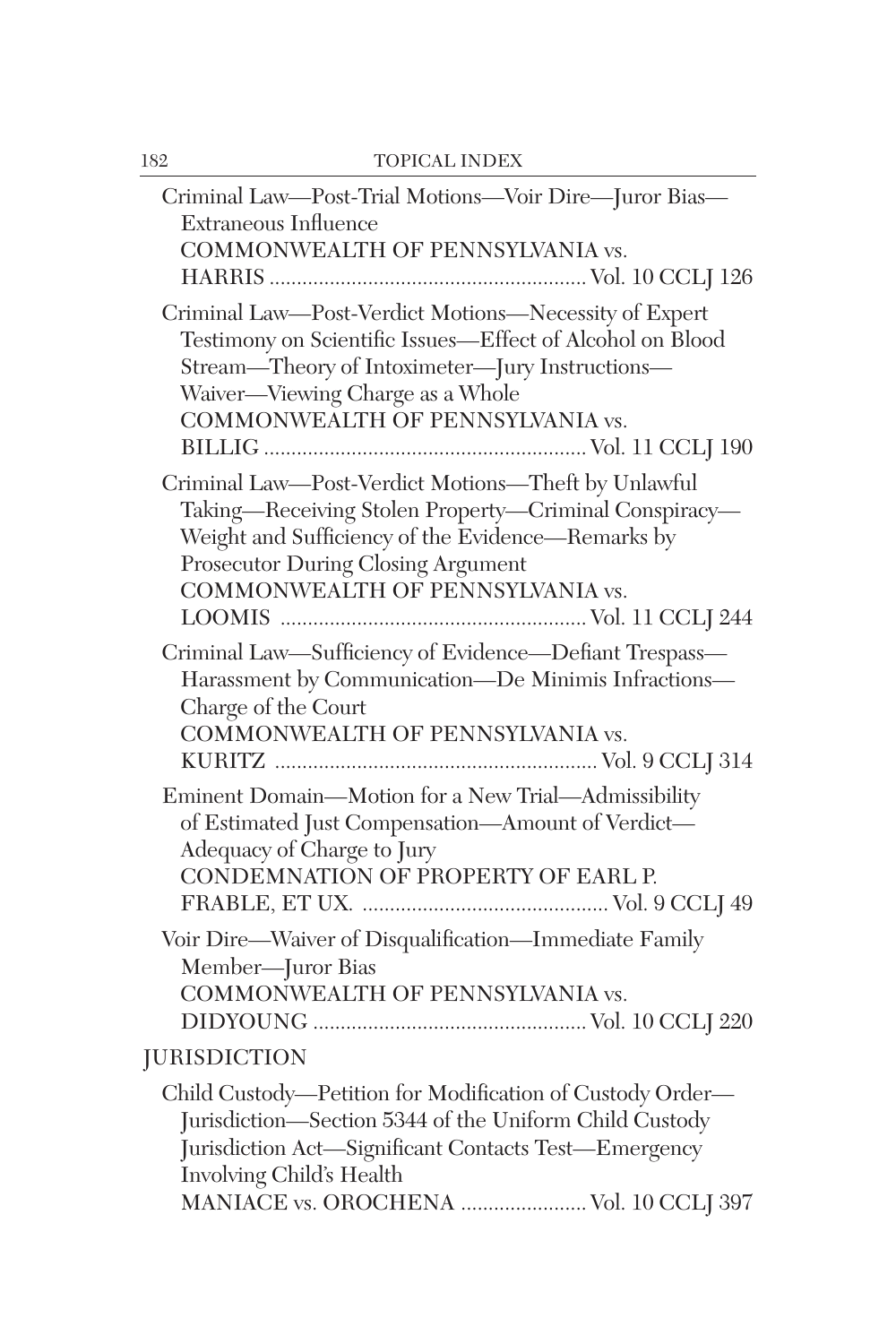| Criminal Law—Post-Trial Motions—Voir Dire—Juror Bias—<br><b>Extraneous Influence</b><br>COMMONWEALTH OF PENNSYLVANIA vs.                                                                                                                      |
|-----------------------------------------------------------------------------------------------------------------------------------------------------------------------------------------------------------------------------------------------|
| Criminal Law-Post-Verdict Motions-Necessity of Expert<br>Testimony on Scientific Issues-Effect of Alcohol on Blood<br>Stream-Theory of Intoximeter-Jury Instructions-<br>Waiver-Viewing Charge as a Whole<br>COMMONWEALTH OF PENNSYLVANIA vs. |
| Criminal Law-Post-Verdict Motions-Theft by Unlawful<br>Taking-Receiving Stolen Property-Criminal Conspiracy-<br>Weight and Sufficiency of the Evidence-Remarks by<br>Prosecutor During Closing Argument<br>COMMONWEALTH OF PENNSYLVANIA vs.   |
| Criminal Law-Sufficiency of Evidence-Defiant Trespass-<br>Harassment by Communication-De Minimis Infractions-<br>Charge of the Court<br>COMMONWEALTH OF PENNSYLVANIA vs.                                                                      |
| Eminent Domain-Motion for a New Trial-Admissibility<br>of Estimated Just Compensation-Amount of Verdict-<br>Adequacy of Charge to Jury<br>CONDEMNATION OF PROPERTY OF EARL P.                                                                 |
| Voir Dire-Waiver of Disqualification-Immediate Family<br>Member-Juror Bias<br>COMMONWEALTH OF PENNSYLVANIA vs.                                                                                                                                |
| <b>JURISDICTION</b>                                                                                                                                                                                                                           |
| Child Custody—Petition for Modification of Custody Order—<br>Jurisdiction-Section 5344 of the Uniform Child Custody<br>Jurisdiction Act-Significant Contacts Test-Emergency<br>Involving Child's Health                                       |
| MANIACE vs. OROCHENA  Vol. 10 CCLJ 397                                                                                                                                                                                                        |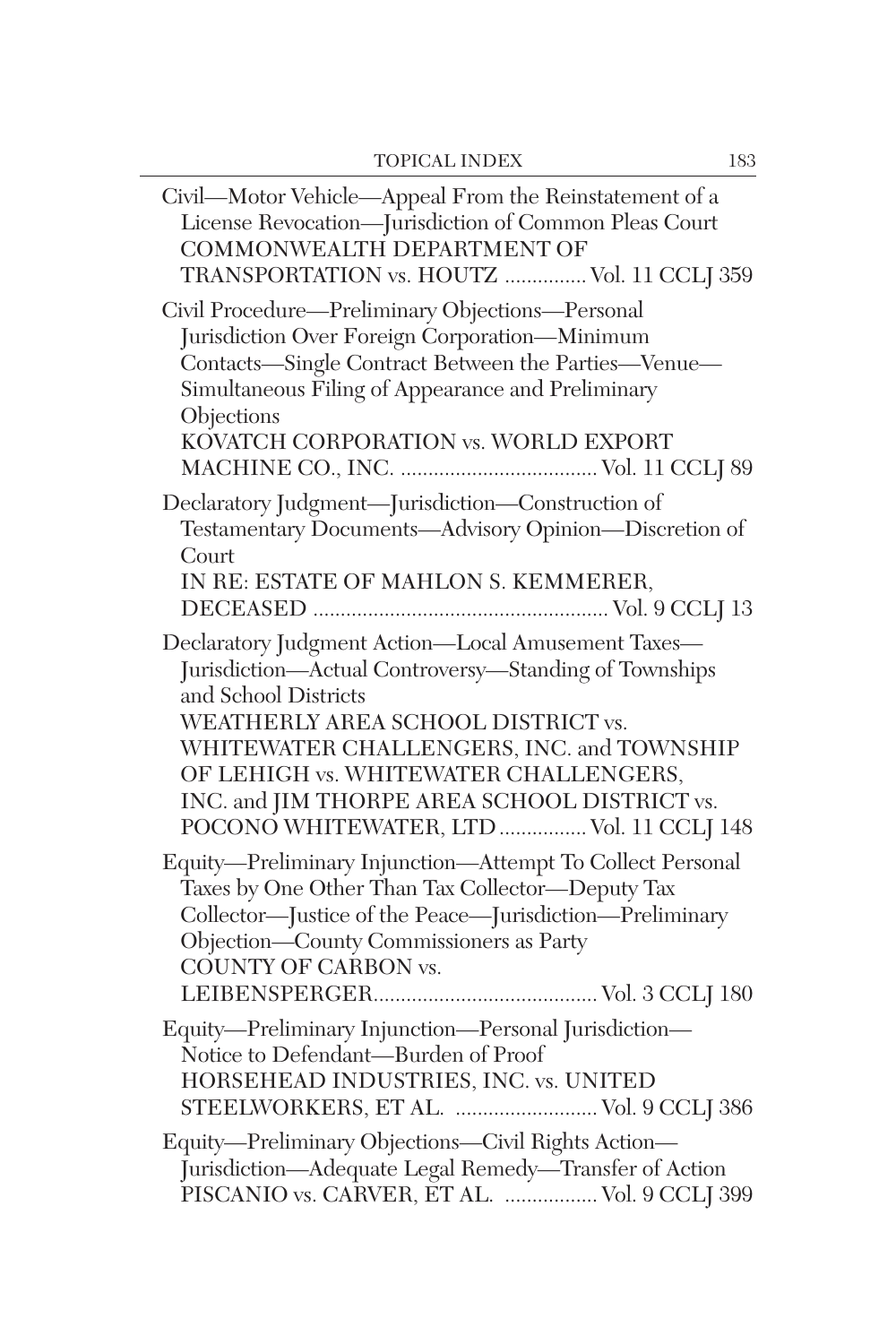| Civil—Motor Vehicle—Appeal From the Reinstatement of a<br>License Revocation-Jurisdiction of Common Pleas Court<br>COMMONWEALTH DEPARTMENT OF<br>TRANSPORTATION vs. HOUTZ  Vol. 11 CCLJ 359                                                                                                                                                                 |
|-------------------------------------------------------------------------------------------------------------------------------------------------------------------------------------------------------------------------------------------------------------------------------------------------------------------------------------------------------------|
| Civil Procedure—Preliminary Objections—Personal<br>Jurisdiction Over Foreign Corporation-Minimum<br>Contacts-Single Contract Between the Parties-Venue-<br>Simultaneous Filing of Appearance and Preliminary<br>Objections<br>KOVATCH CORPORATION vs. WORLD EXPORT                                                                                          |
| Declaratory Judgment-Jurisdiction-Construction of<br>Testamentary Documents-Advisory Opinion-Discretion of<br>Court<br>IN RE: ESTATE OF MAHLON S. KEMMERER,                                                                                                                                                                                                 |
| Declaratory Judgment Action-Local Amusement Taxes-<br>Jurisdiction-Actual Controversy-Standing of Townships<br>and School Districts<br>WEATHERLY AREA SCHOOL DISTRICT vs.<br>WHITEWATER CHALLENGERS, INC. and TOWNSHIP<br>OF LEHIGH vs. WHITEWATER CHALLENGERS,<br>INC. and JIM THORPE AREA SCHOOL DISTRICT vs.<br>POCONO WHITEWATER, LTD  Vol. 11 CCLJ 148 |
| Equity-Preliminary Injunction-Attempt To Collect Personal<br>Taxes by One Other Than Tax Collector-Deputy Tax<br>Collector—Justice of the Peace—Jurisdiction—Preliminary<br>Objection-County Commissioners as Party<br><b>COUNTY OF CARBON vs.</b>                                                                                                          |
| Equity-Preliminary Injunction-Personal Jurisdiction-<br>Notice to Defendant-Burden of Proof<br>HORSEHEAD INDUSTRIES, INC. vs. UNITED<br>STEELWORKERS, ET AL.  Vol. 9 CCLJ 386                                                                                                                                                                               |
| Equity-Preliminary Objections-Civil Rights Action-<br>Jurisdiction-Adequate Legal Remedy-Transfer of Action<br>PISCANIO vs. CARVER, ET AL.   Vol. 9 CCLJ 399                                                                                                                                                                                                |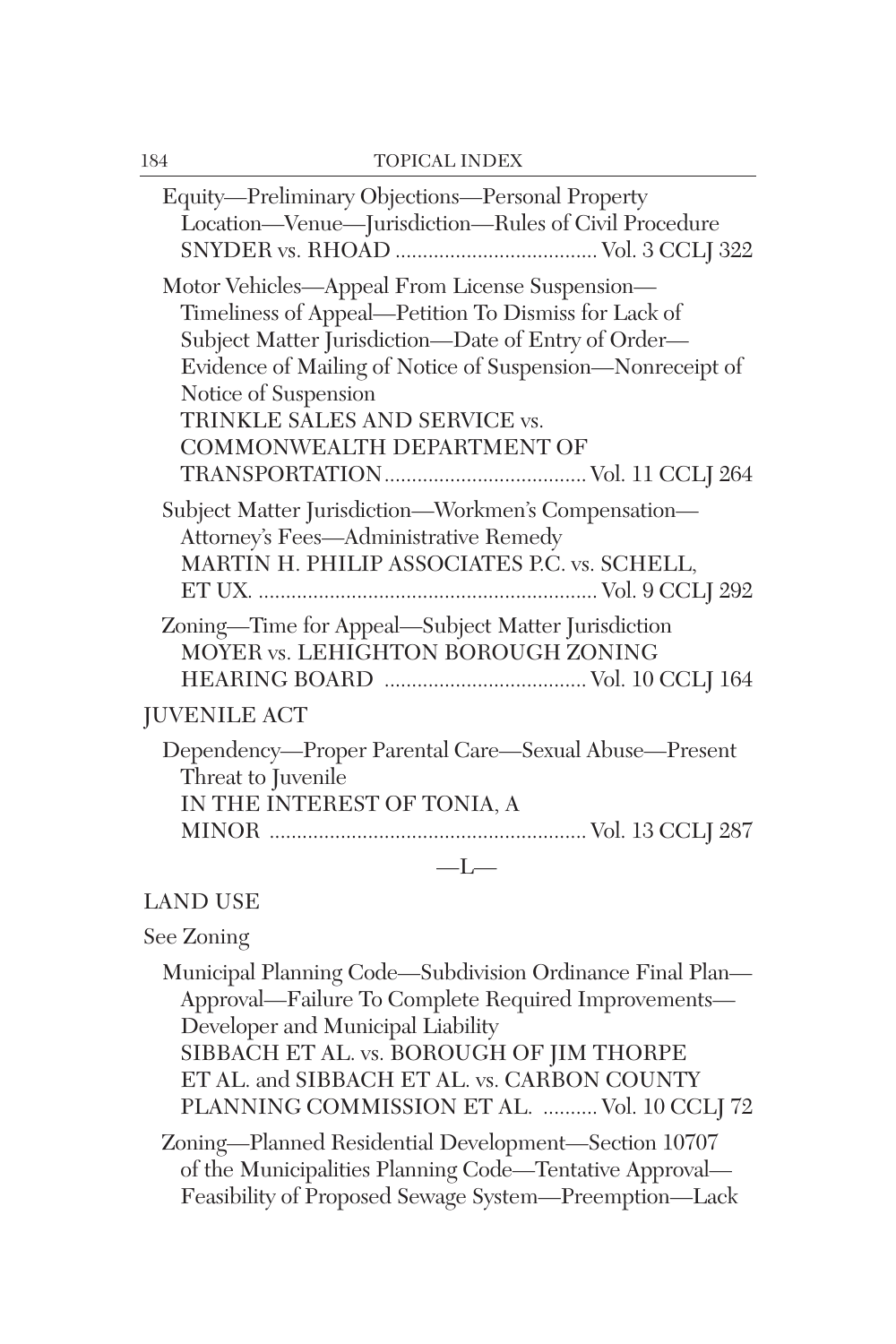| Equity—Preliminary Objections—Personal Property<br>Location-Venue-Jurisdiction-Rules of Civil Procedure                                                                                                                                                                                                           |
|-------------------------------------------------------------------------------------------------------------------------------------------------------------------------------------------------------------------------------------------------------------------------------------------------------------------|
| Motor Vehicles—Appeal From License Suspension—<br>Timeliness of Appeal-Petition To Dismiss for Lack of<br>Subject Matter Jurisdiction-Date of Entry of Order-<br>Evidence of Mailing of Notice of Suspension-Nonreceipt of<br>Notice of Suspension<br>TRINKLE SALES AND SERVICE vs.<br>COMMONWEALTH DEPARTMENT OF |
| Subject Matter Jurisdiction-Workmen's Compensation-<br>Attorney's Fees-Administrative Remedy<br>MARTIN H. PHILIP ASSOCIATES P.C. vs. SCHELL,                                                                                                                                                                      |
| Zoning-Time for Appeal-Subject Matter Jurisdiction<br>MOYER vs. LEHIGHTON BOROUGH ZONING<br><b>JUVENILE ACT</b>                                                                                                                                                                                                   |
| Dependency—Proper Parental Care—Sexual Abuse—Present<br>Threat to Juvenile<br>IN THE INTEREST OF TONIA, A                                                                                                                                                                                                         |
| $-L-$                                                                                                                                                                                                                                                                                                             |

#### LAND USE

#### See Zoning

Municipal Planning Code—Subdivision Ordinance Final Plan— Approval—Failure To Complete Required Improvements— Developer and Municipal Liability SIBBACH ET AL. vs. BOROUGH OF JIM THORPE ET AL. and SIBBACH ET AL. vs. CARBON COUNTY PLANNING COMMISSION ET AL. .......... Vol. 10 CCLJ 72

Zoning—Planned Residential Development—Section 10707 of the Municipalities Planning Code—Tentative Approval— Feasibility of Proposed Sewage System—Preemption—Lack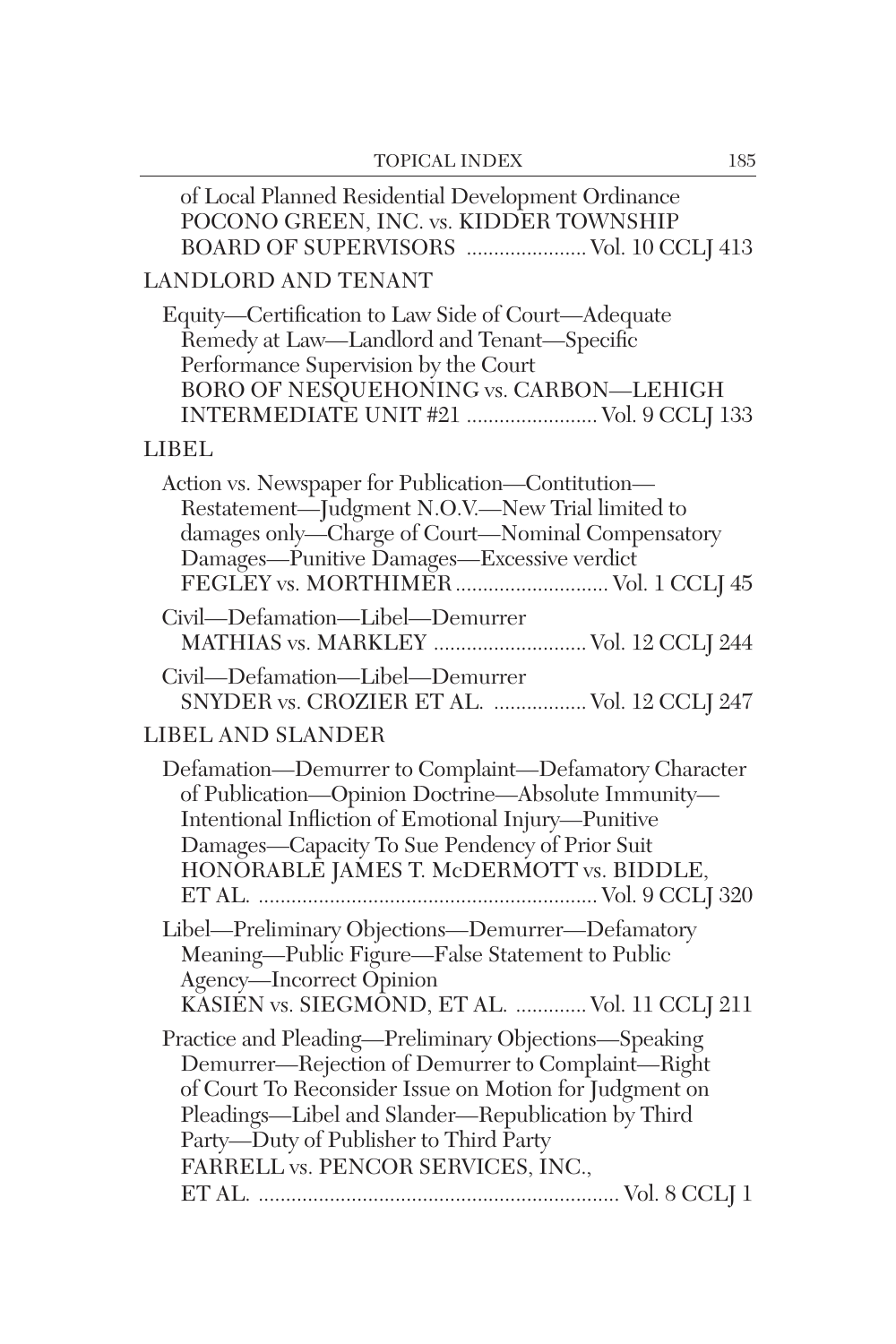| <b>LANDLORD AND TENANT</b>                                                                                                                                                                                                                                                                                 |
|------------------------------------------------------------------------------------------------------------------------------------------------------------------------------------------------------------------------------------------------------------------------------------------------------------|
| Equity-Certification to Law Side of Court-Adequate<br>Remedy at Law-Landlord and Tenant-Specific<br>Performance Supervision by the Court<br>BORO OF NESQUEHONING vs. CARBON—LEHIGH<br>INTERMEDIATE UNIT #21  Vol. 9 CCLJ 133                                                                               |
| LIBEL.                                                                                                                                                                                                                                                                                                     |
| Action vs. Newspaper for Publication-Contitution-<br>Restatement—Judgment N.O.V.—New Trial limited to<br>damages only—Charge of Court—Nominal Compensatory                                                                                                                                                 |
| Civil-Defamation-Libel-Demurrer<br>MATHIAS vs. MARKLEY  Vol. 12 CCLJ 244                                                                                                                                                                                                                                   |
| Civil-Defamation-Libel-Demurrer<br>SNYDER vs. CROZIER ET AL.  Vol. 12 CCLJ 247                                                                                                                                                                                                                             |
| <b>LIBEL AND SLANDER</b>                                                                                                                                                                                                                                                                                   |
| Defamation-Demurrer to Complaint-Defamatory Character<br>of Publication-Opinion Doctrine-Absolute Immunity-<br>Intentional Infliction of Emotional Injury-Punitive<br>Damages-Capacity To Sue Pendency of Prior Suit<br>HONŎRABLĒ JAMES T. McDERMOTT vs. BIDDLE,                                           |
| Libel-Preliminary Objections-Demurrer-Defamatory<br>Meaning-Public Figure-False Statement to Public<br>Agency-Incorrect Opinion<br>KĂSIEN vs. SIEGMÔND, ET AL.  Vol. 11 CCLJ 211                                                                                                                           |
| Practice and Pleading-Preliminary Objections-Speaking<br>Demurrer-Rejection of Demurrer to Complaint-Right<br>of Court To Reconsider Issue on Motion for Judgment on<br>Pleadings-Libel and Slander-Republication by Third<br>Party-Duty of Publisher to Third Party<br>FARRELL vs. PENCOR SERVICES, INC., |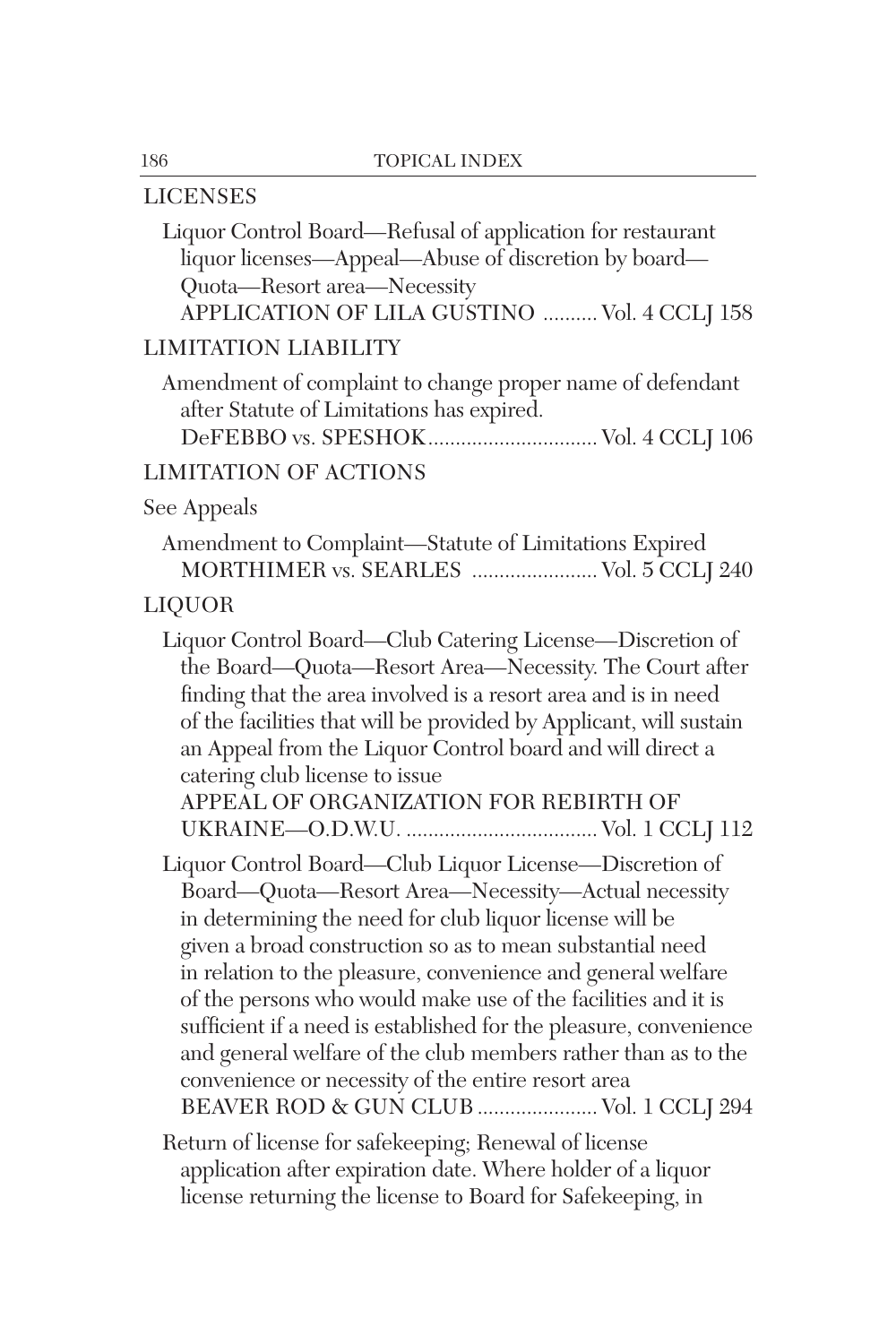## LICENSES

| Liquor Control Board—Refusal of application for restaurant<br>liquor licenses—Appeal—Abuse of discretion by board—<br>Quota-Resort area-Necessity<br>APPLICATION OF LILA GUSTINO  Vol. 4 CCLJ 158                                                                                                                                                                                                                                                                                                                                                                                                                                                                    |
|----------------------------------------------------------------------------------------------------------------------------------------------------------------------------------------------------------------------------------------------------------------------------------------------------------------------------------------------------------------------------------------------------------------------------------------------------------------------------------------------------------------------------------------------------------------------------------------------------------------------------------------------------------------------|
| <b>LIMITATION LIABILITY</b>                                                                                                                                                                                                                                                                                                                                                                                                                                                                                                                                                                                                                                          |
| Amendment of complaint to change proper name of defendant<br>after Statute of Limitations has expired.<br>DeFEBBO vs. SPESHOK Vol. 4 CCLJ 106                                                                                                                                                                                                                                                                                                                                                                                                                                                                                                                        |
| <b>LIMITATION OF ACTIONS</b>                                                                                                                                                                                                                                                                                                                                                                                                                                                                                                                                                                                                                                         |
| See Appeals                                                                                                                                                                                                                                                                                                                                                                                                                                                                                                                                                                                                                                                          |
| Amendment to Complaint-Statute of Limitations Expired<br>MORTHIMER vs. SEARLES  Vol. 5 CCLJ 240                                                                                                                                                                                                                                                                                                                                                                                                                                                                                                                                                                      |
| <b>LIQUOR</b>                                                                                                                                                                                                                                                                                                                                                                                                                                                                                                                                                                                                                                                        |
| Liquor Control Board—Club Catering License—Discretion of<br>the Board-Quota-Resort Area-Necessity. The Court after<br>finding that the area involved is a resort area and is in need<br>of the facilities that will be provided by Applicant, will sustain<br>an Appeal from the Liquor Control board and will direct a<br>catering club license to issue<br>APPEAL OF ORGANIZATION FOR REBIRTH OF                                                                                                                                                                                                                                                                   |
| Liquor Control Board-Club Liquor License-Discretion of<br>Board-Quota-Resort Area-Necessity-Actual necessity<br>in determining the need for club liquor license will be<br>given a broad construction so as to mean substantial need<br>in relation to the pleasure, convenience and general welfare<br>of the persons who would make use of the facilities and it is<br>sufficient if a need is established for the pleasure, convenience<br>and general welfare of the club members rather than as to the<br>convenience or necessity of the entire resort area<br>BEAVER ROD & GUN CLUB  Vol. 1 CCLJ 294<br>Return of license for safekeeping; Renewal of license |
| application after expiration date. Where holder of a liquor<br>license returning the license to Board for Safekeeping, in                                                                                                                                                                                                                                                                                                                                                                                                                                                                                                                                            |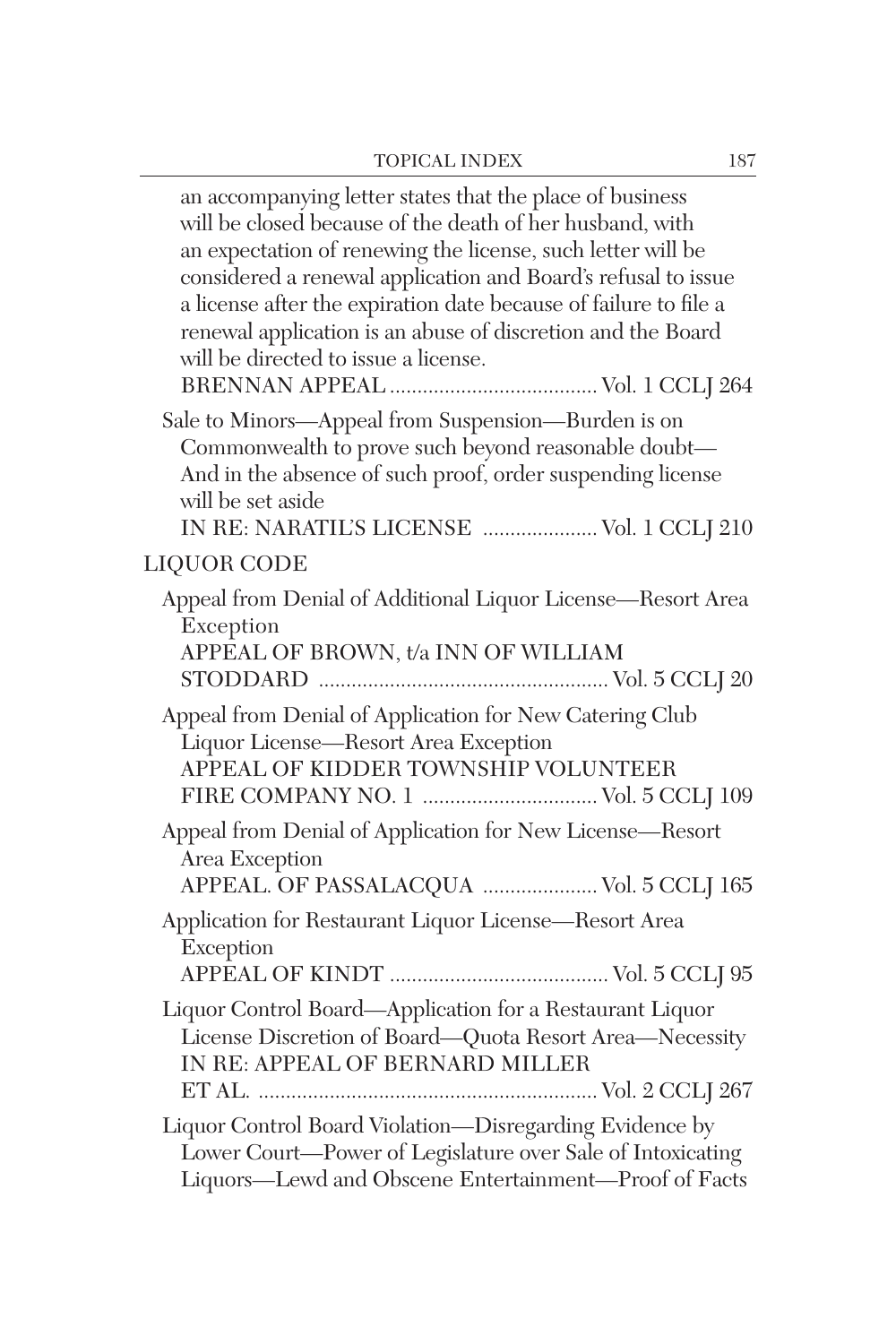| an accompanying letter states that the place of business<br>will be closed because of the death of her husband, with<br>an expectation of renewing the license, such letter will be<br>considered a renewal application and Board's refusal to issue<br>a license after the expiration date because of failure to file a<br>renewal application is an abuse of discretion and the Board<br>will be directed to issue a license. |
|---------------------------------------------------------------------------------------------------------------------------------------------------------------------------------------------------------------------------------------------------------------------------------------------------------------------------------------------------------------------------------------------------------------------------------|
| Sale to Minors-Appeal from Suspension-Burden is on<br>Commonwealth to prove such beyond reasonable doubt-<br>And in the absence of such proof, order suspending license<br>will be set aside<br>IN RE: NARATIL'S LICENSE  Vol. 1 CCLJ 210                                                                                                                                                                                       |
| <b>LIQUOR CODE</b>                                                                                                                                                                                                                                                                                                                                                                                                              |
| Appeal from Denial of Additional Liquor License-Resort Area<br>Exception<br>APPEAL OF BROWN, t/a INN OF WILLIAM                                                                                                                                                                                                                                                                                                                 |
| Appeal from Denial of Application for New Catering Club<br>Liquor License-Resort Area Exception<br>APPEAL OF KIDDER TOWNSHIP VOLUNTEER                                                                                                                                                                                                                                                                                          |
| Appeal from Denial of Application for New License-Resort<br>Area Exception<br>APPEAL. OF PASSALACQUA  Vol. 5 CCLJ 165                                                                                                                                                                                                                                                                                                           |
| Application for Restaurant Liquor License-Resort Area<br>Exception                                                                                                                                                                                                                                                                                                                                                              |
| Liquor Control Board—Application for a Restaurant Liquor<br>License Discretion of Board-Quota Resort Area-Necessity<br>IN RE: APPEAL OF BERNARD MILLER                                                                                                                                                                                                                                                                          |
| Liquor Control Board Violation-Disregarding Evidence by<br>Lower Court-Power of Legislature over Sale of Intoxicating<br>Liquors—Lewd and Obscene Entertainment—Proof of Facts                                                                                                                                                                                                                                                  |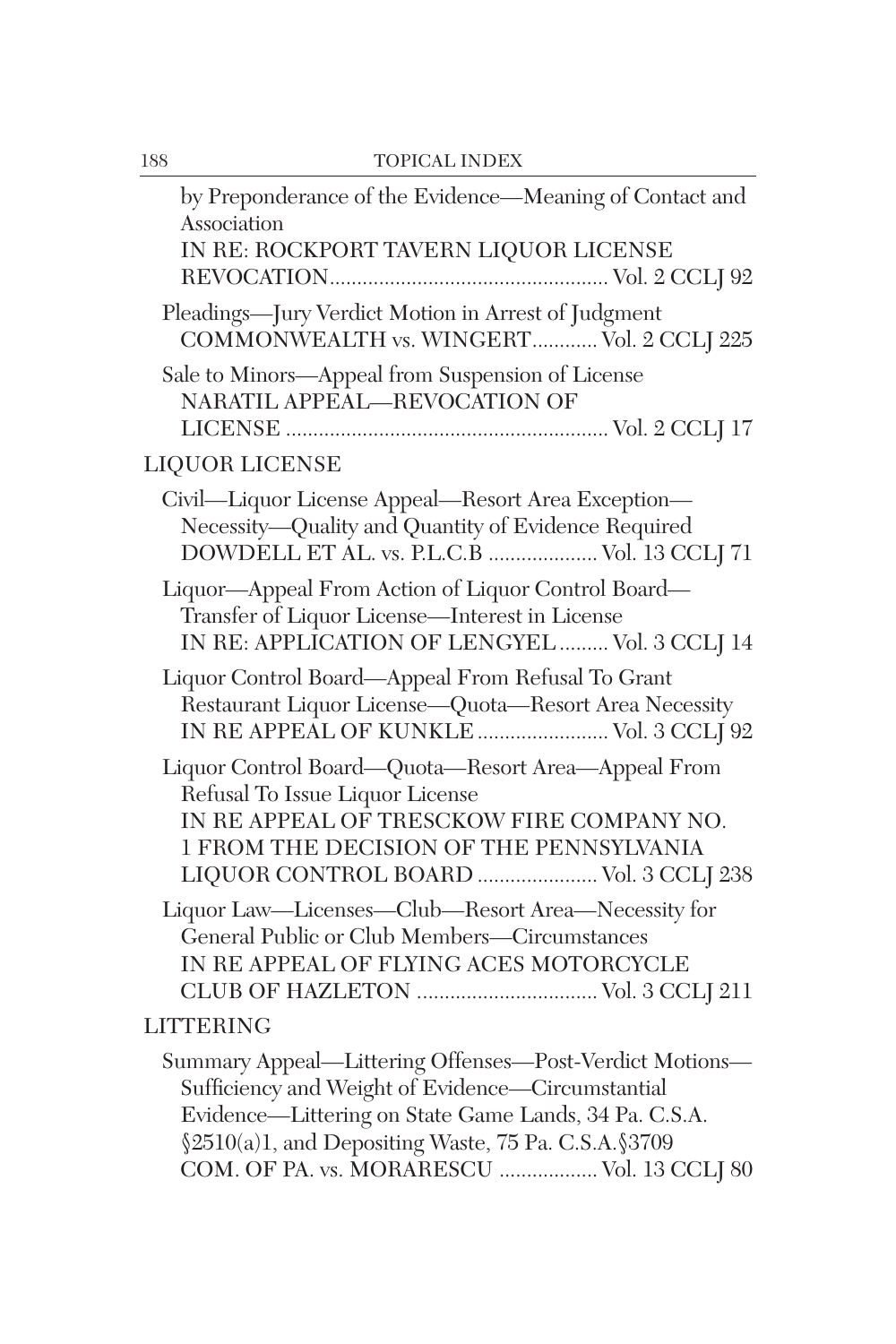| 188 | <b>TOPICAL INDEX</b>                                                                                                                                                                                                                                                        |
|-----|-----------------------------------------------------------------------------------------------------------------------------------------------------------------------------------------------------------------------------------------------------------------------------|
|     | by Preponderance of the Evidence-Meaning of Contact and<br>Association<br>IN RE: ROCKPORT TAVERN LIQUOR LICENSE                                                                                                                                                             |
|     |                                                                                                                                                                                                                                                                             |
|     | Pleadings-Jury Verdict Motion in Arrest of Judgment<br>COMMONWEALTH vs. WINGERT Vol. 2 CCLJ 225                                                                                                                                                                             |
|     | Sale to Minors-Appeal from Suspension of License<br>NARATIL APPEAL-REVOCATION OF                                                                                                                                                                                            |
|     | <b>LIQUOR LICENSE</b>                                                                                                                                                                                                                                                       |
|     | Civil-Liquor License Appeal-Resort Area Exception-<br>Necessity-Quality and Quantity of Evidence Required<br>DOWDELL ET AL. vs. P.L.C.B  Vol. 13 CCLJ 71                                                                                                                    |
|     | Liquor-Appeal From Action of Liquor Control Board-<br>Transfer of Liquor License-Interest in License<br>IN RE: APPLICATION OF LENGYEL  Vol. 3 CCLJ 14                                                                                                                       |
|     | Liquor Control Board—Appeal From Refusal To Grant<br>Restaurant Liquor License-Quota-Resort Area Necessity<br>IN RE APPEAL OF KUNKLE  Vol. 3 CCLJ 92                                                                                                                        |
|     | Liquor Control Board-Quota-Resort Area-Appeal From<br>Refusal To Issue Liquor License<br>IN RE APPEAL OF TRESCKOW FIRE COMPANY NO.<br>1 FROM THE DECISION OF THE PENNSYLVANIA<br>LIQUOR CONTROL BOARD  Vol. 3 CCLJ 238                                                      |
|     | Liquor Law-Licenses-Club-Resort Area-Necessity for<br>General Public or Club Members-Circumstances<br>IN RE APPEAL OF FLYING ACES MOTORCYCLE<br>CLUB OF HAZLETON  Vol. 3 CCLJ 211                                                                                           |
|     | <b>LITTERING</b>                                                                                                                                                                                                                                                            |
|     | Summary Appeal-Littering Offenses-Post-Verdict Motions-<br>Sufficiency and Weight of Evidence-Circumstantial<br>Evidence-Littering on State Game Lands, 34 Pa. C.S.A.<br>§2510(a)1, and Depositing Waste, 75 Pa. C.S.A. §3709<br>COM. OF PA. vs. MORARESCU  Vol. 13 CCLJ 80 |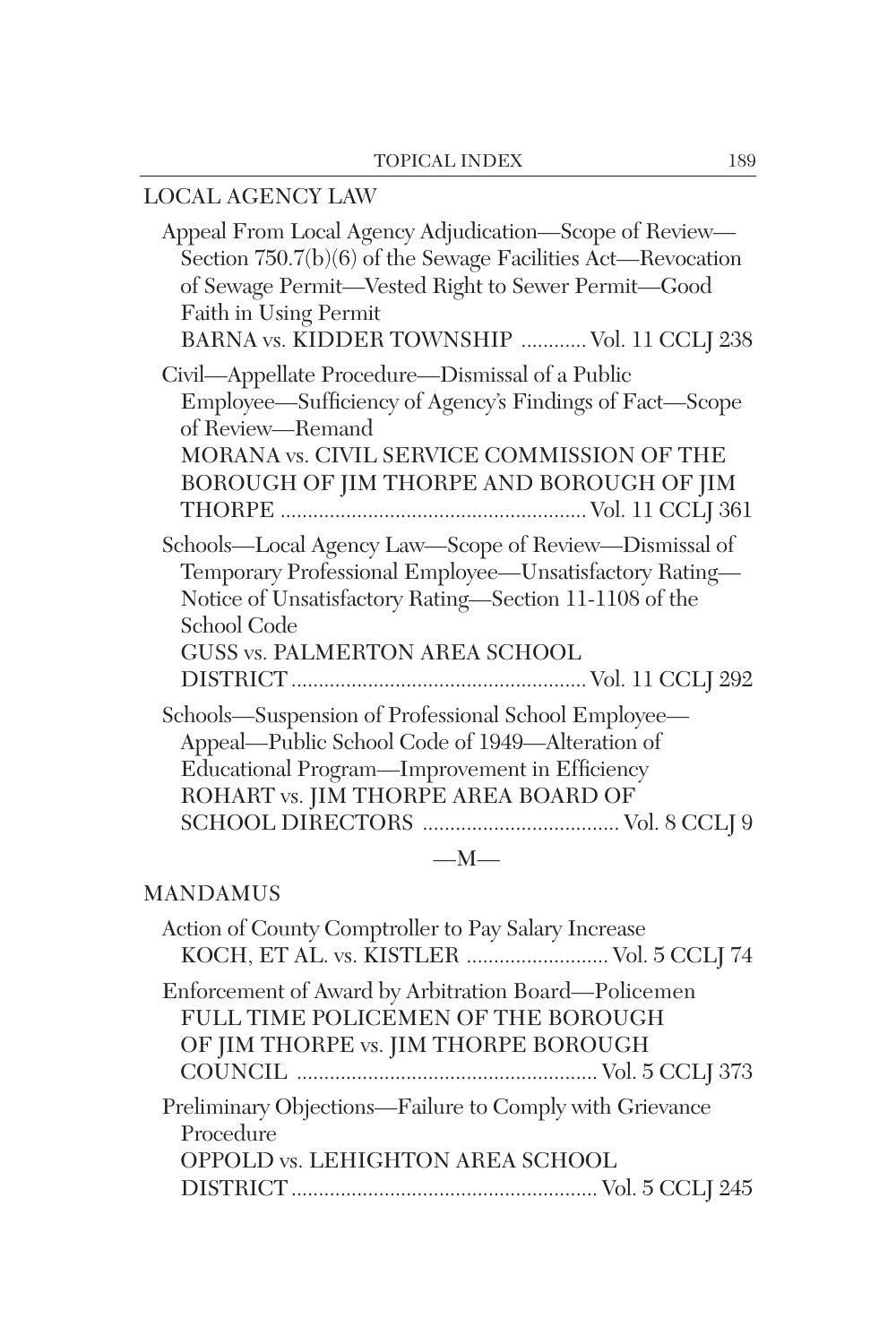| LOCAL AGENCY LAW                                                                                                                                                                                                                                    |
|-----------------------------------------------------------------------------------------------------------------------------------------------------------------------------------------------------------------------------------------------------|
| Appeal From Local Agency Adjudication-Scope of Review-<br>Section 750.7(b)(6) of the Sewage Facilities Act—Revocation<br>of Sewage Permit-Vested Right to Sewer Permit-Good<br>Faith in Using Permit<br>BARNA vs. KIDDER TOWNSHIP  Vol. 11 CCLJ 238 |
| Civil-Appellate Procedure-Dismissal of a Public<br>Employee—Sufficiency of Agency's Findings of Fact—Scope<br>of Review—Remand<br>MORANA vs. CIVIL SERVICE COMMISSION OF THE<br>BOROUGH OF JIM THORPE AND BOROUGH OF JIM                            |
| Schools—Local Agency Law—Scope of Review—Dismissal of<br>Temporary Professional Employee—Unsatisfactory Rating—<br>Notice of Unsatisfactory Rating-Section 11-1108 of the<br>School Code<br>GUSS vs. PALMERTON AREA SCHOOL                          |
| Schools—Suspension of Professional School Employee—<br>Appeal-Public School Code of 1949-Alteration of<br>Educational Program-Improvement in Efficiency<br>ROHART vs. JIM THORPE AREA BOARD OF                                                      |
| $-M-$                                                                                                                                                                                                                                               |

#### MANDAMUS

| Action of County Comptroller to Pay Salary Increase                                                                               |
|-----------------------------------------------------------------------------------------------------------------------------------|
| KOCH, ET AL. vs. KISTLER  Vol. 5 CCLJ 74                                                                                          |
| Enforcement of Award by Arbitration Board—Policemen<br>FULL TIME POLICEMEN OF THE BOROUGH<br>OF JIM THORPE vs. JIM THORPE BOROUGH |
| Preliminary Objections—Failure to Comply with Grievance<br>Procedure<br>OPPOLD vs. LEHIGHTON AREA SCHOOL                          |
|                                                                                                                                   |
|                                                                                                                                   |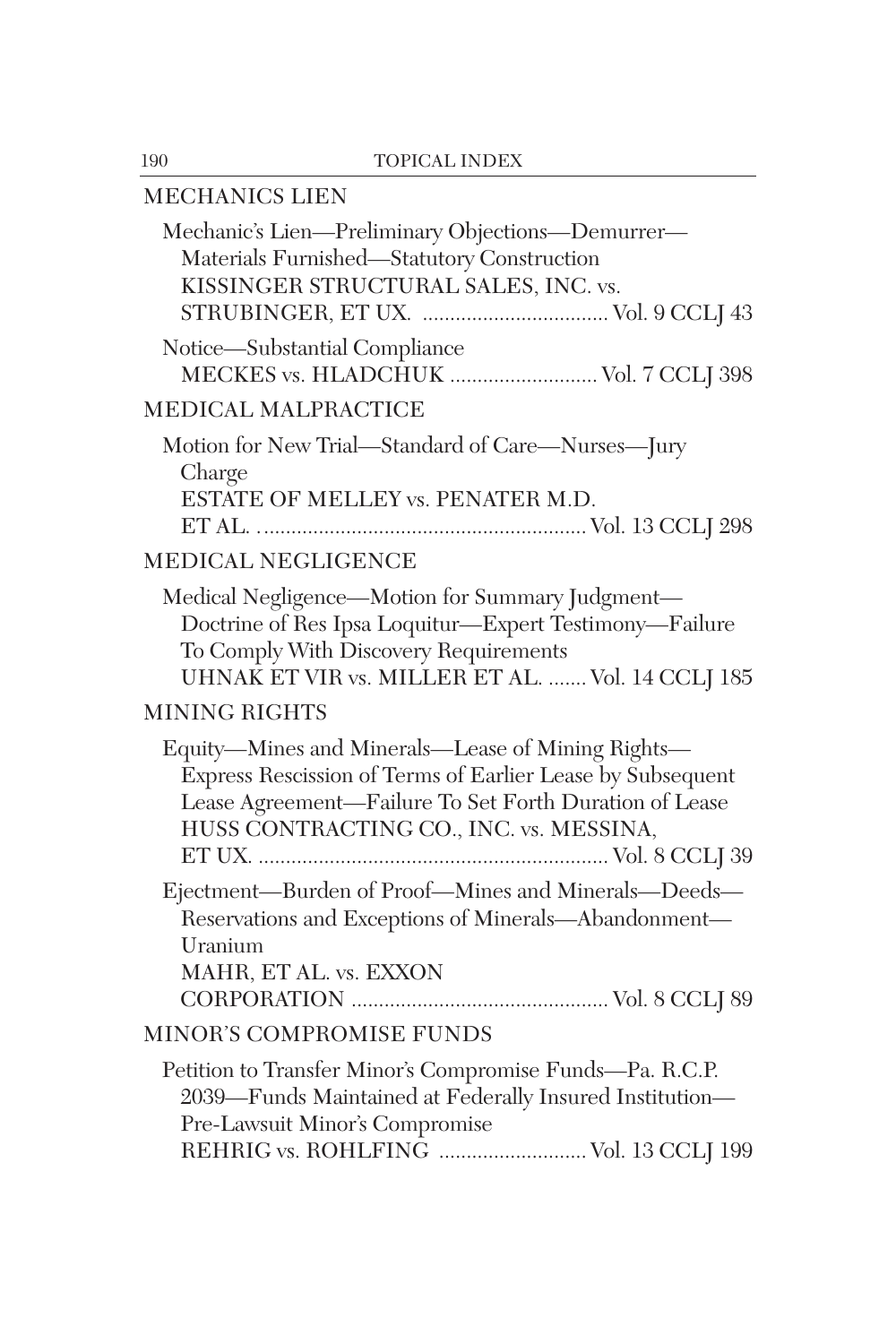## MECHANICS LIEN

| Mechanic's Lien-Preliminary Objections-Demurrer-<br>Materials Furnished-Statutory Construction<br>KISSINGER STRUCTURAL SALES, INC. vs.                                                                               |
|----------------------------------------------------------------------------------------------------------------------------------------------------------------------------------------------------------------------|
|                                                                                                                                                                                                                      |
| Notice-Substantial Compliance<br>MECKES vs. HLADCHUK  Vol. 7 CCLJ 398                                                                                                                                                |
| <b>MEDICAL MALPRACTICE</b>                                                                                                                                                                                           |
| Motion for New Trial-Standard of Care-Nurses-Jury<br>Charge<br>ESTATE OF MELLEY vs. PENATER M.D.                                                                                                                     |
|                                                                                                                                                                                                                      |
| <b>MEDICAL NEGLIGENCE</b>                                                                                                                                                                                            |
| Medical Negligence-Motion for Summary Judgment-<br>Doctrine of Res Ipsa Loquitur—Expert Testimony—Failure<br>To Comply With Discovery Requirements<br>UHNAK ET VIR vs. MILLER ET AL.  Vol. 14 CCLJ 185               |
| <b>MINING RIGHTS</b>                                                                                                                                                                                                 |
| Equity-Mines and Minerals-Lease of Mining Rights-<br>Express Rescission of Terms of Earlier Lease by Subsequent<br>Lease Agreement-Failure To Set Forth Duration of Lease<br>HUSS CONTRACTING CO., INC. vs. MESSINA, |
| Ejectment-Burden of Proof-Mines and Minerals-Deeds-<br>Reservations and Exceptions of Minerals-Abandonment-<br>Uranium<br>MAHR, ET AL. vs. EXXON                                                                     |
| <b>MINOR'S COMPROMISE FUNDS</b>                                                                                                                                                                                      |
| Petition to Transfer Minor's Compromise Funds—Pa. R.C.P.<br>2039—Funds Maintained at Federally Insured Institution—<br>Pre-Lawsuit Minor's Compromise<br>REHRIG vs. ROHLFING  Vol. 13 CCLJ 199                       |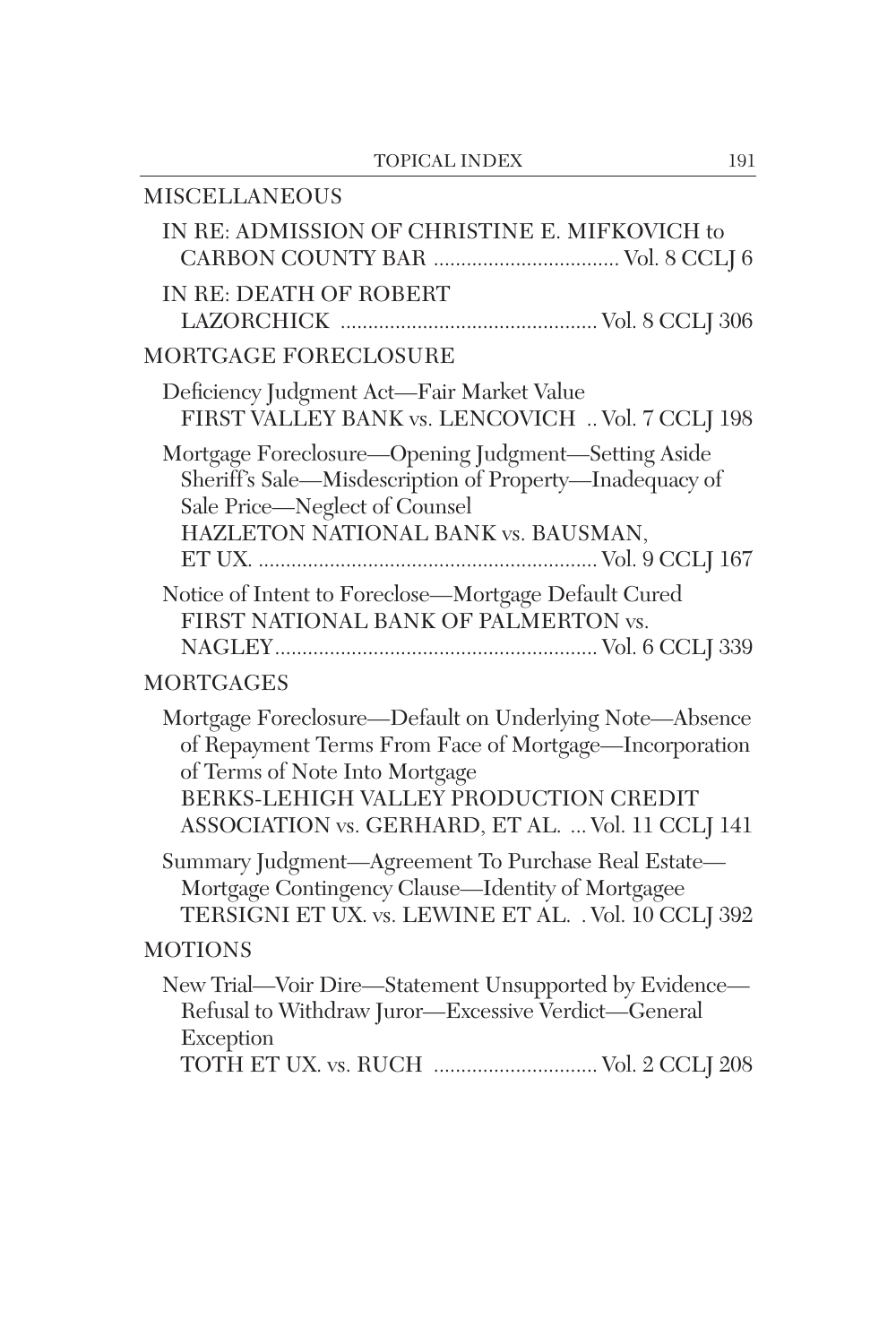| <b>MISCELLANEOUS</b>                                                                                                                                                                                                                              |
|---------------------------------------------------------------------------------------------------------------------------------------------------------------------------------------------------------------------------------------------------|
| IN RE: ADMISSION OF CHRISTINE E. MIFKOVICH to                                                                                                                                                                                                     |
| <b>IN RE: DEATH OF ROBERT</b>                                                                                                                                                                                                                     |
| MORTGAGE FORECLOSURE                                                                                                                                                                                                                              |
| Deficiency Judgment Act-Fair Market Value<br>FIRST VALLEY BANK vs. LENCOVICH  Vol. 7 CCLJ 198                                                                                                                                                     |
| Mortgage Foreclosure-Opening Judgment-Setting Aside<br>Sheriff's Sale-Misdescription of Property-Inadequacy of<br>Sale Price-Neglect of Counsel<br>HAZLETON NATIONAL BANK vs. BAUSMAN,                                                            |
| Notice of Intent to Foreclose-Mortgage Default Cured<br>FIRST NATIONAL BANK OF PALMERTON vs.                                                                                                                                                      |
| <b>MORTGAGES</b>                                                                                                                                                                                                                                  |
| Mortgage Foreclosure-Default on Underlying Note-Absence<br>of Repayment Terms From Face of Mortgage-Incorporation<br>of Terms of Note Into Mortgage<br>BERKS-LEHIGH VALLEY PRODUCTION CREDIT<br>ASSOCIATION vs. GERHARD, ET AL.  Vol. 11 CCLJ 141 |
| Summary Judgment-Agreement To Purchase Real Estate-<br>Mortgage Contingency Clause-Identity of Mortgagee<br>TERSIGNI ET UX. vs. LEWINE ET AL. . Vol. 10 CCLJ 392                                                                                  |
| <b>MOTIONS</b>                                                                                                                                                                                                                                    |
| New Trial-Voir Dire-Statement Unsupported by Evidence-<br>Refusal to Withdraw Juror-Excessive Verdict-General<br>Exception                                                                                                                        |
| TOTH ET UX. vs. RUCH  Vol. 2 CCLJ 208                                                                                                                                                                                                             |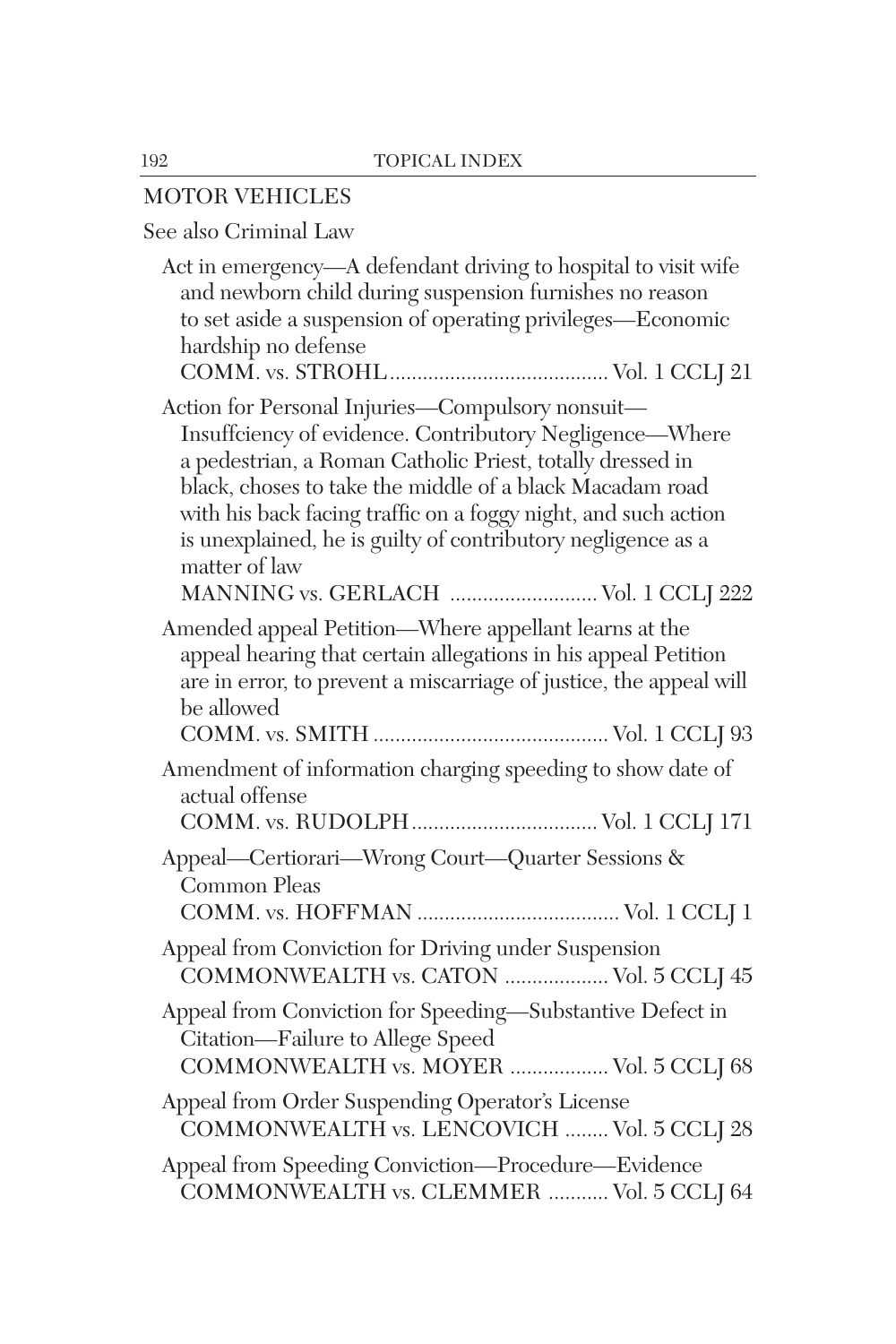### MOTOR VEHICLES

# See also Criminal Law

| Act in emergency—A defendant driving to hospital to visit wife<br>and newborn child during suspension furnishes no reason<br>to set aside a suspension of operating privileges—Economic<br>hardship no defense                                                                                                                                                                                                                  |
|---------------------------------------------------------------------------------------------------------------------------------------------------------------------------------------------------------------------------------------------------------------------------------------------------------------------------------------------------------------------------------------------------------------------------------|
| Action for Personal Injuries-Compulsory nonsuit-<br>Insuffciency of evidence. Contributory Negligence—Where<br>a pedestrian, a Roman Catholic Priest, totally dressed in<br>black, choses to take the middle of a black Macadam road<br>with his back facing traffic on a foggy night, and such action<br>is unexplained, he is guilty of contributory negligence as a<br>matter of law<br>MANNING vs. GERLACH  Vol. 1 CCLJ 222 |
| Amended appeal Petition—Where appellant learns at the<br>appeal hearing that certain allegations in his appeal Petition<br>are in error, to prevent a miscarriage of justice, the appeal will<br>be allowed                                                                                                                                                                                                                     |
| Amendment of information charging speeding to show date of<br>actual offense                                                                                                                                                                                                                                                                                                                                                    |
| Appeal—Certiorari—Wrong Court—Quarter Sessions &<br>Common Pleas                                                                                                                                                                                                                                                                                                                                                                |
| Appeal from Conviction for Driving under Suspension<br>COMMONWEALTH vs. CATON  Vol. 5 CCLJ 45                                                                                                                                                                                                                                                                                                                                   |
| Appeal from Conviction for Speeding-Substantive Defect in<br>Citation-Failure to Allege Speed<br>COMMONWEALTH vs. MOYER  Vol. 5 CCLJ 68                                                                                                                                                                                                                                                                                         |
| Appeal from Order Suspending Operator's License<br>COMMONWEALTH vs. LENCOVICH  Vol. 5 CCLJ 28                                                                                                                                                                                                                                                                                                                                   |
| Appeal from Speeding Conviction-Procedure-Evidence<br>COMMONWEALTH vs. CLEMMER  Vol. 5 CCLJ 64                                                                                                                                                                                                                                                                                                                                  |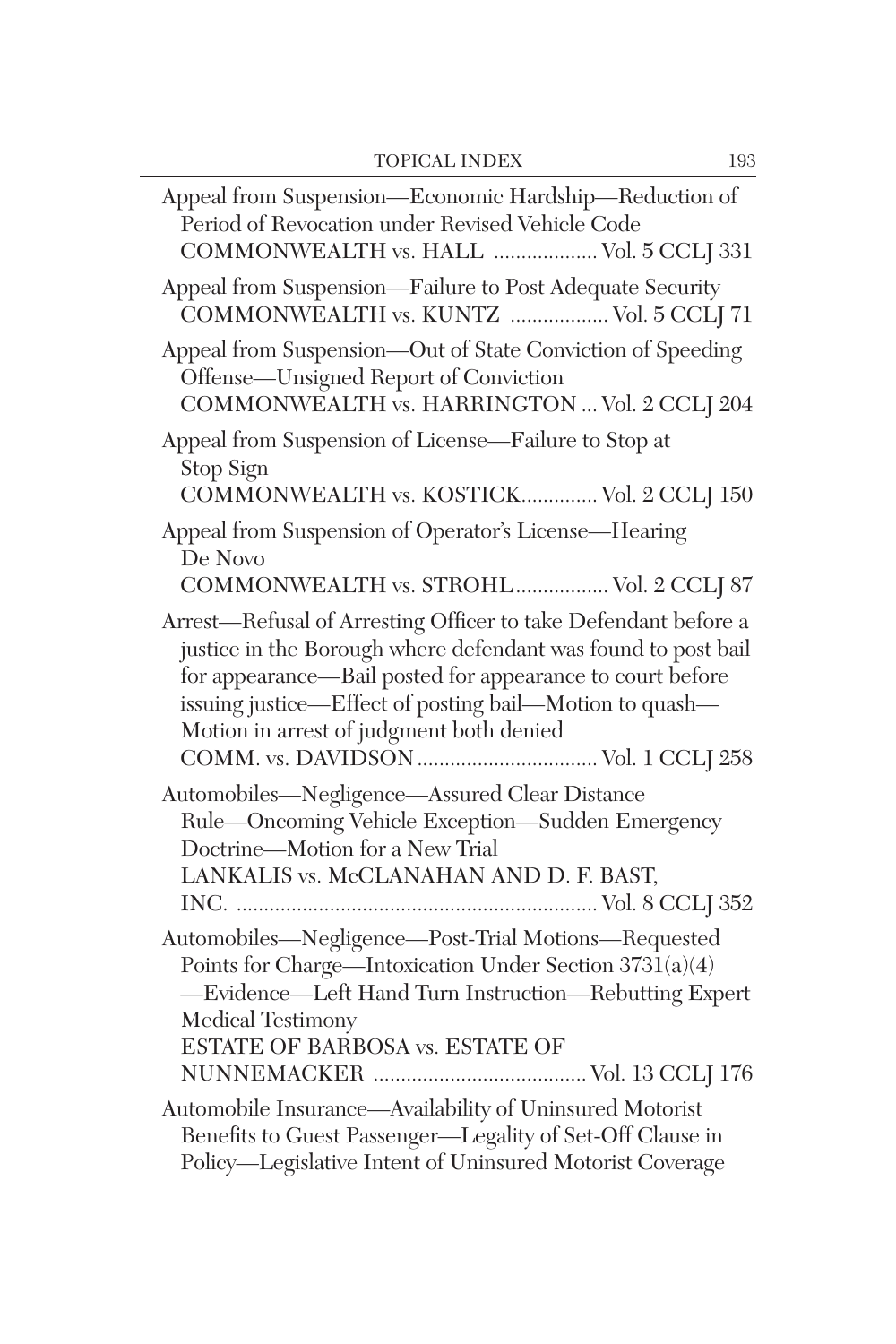| Appeal from Suspension-Economic Hardship-Reduction of<br>Period of Revocation under Revised Vehicle Code<br>COMMONWEALTH vs. HALL  Vol. 5 CCLJ 331                                                                                                                                                  |
|-----------------------------------------------------------------------------------------------------------------------------------------------------------------------------------------------------------------------------------------------------------------------------------------------------|
| Appeal from Suspension-Failure to Post Adequate Security<br>COMMONWEALTH vs. KUNTZ  Vol. 5 CCLJ 71                                                                                                                                                                                                  |
| Appeal from Suspension-Out of State Conviction of Speeding<br>Offense-Unsigned Report of Conviction<br>COMMONWEALTH vs. HARRINGTON  Vol. 2 CCLJ 204                                                                                                                                                 |
| Appeal from Suspension of License-Failure to Stop at<br>Stop Sign<br>COMMONWEALTH vs. KOSTICK Vol. 2 CCLJ 150                                                                                                                                                                                       |
| Appeal from Suspension of Operator's License-Hearing<br>De Novo<br>COMMONWEALTH vs. STROHL Vol. 2 CCLJ 87                                                                                                                                                                                           |
| Arrest-Refusal of Arresting Officer to take Defendant before a<br>justice in the Borough where defendant was found to post bail<br>for appearance—Bail posted for appearance to court before<br>issuing justice—Effect of posting bail—Motion to quash—<br>Motion in arrest of judgment both denied |
| Automobiles-Negligence-Assured Clear Distance<br>Rule-Oncoming Vehicle Exception-Sudden Emergency<br>Doctrine-Motion for a New Trial<br>LANKALIS vs. McCLANAHAN AND D. F. BAST,                                                                                                                     |
| Automobiles-Negligence-Post-Trial Motions-Requested<br>Points for Charge-Intoxication Under Section 3731(a)(4)<br>-Evidence-Left Hand Turn Instruction-Rebutting Expert<br>Medical Testimony<br>ESTATE OF BARBOSA vs. ESTATE OF                                                                     |
| Automobile Insurance-Availability of Uninsured Motorist<br>Benefits to Guest Passenger-Legality of Set-Off Clause in<br>Policy-Legislative Intent of Uninsured Motorist Coverage                                                                                                                    |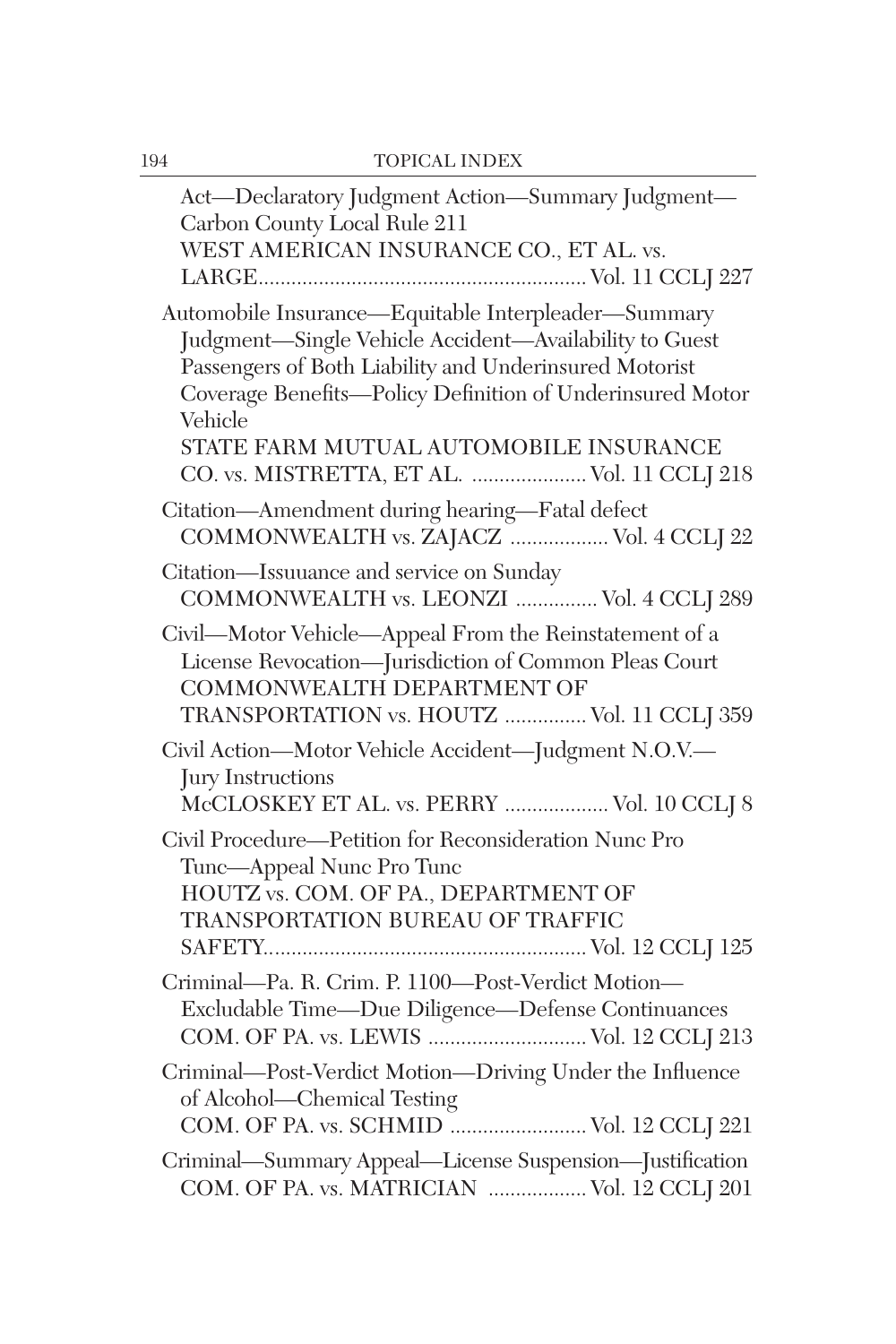| Act—Declaratory Judgment Action—Summary Judgment—<br>Carbon County Local Rule 211<br>WEST AMERICAN INSURANCE CO., ET AL. vs.                                                                                                                                                                                                             |
|------------------------------------------------------------------------------------------------------------------------------------------------------------------------------------------------------------------------------------------------------------------------------------------------------------------------------------------|
|                                                                                                                                                                                                                                                                                                                                          |
| Automobile Insurance-Equitable Interpleader-Summary<br>Judgment-Single Vehicle Accident-Availability to Guest<br>Passengers of Both Liability and Underinsured Motorist<br>Coverage Benefits-Policy Definition of Underinsured Motor<br>Vehicle<br>STATE FARM MUTUAL AUTOMOBILE INSURANCE<br>CO. vs. MISTRETTA, ET AL.  Vol. 11 CCLJ 218 |
| Citation-Amendment during hearing-Fatal defect<br>COMMONWEALTH vs. ZAJACZ  Vol. 4 CCLJ 22                                                                                                                                                                                                                                                |
| Citation—Issuuance and service on Sunday<br>COMMONWEALTH vs. LEONZI  Vol. 4 CCLJ 289                                                                                                                                                                                                                                                     |
| Civil-Motor Vehicle-Appeal From the Reinstatement of a<br>License Revocation-Jurisdiction of Common Pleas Court<br>COMMONWEALTH DEPARTMENT OF<br>TRANSPORTATION vs. HOUTZ  Vol. 11 CCLJ 359                                                                                                                                              |
| Civil Action-Motor Vehicle Accident-Judgment N.O.V.-<br>Jury Instructions<br>McCLOSKEY ET AL. vs. PERRY  Vol. 10 CCLJ 8                                                                                                                                                                                                                  |
| Civil Procedure-Petition for Reconsideration Nunc Pro<br>Tunc—Appeal Nunc Pro Tunc<br>HOUTZ vs. COM. OF PA., DEPARTMENT OF<br>TRANSPORTATION BUREAU OF TRAFFIC                                                                                                                                                                           |
| Criminal-Pa. R. Crim. P. 1100-Post-Verdict Motion-<br>Excludable Time-Due Diligence-Defense Continuances<br>COM. OF PA. vs. LEWIS  Vol. 12 CCLJ 213                                                                                                                                                                                      |
| Criminal-Post-Verdict Motion-Driving Under the Influence<br>of Alcohol—Chemical Testing<br>COM. OF PA. vs. SCHMID  Vol. 12 CCLJ 221                                                                                                                                                                                                      |
| Criminal—Summary Appeal—License Suspension—Justification<br>COM. OF PA. vs. MATRICIAN  Vol. 12 CCLJ 201                                                                                                                                                                                                                                  |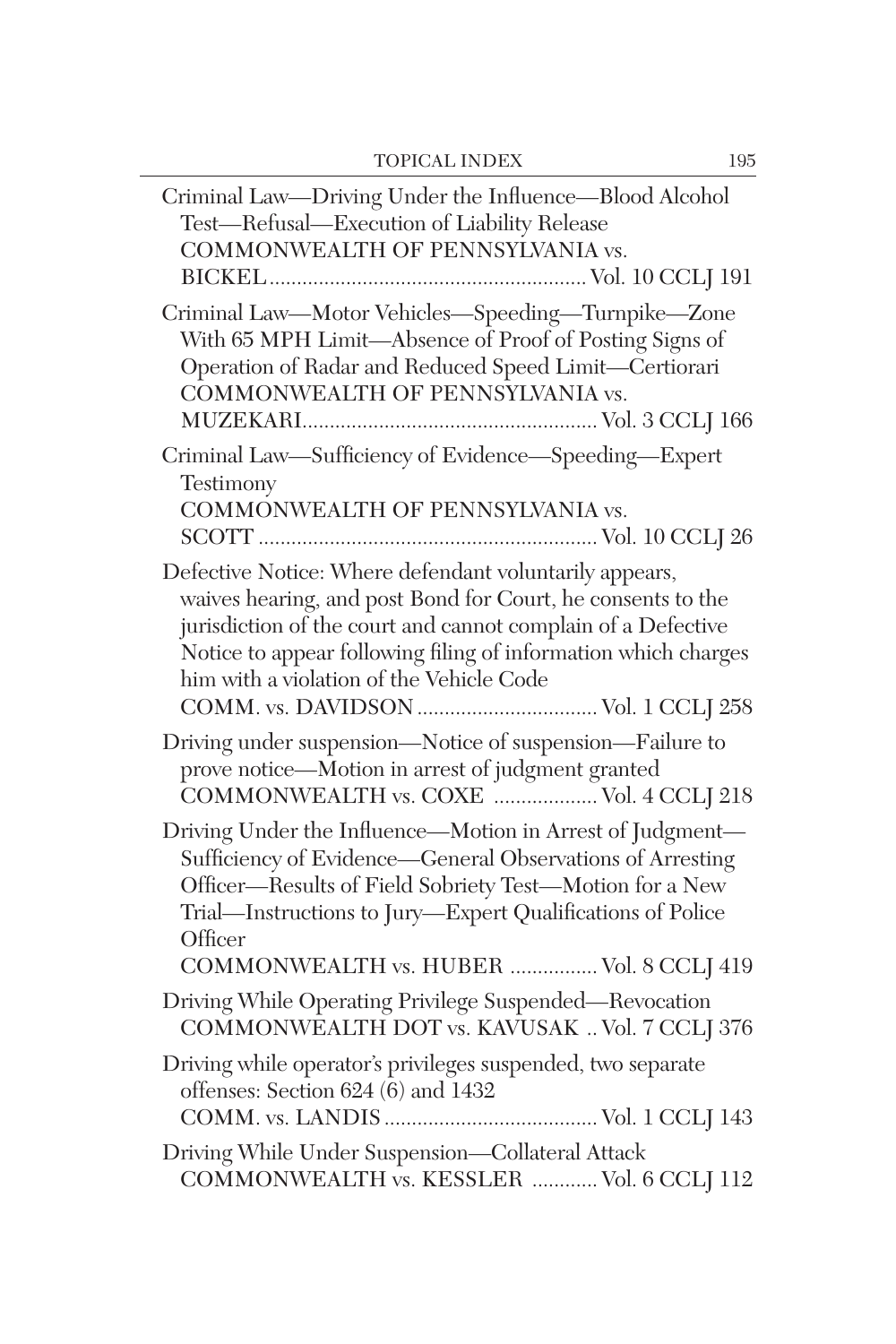| Criminal Law-Driving Under the Influence-Blood Alcohol<br>Test-Refusal-Execution of Liability Release<br>COMMONWEALTH OF PENNSYLVANIA vs.                                                                                                                                                             |
|-------------------------------------------------------------------------------------------------------------------------------------------------------------------------------------------------------------------------------------------------------------------------------------------------------|
| Criminal Law-Motor Vehicles-Speeding-Turnpike-Zone<br>With 65 MPH Limit-Absence of Proof of Posting Signs of<br>Operation of Radar and Reduced Speed Limit-Certiorari<br>COMMONWEALTH OF PENNSYLVANIA vs.                                                                                             |
| Criminal Law-Sufficiency of Evidence-Speeding-Expert<br>Testimony<br>COMMONWEALTH OF PENNSYLVANIA vs.                                                                                                                                                                                                 |
| Defective Notice: Where defendant voluntarily appears,<br>waives hearing, and post Bond for Court, he consents to the<br>jurisdiction of the court and cannot complain of a Defective<br>Notice to appear following filing of information which charges<br>him with a violation of the Vehicle Code   |
| Driving under suspension—Notice of suspension—Failure to<br>prove notice—Motion in arrest of judgment granted<br>COMMONWEALTH vs. COXE  Vol. 4 CCLJ 218                                                                                                                                               |
| Driving Under the Influence-Motion in Arrest of Judgment-<br>Sufficiency of Evidence—General Observations of Arresting<br>Officer-Results of Field Sobriety Test-Motion for a New<br>Trial-Instructions to Jury-Expert Qualifications of Police<br>Officer<br>COMMONWEALTH vs. HUBER  Vol. 8 CCLJ 419 |
| Driving While Operating Privilege Suspended-Revocation<br>COMMONWEALTH DOT vs. KAVUSAK  Vol. 7 CCLJ 376                                                                                                                                                                                               |
| Driving while operator's privileges suspended, two separate<br>offenses: Section 624 (6) and 1432                                                                                                                                                                                                     |
| Driving While Under Suspension-Collateral Attack<br>COMMONWEALTH vs. KESSLER  Vol. 6 CCLJ 112                                                                                                                                                                                                         |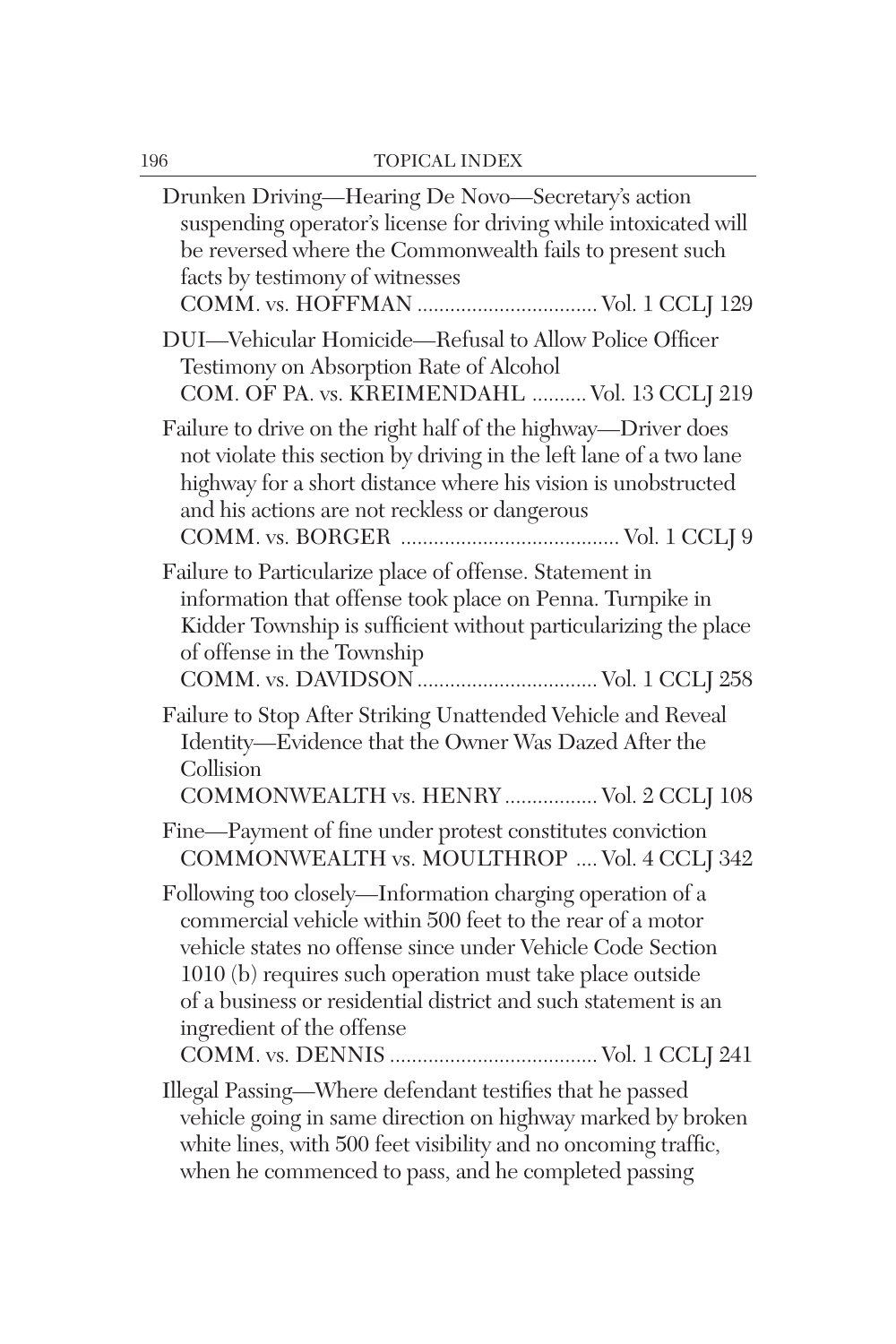| Drunken Driving-Hearing De Novo-Secretary's action<br>suspending operator's license for driving while intoxicated will<br>be reversed where the Commonwealth fails to present such<br>facts by testimony of witnesses<br>COMM. vs. HOFFMAN  Vol. 1 CCLJ 129                                                                                     |
|-------------------------------------------------------------------------------------------------------------------------------------------------------------------------------------------------------------------------------------------------------------------------------------------------------------------------------------------------|
| DUI-Vehicular Homicide-Refusal to Allow Police Officer<br>Testimony on Absorption Rate of Alcohol<br>COM. OF PA. vs. KREIMENDAHL  Vol. 13 CCLJ 219                                                                                                                                                                                              |
| Failure to drive on the right half of the highway—Driver does<br>not violate this section by driving in the left lane of a two lane<br>highway for a short distance where his vision is unobstructed<br>and his actions are not reckless or dangerous                                                                                           |
| Failure to Particularize place of offense. Statement in<br>information that offense took place on Penna. Turnpike in<br>Kidder Township is sufficient without particularizing the place<br>of offense in the Township                                                                                                                           |
| Failure to Stop After Striking Unattended Vehicle and Reveal<br>Identity-Evidence that the Owner Was Dazed After the<br>Collision<br>COMMONWEALTH vs. HENRY  Vol. 2 CCLJ 108                                                                                                                                                                    |
| Fine-Payment of fine under protest constitutes conviction<br>COMMONWEALTH vs. MOULTHROP  Vol. 4 CCLJ 342                                                                                                                                                                                                                                        |
| Following too closely—Information charging operation of a<br>commercial vehicle within 500 feet to the rear of a motor<br>vehicle states no offense since under Vehicle Code Section<br>1010 (b) requires such operation must take place outside<br>of a business or residential district and such statement is an<br>ingredient of the offense |
| Illegal Passing-Where defendant testifies that he passed<br>vehicle going in same direction on highway marked by broken<br>white lines, with 500 feet visibility and no oncoming traffic,<br>when he commenced to pass, and he completed passing                                                                                                |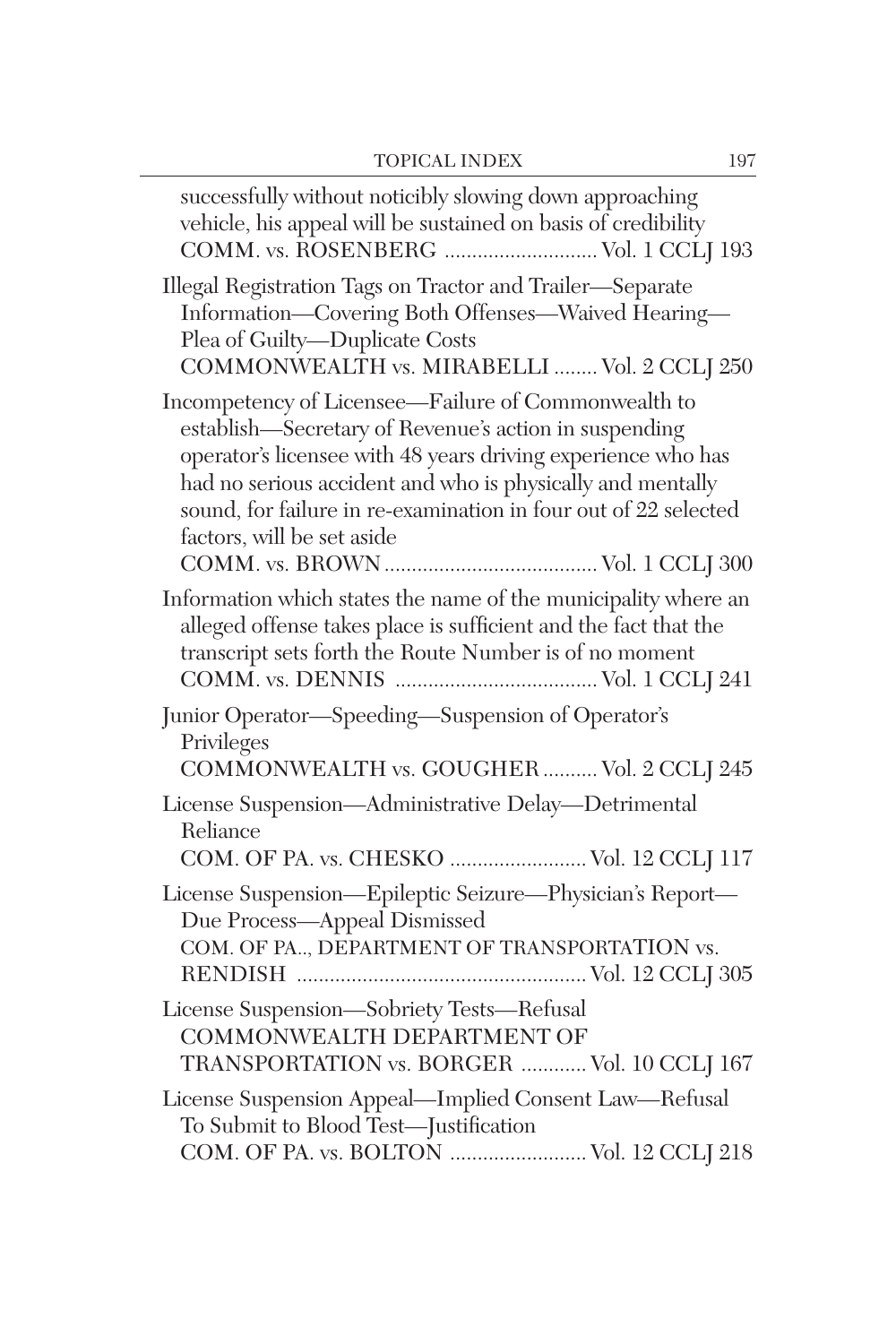$\overline{\phantom{0}}$ 

| successfully without noticibly slowing down approaching<br>vehicle, his appeal will be sustained on basis of credibility<br>COMM. vs. ROSENBERG  Vol. 1 CCLJ 193                                                                                                                                                                            |
|---------------------------------------------------------------------------------------------------------------------------------------------------------------------------------------------------------------------------------------------------------------------------------------------------------------------------------------------|
| Illegal Registration Tags on Tractor and Trailer-Separate<br>Information—Covering Both Offenses—Waived Hearing—<br>Plea of Guilty-Duplicate Costs<br>COMMONWEALTH vs. MIRABELLI  Vol. 2 CCLJ 250                                                                                                                                            |
| Incompetency of Licensee-Failure of Commonwealth to<br>establish—Secretary of Revenue's action in suspending<br>operator's licensee with 48 years driving experience who has<br>had no serious accident and who is physically and mentally<br>sound, for failure in re-examination in four out of 22 selected<br>factors, will be set aside |
| Information which states the name of the municipality where an<br>alleged offense takes place is sufficient and the fact that the<br>transcript sets forth the Route Number is of no moment                                                                                                                                                 |
| Junior Operator—Speeding—Suspension of Operator's<br>Privileges<br>COMMONWEALTH vs. GOUGHER  Vol. 2 CCLJ 245                                                                                                                                                                                                                                |
| License Suspension-Administrative Delay-Detrimental<br>Reliance<br>COM. OF PA. vs. CHESKO  Vol. 12 CCLJ 117                                                                                                                                                                                                                                 |
| License Suspension-Epileptic Seizure-Physician's Report-<br>Due Process-Appeal Dismissed<br>COM. OF PA, DEPARTMENT OF TRANSPORTATION vs.                                                                                                                                                                                                    |
| License Suspension-Sobriety Tests-Refusal<br>COMMONWEALTH DEPARTMENT OF<br>TRANSPORTATION vs. BORGER  Vol. 10 CCLJ 167                                                                                                                                                                                                                      |
| License Suspension Appeal-Implied Consent Law-Refusal<br>To Submit to Blood Test-Justification<br>COM. OF PA. vs. BOLTON  Vol. 12 CCLJ 218                                                                                                                                                                                                  |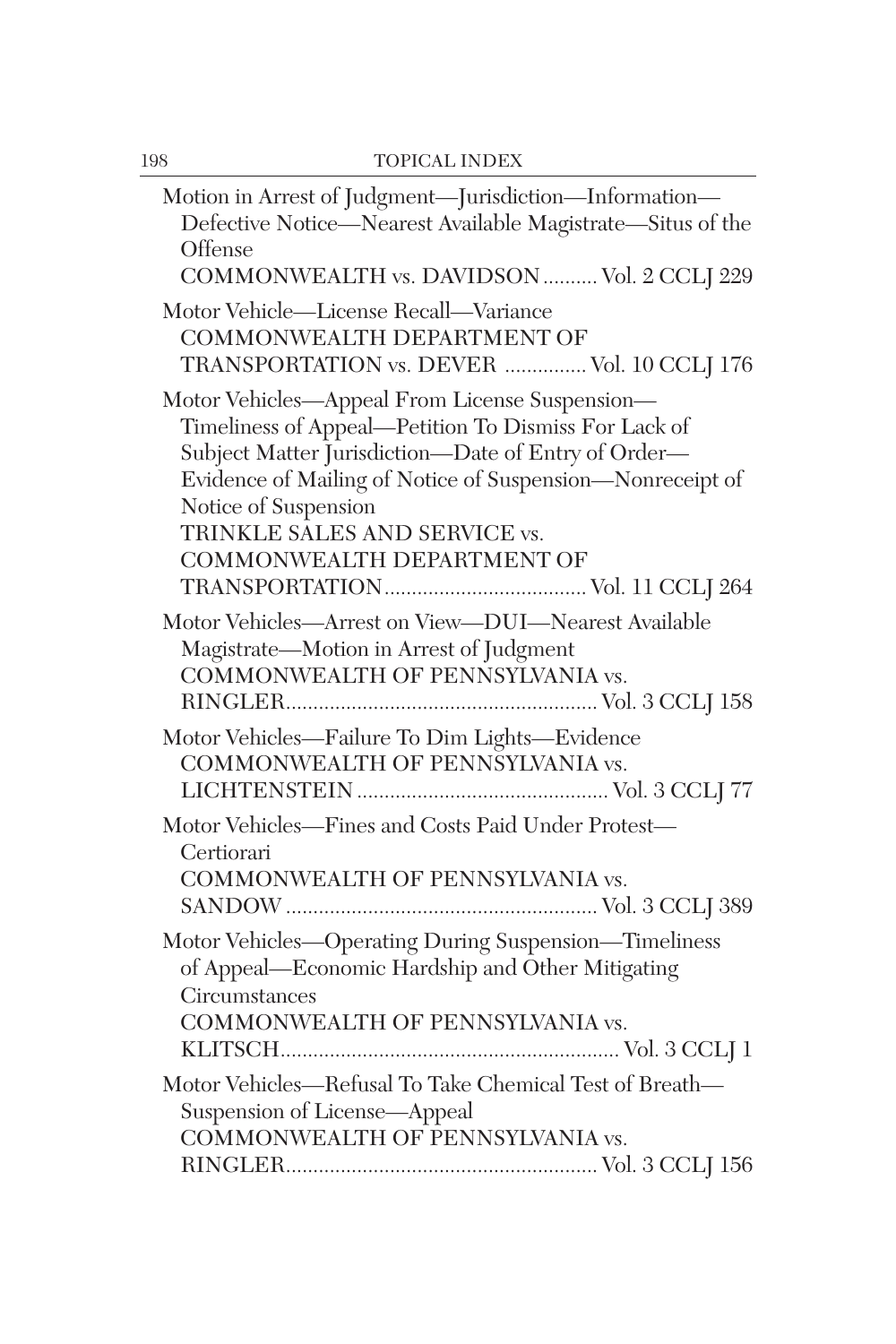| Motion in Arrest of Judgment-Jurisdiction-Information-<br>Defective Notice-Nearest Available Magistrate-Situs of the<br>Offense<br>COMMONWEALTH vs. DAVIDSON  Vol. 2 CCLJ 229                                                                                                                                     |
|-------------------------------------------------------------------------------------------------------------------------------------------------------------------------------------------------------------------------------------------------------------------------------------------------------------------|
| Motor Vehicle-License Recall-Variance<br>COMMONWEALTH DEPARTMENT OF<br>TRANSPORTATION vs. DEVER  Vol. 10 CCLJ 176                                                                                                                                                                                                 |
| Motor Vehicles-Appeal From License Suspension-<br>Timeliness of Appeal—Petition To Dismiss For Lack of<br>Subject Matter Jurisdiction-Date of Entry of Order-<br>Evidence of Mailing of Notice of Suspension-Nonreceipt of<br>Notice of Suspension<br>TRINKLE SALES AND SERVICE vs.<br>COMMONWEALTH DEPARTMENT OF |
| Motor Vehicles-Arrest on View-DUI-Nearest Available<br>Magistrate-Motion in Arrest of Judgment<br>COMMONWEALTH OF PENNSYLVANIA vs.                                                                                                                                                                                |
| Motor Vehicles-Failure To Dim Lights-Evidence<br>COMMONWEALTH OF PENNSYLVANIA vs.                                                                                                                                                                                                                                 |
| Motor Vehicles-Fines and Costs Paid Under Protest-<br>Certiorari<br>COMMONWEALTH OF PENNSYLVANIA vs.                                                                                                                                                                                                              |
| Motor Vehicles—Operating During Suspension—Timeliness<br>of Appeal-Economic Hardship and Other Mitigating<br>Circumstances<br>COMMONWEALTH OF PENNSYLVANIA vs.                                                                                                                                                    |
| Motor Vehicles-Refusal To Take Chemical Test of Breath-<br>Suspension of License-Appeal<br>COMMONWEALTH OF PENNSYLVANIA vs.                                                                                                                                                                                       |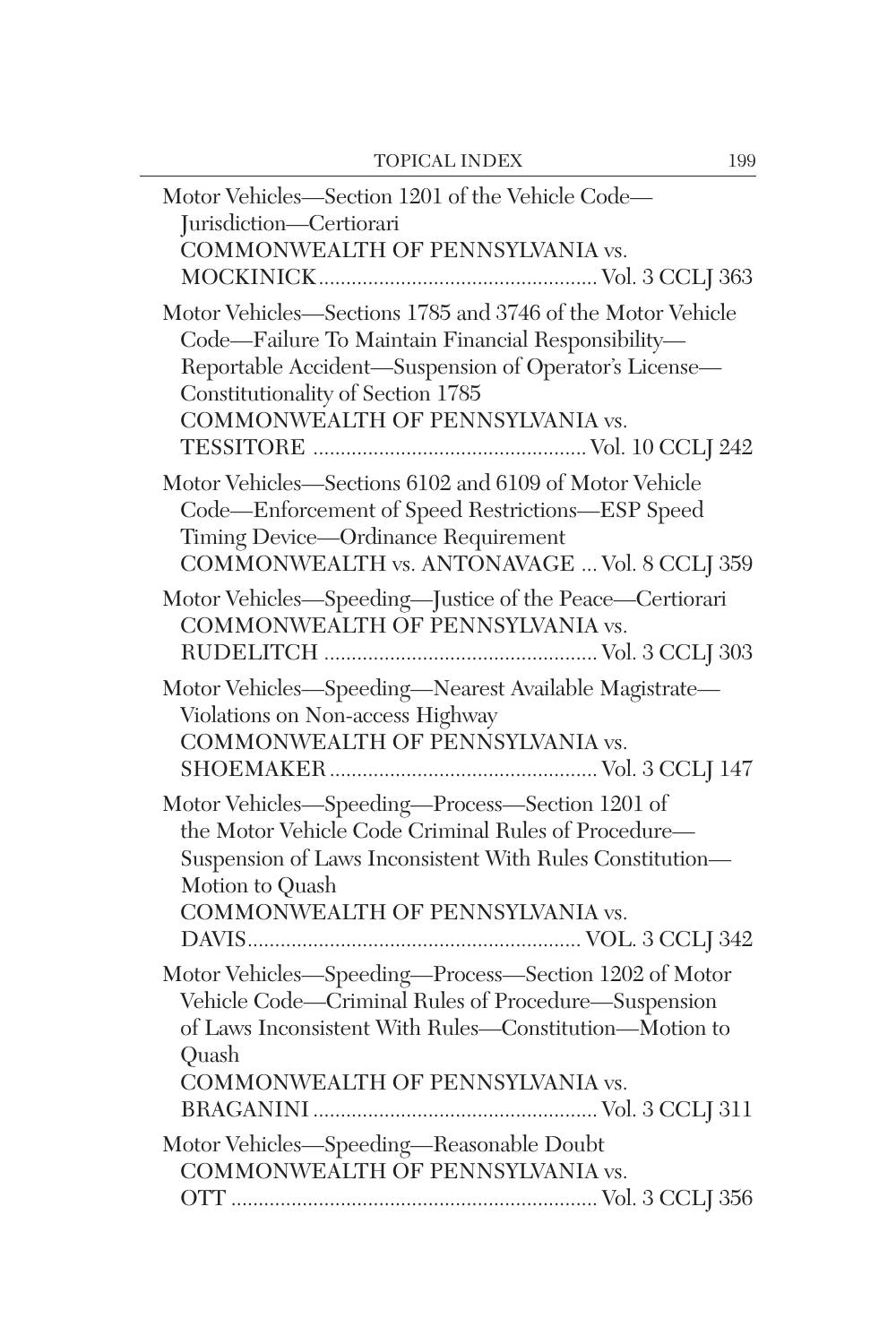| Motor Vehicles-Section 1201 of the Vehicle Code-<br>Jurisdiction-Certiorari<br>COMMONWEALTH OF PENNSYLVANIA vs.                                                                                                                                    |
|----------------------------------------------------------------------------------------------------------------------------------------------------------------------------------------------------------------------------------------------------|
| Motor Vehicles-Sections 1785 and 3746 of the Motor Vehicle<br>Code-Failure To Maintain Financial Responsibility-<br>Reportable Accident-Suspension of Operator's License-<br>Constitutionality of Section 1785<br>COMMONWEALTH OF PENNSYLVANIA vs. |
| Motor Vehicles-Sections 6102 and 6109 of Motor Vehicle<br>Code-Enforcement of Speed Restrictions-ESP Speed<br>Timing Device-Ordinance Requirement<br>COMMONWEALTH vs. ANTONAVAGE  Vol. 8 CCLJ 359                                                  |
| Motor Vehicles-Speeding-Justice of the Peace-Certiorari<br>COMMONWEALTH OF PENNSYLVANIA vs.                                                                                                                                                        |
| Motor Vehicles-Speeding-Nearest Available Magistrate-<br>Violations on Non-access Highway<br>COMMONWEALTH OF PENNSYLVANIA vs.                                                                                                                      |
| Motor Vehicles—Speeding—Process—Section 1201 of<br>the Motor Vehicle Code Criminal Rules of Procedure-<br>Suspension of Laws Inconsistent With Rules Constitution-<br>Motion to Quash<br>COMMONWEALTH OF PENNSYLVANIA vs.                          |
| Motor Vehicles-Speeding-Process-Section 1202 of Motor<br>Vehicle Code-Criminal Rules of Procedure-Suspension<br>of Laws Inconsistent With Rules-Constitution-Motion to<br>Quash<br>COMMONWEALTH OF PENNSYLVANIA vs.                                |
| Motor Vehicles-Speeding-Reasonable Doubt<br>COMMONWEALTH OF PENNSYLVANIA vs.                                                                                                                                                                       |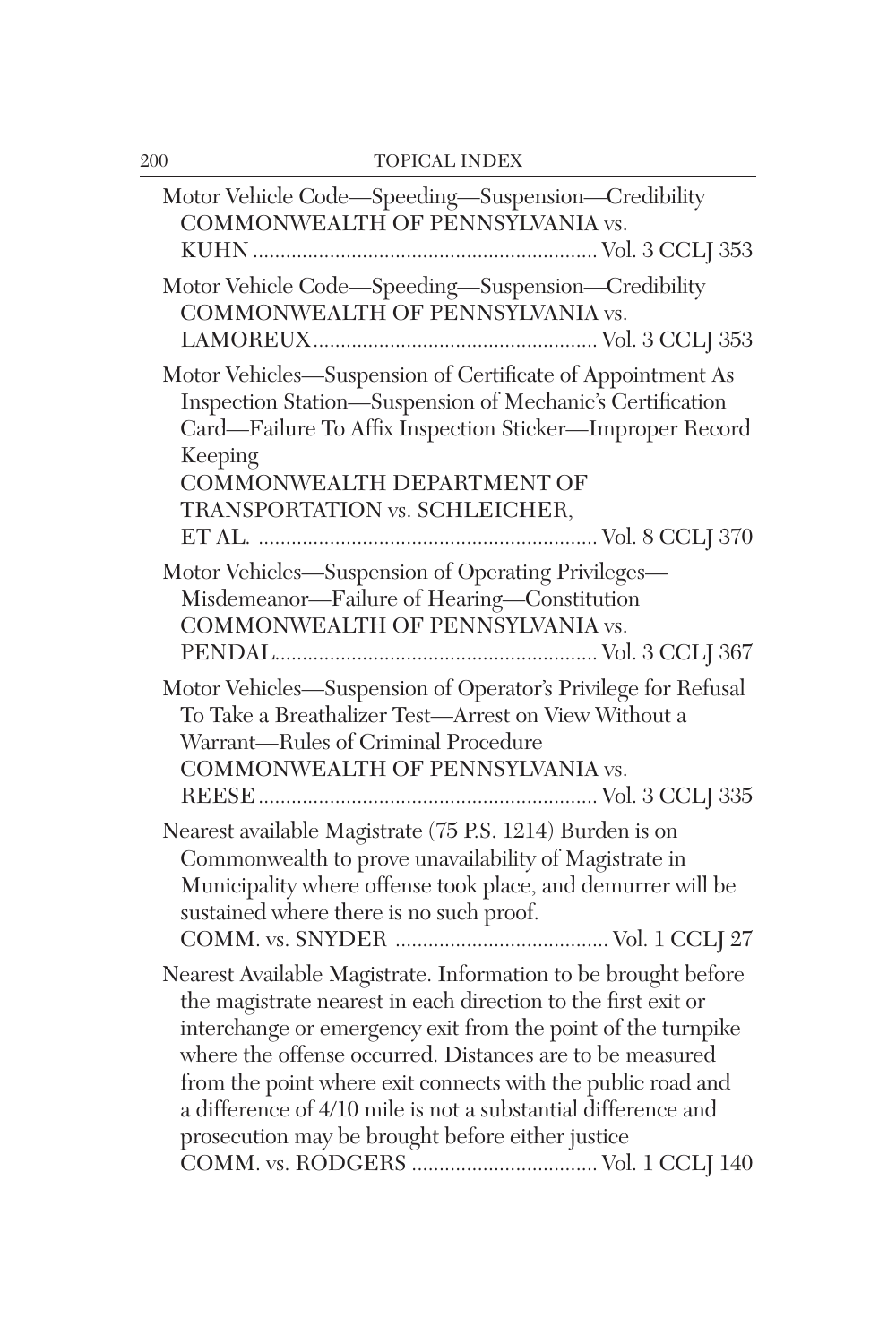| Motor Vehicle Code—Speeding—Suspension—Credibility<br>COMMONWEALTH OF PENNSYLVANIA vs.                                                                                                                                                                                                                                                                                                                                                          |
|-------------------------------------------------------------------------------------------------------------------------------------------------------------------------------------------------------------------------------------------------------------------------------------------------------------------------------------------------------------------------------------------------------------------------------------------------|
| Motor Vehicle Code-Speeding-Suspension-Credibility<br>COMMONWEALTH OF PENNSYLVANIA vs.                                                                                                                                                                                                                                                                                                                                                          |
| Motor Vehicles-Suspension of Certificate of Appointment As<br>Inspection Station-Suspension of Mechanic's Certification<br>Card-Failure To Affix Inspection Sticker-Improper Record<br>Keeping<br>COMMONWEALTH DEPARTMENT OF<br>TRANSPORTATION vs. SCHLEICHER,                                                                                                                                                                                  |
| Motor Vehicles-Suspension of Operating Privileges-<br>Misdemeanor-Failure of Hearing-Constitution<br>COMMONWEALTH OF PENNSYLVANIA vs.                                                                                                                                                                                                                                                                                                           |
| Motor Vehicles-Suspension of Operator's Privilege for Refusal<br>To Take a Breathalizer Test-Arrest on View Without a<br>Warrant-Rules of Criminal Procedure<br>COMMONWEALTH OF PENNSYLVANIA vs.                                                                                                                                                                                                                                                |
| Nearest available Magistrate (75 P.S. 1214) Burden is on<br>Commonwealth to prove unavailability of Magistrate in<br>Municipality where offense took place, and demurrer will be<br>sustained where there is no such proof.                                                                                                                                                                                                                     |
| Nearest Available Magistrate. Information to be brought before<br>the magistrate nearest in each direction to the first exit or<br>interchange or emergency exit from the point of the turnpike<br>where the offense occurred. Distances are to be measured<br>from the point where exit connects with the public road and<br>a difference of 4/10 mile is not a substantial difference and<br>prosecution may be brought before either justice |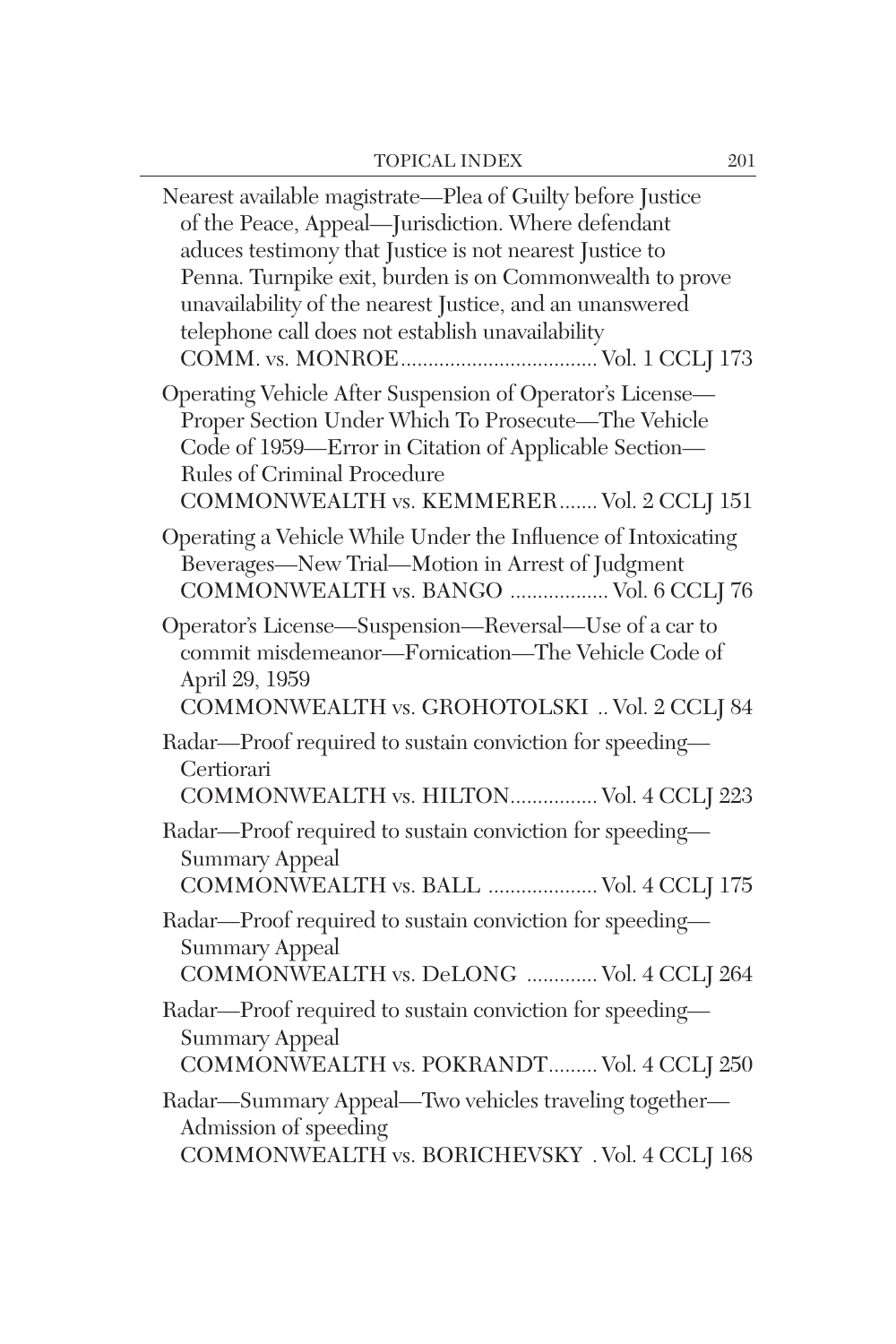| Nearest available magistrate—Plea of Guilty before Justice<br>of the Peace, Appeal-Jurisdiction. Where defendant<br>aduces testimony that Justice is not nearest Justice to<br>Penna. Turnpike exit, burden is on Commonwealth to prove<br>unavailability of the nearest Justice, and an unanswered<br>telephone call does not establish unavailability |
|---------------------------------------------------------------------------------------------------------------------------------------------------------------------------------------------------------------------------------------------------------------------------------------------------------------------------------------------------------|
| Operating Vehicle After Suspension of Operator's License-<br>Proper Section Under Which To Prosecute-The Vehicle<br>Code of 1959-Error in Citation of Applicable Section-<br>Rules of Criminal Procedure<br>COMMONWEALTH vs. KEMMERER Vol. 2 CCLJ 151                                                                                                   |
| Operating a Vehicle While Under the Influence of Intoxicating<br>Beverages-New Trial-Motion in Arrest of Judgment<br>COMMONWEALTH vs. BANGO  Vol. 6 CCLJ 76                                                                                                                                                                                             |
| Operator's License-Suspension-Reversal-Use of a car to<br>commit misdemeanor-Fornication-The Vehicle Code of<br>April 29, 1959<br>COMMONWEALTH vs. GROHOTOLSKI  Vol. 2 CCLJ 84                                                                                                                                                                          |
| Radar-Proof required to sustain conviction for speeding-<br>Certiorari<br>COMMONWEALTH vs. HILTON Vol. 4 CCLJ 223                                                                                                                                                                                                                                       |
| Radar-Proof required to sustain conviction for speeding-<br><b>Summary Appeal</b><br>COMMONWEALTH vs. BALL  Vol. 4 CCLJ 175                                                                                                                                                                                                                             |
| Radar-Proof required to sustain conviction for speeding-<br><b>Summary Appeal</b><br>COMMONWEALTH vs. DeLONG  Vol. 4 CCLJ 264                                                                                                                                                                                                                           |
| Radar-Proof required to sustain conviction for speeding-<br><b>Summary Appeal</b><br>COMMONWEALTH vs. POKRANDT Vol. 4 CCLJ 250                                                                                                                                                                                                                          |
| Radar-Summary Appeal-Two vehicles traveling together-<br>Admission of speeding<br>COMMONWEALTH vs. BORICHEVSKY . Vol. 4 CCLJ 168                                                                                                                                                                                                                        |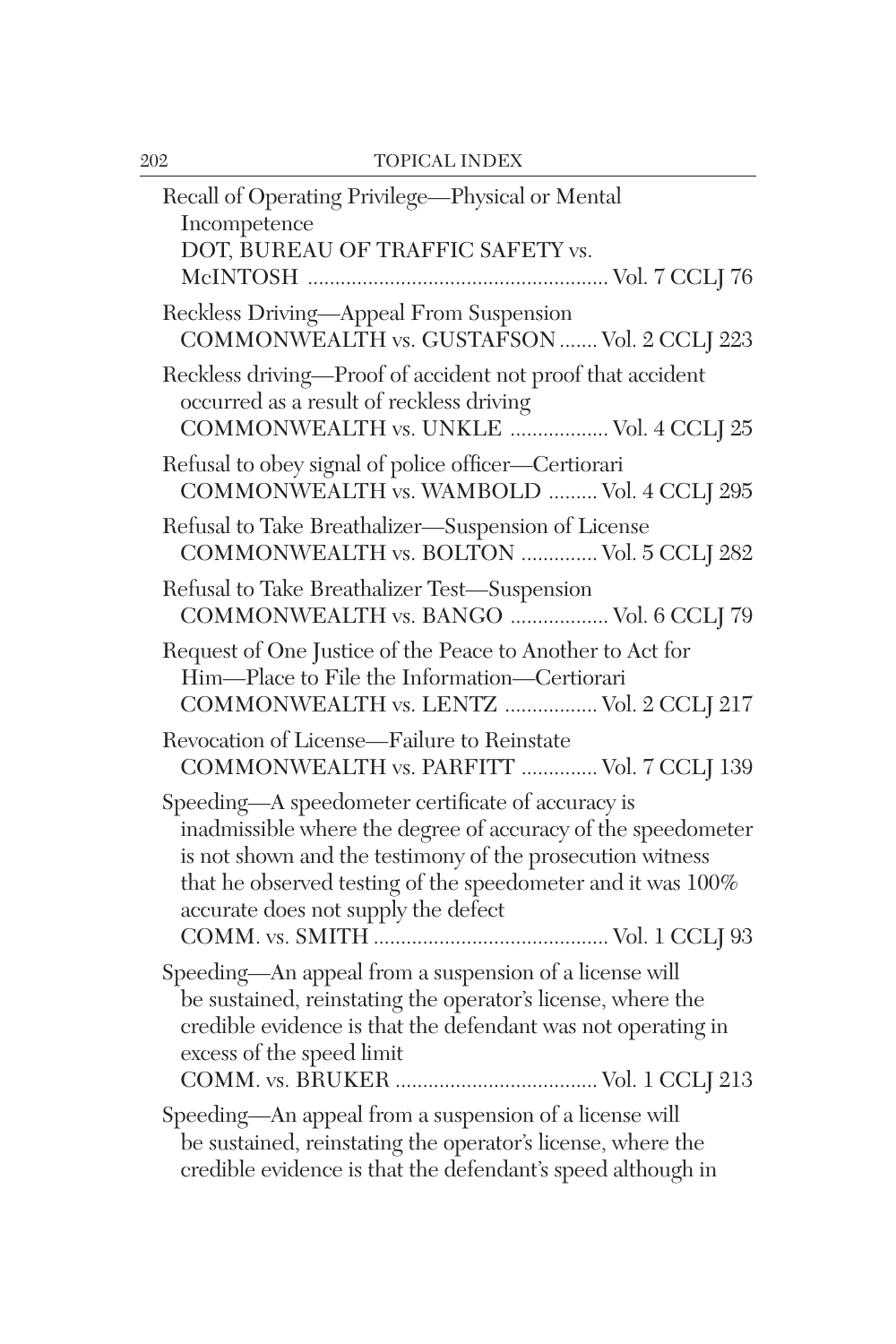| Recall of Operating Privilege-Physical or Mental<br>Incompetence<br>DOT, BUREAU OF TRAFFIC SAFETY vs.                                                                                                                                                                                |
|--------------------------------------------------------------------------------------------------------------------------------------------------------------------------------------------------------------------------------------------------------------------------------------|
| Reckless Driving-Appeal From Suspension<br>COMMONWEALTH vs. GUSTAFSON  Vol. 2 CCLJ 223                                                                                                                                                                                               |
| Reckless driving-Proof of accident not proof that accident<br>occurred as a result of reckless driving<br>COMMONWEALTH vs. UNKLE  Vol. 4 CCLJ 25                                                                                                                                     |
| Refusal to obey signal of police officer-Certiorari<br>COMMONWEALTH vs. WAMBOLD  Vol. 4 CCLJ 295                                                                                                                                                                                     |
| Refusal to Take Breathalizer-Suspension of License<br>COMMONWEALTH vs. BOLTON  Vol. 5 CCLJ 282                                                                                                                                                                                       |
| Refusal to Take Breathalizer Test-Suspension<br>COMMONWEALTH vs. BANGO  Vol. 6 CCLJ 79                                                                                                                                                                                               |
| Request of One Justice of the Peace to Another to Act for<br>Him-Place to File the Information-Certiorari<br>COMMONWEALTH vs. LENTZ  Vol. 2 CCLJ 217                                                                                                                                 |
| Revocation of License-Failure to Reinstate<br>COMMONWEALTH vs. PARFITT  Vol. 7 CCLJ 139                                                                                                                                                                                              |
| Speeding-A speedometer certificate of accuracy is<br>inadmissible where the degree of accuracy of the speedometer<br>is not shown and the testimony of the prosecution witness<br>that he observed testing of the speedometer and it was 100%<br>accurate does not supply the defect |
| Speeding—An appeal from a suspension of a license will<br>be sustained, reinstating the operator's license, where the<br>credible evidence is that the defendant was not operating in<br>excess of the speed limit                                                                   |
| Speeding-An appeal from a suspension of a license will<br>be sustained, reinstating the operator's license, where the<br>credible evidence is that the defendant's speed although in                                                                                                 |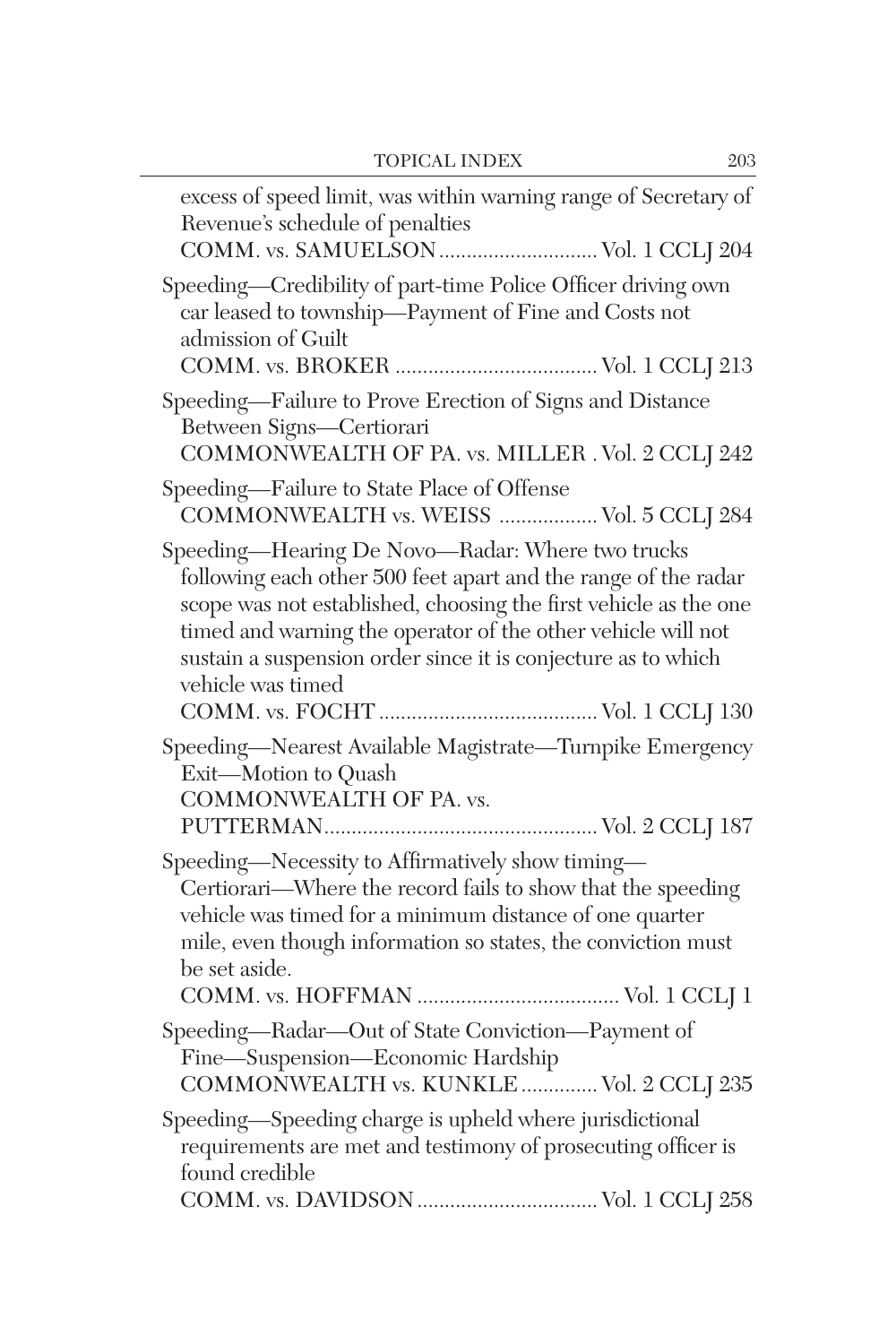| excess of speed limit, was within warning range of Secretary of<br>Revenue's schedule of penalties<br>COMM. vs. SAMUELSON  Vol. 1 CCLJ 204                                                                                                                                                                                                   |
|----------------------------------------------------------------------------------------------------------------------------------------------------------------------------------------------------------------------------------------------------------------------------------------------------------------------------------------------|
| Speeding-Credibility of part-time Police Officer driving own<br>car leased to township-Payment of Fine and Costs not<br>admission of Guilt                                                                                                                                                                                                   |
| Speeding-Failure to Prove Erection of Signs and Distance<br>Between Signs-Certiorari<br>COMMONWEALTH OF PA. vs. MILLER . Vol. 2 CCLJ 242                                                                                                                                                                                                     |
| Speeding-Failure to State Place of Offense<br>COMMONWEALTH vs. WEISS  Vol. 5 CCLJ 284                                                                                                                                                                                                                                                        |
| Speeding-Hearing De Novo-Radar: Where two trucks<br>following each other 500 feet apart and the range of the radar<br>scope was not established, choosing the first vehicle as the one<br>timed and warning the operator of the other vehicle will not<br>sustain a suspension order since it is conjecture as to which<br>vehicle was timed |
| Speeding-Nearest Available Magistrate-Turnpike Emergency<br>Exit-Motion to Quash<br>COMMONWEALTH OF PA. vs.                                                                                                                                                                                                                                  |
| Speeding-Necessity to Affirmatively show timing-<br>Certiorari—Where the record fails to show that the speeding<br>vehicle was timed for a minimum distance of one quarter<br>mile, even though information so states, the conviction must<br>be set aside.                                                                                  |
| Speeding-Radar-Out of State Conviction-Payment of<br>Fine-Suspension-Economic Hardship<br>COMMONWEALTH vs. KUNKLE  Vol. 2 CCLJ 235                                                                                                                                                                                                           |
| Speeding-Speeding charge is upheld where jurisdictional<br>requirements are met and testimony of prosecuting officer is<br>found credible                                                                                                                                                                                                    |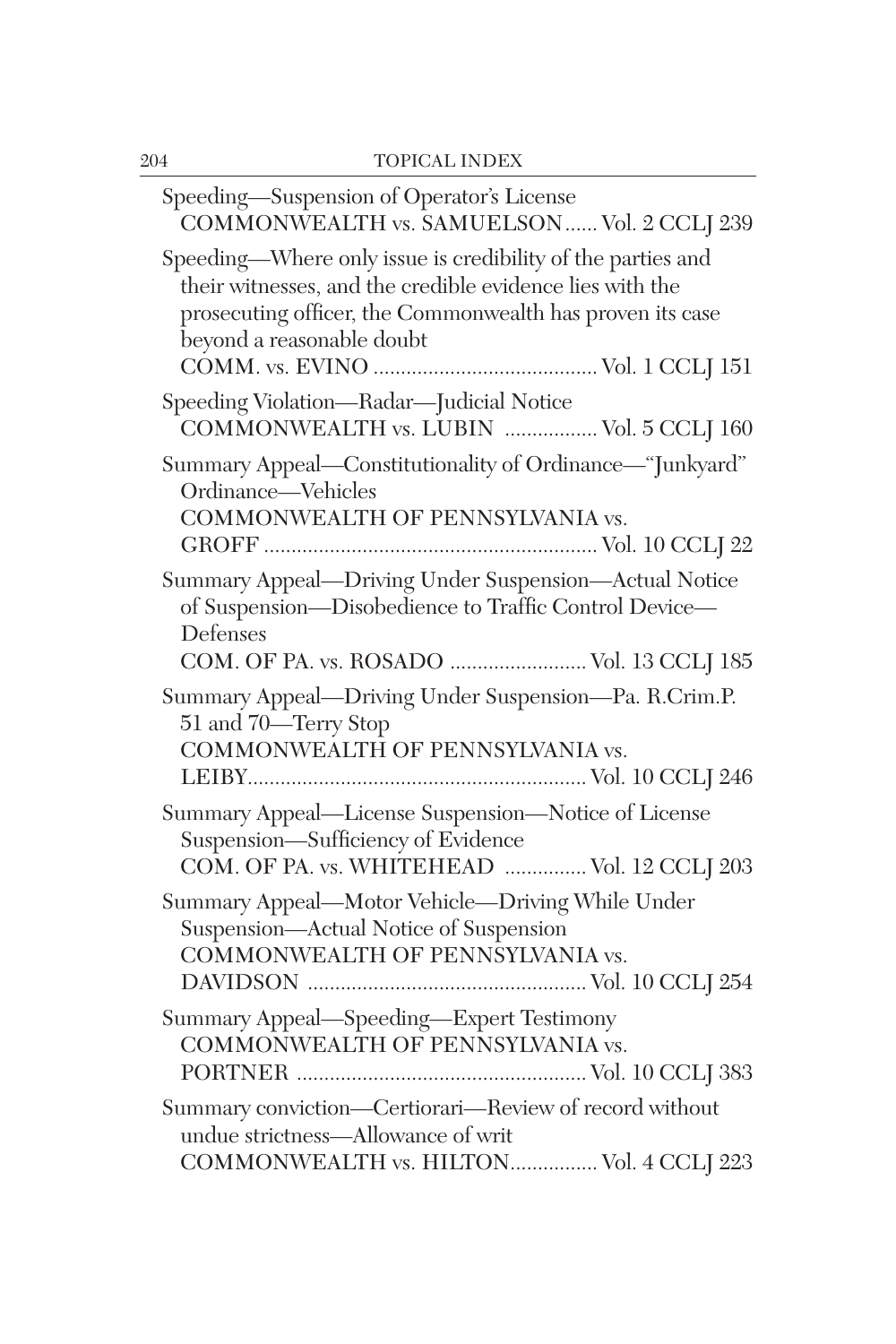| Speeding-Suspension of Operator's License<br>COMMONWEALTH vs. SAMUELSON  Vol. 2 CCLJ 239                                                                                                                          |
|-------------------------------------------------------------------------------------------------------------------------------------------------------------------------------------------------------------------|
| Speeding-Where only issue is credibility of the parties and<br>their witnesses, and the credible evidence lies with the<br>prosecuting officer, the Commonwealth has proven its case<br>beyond a reasonable doubt |
| Speeding Violation-Radar-Judicial Notice<br>COMMONWEALTH vs. LUBIN  Vol. 5 CCLJ 160                                                                                                                               |
| Summary Appeal-Constitutionality of Ordinance-"Junkyard"<br>Ordinance-Vehicles<br>COMMONWEALTH OF PENNSYLVANIA vs.                                                                                                |
| Summary Appeal-Driving Under Suspension-Actual Notice<br>of Suspension-Disobedience to Traffic Control Device-<br>Defenses<br>COM. OF PA. vs. ROSADO  Vol. 13 CCLJ 185                                            |
| Summary Appeal-Driving Under Suspension-Pa. R.Crim.P.<br>51 and 70—Terry Stop<br>COMMONWEALTH OF PENNSYLVANIA vs.                                                                                                 |
| Summary Appeal—License Suspension—Notice of License<br>Suspension-Sufficiency of Evidence<br>COM. OF PA. vs. WHITEHEAD  Vol. 12 CCLJ 203                                                                          |
| Summary Appeal-Motor Vehicle-Driving While Under<br>Suspension-Actual Notice of Suspension<br>COMMONWEALTH OF PENNSYLVANIA vs.                                                                                    |
| Summary Appeal-Speeding-Expert Testimony<br>COMMONWEALTH OF PENNSYLVANIA vs.                                                                                                                                      |
| Summary conviction-Certiorari-Review of record without<br>undue strictness-Allowance of writ<br>COMMONWEALTH vs. HILTON Vol. 4 CCLJ 223                                                                           |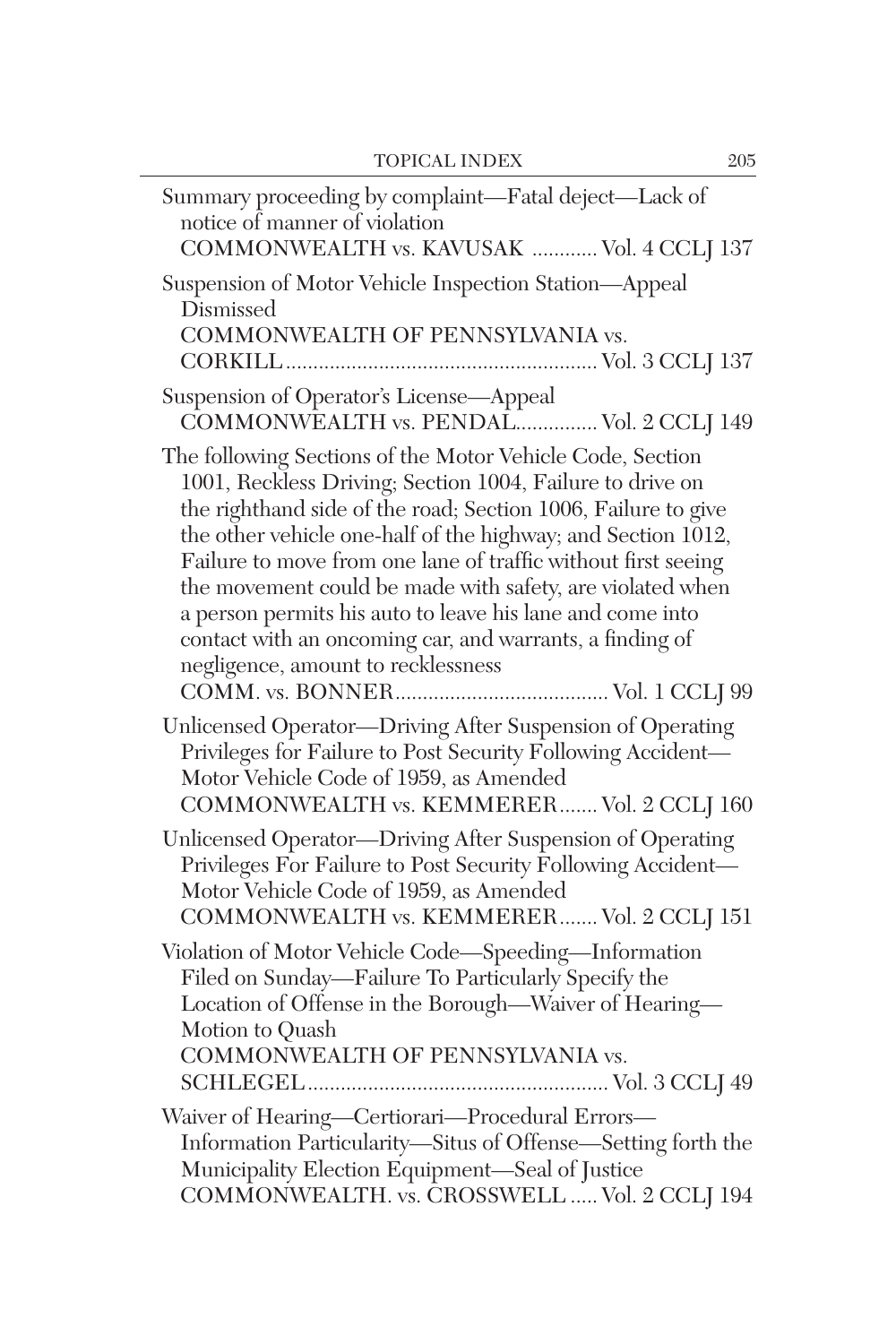| Summary proceeding by complaint—Fatal deject—Lack of<br>notice of manner of violation<br>COMMONWEALTH vs. KAVUSAK  Vol. 4 CCLJ 137                                                                                                                                                                                                                                                                                                                                                                                                                   |
|------------------------------------------------------------------------------------------------------------------------------------------------------------------------------------------------------------------------------------------------------------------------------------------------------------------------------------------------------------------------------------------------------------------------------------------------------------------------------------------------------------------------------------------------------|
| Suspension of Motor Vehicle Inspection Station-Appeal<br>Dismissed<br>COMMONWEALTH OF PENNSYLVANIA vs.                                                                                                                                                                                                                                                                                                                                                                                                                                               |
| Suspension of Operator's License-Appeal<br>COMMONWEALTH vs. PENDAL Vol. 2 CCLJ 149                                                                                                                                                                                                                                                                                                                                                                                                                                                                   |
| The following Sections of the Motor Vehicle Code, Section<br>1001, Reckless Driving; Section 1004, Failure to drive on<br>the righthand side of the road; Section 1006, Failure to give<br>the other vehicle one-half of the highway; and Section 1012,<br>Failure to move from one lane of traffic without first seeing<br>the movement could be made with safety, are violated when<br>a person permits his auto to leave his lane and come into<br>contact with an oncoming car, and warrants, a finding of<br>negligence, amount to recklessness |
| Unlicensed Operator-Driving After Suspension of Operating<br>Privileges for Failure to Post Security Following Accident-<br>Motor Vehicle Code of 1959, as Amended<br>COMMONWEALTH vs. KEMMERER Vol. 2 CCLJ 160                                                                                                                                                                                                                                                                                                                                      |
| Unlicensed Operator-Driving After Suspension of Operating<br>Privileges For Failure to Post Security Following Accident-<br>Motor Vehicle Code of 1959, as Amended<br>COMMONWEALTH vs. KEMMERER Vol. 2 CCLJ 151                                                                                                                                                                                                                                                                                                                                      |
| Violation of Motor Vehicle Code-Speeding-Information<br>Filed on Sunday-Failure To Particularly Specify the<br>Location of Offense in the Borough-Waiver of Hearing-<br>Motion to Quash<br>COMMONWEALTH OF PENNSYLVANIA vs.                                                                                                                                                                                                                                                                                                                          |
| Waiver of Hearing-Certiorari-Procedural Errors-<br>Information Particularity-Situs of Offense-Setting forth the<br>Municipality Election Equipment-Seal of Justice<br>COMMONWEALTH. vs. CROSSWELL  Vol. 2 CCLJ 194                                                                                                                                                                                                                                                                                                                                   |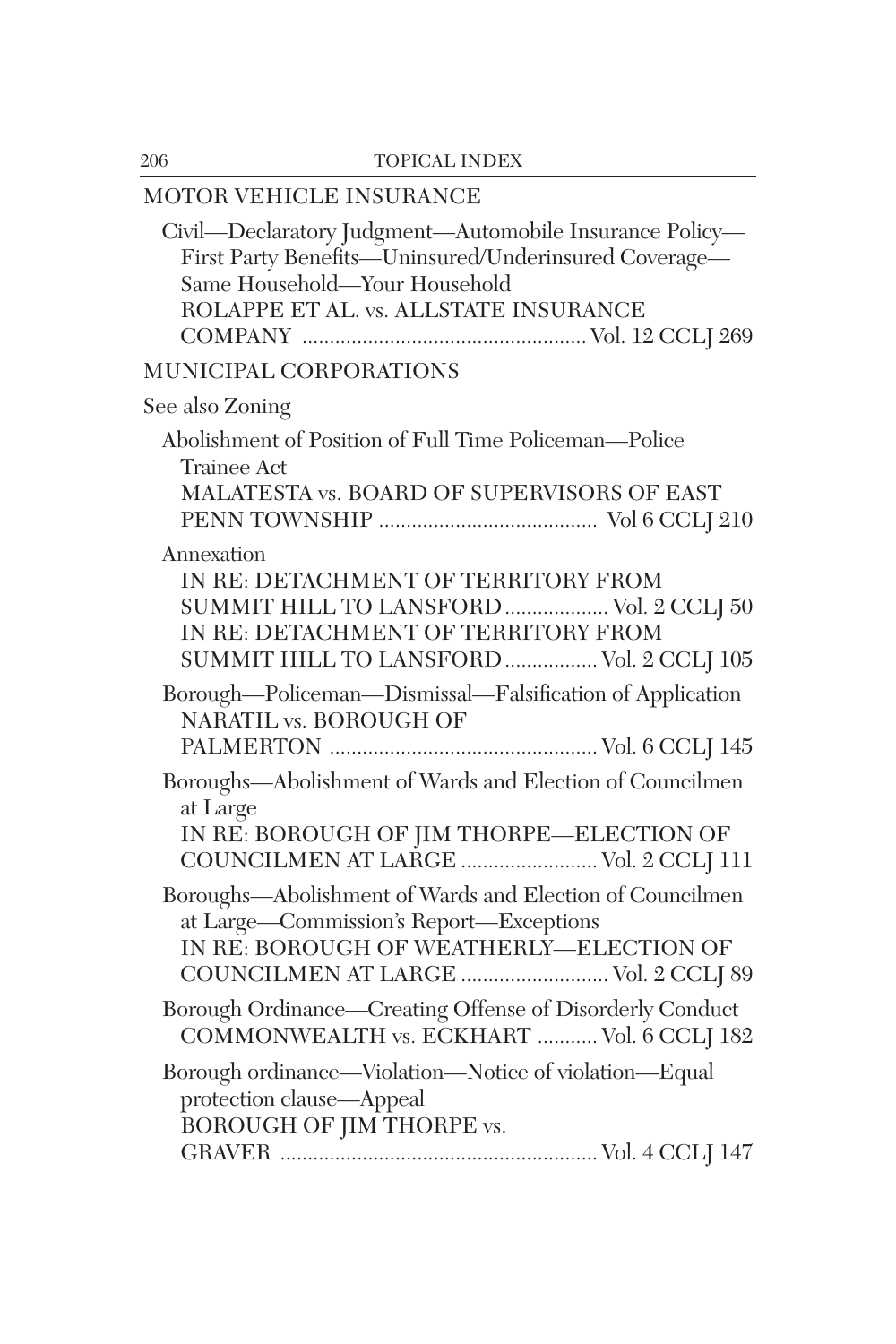## MOTOR VEHICLE INSURANCE Civil—Declaratory Judgment—Automobile Insurance Policy— First Party Benefits—Uninsured/Underinsured Coverage— Same Household—Your Household ROLAPPE ET AL. vs. ALLSTATE INSURANCE COMPANY .................................................... Vol. 12 CCLJ 269 MUNICIPAL CORPORATIONS See also Zoning Abolishment of Position of Full Time Policeman—Police Trainee Act MALATESTA vs. BOARD OF SUPERVISORS OF EAST PENN TOWNSHIP ........................................ Vol 6 CCLJ 210 Annexation IN RE: DETACHMENT OF TERRITORY FROM SUMMIT HILL TO LANSFORD................... Vol. 2 CCLJ 50 IN RE: DETACHMENT OF TERRITORY FROM SUMMIT HILL TO LANSFORD................. Vol. 2 CCLJ 105 Borough—Policeman—Dismissal—Falsification of Application NARATIL vs. BOROUGH OF PALMERTON ................................................. Vol. 6 CCLJ 145 Boroughs—Abolishment of Wards and Election of Councilmen at Large IN RE: BOROUGH OF JIM THORPE—ELECTION OF COUNCILMEN AT LARGE ......................... Vol. 2 CCLJ 111 Boroughs—Abolishment of Wards and Election of Councilmen at Large—Commission's Report—Exceptions IN RE: BOROUGH OF WEATHERLY—ELECTION OF COUNCILMEN AT LARGE ........................... Vol. 2 CCLJ 89 Borough Ordinance—Creating Offense of Disorderly Conduct COMMONWEALTH vs. ECKHART ........... Vol. 6 CCLJ 182 Borough ordinance—Violation—Notice of violation—Equal protection clause—Appeal BOROUGH OF JIM THORPE vs. GRAVER .......................................................... Vol. 4 CCLJ 147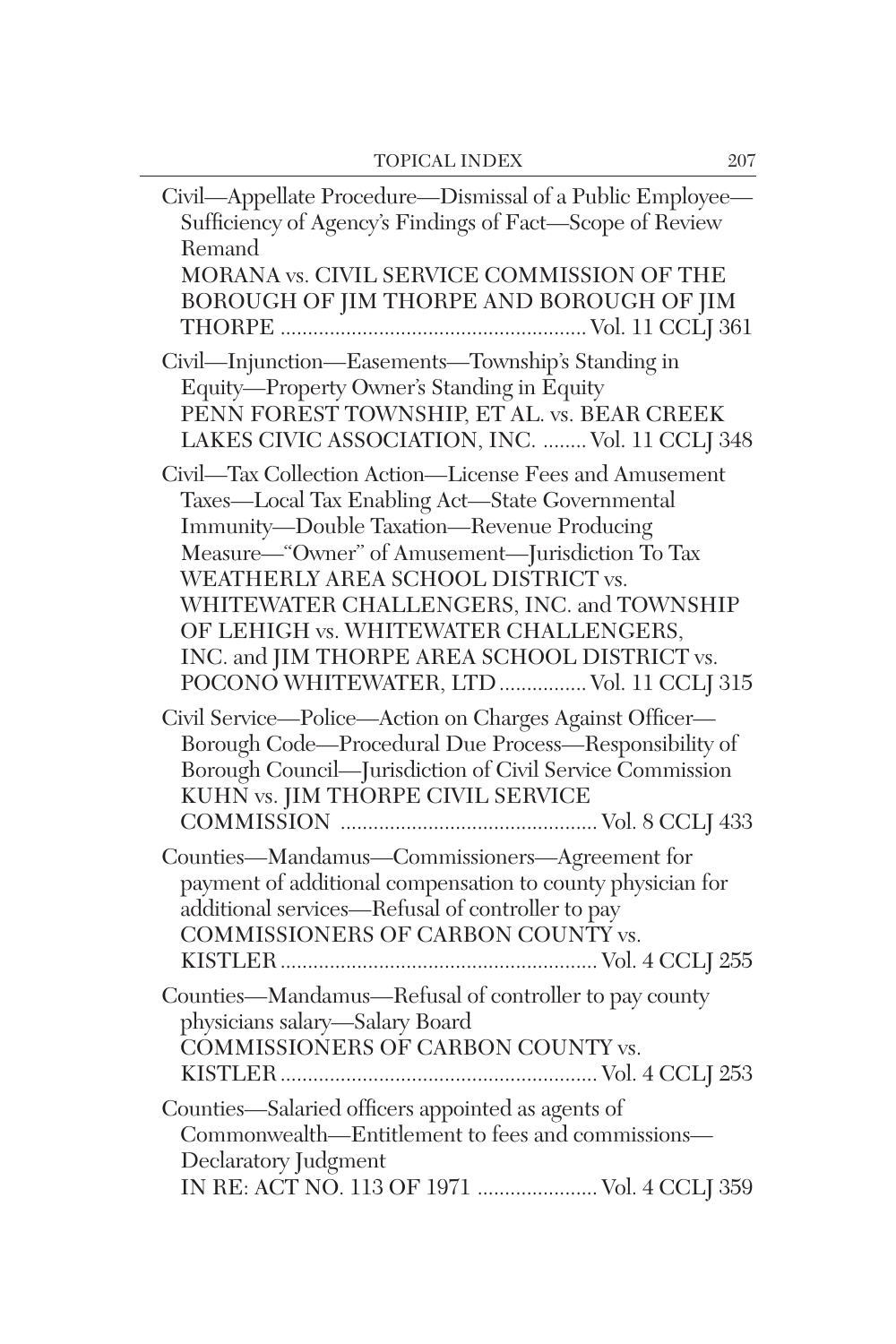| Civil-Appellate Procedure-Dismissal of a Public Employee-<br>Sufficiency of Agency's Findings of Fact-Scope of Review<br>Remand<br>MORANA vs. CIVIL SERVICE COMMISSION OF THE<br>BOROUGH OF JIM THORPE AND BOROUGH OF JIM                                                                                                                                                                                                           |
|-------------------------------------------------------------------------------------------------------------------------------------------------------------------------------------------------------------------------------------------------------------------------------------------------------------------------------------------------------------------------------------------------------------------------------------|
|                                                                                                                                                                                                                                                                                                                                                                                                                                     |
| Civil-Injunction-Easements-Township's Standing in<br>Equity-Property Owner's Standing in Equity<br>PENN FOREST TOWNSHIP, ET AL. vs. BEAR CREEK<br>LAKES CIVIC ASSOCIATION, INC.  Vol. 11 CCLJ 348                                                                                                                                                                                                                                   |
| Civil-Tax Collection Action-License Fees and Amusement<br>Taxes-Local Tax Enabling Act-State Governmental<br>Immunity-Double Taxation-Revenue Producing<br>Measure—"Owner" of Amusement—Jurisdiction To Tax<br>WEATHERLY AREA SCHOOL DISTRICT vs.<br>WHITEWATER CHALLENGERS, INC. and TOWNSHIP<br>OF LEHIGH vs. WHITEWATER CHALLENGERS,<br>INC. and JIM THORPE AREA SCHOOL DISTRICT vs.<br>POCONO WHITEWATER, LTD  Vol. 11 CCLJ 315 |
| Civil Service-Police-Action on Charges Against Officer-<br>Borough Code-Procedural Due Process-Responsibility of<br>Borough Council-Jurisdiction of Civil Service Commission<br>KUHN vs. JIM THORPE CIVIL SERVICE                                                                                                                                                                                                                   |
| Counties—Mandamus—Commissioners—Agreement for<br>payment of additional compensation to county physician for<br>additional services—Refusal of controller to pay<br>COMMISSIONERS OF CARBON COUNTY vs.                                                                                                                                                                                                                               |
| Counties—Mandamus—Refusal of controller to pay county<br>physicians salary-Salary Board<br>COMMISSIONERS OF CARBON COUNTY vs.                                                                                                                                                                                                                                                                                                       |
| Counties-Salaried officers appointed as agents of<br>Commonwealth—Entitlement to fees and commissions—<br>Declaratory Judgment<br>IN RE: ACT NO. 113 OF 1971  Vol. 4 CCLJ 359                                                                                                                                                                                                                                                       |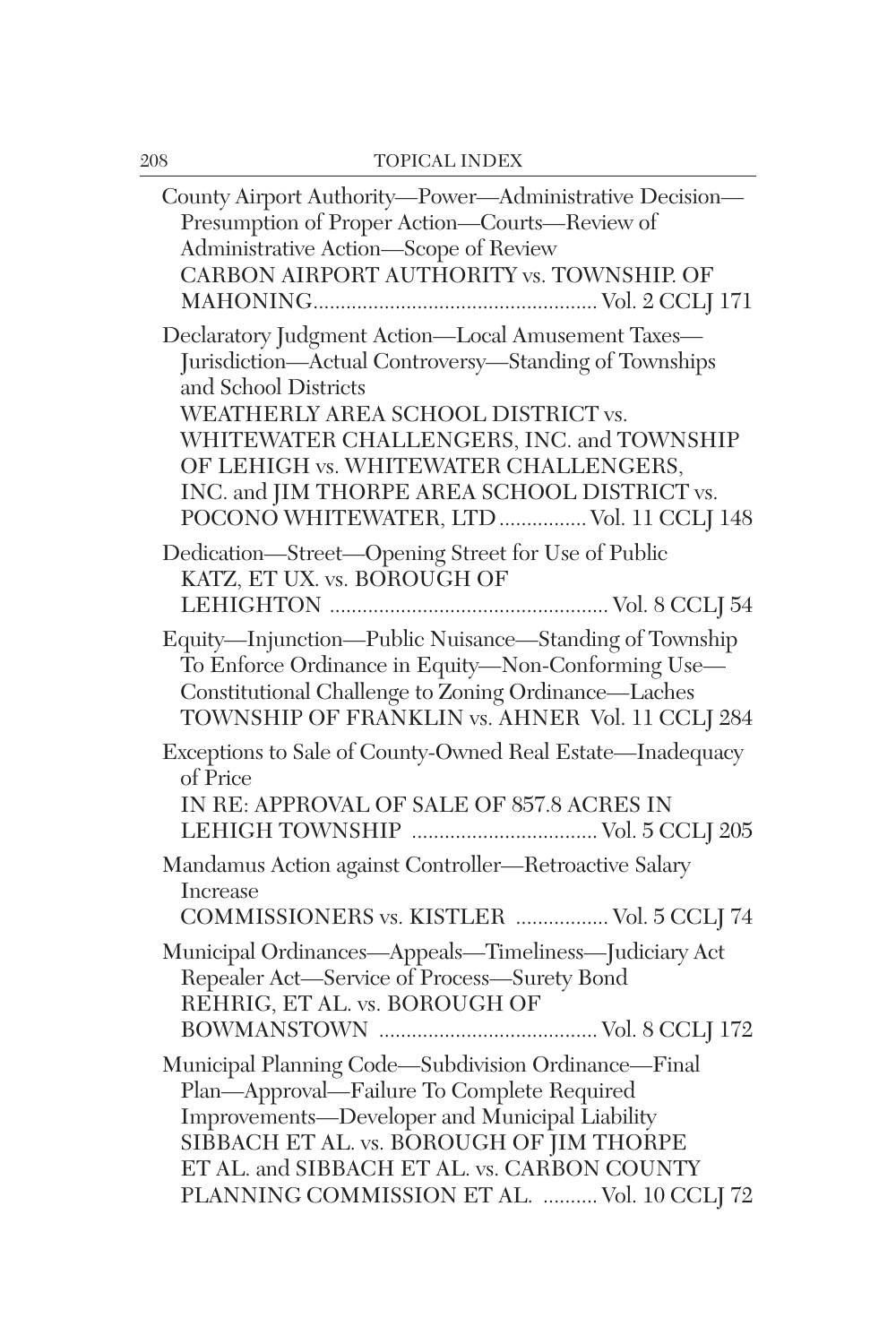| County Airport Authority-Power-Administrative Decision-<br>Presumption of Proper Action-Courts-Review of<br>Administrative Action-Scope of Review<br>CARBON AIRPORT AUTHORITY vs. TOWNSHIP. OF                                                                                                                                                              |
|-------------------------------------------------------------------------------------------------------------------------------------------------------------------------------------------------------------------------------------------------------------------------------------------------------------------------------------------------------------|
| Declaratory Judgment Action-Local Amusement Taxes-<br>Jurisdiction-Actual Controversy-Standing of Townships<br>and School Districts<br>WEATHERLY AREA SCHOOL DISTRICT vs.<br>WHITEWATER CHALLENGERS, INC. and TOWNSHIP<br>OF LEHIGH vs. WHITEWATER CHALLENGERS,<br>INC. and JIM THORPE AREA SCHOOL DISTRICT vs.<br>POCONO WHITEWATER, LTD  Vol. 11 CCLJ 148 |
| Dedication-Street-Opening Street for Use of Public<br>KATZ, ET UX. vs. BOROUGH OF                                                                                                                                                                                                                                                                           |
| Equity-Injunction-Public Nuisance-Standing of Township<br>To Enforce Ordinance in Equity-Non-Conforming Use-<br>Constitutional Challenge to Zoning Ordinance-Laches<br>TOWNSHIP OF FRANKLIN vs. AHNER Vol. 11 CCLJ 284                                                                                                                                      |
| Exceptions to Sale of County-Owned Real Estate-Inadequacy<br>of Price<br>IN RE: APPROVAL OF SALE OF 857.8 ACRES IN                                                                                                                                                                                                                                          |
| Mandamus Action against Controller-Retroactive Salary<br>Increase<br>COMMISSIONERS vs. KISTLER  Vol. 5 CCLJ 74                                                                                                                                                                                                                                              |
| Municipal Ordinances-Appeals-Timeliness-Judiciary Act<br>Repealer Act-Service of Process-Surety Bond<br>REHRIG, ET AL. vs. BOROUGH OF                                                                                                                                                                                                                       |
| Municipal Planning Code-Subdivision Ordinance-Final<br>Plan-Approval-Failure To Complete Required<br>Improvements-Developer and Municipal Liability<br>SIBBACH ET AL. vs. BOROUGH OF JIM THORPE<br>ET AL. and SIBBACH ET AL. vs. CARBON COUNTY<br>PLANNING COMMISSION ET AL.  Vol. 10 CCLJ 72                                                               |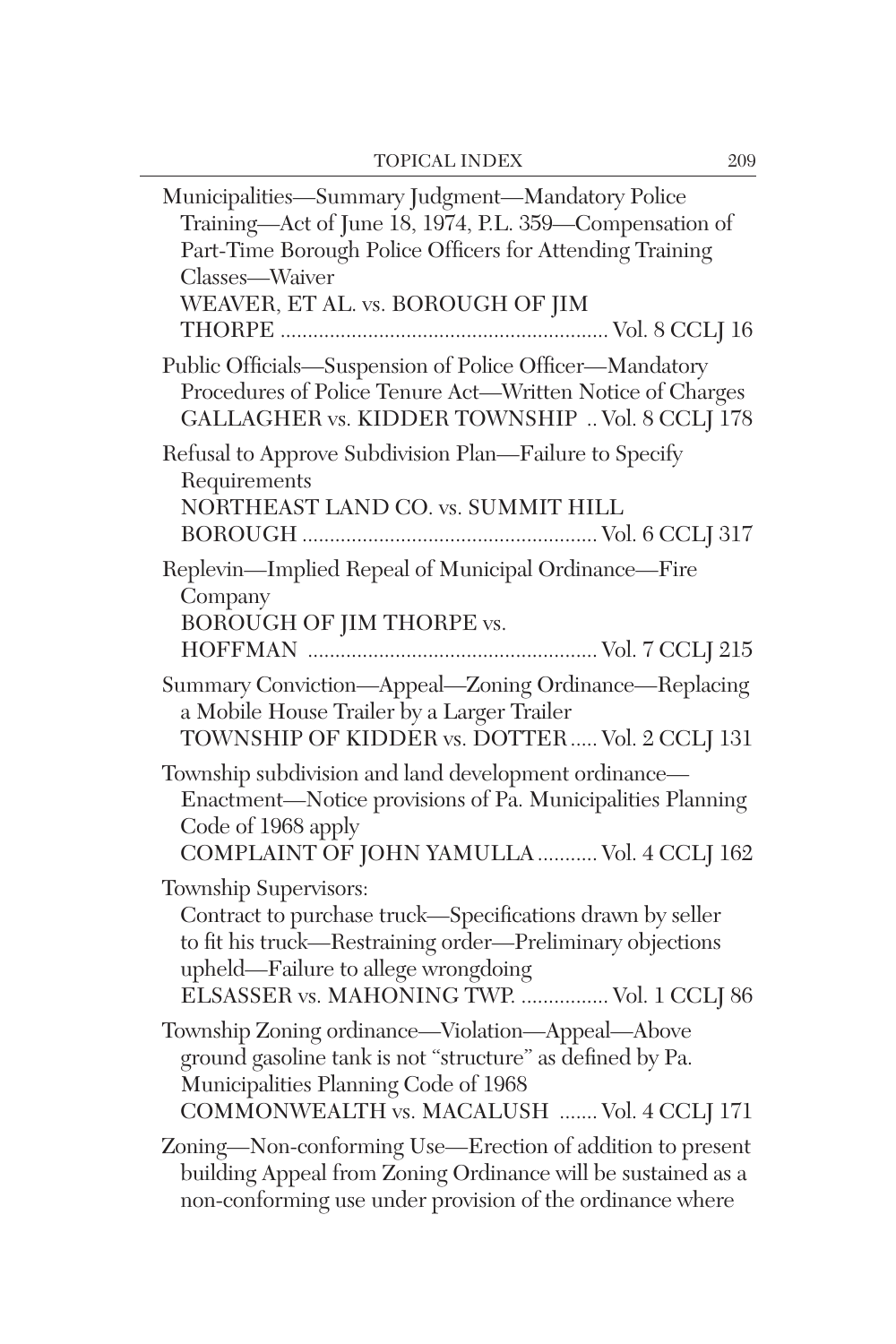| Municipalities-Summary Judgment-Mandatory Police<br>Training-Act of June 18, 1974, P.L. 359-Compensation of<br>Part-Time Borough Police Officers for Attending Training<br>Classes-Waiver<br>WEAVER, ET AL. vs. BOROUGH OF JIM       |
|--------------------------------------------------------------------------------------------------------------------------------------------------------------------------------------------------------------------------------------|
|                                                                                                                                                                                                                                      |
| Public Officials-Suspension of Police Officer-Mandatory<br>Procedures of Police Tenure Act-Written Notice of Charges<br>GALLAGHER vs. KIDDER TOWNSHIP  Vol. 8 CCLJ 178                                                               |
| Refusal to Approve Subdivision Plan-Failure to Specify<br>Requirements<br>NORTHEAST LAND CO. vs. SUMMIT HILL                                                                                                                         |
| Replevin-Implied Repeal of Municipal Ordinance-Fire<br>Company<br>BOROUGH OF JIM THORPE vs.                                                                                                                                          |
| Summary Conviction-Appeal-Zoning Ordinance-Replacing<br>a Mobile House Trailer by a Larger Trailer<br>TOWNSHIP OF KIDDER vs. DOTTER Vol. 2 CCLJ 131                                                                                  |
| Township subdivision and land development ordinance-<br>Enactment-Notice provisions of Pa. Municipalities Planning<br>Code of 1968 apply<br>COMPLAINT OF JOHN YAMULLA  Vol. 4 CCLJ 162                                               |
| Township Supervisors:<br>Contract to purchase truck-Specifications drawn by seller<br>to fit his truck-Restraining order-Preliminary objections<br>upheld—Failure to allege wrongdoing<br>ELSASSER vs. MAHONING TWP.  Vol. 1 CCLJ 86 |
| Township Zoning ordinance-Violation-Appeal-Above<br>ground gasoline tank is not "structure" as defined by Pa.<br>Municipalities Planning Code of 1968<br>COMMONWEALTH vs. MACALUSH  Vol. 4 CCLJ 171                                  |
| Zoning-Non-conforming Use-Erection of addition to present<br>building Appeal from Zoning Ordinance will be sustained as a<br>non-conforming use under provision of the ordinance where                                               |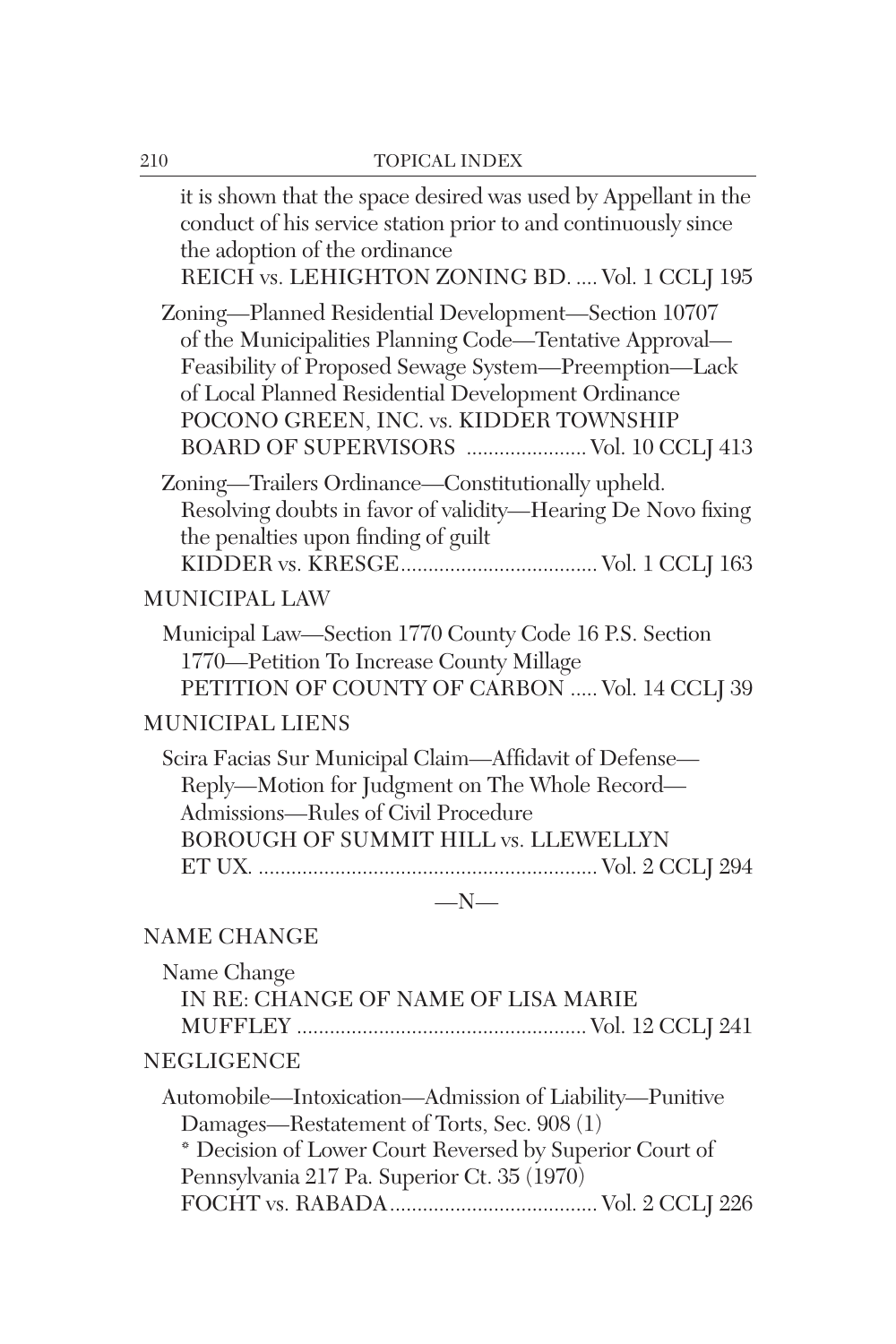| 210 | TOPICAL INDEX                                                                                                                                                                                                                                                                                                      |
|-----|--------------------------------------------------------------------------------------------------------------------------------------------------------------------------------------------------------------------------------------------------------------------------------------------------------------------|
|     | it is shown that the space desired was used by Appellant in the<br>conduct of his service station prior to and continuously since<br>the adoption of the ordinance<br>REICH vs. LEHIGHTON ZONING BD.  Vol. 1 CCLJ 195                                                                                              |
|     | Zoning-Planned Residential Development-Section 10707<br>of the Municipalities Planning Code-Tentative Approval-<br>Feasibility of Proposed Sewage System-Preemption-Lack<br>of Local Planned Residential Development Ordinance<br>POCONO GREEN, INC. vs. KIDDER TOWNSHIP<br>BOARD OF SUPERVISORS  Vol. 10 CCLJ 413 |
|     | Zoning-Trailers Ordinance-Constitutionally upheld.<br>Resolving doubts in favor of validity-Hearing De Novo fixing<br>the penalties upon finding of guilt                                                                                                                                                          |
|     | <b>MUNICIPAL LAW</b>                                                                                                                                                                                                                                                                                               |
|     | Municipal Law-Section 1770 County Code 16 P.S. Section<br>1770-Petition To Increase County Millage<br>PETITION OF COUNTY OF CARBON  Vol. 14 CCLJ 39                                                                                                                                                                |
|     | <b>MUNICIPAL LIENS</b>                                                                                                                                                                                                                                                                                             |
|     | Scira Facias Sur Municipal Claim-Affidavit of Defense-<br>Reply-Motion for Judgment on The Whole Record-<br>Admissions-Rules of Civil Procedure<br>BOROUGH OF SUMMIT HILL vs. LLEWELLYN                                                                                                                            |
|     | $-N-$                                                                                                                                                                                                                                                                                                              |
|     | <b>NAME CHANGE</b>                                                                                                                                                                                                                                                                                                 |
|     | Name Change<br>IN RE: CHANGE OF NAME OF LISA MARIE                                                                                                                                                                                                                                                                 |
|     | <b>NEGLIGENCE</b>                                                                                                                                                                                                                                                                                                  |
|     | Automobile—Intoxication—Admission of Liability—Punitive                                                                                                                                                                                                                                                            |

Damages—Restatement of Torts, Sec. 908 (1)

\* Decision of Lower Court Reversed by Superior Court of Pennsylvania 217 Pa. Superior Ct. 35 (1970)

FOCHT vs. RABADA...................................... Vol. 2 CCLJ 226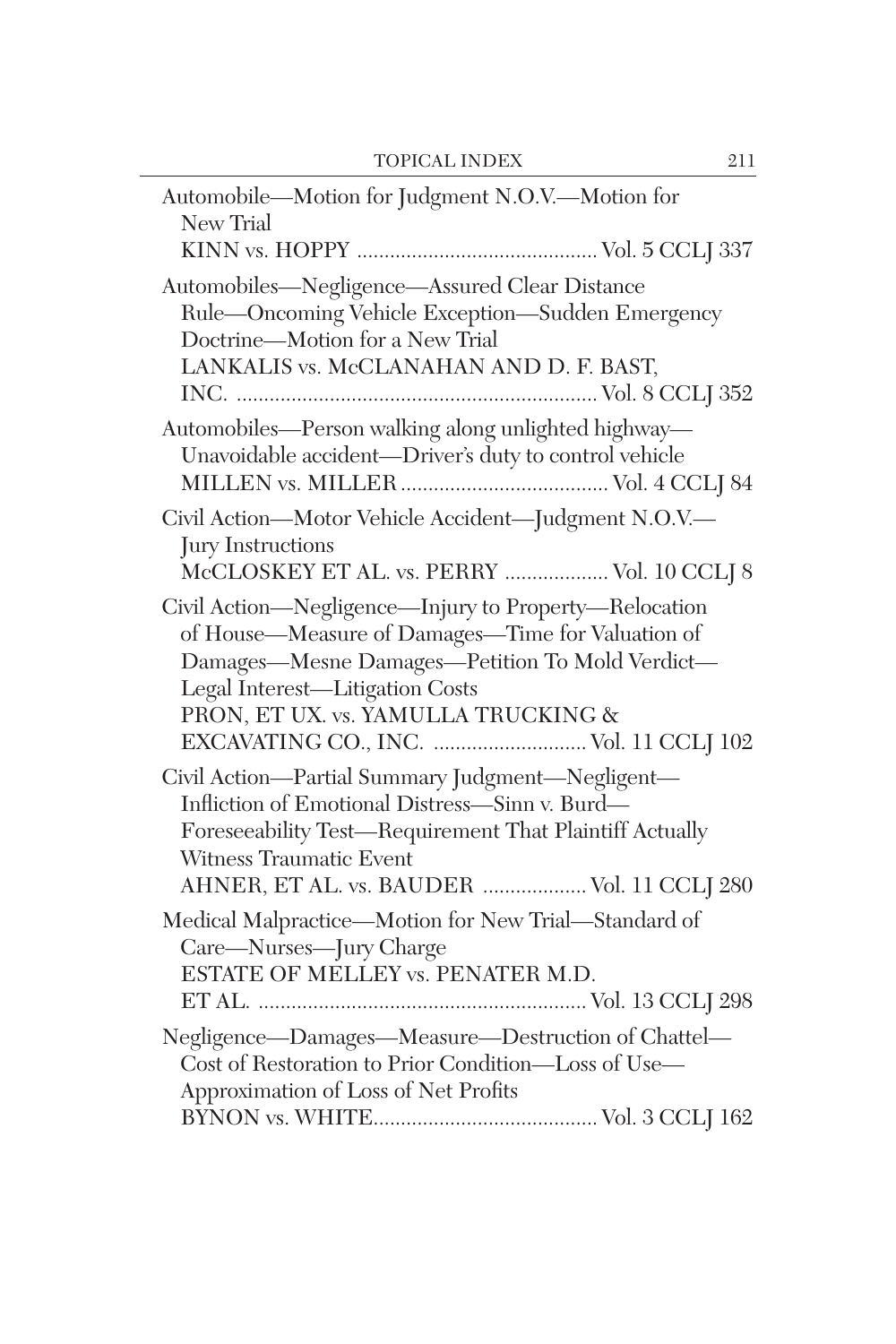| Automobile—Motion for Judgment N.O.V.—Motion for<br>New Trial                                                                                                                                                                                                                     |
|-----------------------------------------------------------------------------------------------------------------------------------------------------------------------------------------------------------------------------------------------------------------------------------|
| Automobiles-Negligence-Assured Clear Distance<br>Rule-Oncoming Vehicle Exception-Sudden Emergency<br>Doctrine-Motion for a New Trial<br>LANKALIS vs. McCLANAHAN AND D. F. BAST,                                                                                                   |
| Automobiles-Person walking along unlighted highway-<br>Unavoidable accident-Driver's duty to control vehicle                                                                                                                                                                      |
| Civil Action-Motor Vehicle Accident-Judgment N.O.V.-<br>Jury Instructions<br>McCLOSKEY ET AL. vs. PERRY  Vol. 10 CCLJ 8                                                                                                                                                           |
| Civil Action-Negligence-Injury to Property-Relocation<br>of House-Measure of Damages-Time for Valuation of<br>Damages-Mesne Damages-Petition To Mold Verdict-<br>Legal Interest-Litigation Costs<br>PRON, ET UX. vs. YAMULLA TRUCKING &<br>EXCAVATING CO., INC.  Vol. 11 CCLJ 102 |
| Civil Action-Partial Summary Judgment-Negligent-<br>Infliction of Emotional Distress—Sinn v. Burd—<br>Foreseeability Test-Requirement That Plaintiff Actually<br>Witness Traumatic Event<br>AHNER, ET AL. vs. BAUDER  Vol. 11 CCLJ 280                                            |
| Medical Malpractice-Motion for New Trial-Standard of<br>Care-Nurses-Jury Charge<br>ESTATE OF MELLEY vs. PENATER M.D.                                                                                                                                                              |
| Negligence-Damages-Measure-Destruction of Chattel-<br>Cost of Restoration to Prior Condition-Loss of Use-<br>Approximation of Loss of Net Profits                                                                                                                                 |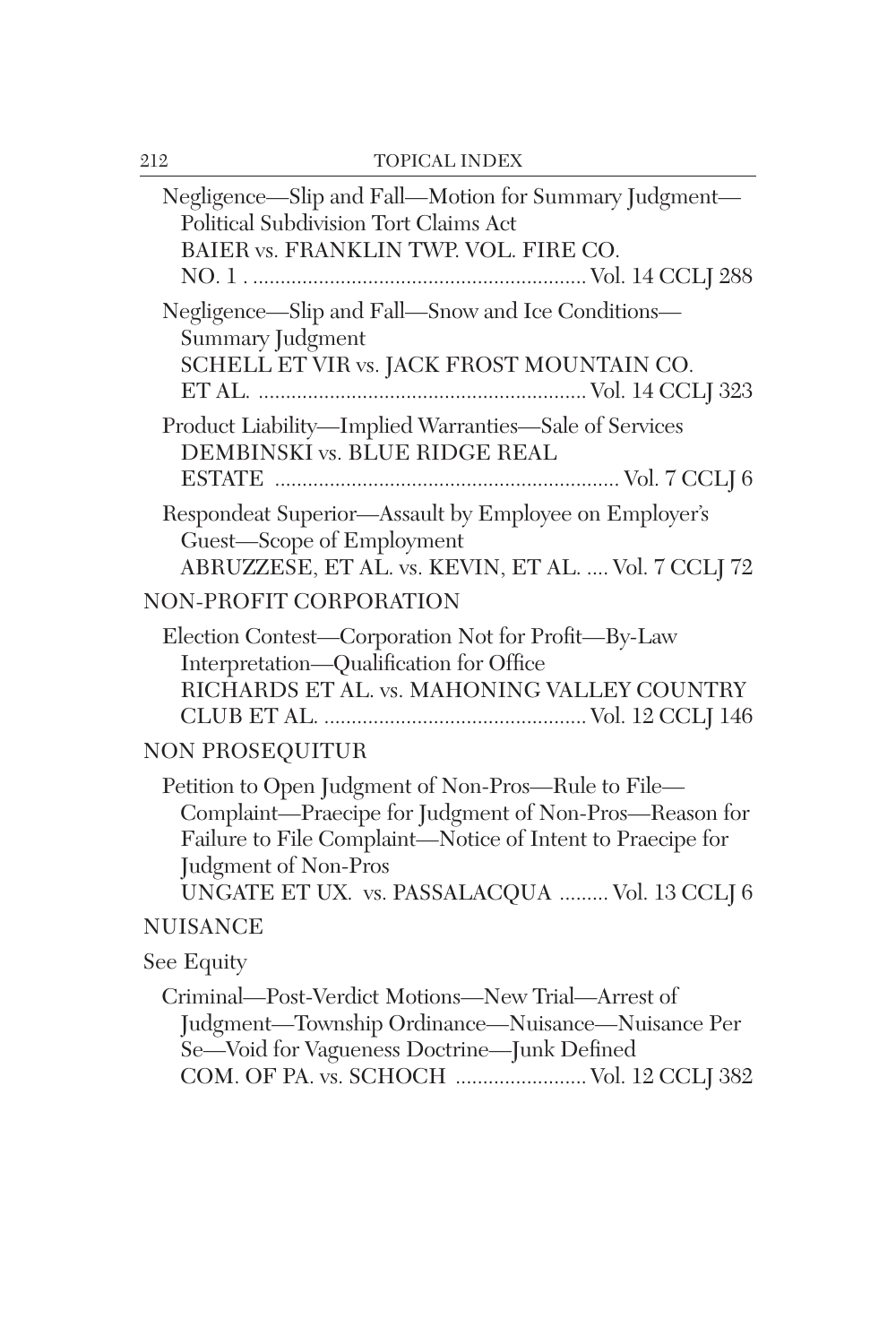| Negligence-Slip and Fall-Motion for Summary Judgment-<br>Political Subdivision Tort Claims Act<br>BAIER vs. FRANKLIN TWP. VOL. FIRE CO.                                                                                                              |
|------------------------------------------------------------------------------------------------------------------------------------------------------------------------------------------------------------------------------------------------------|
| Negligence-Slip and Fall-Snow and Ice Conditions-<br>Summary Judgment<br>SCHELL ET VIR vs. JACK FROST MOUNTAIN CO.                                                                                                                                   |
| Product Liability-Implied Warranties-Sale of Services<br>DEMBINSKI vs. BLUE RIDGE REAL                                                                                                                                                               |
| Respondeat Superior-Assault by Employee on Employer's<br>Guest-Scope of Employment<br>ABRUZZESE, ET AL. vs. KEVIN, ET AL.  Vol. 7 CCLJ 72                                                                                                            |
| <b>NON-PROFIT CORPORATION</b>                                                                                                                                                                                                                        |
| Election Contest—Corporation Not for Profit—By-Law<br>Interpretation-Qualification for Office<br>RICHARDS ET AL. vs. MAHONING VALLEY COUNTRY                                                                                                         |
| <b>NON PROSEQUITUR</b>                                                                                                                                                                                                                               |
| Petition to Open Judgment of Non-Pros-Rule to File-<br>Complaint-Praecipe for Judgment of Non-Pros-Reason for<br>Failure to File Complaint-Notice of Intent to Praecipe for<br>Judgment of Non-Pros<br>UNGATE ET UX. vs. PASSALACQUA  Vol. 13 CCLJ 6 |
| <b>NUISANCE</b>                                                                                                                                                                                                                                      |
| See Equity                                                                                                                                                                                                                                           |
| Criminal-Post-Verdict Motions-New Trial-Arrest of<br>Judgment-Township Ordinance-Nuisance-Nuisance Per<br>Se-Void for Vagueness Doctrine-Junk Defined<br>COM. OF PA. vs. SCHOCH  Vol. 12 CCLJ 382                                                    |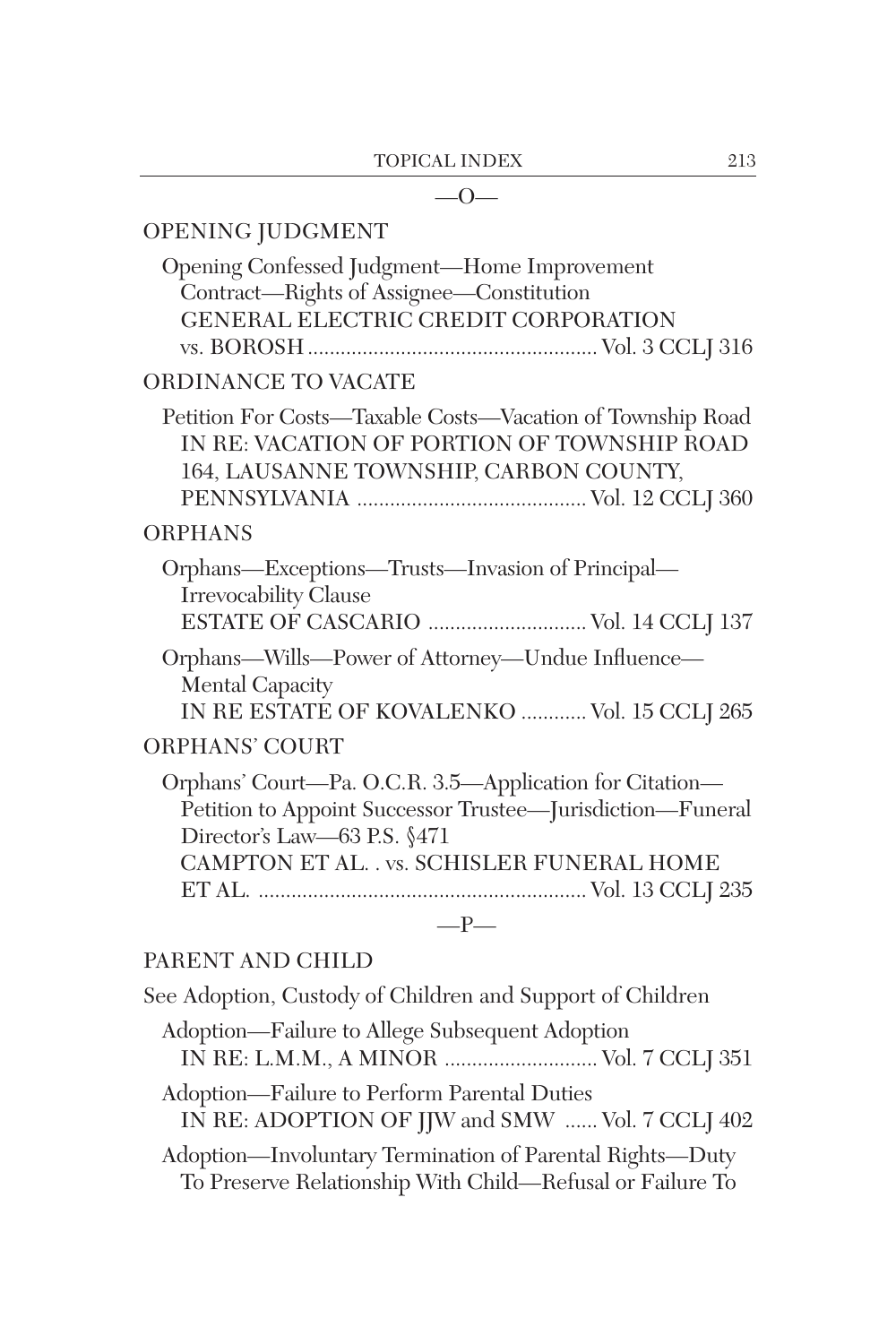#### $-0-$

## OPENING JUDGMENT

| Opening Confessed Judgment—Home Improvement<br>Contract—Rights of Assignee—Constitution<br>GENERAL ELECTRIC CREDIT CORPORATION                                                                     |
|----------------------------------------------------------------------------------------------------------------------------------------------------------------------------------------------------|
| ORDINANCE TO VACATE                                                                                                                                                                                |
| Petition For Costs—Taxable Costs—Vacation of Township Road<br>IN RE: VACATION OF PORTION OF TOWNSHIP ROAD<br>164, LAUSANNE TOWNSHIP, CARBON COUNTY,                                                |
| <b>ORPHANS</b>                                                                                                                                                                                     |
| Orphans—Exceptions—Trusts—Invasion of Principal—<br><b>Irrevocability Clause</b>                                                                                                                   |
| Orphans-Wills-Power of Attorney-Undue Influence-<br><b>Mental Capacity</b><br>IN RE ESTATE OF KOVALENKO  Vol. 15 CCLJ 265                                                                          |
| ORPHANS' COURT                                                                                                                                                                                     |
| Orphans' Court-Pa. O.C.R. 3.5-Application for Citation-<br>Petition to Appoint Successor Trustee-Jurisdiction-Funeral<br>Director's Law-63 P.S. §471<br>CAMPTON ET AL. . vs. SCHISLER FUNERAL HOME |
| $-P-$                                                                                                                                                                                              |

### PARENT AND CHILD

See Adoption, Custody of Children and Support of Children Adoption—Failure to Allege Subsequent Adoption IN RE: L.M.M., A MINOR ............................ Vol. 7 CCLJ 351 Adoption—Failure to Perform Parental Duties IN RE: ADOPTION OF JJW and SMW ...... Vol. 7 CCLJ 402 Adoption—Involuntary Termination of Parental Rights—Duty To Preserve Relationship With Child—Refusal or Failure To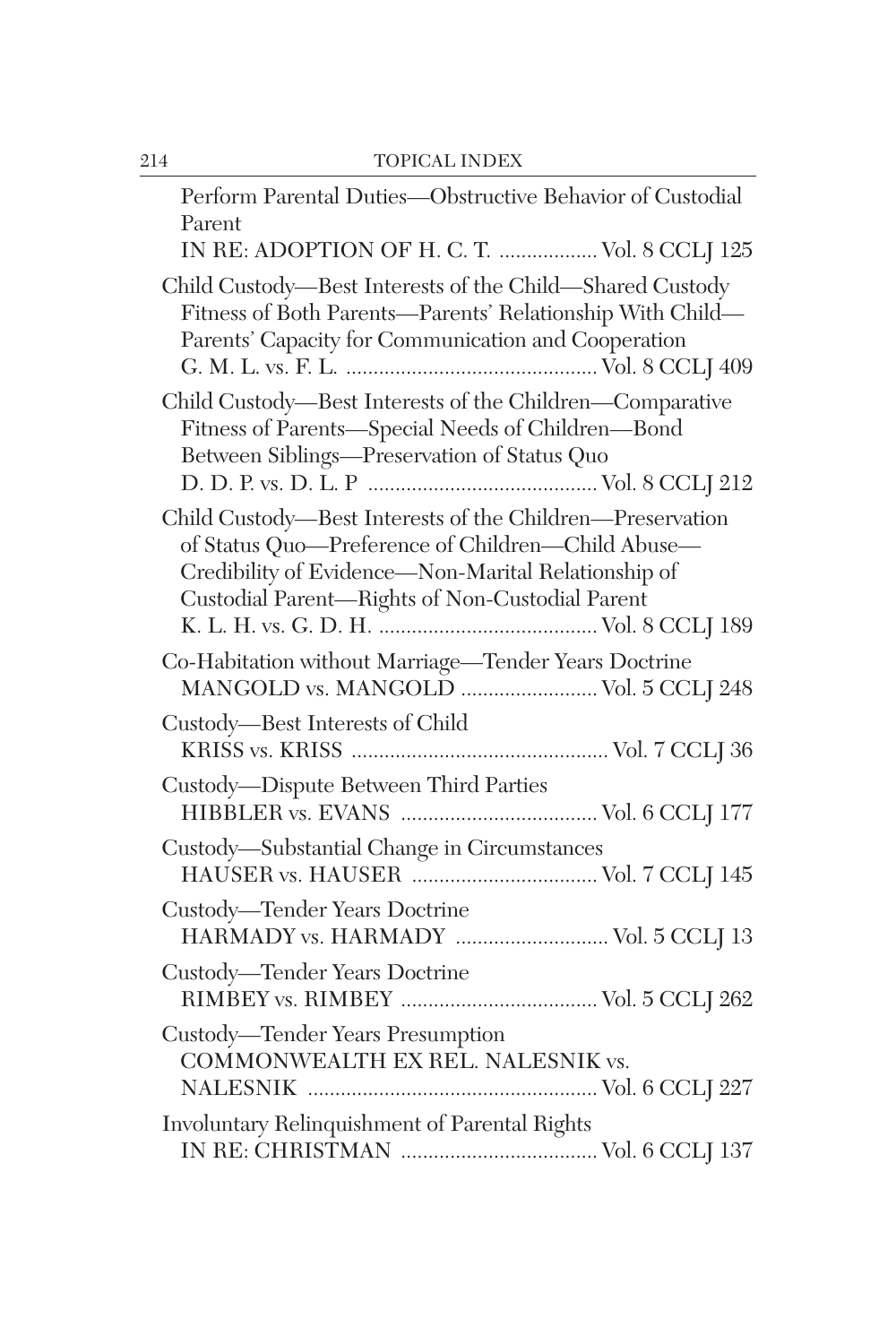| Perform Parental Duties-Obstructive Behavior of Custodial<br>Parent<br>IN RE: ADOPTION OF H. C. T.  Vol. 8 CCLJ 125                                                                                                      |
|--------------------------------------------------------------------------------------------------------------------------------------------------------------------------------------------------------------------------|
| Child Custody—Best Interests of the Child—Shared Custody<br>Fitness of Both Parents—Parents' Relationship With Child—<br>Parents' Capacity for Communication and Cooperation                                             |
| Child Custody-Best Interests of the Children-Comparative<br>Fitness of Parents-Special Needs of Children-Bond<br>Between Siblings-Preservation of Status Quo                                                             |
| Child Custody-Best Interests of the Children-Preservation<br>of Status Quo-Preference of Children-Child Abuse-<br>Credibility of Evidence-Non-Marital Relationship of<br>Custodial Parent-Rights of Non-Custodial Parent |
| Co-Habitation without Marriage-Tender Years Doctrine<br>MANGOLD vs. MANGOLD  Vol. 5 CCLJ 248                                                                                                                             |
| Custody-Best Interests of Child                                                                                                                                                                                          |
| Custody—Dispute Between Third Parties                                                                                                                                                                                    |
| Custody-Substantial Change in Circumstances                                                                                                                                                                              |
| Custody—Tender Years Doctrine<br>HARMADY vs. HARMADY  Vol. 5 CCLJ 13                                                                                                                                                     |
| Custody—Tender Years Doctrine                                                                                                                                                                                            |
| Custody—Tender Years Presumption<br>COMMONWEALTH EX REL. NALESNIK vs.                                                                                                                                                    |
| Involuntary Relinquishment of Parental Rights                                                                                                                                                                            |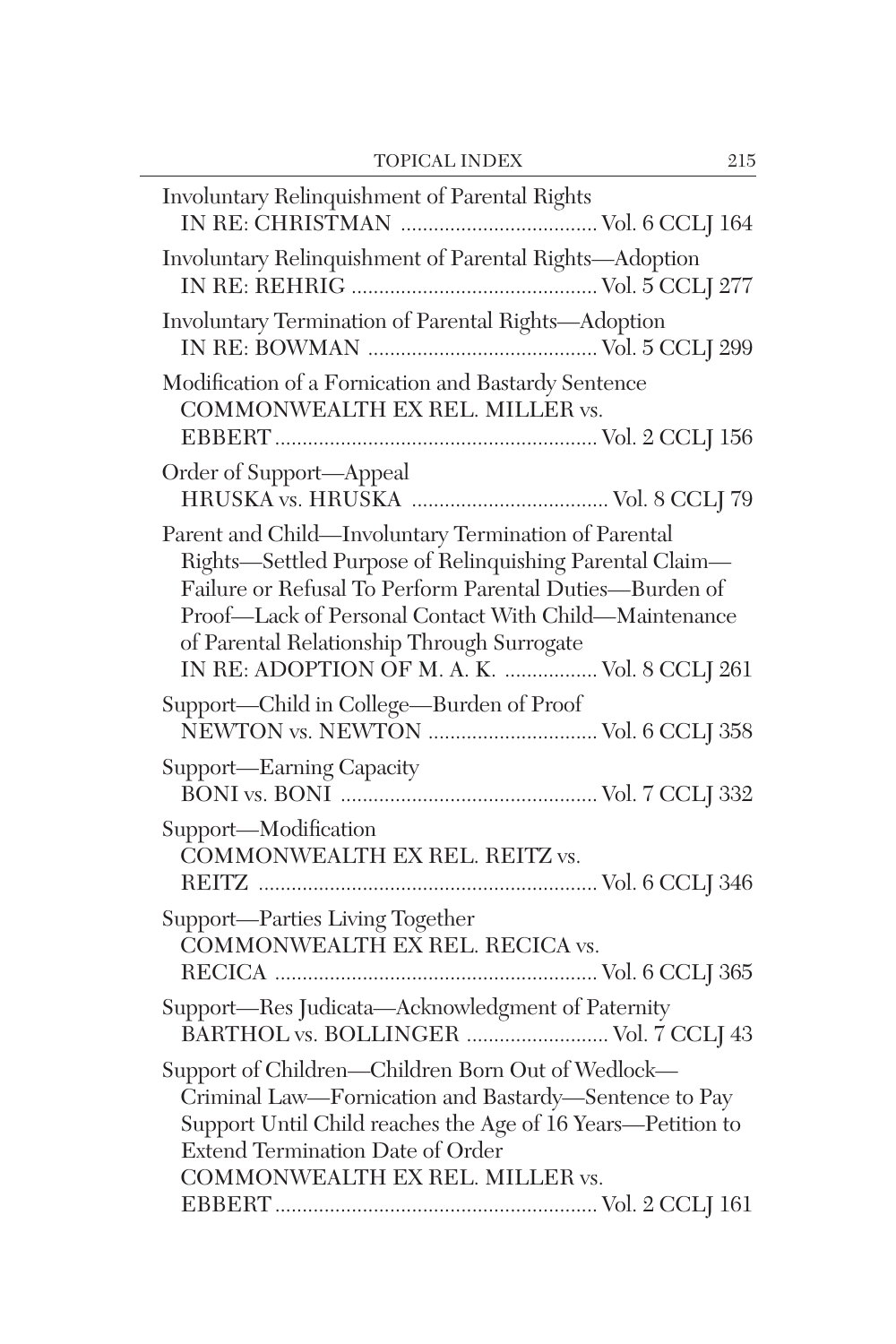| Involuntary Relinquishment of Parental Rights                                                                                                                                                                                                                                                                                     |
|-----------------------------------------------------------------------------------------------------------------------------------------------------------------------------------------------------------------------------------------------------------------------------------------------------------------------------------|
| Involuntary Relinquishment of Parental Rights-Adoption                                                                                                                                                                                                                                                                            |
| Involuntary Termination of Parental Rights-Adoption                                                                                                                                                                                                                                                                               |
| Modification of a Fornication and Bastardy Sentence<br>COMMONWEALTH EX REL. MILLER vs.                                                                                                                                                                                                                                            |
| Order of Support-Appeal                                                                                                                                                                                                                                                                                                           |
| Parent and Child-Involuntary Termination of Parental<br>Rights-Settled Purpose of Relinquishing Parental Claim-<br>Failure or Refusal To Perform Parental Duties-Burden of<br>Proof-Lack of Personal Contact With Child-Maintenance<br>of Parental Relationship Through Surrogate<br>IN RE: ADOPTION OF M. A. K.  Vol. 8 CCLJ 261 |
| Support-Child in College-Burden of Proof<br>NEWTON vs. NEWTON  Vol. 6 CCLJ 358                                                                                                                                                                                                                                                    |
| Support—Earning Capacity                                                                                                                                                                                                                                                                                                          |
| Support-Modification<br>COMMONWEALTH EX REL. REITZ vs.                                                                                                                                                                                                                                                                            |
| Support-Parties Living Together<br>COMMONWEALTH EX REL. RECICA vs.                                                                                                                                                                                                                                                                |
| Support-Res Judicata-Acknowledgment of Paternity<br>BARTHOL vs. BOLLINGER  Vol. 7 CCLJ 43                                                                                                                                                                                                                                         |
| Support of Children-Children Born Out of Wedlock-<br>Criminal Law-Fornication and Bastardy-Sentence to Pay<br>Support Until Child reaches the Age of 16 Years-Petition to<br>Extend Termination Date of Order<br>COMMONWEALTH EX REL. MILLER vs.                                                                                  |
|                                                                                                                                                                                                                                                                                                                                   |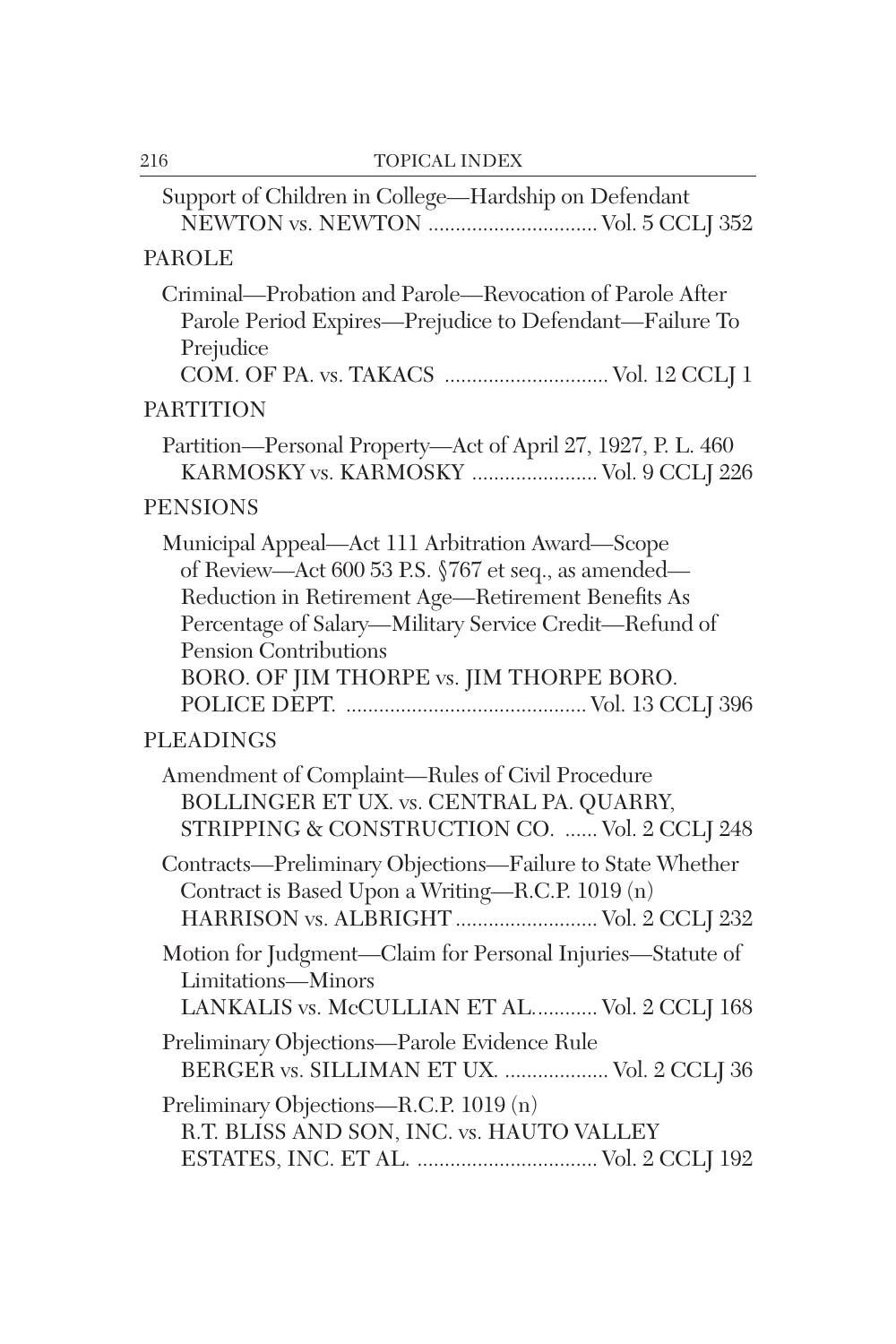| Support of Children in College-Hardship on Defendant<br>NEWTON vs. NEWTON  Vol. 5 CCLJ 352                                                                                                                                                                                                   |
|----------------------------------------------------------------------------------------------------------------------------------------------------------------------------------------------------------------------------------------------------------------------------------------------|
| <b>PAROLE</b>                                                                                                                                                                                                                                                                                |
| Criminal-Probation and Parole-Revocation of Parole After<br>Parole Period Expires-Prejudice to Defendant-Failure To<br>Prejudice<br>COM. OF PA. vs. TAKACS  Vol. 12 CCLJ 1                                                                                                                   |
| <b>PARTITION</b>                                                                                                                                                                                                                                                                             |
| Partition-Personal Property-Act of April 27, 1927, P. L. 460<br>KARMOSKY vs. KARMOSKY  Vol. 9 CCLJ 226                                                                                                                                                                                       |
| <b>PENSIONS</b>                                                                                                                                                                                                                                                                              |
| Municipal Appeal-Act 111 Arbitration Award-Scope<br>of Review—Act 600 53 P.S. §767 et seq., as amended—<br>Reduction in Retirement Age-Retirement Benefits As<br>Percentage of Salary-Military Service Credit-Refund of<br>Pension Contributions<br>BORO. OF JIM THORPE vs. JIM THORPE BORO. |
| <b>PLEADINGS</b>                                                                                                                                                                                                                                                                             |
| Amendment of Complaint-Rules of Civil Procedure<br>BOLLINGER ET UX. vs. CENTRAL PA. QUARRY,<br>STRIPPING & CONSTRUCTION CO.  Vol. 2 CCLJ 248                                                                                                                                                 |
| Contracts-Preliminary Objections-Failure to State Whether<br>Contract is Based Upon a Writing-R.C.P. 1019 (n)<br>HARRISON vs. ALBRIGHT  Vol. 2 CCLJ 232                                                                                                                                      |
| Motion for Judgment-Claim for Personal Injuries-Statute of<br>Limitations-Minors<br>LANKALIS vs. McCULLIAN ET AL Vol. 2 CCLJ 168                                                                                                                                                             |
| Preliminary Objections-Parole Evidence Rule<br>BERGER vs. SILLIMAN ET UX.  Vol. 2 CCLJ 36                                                                                                                                                                                                    |
| Preliminary Objections-R.C.P. 1019 (n)<br>R.T. BLISS AND SON, INC. vs. HAUTO VALLEY                                                                                                                                                                                                          |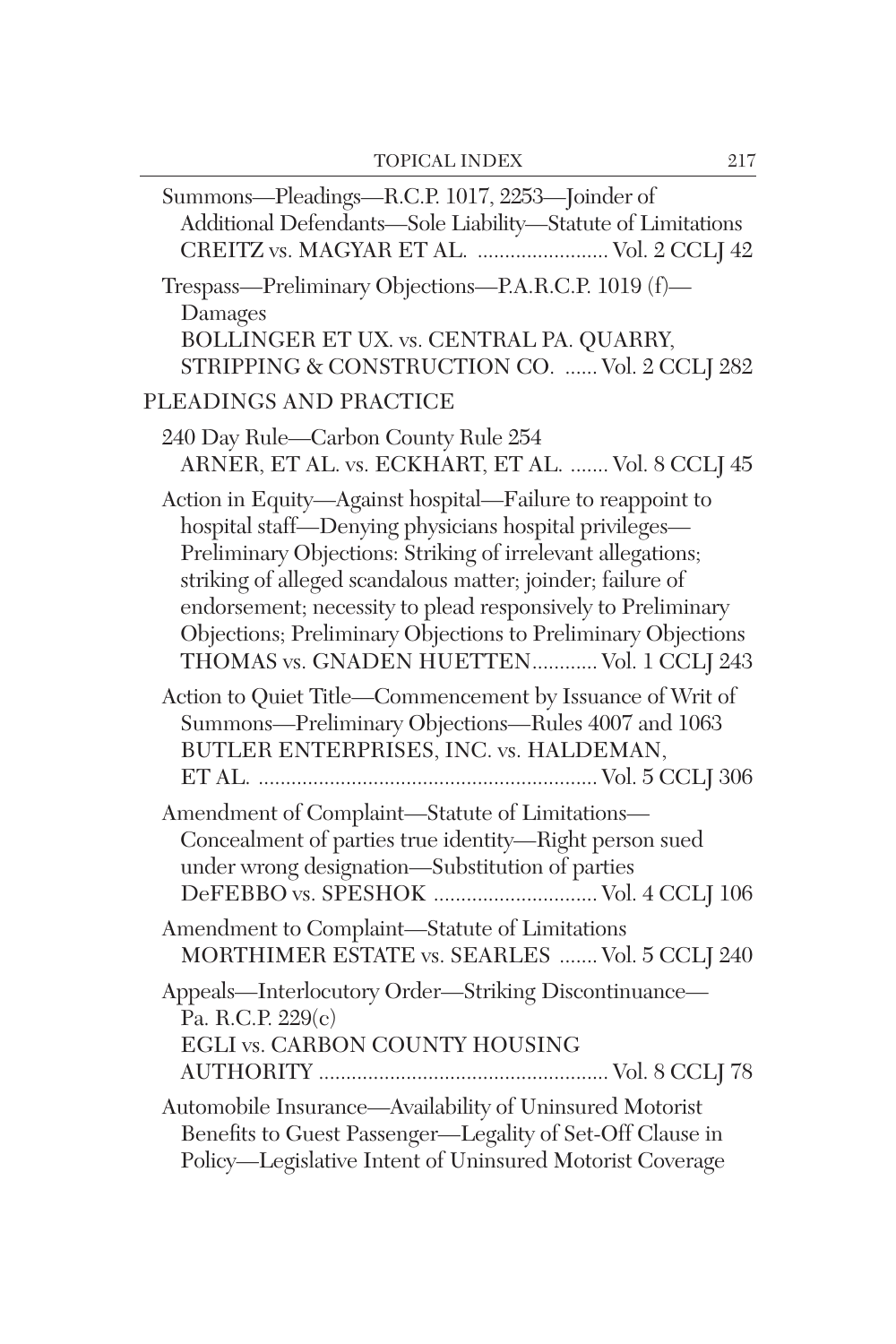| Summons-Pleadings-R.C.P. 1017, 2253-Joinder of<br>Additional Defendants-Sole Liability-Statute of Limitations<br>CREITZ vs. MAGYAR ET AL.  Vol. 2 CCLJ 42                                                                                                                                                                                                                                                                    |
|------------------------------------------------------------------------------------------------------------------------------------------------------------------------------------------------------------------------------------------------------------------------------------------------------------------------------------------------------------------------------------------------------------------------------|
| Trespass-Preliminary Objections-P.A.R.C.P. 1019 (f)-<br>Damages<br>BOLLINGER ET UX. vs. CENTRAL PA. QUARRY,<br>STRIPPING & CONSTRUCTION CO.  Vol. 2 CCLJ 282                                                                                                                                                                                                                                                                 |
| PLEADINGS AND PRACTICE                                                                                                                                                                                                                                                                                                                                                                                                       |
| 240 Day Rule-Carbon County Rule 254<br>ARNER, ET AL. vs. ECKHART, ET AL.  Vol. 8 CCLJ 45                                                                                                                                                                                                                                                                                                                                     |
| Action in Equity-Against hospital-Failure to reappoint to<br>hospital staff-Denying physicians hospital privileges-<br>Preliminary Objections: Striking of irrelevant allegations;<br>striking of alleged scandalous matter; joinder; failure of<br>endorsement; necessity to plead responsively to Preliminary<br>Objections; Preliminary Objections to Preliminary Objections<br>THOMAS vs. GNADEN HUETTEN Vol. 1 CCLJ 243 |
| Action to Quiet Title-Commencement by Issuance of Writ of<br>Summons-Preliminary Objections-Rules 4007 and 1063<br>BUTLER ENTERPRISES, INC. vs. HALDEMAN,                                                                                                                                                                                                                                                                    |
| Amendment of Complaint-Statute of Limitations-<br>Concealment of parties true identity-Right person sued<br>under wrong designation-Substitution of parties<br>DeFEBBO vs. SPESHOK  Vol. 4 CCLJ 106                                                                                                                                                                                                                          |
| Amendment to Complaint-Statute of Limitations<br>MORTHIMER ESTATE vs. SEARLES  Vol. 5 CCLJ 240                                                                                                                                                                                                                                                                                                                               |
| Appeals-Interlocutory Order-Striking Discontinuance-<br>Pa. R.C.P. 229(c)<br>EGLI vs. CARBON COUNTY HOUSING                                                                                                                                                                                                                                                                                                                  |
| Automobile Insurance-Availability of Uninsured Motorist<br>Benefits to Guest Passenger-Legality of Set-Off Clause in<br>Policy-Legislative Intent of Uninsured Motorist Coverage                                                                                                                                                                                                                                             |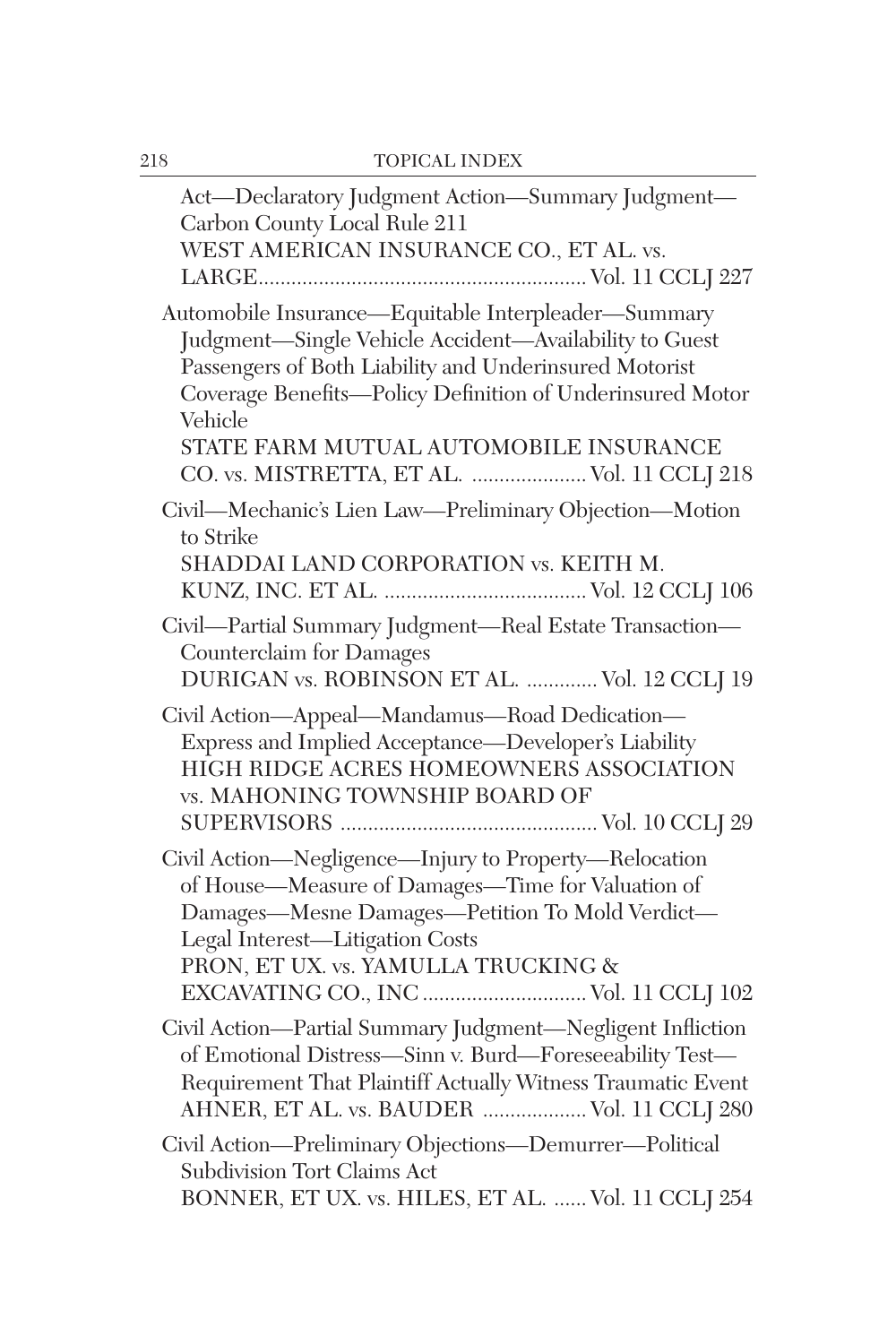| Act-Declaratory Judgment Action-Summary Judgment-<br>Carbon County Local Rule 211<br>WEST AMERICAN INSURANCE CO., ET AL. vs.                                                                                                                                                                                                             |
|------------------------------------------------------------------------------------------------------------------------------------------------------------------------------------------------------------------------------------------------------------------------------------------------------------------------------------------|
| Automobile Insurance-Equitable Interpleader-Summary<br>Judgment-Single Vehicle Accident-Availability to Guest<br>Passengers of Both Liability and Underinsured Motorist<br>Coverage Benefits-Policy Definition of Underinsured Motor<br>Vehicle<br>STATE FARM MUTUAL AUTOMOBILE INSURANCE<br>CO. vs. MISTRETTA, ET AL.  Vol. 11 CCLJ 218 |
| Civil—Mechanic's Lien Law—Preliminary Objection—Motion<br>to Strike<br>SHADDAI LAND CORPORATION vs. KEITH M.                                                                                                                                                                                                                             |
| Civil-Partial Summary Judgment-Real Estate Transaction-<br><b>Counterclaim</b> for Damages<br>DURIGAN vs. ROBINSON ET AL.  Vol. 12 CCLJ 19                                                                                                                                                                                               |
| Civil Action—Appeal—Mandamus—Road Dedication—<br>Express and Implied Acceptance—Developer's Liability<br>HIGH RIDGE ACRES HOMEOWNERS ASSOCIATION<br>vs. MAHONING TOWNSHIP BOARD OF                                                                                                                                                       |
| Civil Action-Negligence-Injury to Property-Relocation<br>of House-Measure of Damages-Time for Valuation of<br>Damages-Mesne Damages-Petition To Mold Verdict-<br>Legal Interest-Litigation Costs<br>PRON, ET UX. vs. YAMULLA TRUCKING &<br>EXCAVATING CO., INC  Vol. 11 CCLJ 102                                                         |
| Civil Action-Partial Summary Judgment-Negligent Infliction<br>of Emotional Distress-Sinn v. Burd-Foreseeability Test-<br>Requirement That Plaintiff Actually Witness Traumatic Event<br>AHNER, ET AL. vs. BAUDER  Vol. 11 CCLJ 280                                                                                                       |
| Civil Action-Preliminary Objections-Demurrer-Political<br>Subdivision Tort Claims Act<br>BONNER, ET UX. vs. HILES, ET AL.  Vol. 11 CCLJ 254                                                                                                                                                                                              |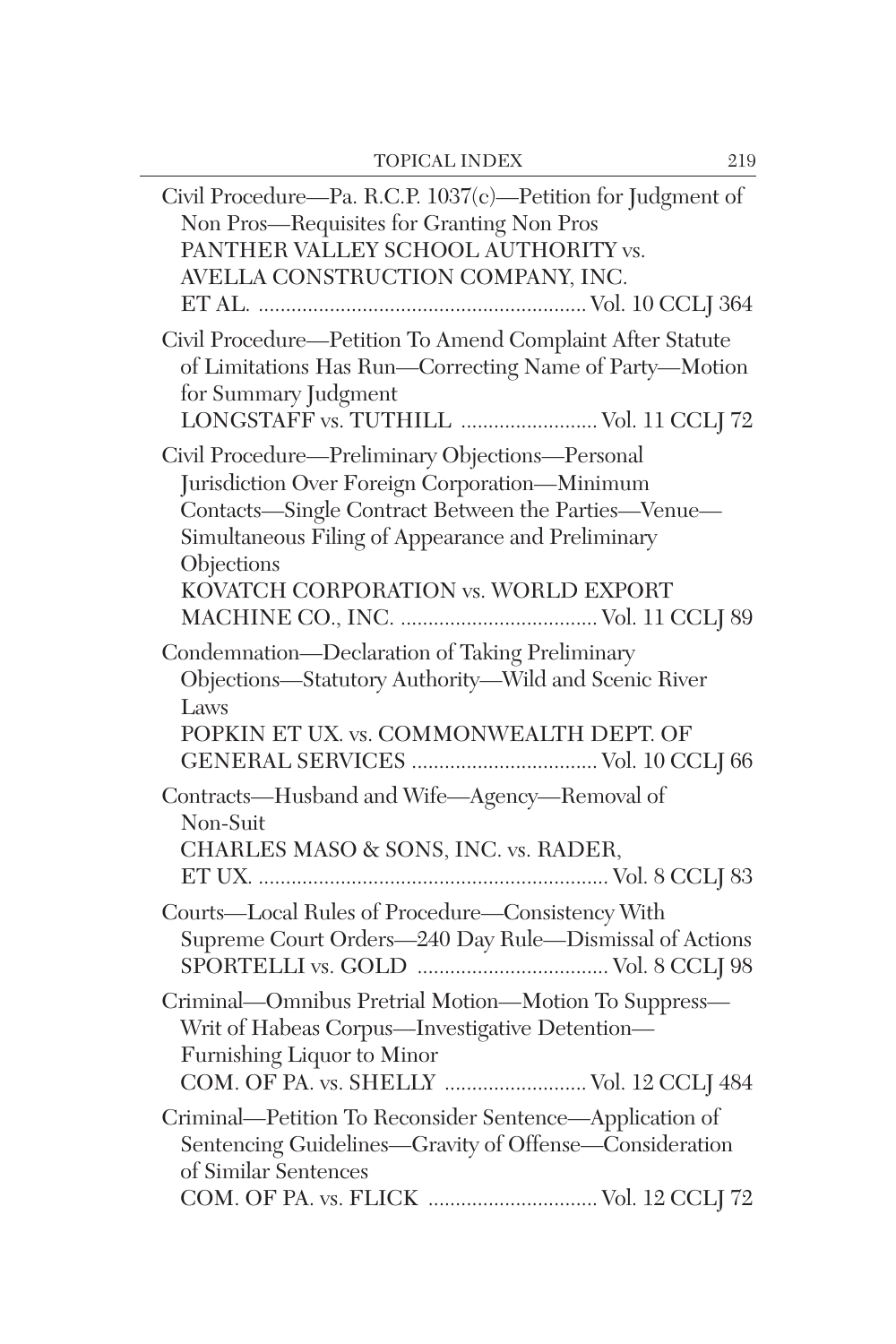| Civil Procedure-Pa. R.C.P. 1037(c)-Petition for Judgment of<br>Non Pros-Requisites for Granting Non Pros<br>PANTHER VALLEY SCHOOL AUTHORITY vs.<br>AVELLA CONSTRUCTION COMPANY, INC.                                                                               |
|--------------------------------------------------------------------------------------------------------------------------------------------------------------------------------------------------------------------------------------------------------------------|
| Civil Procedure-Petition To Amend Complaint After Statute<br>of Limitations Has Run-Correcting Name of Party-Motion<br>for Summary Judgment<br>LONGSTAFF vs. TUTHILL  Vol. 11 CCLJ 72                                                                              |
| Civil Procedure-Preliminary Objections-Personal<br>Jurisdiction Over Foreign Corporation-Minimum<br>Contacts-Single Contract Between the Parties-Venue-<br>Simultaneous Filing of Appearance and Preliminary<br>Objections<br>KOVATCH CORPORATION vs. WORLD EXPORT |
| Condemnation-Declaration of Taking Preliminary<br>Objections-Statutory Authority-Wild and Scenic River<br>Laws<br>POPKIN ET UX. vs. COMMONWEALTH DEPT. OF                                                                                                          |
| Contracts-Husband and Wife-Agency-Removal of<br>Non-Suit<br>CHARLES MASO & SONS, INC. vs. RADER,                                                                                                                                                                   |
| Courts-Local Rules of Procedure-Consistency With<br>Supreme Court Orders-240 Day Rule-Dismissal of Actions                                                                                                                                                         |
| Criminal-Omnibus Pretrial Motion-Motion To Suppress-<br>Writ of Habeas Corpus-Investigative Detention-<br>Furnishing Liquor to Minor<br>COM. OF PA. vs. SHELLY  Vol. 12 CCLJ 484                                                                                   |
| Criminal-Petition To Reconsider Sentence-Application of<br>Sentencing Guidelines-Gravity of Offense-Consideration<br>of Similar Sentences<br>COM. OF PA. vs. FLICK  Vol. 12 CCLJ 72                                                                                |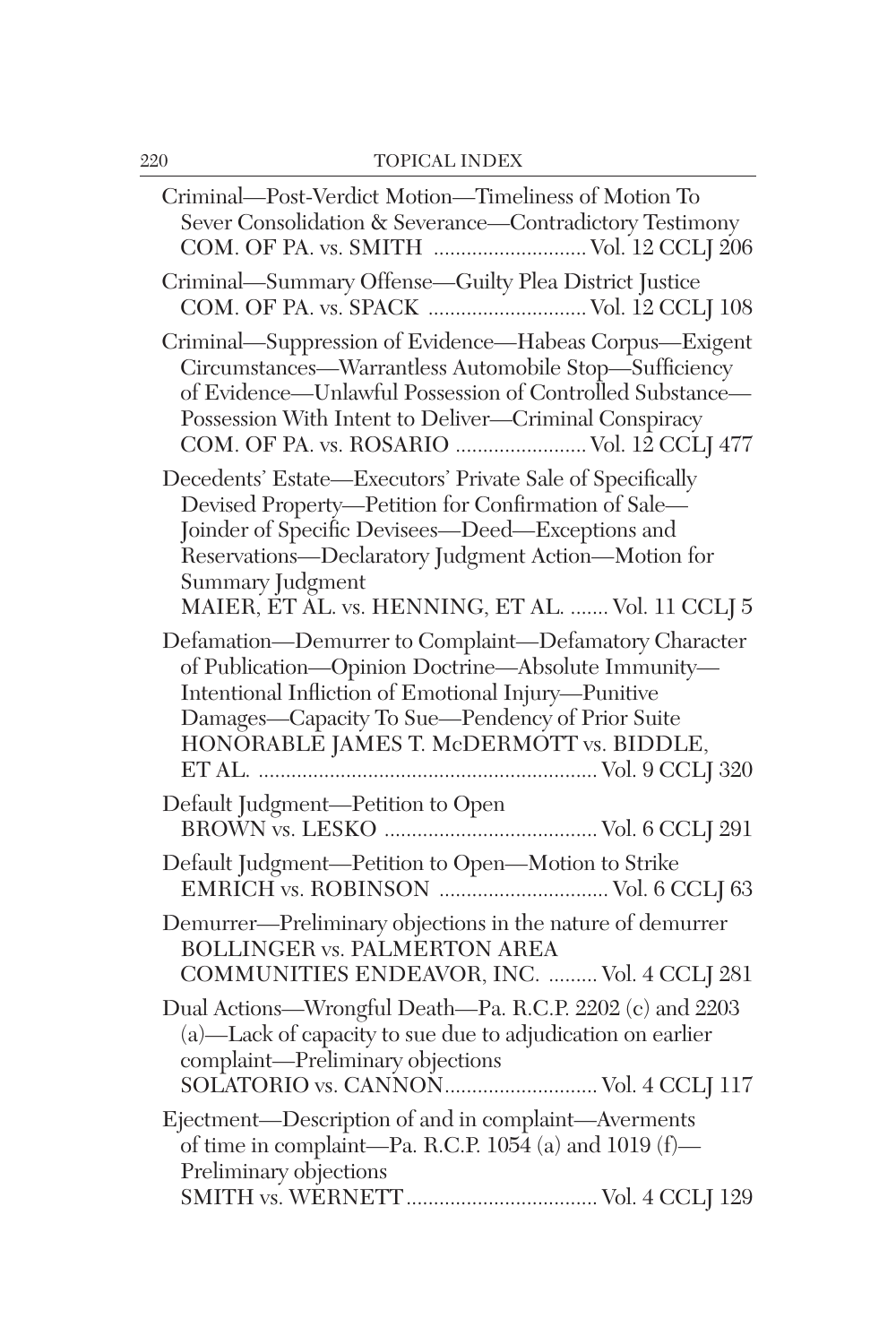| Criminal-Post-Verdict Motion-Timeliness of Motion To<br>Sever Consolidation & Severance-Contradictory Testimony<br>COM. OF PA. vs. SMITH  Vol. 12 CCLJ 206                                                                                                                                           |
|------------------------------------------------------------------------------------------------------------------------------------------------------------------------------------------------------------------------------------------------------------------------------------------------------|
| Criminal-Summary Offense-Guilty Plea District Justice                                                                                                                                                                                                                                                |
| Criminal—Suppression of Evidence—Habeas Corpus—Exigent<br>Circumstances—Warrantless Automobile Stop—Sufficiency<br>of Evidence—Unlawful Possession of Controlled Substance—<br>Possession With Intent to Deliver-Criminal Conspiracy<br>COM. OF PA. vs. ROSARIO  Vol. 12 CCLJ 477                    |
| Decedents' Estate-Executors' Private Sale of Specifically<br>Devised Property-Petition for Confirmation of Sale-<br>Joinder of Specific Devisees-Deed-Exceptions and<br>Reservations-Declaratory Judgment Action-Motion for<br>Summary Judgment<br>MAIER, ET AL. vs. HENNING, ET AL.  Vol. 11 CCLJ 5 |
| Defamation-Demurrer to Complaint-Defamatory Character<br>of Publication-Opinion Doctrine-Absolute Immunity-<br>Intentional Infliction of Emotional Injury-Punitive<br>Damages-Capacity To Sue-Pendency of Prior Suite<br>HONÓRABLÉ JAMES T. McDERMÓTT vs. BIDDLE,                                    |
| Default Judgment—Petition to Open<br>BROWN vs. LESKO ……………………………………… Vol. 6 CCLJ 291                                                                                                                                                                                                                 |
| Default Judgment-Petition to Open-Motion to Strike                                                                                                                                                                                                                                                   |
| Demurrer—Preliminary objections in the nature of demurrer<br><b>BOLLINGER vs. PALMERTON AREA</b><br>COMMUNITIES ENDEAVOR, INC.  Vol. 4 CCLJ 281                                                                                                                                                      |
| Dual Actions-Wrongful Death-Pa. R.C.P. 2202 (c) and 2203<br>(a)-Lack of capacity to sue due to adjudication on earlier<br>complaint-Preliminary objections                                                                                                                                           |
| Ejectment-Description of and in complaint-Averments<br>of time in complaint—Pa. R.C.P. $105\overline{4}$ (a) and $1019$ (f)—<br>Preliminary objections                                                                                                                                               |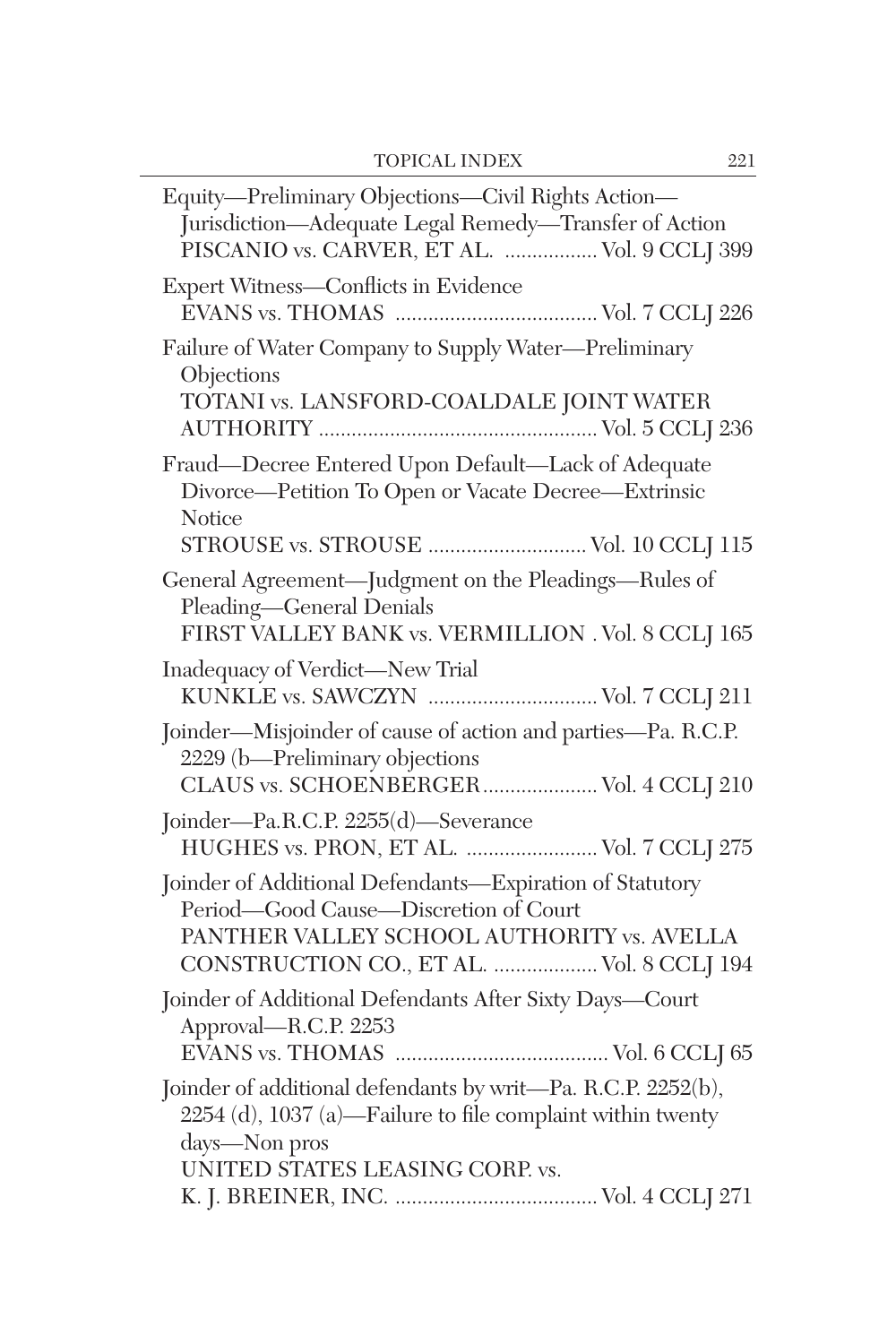| Equity-Preliminary Objections-Civil Rights Action-<br>Jurisdiction-Adequate Legal Remedy-Transfer of Action<br>PISCANIO vs. CARVER, ET AL.  Vol. 9 CCLJ 399                                  |
|----------------------------------------------------------------------------------------------------------------------------------------------------------------------------------------------|
| Expert Witness-Conflicts in Evidence                                                                                                                                                         |
| Failure of Water Company to Supply Water-Preliminary<br>Objections<br>TOTANI vs. LANSFORD-COALDALE JOINT WATER                                                                               |
| Fraud-Decree Entered Upon Default-Lack of Adequate<br>Divorce-Petition To Open or Vacate Decree-Extrinsic<br>Notice<br>STROUSE vs. STROUSE  Vol. 10 CCLJ 115                                 |
| General Agreement-Judgment on the Pleadings-Rules of<br>Pleading-General Denials<br>FIRST VALLEY BANK vs. VERMILLION . Vol. 8 CCLJ 165                                                       |
| Inadequacy of Verdict-New Trial<br>KUNKLE vs. SAWCZYN  Vol. 7 CCLJ 211                                                                                                                       |
| Joinder-Misjoinder of cause of action and parties-Pa. R.C.P.<br>2229 (b-Preliminary objections<br>CLAUS vs. SCHOENBERGER Vol. 4 CCLJ 210                                                     |
| Joinder-Pa.R.C.P. 2255(d)-Severance<br>HUGHES vs. PRON, ET AL.  Vol. 7 CCLJ 275                                                                                                              |
| Joinder of Additional Defendants-Expiration of Statutory<br>Period-Good Cause-Discretion of Court<br>PANTHER VALLEY SCHOOL AUTHORITY vs. AVELLA<br>CONSTRUCTION CO., ET AL.  Vol. 8 CCLJ 194 |
| Joinder of Additional Defendants After Sixty Days-Court<br>Approval-R.C.P. 2253                                                                                                              |
| Joinder of additional defendants by writ-Pa. R.C.P. 2252(b),<br>2254 (d), 1037 (a)—Failure to file complaint within twenty<br>days—Non pros<br>UNITED STATES LEASING CORP. vs.               |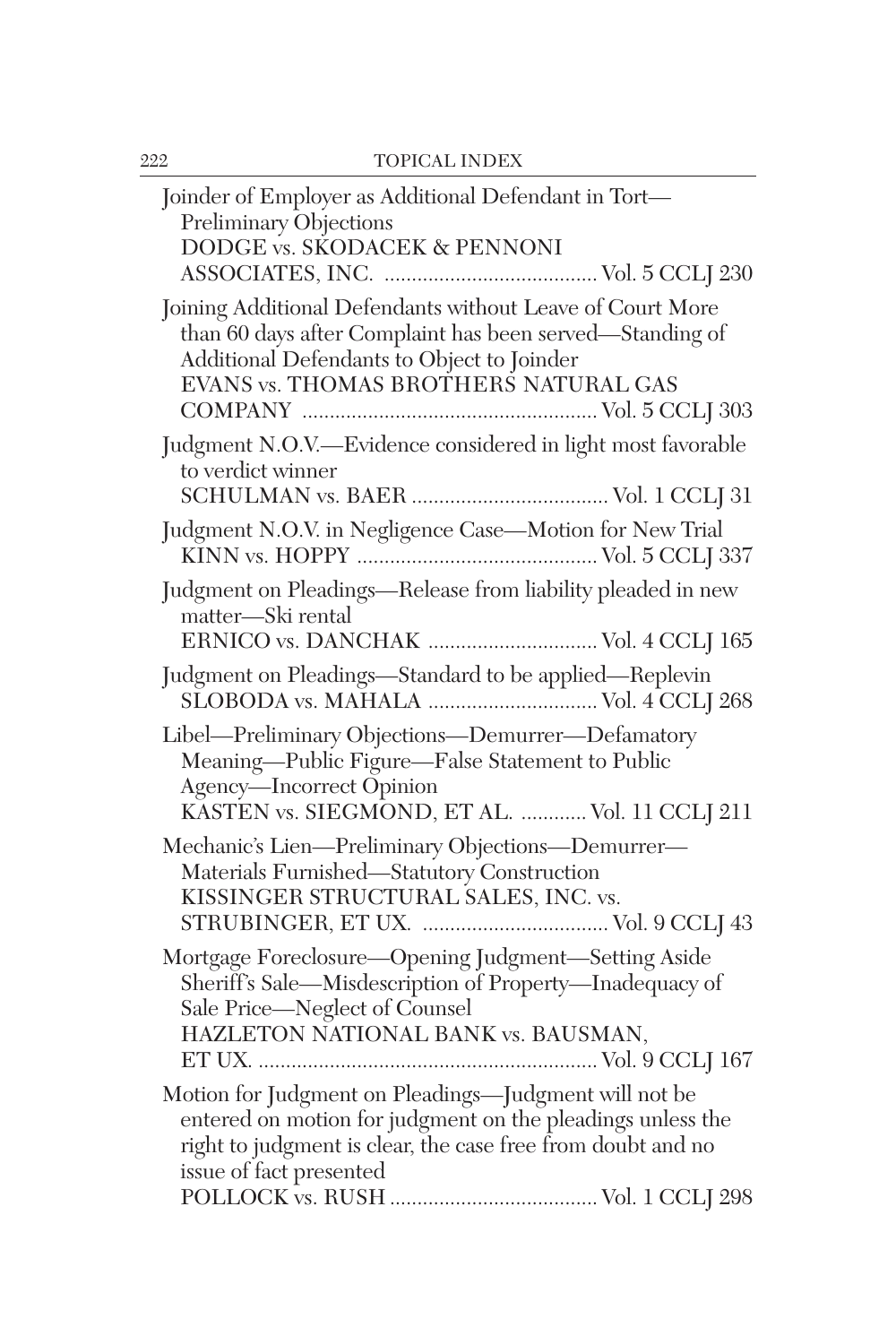| Joinder of Employer as Additional Defendant in Tort-<br>Preliminary Objections<br>DODGE vs. SKODACEK & PENNONI                                                                                                |
|---------------------------------------------------------------------------------------------------------------------------------------------------------------------------------------------------------------|
| Joining Additional Defendants without Leave of Court More<br>than 60 days after Complaint has been served—Standing of<br>Additional Defendants to Object to Joinder<br>EVANS vs. THOMAS BROTHERS NATURAL GAS  |
| Judgment N.O.V.-Evidence considered in light most favorable<br>to verdict winner                                                                                                                              |
| Judgment N.O.V. in Negligence Case-Motion for New Trial                                                                                                                                                       |
| Judgment on Pleadings-Release from liability pleaded in new<br>matter-Ski rental<br>ERNICO vs. DANCHAK  Vol. 4 CCLJ 165                                                                                       |
| Judgment on Pleadings-Standard to be applied-Replevin                                                                                                                                                         |
| Libel-Preliminary Objections-Demurrer-Defamatory<br>Meaning-Public Figure-False Statement to Public<br>Agency-Incorrect Opinion<br>KASTEN vs. SIEGMOND, ET AL.  Vol. 11 CCLJ 211                              |
| Mechanic's Lien-Preliminary Objections-Demurrer-<br>Materials Furnished-Statutory Construction<br>KISSINGER STRUCTURAL SALES, INC. vs.                                                                        |
| Mortgage Foreclosure-Opening Judgment-Setting Aside<br>Sheriff's Sale-Misdescription of Property-Inadequacy of<br>Sale Price-Neglect of Counsel<br>HAZLETON NATIONAL BANK vs. BAUSMAN,                        |
| Motion for Judgment on Pleadings-Judgment will not be<br>entered on motion for judgment on the pleadings unless the<br>right to judgment is clear, the case free from doubt and no<br>issue of fact presented |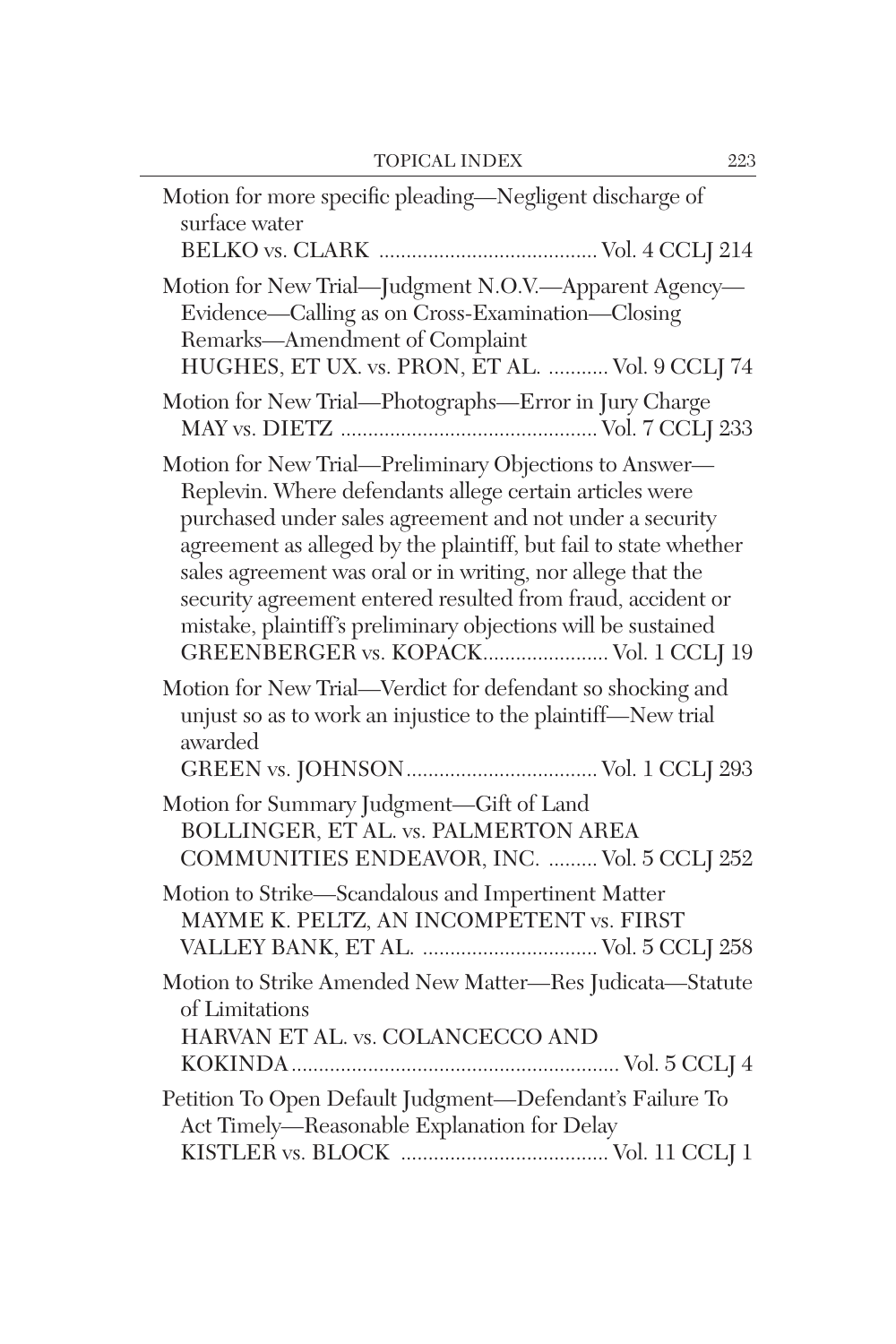| Motion for more specific pleading-Negligent discharge of<br>surface water                                                                                                                                                                                                                                                                                                                                                                                                                 |
|-------------------------------------------------------------------------------------------------------------------------------------------------------------------------------------------------------------------------------------------------------------------------------------------------------------------------------------------------------------------------------------------------------------------------------------------------------------------------------------------|
| Motion for New Trial-Judgment N.O.V.-Apparent Agency-<br>Evidence—Calling as on Cross-Examination—Closing<br>Remarks-Amendment of Complaint<br>HUGHES, ET UX. vs. PRON, ET AL.  Vol. 9 CCLJ 74                                                                                                                                                                                                                                                                                            |
| Motion for New Trial—Photographs—Error in Jury Charge                                                                                                                                                                                                                                                                                                                                                                                                                                     |
| Motion for New Trial-Preliminary Objections to Answer-<br>Replevin. Where defendants allege certain articles were<br>purchased under sales agreement and not under a security<br>agreement as alleged by the plaintiff, but fail to state whether<br>sales agreement was oral or in writing, nor allege that the<br>security agreement entered resulted from fraud, accident or<br>mistake, plaintiff's preliminary objections will be sustained<br>GREENBERGER vs. KOPACK Vol. 1 CCLJ 19 |
| Motion for New Trial-Verdict for defendant so shocking and<br>unjust so as to work an injustice to the plaintiff-New trial<br>awarded                                                                                                                                                                                                                                                                                                                                                     |
| Motion for Summary Judgment-Gift of Land<br>BOLLINGER, ET AL. vs. PALMERTON AREA<br>COMMUNITIES ENDEAVOR, INC.  Vol. 5 CCLJ 252                                                                                                                                                                                                                                                                                                                                                           |
| Motion to Strike-Scandalous and Impertinent Matter<br>MAYME K. PELTZ, AN INCOMPETENT vs. FIRST                                                                                                                                                                                                                                                                                                                                                                                            |
| Motion to Strike Amended New Matter-Res Judicata-Statute<br>of Limitations<br>HARVAN ET AL. vs. COLANCECCO AND                                                                                                                                                                                                                                                                                                                                                                            |
| Petition To Open Default Judgment-Defendant's Failure To<br>Act Timely-Reasonable Explanation for Delay                                                                                                                                                                                                                                                                                                                                                                                   |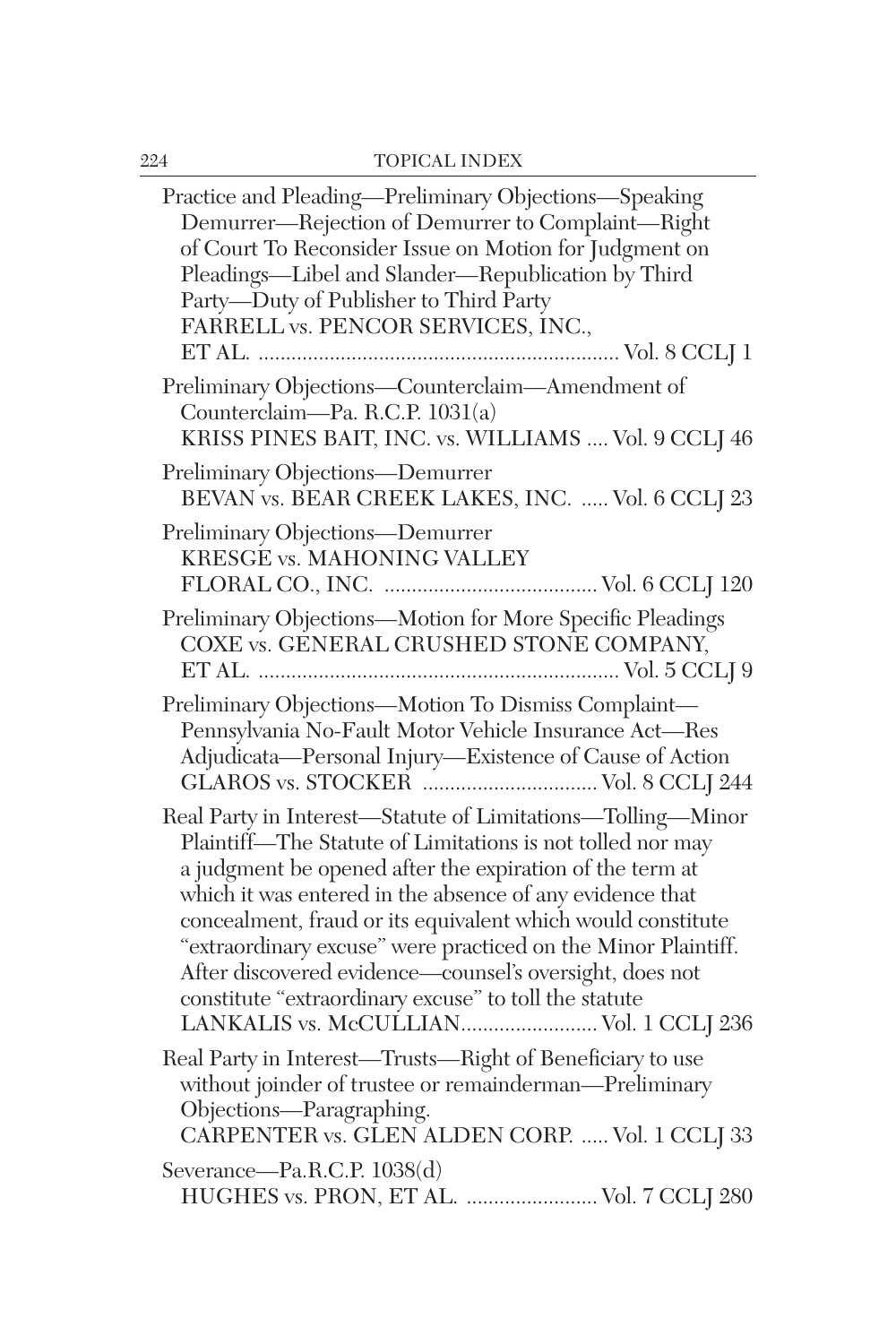| Practice and Pleading-Preliminary Objections-Speaking<br>Demurrer-Rejection of Demurrer to Complaint-Right<br>of Court To Reconsider Issue on Motion for Judgment on<br>Pleadings-Libel and Slander-Republication by Third<br>Party-Duty of Publisher to Third Party<br>FARRELL vs. PENCOR SERVICES, INC.,                                                                                                                                                                                                                                      |
|-------------------------------------------------------------------------------------------------------------------------------------------------------------------------------------------------------------------------------------------------------------------------------------------------------------------------------------------------------------------------------------------------------------------------------------------------------------------------------------------------------------------------------------------------|
| Preliminary Objections-Counterclaim-Amendment of<br>Counterclaim-Pa. R.C.P. 1031(a)<br>KRISS PINES BAIT, INC. vs. WILLIAMS  Vol. 9 CCLJ 46                                                                                                                                                                                                                                                                                                                                                                                                      |
| Preliminary Objections-Demurrer<br>BEVAN vs. BEAR CREEK LAKES, INC.  Vol. 6 CCLJ 23                                                                                                                                                                                                                                                                                                                                                                                                                                                             |
| Preliminary Objections-Demurrer<br>KRESGE vs. MAHONING VALLEY                                                                                                                                                                                                                                                                                                                                                                                                                                                                                   |
| Preliminary Objections-Motion for More Specific Pleadings<br>COXE vs. GENERAL CRUSHED STONE COMPANY,                                                                                                                                                                                                                                                                                                                                                                                                                                            |
| Preliminary Objections-Motion To Dismiss Complaint-<br>Pennsylvania No-Fault Motor Vehicle Insurance Act-Res<br>Adjudicata-Personal Injury-Existence of Cause of Action                                                                                                                                                                                                                                                                                                                                                                         |
| Real Party in Interest-Statute of Limitations-Tolling-Minor<br>Plaintiff-The Statute of Limitations is not tolled nor may<br>a judgment be opened after the expiration of the term at<br>which it was entered in the absence of any evidence that<br>concealment, fraud or its equivalent which would constitute<br>"extraordinary excuse" were practiced on the Minor Plaintiff.<br>After discovered evidence-counsel's oversight, does not<br>constitute "extraordinary excuse" to toll the statute<br>LANKALIS vs. McCULLIAN Vol. 1 CCLJ 236 |
| Real Party in Interest-Trusts-Right of Beneficiary to use<br>without joinder of trustee or remainderman-Preliminary<br>Objections—Paragraphing.<br>CARPENTER vs. GLEN ALDEN CORP.  Vol. 1 CCLJ 33                                                                                                                                                                                                                                                                                                                                               |
| Severance—Pa.R.C.P. 1038(d)<br>HUGHES vs. PRON, ET AL.  Vol. 7 CCLJ 280                                                                                                                                                                                                                                                                                                                                                                                                                                                                         |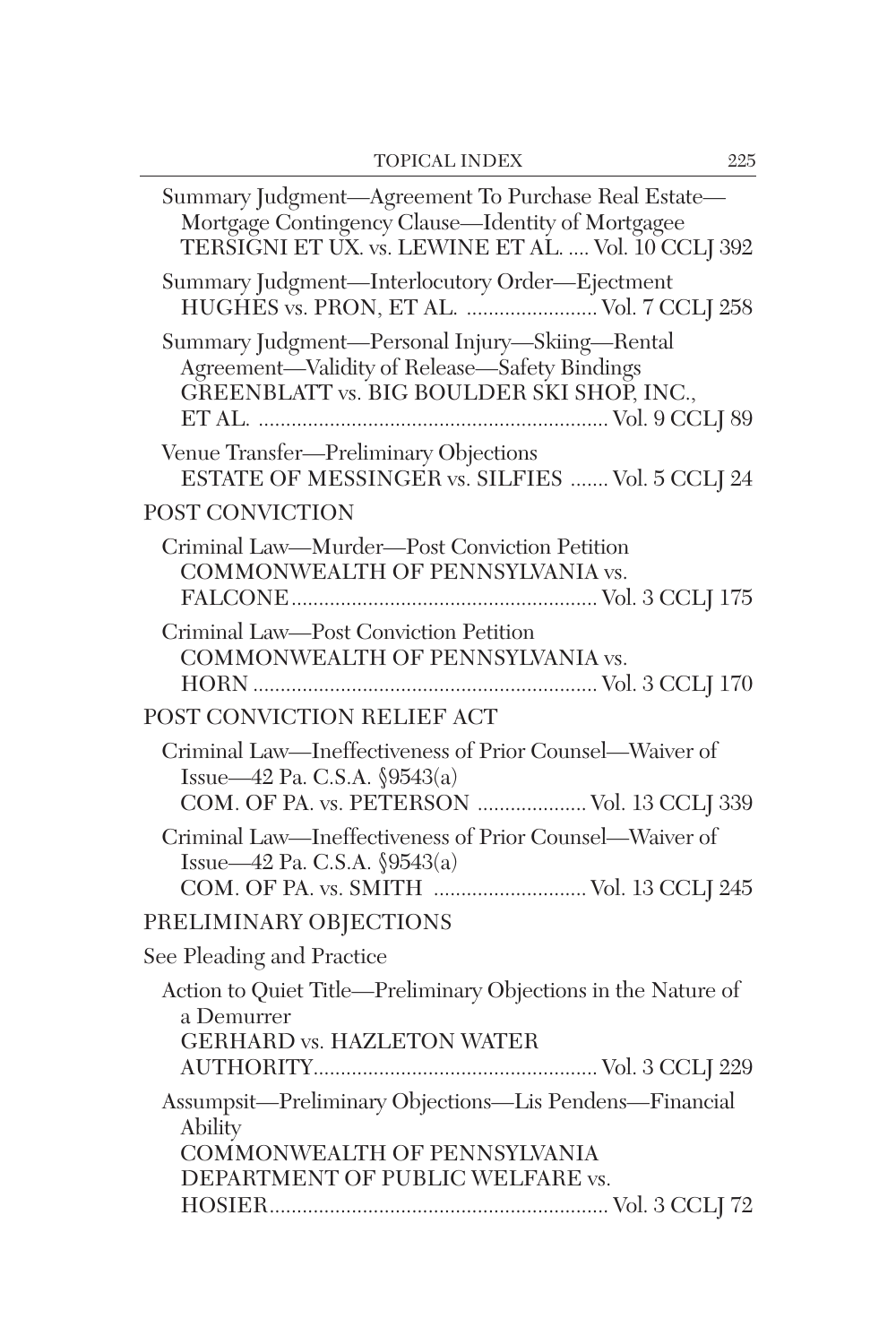| Summary Judgment-Agreement To Purchase Real Estate-<br>Mortgage Contingency Clause-Identity of Mortgagee<br>TERSIGNI ET UX. vs. LEWINE ET AL.  Vol. 10 CCLI 392 |  |
|-----------------------------------------------------------------------------------------------------------------------------------------------------------------|--|
| Summary Judgment-Interlocutory Order-Ejectment<br>HUGHES vs. PRON, ET AL.  Vol. 7 CCLJ 258                                                                      |  |
| Summary Judgment-Personal Injury-Skiing-Rental<br>Agreement-Validity of Release-Safety Bindings<br>GREENBLATT vs. BIG BOULDER SKI SHOP, INC.,                   |  |
| Venue Transfer-Preliminary Objections<br>ESTATE OF MESSINGER vs. SILFIES  Vol. 5 CCLJ 24                                                                        |  |
| POST CONVICTION                                                                                                                                                 |  |
| Criminal Law—Murder—Post Conviction Petition<br>COMMONWEALTH OF PENNSYLVANIA vs.                                                                                |  |
| Criminal Law-Post Conviction Petition<br>COMMONWEALTH OF PENNSYLVANIA vs.                                                                                       |  |
| POST CONVICTION RELIEF ACT                                                                                                                                      |  |
| Criminal Law-Ineffectiveness of Prior Counsel-Waiver of<br>Issue—42 Pa. C.S.A. $\sqrt{9543(a)}$<br>COM. OF PA. vs. PETERSON  Vol. 13 CCLJ 339                   |  |
| Criminal Law-Ineffectiveness of Prior Counsel-Waiver of<br>Issue—42 Pa. C.S.A. §9543(a)                                                                         |  |
| PRELIMINARY OBJECTIONS                                                                                                                                          |  |
| See Pleading and Practice                                                                                                                                       |  |
| Action to Quiet Title-Preliminary Objections in the Nature of<br>a Demurrer<br><b>GERHARD vs. HAZLETON WATER</b>                                                |  |
| Assumpsit-Preliminary Objections-Lis Pendens-Financial<br>Ability<br>COMMONWEALTH OF PENNSYLVANIA<br>DEPARTMENT OF PUBLIC WELFARE vs.                           |  |
|                                                                                                                                                                 |  |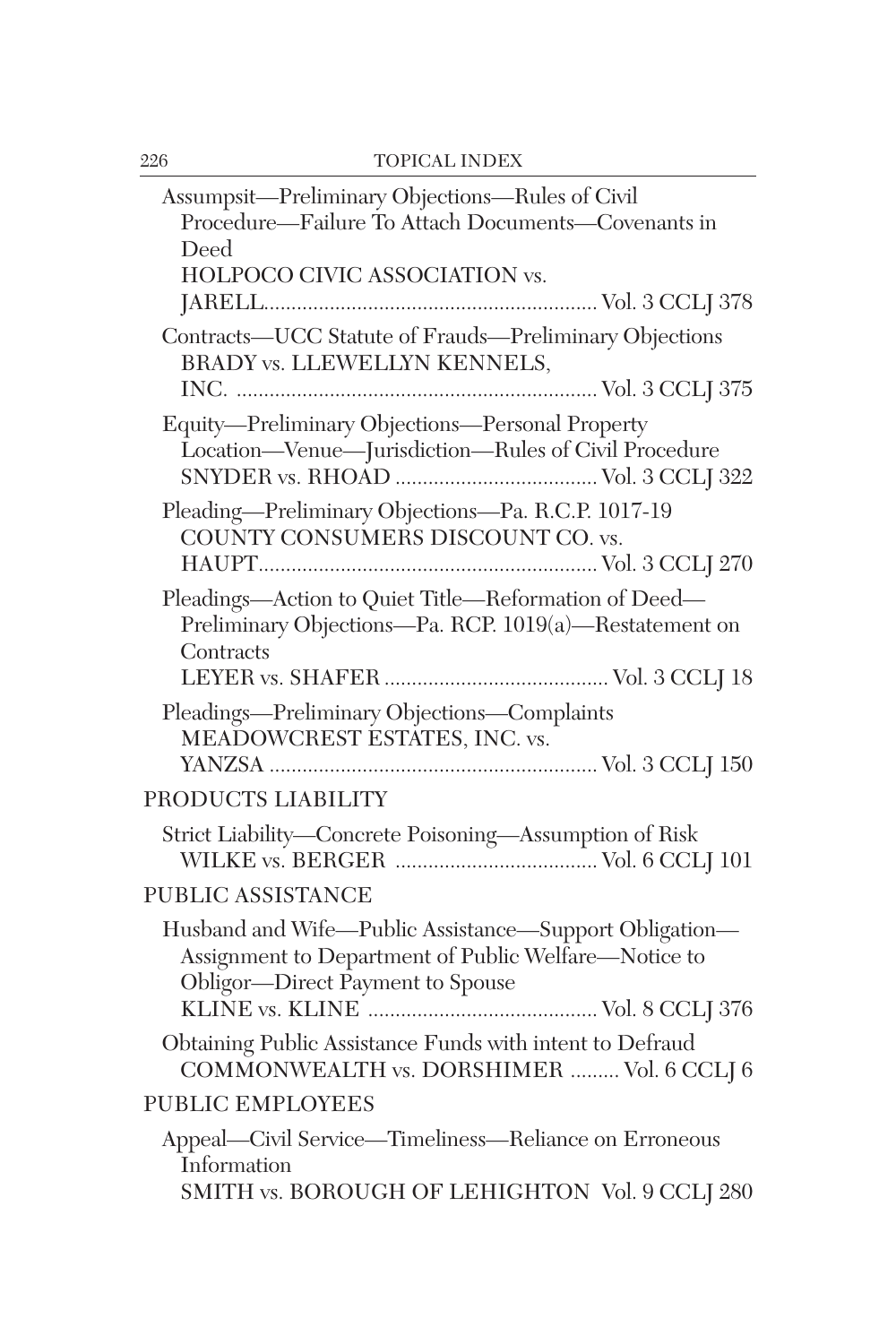| Assumpsit—Preliminary Objections—Rules of Civil<br>Procedure-Failure To Attach Documents-Covenants in<br>Deed<br>HOLPOCO CIVIC ASSOCIATION vs.     |
|----------------------------------------------------------------------------------------------------------------------------------------------------|
| Contracts-UCC Statute of Frauds-Preliminary Objections<br><b>BRADY vs. LLEWELLYN KENNELS,</b>                                                      |
| Equity-Preliminary Objections-Personal Property<br>Location-Venue-Jurisdiction-Rules of Civil Procedure                                            |
| Pleading-Preliminary Objections-Pa. R.C.P. 1017-19<br>COUNTY CONSUMERS DISCOUNT CO. vs.                                                            |
| Pleadings-Action to Quiet Title-Reformation of Deed-<br>Preliminary Objections-Pa. RCP. 1019(a)-Restatement on<br>Contracts                        |
| Pleadings-Preliminary Objections-Complaints<br>MEADOWCREST ESTATES, INC. vs.                                                                       |
| PRODUCTS LIABILITY                                                                                                                                 |
| Strict Liability-Concrete Poisoning-Assumption of Risk                                                                                             |
| <b>PUBLIC ASSISTANCE</b>                                                                                                                           |
| Husband and Wife-Public Assistance-Support Obligation-<br>Assignment to Department of Public Welfare-Notice to<br>Obligor-Direct Payment to Spouse |
| Obtaining Public Assistance Funds with intent to Defraud<br>COMMONWEALTH vs. DORSHIMER  Vol. 6 CCLJ 6                                              |
| <b>PUBLIC EMPLOYEES</b>                                                                                                                            |
| Appeal-Civil Service-Timeliness-Reliance on Erroneous<br>Information<br>SMITH vs. BOROUGH OF LEHIGHTON Vol. 9 CCLJ 280                             |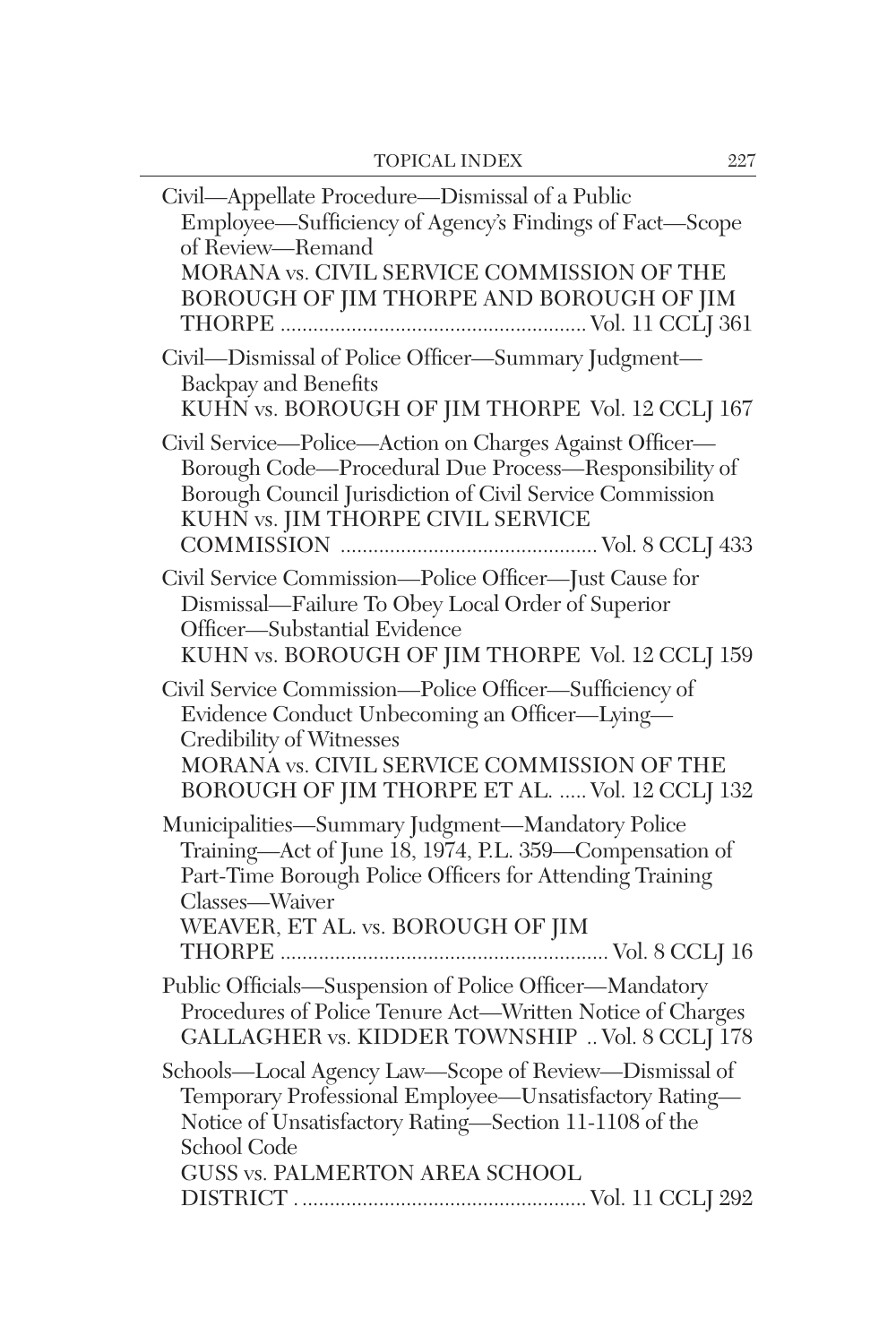| Civil-Appellate Procedure-Dismissal of a Public<br>Employee—Sufficiency of Agency's Findings of Fact—Scope of Review—Remand<br>MORANA vs. CIVIL SERVICE COMMISSION OF THE<br>BOROUGH OF JIM THORPE AND BOROUGH OF JIM               |
|-------------------------------------------------------------------------------------------------------------------------------------------------------------------------------------------------------------------------------------|
| Civil-Dismissal of Police Officer-Summary Judgment-<br><b>Backpay and Benefits</b><br>KUHN vs. BOROUGH OF JIM THORPE Vol. 12 CCLJ 167                                                                                               |
| Civil Service-Police-Action on Charges Against Officer-<br>Borough Code—Procedural Due Process—Responsibility of<br>Borough Council Jurisdiction of Civil Service Commission<br>KUHN vs. JIM THORPE CIVIL SERVICE                   |
| Civil Service Commission-Police Officer-Just Cause for<br>Dismissal-Failure To Obey Local Order of Superior<br>Officer-Substantial Evidence<br>KUHN vs. BOROUGH OF JIM THORPE Vol. 12 CCLJ 159                                      |
| Civil Service Commission-Police Officer-Sufficiency of<br>Evidence Conduct Unbecoming an Officer-Lying-<br>Credibility of Witnesses<br>MORANA vs. CIVIL SERVICE COMMISSION OF THE<br>BOROUGH OF JIM THORPE ET AL.  Vol. 12 CCLJ 132 |
| Municipalities-Summary Judgment-Mandatory Police<br>Training—Act of June 18, 1974, P.L. 359—Compensation of<br>Part-Time Borough Police Officers for Attending Training<br>Classes—Waiver<br>WEAVER, ET AL. vs. BOROUGH OF JIM      |
| Public Officials-Suspension of Police Officer-Mandatory<br>Procedures of Police Tenure Act-Written Notice of Charges<br>GALLAGHER vs. KIDDER TOWNSHIP  Vol. 8 CCLJ 178                                                              |
| Schools-Local Agency Law-Scope of Review-Dismissal of<br>Temporary Professional Employee-Unsatisfactory Rating-<br>Notice of Unsatisfactory Rating-Section 11-1108 of the<br>School Code<br>GUSS vs. PALMERTON AREA SCHOOL          |
|                                                                                                                                                                                                                                     |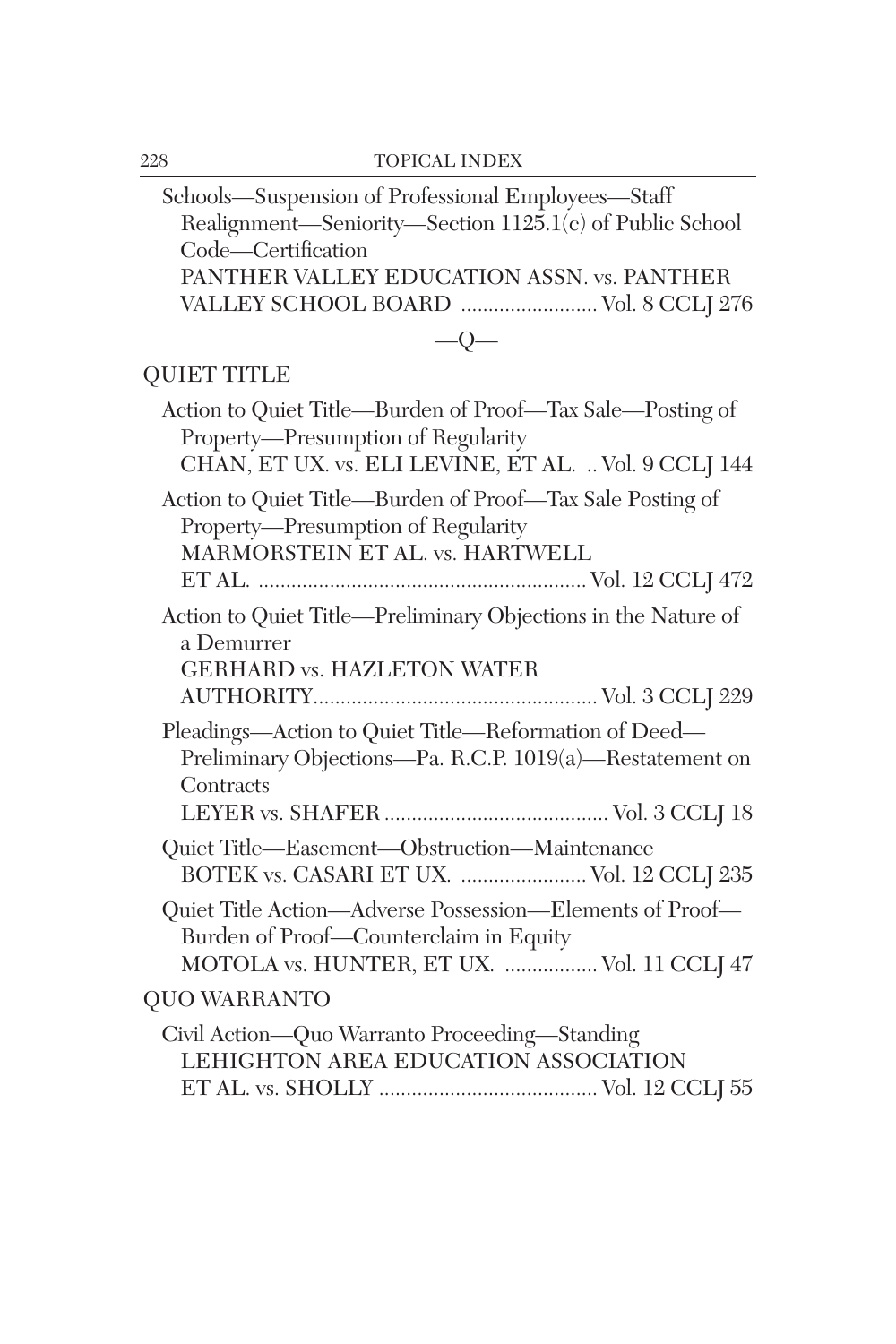| Schools—Suspension of Professional Employees—Staff<br>Realignment-Seniority-Section 1125.1(c) of Public School<br>Code-Certification                    |
|---------------------------------------------------------------------------------------------------------------------------------------------------------|
| PANTHER VALLEY EDUCATION ASSN. vs. PANTHER<br>VALLEY SCHOOL BOARD  Vol. 8 CCLJ 276                                                                      |
| $-Q-$                                                                                                                                                   |
| <b>QUIET TITLE</b>                                                                                                                                      |
| Action to Quiet Title—Burden of Proof—Tax Sale—Posting of<br>Property-Presumption of Regularity<br>CHAN, ET UX. vs. ELI LEVINE, ET AL.  Vol. 9 CCLJ 144 |
| Action to Quiet Title-Burden of Proof-Tax Sale Posting of<br>Property-Presumption of Regularity<br>MARMORSTEIN ET AL. vs. HARTWELL                      |
| Action to Quiet Title—Preliminary Objections in the Nature of<br>a Demurrer<br><b>GERHARD vs. HAZLETON WATER</b>                                        |
| Pleadings—Action to Quiet Title—Reformation of Deed—<br>Preliminary Objections-Pa. R.C.P. 1019(a)-Restatement on<br>Contracts                           |
| Quiet Title-Easement-Obstruction-Maintenance<br>BOTEK vs. CASARI ET UX.  Vol. 12 CCLJ 235                                                               |
| Quiet Title Action-Adverse Possession-Elements of Proof-<br>Burden of Proof-Counterclaim in Equity<br>MOTOLA vs. HUNTER, ET UX.  Vol. 11 CCLJ 47        |
| <b>QUO WARRANTO</b>                                                                                                                                     |
| Civil Action-Quo Warranto Proceeding-Standing<br>LEHIGHTON AREA EDUCATION ASSOCIATION                                                                   |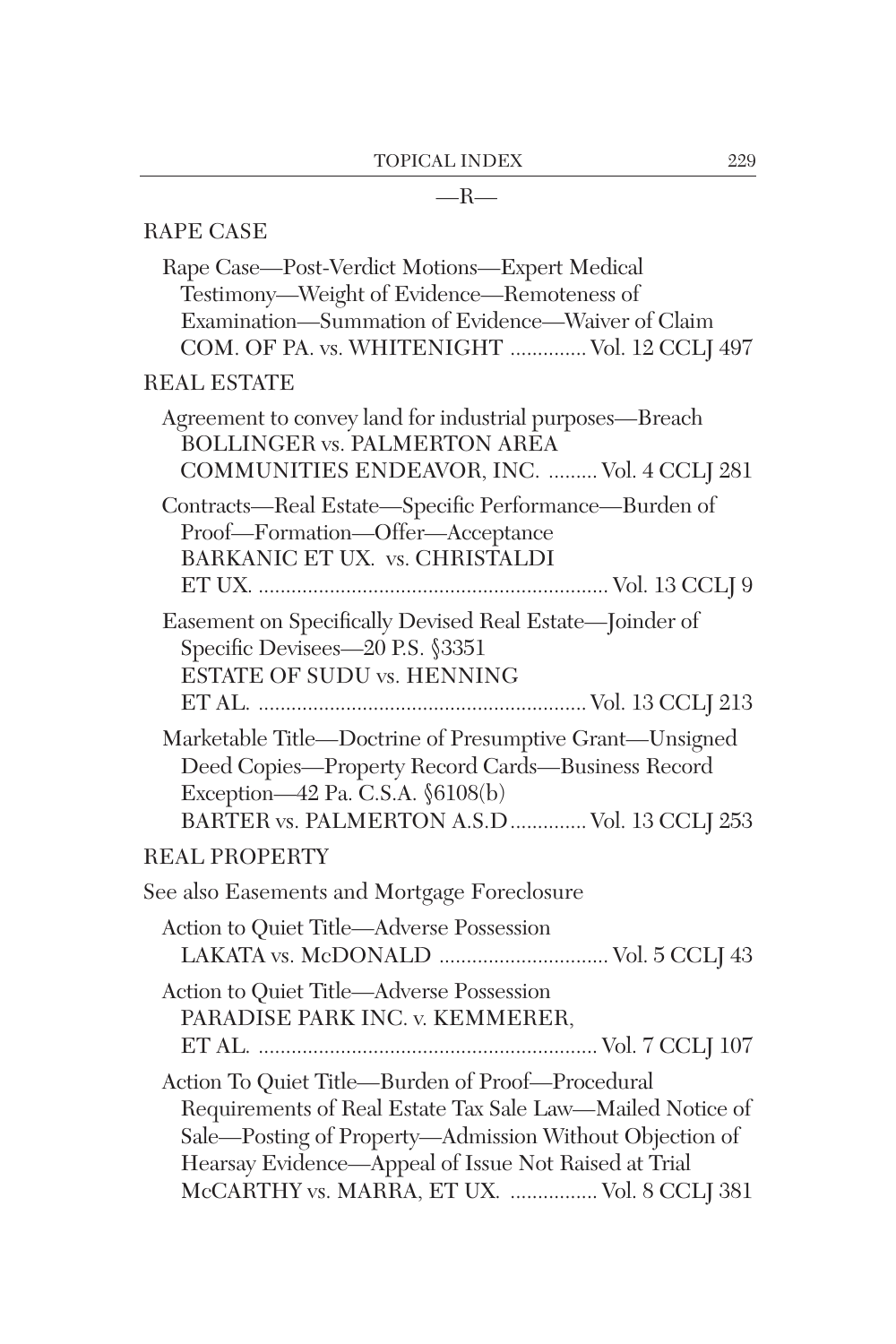## $-R-$

| <b>RAPE CASE</b>                                                                                                                                                                                                                                                                |
|---------------------------------------------------------------------------------------------------------------------------------------------------------------------------------------------------------------------------------------------------------------------------------|
| Rape Case-Post-Verdict Motions-Expert Medical<br>Testimony-Weight of Evidence-Remoteness of<br>Examination-Summation of Evidence-Waiver of Claim<br>COM. OF PA. vs. WHITENIGHT  Vol. 12 CCLJ 497                                                                                |
| <b>REAL ESTATE</b>                                                                                                                                                                                                                                                              |
| Agreement to convey land for industrial purposes—Breach<br><b>BOLLINGER vs. PALMERTON AREA</b><br>COMMUNITIES ENDEAVOR, INC.  Vol. 4 CCLJ 281                                                                                                                                   |
| Contracts-Real Estate-Specific Performance-Burden of<br>Proof-Formation-Offer-Acceptance<br>BARKANIC ET UX. vs. CHRISTALDI                                                                                                                                                      |
| Easement on Specifically Devised Real Estate-Joinder of<br>Specific Devisees-20 P.S. §3351<br>ESTATE OF SUDU vs. HENNING                                                                                                                                                        |
| Marketable Title-Doctrine of Presumptive Grant-Unsigned<br>Deed Copies-Property Record Cards-Business Record<br>Exception-42 Pa. C.S.A. §6108(b)<br>BARTER vs. PALMERTON A.S.D  Vol. 13 CCLJ 253                                                                                |
| <b>REAL PROPERTY</b>                                                                                                                                                                                                                                                            |
| See also Easements and Mortgage Foreclosure                                                                                                                                                                                                                                     |
| Action to Quiet Title-Adverse Possession<br>LAKATA vs. McDONALD  Vol. 5 CCLJ 43                                                                                                                                                                                                 |
| Action to Quiet Title-Adverse Possession<br>PARADISE PARK INC. v. KEMMERER,                                                                                                                                                                                                     |
| Action To Quiet Title-Burden of Proof-Procedural<br>Requirements of Real Estate Tax Sale Law-Mailed Notice of<br>Sale-Posting of Property-Admission Without Objection of<br>Hearsay Evidence—Appeal of Issue Not Raised at Trial<br>McCARTHY vs. MARRA, ET UX.  Vol. 8 CCLJ 381 |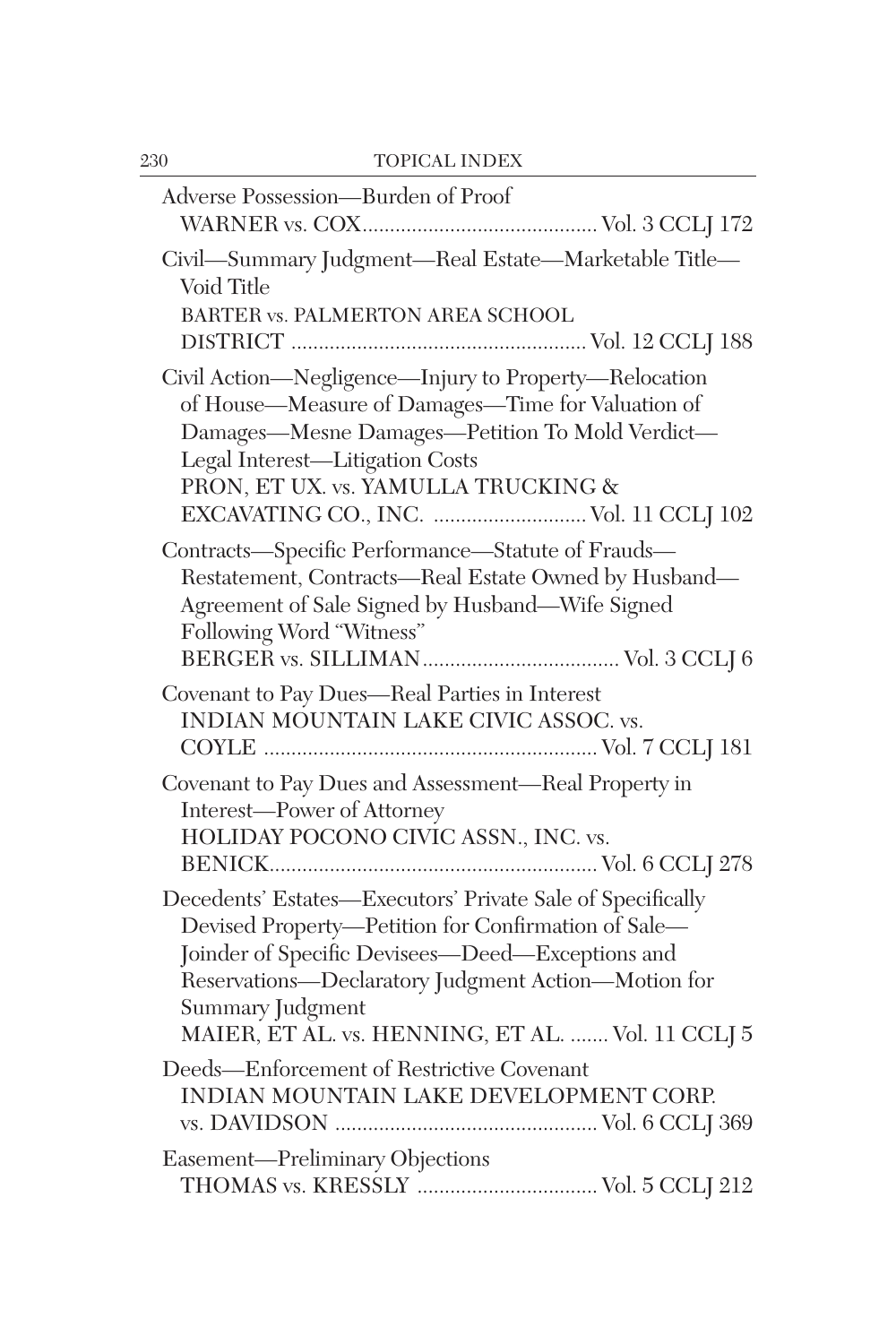| Adverse Possession-Burden of Proof                                                                                                                                                                                                                                                                    |
|-------------------------------------------------------------------------------------------------------------------------------------------------------------------------------------------------------------------------------------------------------------------------------------------------------|
| Civil-Summary Judgment-Real Estate-Marketable Title-<br>Void Title<br>BARTER vs. PALMERTON AREA SCHOOL                                                                                                                                                                                                |
| Civil Action-Negligence-Injury to Property-Relocation<br>of House-Measure of Damages-Time for Valuation of<br>Damages-Mesne Damages-Petition To Mold Verdict-<br>Legal Interest-Litigation Costs<br>PRON, ET UX. vs. YAMULLA TRUCKING &<br>EXCAVATING CO., INC.  Vol. 11 CCLJ 102                     |
| Contracts-Specific Performance-Statute of Frauds-<br>Restatement, Contracts-Real Estate Owned by Husband-<br>Agreement of Sale Signed by Husband-Wife Signed<br>Following Word "Witness"                                                                                                              |
| Covenant to Pay Dues-Real Parties in Interest<br>INDIAN MOUNTAIN LAKE CIVIC ASSOC. vs.                                                                                                                                                                                                                |
| Covenant to Pay Dues and Assessment-Real Property in<br>Interest-Power of Attorney<br>HOLIDAY POCONO CIVIC ASSN., INC. vs.                                                                                                                                                                            |
| Decedents' Estates-Executors' Private Sale of Specifically<br>Devised Property-Petition for Confirmation of Sale-<br>Joinder of Specific Devisees-Deed-Exceptions and<br>Reservations-Declaratory Judgment Action-Motion for<br>Summary Judgment<br>MAIER, ET AL. vs. HENNING, ET AL.  Vol. 11 CCLJ 5 |
| Deeds-Enforcement of Restrictive Covenant<br>INDIAN MOUNTAIN LAKE DEVELOPMENT CORP.                                                                                                                                                                                                                   |
| Easement-Preliminary Objections<br>THOMAS vs. KRESSLY  Vol. 5 CCLJ 212                                                                                                                                                                                                                                |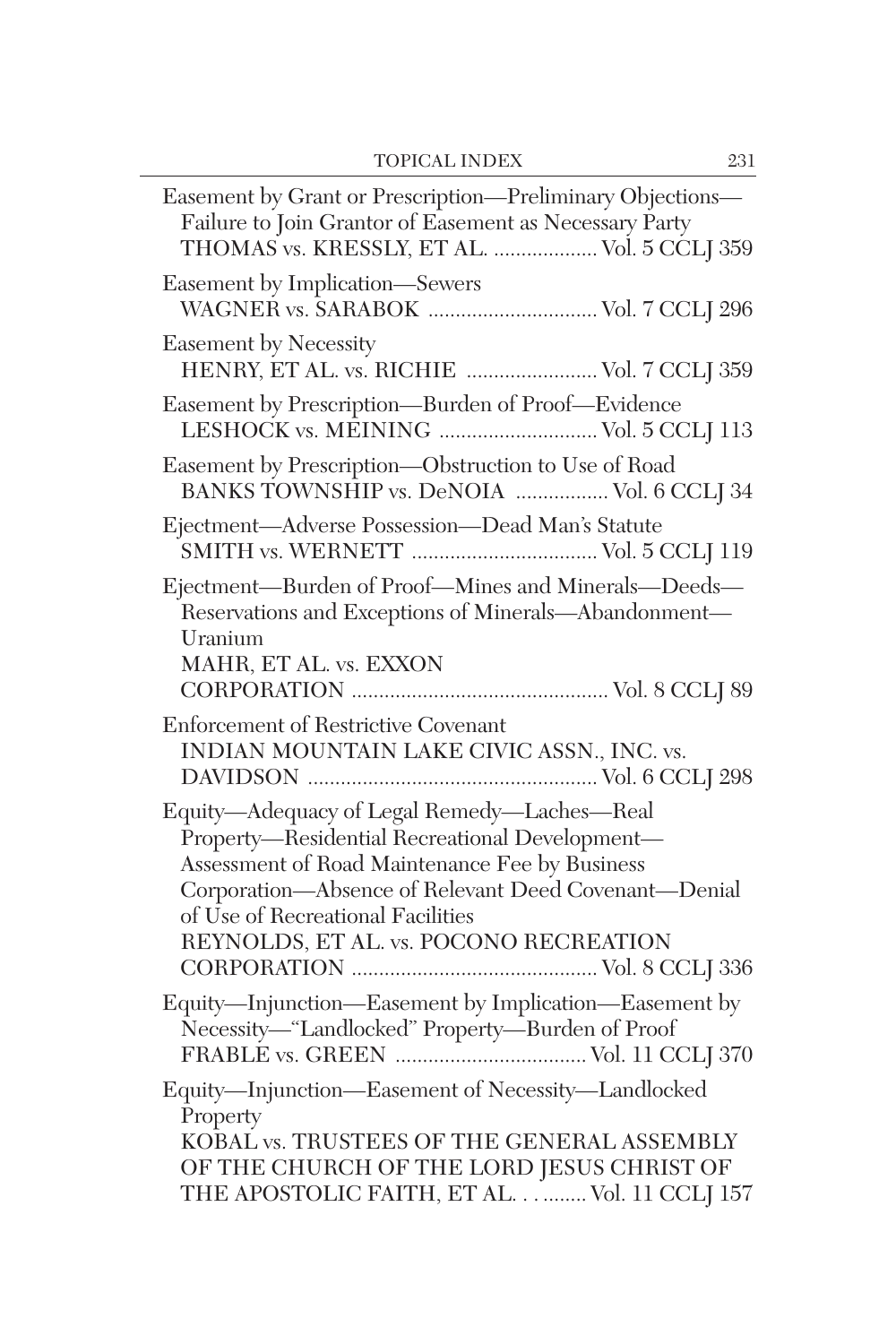| Easement by Grant or Prescription—Preliminary Objections—<br>Failure to Join Grantor of Easement as Necessary Party<br>THOMAS vs. KRESSLY, ET AL.  Vol. 5 CCLJ 359                                                                                                                     |
|----------------------------------------------------------------------------------------------------------------------------------------------------------------------------------------------------------------------------------------------------------------------------------------|
| Easement by Implication—Sewers                                                                                                                                                                                                                                                         |
| <b>Easement by Necessity</b><br>HENRY, ET AL. vs. RICHIE  Vol. 7 CCLJ 359                                                                                                                                                                                                              |
| Easement by Prescription-Burden of Proof-Evidence<br>LESHOCK vs. MEINING  Vol. 5 CCLJ 113                                                                                                                                                                                              |
| Easement by Prescription-Obstruction to Use of Road<br>BANKS TOWNSHIP vs. DeNOIA  Vol. 6 CCLJ 34                                                                                                                                                                                       |
| Ejectment-Adverse Possession-Dead Man's Statute                                                                                                                                                                                                                                        |
| Ejectment-Burden of Proof-Mines and Minerals-Deeds-<br>Reservations and Exceptions of Minerals-Abandonment-<br>Uranium<br>MAHR, ET AL. vs. EXXON                                                                                                                                       |
| Enforcement of Restrictive Covenant<br>INDIAN MOUNTAIN LAKE CIVIC ASSN., INC. vs.                                                                                                                                                                                                      |
| Equity-Adequacy of Legal Remedy-Laches-Real<br>Property-Residential Recreational Development-<br>Assessment of Road Maintenance Fee by Business<br>Corporation-Absence of Relevant Deed Covenant-Denial<br>of Use of Recreational Facilities<br>REYNOLDS, ET AL. vs. POCONO RECREATION |
| Equity-Injunction-Easement by Implication-Easement by<br>Necessity-"Landlocked" Property-Burden of Proof                                                                                                                                                                               |
| Equity-Injunction-Easement of Necessity-Landlocked<br>Property<br>KOBAL vs. TRUSTEES OF THE GENERAL ASSEMBLY<br>OF THE CHURCH OF THE LORD JESUS CHRIST OF                                                                                                                              |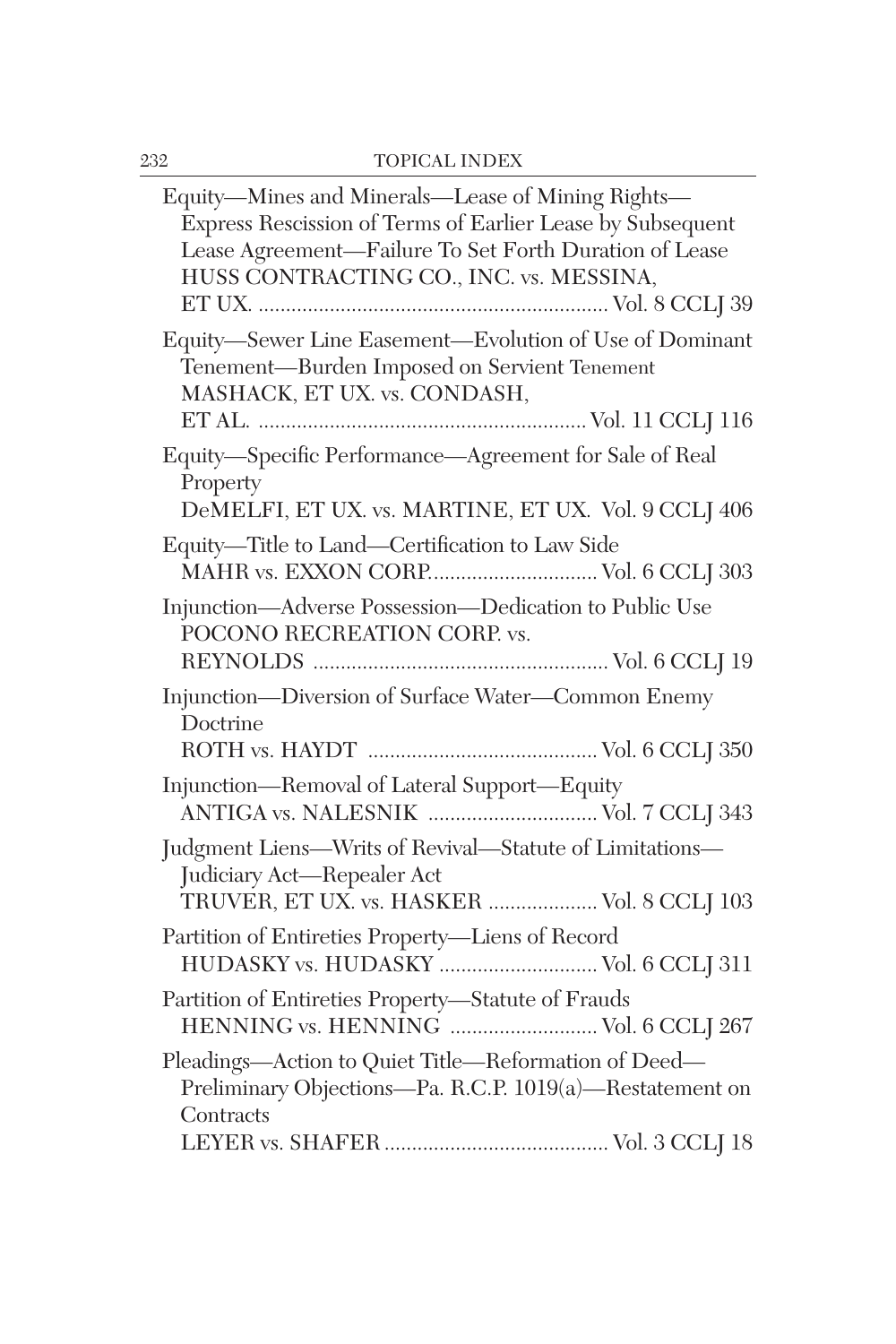| Equity—Mines and Minerals—Lease of Mining Rights—<br>Express Rescission of Terms of Earlier Lease by Subsequent<br>Lease Agreement-Failure To Set Forth Duration of Lease<br>HUSS CONTRACTING CO., INC. vs. MESSINA, |
|----------------------------------------------------------------------------------------------------------------------------------------------------------------------------------------------------------------------|
| Equity-Sewer Line Easement-Evolution of Use of Dominant<br>Tenement-Burden Imposed on Servient Tenement<br>MASHACK, ET UX. vs. CONDASH,                                                                              |
| Equity-Specific Performance-Agreement for Sale of Real<br>Property<br>DeMELFI, ET UX. vs. MARTINE, ET UX. Vol. 9 CCLJ 406                                                                                            |
| Equity-Title to Land-Certification to Law Side<br>MAHR vs. EXXON CORP Vol. 6 CCLJ 303                                                                                                                                |
| Injunction-Adverse Possession-Dedication to Public Use<br>POCONO RECREATION CORP. vs.                                                                                                                                |
| Injunction-Diversion of Surface Water-Common Enemy<br>Doctrine                                                                                                                                                       |
| Injunction-Removal of Lateral Support-Equity<br>ANTIGA vs. NALESNIK  Vol. 7 CCLJ 343                                                                                                                                 |
| Judgment Liens-Writs of Revival-Statute of Limitations-<br>Judiciary Act-Repealer Act<br>TRUVER, ET UX. vs. HASKER  Vol. 8 CCLJ 103                                                                                  |
| Partition of Entireties Property-Liens of Record<br>HUDASKY vs. HUDASKY  Vol. 6 CCLJ 311                                                                                                                             |
| Partition of Entireties Property-Statute of Frauds<br>HENNING vs. HENNING  Vol. 6 CCLJ 267                                                                                                                           |
| Pleadings-Action to Quiet Title-Reformation of Deed-<br>Preliminary Objections-Pa. R.C.P. 1019(a)-Restatement on<br>Contracts                                                                                        |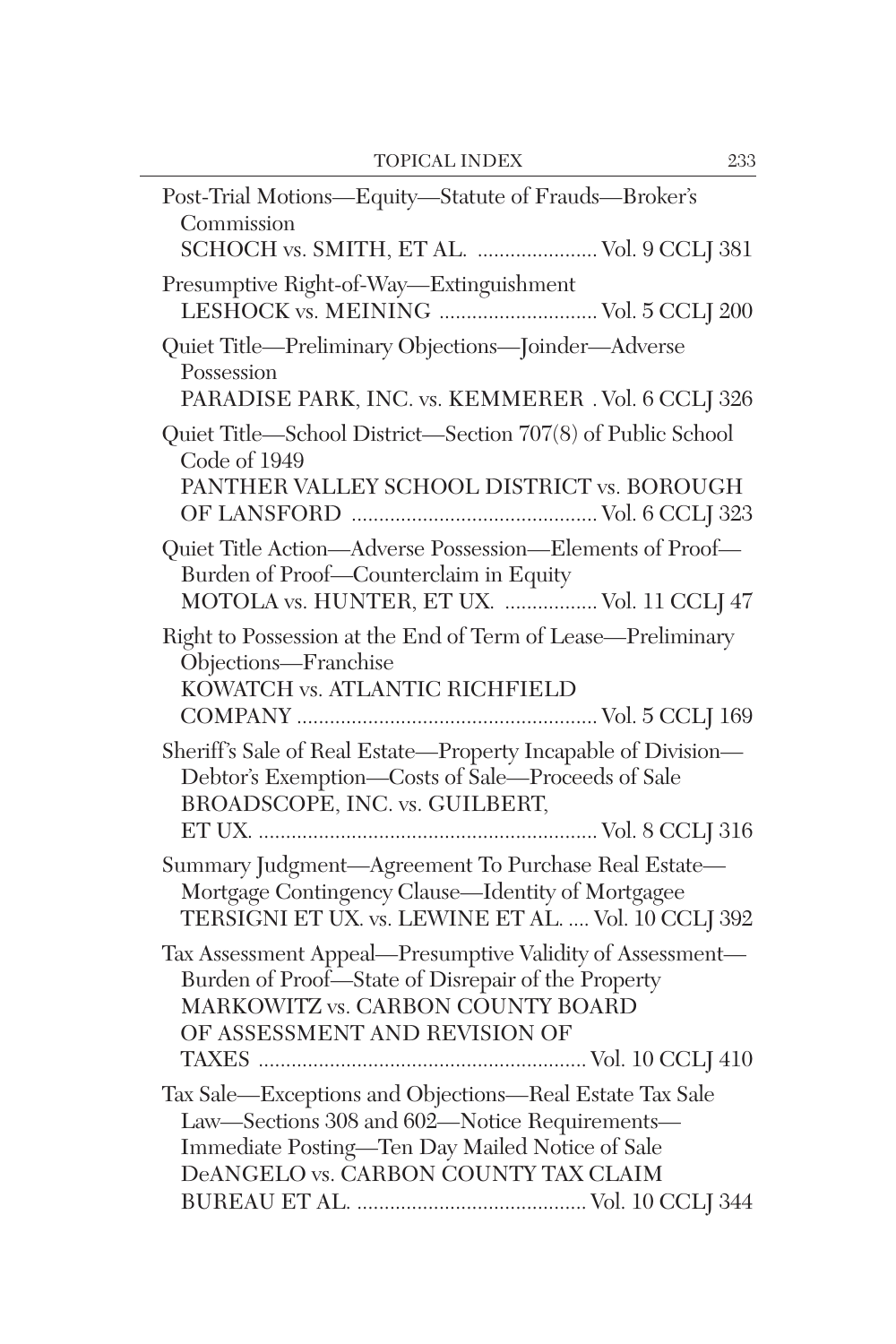| Post-Trial Motions-Equity-Statute of Frauds-Broker's<br>Commission<br>SCHOCH vs. SMITH, ET AL.  Vol. 9 CCLJ 381                                                                                     |
|-----------------------------------------------------------------------------------------------------------------------------------------------------------------------------------------------------|
| Presumptive Right-of-Way—Extinguishment<br>LESHOCK vs. MEINING  Vol. 5 CCLJ 200                                                                                                                     |
| Quiet Title-Preliminary Objections-Joinder-Adverse<br>Possession<br>PARADISE PARK, INC. vs. KEMMERER . Vol. 6 CCLJ 326                                                                              |
| Quiet Title—School District—Section 707(8) of Public School<br>Code of 1949<br>PANTHER VALLEY SCHOOL DISTRICT vs. BOROUGH                                                                           |
| Quiet Title Action-Adverse Possession-Elements of Proof-<br>Burden of Proof-Counterclaim in Equity<br>MOTOLA vs. HUNTER, ET UX.  Vol. 11 CCLJ 47                                                    |
| Right to Possession at the End of Term of Lease-Preliminary<br>Objections-Franchise<br>KOWATCH vs. ATLANTIC RICHFIELD                                                                               |
| Sheriff's Sale of Real Estate-Property Incapable of Division-<br>Debtor's Exemption-Costs of Sale-Proceeds of Sale<br>BROADSCOPE, INC. vs. GUILBERT,                                                |
| Summary Judgment-Agreement To Purchase Real Estate-<br>Mortgage Contingency Clause-Identity of Mortgagee<br>TERSIGNI ET UX. vs. LEWINE ET AL.  Vol. 10 CCLJ 392                                     |
| Tax Assessment Appeal-Presumptive Validity of Assessment-<br>Burden of Proof-State of Disrepair of the Property<br>MARKOWITZ vs. CARBON COUNTY BOARD<br>OF ASSESSMENT AND REVISION OF               |
| Tax Sale-Exceptions and Objections-Real Estate Tax Sale<br>Law-Sections 308 and 602-Notice Requirements-<br>Immediate Posting-Ten Day Mailed Notice of Sale<br>DeANGELO vs. CARBON COUNTY TAX CLAIM |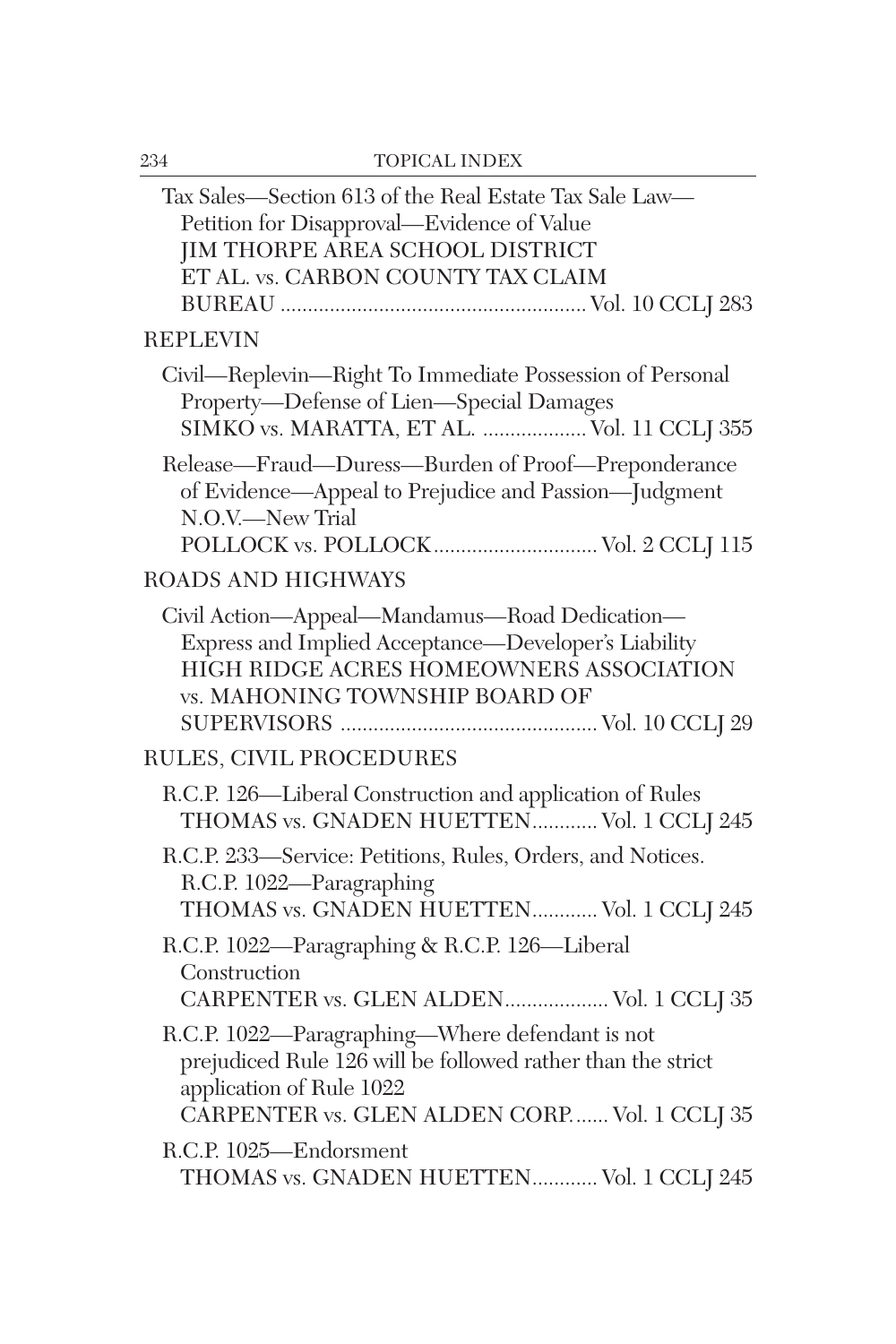| Tax Sales-Section 613 of the Real Estate Tax Sale Law-<br>Petition for Disapproval—Evidence of Value<br>JIM THORPE AREA SCHOOL DISTRICT<br>ET AL. vs. CARBON COUNTY TAX CLAIM              |
|--------------------------------------------------------------------------------------------------------------------------------------------------------------------------------------------|
| <b>REPLEVIN</b>                                                                                                                                                                            |
| Civil-Replevin-Right To Immediate Possession of Personal<br>Property-Defense of Lien-Special Damages<br>SIMKO vs. MARATTA, ET AL.  Vol. 11 CCLJ 355                                        |
| Release-Fraud-Duress-Burden of Proof-Preponderance<br>of Evidence-Appeal to Prejudice and Passion-Judgment<br>N.O.V.-New Trial<br>POLLOCK vs. POLLOCK Vol. 2 CCLJ 115                      |
| <b>ROADS AND HIGHWAYS</b>                                                                                                                                                                  |
| Civil Action-Appeal-Mandamus-Road Dedication-<br>Express and Implied Acceptance-Developer's Liability<br>HIGH RIDGE ACRES HOMEOWNERS ASSOCIATION<br>vs. MAHONING TOWNSHIP BOARD OF         |
| RULES, CIVIL PROCEDURES                                                                                                                                                                    |
| R.C.P. 126-Liberal Construction and application of Rules<br>THOMAS vs. GNADEN HUETTEN Vol. 1 CCLJ 245                                                                                      |
| R.C.P. 233-Service: Petitions, Rules, Orders, and Notices.<br>R.C.P. 1022-Paragraphing<br>THOMAS vs. GNADEN HUETTEN Vol. 1 CCLJ 245                                                        |
| R.C.P. 1022-Paragraphing & R.C.P. 126-Liberal<br>Construction<br>CARPENTER vs. GLEN ALDEN Vol. 1 CCLJ 35                                                                                   |
| R.C.P. 1022—Paragraphing—Where defendant is not<br>prejudiced Rule 126 will be followed rather than the strict<br>application of Rule 1022<br>CARPENTER vs. GLEN ALDEN CORP Vol. 1 CCLJ 35 |
| R.C.P. 1025-Endorsment<br>THOMAS vs. GNADEN HUETTEN Vol. 1 CCLJ 245                                                                                                                        |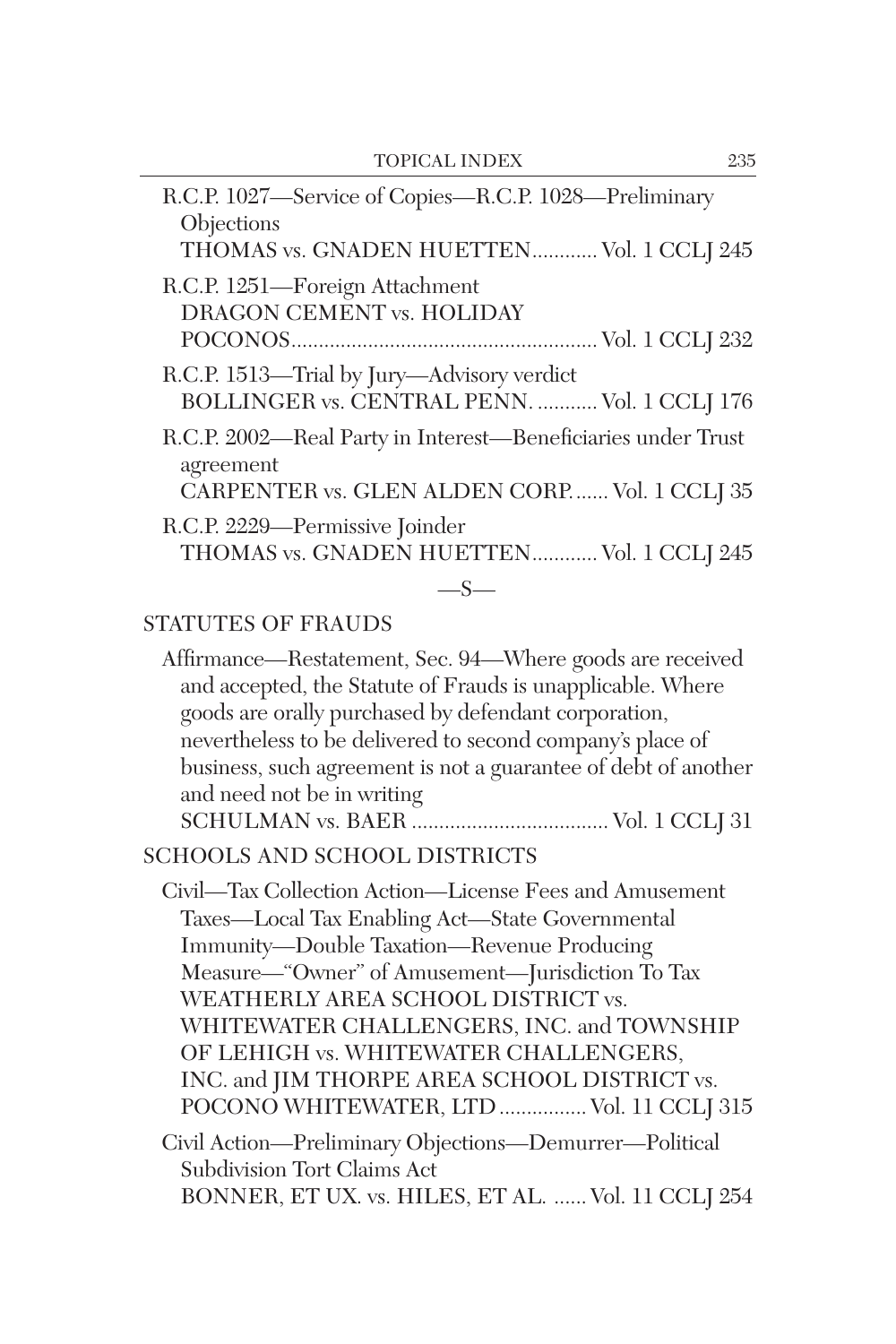| R.C.P. 1027-Service of Copies-R.C.P. 1028-Preliminary<br>Objections                                                       |  |  |
|---------------------------------------------------------------------------------------------------------------------------|--|--|
| THOMAS vs. GNADEN HUETTEN Vol. 1 CCLJ 245                                                                                 |  |  |
| R.C.P. 1251-Foreign Attachment<br>DRAGON CEMENT vs. HOLIDAY                                                               |  |  |
|                                                                                                                           |  |  |
| R.C.P. 1513—Trial by Jury—Advisory verdict<br>BOLLINGER vs. CENTRAL PENN.  Vol. 1 CCLJ 176                                |  |  |
| R.C.P. 2002-Real Party in Interest-Beneficiaries under Trust<br>agreement<br>CARPENTER vs. GLEN ALDEN CORP Vol. 1 CCLJ 35 |  |  |
|                                                                                                                           |  |  |
| R.C.P. 2229-Permissive Joinder<br>THOMAS vs. GNADEN HUETTEN Vol. 1 CCLJ 245                                               |  |  |
| $-S-$                                                                                                                     |  |  |
| <b>STATUTES OF FRAUDS</b>                                                                                                 |  |  |
| Affirmance—Restatement, Sec. 94—Where goods are received<br>and accounted the Ctatute of Fuerda is unamplicable. Where    |  |  |

| and accepted, the Statute of Frauds is unapplicable. Where<br>goods are orally purchased by defendant corporation,<br>nevertheless to be delivered to second company's place of<br>business, such agreement is not a guarantee of debt of another<br>and need not be in writing | Allimance—Restatement, Sec. 94—Where goods are received |
|---------------------------------------------------------------------------------------------------------------------------------------------------------------------------------------------------------------------------------------------------------------------------------|---------------------------------------------------------|
|                                                                                                                                                                                                                                                                                 |                                                         |
|                                                                                                                                                                                                                                                                                 |                                                         |
|                                                                                                                                                                                                                                                                                 |                                                         |
|                                                                                                                                                                                                                                                                                 |                                                         |
|                                                                                                                                                                                                                                                                                 |                                                         |
|                                                                                                                                                                                                                                                                                 |                                                         |

#### SCHOOLS AND SCHOOL DISTRICTS

Civil—Tax Collection Action—License Fees and Amusement Taxes—Local Tax Enabling Act—State Governmental Immunity—Double Taxation—Revenue Producing Measure—"Owner" of Amusement—Jurisdiction To Tax WEATHERLY AREA SCHOOL DISTRICT vs. WHITEWATER CHALLENGERS, INC. and TOWNSHIP OF LEHIGH vs. WHITEWATER CHALLENGERS, INC. and JIM THORPE AREA SCHOOL DISTRICT vs. POCONO WHITEWATER, LTD ................ Vol. 11 CCLJ 315 Civil Action—Preliminary Objections—Demurrer—Political

Subdivision Tort Claims Act BONNER, ET UX. vs. HILES, ET AL. ...... Vol. 11 CCLJ 254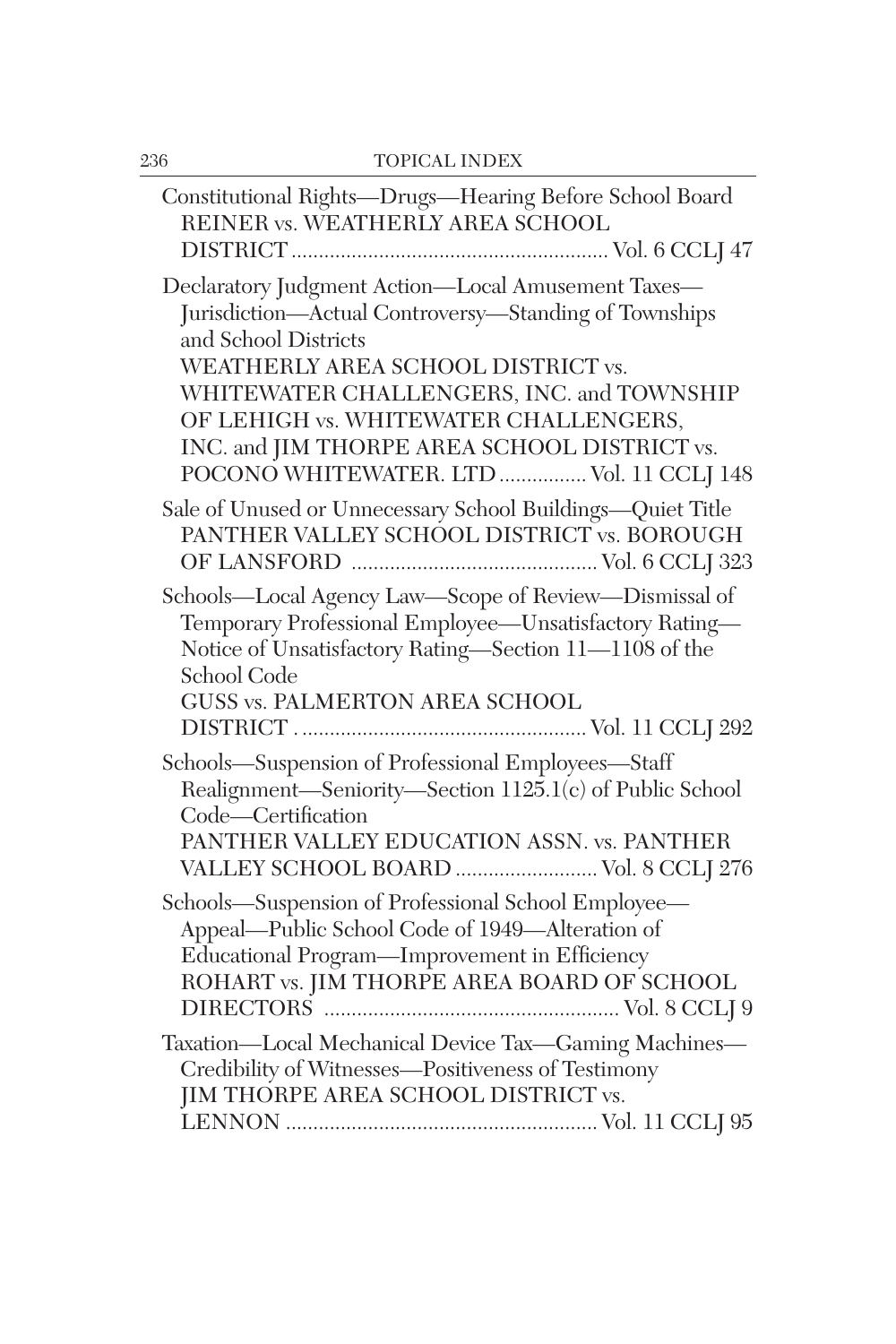| Constitutional Rights-Drugs-Hearing Before School Board<br>REINER vs. WEATHERLY AREA SCHOOL                                                                                                                                                                     |
|-----------------------------------------------------------------------------------------------------------------------------------------------------------------------------------------------------------------------------------------------------------------|
| Declaratory Judgment Action-Local Amusement Taxes-<br>Jurisdiction-Actual Controversy-Standing of Townships<br>and School Districts<br>WEATHERLY AREA SCHOOL DISTRICT vs.<br>WHITEWATER CHALLENGERS, INC. and TOWNSHIP<br>OF LEHIGH vs. WHITEWATER CHALLENGERS, |
| INC. and JIM THORPE AREA SCHOOL DISTRICT vs.<br>POCONO WHITEWATER. LTD  Vol. 11 CCLJ 148                                                                                                                                                                        |
| Sale of Unused or Unnecessary School Buildings-Quiet Title<br>PANTHER VALLEY SCHOOL DISTRICT vs. BOROUGH                                                                                                                                                        |
| Schools-Local Agency Law-Scope of Review-Dismissal of<br>Temporary Professional Employee-Unsatisfactory Rating-<br>Notice of Unsatisfactory Rating-Section 11-1108 of the<br>School Code<br>GUSS vs. PALMERTON AREA SCHOOL                                      |
| Schools-Suspension of Professional Employees-Staff<br>Realignment-Seniority-Section 1125.1(c) of Public School<br>Code-Certification<br>PANTHER VALLEY EDUCATION ASSN. vs. PANTHER<br>VALLEY SCHOOL BOARD  Vol. 8 CCLJ 276                                      |
| Schools—Suspension of Professional School Employee—<br>Appeal—Public School Code of 1949—Alteration of<br>Educational Program-Improvement in Efficiency<br>ROHART vs. JIM THORPE AREA BOARD OF SCHOOL                                                           |
| Taxation-Local Mechanical Device Tax-Gaming Machines-<br>Credibility of Witnesses-Positiveness of Testimony<br>JIM THORPE AREA SCHOOL DISTRICT vs.                                                                                                              |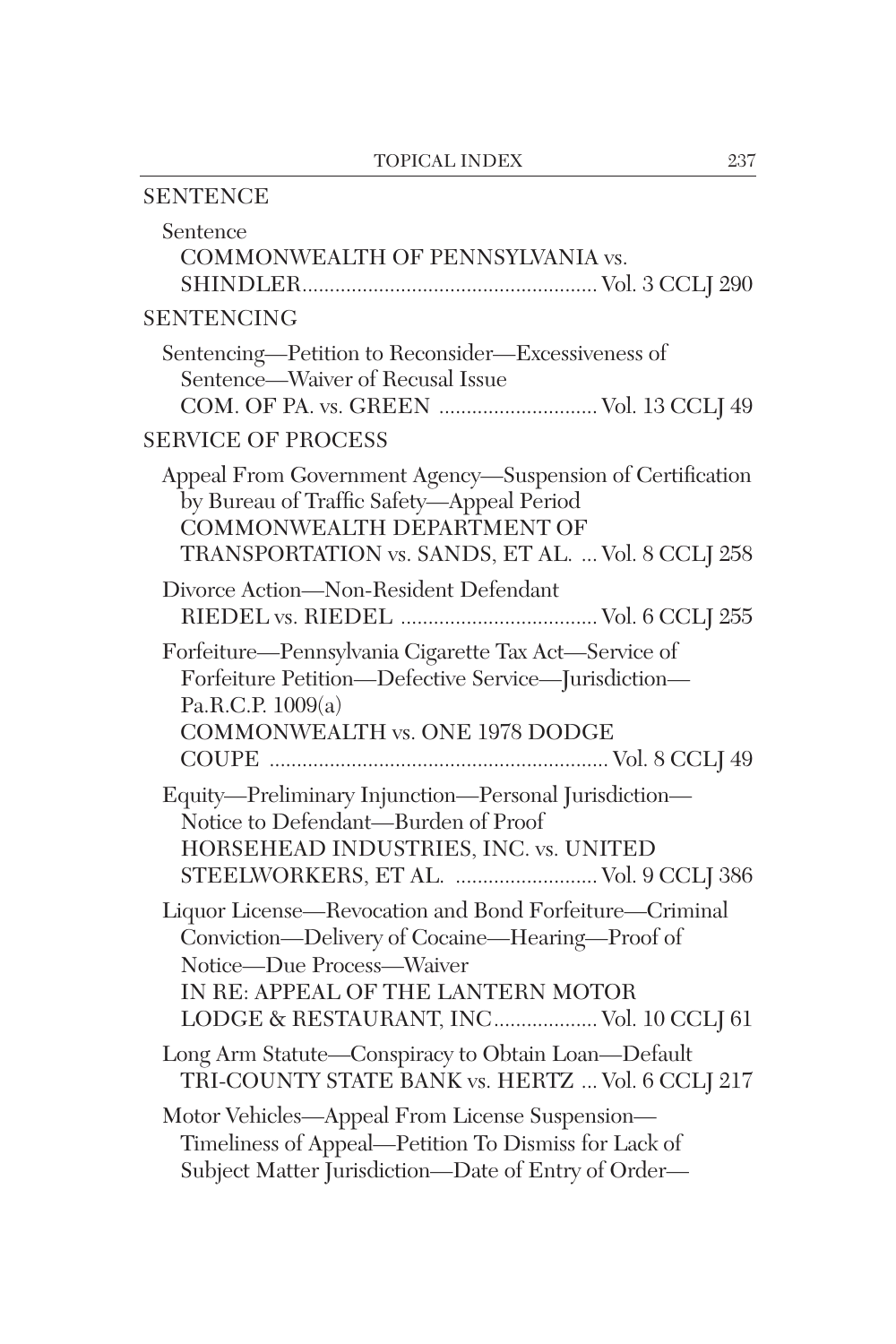| <b>SENTENCE</b>                                                                                                                                                                                                         |
|-------------------------------------------------------------------------------------------------------------------------------------------------------------------------------------------------------------------------|
| Sentence<br>COMMONWEALTH OF PENNSYLVANIA vs.                                                                                                                                                                            |
| <b>SENTENCING</b>                                                                                                                                                                                                       |
| Sentencing-Petition to Reconsider-Excessiveness of<br>Sentence-Waiver of Recusal Issue<br>COM. OF PA. vs. GREEN  Vol. 13 CCLJ 49                                                                                        |
| <b>SERVICE OF PROCESS</b>                                                                                                                                                                                               |
| Appeal From Government Agency-Suspension of Certification<br>by Bureau of Traffic Safety-Appeal Period<br>COMMONWEALTH DEPARTMENT OF<br>TRANSPORTATION vs. SANDS, ET AL.  Vol. 8 CCLJ 258                               |
| Divorce Action-Non-Resident Defendant                                                                                                                                                                                   |
| Forfeiture-Pennsylvania Cigarette Tax Act-Service of<br>Forfeiture Petition-Defective Service-Jurisdiction-<br>Pa.R.C.P. 1009(a)<br><b>COMMONWEALTH vs. ONE 1978 DODGE</b>                                              |
| Equity-Preliminary Injunction-Personal Jurisdiction-<br>Notice to Defendant-Burden of Proof<br>HORSEHEAD INDUSTRIES, INC. vs. UNITED<br>STEELWORKERS, ET AL.  Vol. 9 CCLJ 386                                           |
| Liquor License-Revocation and Bond Forfeiture-Criminal<br>Conviction-Delivery of Cocaine-Hearing-Proof of<br>Notice-Due Process-Waiver<br>IN RE: APPEAL OF THE LANTERN MOTOR<br>LODGE & RESTAURANT, INC Vol. 10 CCLJ 61 |
| Long Arm Statute-Conspiracy to Obtain Loan-Default<br>TRI-COUNTY STATE BANK vs. HERTZ  Vol. 6 CCLJ 217                                                                                                                  |
| Motor Vehicles-Appeal From License Suspension-<br>Timeliness of Appeal—Petition To Dismiss for Lack of<br>Subject Matter Jurisdiction-Date of Entry of Order-                                                           |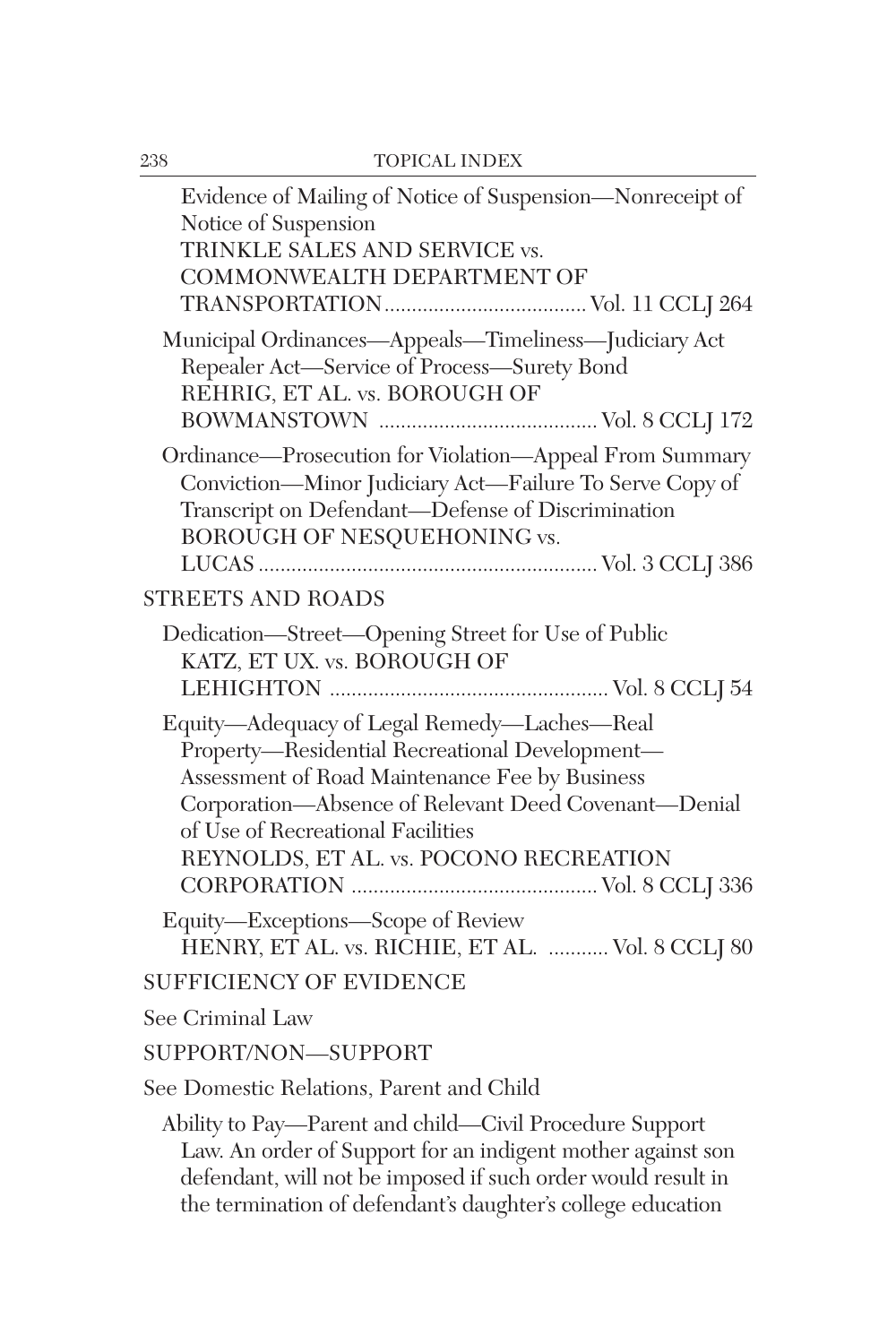| Evidence of Mailing of Notice of Suspension-Nonreceipt of<br>Notice of Suspension<br>TRINKLE SALES AND SERVICE vs.<br>COMMONWEALTH DEPARTMENT OF                                                                                                                                       |
|----------------------------------------------------------------------------------------------------------------------------------------------------------------------------------------------------------------------------------------------------------------------------------------|
|                                                                                                                                                                                                                                                                                        |
| Municipal Ordinances-Appeals-Timeliness-Judiciary Act<br>Repealer Act-Service of Process-Surety Bond<br>REHRIG, ET AL. vs. BOROUGH OF                                                                                                                                                  |
| Ordinance-Prosecution for Violation-Appeal From Summary<br>Conviction-Minor Judiciary Act-Failure To Serve Copy of<br>Transcript on Defendant-Defense of Discrimination<br>BOROUGH OF NESQUEHONING vs.                                                                                 |
| STREETS AND ROADS                                                                                                                                                                                                                                                                      |
| Dedication-Street-Opening Street for Use of Public<br>KATZ, ET UX. vs. BOROUGH OF                                                                                                                                                                                                      |
| Equity-Adequacy of Legal Remedy-Laches-Real<br>Property-Residential Recreational Development-<br>Assessment of Road Maintenance Fee by Business<br>Corporation-Absence of Relevant Deed Covenant-Denial<br>of Use of Recreational Facilities<br>REYNOLDS, ET AL. vs. POCONO RECREATION |
| Equity-Exceptions-Scope of Review<br>HENRY, ET AL. vs. RICHIE, ET AL.  Vol. 8 CCLJ 80                                                                                                                                                                                                  |
| <b>SUFFICIENCY OF EVIDENCE</b>                                                                                                                                                                                                                                                         |
| See Criminal Law                                                                                                                                                                                                                                                                       |
| SUPPORT/NON-SUPPORT                                                                                                                                                                                                                                                                    |
| See Domestic Relations, Parent and Child                                                                                                                                                                                                                                               |
| Ability to Pay—Parent and child—Civil Procedure Support<br>Law. An order of Support for an indigent mother against son<br>defendant, will not be imposed if such order would result in<br>the termination of defendant's daughter's college education                                  |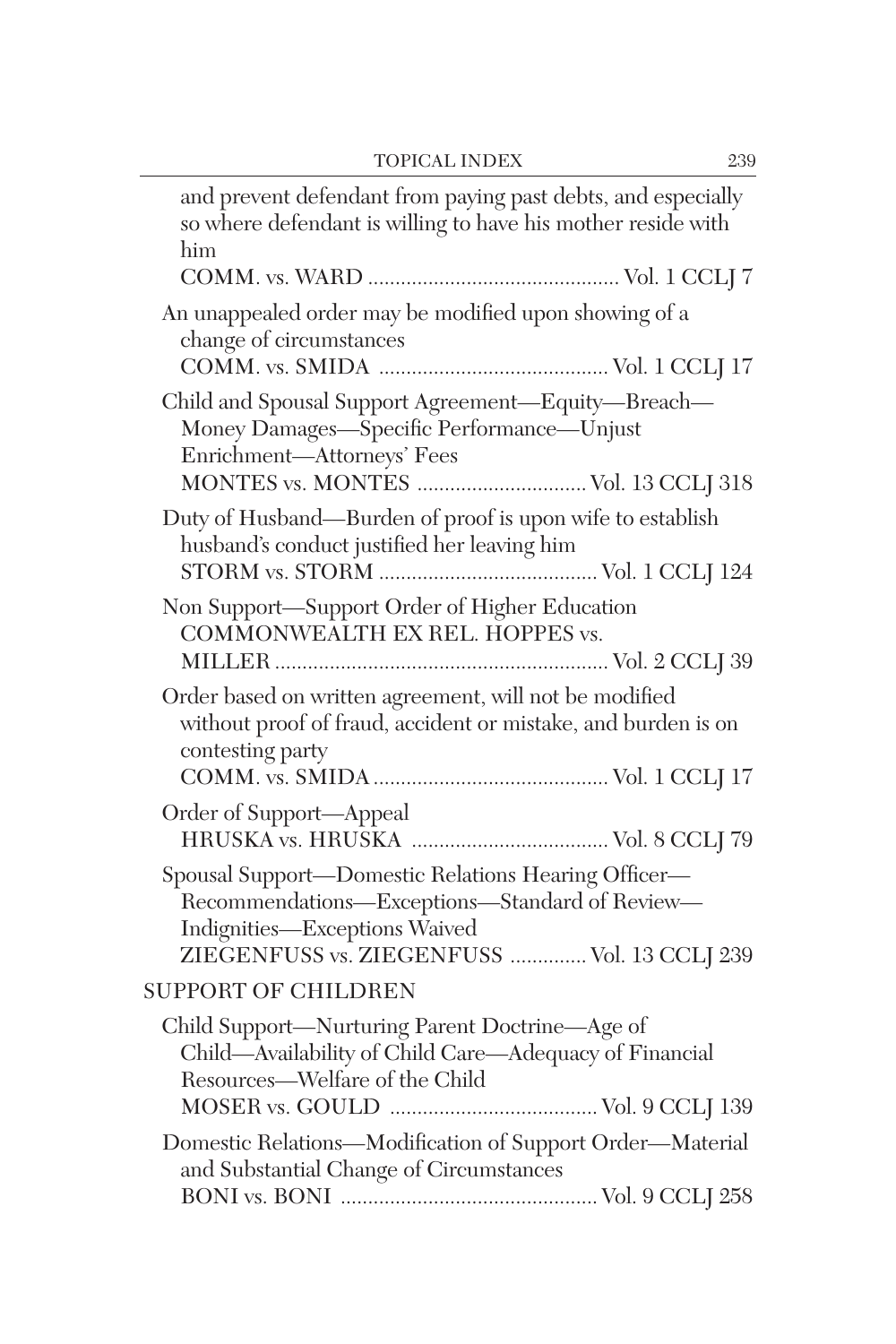| and prevent defendant from paying past debts, and especially<br>so where defendant is willing to have his mother reside with<br>him                                                   |
|---------------------------------------------------------------------------------------------------------------------------------------------------------------------------------------|
| An unappealed order may be modified upon showing of a<br>change of circumstances                                                                                                      |
| Child and Spousal Support Agreement-Equity-Breach-<br>Money Damages-Specific Performance-Unjust<br>Enrichment-Attorneys' Fees<br>MONTES vs. MONTES  Vol. 13 CCLJ 318                  |
| Duty of Husband-Burden of proof is upon wife to establish<br>husband's conduct justified her leaving him                                                                              |
| Non Support-Support Order of Higher Education<br>COMMONWEALTH EX REL. HOPPES vs.                                                                                                      |
| Order based on written agreement, will not be modified<br>without proof of fraud, accident or mistake, and burden is on<br>contesting party                                           |
| Order of Support-Appeal                                                                                                                                                               |
| Spousal Support-Domestic Relations Hearing Officer-<br>Recommendations-Exceptions-Standard of Review-<br>Indignities-Exceptions Waived<br>ZIEGENFUSS vs. ZIEGENFUSS  Vol. 13 CCLJ 239 |
| <b>SUPPORT OF CHILDREN</b>                                                                                                                                                            |
| Child Support—Nurturing Parent Doctrine—Age of<br>Child—Availability of Child Care—Adequacy of Financial<br>Resources—Welfare of the Child                                            |
| Domestic Relations-Modification of Support Order-Material<br>and Substantial Change of Circumstances                                                                                  |
|                                                                                                                                                                                       |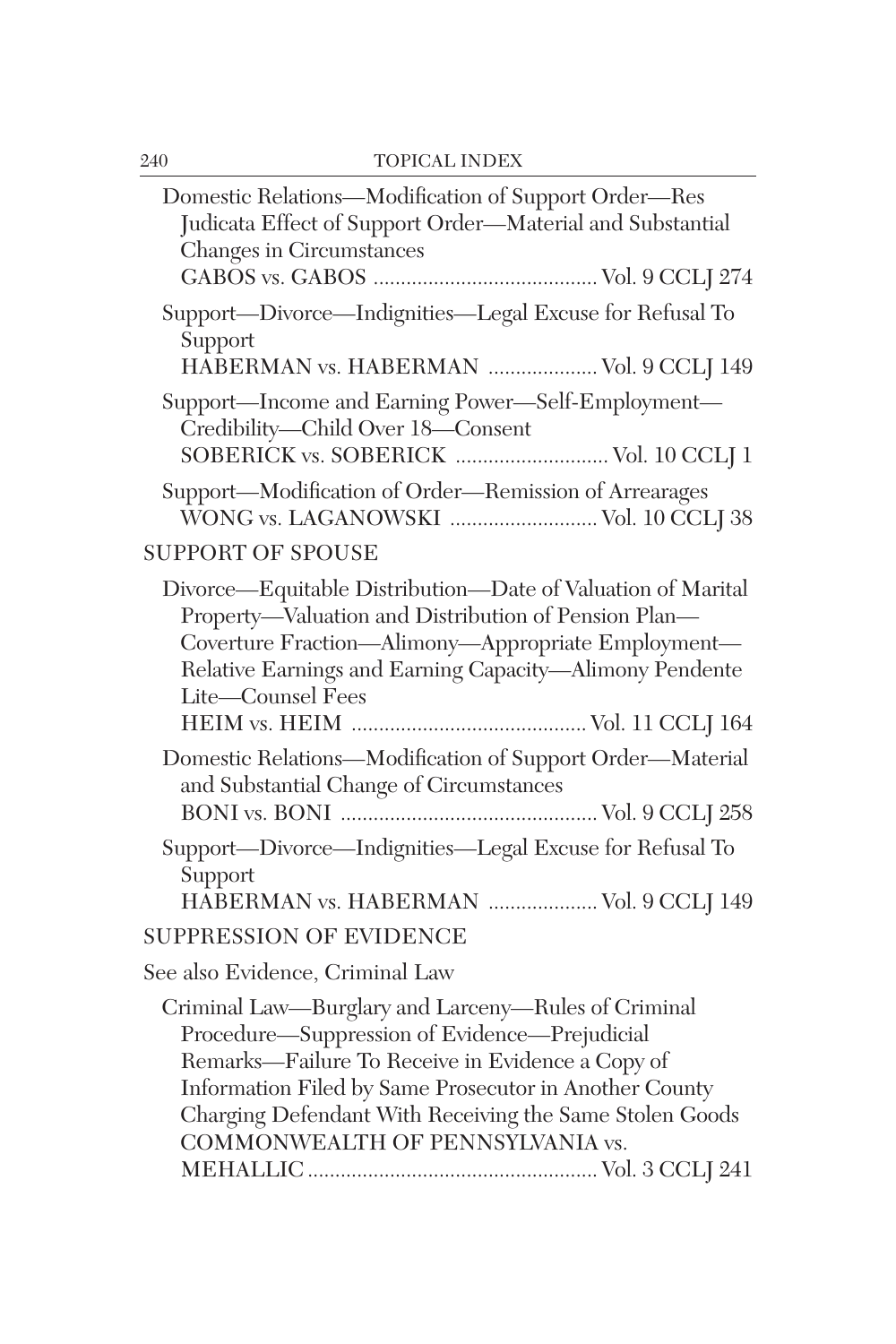| Domestic Relations-Modification of Support Order-Res<br>Judicata Effect of Support Order-Material and Substantial<br>Changes in Circumstances                                                                                                                                                                     |
|-------------------------------------------------------------------------------------------------------------------------------------------------------------------------------------------------------------------------------------------------------------------------------------------------------------------|
| Support-Divorce-Indignities-Legal Excuse for Refusal To<br>Support<br>HABERMAN vs. HABERMAN  Vol. 9 CCLJ 149                                                                                                                                                                                                      |
| Support-Income and Earning Power-Self-Employment-<br>Credibility-Child Over 18-Consent<br>SOBERICK vs. SOBERICK  Vol. 10 CCLJ 1                                                                                                                                                                                   |
| Support-Modification of Order-Remission of Arrearages<br>WONG vs. LAGANOWSKI  Vol. 10 CCLJ 38                                                                                                                                                                                                                     |
| <b>SUPPORT OF SPOUSE</b>                                                                                                                                                                                                                                                                                          |
| Divorce—Equitable Distribution—Date of Valuation of Marital<br>Property-Valuation and Distribution of Pension Plan-<br>Coverture Fraction-Alimony-Appropriate Employment-<br>Relative Earnings and Earning Capacity-Alimony Pendente<br>Lite-Counsel Fees                                                         |
| Domestic Relations-Modification of Support Order-Material<br>and Substantial Change of Circumstances                                                                                                                                                                                                              |
| Support-Divorce-Indignities-Legal Excuse for Refusal To<br>Support<br>HABERMAN vs. HABERMAN  Vol. 9 CCLJ 149                                                                                                                                                                                                      |
| <b>SUPPRESSION OF EVIDENCE</b>                                                                                                                                                                                                                                                                                    |
| See also Evidence, Criminal Law                                                                                                                                                                                                                                                                                   |
| Criminal Law-Burglary and Larceny-Rules of Criminal<br>Procedure-Suppression of Evidence-Prejudicial<br>Remarks—Failure To Receive in Evidence a Copy of<br>Information Filed by Same Prosecutor in Another County<br>Charging Defendant With Receiving the Same Stolen Goods<br>COMMONWEALTH OF PENNSYLVANIA vs. |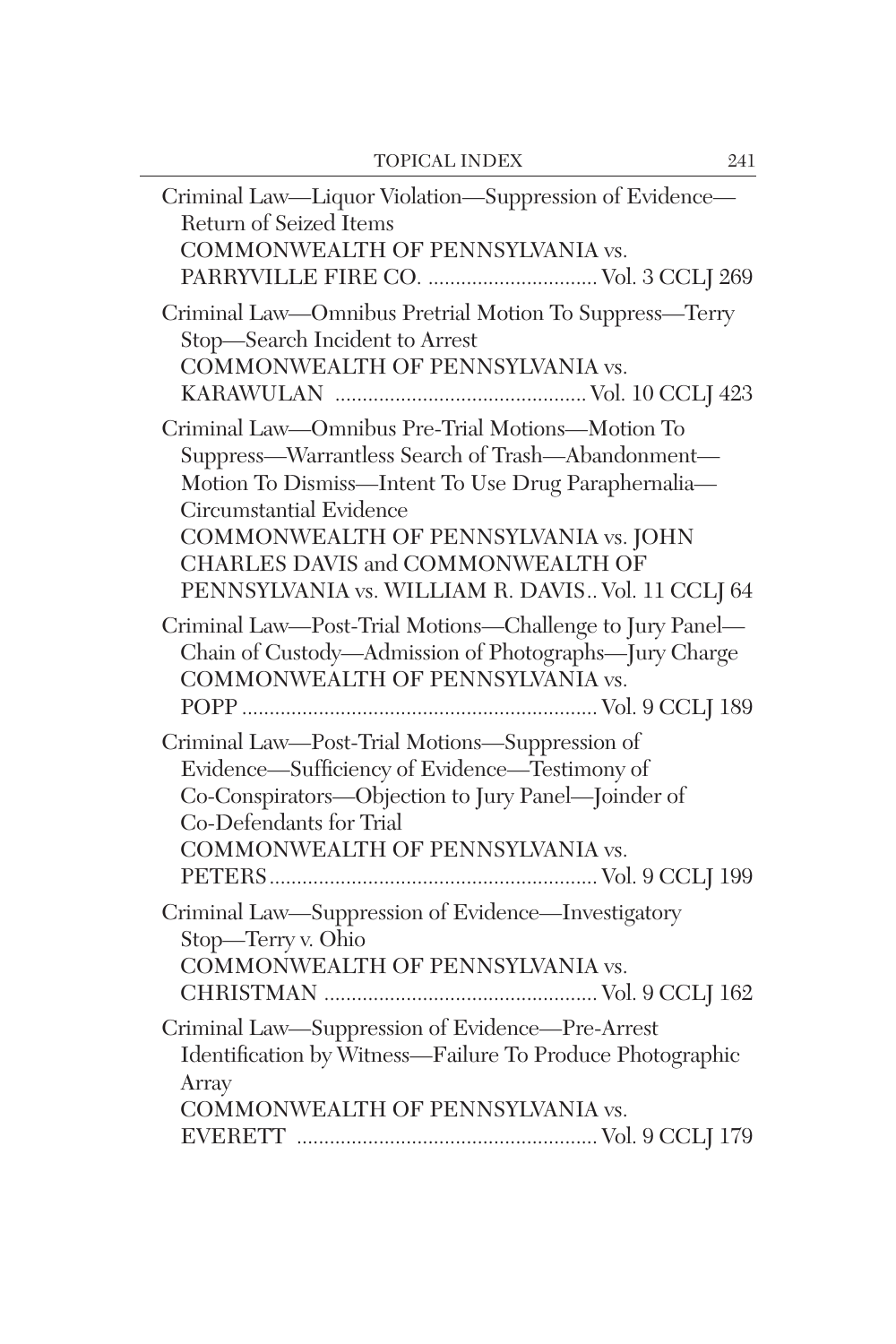| Criminal Law-Liquor Violation-Suppression of Evidence-<br>Return of Seized Items<br>COMMONWEALTH OF PENNSYLVANIA vs.                                                                                                                                                                                                       |
|----------------------------------------------------------------------------------------------------------------------------------------------------------------------------------------------------------------------------------------------------------------------------------------------------------------------------|
| Criminal Law-Omnibus Pretrial Motion To Suppress-Terry<br>Stop-Search Incident to Arrest<br>COMMONWEALTH OF PENNSYLVANIA vs.                                                                                                                                                                                               |
| Criminal Law-Omnibus Pre-Trial Motions-Motion To<br>Suppress-Warrantless Search of Trash-Abandonment-<br>Motion To Dismiss-Intent To Use Drug Paraphernalia-<br>Circumstantial Evidence<br>COMMONWEALTH OF PENNSYLVANIA vs. JOHN<br>CHARLES DAVIS and COMMONWEALTH OF<br>PENNSYLVANIA vs. WILLIAM R. DAVIS Vol. 11 CCLJ 64 |
| Criminal Law-Post-Trial Motions-Challenge to Jury Panel-<br>Chain of Custody-Admission of Photographs-Jury Charge<br>COMMONWEALTH OF PENNSYLVANIA vs.                                                                                                                                                                      |
| Criminal Law-Post-Trial Motions-Suppression of<br>Evidence—Sufficiency of Evidence—Testimony of<br>Co-Conspirators—Objection to Jury Panel—Joinder of<br>Co-Defendants for Trial<br>COMMONWEALTH OF PENNSYLVANIA vs.                                                                                                       |
| Criminal Law-Suppression of Evidence-Investigatory<br>Stop-Terry v. Ohio<br>COMMONWEALTH OF PENNSYLVANIA vs.                                                                                                                                                                                                               |
| Criminal Law-Suppression of Evidence-Pre-Arrest<br>Identification by Witness-Failure To Produce Photographic<br>Array<br>COMMONWEALTH OF PENNSYLVANIA vs.                                                                                                                                                                  |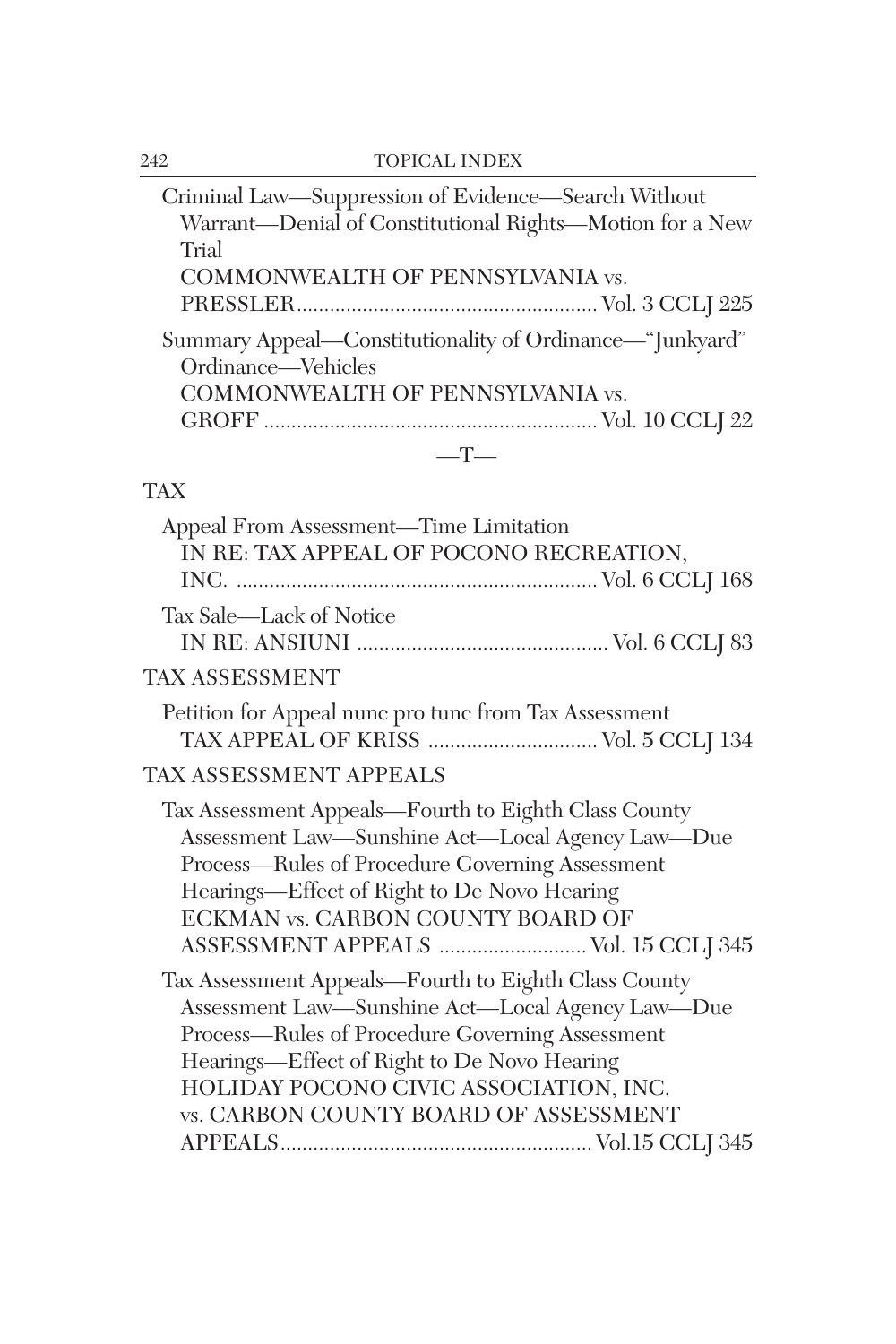| Criminal Law-Suppression of Evidence-Search Without      |
|----------------------------------------------------------|
| Warrant-Denial of Constitutional Rights-Motion for a New |
| Trial                                                    |
| COMMONWEALTH OF PENNSYLVANIA vs.                         |
|                                                          |
| Summary Appeal—Constitutionality of Ordinance—"Junkyard" |
| Ordinance—Vehicles                                       |
| COMMONWEALTH OF PENNSYLVANIA vs.                         |
|                                                          |
|                                                          |

# TAX

| Appeal From Assessment-Time Limitation<br>IN RE: TAX APPEAL OF POCONO RECREATION,                                                                                                                                                                                                                    |  |
|------------------------------------------------------------------------------------------------------------------------------------------------------------------------------------------------------------------------------------------------------------------------------------------------------|--|
| Tax Sale—Lack of Notice                                                                                                                                                                                                                                                                              |  |
| TAX ASSESSMENT                                                                                                                                                                                                                                                                                       |  |
| Petition for Appeal nunc pro tunc from Tax Assessment<br>TAX APPEAL OF KRISS  Vol. 5 CCLJ 134                                                                                                                                                                                                        |  |
| <b>TAX ASSESSMENT APPEALS</b>                                                                                                                                                                                                                                                                        |  |
| Tax Assessment Appeals—Fourth to Eighth Class County<br>Assessment Law-Sunshine Act-Local Agency Law-Due<br>Process—Rules of Procedure Governing Assessment<br>Hearings—Effect of Right to De Novo Hearing<br>ECKMAN vs. CARBON COUNTY BOARD OF<br>ASSESSMENT APPEALS  Vol. 15 CCLJ 345              |  |
| Tax Assessment Appeals—Fourth to Eighth Class County<br>Assessment Law—Sunshine Act—Local Agency Law—Due<br>Process—Rules of Procedure Governing Assessment<br>Hearings-Effect of Right to De Novo Hearing<br>HOLIDAY POCONO CIVIC ASSOCIATION, INC.<br><b>vs. CARBON COUNTY BOARD OF ASSESSMENT</b> |  |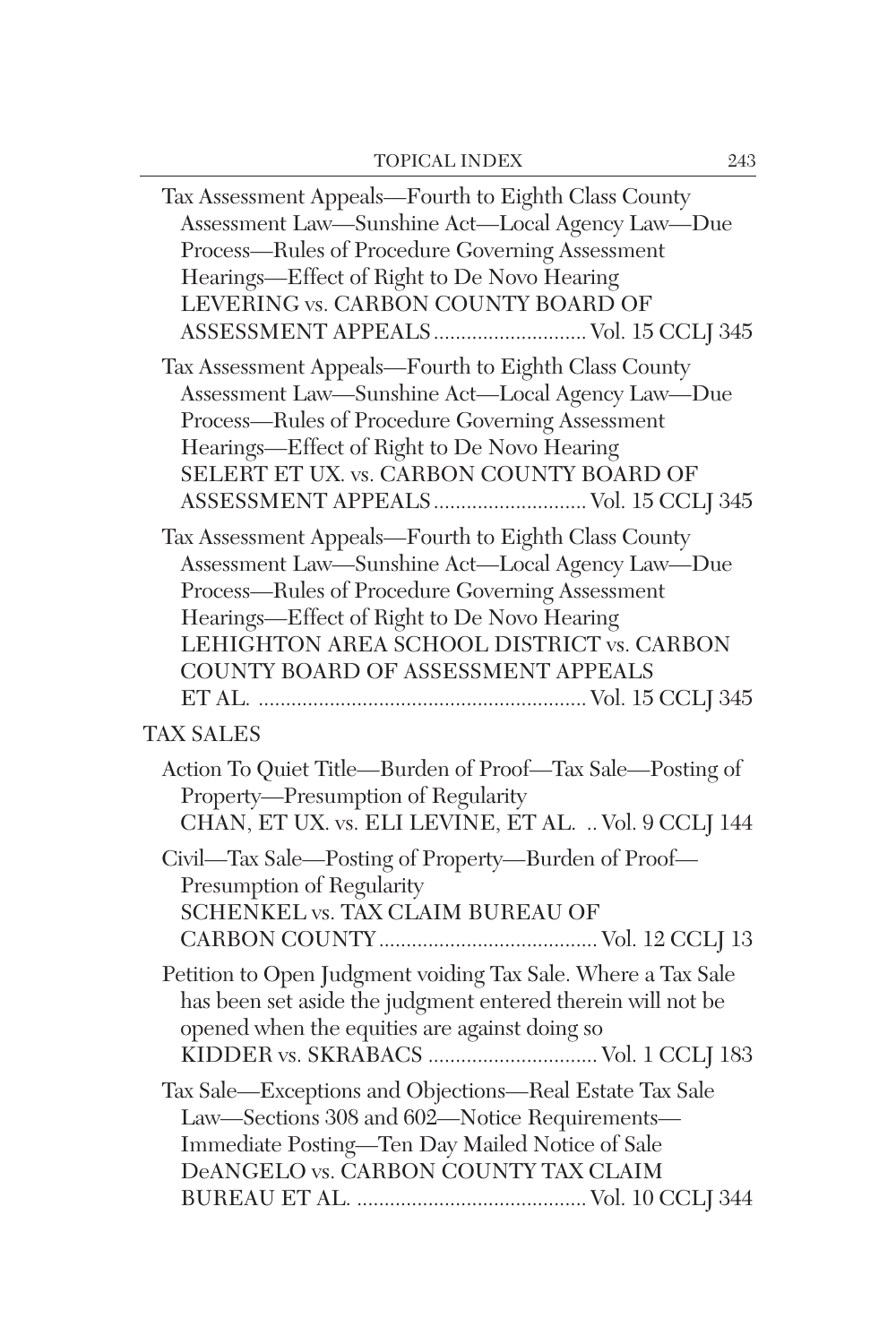| Tax Assessment Appeals-Fourth to Eighth Class County<br>Assessment Law-Sunshine Act-Local Agency Law-Due<br>Process-Rules of Procedure Governing Assessment<br>Hearings-Effect of Right to De Novo Hearing<br>LEVERING vs. CARBON COUNTY BOARD OF<br>ASSESSMENT APPEALS Vol. 15 CCLJ 345      |
|-----------------------------------------------------------------------------------------------------------------------------------------------------------------------------------------------------------------------------------------------------------------------------------------------|
| Tax Assessment Appeals-Fourth to Eighth Class County<br>Assessment Law-Sunshine Act-Local Agency Law-Due<br>Process-Rules of Procedure Governing Assessment<br>Hearings-Effect of Right to De Novo Hearing<br>SELERT ET UX. vs. CARBON COUNTY BOARD OF<br>ASSESSMENT APPEALS Vol. 15 CCLJ 345 |
| Tax Assessment Appeals-Fourth to Eighth Class County<br>Assessment Law-Sunshine Act-Local Agency Law-Due<br>Process-Rules of Procedure Governing Assessment<br>Hearings-Effect of Right to De Novo Hearing<br>LEHIGHTON AREA SCHOOL DISTRICT vs. CARBON<br>COUNTY BOARD OF ASSESSMENT APPEALS |
| <b>TAX SALES</b>                                                                                                                                                                                                                                                                              |
| Action To Quiet Title—Burden of Proof—Tax Sale—Posting of<br>Property-Presumption of Regularity<br>CHAN, ET UX. vs. ELI LEVINE, ET AL.  Vol. 9 CCLJ 144                                                                                                                                       |
| Civil-Tax Sale-Posting of Property-Burden of Proof-<br>Presumption of Regularity<br>SCHENKEL vs. TAX CLAIM BUREAU OF                                                                                                                                                                          |
| Petition to Open Judgment voiding Tax Sale. Where a Tax Sale<br>has been set aside the judgment entered therein will not be<br>opened when the equities are against doing so<br>KIDDER vs. SKRABACS  Vol. 1 CCLJ 183                                                                          |
| Tax Sale-Exceptions and Objections-Real Estate Tax Sale<br>Law-Sections 308 and 602-Notice Requirements-<br>Immediate Posting-Ten Day Mailed Notice of Sale<br>DeANGELO vs. CARBON COUNTY TAX CLAIM                                                                                           |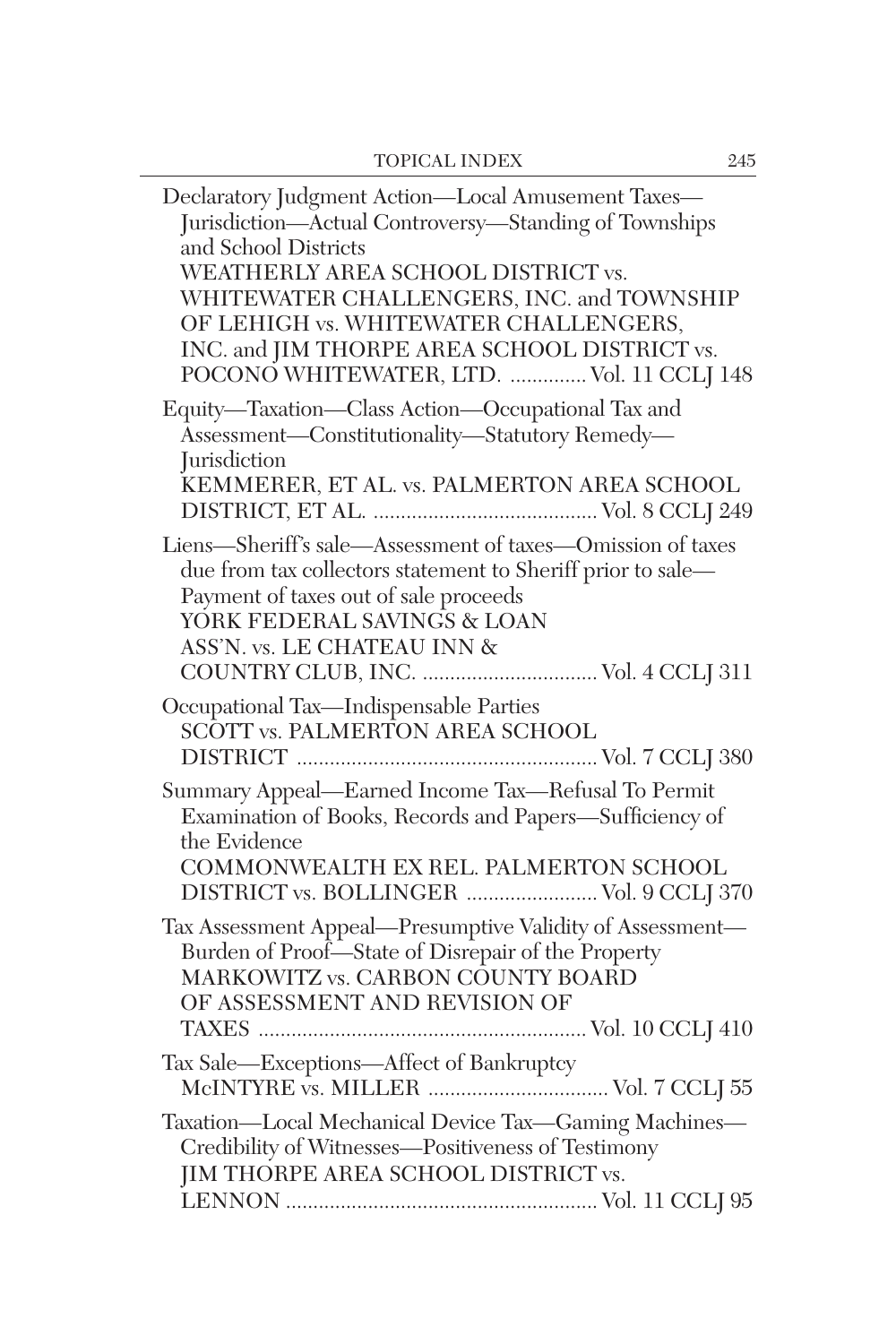| Declaratory Judgment Action-Local Amusement Taxes-<br>Jurisdiction-Actual Controversy-Standing of Townships<br>and School Districts<br>WEATHERLY AREA SCHOOL DISTRICT vs.<br>WHITEWATER CHALLENGERS, INC. and TOWNSHIP<br>OF LEHIGH vs. WHITEWATER CHALLENGERS,<br>INC. and JIM THORPE AREA SCHOOL DISTRICT vs.<br>POCONO WHITEWATER, LTD.  Vol. 11 CCLJ 148 |
|--------------------------------------------------------------------------------------------------------------------------------------------------------------------------------------------------------------------------------------------------------------------------------------------------------------------------------------------------------------|
| Equity-Taxation-Class Action-Occupational Tax and<br>Assessment-Constitutionality-Statutory Remedy-<br><i><u>Iurisdiction</u></i><br>KEMMERER, ET AL. vs. PALMERTON AREA SCHOOL                                                                                                                                                                              |
| Liens-Sheriff's sale-Assessment of taxes-Omission of taxes<br>due from tax collectors statement to Sheriff prior to sale-<br>Payment of taxes out of sale proceeds<br>YORK FEDERAL SAVINGS & LOAN<br>ASS'N. vs. LE CHATEAU INN &                                                                                                                             |
| Occupational Tax-Indispensable Parties<br>SCOTT vs. PALMERTON AREA SCHOOL                                                                                                                                                                                                                                                                                    |
| Summary Appeal-Earned Income Tax-Refusal To Permit<br>Examination of Books, Records and Papers-Sufficiency of<br>the Evidence<br>COMMONWEALTH EX REL. PALMERTON SCHOOL<br>DISTRICT vs. BOLLINGER  Vol. 9 CCLJ 370                                                                                                                                            |
| Tax Assessment Appeal-Presumptive Validity of Assessment-<br>Burden of Proof-State of Disrepair of the Property<br>MARKOWITZ vs. CARBON COUNTY BOARD<br>OF ASSESSMENT AND REVISION OF                                                                                                                                                                        |
| Tax Sale-Exceptions-Affect of Bankruptcy                                                                                                                                                                                                                                                                                                                     |
| Taxation-Local Mechanical Device Tax-Gaming Machines-<br>Credibility of Witnesses-Positiveness of Testimony<br>JIM THORPE AREA SCHOOL DISTRICT vs.                                                                                                                                                                                                           |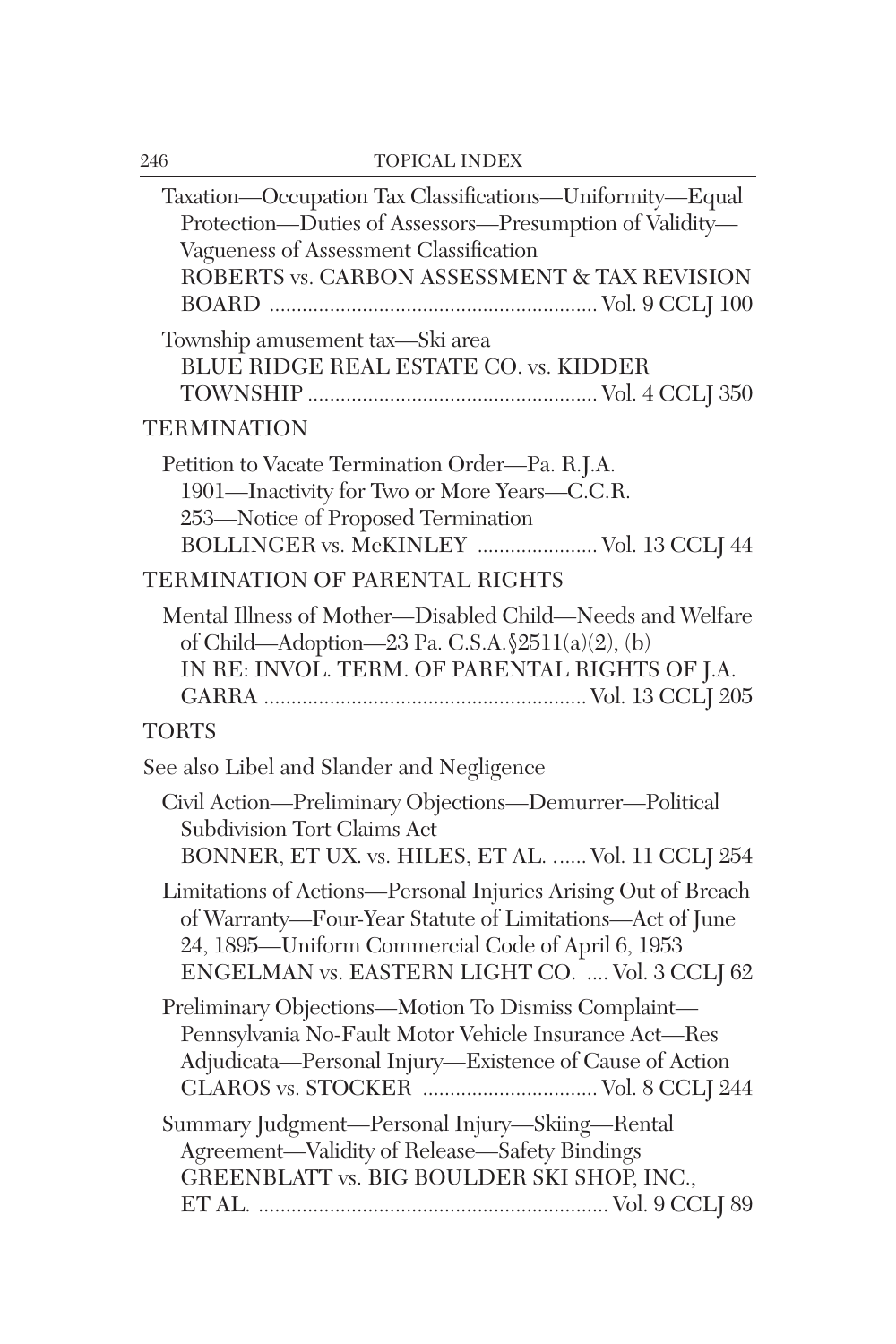| Taxation-Occupation Tax Classifications-Uniformity-Equal<br>Protection-Duties of Assessors-Presumption of Validity-<br>Vagueness of Assessment Classification<br>ROBERTS vs. CARBON ASSESSMENT & TAX REVISION                     |
|-----------------------------------------------------------------------------------------------------------------------------------------------------------------------------------------------------------------------------------|
| Township amusement tax—Ski area<br>BLUE RIDGE REAL ESTATE CO. vs. KIDDER                                                                                                                                                          |
| <b>TERMINATION</b>                                                                                                                                                                                                                |
| Petition to Vacate Termination Order-Pa. R.J.A.<br>1901-Inactivity for Two or More Years-C.C.R.<br>253-Notice of Proposed Termination<br>BOLLINGER vs. McKINLEY  Vol. 13 CCLJ 44                                                  |
| TERMINATION OF PARENTAL RIGHTS                                                                                                                                                                                                    |
| Mental Illness of Mother-Disabled Child-Needs and Welfare<br>of Child—Adoption—23 Pa. C.S.A. $\frac{2511(a)(2)}{b}$<br>IN RE: INVOL. TERM. OF PARENTAL RIGHTS OF J.A.                                                             |
| <b>TORTS</b>                                                                                                                                                                                                                      |
| See also Libel and Slander and Negligence                                                                                                                                                                                         |
| Civil Action-Preliminary Objections-Demurrer-Political<br>Subdivision Tort Claims Act<br>BONNER, ET UX. vs. HILES, ET AL.  Vol. 11 CCLJ 254                                                                                       |
| Limitations of Actions-Personal Injuries Arising Out of Breach<br>of Warranty-Four-Year Statute of Limitations-Act of June<br>24, 1895-Uniform Commercial Code of April 6, 1953<br>ENGELMAN vs. EASTERN LIGHT CO.  Vol. 3 CCLJ 62 |
| Preliminary Objections-Motion To Dismiss Complaint-<br>Pennsylvania No-Fault Motor Vehicle Insurance Act-Res<br>Adjudicata-Personal Injury-Existence of Cause of Action<br>GLAROS vs. STOCKER  Vol. 8 CCLJ 244                    |
| Summary Judgment-Personal Injury-Skiing-Rental<br>Agreement-Validity of Release-Safety Bindings<br>GREENBLATT vs. BIG BOULDER SKI SHOP, INC.,                                                                                     |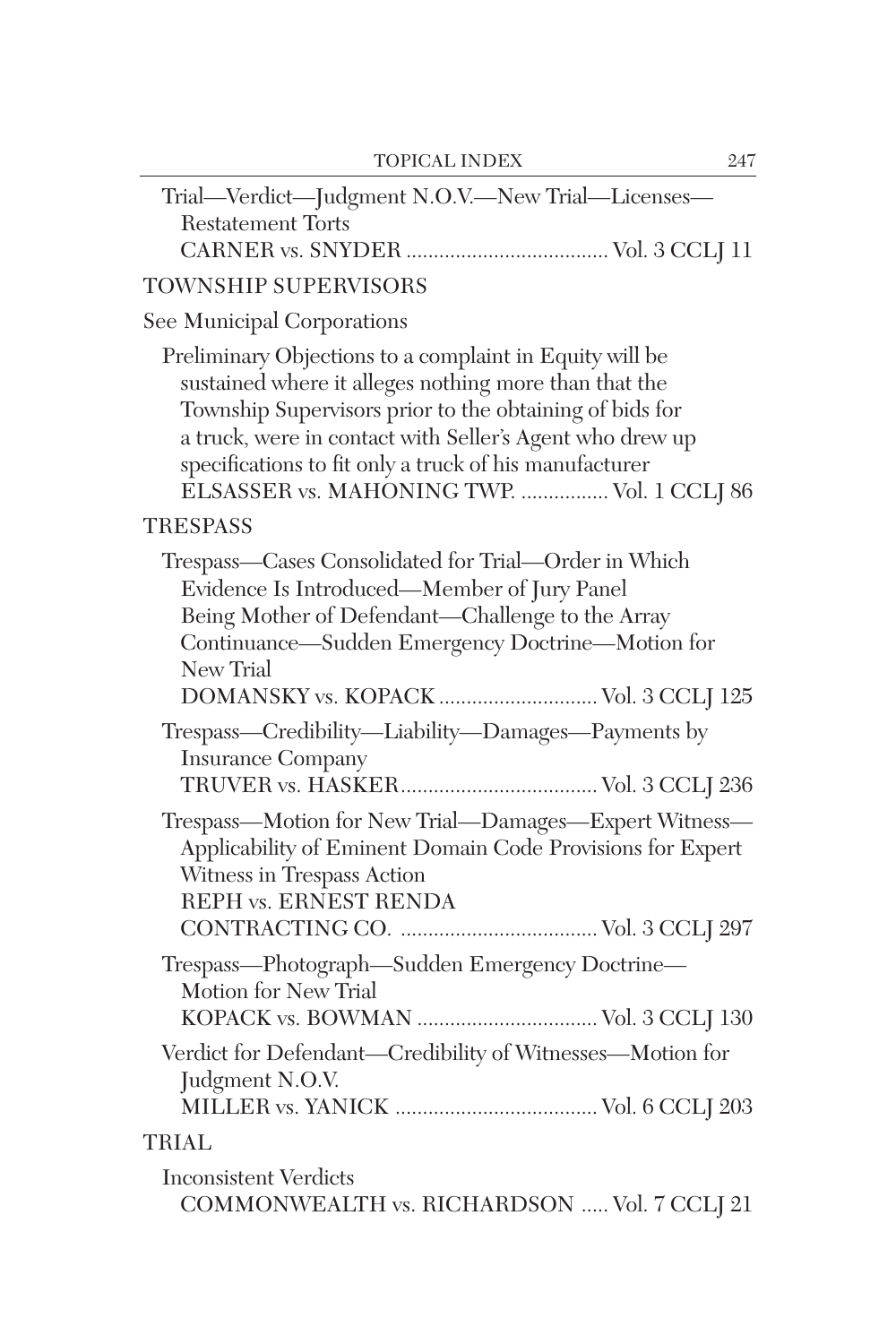| Trial-Verdict-Judgment N.O.V.-New Trial-Licenses-<br><b>Restatement Torts</b>                                                                                                                                                                                                                                                                   |
|-------------------------------------------------------------------------------------------------------------------------------------------------------------------------------------------------------------------------------------------------------------------------------------------------------------------------------------------------|
| TOWNSHIP SUPERVISORS                                                                                                                                                                                                                                                                                                                            |
| See Municipal Corporations                                                                                                                                                                                                                                                                                                                      |
| Preliminary Objections to a complaint in Equity will be<br>sustained where it alleges nothing more than that the<br>Township Supervisors prior to the obtaining of bids for<br>a truck, were in contact with Seller's Agent who drew up<br>specifications to fit only a truck of his manufacturer<br>ELSASSER vs. MAHONING TWP.  Vol. 1 CCLJ 86 |
| <b>TRESPASS</b>                                                                                                                                                                                                                                                                                                                                 |
| Trespass-Cases Consolidated for Trial-Order in Which<br>Evidence Is Introduced—Member of Jury Panel<br>Being Mother of Defendant-Challenge to the Array<br>Continuance—Sudden Emergency Doctrine—Motion for<br>New Trial<br>DOMANSKY vs. KOPACK  Vol. 3 CCLJ 125                                                                                |
| Trespass-Credibility-Liability-Damages-Payments by<br><b>Insurance Company</b>                                                                                                                                                                                                                                                                  |
| Trespass-Motion for New Trial-Damages-Expert Witness-<br>Applicability of Eminent Domain Code Provisions for Expert<br>Witness in Trespass Action<br><b>REPH vs. ERNEST RENDA</b>                                                                                                                                                               |
| Trespass-Photograph-Sudden Emergency Doctrine-<br>Motion for New Trial                                                                                                                                                                                                                                                                          |
| Verdict for Defendant-Credibility of Witnesses-Motion for<br>Judgment N.O.V.                                                                                                                                                                                                                                                                    |
| TRIAL                                                                                                                                                                                                                                                                                                                                           |
| <b>Inconsistent Verdicts</b><br>COMMONWEALTH vs. RICHARDSON  Vol. 7 CCLJ 21                                                                                                                                                                                                                                                                     |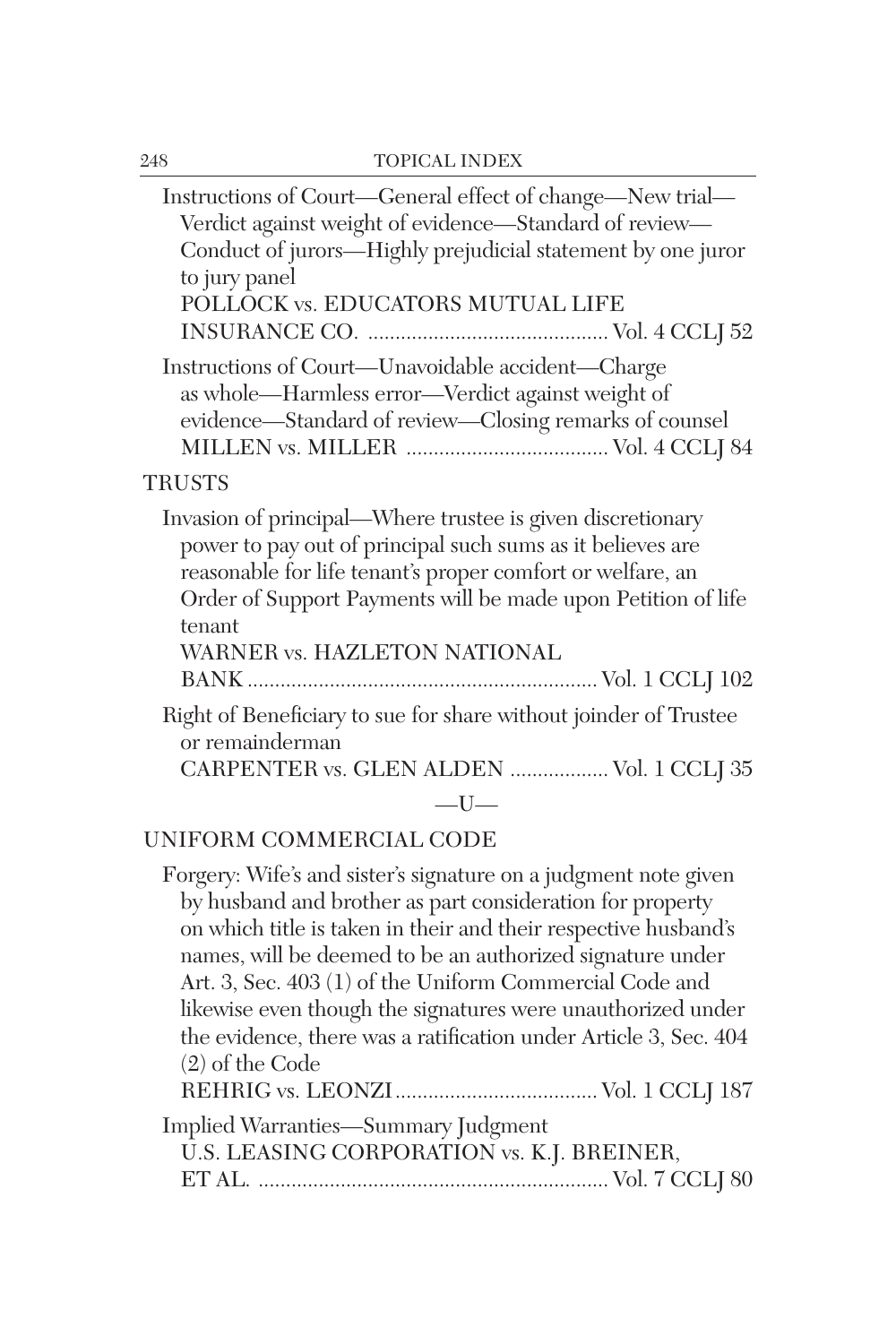| Instructions of Court—General effect of change—New trial—<br>Verdict against weight of evidence-Standard of review-<br>Conduct of jurors—Highly prejudicial statement by one juror<br>to jury panel<br>POLLOCK vs. EDUCATORS MUTUAL LIFE                                                         |
|--------------------------------------------------------------------------------------------------------------------------------------------------------------------------------------------------------------------------------------------------------------------------------------------------|
| Instructions of Court—Unavoidable accident—Charge<br>as whole—Harmless error—Verdict against weight of<br>evidence—Standard of review—Closing remarks of counsel                                                                                                                                 |
| <b>TRUSTS</b>                                                                                                                                                                                                                                                                                    |
| Invasion of principal—Where trustee is given discretionary<br>power to pay out of principal such sums as it believes are<br>reasonable for life tenant's proper comfort or welfare, an<br>Order of Support Payments will be made upon Petition of life<br>tenant<br>WARNER vs. HAZLETON NATIONAL |
| Right of Beneficiary to sue for share without joinder of Trustee<br>or remainderman                                                                                                                                                                                                              |
| CARPENTER vs. GLEN ALDEN  Vol. 1 CCLJ 35                                                                                                                                                                                                                                                         |
| $-I$ $J-$<br>INIIRADH COMMEDOLLE CODE                                                                                                                                                                                                                                                            |
|                                                                                                                                                                                                                                                                                                  |

UNIFORM COMMERCIAL CODE

Forgery: Wife's and sister's signature on a judgment note given by husband and brother as part consideration for property on which title is taken in their and their respective husband's names, will be deemed to be an authorized signature under Art. 3, Sec. 403 (1) of the Uniform Commercial Code and likewise even though the signatures were unauthorized under the evidence, there was a ratification under Article 3, Sec. 404 (2) of the Code REHRIG vs. LEONZI..................................... Vol. 1 CCLJ 187 Implied Warranties—Summary Judgment

U.S. LEASING CORPORATION vs. K.J. BREINER,

ET AL. ................................................................ Vol. 7 CCLJ 80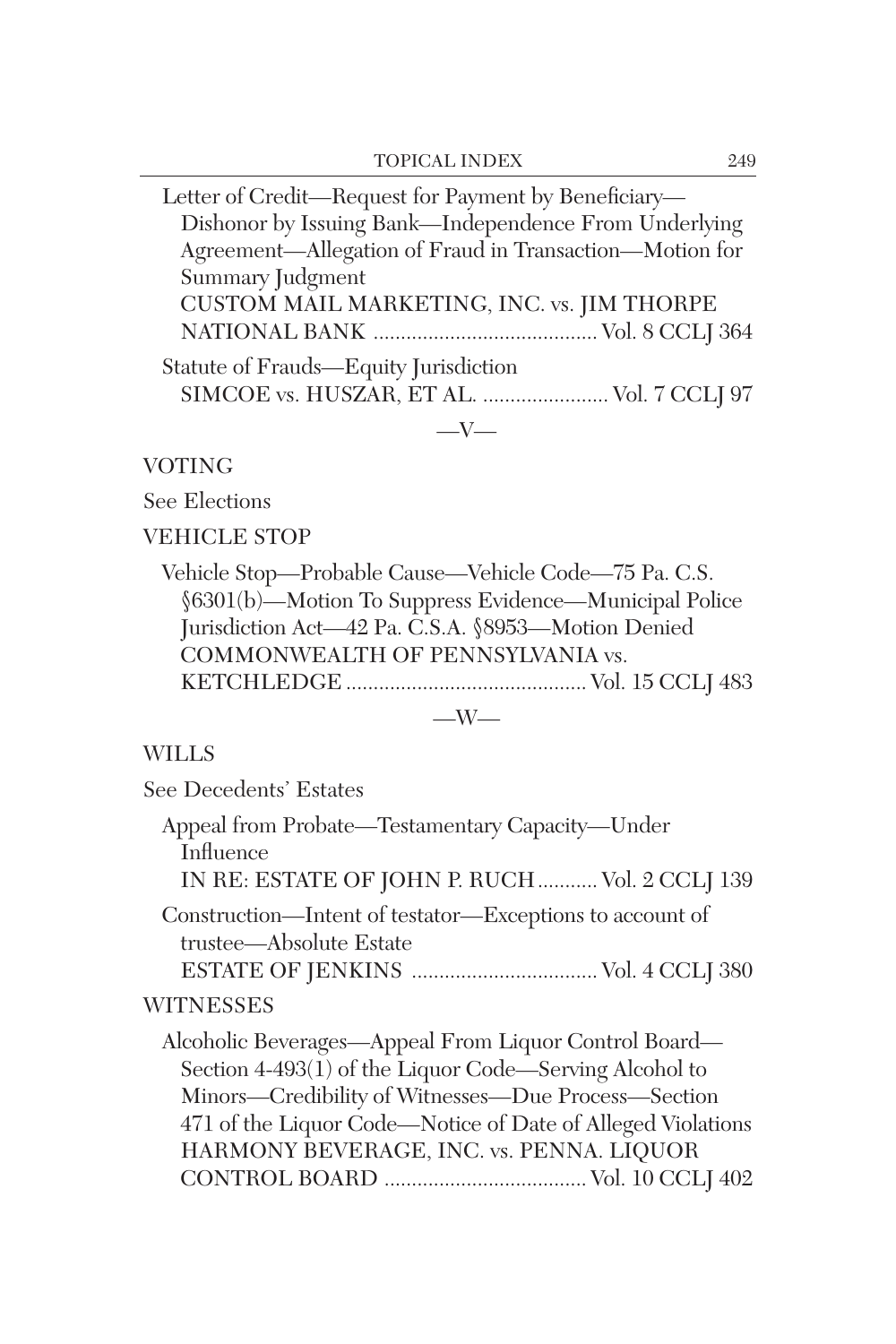Letter of Credit—Request for Payment by Beneficiary— Dishonor by Issuing Bank—Independence From Underlying Agreement—Allegation of Fraud in Transaction—Motion for Summary Judgment CUSTOM MAIL MARKETING, INC. vs. JIM THORPE NATIONAL BANK ......................................... Vol. 8 CCLJ 364 Statute of Frauds—Equity Jurisdiction SIMCOE vs. HUSZAR, ET AL. ....................... Vol. 7 CCLJ 97  $-V-$ 

## VOTING

See Elections

VEHICLE STOP

See Decedents' Estates

Vehicle Stop—Probable Cause—Vehicle Code—75 Pa. C.S. §6301(b)—Motion To Suppress Evidence—Municipal Police Jurisdiction Act—42 Pa. C.S.A. §8953—Motion Denied COMMONWEALTH OF PENNSYLVANIA vs. KETCHLEDGE ............................................ Vol. 15 CCLJ 483

## $-W-$

## WILLS

Appeal from Probate—Testamentary Capacity—Under Influence IN RE: ESTATE OF JOHN P. RUCH........... Vol. 2 CCLJ 139 Construction—Intent of testator—Exceptions to account of trustee—Absolute Estate ESTATE OF JENKINS .................................. Vol. 4 CCLJ 380 **WITNESSES** Alcoholic Beverages—Appeal From Liquor Control Board— Section 4-493(1) of the Liquor Code—Serving Alcohol to Minors—Credibility of Witnesses—Due Process—Section 471 of the Liquor Code—Notice of Date of Alleged Violations HARMONY BEVERAGE, INC. vs. PENNA. LIQUOR CONTROL BOARD ..................................... Vol. 10 CCLJ 402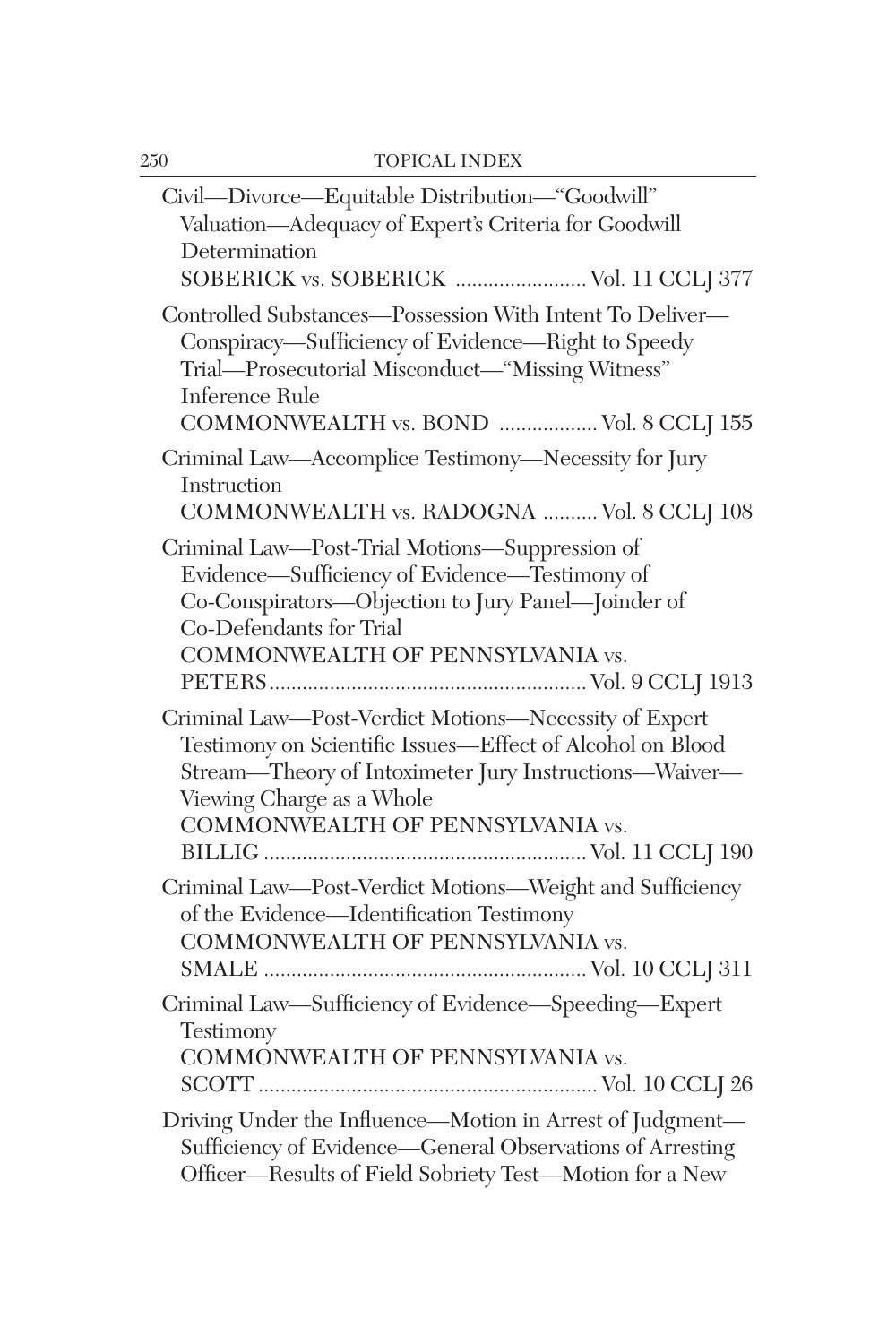| Civil—Divorce—Equitable Distribution—"Goodwill"<br>Valuation-Adequacy of Expert's Criteria for Goodwill<br>Determination<br>SOBERICK vs. SOBERICK  Vol. 11 CCLJ 377                                                                           |
|-----------------------------------------------------------------------------------------------------------------------------------------------------------------------------------------------------------------------------------------------|
| Controlled Substances-Possession With Intent To Deliver-<br>Conspiracy-Sufficiency of Evidence-Right to Speedy<br>Trial-Prosecutorial Misconduct-"Missing Witness"<br>Inference Rule<br>COMMONWEALTH vs. BOND  Vol. 8 CCLJ 155                |
| Criminal Law-Accomplice Testimony-Necessity for Jury<br>Instruction<br>COMMONWEALTH vs. RADOGNA  Vol. 8 CCLJ 108                                                                                                                              |
| Criminal Law-Post-Trial Motions-Suppression of<br>Evidence—Sufficiency of Evidence—Testimony of<br>Co-Conspirators-Objection to Jury Panel-Joinder of<br>Co-Defendants for Trial<br>COMMONWEALTH OF PENNSYLVANIA vs.                          |
| Criminal Law-Post-Verdict Motions-Necessity of Expert<br>Testimony on Scientific Issues-Effect of Alcohol on Blood<br>Stream-Theory of Intoximeter Jury Instructions-Waiver-<br>Viewing Charge as a Whole<br>COMMONWEALTH OF PENNSYLVANIA vs. |
| Criminal Law-Post-Verdict Motions-Weight and Sufficiency<br>of the Evidence—Identification Testimony<br>COMMONWEALTH OF PENNSYLVANIA vs.                                                                                                      |
| Criminal Law-Sufficiency of Evidence-Speeding-Expert<br>Testimony<br>COMMONWEALTH OF PENNSYLVANIA vs.                                                                                                                                         |
| Driving Under the Influence-Motion in Arrest of Judgment-<br>Sufficiency of Evidence—General Observations of Arresting<br>Officer-Results of Field Sobriety Test-Motion for a New                                                             |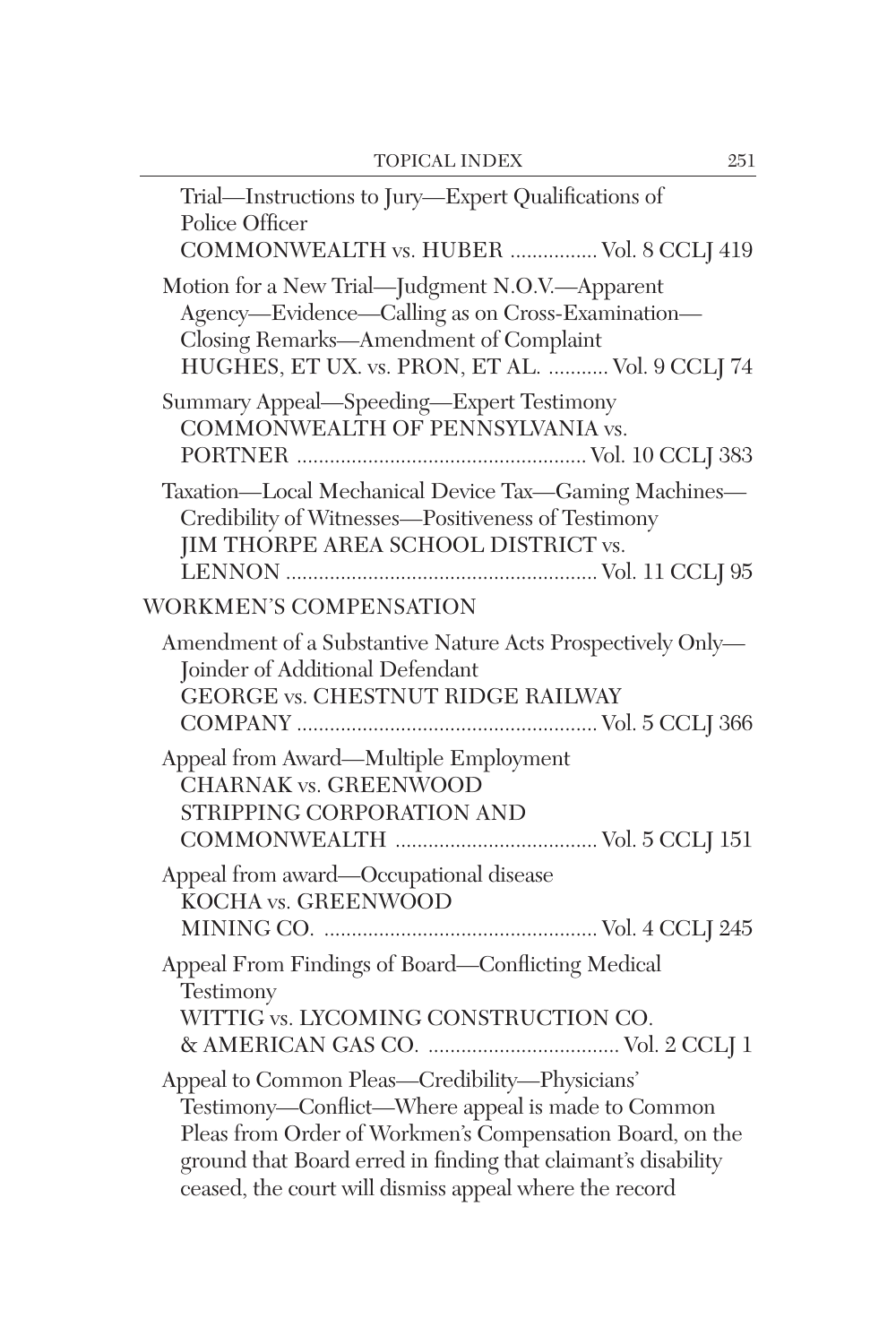| Trial-Instructions to Jury-Expert Qualifications of<br>Police Officer                                                                                                                                                                                                                      |
|--------------------------------------------------------------------------------------------------------------------------------------------------------------------------------------------------------------------------------------------------------------------------------------------|
| COMMONWEALTH vs. HUBER  Vol. 8 CCLJ 419<br>Motion for a New Trial-Judgment N.O.V.-Apparent                                                                                                                                                                                                 |
| Agency—Evidence—Calling as on Cross-Examination—<br>Closing Remarks-Amendment of Complaint<br>HUGHES, ET UX. vs. PRON, ET AL.  Vol. 9 CCLJ 74                                                                                                                                              |
| Summary Appeal-Speeding-Expert Testimony<br>COMMONWEALTH OF PENNSYLVANIA vs.                                                                                                                                                                                                               |
| Taxation-Local Mechanical Device Tax-Gaming Machines-<br>Credibility of Witnesses-Positiveness of Testimony<br>JIM THORPE AREA SCHOOL DISTRICT vs.                                                                                                                                         |
| WORKMEN'S COMPENSATION                                                                                                                                                                                                                                                                     |
| Amendment of a Substantive Nature Acts Prospectively Only-<br>Joinder of Additional Defendant<br><b>GEORGE vs. CHESTNUT RIDGE RAILWAY</b>                                                                                                                                                  |
| Appeal from Award-Multiple Employment<br><b>CHARNAK vs. GREENWOOD</b><br>STRIPPING CORPORATION AND                                                                                                                                                                                         |
| Appeal from award—Occupational disease<br><b>KOCHA vs. GREENWOOD</b>                                                                                                                                                                                                                       |
| Appeal From Findings of Board-Conflicting Medical<br>Testimony                                                                                                                                                                                                                             |
| WITTIG vs. LYCOMING CONSTRUCTION CO.                                                                                                                                                                                                                                                       |
| Appeal to Common Pleas-Credibility-Physicians'<br>Testimony-Conflict-Where appeal is made to Common<br>Pleas from Order of Workmen's Compensation Board, on the<br>ground that Board erred in finding that claimant's disability<br>ceased, the court will dismiss appeal where the record |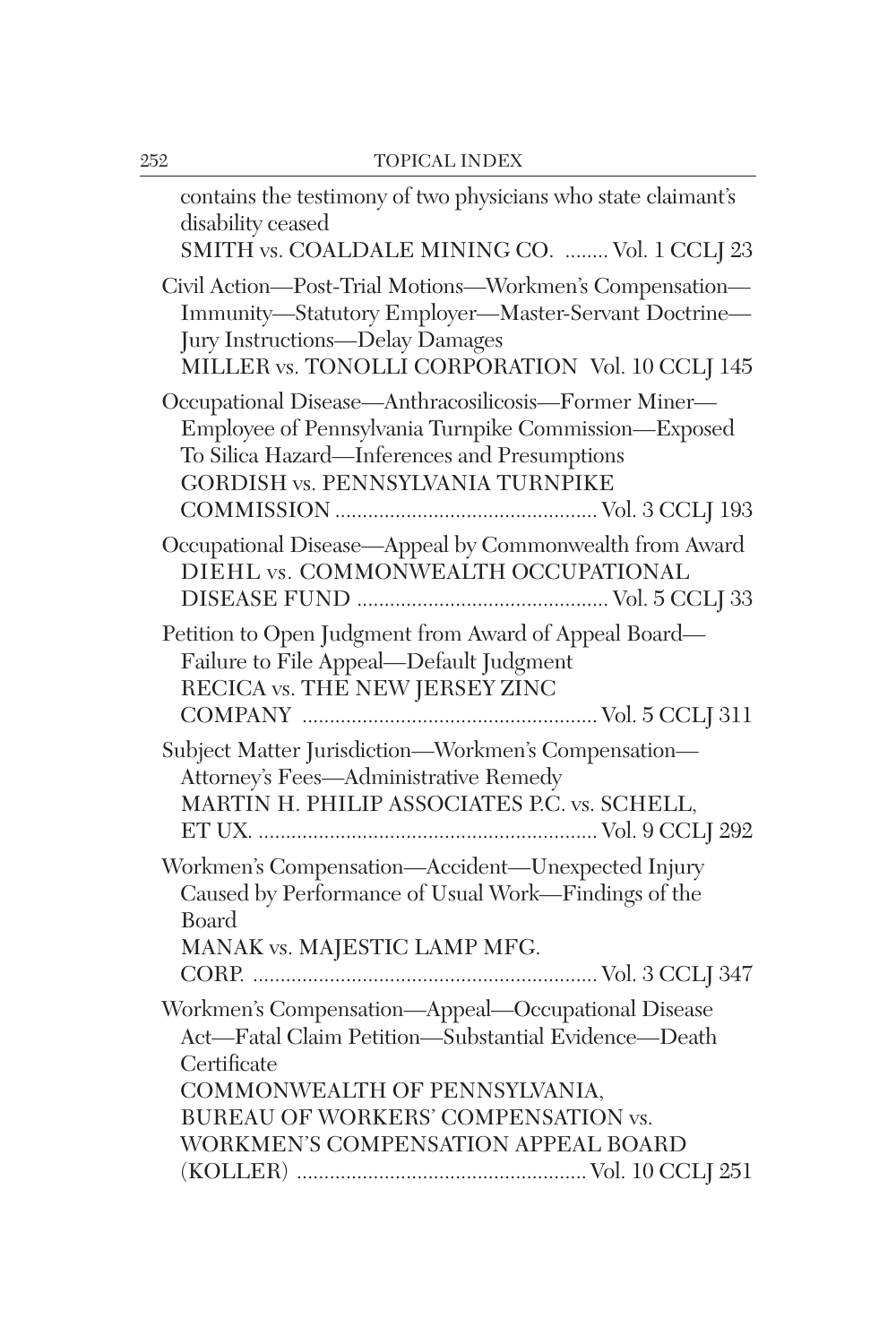| contains the testimony of two physicians who state claimant's<br>disability ceased<br>SMITH vs. COALDALE MINING CO.  Vol. 1 CCLJ 23                                                                                                     |
|-----------------------------------------------------------------------------------------------------------------------------------------------------------------------------------------------------------------------------------------|
| Civil Action-Post-Trial Motions-Workmen's Compensation-<br>Immunity-Statutory Employer-Master-Servant Doctrine-<br>Jury Instructions-Delay Damages<br>MILLER vs. TONOLLI CORPORATION Vol. 10 CCLJ 145                                   |
| Occupational Disease-Anthracosilicosis-Former Miner-<br>Employee of Pennsylvania Turnpike Commission-Exposed<br>To Silica Hazard-Inferences and Presumptions<br><b>GORDISH vs. PENNSYLVANIA TURNPIKE</b>                                |
| Occupational Disease-Appeal by Commonwealth from Award<br>DIEHL vs. COMMONWEALTH OCCUPATIONAL                                                                                                                                           |
| Petition to Open Judgment from Award of Appeal Board-<br>Failure to File Appeal-Default Judgment<br>RECICA vs. THE NEW JERSEY ZINC                                                                                                      |
| Subject Matter Jurisdiction-Workmen's Compensation-<br>Attorney's Fees-Administrative Remedy<br>MARTIN H. PHILIP ASSOCIATES P.C. vs. SCHELL,                                                                                            |
| Workmen's Compensation-Accident-Unexpected Injury<br>Caused by Performance of Usual Work-Findings of the<br>Board<br>MANAK vs. MAJESTIC LAMP MFG.                                                                                       |
| Workmen's Compensation-Appeal-Occupational Disease<br>Act-Fatal Claim Petition-Substantial Evidence-Death<br>Certificate<br>COMMONWEALTH OF PENNSYLVANIA,<br>BUREAU OF WORKERS' COMPENSATION vs.<br>WORKMEN'S COMPENSATION APPEAL BOARD |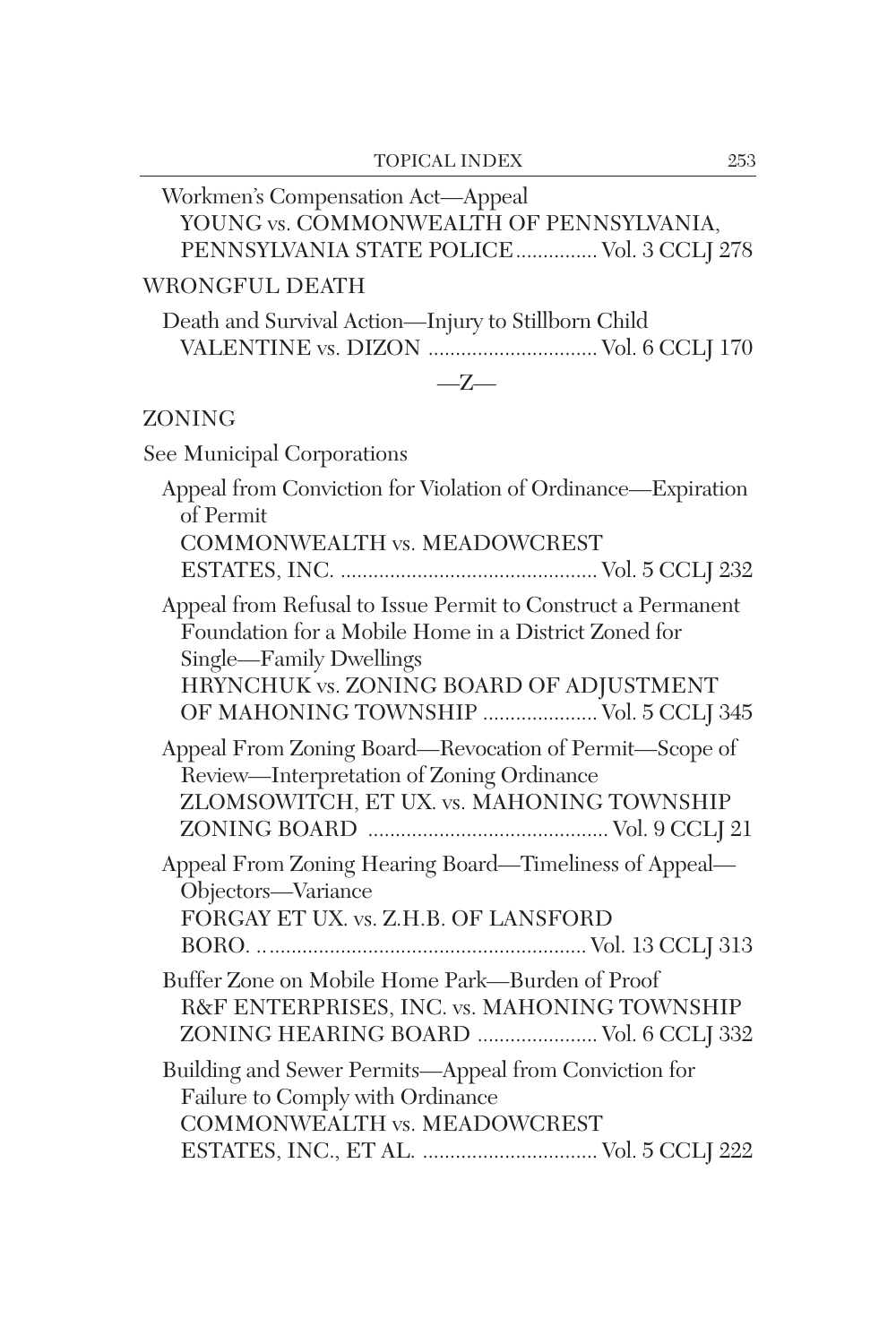| Workmen's Compensation Act-Appeal<br>YOUNG vs. COMMONWEALTH OF PENNSYLVANIA,<br>PENNSYLVANIA STATE POLICE Vol. 3 CCLJ 278                                                                                                           |
|-------------------------------------------------------------------------------------------------------------------------------------------------------------------------------------------------------------------------------------|
| <b>WRONGFUL DEATH</b>                                                                                                                                                                                                               |
| Death and Survival Action-Injury to Stillborn Child<br>VALENTINE vs. DIZON  Vol. 6 CCLJ 170                                                                                                                                         |
| $-Z-$                                                                                                                                                                                                                               |
| ZONING                                                                                                                                                                                                                              |
| See Municipal Corporations                                                                                                                                                                                                          |
| Appeal from Conviction for Violation of Ordinance-Expiration<br>of Permit<br>COMMONWEALTH vs. MEADOWCREST                                                                                                                           |
| Appeal from Refusal to Issue Permit to Construct a Permanent<br>Foundation for a Mobile Home in a District Zoned for<br>Single-Family Dwellings<br>HRYNCHUK vs. ZONING BOARD OF ADJUSTMENT<br>OF MAHONING TOWNSHIP  Vol. 5 CCLJ 345 |
| Appeal From Zoning Board—Revocation of Permit—Scope of<br>Review-Interpretation of Zoning Ordinance<br>ZLOMSOWITCH, ET UX. vs. MAHONING TOWNSHIP                                                                                    |
| Appeal From Zoning Hearing Board-Timeliness of Appeal-<br>Objectors-Variance<br>FORGAY ET UX. vs. Z.H.B. OF LANSFORD                                                                                                                |
| Buffer Zone on Mobile Home Park—Burden of Proof<br>R&F ENTERPRISES, INC. vs. MAHONING TOWNSHIP<br>ZONING HEARING BOARD  Vol. 6 CCLJ 332                                                                                             |
| Building and Sewer Permits-Appeal from Conviction for<br>Failure to Comply with Ordinance<br><b>COMMONWEALTH vs. MEADOWCREST</b><br>ESTATES, INC., ET AL.  Vol. 5 CCLJ 222                                                          |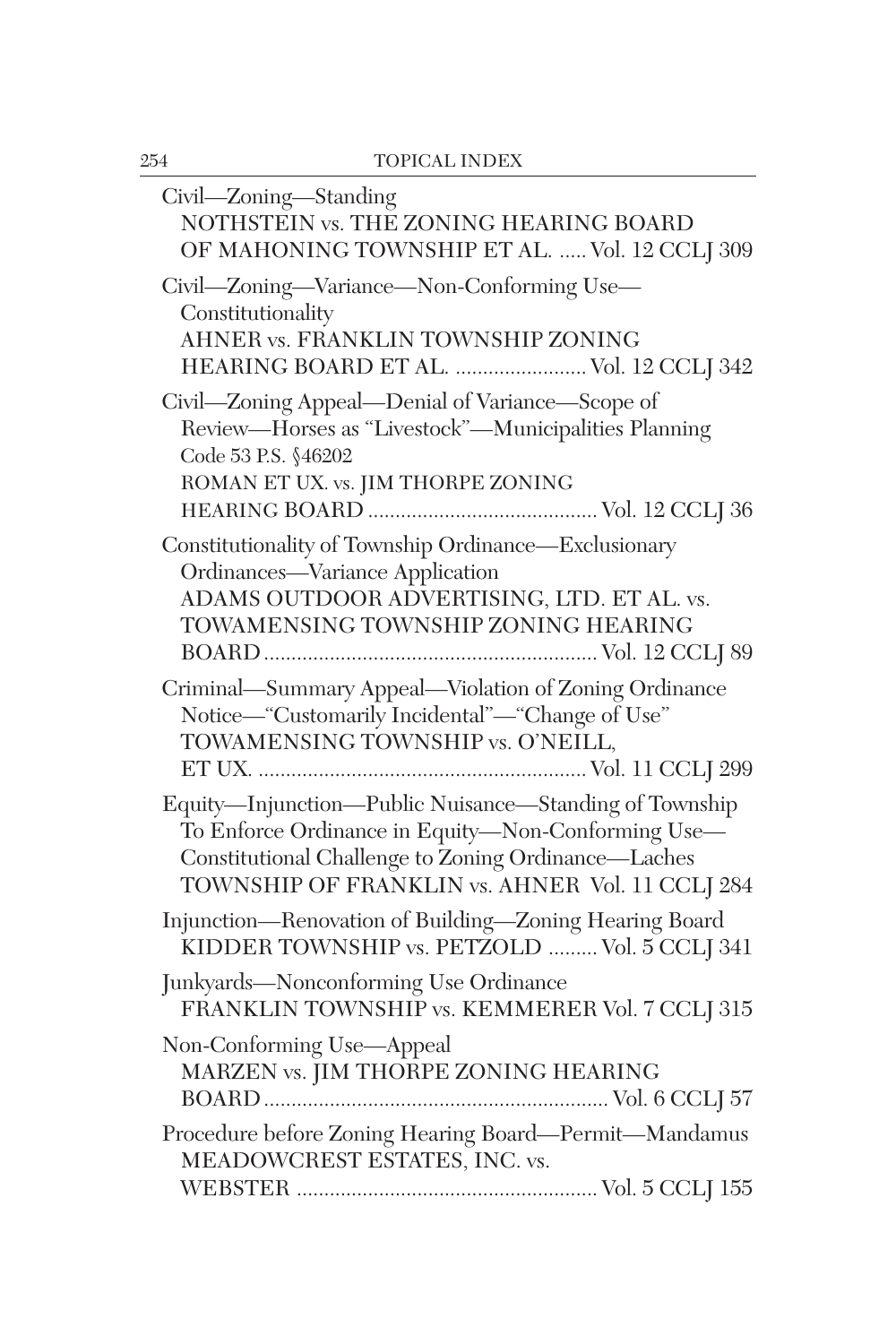| Civil-Zoning-Standing<br>NOTHSTEIN vs. THE ZONING HEARING BOARD<br>OF MAHONING TOWNSHIP ET AL.  Vol. 12 CCLJ 309                                                                                                       |
|------------------------------------------------------------------------------------------------------------------------------------------------------------------------------------------------------------------------|
| Civil—Zoning—Variance—Non-Conforming Use—<br>Constitutionality<br>AHNER vs. FRANKLIN TOWNSHIP ZONING<br>HEARING BOARD ET AL.  Vol. 12 CCLJ 342                                                                         |
| Civil-Zoning Appeal-Denial of Variance-Scope of<br>Review-Horses as "Livestock"-Municipalities Planning<br>Code 53 P.S. §46202<br>ROMAN ET UX. vs. JIM THORPE ZONING                                                   |
| Constitutionality of Township Ordinance-Exclusionary<br>Ordinances-Variance Application<br>ADAMS OUTDOOR ADVERTISING, LTD. ET AL. vs.<br>TOWAMENSING TOWNSHIP ZONING HEARING                                           |
| Criminal—Summary Appeal—Violation of Zoning Ordinance<br>Notice—"Customarily Incidental"—"Change of Use"<br>TOWAMENSING TOWNSHIP vs. O'NEILL,                                                                          |
| Equity-Injunction-Public Nuisance-Standing of Township<br>To Enforce Ordinance in Equity-Non-Conforming Use-<br>Constitutional Challenge to Zoning Ordinance-Laches<br>TOWNSHIP OF FRANKLIN vs. AHNER Vol. 11 CCLJ 284 |
| Injunction-Renovation of Building-Zoning Hearing Board<br>KIDDER TOWNSHIP vs. PETZOLD  Vol. 5 CCLJ 341                                                                                                                 |
| Junkyards—Nonconforming Use Ordinance<br>FRANKLIN TOWNSHIP vs. KEMMERER Vol. 7 CCLJ 315                                                                                                                                |
| Non-Conforming Use-Appeal<br>MARZEN vs. JIM THORPE ZONING HEARING                                                                                                                                                      |
| Procedure before Zoning Hearing Board-Permit-Mandamus<br>MEADOWCREST ESTATES, INC. vs.                                                                                                                                 |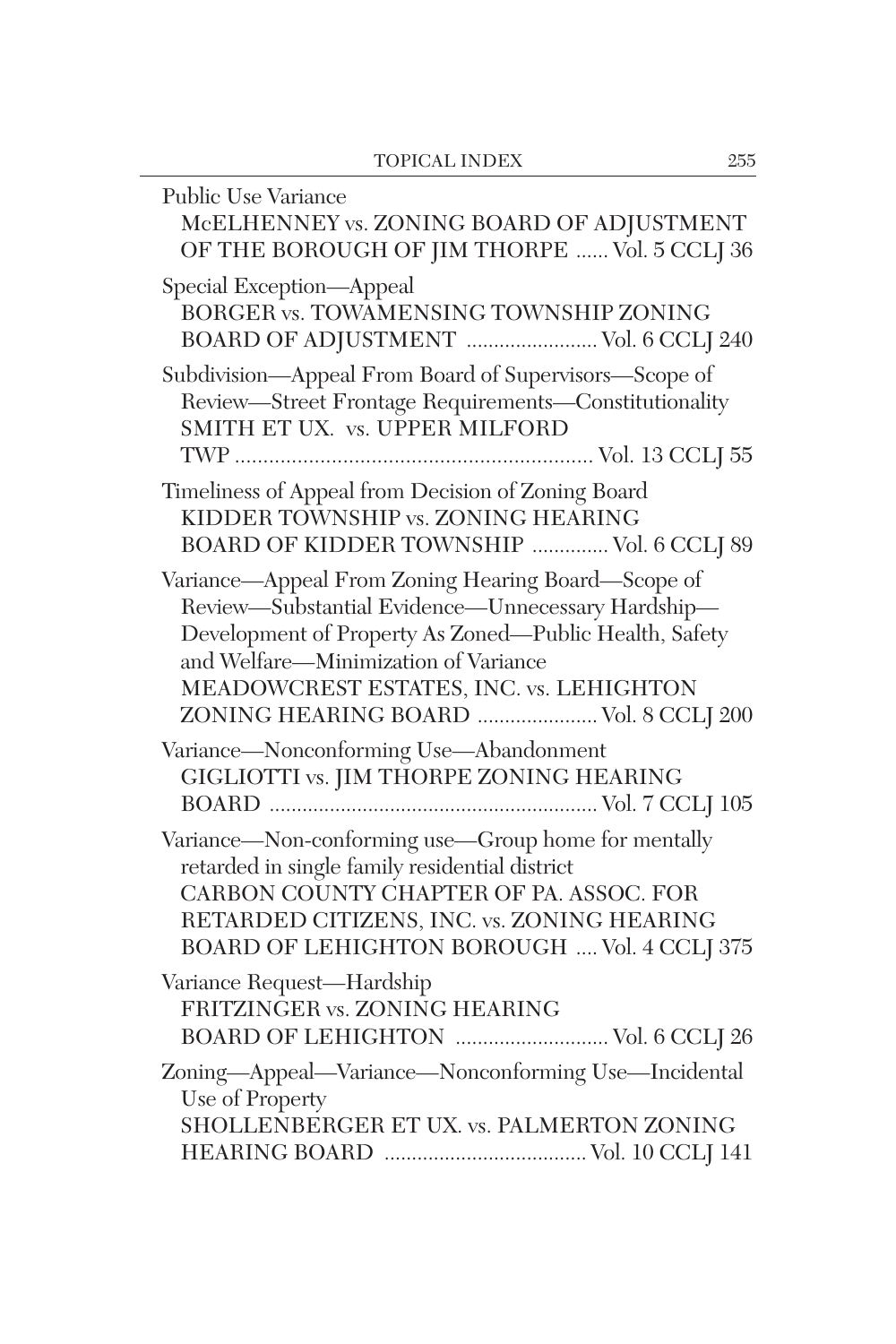| Public Use Variance<br>McELHENNEY vs. ZONING BOARD OF ADJUSTMENT<br>OF THE BOROUGH OF JIM THORPE  Vol. 5 CCLJ 36                                                                                                                                                                              |
|-----------------------------------------------------------------------------------------------------------------------------------------------------------------------------------------------------------------------------------------------------------------------------------------------|
| Special Exception-Appeal<br>BORGER vs. TOWAMENSING TOWNSHIP ZONING<br>BOARD OF ADJUSTMENT  Vol. 6 CCLJ 240                                                                                                                                                                                    |
| Subdivision-Appeal From Board of Supervisors-Scope of<br>Review-Street Frontage Requirements-Constitutionality<br>SMITH ET UX. vs. UPPER MILFORD                                                                                                                                              |
| Timeliness of Appeal from Decision of Zoning Board<br>KIDDER TOWNSHIP vs. ZONING HEARING<br>BOARD OF KIDDER TOWNSHIP  Vol. 6 CCLJ 89                                                                                                                                                          |
| Variance-Appeal From Zoning Hearing Board-Scope of<br>Review-Substantial Evidence-Unnecessary Hardship-<br>Development of Property As Zoned-Public Health, Safety<br>and Welfare-Minimization of Variance<br>MEADOWCREST ESTATES, INC. vs. LEHIGHTON<br>ZONING HEARING BOARD  Vol. 8 CCLJ 200 |
| Variance-Nonconforming Use-Abandonment<br>GIGLIOTTI vs. JIM THORPE ZONING HEARING                                                                                                                                                                                                             |
| Variance-Non-conforming use-Group home for mentally<br>retarded in single family residential district<br>CARBON COUNTY CHAPTER OF PA. ASSOC. FOR<br>RETARDED CITIZENS, INC. vs. ZONING HEARING<br>BOARD OF LEHIGHTON BOROUGH  Vol. 4 CCLJ 375                                                 |
| Variance Request-Hardship<br>FRITZINGER vs. ZONING HEARING<br>BOARD OF LEHIGHTON  Vol. 6 CCLJ 26                                                                                                                                                                                              |
| Zoning-Appeal-Variance-Nonconforming Use-Incidental<br>Use of Property<br>SHOLLENBERGER ET UX. vs. PALMERTON ZONING                                                                                                                                                                           |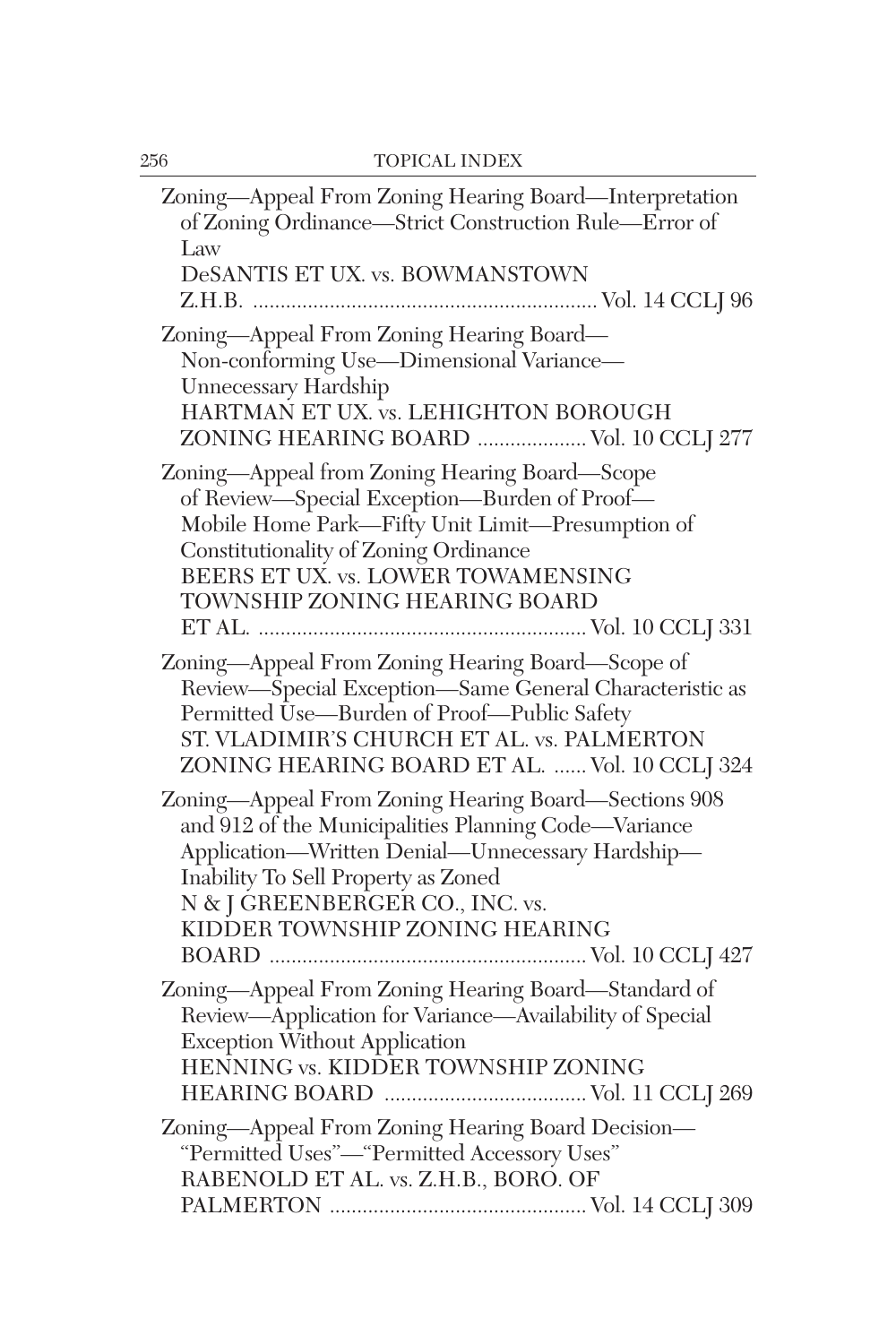| Zoning-Appeal From Zoning Hearing Board-Interpretation<br>of Zoning Ordinance-Strict Construction Rule-Error of<br>Law<br>DeSANTIS ET UX. vs. BOWMANSTOWN                                                                                                                    |
|------------------------------------------------------------------------------------------------------------------------------------------------------------------------------------------------------------------------------------------------------------------------------|
| Zoning-Appeal From Zoning Hearing Board-<br>Non-conforming Use-Dimensional Variance-<br>Unnecessary Hardship<br>HARTMAN ET UX. vs. LEHIGHTON BOROUGH<br>ZONING HEARING BOARD  Vol. 10 CCLJ 277                                                                               |
| Zoning-Appeal from Zoning Hearing Board-Scope<br>of Review-Special Exception-Burden of Proof-<br>Mobile Home Park-Fifty Unit Limit-Presumption of<br>Constitutionality of Zoning Ordinance<br>BEERS ET UX. vs. LOWER TOWAMENSING<br>TOWNSHIP ZONING HEARING BOARD            |
| Zoning-Appeal From Zoning Hearing Board-Scope of<br>Review-Special Exception-Same General Characteristic as<br>Permitted Use-Burden of Proof-Public Safety<br>ST. VLADIMIR'S CHURCH ET AL. vs. PALMERTON<br>ZONING HEARING BOARD ET AL.  Vol. 10 CCLJ 324                    |
| Zoning-Appeal From Zoning Hearing Board-Sections 908<br>and 912 of the Municipalities Planning Code—Variance<br>Application-Written Denial-Unnecessary Hardship-<br>Inability To Sell Property as Zoned<br>N & J GREENBERGER CO., INC. vs.<br>KIDDER TOWNSHIP ZONING HEARING |
| Zoning-Appeal From Zoning Hearing Board-Standard of<br>Review-Application for Variance-Availability of Special<br><b>Exception Without Application</b><br>HENNING vs. KIDDER TOWNSHIP ZONING                                                                                 |
| Zoning-Appeal From Zoning Hearing Board Decision-<br>"Permitted Uses"-"Permitted Accessory Uses"<br>RABENOLD ET AL. vs. Z.H.B., BORO. OF                                                                                                                                     |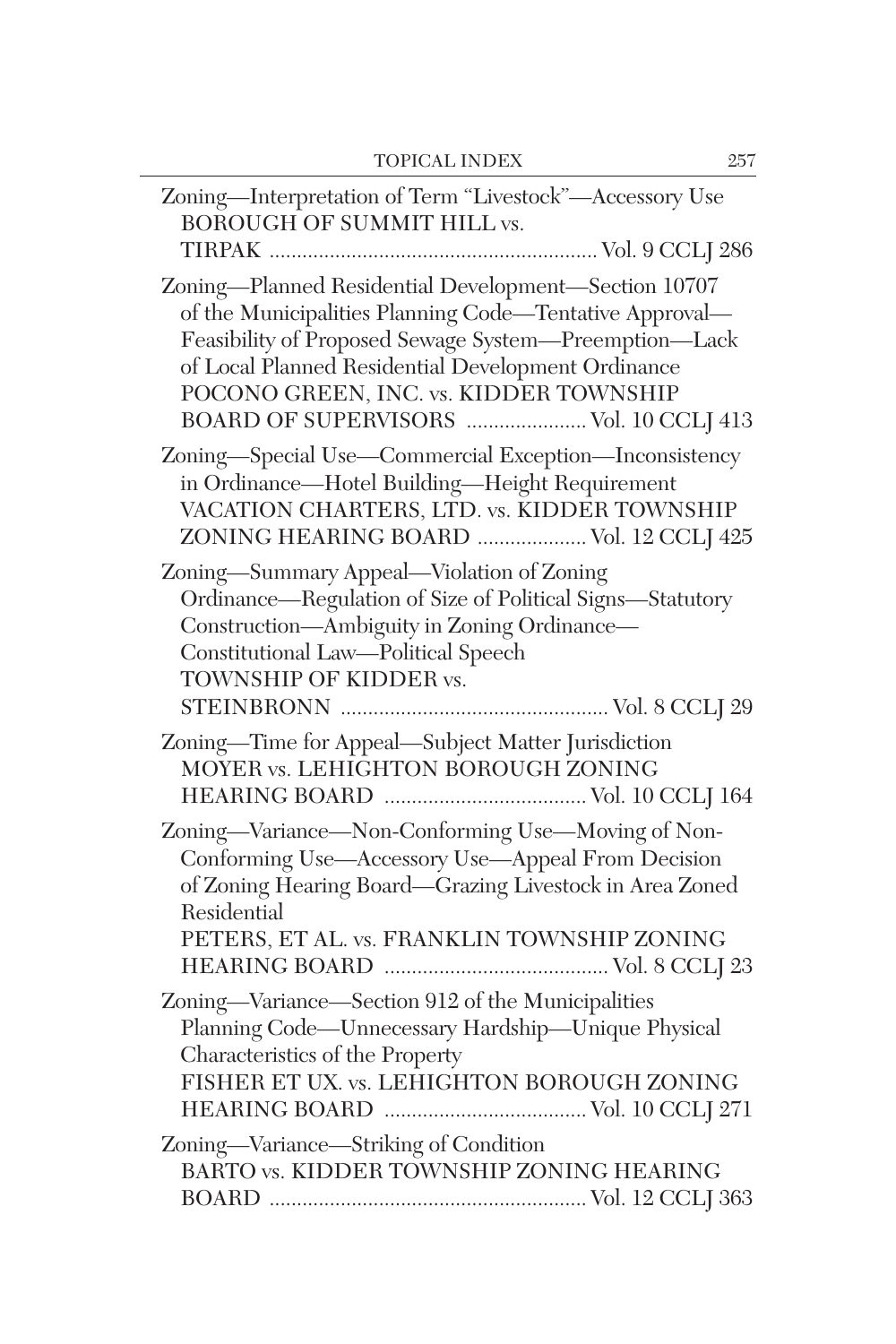| Zoning-Interpretation of Term "Livestock"-Accessory Use<br><b>BOROUGH OF SUMMIT HILL vs.</b>                                                                                                                                                                                                                       |
|--------------------------------------------------------------------------------------------------------------------------------------------------------------------------------------------------------------------------------------------------------------------------------------------------------------------|
| Zoning-Planned Residential Development-Section 10707<br>of the Municipalities Planning Code-Tentative Approval-<br>Feasibility of Proposed Sewage System-Preemption-Lack<br>of Local Planned Residential Development Ordinance<br>POCONO GREEN, INC. vs. KIDDER TOWNSHIP<br>BOARD OF SUPERVISORS  Vol. 10 CCLJ 413 |
| Zoning-Special Use-Commercial Exception-Inconsistency<br>in Ordinance-Hotel Building-Height Requirement<br>VACATION CHARTERS, LTD. vs. KIDDER TOWNSHIP<br>ZONING HEARING BOARD  Vol. 12 CCLJ 425                                                                                                                   |
| Zoning-Summary Appeal-Violation of Zoning<br>Ordinance-Regulation of Size of Political Signs-Statutory<br>Construction-Ambiguity in Zoning Ordinance-<br>Constitutional Law-Political Speech<br>TOWNSHIP OF KIDDER vs.                                                                                             |
| Zoning-Time for Appeal-Subject Matter Jurisdiction<br>MOYER vs. LEHIGHTON BOROUGH ZONING                                                                                                                                                                                                                           |
| Zoning-Variance-Non-Conforming Use-Moving of Non-<br>Conforming Use-Accessory Use-Appeal From Decision<br>of Zoning Hearing Board-Grazing Livestock in Area Zoned<br>Residential<br>PETERS, ET AL. vs. FRANKLIN TOWNSHIP ZONING                                                                                    |
| Zoning-Variance-Section 912 of the Municipalities<br>Planning Code-Unnecessary Hardship-Unique Physical<br>Characteristics of the Property<br>FISHER ET UX. vs. LEHIGHTON BOROUGH ZONING                                                                                                                           |
| Zoning-Variance-Striking of Condition<br>BARTO vs. KIDDER TOWNSHIP ZONING HEARING                                                                                                                                                                                                                                  |